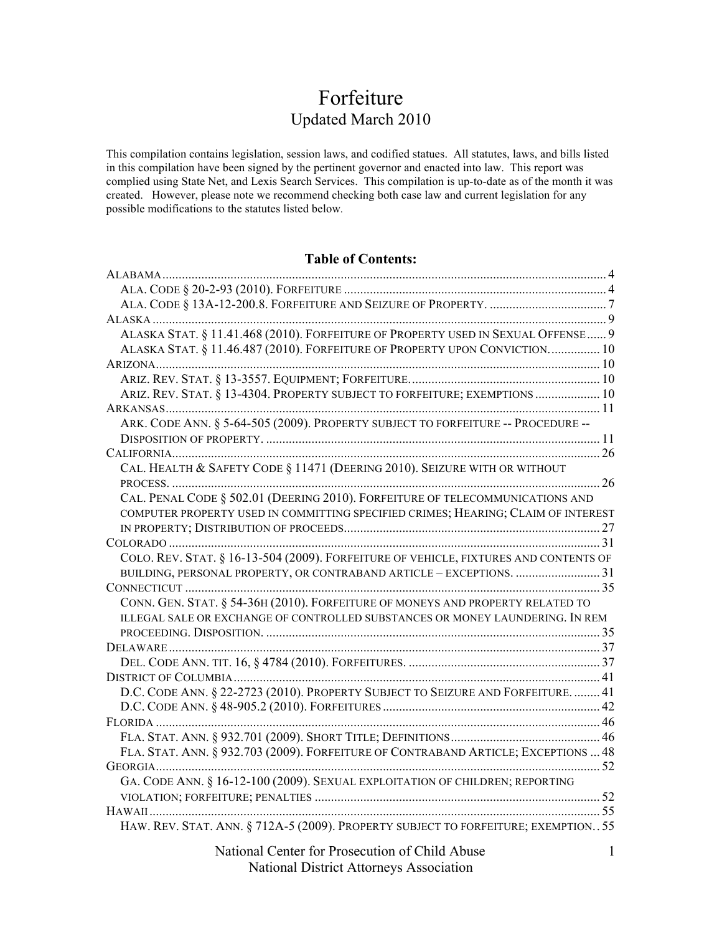# Forfeiture Updated March 2010

This compilation contains legislation, session laws, and codified statues. All statutes, laws, and bills listed in this compilation have been signed by the pertinent governor and enacted into law. This report was complied using State Net, and Lexis Search Services. This compilation is up-to-date as of the month it was created. However, please note we recommend checking both case law and current legislation for any possible modifications to the statutes listed below*.*

#### **Table of Contents:**

| ALASKA STAT. § 11.41.468 (2010). FORFEITURE OF PROPERTY USED IN SEXUAL OFFENSE 9     |   |
|--------------------------------------------------------------------------------------|---|
| ALASKA STAT. § 11.46.487 (2010). FORFEITURE OF PROPERTY UPON CONVICTION 10           |   |
|                                                                                      |   |
|                                                                                      |   |
| ARIZ. REV. STAT. § 13-4304. PROPERTY SUBJECT TO FORFEITURE; EXEMPTIONS  10           |   |
|                                                                                      |   |
| ARK. CODE ANN. § 5-64-505 (2009). PROPERTY SUBJECT TO FORFEITURE -- PROCEDURE --     |   |
|                                                                                      |   |
|                                                                                      |   |
| CAL. HEALTH & SAFETY CODE § 11471 (DEERING 2010). SEIZURE WITH OR WITHOUT            |   |
|                                                                                      |   |
| CAL. PENAL CODE § 502.01 (DEERING 2010). FORFEITURE OF TELECOMMUNICATIONS AND        |   |
| COMPUTER PROPERTY USED IN COMMITTING SPECIFIED CRIMES; HEARING; CLAIM OF INTEREST    |   |
|                                                                                      |   |
|                                                                                      |   |
| COLO. REV. STAT. § 16-13-504 (2009). FORFEITURE OF VEHICLE, FIXTURES AND CONTENTS OF |   |
|                                                                                      |   |
|                                                                                      |   |
| CONN. GEN. STAT. § 54-36H (2010). FORFEITURE OF MONEYS AND PROPERTY RELATED TO       |   |
| ILLEGAL SALE OR EXCHANGE OF CONTROLLED SUBSTANCES OR MONEY LAUNDERING. IN REM        |   |
|                                                                                      |   |
|                                                                                      |   |
|                                                                                      |   |
|                                                                                      |   |
| D.C. CODE ANN. § 22-2723 (2010). PROPERTY SUBJECT TO SEIZURE AND FORFEITURE 41       |   |
|                                                                                      |   |
|                                                                                      |   |
|                                                                                      |   |
| FLA. STAT. ANN. § 932.703 (2009). FORFEITURE OF CONTRABAND ARTICLE; EXCEPTIONS  48   |   |
|                                                                                      |   |
| GA. CODE ANN. § 16-12-100 (2009). SEXUAL EXPLOITATION OF CHILDREN; REPORTING         |   |
|                                                                                      |   |
|                                                                                      |   |
| HAW. REV. STAT. ANN. § 712A-5 (2009). PROPERTY SUBJECT TO FORFEITURE; EXEMPTION 55   |   |
| National Center for Prosecution of Child Abuse                                       | 1 |
|                                                                                      |   |

National District Attorneys Association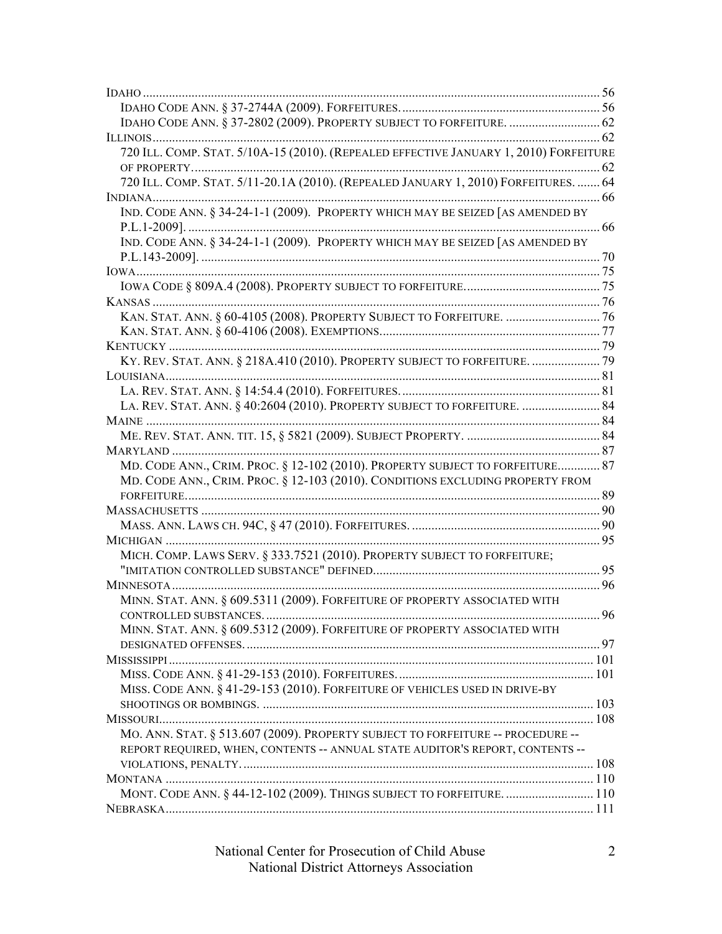| IDAHO CODE ANN. § 37-2802 (2009). PROPERTY SUBJECT TO FORFEITURE.  62                 |    |
|---------------------------------------------------------------------------------------|----|
|                                                                                       |    |
| 720 ILL. COMP. STAT. 5/10A-15 (2010). (REPEALED EFFECTIVE JANUARY 1, 2010) FORFEITURE |    |
|                                                                                       |    |
| 720 ILL. COMP. STAT. 5/11-20.1A (2010). (REPEALED JANUARY 1, 2010) FORFEITURES.  64   |    |
| $INDIANA$                                                                             |    |
| IND. CODE ANN. § 34-24-1-1 (2009). PROPERTY WHICH MAY BE SEIZED [AS AMENDED BY        |    |
|                                                                                       |    |
| IND. CODE ANN. § 34-24-1-1 (2009). PROPERTY WHICH MAY BE SEIZED [AS AMENDED BY        |    |
|                                                                                       |    |
|                                                                                       |    |
|                                                                                       |    |
|                                                                                       |    |
| KAN. STAT. ANN. § 60-4105 (2008). PROPERTY SUBJECT TO FORFEITURE.  76                 |    |
|                                                                                       |    |
|                                                                                       |    |
| KY. REV. STAT. ANN. § 218A.410 (2010). PROPERTY SUBJECT TO FORFEITURE.  79            |    |
|                                                                                       |    |
|                                                                                       |    |
| LA. REV. STAT. ANN. § 40:2604 (2010). PROPERTY SUBJECT TO FORFEITURE.  84             |    |
|                                                                                       |    |
|                                                                                       |    |
|                                                                                       |    |
| MD. CODE ANN., CRIM. PROC. § 12-102 (2010). PROPERTY SUBJECT TO FORFEITURE 87         |    |
| MD. CODE ANN., CRIM. PROC. § 12-103 (2010). CONDITIONS EXCLUDING PROPERTY FROM        |    |
|                                                                                       |    |
|                                                                                       |    |
|                                                                                       |    |
| $MICHIGAN$                                                                            | 95 |
| MICH. COMP. LAWS SERV. § 333.7521 (2010). PROPERTY SUBJECT TO FORFEITURE;             |    |
|                                                                                       | 95 |
| MINNESOTA                                                                             |    |
| MINN. STAT. ANN. § 609.5311 (2009). FORFEITURE OF PROPERTY ASSOCIATED WITH            |    |
|                                                                                       |    |
| MINN. STAT. ANN. § 609.5312 (2009). FORFEITURE OF PROPERTY ASSOCIATED WITH            |    |
|                                                                                       |    |
|                                                                                       |    |
|                                                                                       |    |
| MISS. CODE ANN. § 41-29-153 (2010). FORFEITURE OF VEHICLES USED IN DRIVE-BY           |    |
|                                                                                       |    |
|                                                                                       |    |
| MO. ANN. STAT. § 513.607 (2009). PROPERTY SUBJECT TO FORFEITURE -- PROCEDURE --       |    |
| REPORT REQUIRED, WHEN, CONTENTS -- ANNUAL STATE AUDITOR'S REPORT, CONTENTS --         |    |
|                                                                                       |    |
|                                                                                       |    |
| MONT. CODE ANN. § 44-12-102 (2009). THINGS SUBJECT TO FORFEITURE.  110                |    |
|                                                                                       |    |
|                                                                                       |    |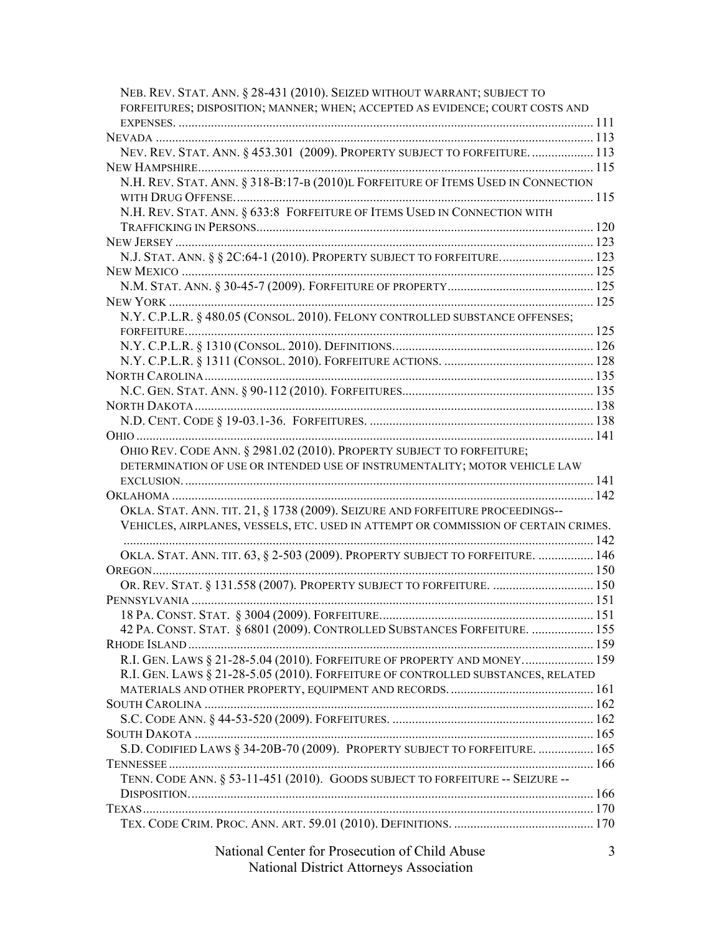| FORFEITURES; DISPOSITION; MANNER; WHEN; ACCEPTED AS EVIDENCE; COURT COSTS AND       |  |
|-------------------------------------------------------------------------------------|--|
|                                                                                     |  |
|                                                                                     |  |
| NEV. REV. STAT. ANN. § 453.301 (2009). PROPERTY SUBJECT TO FORFEITURE 113           |  |
|                                                                                     |  |
| N.H. REV. STAT. ANN. § 318-B:17-B (2010)L FORFEITURE OF ITEMS USED IN CONNECTION    |  |
|                                                                                     |  |
| N.H. REV. STAT. ANN. § 633:8 FORFEITURE OF ITEMS USED IN CONNECTION WITH            |  |
|                                                                                     |  |
|                                                                                     |  |
| N.J. STAT. ANN. § § 2C:64-1 (2010). PROPERTY SUBJECT TO FORFEITURE 123              |  |
|                                                                                     |  |
|                                                                                     |  |
|                                                                                     |  |
| N.Y. C.P.L.R. § 480.05 (CONSOL. 2010). FELONY CONTROLLED SUBSTANCE OFFENSES;        |  |
|                                                                                     |  |
|                                                                                     |  |
|                                                                                     |  |
|                                                                                     |  |
|                                                                                     |  |
|                                                                                     |  |
|                                                                                     |  |
|                                                                                     |  |
|                                                                                     |  |
| OHIO REV. CODE ANN. § 2981.02 (2010). PROPERTY SUBJECT TO FORFEITURE;               |  |
| DETERMINATION OF USE OR INTENDED USE OF INSTRUMENTALITY; MOTOR VEHICLE LAW          |  |
|                                                                                     |  |
|                                                                                     |  |
| OKLA. STAT. ANN. TIT. 21, § 1738 (2009). SEIZURE AND FORFEITURE PROCEEDINGS--       |  |
|                                                                                     |  |
| VEHICLES, AIRPLANES, VESSELS, ETC. USED IN ATTEMPT OR COMMISSION OF CERTAIN CRIMES. |  |
|                                                                                     |  |
|                                                                                     |  |
| OKLA. STAT. ANN. TIT. 63, § 2-503 (2009). PROPERTY SUBJECT TO FORFEITURE.  146      |  |
| OR. REV. STAT. § 131.558 (2007). PROPERTY SUBJECT TO FORFEITURE.  150               |  |
|                                                                                     |  |
|                                                                                     |  |
|                                                                                     |  |
| 42 PA. CONST. STAT. § 6801 (2009). CONTROLLED SUBSTANCES FORFEITURE.  155           |  |
|                                                                                     |  |
| R.I. GEN. LAWS § 21-28-5.04 (2010). FORFEITURE OF PROPERTY AND MONEY 159            |  |
| R.I. GEN. LAWS § 21-28-5.05 (2010). FORFEITURE OF CONTROLLED SUBSTANCES, RELATED    |  |
|                                                                                     |  |
|                                                                                     |  |
|                                                                                     |  |
|                                                                                     |  |
| S.D. CODIFIED LAWS § 34-20B-70 (2009). PROPERTY SUBJECT TO FORFEITURE.  165         |  |
|                                                                                     |  |
| TENN. CODE ANN. § 53-11-451 (2010). GOODS SUBJECT TO FORFEITURE -- SEIZURE --       |  |
|                                                                                     |  |
|                                                                                     |  |
|                                                                                     |  |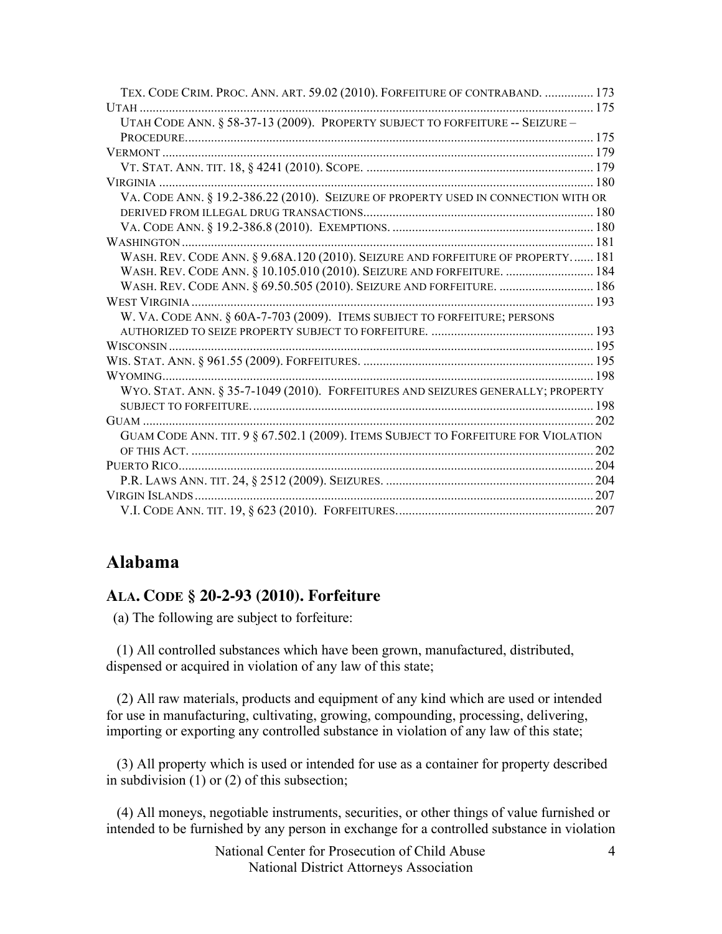| TEX. CODE CRIM. PROC. ANN. ART. 59.02 (2010). FORFEITURE OF CONTRABAND.  173       |     |
|------------------------------------------------------------------------------------|-----|
| <b>UTAH</b>                                                                        |     |
| UTAH CODE ANN. § 58-37-13 (2009). PROPERTY SUBJECT TO FORFEITURE -- SEIZURE -      |     |
|                                                                                    |     |
|                                                                                    |     |
|                                                                                    |     |
| VIRGINIA                                                                           |     |
| VA. CODE ANN. § 19.2-386.22 (2010). SEIZURE OF PROPERTY USED IN CONNECTION WITH OR |     |
|                                                                                    |     |
|                                                                                    |     |
| WASHINGTON                                                                         |     |
| WASH. REV. CODE ANN. § 9.68A.120 (2010). SEIZURE AND FORFEITURE OF PROPERTY 181    |     |
| WASH. REV. CODE ANN. § 10.105.010 (2010). SEIZURE AND FORFEITURE.  184             |     |
| WASH. REV. CODE ANN. § 69.50.505 (2010). SEIZURE AND FORFEITURE.  186              |     |
|                                                                                    |     |
| W. VA. CODE ANN. § 60A-7-703 (2009). ITEMS SUBJECT TO FORFEITURE; PERSONS          |     |
|                                                                                    |     |
|                                                                                    |     |
|                                                                                    |     |
|                                                                                    |     |
| WYO. STAT. ANN. § 35-7-1049 (2010). FORFEITURES AND SEIZURES GENERALLY; PROPERTY   |     |
|                                                                                    |     |
|                                                                                    | 202 |
| GUAM CODE ANN. TIT. 9 § 67.502.1 (2009). ITEMS SUBJECT TO FORFEITURE FOR VIOLATION |     |
|                                                                                    | 202 |
|                                                                                    |     |
|                                                                                    |     |
| <b>VIRGIN ISLANDS</b>                                                              |     |
|                                                                                    |     |
|                                                                                    |     |

# **Alabama**

## **ALA. CODE § 20-2-93 (2010). Forfeiture**

(a) The following are subject to forfeiture:

 (1) All controlled substances which have been grown, manufactured, distributed, dispensed or acquired in violation of any law of this state;

 (2) All raw materials, products and equipment of any kind which are used or intended for use in manufacturing, cultivating, growing, compounding, processing, delivering, importing or exporting any controlled substance in violation of any law of this state;

 (3) All property which is used or intended for use as a container for property described in subdivision (1) or (2) of this subsection;

 (4) All moneys, negotiable instruments, securities, or other things of value furnished or intended to be furnished by any person in exchange for a controlled substance in violation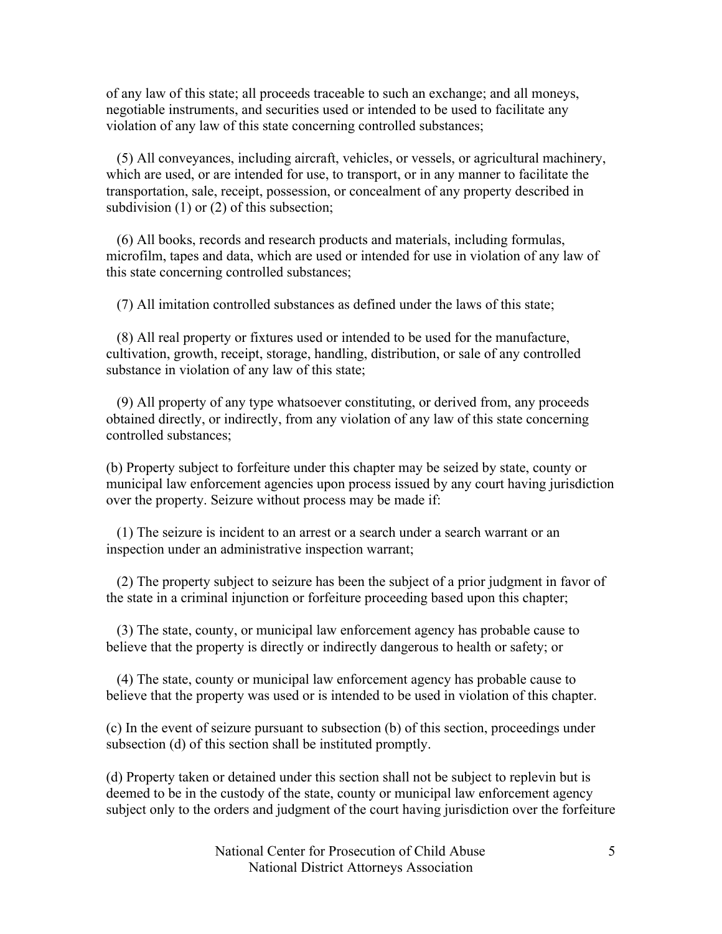of any law of this state; all proceeds traceable to such an exchange; and all moneys, negotiable instruments, and securities used or intended to be used to facilitate any violation of any law of this state concerning controlled substances;

 (5) All conveyances, including aircraft, vehicles, or vessels, or agricultural machinery, which are used, or are intended for use, to transport, or in any manner to facilitate the transportation, sale, receipt, possession, or concealment of any property described in subdivision (1) or (2) of this subsection;

 (6) All books, records and research products and materials, including formulas, microfilm, tapes and data, which are used or intended for use in violation of any law of this state concerning controlled substances;

(7) All imitation controlled substances as defined under the laws of this state;

 (8) All real property or fixtures used or intended to be used for the manufacture, cultivation, growth, receipt, storage, handling, distribution, or sale of any controlled substance in violation of any law of this state;

 (9) All property of any type whatsoever constituting, or derived from, any proceeds obtained directly, or indirectly, from any violation of any law of this state concerning controlled substances;

(b) Property subject to forfeiture under this chapter may be seized by state, county or municipal law enforcement agencies upon process issued by any court having jurisdiction over the property. Seizure without process may be made if:

 (1) The seizure is incident to an arrest or a search under a search warrant or an inspection under an administrative inspection warrant;

 (2) The property subject to seizure has been the subject of a prior judgment in favor of the state in a criminal injunction or forfeiture proceeding based upon this chapter;

 (3) The state, county, or municipal law enforcement agency has probable cause to believe that the property is directly or indirectly dangerous to health or safety; or

 (4) The state, county or municipal law enforcement agency has probable cause to believe that the property was used or is intended to be used in violation of this chapter.

(c) In the event of seizure pursuant to subsection (b) of this section, proceedings under subsection (d) of this section shall be instituted promptly.

(d) Property taken or detained under this section shall not be subject to replevin but is deemed to be in the custody of the state, county or municipal law enforcement agency subject only to the orders and judgment of the court having jurisdiction over the forfeiture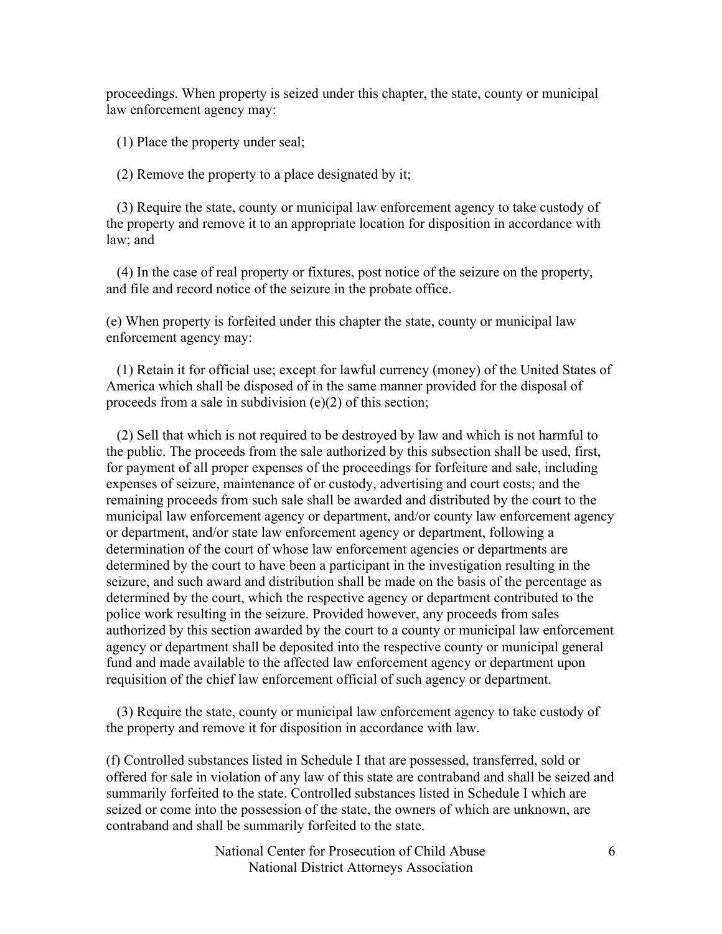proceedings. When property is seized under this chapter, the state, county or municipal law enforcement agency may:

(1) Place the property under seal;

(2) Remove the property to a place designated by it;

 (3) Require the state, county or municipal law enforcement agency to take custody of the property and remove it to an appropriate location for disposition in accordance with law; and

 (4) In the case of real property or fixtures, post notice of the seizure on the property, and file and record notice of the seizure in the probate office.

(e) When property is forfeited under this chapter the state, county or municipal law enforcement agency may:

 (1) Retain it for official use; except for lawful currency (money) of the United States of America which shall be disposed of in the same manner provided for the disposal of proceeds from a sale in subdivision (e)(2) of this section;

 (2) Sell that which is not required to be destroyed by law and which is not harmful to the public. The proceeds from the sale authorized by this subsection shall be used, first, for payment of all proper expenses of the proceedings for forfeiture and sale, including expenses of seizure, maintenance of or custody, advertising and court costs; and the remaining proceeds from such sale shall be awarded and distributed by the court to the municipal law enforcement agency or department, and/or county law enforcement agency or department, and/or state law enforcement agency or department, following a determination of the court of whose law enforcement agencies or departments are determined by the court to have been a participant in the investigation resulting in the seizure, and such award and distribution shall be made on the basis of the percentage as determined by the court, which the respective agency or department contributed to the police work resulting in the seizure. Provided however, any proceeds from sales authorized by this section awarded by the court to a county or municipal law enforcement agency or department shall be deposited into the respective county or municipal general fund and made available to the affected law enforcement agency or department upon requisition of the chief law enforcement official of such agency or department.

 (3) Require the state, county or municipal law enforcement agency to take custody of the property and remove it for disposition in accordance with law.

(f) Controlled substances listed in Schedule I that are possessed, transferred, sold or offered for sale in violation of any law of this state are contraband and shall be seized and summarily forfeited to the state. Controlled substances listed in Schedule I which are seized or come into the possession of the state, the owners of which are unknown, are contraband and shall be summarily forfeited to the state.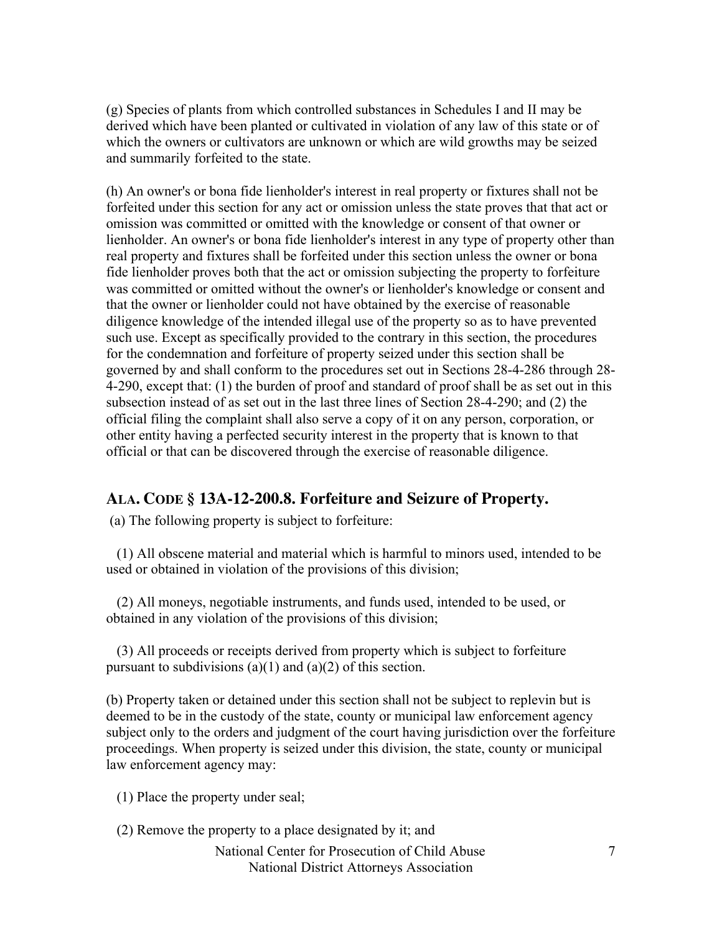(g) Species of plants from which controlled substances in Schedules I and II may be derived which have been planted or cultivated in violation of any law of this state or of which the owners or cultivators are unknown or which are wild growths may be seized and summarily forfeited to the state.

(h) An owner's or bona fide lienholder's interest in real property or fixtures shall not be forfeited under this section for any act or omission unless the state proves that that act or omission was committed or omitted with the knowledge or consent of that owner or lienholder. An owner's or bona fide lienholder's interest in any type of property other than real property and fixtures shall be forfeited under this section unless the owner or bona fide lienholder proves both that the act or omission subjecting the property to forfeiture was committed or omitted without the owner's or lienholder's knowledge or consent and that the owner or lienholder could not have obtained by the exercise of reasonable diligence knowledge of the intended illegal use of the property so as to have prevented such use. Except as specifically provided to the contrary in this section, the procedures for the condemnation and forfeiture of property seized under this section shall be governed by and shall conform to the procedures set out in Sections 28-4-286 through 28- 4-290, except that: (1) the burden of proof and standard of proof shall be as set out in this subsection instead of as set out in the last three lines of Section 28-4-290; and (2) the official filing the complaint shall also serve a copy of it on any person, corporation, or other entity having a perfected security interest in the property that is known to that official or that can be discovered through the exercise of reasonable diligence.

#### **ALA. CODE § 13A-12-200.8. Forfeiture and Seizure of Property.**

(a) The following property is subject to forfeiture:

 (1) All obscene material and material which is harmful to minors used, intended to be used or obtained in violation of the provisions of this division;

 (2) All moneys, negotiable instruments, and funds used, intended to be used, or obtained in any violation of the provisions of this division;

 (3) All proceeds or receipts derived from property which is subject to forfeiture pursuant to subdivisions  $(a)(1)$  and  $(a)(2)$  of this section.

(b) Property taken or detained under this section shall not be subject to replevin but is deemed to be in the custody of the state, county or municipal law enforcement agency subject only to the orders and judgment of the court having jurisdiction over the forfeiture proceedings. When property is seized under this division, the state, county or municipal law enforcement agency may:

(1) Place the property under seal;

(2) Remove the property to a place designated by it; and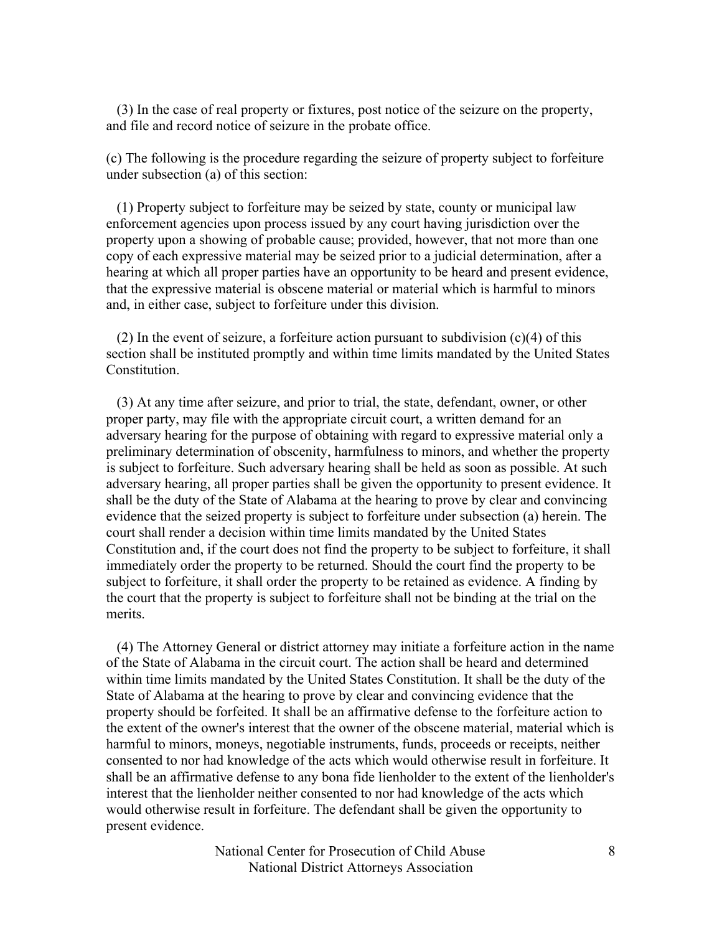(3) In the case of real property or fixtures, post notice of the seizure on the property, and file and record notice of seizure in the probate office.

(c) The following is the procedure regarding the seizure of property subject to forfeiture under subsection (a) of this section:

 (1) Property subject to forfeiture may be seized by state, county or municipal law enforcement agencies upon process issued by any court having jurisdiction over the property upon a showing of probable cause; provided, however, that not more than one copy of each expressive material may be seized prior to a judicial determination, after a hearing at which all proper parties have an opportunity to be heard and present evidence, that the expressive material is obscene material or material which is harmful to minors and, in either case, subject to forfeiture under this division.

 (2) In the event of seizure, a forfeiture action pursuant to subdivision (c)(4) of this section shall be instituted promptly and within time limits mandated by the United States Constitution.

 (3) At any time after seizure, and prior to trial, the state, defendant, owner, or other proper party, may file with the appropriate circuit court, a written demand for an adversary hearing for the purpose of obtaining with regard to expressive material only a preliminary determination of obscenity, harmfulness to minors, and whether the property is subject to forfeiture. Such adversary hearing shall be held as soon as possible. At such adversary hearing, all proper parties shall be given the opportunity to present evidence. It shall be the duty of the State of Alabama at the hearing to prove by clear and convincing evidence that the seized property is subject to forfeiture under subsection (a) herein. The court shall render a decision within time limits mandated by the United States Constitution and, if the court does not find the property to be subject to forfeiture, it shall immediately order the property to be returned. Should the court find the property to be subject to forfeiture, it shall order the property to be retained as evidence. A finding by the court that the property is subject to forfeiture shall not be binding at the trial on the merits.

 (4) The Attorney General or district attorney may initiate a forfeiture action in the name of the State of Alabama in the circuit court. The action shall be heard and determined within time limits mandated by the United States Constitution. It shall be the duty of the State of Alabama at the hearing to prove by clear and convincing evidence that the property should be forfeited. It shall be an affirmative defense to the forfeiture action to the extent of the owner's interest that the owner of the obscene material, material which is harmful to minors, moneys, negotiable instruments, funds, proceeds or receipts, neither consented to nor had knowledge of the acts which would otherwise result in forfeiture. It shall be an affirmative defense to any bona fide lienholder to the extent of the lienholder's interest that the lienholder neither consented to nor had knowledge of the acts which would otherwise result in forfeiture. The defendant shall be given the opportunity to present evidence.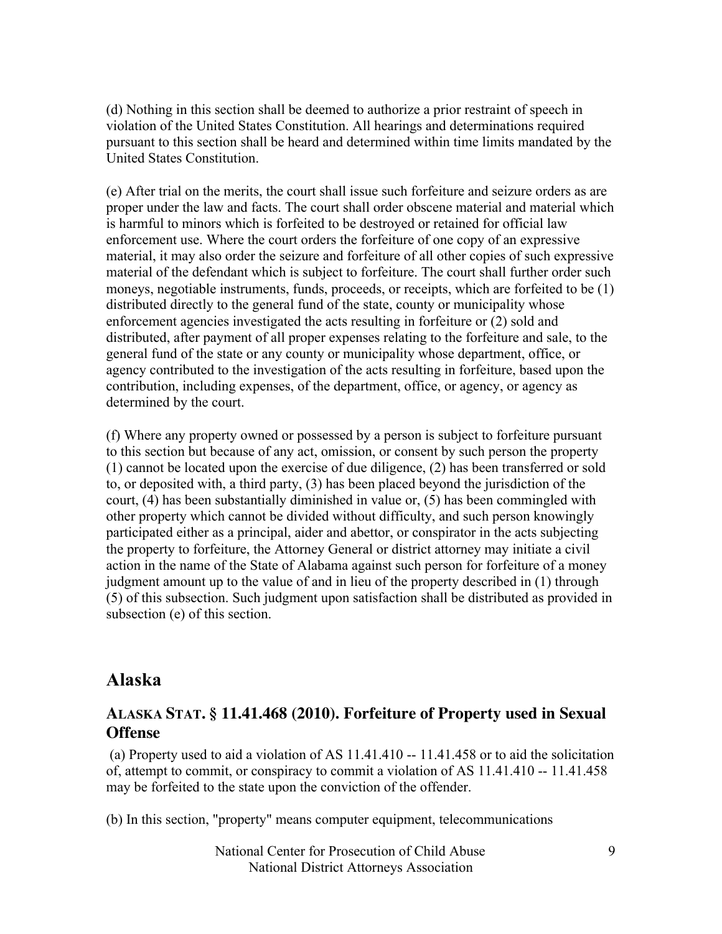(d) Nothing in this section shall be deemed to authorize a prior restraint of speech in violation of the United States Constitution. All hearings and determinations required pursuant to this section shall be heard and determined within time limits mandated by the United States Constitution.

(e) After trial on the merits, the court shall issue such forfeiture and seizure orders as are proper under the law and facts. The court shall order obscene material and material which is harmful to minors which is forfeited to be destroyed or retained for official law enforcement use. Where the court orders the forfeiture of one copy of an expressive material, it may also order the seizure and forfeiture of all other copies of such expressive material of the defendant which is subject to forfeiture. The court shall further order such moneys, negotiable instruments, funds, proceeds, or receipts, which are forfeited to be (1) distributed directly to the general fund of the state, county or municipality whose enforcement agencies investigated the acts resulting in forfeiture or (2) sold and distributed, after payment of all proper expenses relating to the forfeiture and sale, to the general fund of the state or any county or municipality whose department, office, or agency contributed to the investigation of the acts resulting in forfeiture, based upon the contribution, including expenses, of the department, office, or agency, or agency as determined by the court.

(f) Where any property owned or possessed by a person is subject to forfeiture pursuant to this section but because of any act, omission, or consent by such person the property (1) cannot be located upon the exercise of due diligence, (2) has been transferred or sold to, or deposited with, a third party, (3) has been placed beyond the jurisdiction of the court, (4) has been substantially diminished in value or, (5) has been commingled with other property which cannot be divided without difficulty, and such person knowingly participated either as a principal, aider and abettor, or conspirator in the acts subjecting the property to forfeiture, the Attorney General or district attorney may initiate a civil action in the name of the State of Alabama against such person for forfeiture of a money judgment amount up to the value of and in lieu of the property described in (1) through (5) of this subsection. Such judgment upon satisfaction shall be distributed as provided in subsection (e) of this section.

## **Alaska**

#### **ALASKA STAT. § 11.41.468 (2010). Forfeiture of Property used in Sexual Offense**

(a) Property used to aid a violation of AS  $11.41.410 - 11.41.458$  or to aid the solicitation of, attempt to commit, or conspiracy to commit a violation of AS 11.41.410 -- 11.41.458 may be forfeited to the state upon the conviction of the offender.

(b) In this section, "property" means computer equipment, telecommunications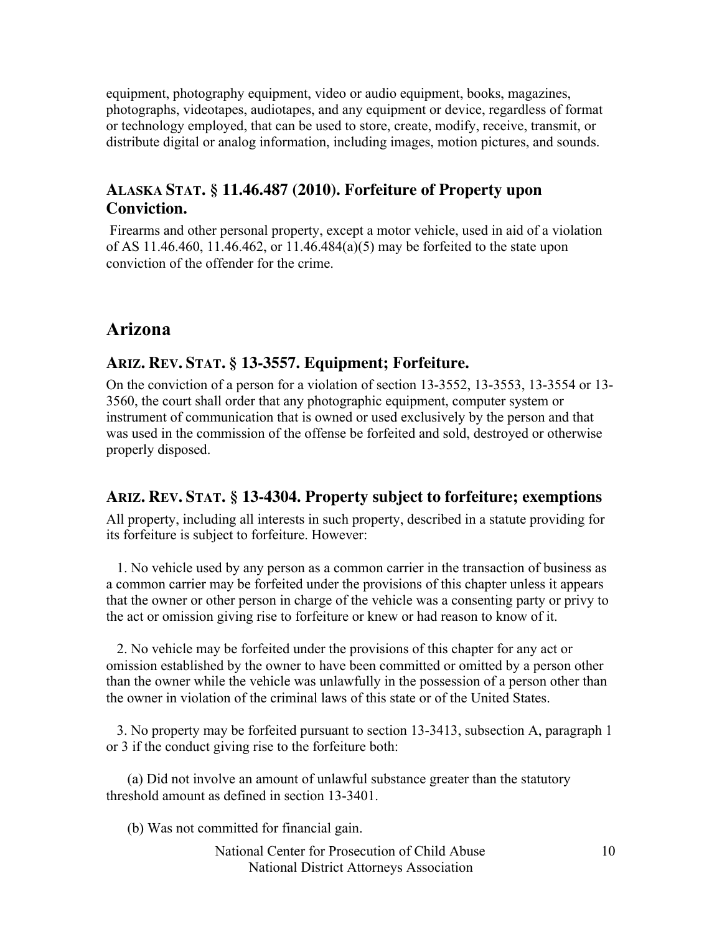equipment, photography equipment, video or audio equipment, books, magazines, photographs, videotapes, audiotapes, and any equipment or device, regardless of format or technology employed, that can be used to store, create, modify, receive, transmit, or distribute digital or analog information, including images, motion pictures, and sounds.

### **ALASKA STAT. § 11.46.487 (2010). Forfeiture of Property upon Conviction.**

Firearms and other personal property, except a motor vehicle, used in aid of a violation of AS 11.46.460, 11.46.462, or 11.46.484(a)(5) may be forfeited to the state upon conviction of the offender for the crime.

# **Arizona**

### **ARIZ. REV. STAT. § 13-3557. Equipment; Forfeiture.**

On the conviction of a person for a violation of section 13-3552, 13-3553, 13-3554 or 13- 3560, the court shall order that any photographic equipment, computer system or instrument of communication that is owned or used exclusively by the person and that was used in the commission of the offense be forfeited and sold, destroyed or otherwise properly disposed.

### **ARIZ. REV. STAT. § 13-4304. Property subject to forfeiture; exemptions**

All property, including all interests in such property, described in a statute providing for its forfeiture is subject to forfeiture. However:

 1. No vehicle used by any person as a common carrier in the transaction of business as a common carrier may be forfeited under the provisions of this chapter unless it appears that the owner or other person in charge of the vehicle was a consenting party or privy to the act or omission giving rise to forfeiture or knew or had reason to know of it.

 2. No vehicle may be forfeited under the provisions of this chapter for any act or omission established by the owner to have been committed or omitted by a person other than the owner while the vehicle was unlawfully in the possession of a person other than the owner in violation of the criminal laws of this state or of the United States.

 3. No property may be forfeited pursuant to section 13-3413, subsection A, paragraph 1 or 3 if the conduct giving rise to the forfeiture both:

 (a) Did not involve an amount of unlawful substance greater than the statutory threshold amount as defined in section 13-3401.

(b) Was not committed for financial gain.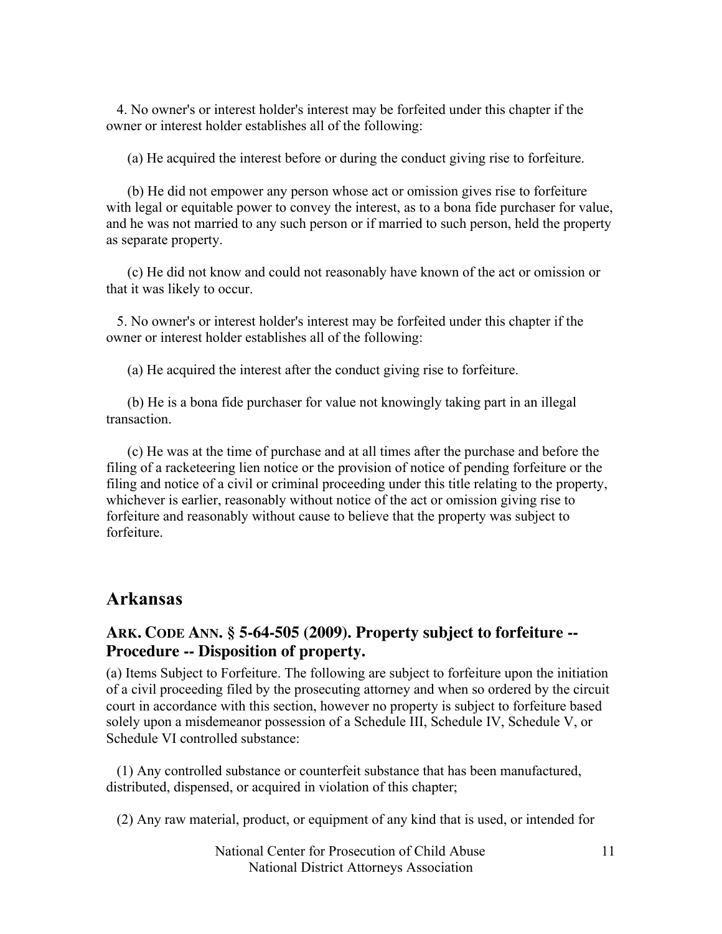4. No owner's or interest holder's interest may be forfeited under this chapter if the owner or interest holder establishes all of the following:

(a) He acquired the interest before or during the conduct giving rise to forfeiture.

 (b) He did not empower any person whose act or omission gives rise to forfeiture with legal or equitable power to convey the interest, as to a bona fide purchaser for value, and he was not married to any such person or if married to such person, held the property as separate property.

 (c) He did not know and could not reasonably have known of the act or omission or that it was likely to occur.

 5. No owner's or interest holder's interest may be forfeited under this chapter if the owner or interest holder establishes all of the following:

(a) He acquired the interest after the conduct giving rise to forfeiture.

 (b) He is a bona fide purchaser for value not knowingly taking part in an illegal transaction.

 (c) He was at the time of purchase and at all times after the purchase and before the filing of a racketeering lien notice or the provision of notice of pending forfeiture or the filing and notice of a civil or criminal proceeding under this title relating to the property, whichever is earlier, reasonably without notice of the act or omission giving rise to forfeiture and reasonably without cause to believe that the property was subject to forfeiture.

#### **Arkansas**

#### **ARK. CODE ANN. § 5-64-505 (2009). Property subject to forfeiture -- Procedure -- Disposition of property.**

(a) Items Subject to Forfeiture. The following are subject to forfeiture upon the initiation of a civil proceeding filed by the prosecuting attorney and when so ordered by the circuit court in accordance with this section, however no property is subject to forfeiture based solely upon a misdemeanor possession of a Schedule III, Schedule IV, Schedule V, or Schedule VI controlled substance:

 (1) Any controlled substance or counterfeit substance that has been manufactured, distributed, dispensed, or acquired in violation of this chapter;

(2) Any raw material, product, or equipment of any kind that is used, or intended for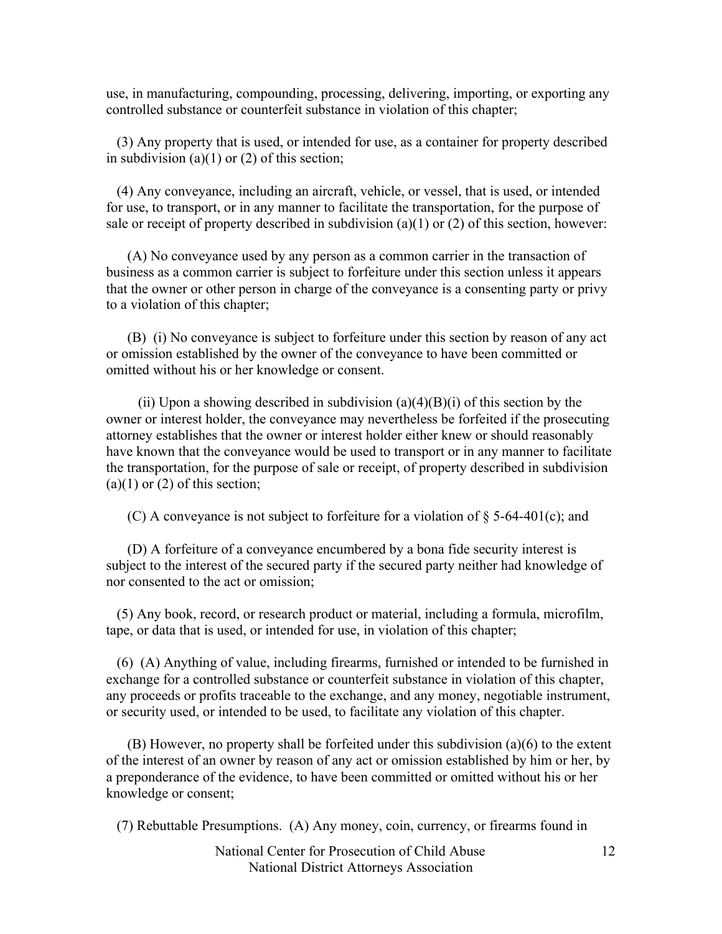use, in manufacturing, compounding, processing, delivering, importing, or exporting any controlled substance or counterfeit substance in violation of this chapter;

 (3) Any property that is used, or intended for use, as a container for property described in subdivision (a)(1) or (2) of this section;

 (4) Any conveyance, including an aircraft, vehicle, or vessel, that is used, or intended for use, to transport, or in any manner to facilitate the transportation, for the purpose of sale or receipt of property described in subdivision (a)(1) or (2) of this section, however:

 (A) No conveyance used by any person as a common carrier in the transaction of business as a common carrier is subject to forfeiture under this section unless it appears that the owner or other person in charge of the conveyance is a consenting party or privy to a violation of this chapter;

 (B) (i) No conveyance is subject to forfeiture under this section by reason of any act or omission established by the owner of the conveyance to have been committed or omitted without his or her knowledge or consent.

(ii) Upon a showing described in subdivision  $(a)(4)(B)(i)$  of this section by the owner or interest holder, the conveyance may nevertheless be forfeited if the prosecuting attorney establishes that the owner or interest holder either knew or should reasonably have known that the conveyance would be used to transport or in any manner to facilitate the transportation, for the purpose of sale or receipt, of property described in subdivision  $(a)(1)$  or  $(2)$  of this section;

(C) A conveyance is not subject to forfeiture for a violation of  $\S$  5-64-401(c); and

 (D) A forfeiture of a conveyance encumbered by a bona fide security interest is subject to the interest of the secured party if the secured party neither had knowledge of nor consented to the act or omission;

 (5) Any book, record, or research product or material, including a formula, microfilm, tape, or data that is used, or intended for use, in violation of this chapter;

 (6) (A) Anything of value, including firearms, furnished or intended to be furnished in exchange for a controlled substance or counterfeit substance in violation of this chapter, any proceeds or profits traceable to the exchange, and any money, negotiable instrument, or security used, or intended to be used, to facilitate any violation of this chapter.

 (B) However, no property shall be forfeited under this subdivision (a)(6) to the extent of the interest of an owner by reason of any act or omission established by him or her, by a preponderance of the evidence, to have been committed or omitted without his or her knowledge or consent;

(7) Rebuttable Presumptions. (A) Any money, coin, currency, or firearms found in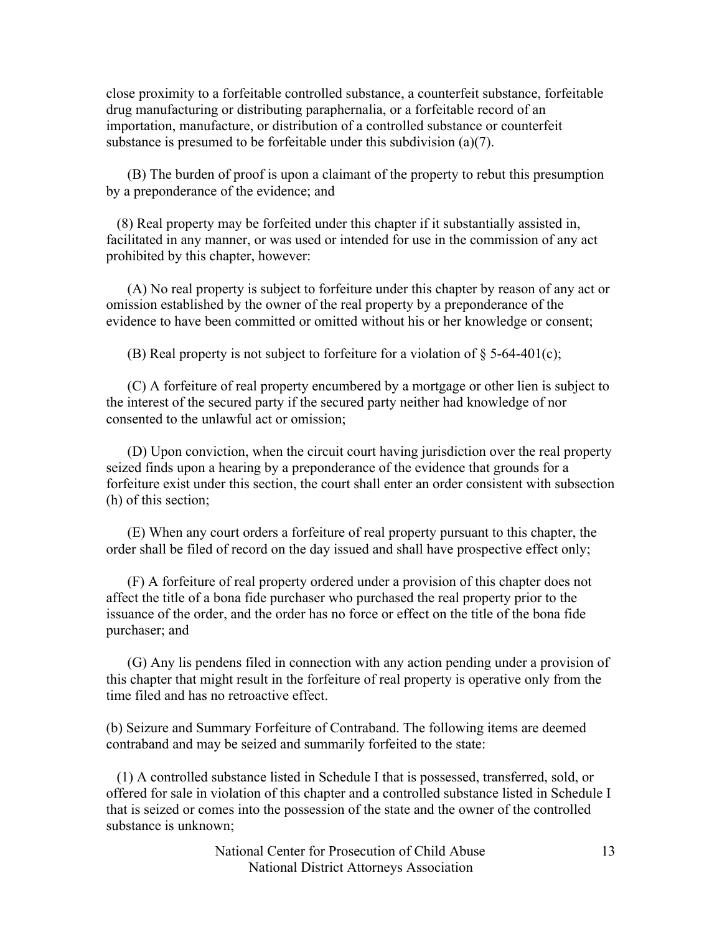close proximity to a forfeitable controlled substance, a counterfeit substance, forfeitable drug manufacturing or distributing paraphernalia, or a forfeitable record of an importation, manufacture, or distribution of a controlled substance or counterfeit substance is presumed to be forfeitable under this subdivision (a)(7).

 (B) The burden of proof is upon a claimant of the property to rebut this presumption by a preponderance of the evidence; and

 (8) Real property may be forfeited under this chapter if it substantially assisted in, facilitated in any manner, or was used or intended for use in the commission of any act prohibited by this chapter, however:

 (A) No real property is subject to forfeiture under this chapter by reason of any act or omission established by the owner of the real property by a preponderance of the evidence to have been committed or omitted without his or her knowledge or consent;

(B) Real property is not subject to forfeiture for a violation of  $\S$  5-64-401(c);

 (C) A forfeiture of real property encumbered by a mortgage or other lien is subject to the interest of the secured party if the secured party neither had knowledge of nor consented to the unlawful act or omission;

 (D) Upon conviction, when the circuit court having jurisdiction over the real property seized finds upon a hearing by a preponderance of the evidence that grounds for a forfeiture exist under this section, the court shall enter an order consistent with subsection (h) of this section;

 (E) When any court orders a forfeiture of real property pursuant to this chapter, the order shall be filed of record on the day issued and shall have prospective effect only;

 (F) A forfeiture of real property ordered under a provision of this chapter does not affect the title of a bona fide purchaser who purchased the real property prior to the issuance of the order, and the order has no force or effect on the title of the bona fide purchaser; and

 (G) Any lis pendens filed in connection with any action pending under a provision of this chapter that might result in the forfeiture of real property is operative only from the time filed and has no retroactive effect.

(b) Seizure and Summary Forfeiture of Contraband. The following items are deemed contraband and may be seized and summarily forfeited to the state:

 (1) A controlled substance listed in Schedule I that is possessed, transferred, sold, or offered for sale in violation of this chapter and a controlled substance listed in Schedule I that is seized or comes into the possession of the state and the owner of the controlled substance is unknown;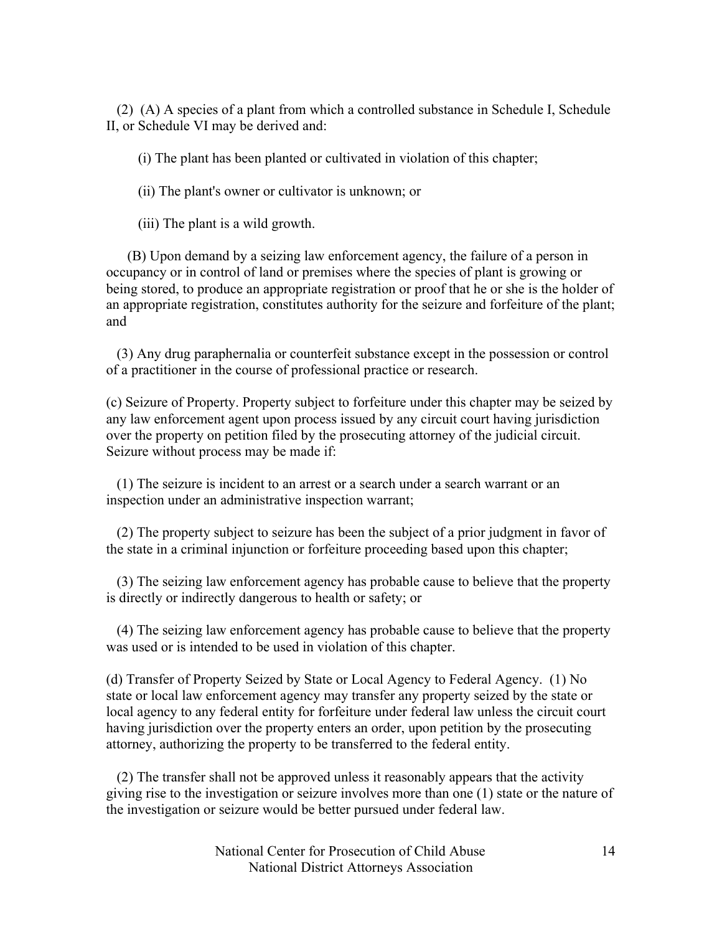(2) (A) A species of a plant from which a controlled substance in Schedule I, Schedule II, or Schedule VI may be derived and:

(i) The plant has been planted or cultivated in violation of this chapter;

(ii) The plant's owner or cultivator is unknown; or

(iii) The plant is a wild growth.

 (B) Upon demand by a seizing law enforcement agency, the failure of a person in occupancy or in control of land or premises where the species of plant is growing or being stored, to produce an appropriate registration or proof that he or she is the holder of an appropriate registration, constitutes authority for the seizure and forfeiture of the plant; and

 (3) Any drug paraphernalia or counterfeit substance except in the possession or control of a practitioner in the course of professional practice or research.

(c) Seizure of Property. Property subject to forfeiture under this chapter may be seized by any law enforcement agent upon process issued by any circuit court having jurisdiction over the property on petition filed by the prosecuting attorney of the judicial circuit. Seizure without process may be made if:

 (1) The seizure is incident to an arrest or a search under a search warrant or an inspection under an administrative inspection warrant;

 (2) The property subject to seizure has been the subject of a prior judgment in favor of the state in a criminal injunction or forfeiture proceeding based upon this chapter;

 (3) The seizing law enforcement agency has probable cause to believe that the property is directly or indirectly dangerous to health or safety; or

 (4) The seizing law enforcement agency has probable cause to believe that the property was used or is intended to be used in violation of this chapter.

(d) Transfer of Property Seized by State or Local Agency to Federal Agency. (1) No state or local law enforcement agency may transfer any property seized by the state or local agency to any federal entity for forfeiture under federal law unless the circuit court having jurisdiction over the property enters an order, upon petition by the prosecuting attorney, authorizing the property to be transferred to the federal entity.

 (2) The transfer shall not be approved unless it reasonably appears that the activity giving rise to the investigation or seizure involves more than one (1) state or the nature of the investigation or seizure would be better pursued under federal law.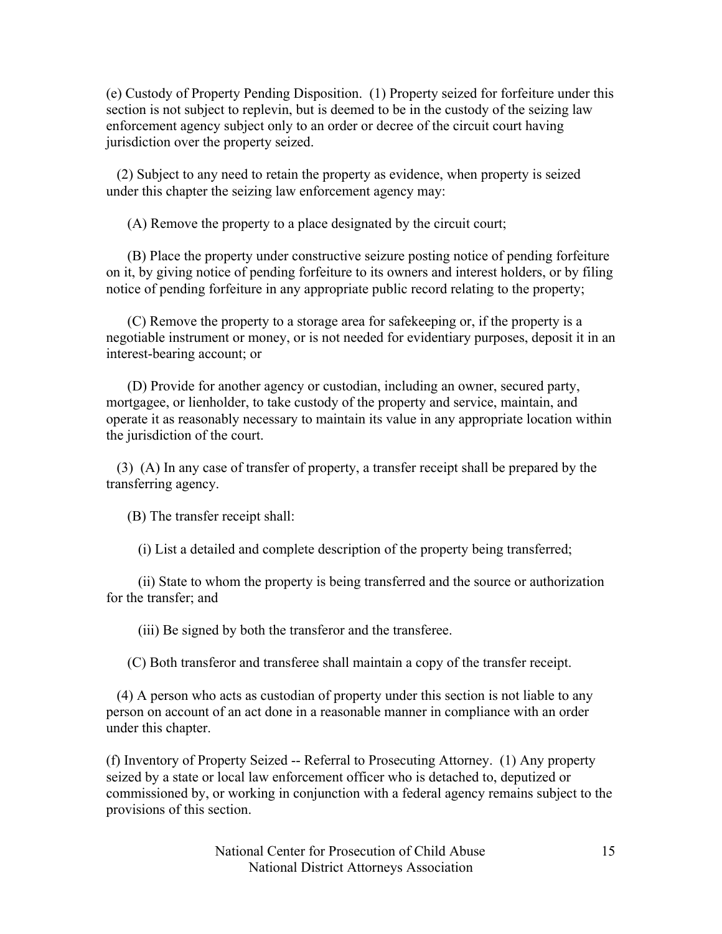(e) Custody of Property Pending Disposition. (1) Property seized for forfeiture under this section is not subject to replevin, but is deemed to be in the custody of the seizing law enforcement agency subject only to an order or decree of the circuit court having jurisdiction over the property seized.

 (2) Subject to any need to retain the property as evidence, when property is seized under this chapter the seizing law enforcement agency may:

(A) Remove the property to a place designated by the circuit court;

 (B) Place the property under constructive seizure posting notice of pending forfeiture on it, by giving notice of pending forfeiture to its owners and interest holders, or by filing notice of pending forfeiture in any appropriate public record relating to the property;

 (C) Remove the property to a storage area for safekeeping or, if the property is a negotiable instrument or money, or is not needed for evidentiary purposes, deposit it in an interest-bearing account; or

 (D) Provide for another agency or custodian, including an owner, secured party, mortgagee, or lienholder, to take custody of the property and service, maintain, and operate it as reasonably necessary to maintain its value in any appropriate location within the jurisdiction of the court.

 (3) (A) In any case of transfer of property, a transfer receipt shall be prepared by the transferring agency.

(B) The transfer receipt shall:

(i) List a detailed and complete description of the property being transferred;

 (ii) State to whom the property is being transferred and the source or authorization for the transfer; and

(iii) Be signed by both the transferor and the transferee.

(C) Both transferor and transferee shall maintain a copy of the transfer receipt.

 (4) A person who acts as custodian of property under this section is not liable to any person on account of an act done in a reasonable manner in compliance with an order under this chapter.

(f) Inventory of Property Seized -- Referral to Prosecuting Attorney. (1) Any property seized by a state or local law enforcement officer who is detached to, deputized or commissioned by, or working in conjunction with a federal agency remains subject to the provisions of this section.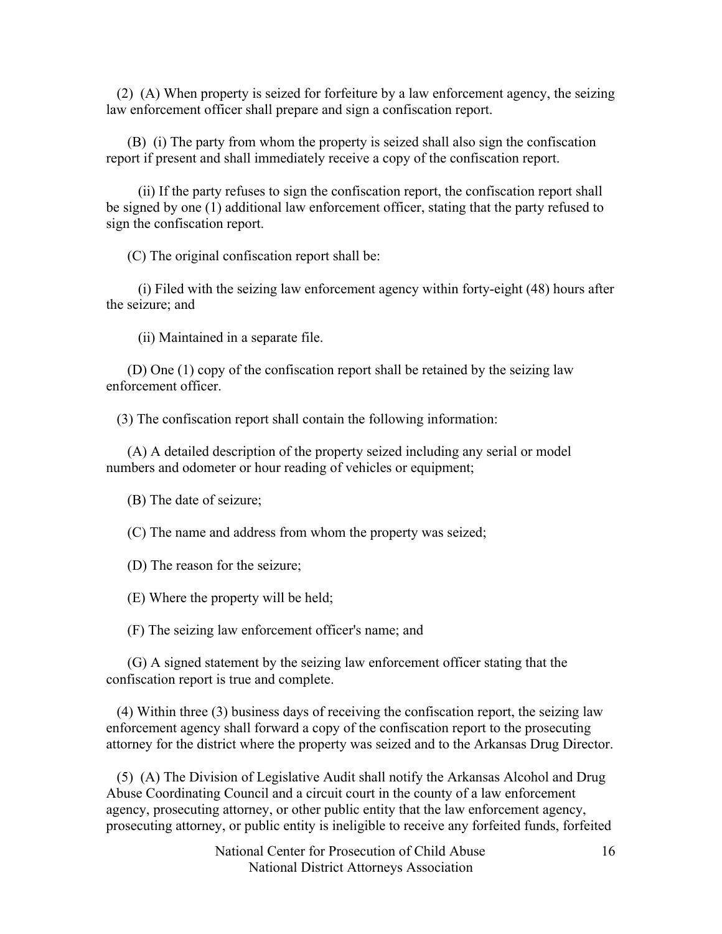(2) (A) When property is seized for forfeiture by a law enforcement agency, the seizing law enforcement officer shall prepare and sign a confiscation report.

 (B) (i) The party from whom the property is seized shall also sign the confiscation report if present and shall immediately receive a copy of the confiscation report.

 (ii) If the party refuses to sign the confiscation report, the confiscation report shall be signed by one (1) additional law enforcement officer, stating that the party refused to sign the confiscation report.

(C) The original confiscation report shall be:

 (i) Filed with the seizing law enforcement agency within forty-eight (48) hours after the seizure; and

(ii) Maintained in a separate file.

 (D) One (1) copy of the confiscation report shall be retained by the seizing law enforcement officer.

(3) The confiscation report shall contain the following information:

 (A) A detailed description of the property seized including any serial or model numbers and odometer or hour reading of vehicles or equipment;

(B) The date of seizure;

(C) The name and address from whom the property was seized;

(D) The reason for the seizure;

(E) Where the property will be held;

(F) The seizing law enforcement officer's name; and

 (G) A signed statement by the seizing law enforcement officer stating that the confiscation report is true and complete.

 (4) Within three (3) business days of receiving the confiscation report, the seizing law enforcement agency shall forward a copy of the confiscation report to the prosecuting attorney for the district where the property was seized and to the Arkansas Drug Director.

 (5) (A) The Division of Legislative Audit shall notify the Arkansas Alcohol and Drug Abuse Coordinating Council and a circuit court in the county of a law enforcement agency, prosecuting attorney, or other public entity that the law enforcement agency, prosecuting attorney, or public entity is ineligible to receive any forfeited funds, forfeited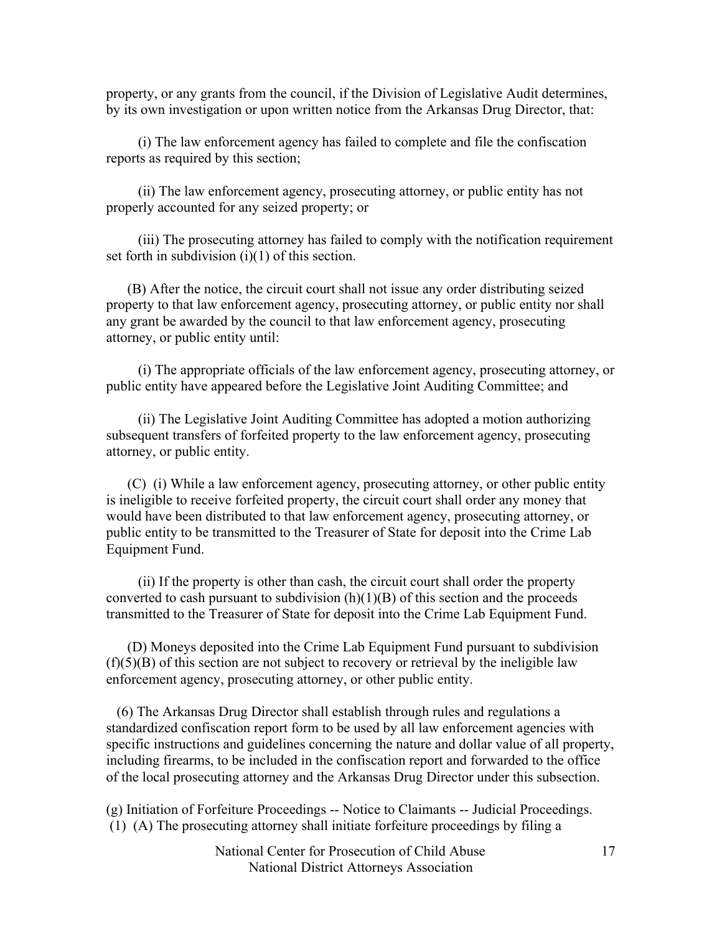property, or any grants from the council, if the Division of Legislative Audit determines, by its own investigation or upon written notice from the Arkansas Drug Director, that:

 (i) The law enforcement agency has failed to complete and file the confiscation reports as required by this section;

 (ii) The law enforcement agency, prosecuting attorney, or public entity has not properly accounted for any seized property; or

 (iii) The prosecuting attorney has failed to comply with the notification requirement set forth in subdivision (i)(1) of this section.

 (B) After the notice, the circuit court shall not issue any order distributing seized property to that law enforcement agency, prosecuting attorney, or public entity nor shall any grant be awarded by the council to that law enforcement agency, prosecuting attorney, or public entity until:

 (i) The appropriate officials of the law enforcement agency, prosecuting attorney, or public entity have appeared before the Legislative Joint Auditing Committee; and

 (ii) The Legislative Joint Auditing Committee has adopted a motion authorizing subsequent transfers of forfeited property to the law enforcement agency, prosecuting attorney, or public entity.

 (C) (i) While a law enforcement agency, prosecuting attorney, or other public entity is ineligible to receive forfeited property, the circuit court shall order any money that would have been distributed to that law enforcement agency, prosecuting attorney, or public entity to be transmitted to the Treasurer of State for deposit into the Crime Lab Equipment Fund.

 (ii) If the property is other than cash, the circuit court shall order the property converted to cash pursuant to subdivision  $(h)(1)(B)$  of this section and the proceeds transmitted to the Treasurer of State for deposit into the Crime Lab Equipment Fund.

 (D) Moneys deposited into the Crime Lab Equipment Fund pursuant to subdivision  $(f)(5)(B)$  of this section are not subject to recovery or retrieval by the ineligible law enforcement agency, prosecuting attorney, or other public entity.

 (6) The Arkansas Drug Director shall establish through rules and regulations a standardized confiscation report form to be used by all law enforcement agencies with specific instructions and guidelines concerning the nature and dollar value of all property, including firearms, to be included in the confiscation report and forwarded to the office of the local prosecuting attorney and the Arkansas Drug Director under this subsection.

(g) Initiation of Forfeiture Proceedings -- Notice to Claimants -- Judicial Proceedings. (1) (A) The prosecuting attorney shall initiate forfeiture proceedings by filing a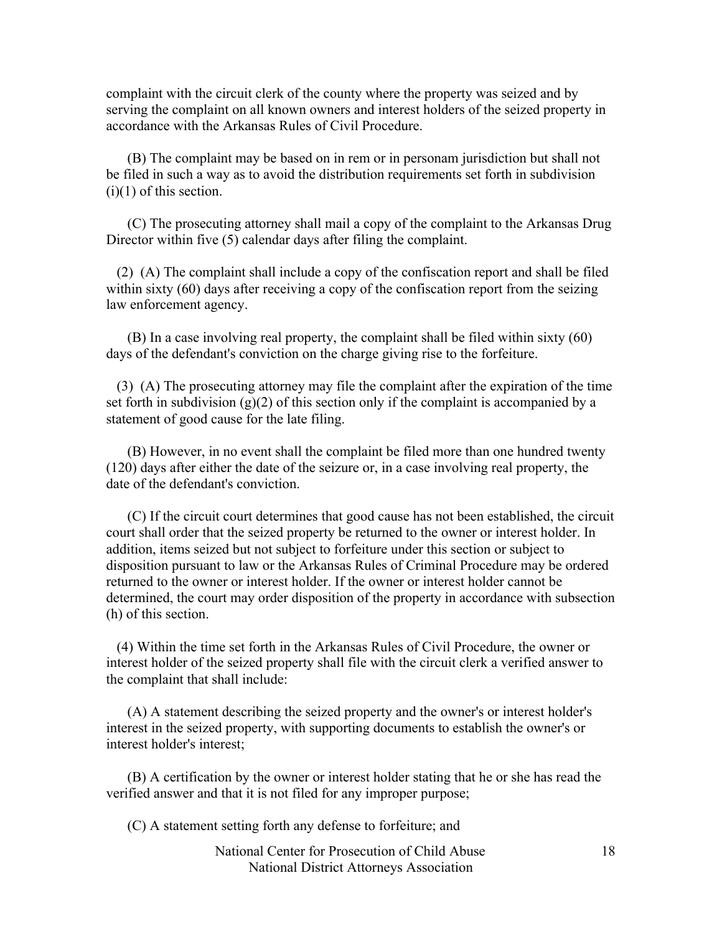complaint with the circuit clerk of the county where the property was seized and by serving the complaint on all known owners and interest holders of the seized property in accordance with the Arkansas Rules of Civil Procedure.

 (B) The complaint may be based on in rem or in personam jurisdiction but shall not be filed in such a way as to avoid the distribution requirements set forth in subdivision  $(i)(1)$  of this section.

 (C) The prosecuting attorney shall mail a copy of the complaint to the Arkansas Drug Director within five (5) calendar days after filing the complaint.

 (2) (A) The complaint shall include a copy of the confiscation report and shall be filed within sixty (60) days after receiving a copy of the confiscation report from the seizing law enforcement agency.

 (B) In a case involving real property, the complaint shall be filed within sixty (60) days of the defendant's conviction on the charge giving rise to the forfeiture.

 (3) (A) The prosecuting attorney may file the complaint after the expiration of the time set forth in subdivision  $(g)(2)$  of this section only if the complaint is accompanied by a statement of good cause for the late filing.

 (B) However, in no event shall the complaint be filed more than one hundred twenty (120) days after either the date of the seizure or, in a case involving real property, the date of the defendant's conviction.

 (C) If the circuit court determines that good cause has not been established, the circuit court shall order that the seized property be returned to the owner or interest holder. In addition, items seized but not subject to forfeiture under this section or subject to disposition pursuant to law or the Arkansas Rules of Criminal Procedure may be ordered returned to the owner or interest holder. If the owner or interest holder cannot be determined, the court may order disposition of the property in accordance with subsection (h) of this section.

 (4) Within the time set forth in the Arkansas Rules of Civil Procedure, the owner or interest holder of the seized property shall file with the circuit clerk a verified answer to the complaint that shall include:

 (A) A statement describing the seized property and the owner's or interest holder's interest in the seized property, with supporting documents to establish the owner's or interest holder's interest;

 (B) A certification by the owner or interest holder stating that he or she has read the verified answer and that it is not filed for any improper purpose;

(C) A statement setting forth any defense to forfeiture; and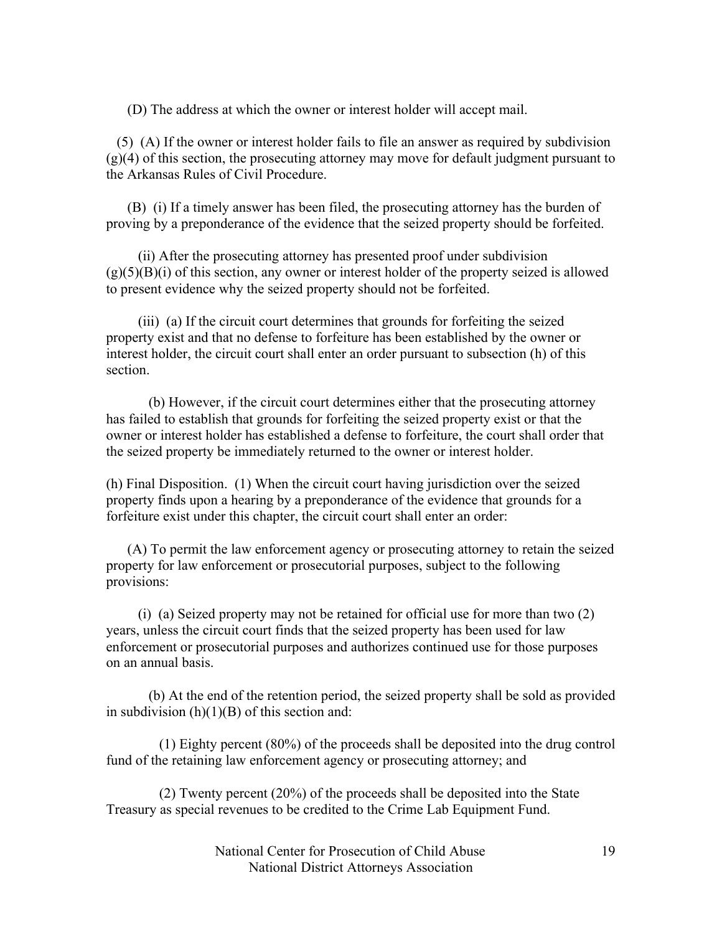(D) The address at which the owner or interest holder will accept mail.

 (5) (A) If the owner or interest holder fails to file an answer as required by subdivision (g)(4) of this section, the prosecuting attorney may move for default judgment pursuant to the Arkansas Rules of Civil Procedure.

 (B) (i) If a timely answer has been filed, the prosecuting attorney has the burden of proving by a preponderance of the evidence that the seized property should be forfeited.

 (ii) After the prosecuting attorney has presented proof under subdivision  $(g)(5)(B)(i)$  of this section, any owner or interest holder of the property seized is allowed to present evidence why the seized property should not be forfeited.

 (iii) (a) If the circuit court determines that grounds for forfeiting the seized property exist and that no defense to forfeiture has been established by the owner or interest holder, the circuit court shall enter an order pursuant to subsection (h) of this section.

 (b) However, if the circuit court determines either that the prosecuting attorney has failed to establish that grounds for forfeiting the seized property exist or that the owner or interest holder has established a defense to forfeiture, the court shall order that the seized property be immediately returned to the owner or interest holder.

(h) Final Disposition. (1) When the circuit court having jurisdiction over the seized property finds upon a hearing by a preponderance of the evidence that grounds for a forfeiture exist under this chapter, the circuit court shall enter an order:

 (A) To permit the law enforcement agency or prosecuting attorney to retain the seized property for law enforcement or prosecutorial purposes, subject to the following provisions:

 (i) (a) Seized property may not be retained for official use for more than two (2) years, unless the circuit court finds that the seized property has been used for law enforcement or prosecutorial purposes and authorizes continued use for those purposes on an annual basis.

 (b) At the end of the retention period, the seized property shall be sold as provided in subdivision  $(h)(1)(B)$  of this section and:

 (1) Eighty percent (80%) of the proceeds shall be deposited into the drug control fund of the retaining law enforcement agency or prosecuting attorney; and

 (2) Twenty percent (20%) of the proceeds shall be deposited into the State Treasury as special revenues to be credited to the Crime Lab Equipment Fund.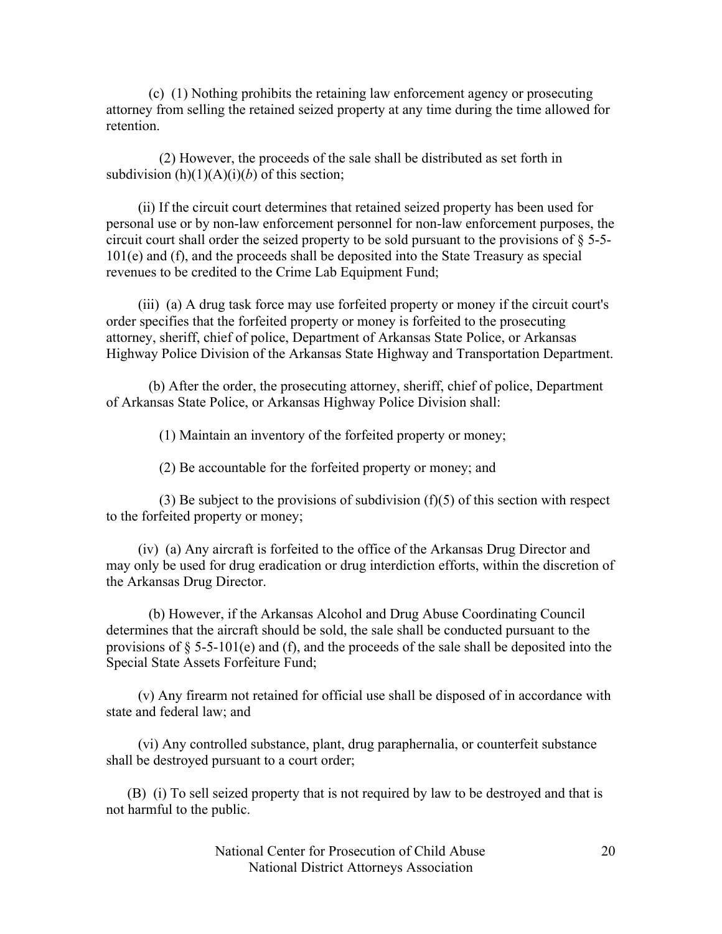(c) (1) Nothing prohibits the retaining law enforcement agency or prosecuting attorney from selling the retained seized property at any time during the time allowed for retention.

 (2) However, the proceeds of the sale shall be distributed as set forth in subdivision  $(h)(1)(A)(i)(b)$  of this section;

 (ii) If the circuit court determines that retained seized property has been used for personal use or by non-law enforcement personnel for non-law enforcement purposes, the circuit court shall order the seized property to be sold pursuant to the provisions of § 5-5- 101(e) and (f), and the proceeds shall be deposited into the State Treasury as special revenues to be credited to the Crime Lab Equipment Fund;

 (iii) (a) A drug task force may use forfeited property or money if the circuit court's order specifies that the forfeited property or money is forfeited to the prosecuting attorney, sheriff, chief of police, Department of Arkansas State Police, or Arkansas Highway Police Division of the Arkansas State Highway and Transportation Department.

 (b) After the order, the prosecuting attorney, sheriff, chief of police, Department of Arkansas State Police, or Arkansas Highway Police Division shall:

(1) Maintain an inventory of the forfeited property or money;

(2) Be accountable for the forfeited property or money; and

(3) Be subject to the provisions of subdivision  $(f)(5)$  of this section with respect to the forfeited property or money;

 (iv) (a) Any aircraft is forfeited to the office of the Arkansas Drug Director and may only be used for drug eradication or drug interdiction efforts, within the discretion of the Arkansas Drug Director.

 (b) However, if the Arkansas Alcohol and Drug Abuse Coordinating Council determines that the aircraft should be sold, the sale shall be conducted pursuant to the provisions of  $\S$  5-5-101(e) and (f), and the proceeds of the sale shall be deposited into the Special State Assets Forfeiture Fund;

 (v) Any firearm not retained for official use shall be disposed of in accordance with state and federal law; and

 (vi) Any controlled substance, plant, drug paraphernalia, or counterfeit substance shall be destroyed pursuant to a court order;

 (B) (i) To sell seized property that is not required by law to be destroyed and that is not harmful to the public.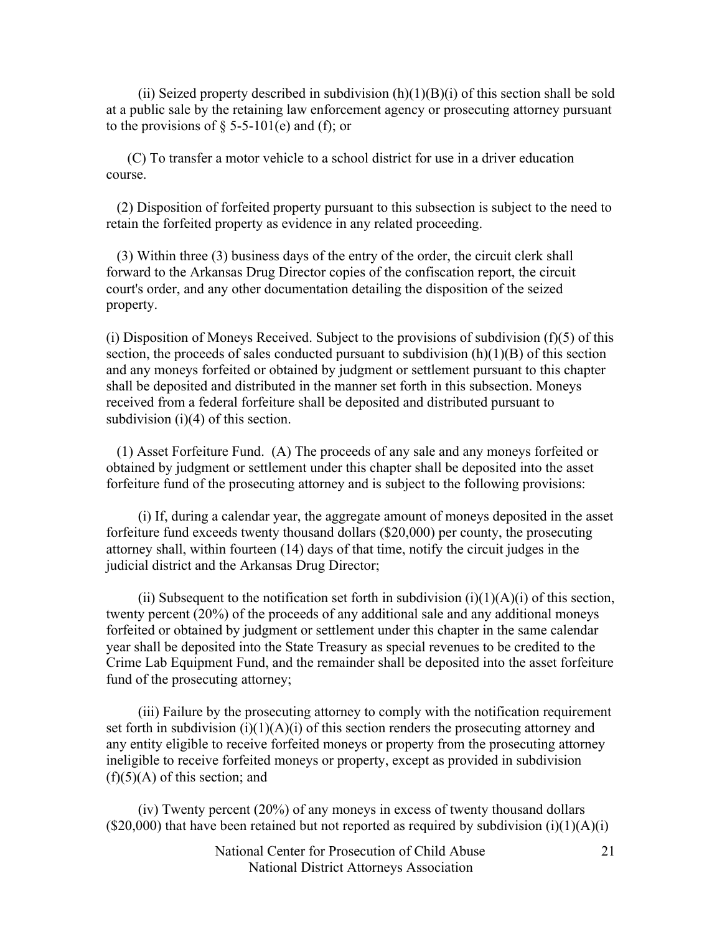(ii) Seized property described in subdivision  $(h)(1)(B)(i)$  of this section shall be sold at a public sale by the retaining law enforcement agency or prosecuting attorney pursuant to the provisions of  $\S$  5-5-101(e) and (f); or

 (C) To transfer a motor vehicle to a school district for use in a driver education course.

 (2) Disposition of forfeited property pursuant to this subsection is subject to the need to retain the forfeited property as evidence in any related proceeding.

 (3) Within three (3) business days of the entry of the order, the circuit clerk shall forward to the Arkansas Drug Director copies of the confiscation report, the circuit court's order, and any other documentation detailing the disposition of the seized property.

(i) Disposition of Moneys Received. Subject to the provisions of subdivision (f)(5) of this section, the proceeds of sales conducted pursuant to subdivision  $(h)(1)(B)$  of this section and any moneys forfeited or obtained by judgment or settlement pursuant to this chapter shall be deposited and distributed in the manner set forth in this subsection. Moneys received from a federal forfeiture shall be deposited and distributed pursuant to subdivision  $(i)(4)$  of this section.

 (1) Asset Forfeiture Fund. (A) The proceeds of any sale and any moneys forfeited or obtained by judgment or settlement under this chapter shall be deposited into the asset forfeiture fund of the prosecuting attorney and is subject to the following provisions:

 (i) If, during a calendar year, the aggregate amount of moneys deposited in the asset forfeiture fund exceeds twenty thousand dollars (\$20,000) per county, the prosecuting attorney shall, within fourteen (14) days of that time, notify the circuit judges in the judicial district and the Arkansas Drug Director;

(ii) Subsequent to the notification set forth in subdivision  $(i)(1)(A)(i)$  of this section, twenty percent (20%) of the proceeds of any additional sale and any additional moneys forfeited or obtained by judgment or settlement under this chapter in the same calendar year shall be deposited into the State Treasury as special revenues to be credited to the Crime Lab Equipment Fund, and the remainder shall be deposited into the asset forfeiture fund of the prosecuting attorney;

 (iii) Failure by the prosecuting attorney to comply with the notification requirement set forth in subdivision  $(i)(1)(A)(i)$  of this section renders the prosecuting attorney and any entity eligible to receive forfeited moneys or property from the prosecuting attorney ineligible to receive forfeited moneys or property, except as provided in subdivision  $(f)(5)(A)$  of this section; and

 (iv) Twenty percent (20%) of any moneys in excess of twenty thousand dollars  $($20,000)$  that have been retained but not reported as required by subdivision  $(i)(1)(A)(i)$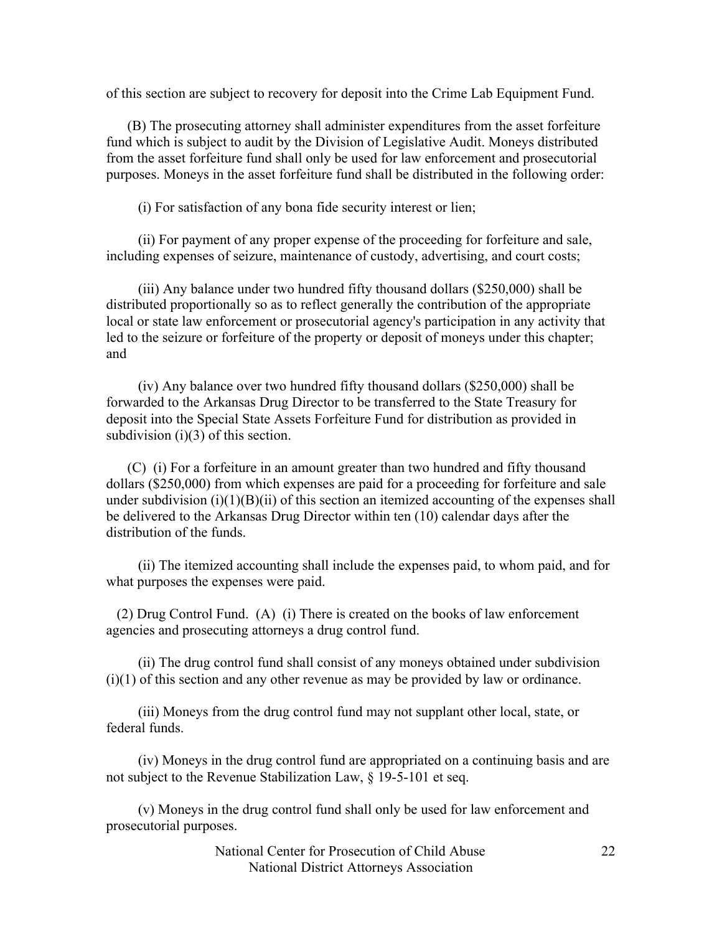of this section are subject to recovery for deposit into the Crime Lab Equipment Fund.

 (B) The prosecuting attorney shall administer expenditures from the asset forfeiture fund which is subject to audit by the Division of Legislative Audit. Moneys distributed from the asset forfeiture fund shall only be used for law enforcement and prosecutorial purposes. Moneys in the asset forfeiture fund shall be distributed in the following order:

(i) For satisfaction of any bona fide security interest or lien;

 (ii) For payment of any proper expense of the proceeding for forfeiture and sale, including expenses of seizure, maintenance of custody, advertising, and court costs;

 (iii) Any balance under two hundred fifty thousand dollars (\$250,000) shall be distributed proportionally so as to reflect generally the contribution of the appropriate local or state law enforcement or prosecutorial agency's participation in any activity that led to the seizure or forfeiture of the property or deposit of moneys under this chapter; and

 (iv) Any balance over two hundred fifty thousand dollars (\$250,000) shall be forwarded to the Arkansas Drug Director to be transferred to the State Treasury for deposit into the Special State Assets Forfeiture Fund for distribution as provided in subdivision  $(i)(3)$  of this section.

 (C) (i) For a forfeiture in an amount greater than two hundred and fifty thousand dollars (\$250,000) from which expenses are paid for a proceeding for forfeiture and sale under subdivision  $(i)(1)(B)(ii)$  of this section an itemized accounting of the expenses shall be delivered to the Arkansas Drug Director within ten (10) calendar days after the distribution of the funds.

 (ii) The itemized accounting shall include the expenses paid, to whom paid, and for what purposes the expenses were paid.

 (2) Drug Control Fund. (A) (i) There is created on the books of law enforcement agencies and prosecuting attorneys a drug control fund.

 (ii) The drug control fund shall consist of any moneys obtained under subdivision (i)(1) of this section and any other revenue as may be provided by law or ordinance.

 (iii) Moneys from the drug control fund may not supplant other local, state, or federal funds.

 (iv) Moneys in the drug control fund are appropriated on a continuing basis and are not subject to the Revenue Stabilization Law, § 19-5-101 et seq.

 (v) Moneys in the drug control fund shall only be used for law enforcement and prosecutorial purposes.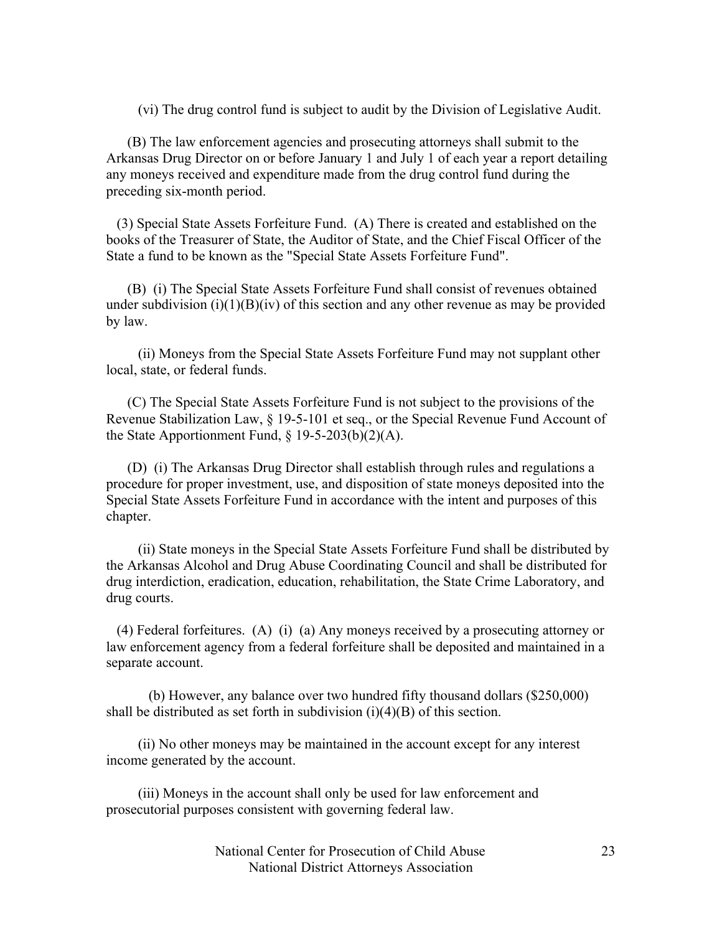(vi) The drug control fund is subject to audit by the Division of Legislative Audit.

 (B) The law enforcement agencies and prosecuting attorneys shall submit to the Arkansas Drug Director on or before January 1 and July 1 of each year a report detailing any moneys received and expenditure made from the drug control fund during the preceding six-month period.

 (3) Special State Assets Forfeiture Fund. (A) There is created and established on the books of the Treasurer of State, the Auditor of State, and the Chief Fiscal Officer of the State a fund to be known as the "Special State Assets Forfeiture Fund".

 (B) (i) The Special State Assets Forfeiture Fund shall consist of revenues obtained under subdivision  $(i)(1)(B)(iv)$  of this section and any other revenue as may be provided by law.

 (ii) Moneys from the Special State Assets Forfeiture Fund may not supplant other local, state, or federal funds.

 (C) The Special State Assets Forfeiture Fund is not subject to the provisions of the Revenue Stabilization Law, § 19-5-101 et seq., or the Special Revenue Fund Account of the State Apportionment Fund,  $\S$  19-5-203(b)(2)(A).

 (D) (i) The Arkansas Drug Director shall establish through rules and regulations a procedure for proper investment, use, and disposition of state moneys deposited into the Special State Assets Forfeiture Fund in accordance with the intent and purposes of this chapter.

 (ii) State moneys in the Special State Assets Forfeiture Fund shall be distributed by the Arkansas Alcohol and Drug Abuse Coordinating Council and shall be distributed for drug interdiction, eradication, education, rehabilitation, the State Crime Laboratory, and drug courts.

 (4) Federal forfeitures. (A) (i) (a) Any moneys received by a prosecuting attorney or law enforcement agency from a federal forfeiture shall be deposited and maintained in a separate account.

 (b) However, any balance over two hundred fifty thousand dollars (\$250,000) shall be distributed as set forth in subdivision  $(i)(4)(B)$  of this section.

 (ii) No other moneys may be maintained in the account except for any interest income generated by the account.

 (iii) Moneys in the account shall only be used for law enforcement and prosecutorial purposes consistent with governing federal law.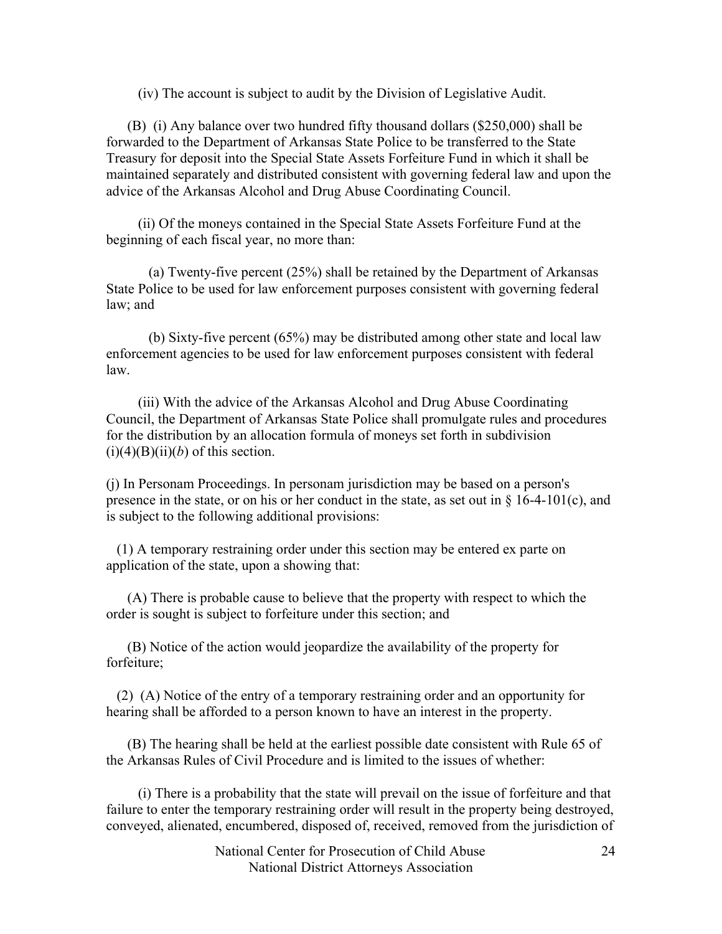(iv) The account is subject to audit by the Division of Legislative Audit.

 (B) (i) Any balance over two hundred fifty thousand dollars (\$250,000) shall be forwarded to the Department of Arkansas State Police to be transferred to the State Treasury for deposit into the Special State Assets Forfeiture Fund in which it shall be maintained separately and distributed consistent with governing federal law and upon the advice of the Arkansas Alcohol and Drug Abuse Coordinating Council.

 (ii) Of the moneys contained in the Special State Assets Forfeiture Fund at the beginning of each fiscal year, no more than:

 (a) Twenty-five percent (25%) shall be retained by the Department of Arkansas State Police to be used for law enforcement purposes consistent with governing federal law; and

 (b) Sixty-five percent (65%) may be distributed among other state and local law enforcement agencies to be used for law enforcement purposes consistent with federal law.

 (iii) With the advice of the Arkansas Alcohol and Drug Abuse Coordinating Council, the Department of Arkansas State Police shall promulgate rules and procedures for the distribution by an allocation formula of moneys set forth in subdivision  $(i)(4)(B)(ii)(b)$  of this section.

(j) In Personam Proceedings. In personam jurisdiction may be based on a person's presence in the state, or on his or her conduct in the state, as set out in  $\S$  16-4-101(c), and is subject to the following additional provisions:

 (1) A temporary restraining order under this section may be entered ex parte on application of the state, upon a showing that:

 (A) There is probable cause to believe that the property with respect to which the order is sought is subject to forfeiture under this section; and

 (B) Notice of the action would jeopardize the availability of the property for forfeiture;

 (2) (A) Notice of the entry of a temporary restraining order and an opportunity for hearing shall be afforded to a person known to have an interest in the property.

 (B) The hearing shall be held at the earliest possible date consistent with Rule 65 of the Arkansas Rules of Civil Procedure and is limited to the issues of whether:

 (i) There is a probability that the state will prevail on the issue of forfeiture and that failure to enter the temporary restraining order will result in the property being destroyed, conveyed, alienated, encumbered, disposed of, received, removed from the jurisdiction of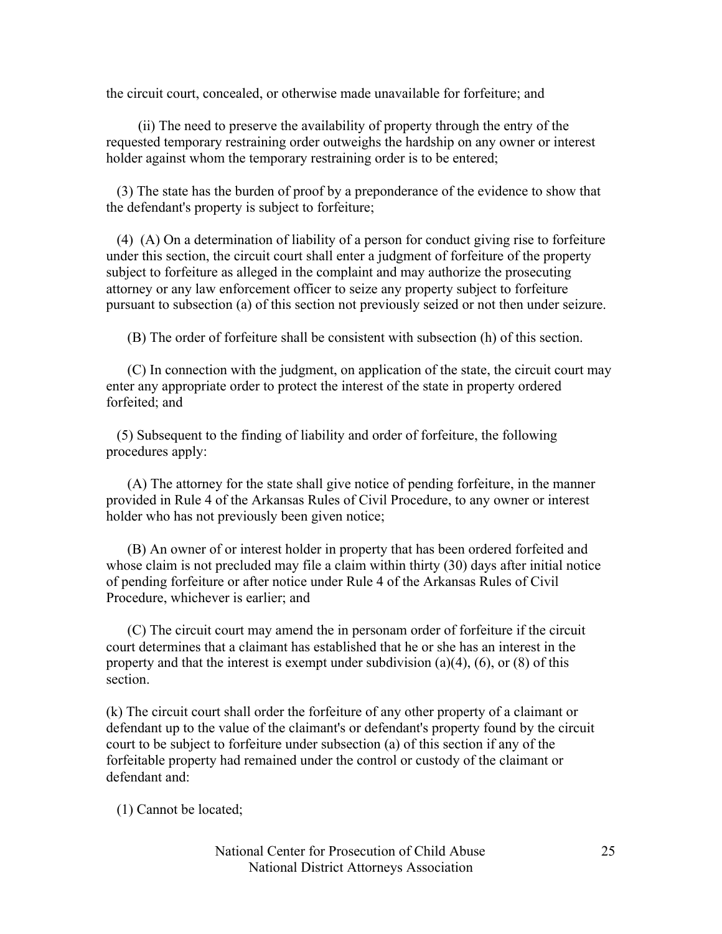the circuit court, concealed, or otherwise made unavailable for forfeiture; and

 (ii) The need to preserve the availability of property through the entry of the requested temporary restraining order outweighs the hardship on any owner or interest holder against whom the temporary restraining order is to be entered;

 (3) The state has the burden of proof by a preponderance of the evidence to show that the defendant's property is subject to forfeiture;

 (4) (A) On a determination of liability of a person for conduct giving rise to forfeiture under this section, the circuit court shall enter a judgment of forfeiture of the property subject to forfeiture as alleged in the complaint and may authorize the prosecuting attorney or any law enforcement officer to seize any property subject to forfeiture pursuant to subsection (a) of this section not previously seized or not then under seizure.

(B) The order of forfeiture shall be consistent with subsection (h) of this section.

 (C) In connection with the judgment, on application of the state, the circuit court may enter any appropriate order to protect the interest of the state in property ordered forfeited; and

 (5) Subsequent to the finding of liability and order of forfeiture, the following procedures apply:

 (A) The attorney for the state shall give notice of pending forfeiture, in the manner provided in Rule 4 of the Arkansas Rules of Civil Procedure, to any owner or interest holder who has not previously been given notice;

 (B) An owner of or interest holder in property that has been ordered forfeited and whose claim is not precluded may file a claim within thirty (30) days after initial notice of pending forfeiture or after notice under Rule 4 of the Arkansas Rules of Civil Procedure, whichever is earlier; and

 (C) The circuit court may amend the in personam order of forfeiture if the circuit court determines that a claimant has established that he or she has an interest in the property and that the interest is exempt under subdivision  $(a)(4)$ ,  $(6)$ , or  $(8)$  of this section.

(k) The circuit court shall order the forfeiture of any other property of a claimant or defendant up to the value of the claimant's or defendant's property found by the circuit court to be subject to forfeiture under subsection (a) of this section if any of the forfeitable property had remained under the control or custody of the claimant or defendant and:

(1) Cannot be located;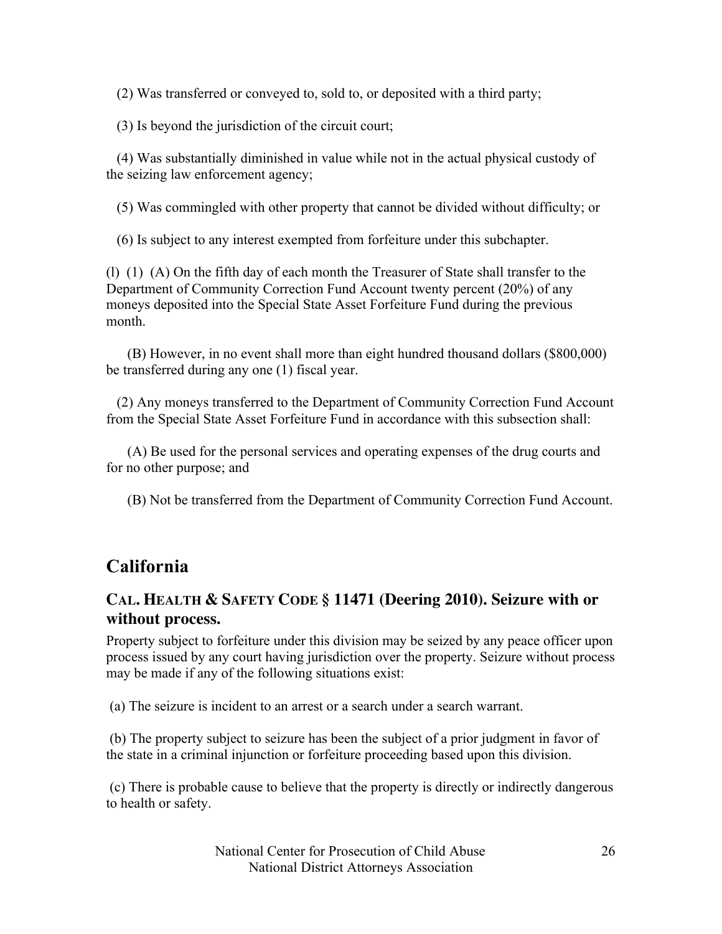(2) Was transferred or conveyed to, sold to, or deposited with a third party;

(3) Is beyond the jurisdiction of the circuit court;

 (4) Was substantially diminished in value while not in the actual physical custody of the seizing law enforcement agency;

(5) Was commingled with other property that cannot be divided without difficulty; or

(6) Is subject to any interest exempted from forfeiture under this subchapter.

(l) (1) (A) On the fifth day of each month the Treasurer of State shall transfer to the Department of Community Correction Fund Account twenty percent (20%) of any moneys deposited into the Special State Asset Forfeiture Fund during the previous month.

 (B) However, in no event shall more than eight hundred thousand dollars (\$800,000) be transferred during any one (1) fiscal year.

 (2) Any moneys transferred to the Department of Community Correction Fund Account from the Special State Asset Forfeiture Fund in accordance with this subsection shall:

 (A) Be used for the personal services and operating expenses of the drug courts and for no other purpose; and

(B) Not be transferred from the Department of Community Correction Fund Account.

# **California**

# **CAL. HEALTH & SAFETY CODE § 11471 (Deering 2010). Seizure with or without process.**

Property subject to forfeiture under this division may be seized by any peace officer upon process issued by any court having jurisdiction over the property. Seizure without process may be made if any of the following situations exist:

(a) The seizure is incident to an arrest or a search under a search warrant.

(b) The property subject to seizure has been the subject of a prior judgment in favor of the state in a criminal injunction or forfeiture proceeding based upon this division.

(c) There is probable cause to believe that the property is directly or indirectly dangerous to health or safety.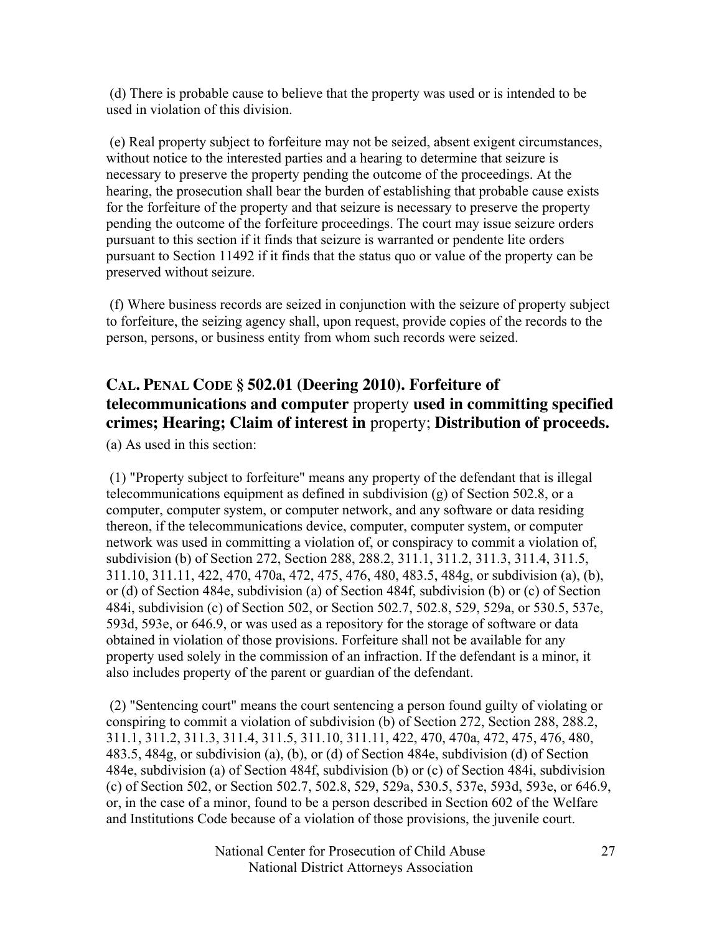(d) There is probable cause to believe that the property was used or is intended to be used in violation of this division.

(e) Real property subject to forfeiture may not be seized, absent exigent circumstances, without notice to the interested parties and a hearing to determine that seizure is necessary to preserve the property pending the outcome of the proceedings. At the hearing, the prosecution shall bear the burden of establishing that probable cause exists for the forfeiture of the property and that seizure is necessary to preserve the property pending the outcome of the forfeiture proceedings. The court may issue seizure orders pursuant to this section if it finds that seizure is warranted or pendente lite orders pursuant to Section 11492 if it finds that the status quo or value of the property can be preserved without seizure.

(f) Where business records are seized in conjunction with the seizure of property subject to forfeiture, the seizing agency shall, upon request, provide copies of the records to the person, persons, or business entity from whom such records were seized.

# **CAL. PENAL CODE § 502.01 (Deering 2010). Forfeiture of telecommunications and computer** property **used in committing specified crimes; Hearing; Claim of interest in** property; **Distribution of proceeds.**

(a) As used in this section:

(1) "Property subject to forfeiture" means any property of the defendant that is illegal telecommunications equipment as defined in subdivision (g) of Section 502.8, or a computer, computer system, or computer network, and any software or data residing thereon, if the telecommunications device, computer, computer system, or computer network was used in committing a violation of, or conspiracy to commit a violation of, subdivision (b) of Section 272, Section 288, 288.2, 311.1, 311.2, 311.3, 311.4, 311.5, 311.10, 311.11, 422, 470, 470a, 472, 475, 476, 480, 483.5, 484g, or subdivision (a), (b), or (d) of Section 484e, subdivision (a) of Section 484f, subdivision (b) or (c) of Section 484i, subdivision (c) of Section 502, or Section 502.7, 502.8, 529, 529a, or 530.5, 537e, 593d, 593e, or 646.9, or was used as a repository for the storage of software or data obtained in violation of those provisions. Forfeiture shall not be available for any property used solely in the commission of an infraction. If the defendant is a minor, it also includes property of the parent or guardian of the defendant.

(2) "Sentencing court" means the court sentencing a person found guilty of violating or conspiring to commit a violation of subdivision (b) of Section 272, Section 288, 288.2, 311.1, 311.2, 311.3, 311.4, 311.5, 311.10, 311.11, 422, 470, 470a, 472, 475, 476, 480, 483.5, 484g, or subdivision (a), (b), or (d) of Section 484e, subdivision (d) of Section 484e, subdivision (a) of Section 484f, subdivision (b) or (c) of Section 484i, subdivision (c) of Section 502, or Section 502.7, 502.8, 529, 529a, 530.5, 537e, 593d, 593e, or 646.9, or, in the case of a minor, found to be a person described in Section 602 of the Welfare and Institutions Code because of a violation of those provisions, the juvenile court.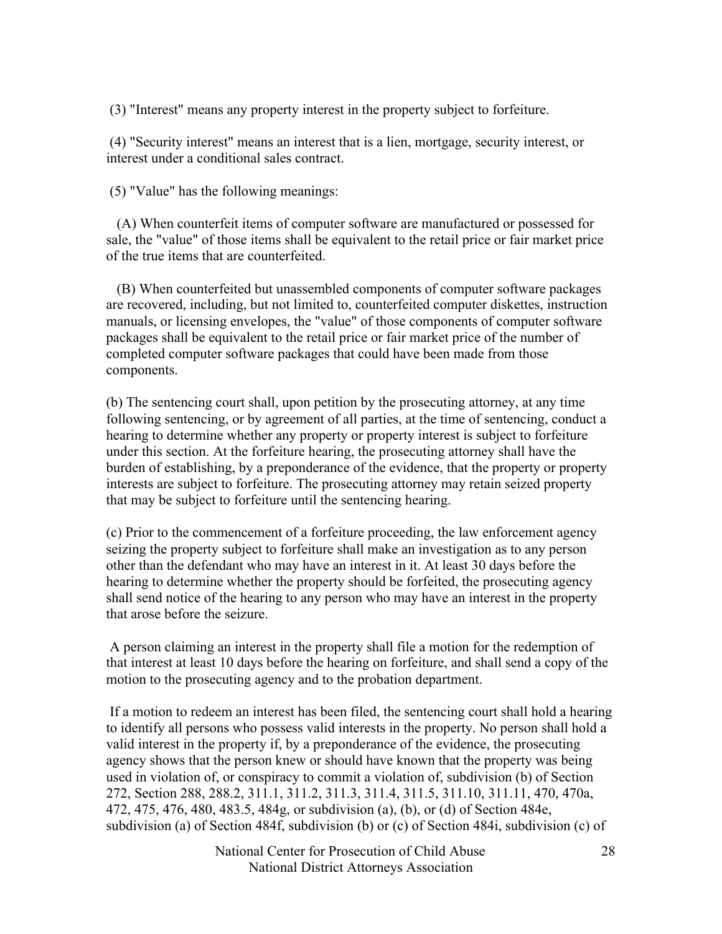(3) "Interest" means any property interest in the property subject to forfeiture.

(4) "Security interest" means an interest that is a lien, mortgage, security interest, or interest under a conditional sales contract.

(5) "Value" has the following meanings:

 (A) When counterfeit items of computer software are manufactured or possessed for sale, the "value" of those items shall be equivalent to the retail price or fair market price of the true items that are counterfeited.

 (B) When counterfeited but unassembled components of computer software packages are recovered, including, but not limited to, counterfeited computer diskettes, instruction manuals, or licensing envelopes, the "value" of those components of computer software packages shall be equivalent to the retail price or fair market price of the number of completed computer software packages that could have been made from those components.

(b) The sentencing court shall, upon petition by the prosecuting attorney, at any time following sentencing, or by agreement of all parties, at the time of sentencing, conduct a hearing to determine whether any property or property interest is subject to forfeiture under this section. At the forfeiture hearing, the prosecuting attorney shall have the burden of establishing, by a preponderance of the evidence, that the property or property interests are subject to forfeiture. The prosecuting attorney may retain seized property that may be subject to forfeiture until the sentencing hearing.

(c) Prior to the commencement of a forfeiture proceeding, the law enforcement agency seizing the property subject to forfeiture shall make an investigation as to any person other than the defendant who may have an interest in it. At least 30 days before the hearing to determine whether the property should be forfeited, the prosecuting agency shall send notice of the hearing to any person who may have an interest in the property that arose before the seizure.

A person claiming an interest in the property shall file a motion for the redemption of that interest at least 10 days before the hearing on forfeiture, and shall send a copy of the motion to the prosecuting agency and to the probation department.

If a motion to redeem an interest has been filed, the sentencing court shall hold a hearing to identify all persons who possess valid interests in the property. No person shall hold a valid interest in the property if, by a preponderance of the evidence, the prosecuting agency shows that the person knew or should have known that the property was being used in violation of, or conspiracy to commit a violation of, subdivision (b) of Section 272, Section 288, 288.2, 311.1, 311.2, 311.3, 311.4, 311.5, 311.10, 311.11, 470, 470a, 472, 475, 476, 480, 483.5, 484g, or subdivision (a), (b), or (d) of Section 484e, subdivision (a) of Section 484f, subdivision (b) or (c) of Section 484i, subdivision (c) of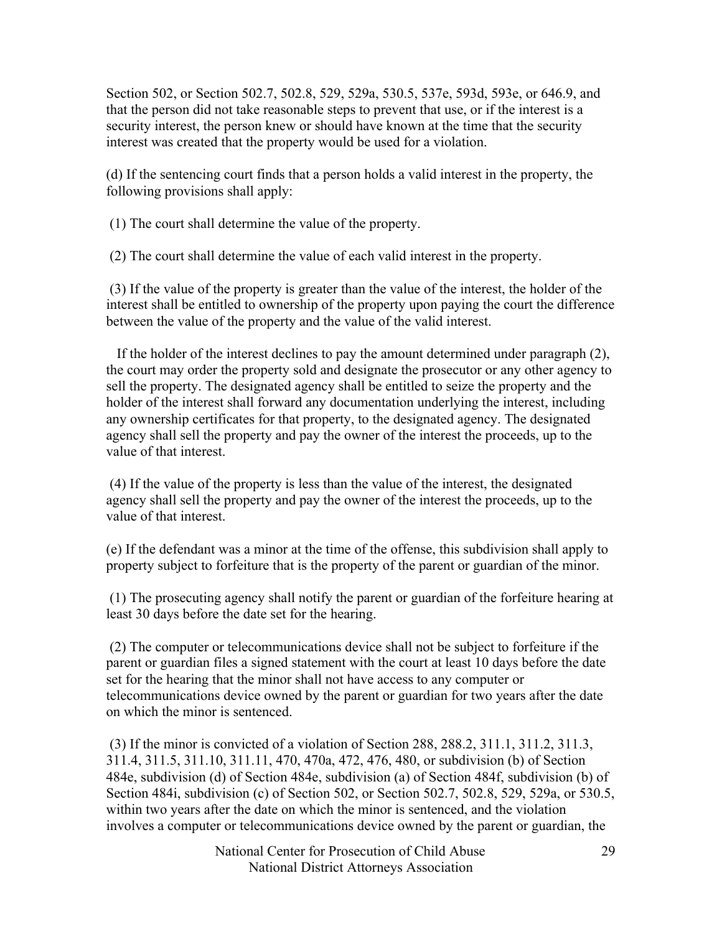Section 502, or Section 502.7, 502.8, 529, 529a, 530.5, 537e, 593d, 593e, or 646.9, and that the person did not take reasonable steps to prevent that use, or if the interest is a security interest, the person knew or should have known at the time that the security interest was created that the property would be used for a violation.

(d) If the sentencing court finds that a person holds a valid interest in the property, the following provisions shall apply:

(1) The court shall determine the value of the property.

(2) The court shall determine the value of each valid interest in the property.

(3) If the value of the property is greater than the value of the interest, the holder of the interest shall be entitled to ownership of the property upon paying the court the difference between the value of the property and the value of the valid interest.

 If the holder of the interest declines to pay the amount determined under paragraph (2), the court may order the property sold and designate the prosecutor or any other agency to sell the property. The designated agency shall be entitled to seize the property and the holder of the interest shall forward any documentation underlying the interest, including any ownership certificates for that property, to the designated agency. The designated agency shall sell the property and pay the owner of the interest the proceeds, up to the value of that interest.

(4) If the value of the property is less than the value of the interest, the designated agency shall sell the property and pay the owner of the interest the proceeds, up to the value of that interest.

(e) If the defendant was a minor at the time of the offense, this subdivision shall apply to property subject to forfeiture that is the property of the parent or guardian of the minor.

(1) The prosecuting agency shall notify the parent or guardian of the forfeiture hearing at least 30 days before the date set for the hearing.

(2) The computer or telecommunications device shall not be subject to forfeiture if the parent or guardian files a signed statement with the court at least 10 days before the date set for the hearing that the minor shall not have access to any computer or telecommunications device owned by the parent or guardian for two years after the date on which the minor is sentenced.

(3) If the minor is convicted of a violation of Section 288, 288.2, 311.1, 311.2, 311.3, 311.4, 311.5, 311.10, 311.11, 470, 470a, 472, 476, 480, or subdivision (b) of Section 484e, subdivision (d) of Section 484e, subdivision (a) of Section 484f, subdivision (b) of Section 484i, subdivision (c) of Section 502, or Section 502.7, 502.8, 529, 529a, or 530.5, within two years after the date on which the minor is sentenced, and the violation involves a computer or telecommunications device owned by the parent or guardian, the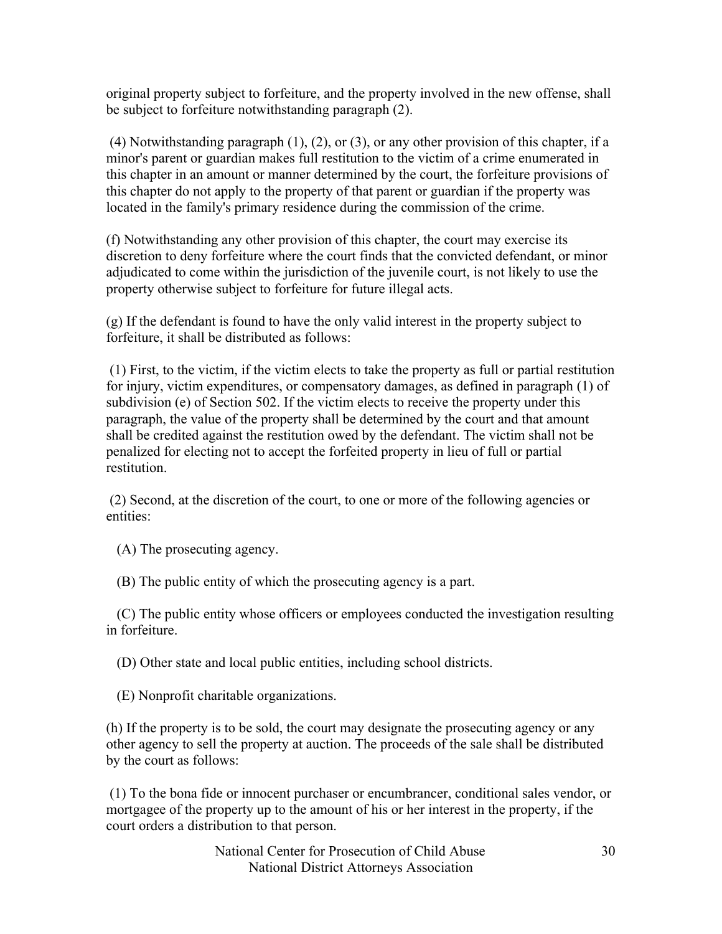original property subject to forfeiture, and the property involved in the new offense, shall be subject to forfeiture notwithstanding paragraph (2).

(4) Notwithstanding paragraph (1), (2), or (3), or any other provision of this chapter, if a minor's parent or guardian makes full restitution to the victim of a crime enumerated in this chapter in an amount or manner determined by the court, the forfeiture provisions of this chapter do not apply to the property of that parent or guardian if the property was located in the family's primary residence during the commission of the crime.

(f) Notwithstanding any other provision of this chapter, the court may exercise its discretion to deny forfeiture where the court finds that the convicted defendant, or minor adjudicated to come within the jurisdiction of the juvenile court, is not likely to use the property otherwise subject to forfeiture for future illegal acts.

(g) If the defendant is found to have the only valid interest in the property subject to forfeiture, it shall be distributed as follows:

(1) First, to the victim, if the victim elects to take the property as full or partial restitution for injury, victim expenditures, or compensatory damages, as defined in paragraph (1) of subdivision (e) of Section 502. If the victim elects to receive the property under this paragraph, the value of the property shall be determined by the court and that amount shall be credited against the restitution owed by the defendant. The victim shall not be penalized for electing not to accept the forfeited property in lieu of full or partial restitution.

(2) Second, at the discretion of the court, to one or more of the following agencies or entities:

(A) The prosecuting agency.

(B) The public entity of which the prosecuting agency is a part.

 (C) The public entity whose officers or employees conducted the investigation resulting in forfeiture.

(D) Other state and local public entities, including school districts.

(E) Nonprofit charitable organizations.

(h) If the property is to be sold, the court may designate the prosecuting agency or any other agency to sell the property at auction. The proceeds of the sale shall be distributed by the court as follows:

(1) To the bona fide or innocent purchaser or encumbrancer, conditional sales vendor, or mortgagee of the property up to the amount of his or her interest in the property, if the court orders a distribution to that person.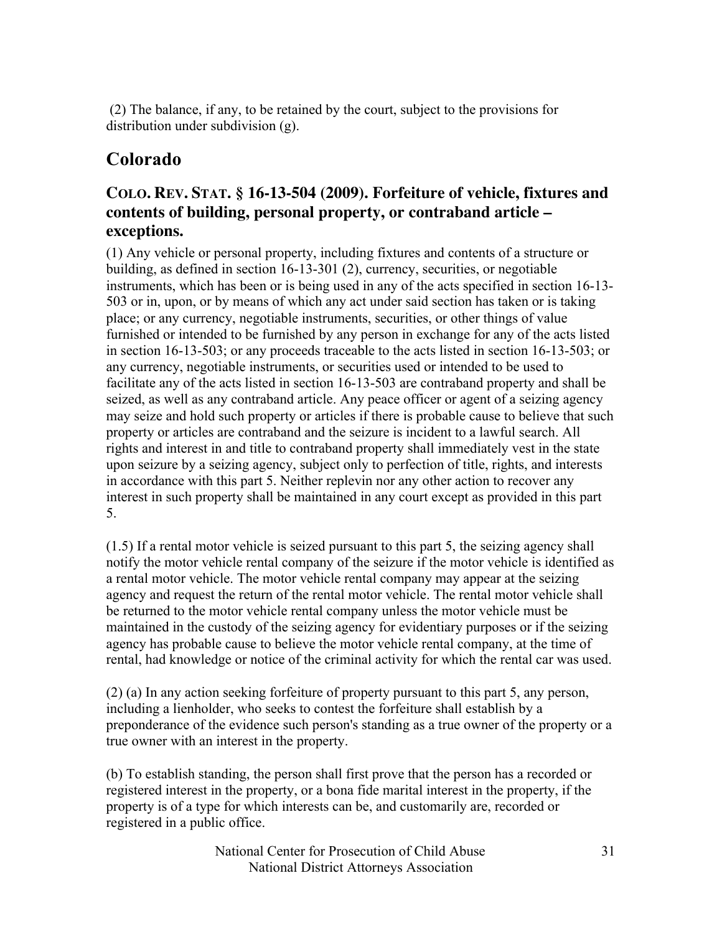(2) The balance, if any, to be retained by the court, subject to the provisions for distribution under subdivision (g).

# **Colorado**

# **COLO. REV. STAT. § 16-13-504 (2009). Forfeiture of vehicle, fixtures and contents of building, personal property, or contraband article – exceptions.**

(1) Any vehicle or personal property, including fixtures and contents of a structure or building, as defined in section 16-13-301 (2), currency, securities, or negotiable instruments, which has been or is being used in any of the acts specified in section 16-13- 503 or in, upon, or by means of which any act under said section has taken or is taking place; or any currency, negotiable instruments, securities, or other things of value furnished or intended to be furnished by any person in exchange for any of the acts listed in section 16-13-503; or any proceeds traceable to the acts listed in section 16-13-503; or any currency, negotiable instruments, or securities used or intended to be used to facilitate any of the acts listed in section 16-13-503 are contraband property and shall be seized, as well as any contraband article. Any peace officer or agent of a seizing agency may seize and hold such property or articles if there is probable cause to believe that such property or articles are contraband and the seizure is incident to a lawful search. All rights and interest in and title to contraband property shall immediately vest in the state upon seizure by a seizing agency, subject only to perfection of title, rights, and interests in accordance with this part 5. Neither replevin nor any other action to recover any interest in such property shall be maintained in any court except as provided in this part 5.

(1.5) If a rental motor vehicle is seized pursuant to this part 5, the seizing agency shall notify the motor vehicle rental company of the seizure if the motor vehicle is identified as a rental motor vehicle. The motor vehicle rental company may appear at the seizing agency and request the return of the rental motor vehicle. The rental motor vehicle shall be returned to the motor vehicle rental company unless the motor vehicle must be maintained in the custody of the seizing agency for evidentiary purposes or if the seizing agency has probable cause to believe the motor vehicle rental company, at the time of rental, had knowledge or notice of the criminal activity for which the rental car was used.

(2) (a) In any action seeking forfeiture of property pursuant to this part 5, any person, including a lienholder, who seeks to contest the forfeiture shall establish by a preponderance of the evidence such person's standing as a true owner of the property or a true owner with an interest in the property.

(b) To establish standing, the person shall first prove that the person has a recorded or registered interest in the property, or a bona fide marital interest in the property, if the property is of a type for which interests can be, and customarily are, recorded or registered in a public office.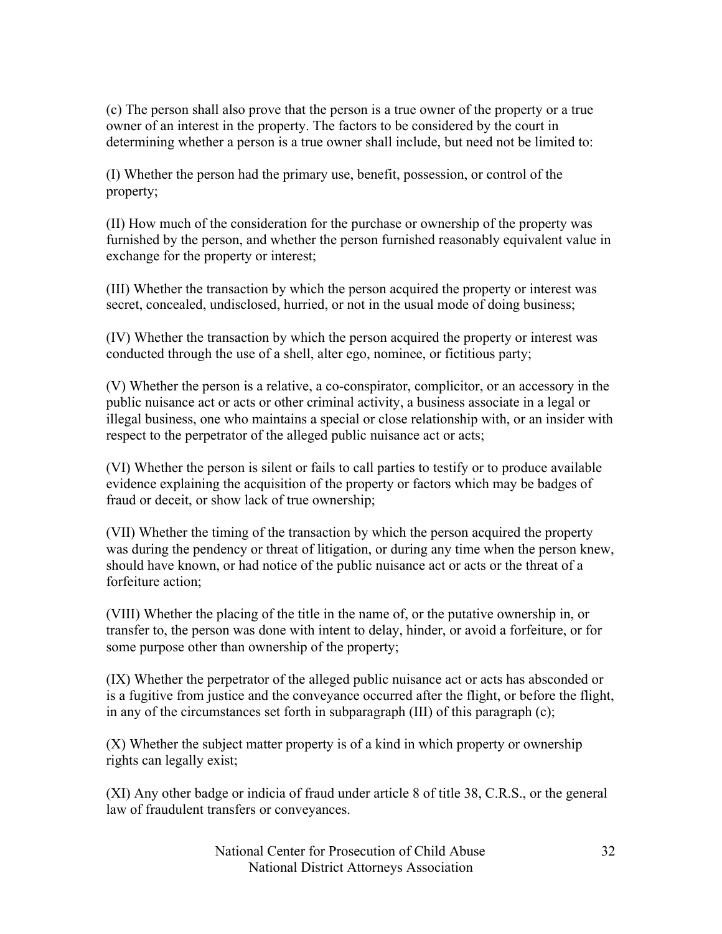(c) The person shall also prove that the person is a true owner of the property or a true owner of an interest in the property. The factors to be considered by the court in determining whether a person is a true owner shall include, but need not be limited to:

(I) Whether the person had the primary use, benefit, possession, or control of the property;

(II) How much of the consideration for the purchase or ownership of the property was furnished by the person, and whether the person furnished reasonably equivalent value in exchange for the property or interest;

(III) Whether the transaction by which the person acquired the property or interest was secret, concealed, undisclosed, hurried, or not in the usual mode of doing business;

(IV) Whether the transaction by which the person acquired the property or interest was conducted through the use of a shell, alter ego, nominee, or fictitious party;

(V) Whether the person is a relative, a co-conspirator, complicitor, or an accessory in the public nuisance act or acts or other criminal activity, a business associate in a legal or illegal business, one who maintains a special or close relationship with, or an insider with respect to the perpetrator of the alleged public nuisance act or acts;

(VI) Whether the person is silent or fails to call parties to testify or to produce available evidence explaining the acquisition of the property or factors which may be badges of fraud or deceit, or show lack of true ownership;

(VII) Whether the timing of the transaction by which the person acquired the property was during the pendency or threat of litigation, or during any time when the person knew, should have known, or had notice of the public nuisance act or acts or the threat of a forfeiture action;

(VIII) Whether the placing of the title in the name of, or the putative ownership in, or transfer to, the person was done with intent to delay, hinder, or avoid a forfeiture, or for some purpose other than ownership of the property;

(IX) Whether the perpetrator of the alleged public nuisance act or acts has absconded or is a fugitive from justice and the conveyance occurred after the flight, or before the flight, in any of the circumstances set forth in subparagraph (III) of this paragraph (c);

(X) Whether the subject matter property is of a kind in which property or ownership rights can legally exist;

(XI) Any other badge or indicia of fraud under article 8 of title 38, C.R.S., or the general law of fraudulent transfers or conveyances.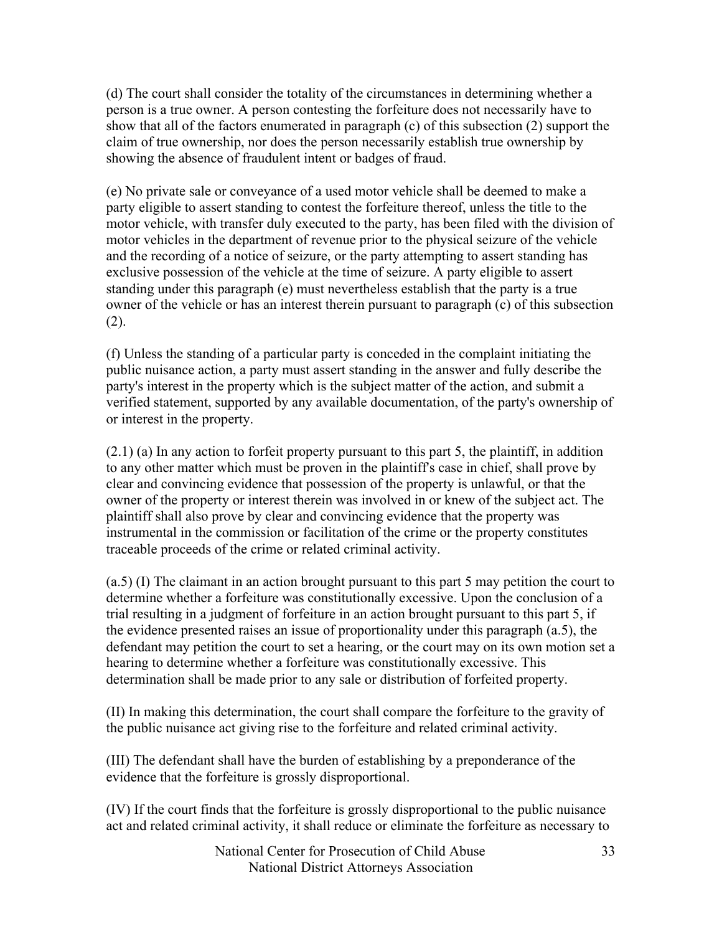(d) The court shall consider the totality of the circumstances in determining whether a person is a true owner. A person contesting the forfeiture does not necessarily have to show that all of the factors enumerated in paragraph (c) of this subsection (2) support the claim of true ownership, nor does the person necessarily establish true ownership by showing the absence of fraudulent intent or badges of fraud.

(e) No private sale or conveyance of a used motor vehicle shall be deemed to make a party eligible to assert standing to contest the forfeiture thereof, unless the title to the motor vehicle, with transfer duly executed to the party, has been filed with the division of motor vehicles in the department of revenue prior to the physical seizure of the vehicle and the recording of a notice of seizure, or the party attempting to assert standing has exclusive possession of the vehicle at the time of seizure. A party eligible to assert standing under this paragraph (e) must nevertheless establish that the party is a true owner of the vehicle or has an interest therein pursuant to paragraph (c) of this subsection (2).

(f) Unless the standing of a particular party is conceded in the complaint initiating the public nuisance action, a party must assert standing in the answer and fully describe the party's interest in the property which is the subject matter of the action, and submit a verified statement, supported by any available documentation, of the party's ownership of or interest in the property.

 $(2.1)$  (a) In any action to forfeit property pursuant to this part 5, the plaintiff, in addition to any other matter which must be proven in the plaintiff's case in chief, shall prove by clear and convincing evidence that possession of the property is unlawful, or that the owner of the property or interest therein was involved in or knew of the subject act. The plaintiff shall also prove by clear and convincing evidence that the property was instrumental in the commission or facilitation of the crime or the property constitutes traceable proceeds of the crime or related criminal activity.

(a.5) (I) The claimant in an action brought pursuant to this part 5 may petition the court to determine whether a forfeiture was constitutionally excessive. Upon the conclusion of a trial resulting in a judgment of forfeiture in an action brought pursuant to this part 5, if the evidence presented raises an issue of proportionality under this paragraph (a.5), the defendant may petition the court to set a hearing, or the court may on its own motion set a hearing to determine whether a forfeiture was constitutionally excessive. This determination shall be made prior to any sale or distribution of forfeited property.

(II) In making this determination, the court shall compare the forfeiture to the gravity of the public nuisance act giving rise to the forfeiture and related criminal activity.

(III) The defendant shall have the burden of establishing by a preponderance of the evidence that the forfeiture is grossly disproportional.

(IV) If the court finds that the forfeiture is grossly disproportional to the public nuisance act and related criminal activity, it shall reduce or eliminate the forfeiture as necessary to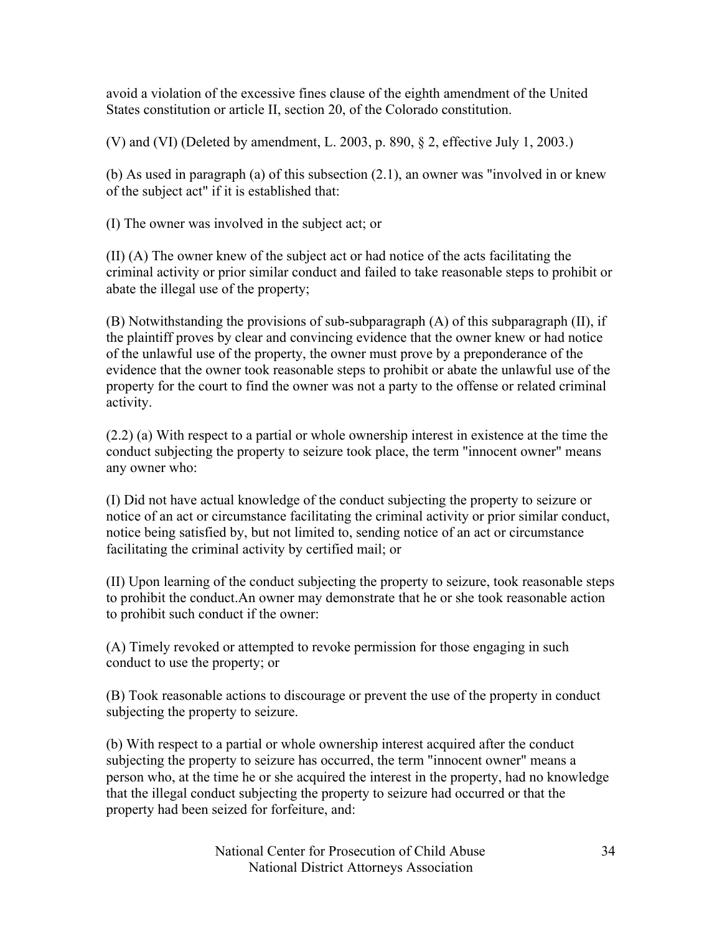avoid a violation of the excessive fines clause of the eighth amendment of the United States constitution or article II, section 20, of the Colorado constitution.

(V) and (VI) (Deleted by amendment, L. 2003, p. 890, § 2, effective July 1, 2003.)

(b) As used in paragraph (a) of this subsection (2.1), an owner was "involved in or knew of the subject act" if it is established that:

(I) The owner was involved in the subject act; or

(II) (A) The owner knew of the subject act or had notice of the acts facilitating the criminal activity or prior similar conduct and failed to take reasonable steps to prohibit or abate the illegal use of the property;

(B) Notwithstanding the provisions of sub-subparagraph (A) of this subparagraph (II), if the plaintiff proves by clear and convincing evidence that the owner knew or had notice of the unlawful use of the property, the owner must prove by a preponderance of the evidence that the owner took reasonable steps to prohibit or abate the unlawful use of the property for the court to find the owner was not a party to the offense or related criminal activity.

(2.2) (a) With respect to a partial or whole ownership interest in existence at the time the conduct subjecting the property to seizure took place, the term "innocent owner" means any owner who:

(I) Did not have actual knowledge of the conduct subjecting the property to seizure or notice of an act or circumstance facilitating the criminal activity or prior similar conduct, notice being satisfied by, but not limited to, sending notice of an act or circumstance facilitating the criminal activity by certified mail; or

(II) Upon learning of the conduct subjecting the property to seizure, took reasonable steps to prohibit the conduct.An owner may demonstrate that he or she took reasonable action to prohibit such conduct if the owner:

(A) Timely revoked or attempted to revoke permission for those engaging in such conduct to use the property; or

(B) Took reasonable actions to discourage or prevent the use of the property in conduct subjecting the property to seizure.

(b) With respect to a partial or whole ownership interest acquired after the conduct subjecting the property to seizure has occurred, the term "innocent owner" means a person who, at the time he or she acquired the interest in the property, had no knowledge that the illegal conduct subjecting the property to seizure had occurred or that the property had been seized for forfeiture, and: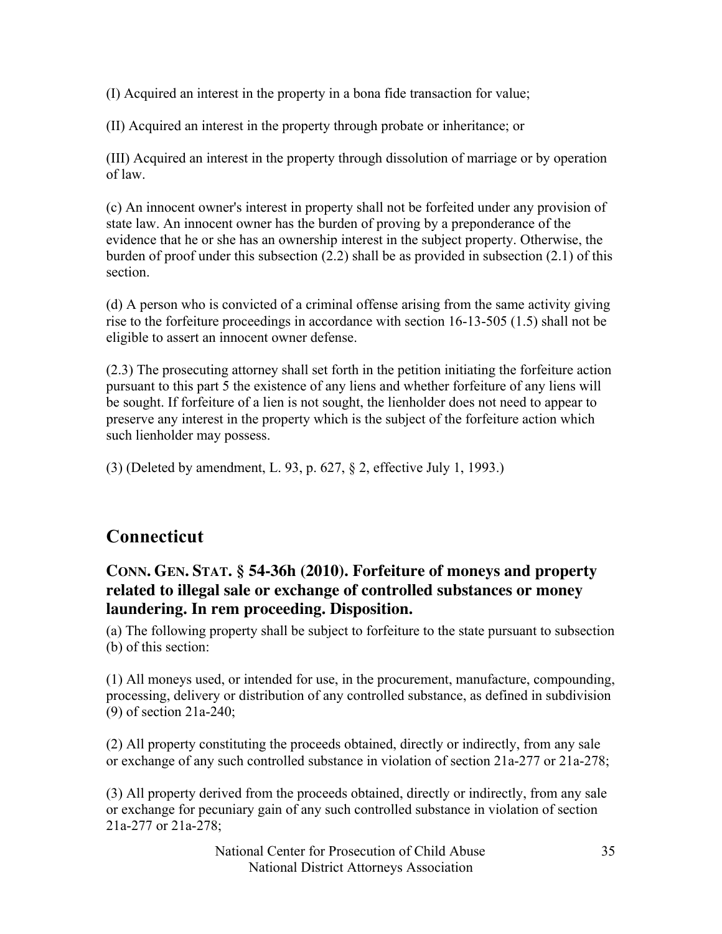(I) Acquired an interest in the property in a bona fide transaction for value;

(II) Acquired an interest in the property through probate or inheritance; or

(III) Acquired an interest in the property through dissolution of marriage or by operation of law.

(c) An innocent owner's interest in property shall not be forfeited under any provision of state law. An innocent owner has the burden of proving by a preponderance of the evidence that he or she has an ownership interest in the subject property. Otherwise, the burden of proof under this subsection (2.2) shall be as provided in subsection (2.1) of this section.

(d) A person who is convicted of a criminal offense arising from the same activity giving rise to the forfeiture proceedings in accordance with section 16-13-505 (1.5) shall not be eligible to assert an innocent owner defense.

(2.3) The prosecuting attorney shall set forth in the petition initiating the forfeiture action pursuant to this part 5 the existence of any liens and whether forfeiture of any liens will be sought. If forfeiture of a lien is not sought, the lienholder does not need to appear to preserve any interest in the property which is the subject of the forfeiture action which such lienholder may possess.

(3) (Deleted by amendment, L. 93, p. 627, § 2, effective July 1, 1993.)

# **Connecticut**

### **CONN. GEN. STAT. § 54-36h (2010). Forfeiture of moneys and property related to illegal sale or exchange of controlled substances or money laundering. In rem proceeding. Disposition.**

(a) The following property shall be subject to forfeiture to the state pursuant to subsection (b) of this section:

(1) All moneys used, or intended for use, in the procurement, manufacture, compounding, processing, delivery or distribution of any controlled substance, as defined in subdivision (9) of section 21a-240;

(2) All property constituting the proceeds obtained, directly or indirectly, from any sale or exchange of any such controlled substance in violation of section 21a-277 or 21a-278;

(3) All property derived from the proceeds obtained, directly or indirectly, from any sale or exchange for pecuniary gain of any such controlled substance in violation of section 21a-277 or 21a-278;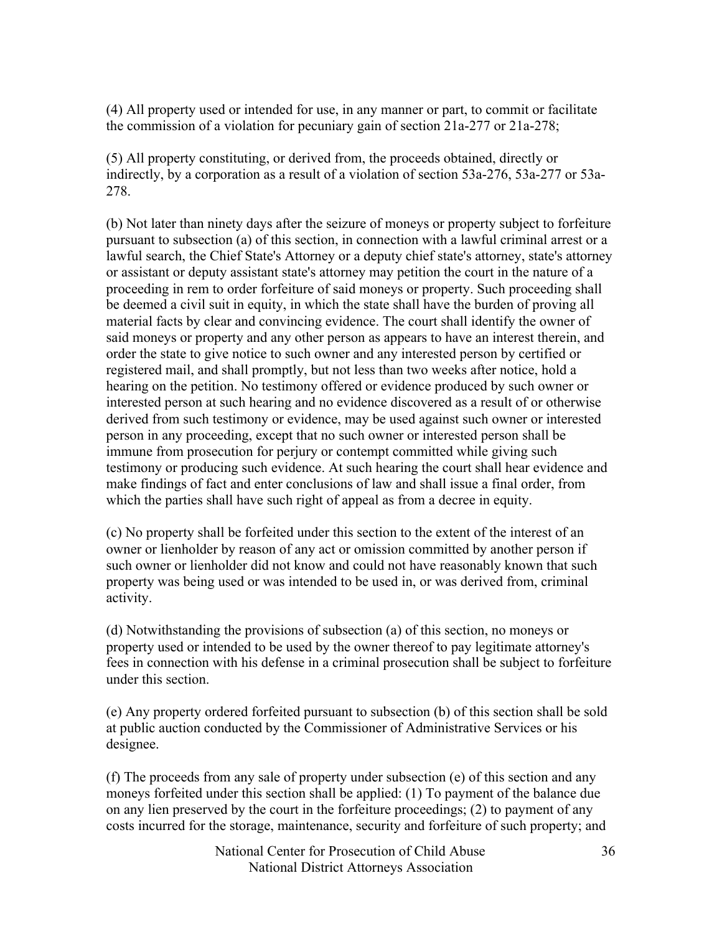(4) All property used or intended for use, in any manner or part, to commit or facilitate the commission of a violation for pecuniary gain of section 21a-277 or 21a-278;

(5) All property constituting, or derived from, the proceeds obtained, directly or indirectly, by a corporation as a result of a violation of section 53a-276, 53a-277 or 53a-278.

(b) Not later than ninety days after the seizure of moneys or property subject to forfeiture pursuant to subsection (a) of this section, in connection with a lawful criminal arrest or a lawful search, the Chief State's Attorney or a deputy chief state's attorney, state's attorney or assistant or deputy assistant state's attorney may petition the court in the nature of a proceeding in rem to order forfeiture of said moneys or property. Such proceeding shall be deemed a civil suit in equity, in which the state shall have the burden of proving all material facts by clear and convincing evidence. The court shall identify the owner of said moneys or property and any other person as appears to have an interest therein, and order the state to give notice to such owner and any interested person by certified or registered mail, and shall promptly, but not less than two weeks after notice, hold a hearing on the petition. No testimony offered or evidence produced by such owner or interested person at such hearing and no evidence discovered as a result of or otherwise derived from such testimony or evidence, may be used against such owner or interested person in any proceeding, except that no such owner or interested person shall be immune from prosecution for perjury or contempt committed while giving such testimony or producing such evidence. At such hearing the court shall hear evidence and make findings of fact and enter conclusions of law and shall issue a final order, from which the parties shall have such right of appeal as from a decree in equity.

(c) No property shall be forfeited under this section to the extent of the interest of an owner or lienholder by reason of any act or omission committed by another person if such owner or lienholder did not know and could not have reasonably known that such property was being used or was intended to be used in, or was derived from, criminal activity.

(d) Notwithstanding the provisions of subsection (a) of this section, no moneys or property used or intended to be used by the owner thereof to pay legitimate attorney's fees in connection with his defense in a criminal prosecution shall be subject to forfeiture under this section.

(e) Any property ordered forfeited pursuant to subsection (b) of this section shall be sold at public auction conducted by the Commissioner of Administrative Services or his designee.

(f) The proceeds from any sale of property under subsection (e) of this section and any moneys forfeited under this section shall be applied: (1) To payment of the balance due on any lien preserved by the court in the forfeiture proceedings; (2) to payment of any costs incurred for the storage, maintenance, security and forfeiture of such property; and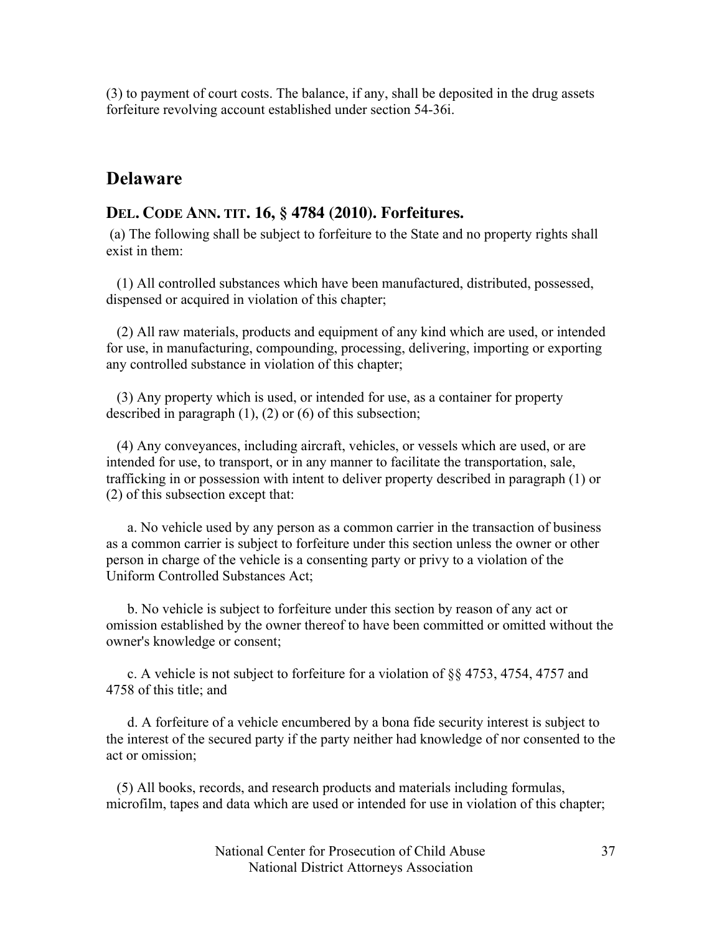(3) to payment of court costs. The balance, if any, shall be deposited in the drug assets forfeiture revolving account established under section 54-36i.

## **Delaware**

### **DEL. CODE ANN. TIT. 16, § 4784 (2010). Forfeitures.**

(a) The following shall be subject to forfeiture to the State and no property rights shall exist in them:

 (1) All controlled substances which have been manufactured, distributed, possessed, dispensed or acquired in violation of this chapter;

 (2) All raw materials, products and equipment of any kind which are used, or intended for use, in manufacturing, compounding, processing, delivering, importing or exporting any controlled substance in violation of this chapter;

 (3) Any property which is used, or intended for use, as a container for property described in paragraph (1), (2) or (6) of this subsection;

 (4) Any conveyances, including aircraft, vehicles, or vessels which are used, or are intended for use, to transport, or in any manner to facilitate the transportation, sale, trafficking in or possession with intent to deliver property described in paragraph (1) or (2) of this subsection except that:

 a. No vehicle used by any person as a common carrier in the transaction of business as a common carrier is subject to forfeiture under this section unless the owner or other person in charge of the vehicle is a consenting party or privy to a violation of the Uniform Controlled Substances Act;

 b. No vehicle is subject to forfeiture under this section by reason of any act or omission established by the owner thereof to have been committed or omitted without the owner's knowledge or consent;

 c. A vehicle is not subject to forfeiture for a violation of §§ 4753, 4754, 4757 and 4758 of this title; and

 d. A forfeiture of a vehicle encumbered by a bona fide security interest is subject to the interest of the secured party if the party neither had knowledge of nor consented to the act or omission;

 (5) All books, records, and research products and materials including formulas, microfilm, tapes and data which are used or intended for use in violation of this chapter;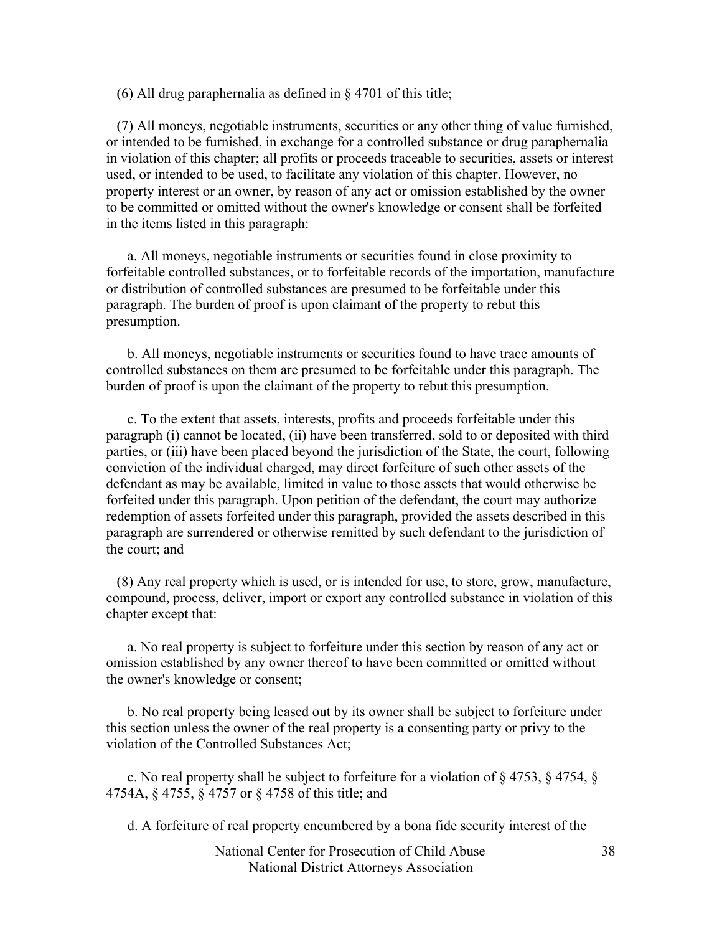(6) All drug paraphernalia as defined in § 4701 of this title;

 (7) All moneys, negotiable instruments, securities or any other thing of value furnished, or intended to be furnished, in exchange for a controlled substance or drug paraphernalia in violation of this chapter; all profits or proceeds traceable to securities, assets or interest used, or intended to be used, to facilitate any violation of this chapter. However, no property interest or an owner, by reason of any act or omission established by the owner to be committed or omitted without the owner's knowledge or consent shall be forfeited in the items listed in this paragraph:

 a. All moneys, negotiable instruments or securities found in close proximity to forfeitable controlled substances, or to forfeitable records of the importation, manufacture or distribution of controlled substances are presumed to be forfeitable under this paragraph. The burden of proof is upon claimant of the property to rebut this presumption.

 b. All moneys, negotiable instruments or securities found to have trace amounts of controlled substances on them are presumed to be forfeitable under this paragraph. The burden of proof is upon the claimant of the property to rebut this presumption.

 c. To the extent that assets, interests, profits and proceeds forfeitable under this paragraph (i) cannot be located, (ii) have been transferred, sold to or deposited with third parties, or (iii) have been placed beyond the jurisdiction of the State, the court, following conviction of the individual charged, may direct forfeiture of such other assets of the defendant as may be available, limited in value to those assets that would otherwise be forfeited under this paragraph. Upon petition of the defendant, the court may authorize redemption of assets forfeited under this paragraph, provided the assets described in this paragraph are surrendered or otherwise remitted by such defendant to the jurisdiction of the court; and

 (8) Any real property which is used, or is intended for use, to store, grow, manufacture, compound, process, deliver, import or export any controlled substance in violation of this chapter except that:

 a. No real property is subject to forfeiture under this section by reason of any act or omission established by any owner thereof to have been committed or omitted without the owner's knowledge or consent;

 b. No real property being leased out by its owner shall be subject to forfeiture under this section unless the owner of the real property is a consenting party or privy to the violation of the Controlled Substances Act;

 c. No real property shall be subject to forfeiture for a violation of § 4753, § 4754, § 4754A, § 4755, § 4757 or § 4758 of this title; and

d. A forfeiture of real property encumbered by a bona fide security interest of the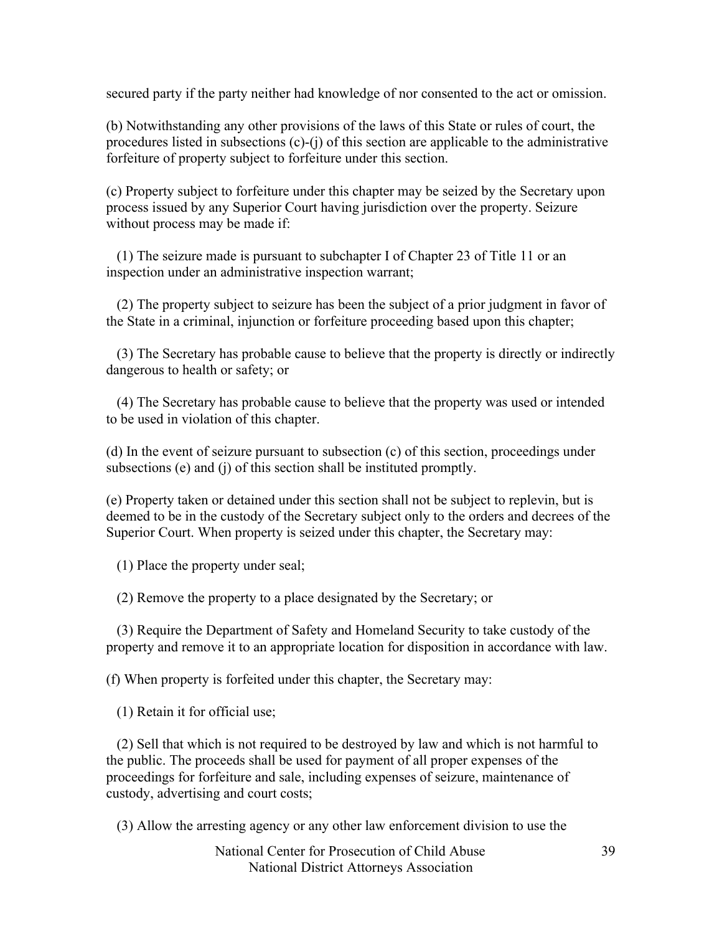secured party if the party neither had knowledge of nor consented to the act or omission.

(b) Notwithstanding any other provisions of the laws of this State or rules of court, the procedures listed in subsections (c)-(j) of this section are applicable to the administrative forfeiture of property subject to forfeiture under this section.

(c) Property subject to forfeiture under this chapter may be seized by the Secretary upon process issued by any Superior Court having jurisdiction over the property. Seizure without process may be made if:

 (1) The seizure made is pursuant to subchapter I of Chapter 23 of Title 11 or an inspection under an administrative inspection warrant;

 (2) The property subject to seizure has been the subject of a prior judgment in favor of the State in a criminal, injunction or forfeiture proceeding based upon this chapter;

 (3) The Secretary has probable cause to believe that the property is directly or indirectly dangerous to health or safety; or

 (4) The Secretary has probable cause to believe that the property was used or intended to be used in violation of this chapter.

(d) In the event of seizure pursuant to subsection (c) of this section, proceedings under subsections (e) and (j) of this section shall be instituted promptly.

(e) Property taken or detained under this section shall not be subject to replevin, but is deemed to be in the custody of the Secretary subject only to the orders and decrees of the Superior Court. When property is seized under this chapter, the Secretary may:

(1) Place the property under seal;

(2) Remove the property to a place designated by the Secretary; or

 (3) Require the Department of Safety and Homeland Security to take custody of the property and remove it to an appropriate location for disposition in accordance with law.

(f) When property is forfeited under this chapter, the Secretary may:

(1) Retain it for official use;

 (2) Sell that which is not required to be destroyed by law and which is not harmful to the public. The proceeds shall be used for payment of all proper expenses of the proceedings for forfeiture and sale, including expenses of seizure, maintenance of custody, advertising and court costs;

(3) Allow the arresting agency or any other law enforcement division to use the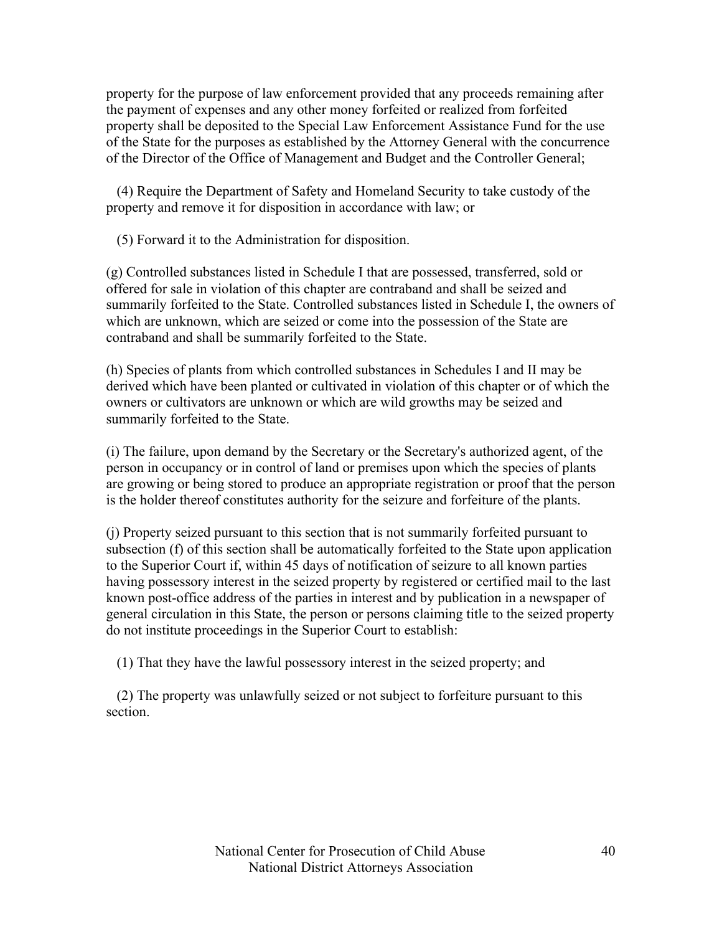property for the purpose of law enforcement provided that any proceeds remaining after the payment of expenses and any other money forfeited or realized from forfeited property shall be deposited to the Special Law Enforcement Assistance Fund for the use of the State for the purposes as established by the Attorney General with the concurrence of the Director of the Office of Management and Budget and the Controller General;

 (4) Require the Department of Safety and Homeland Security to take custody of the property and remove it for disposition in accordance with law; or

(5) Forward it to the Administration for disposition.

(g) Controlled substances listed in Schedule I that are possessed, transferred, sold or offered for sale in violation of this chapter are contraband and shall be seized and summarily forfeited to the State. Controlled substances listed in Schedule I, the owners of which are unknown, which are seized or come into the possession of the State are contraband and shall be summarily forfeited to the State.

(h) Species of plants from which controlled substances in Schedules I and II may be derived which have been planted or cultivated in violation of this chapter or of which the owners or cultivators are unknown or which are wild growths may be seized and summarily forfeited to the State.

(i) The failure, upon demand by the Secretary or the Secretary's authorized agent, of the person in occupancy or in control of land or premises upon which the species of plants are growing or being stored to produce an appropriate registration or proof that the person is the holder thereof constitutes authority for the seizure and forfeiture of the plants.

(j) Property seized pursuant to this section that is not summarily forfeited pursuant to subsection (f) of this section shall be automatically forfeited to the State upon application to the Superior Court if, within 45 days of notification of seizure to all known parties having possessory interest in the seized property by registered or certified mail to the last known post-office address of the parties in interest and by publication in a newspaper of general circulation in this State, the person or persons claiming title to the seized property do not institute proceedings in the Superior Court to establish:

(1) That they have the lawful possessory interest in the seized property; and

 (2) The property was unlawfully seized or not subject to forfeiture pursuant to this section.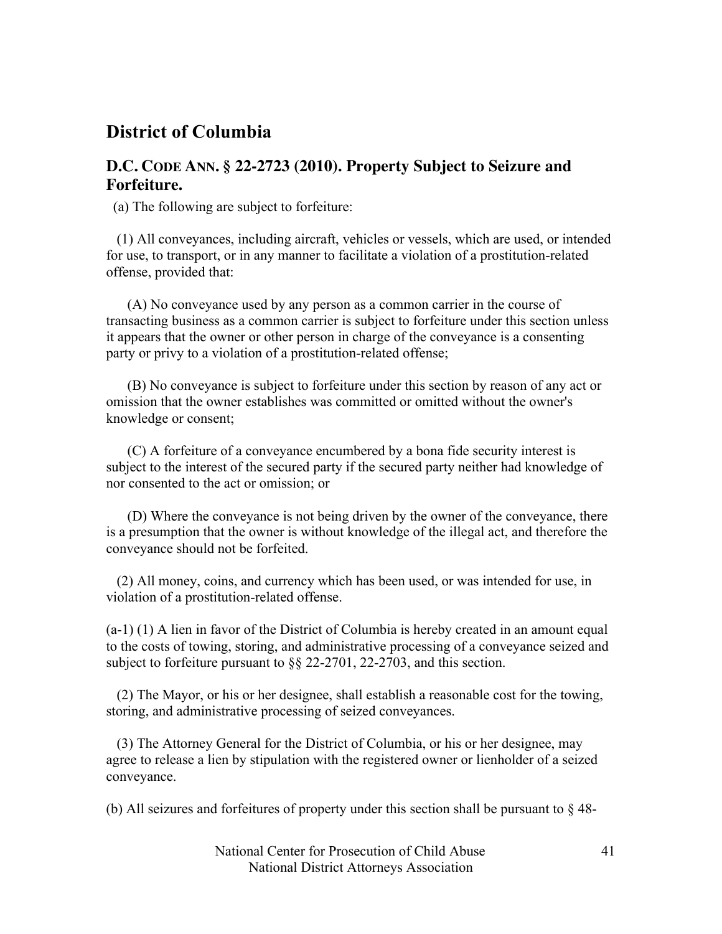# **District of Columbia**

### **D.C. CODE ANN. § 22-2723 (2010). Property Subject to Seizure and Forfeiture.**

(a) The following are subject to forfeiture:

 (1) All conveyances, including aircraft, vehicles or vessels, which are used, or intended for use, to transport, or in any manner to facilitate a violation of a prostitution-related offense, provided that:

 (A) No conveyance used by any person as a common carrier in the course of transacting business as a common carrier is subject to forfeiture under this section unless it appears that the owner or other person in charge of the conveyance is a consenting party or privy to a violation of a prostitution-related offense;

 (B) No conveyance is subject to forfeiture under this section by reason of any act or omission that the owner establishes was committed or omitted without the owner's knowledge or consent;

 (C) A forfeiture of a conveyance encumbered by a bona fide security interest is subject to the interest of the secured party if the secured party neither had knowledge of nor consented to the act or omission; or

 (D) Where the conveyance is not being driven by the owner of the conveyance, there is a presumption that the owner is without knowledge of the illegal act, and therefore the conveyance should not be forfeited.

 (2) All money, coins, and currency which has been used, or was intended for use, in violation of a prostitution-related offense.

(a-1) (1) A lien in favor of the District of Columbia is hereby created in an amount equal to the costs of towing, storing, and administrative processing of a conveyance seized and subject to forfeiture pursuant to §§ 22-2701, 22-2703, and this section.

 (2) The Mayor, or his or her designee, shall establish a reasonable cost for the towing, storing, and administrative processing of seized conveyances.

 (3) The Attorney General for the District of Columbia, or his or her designee, may agree to release a lien by stipulation with the registered owner or lienholder of a seized conveyance.

(b) All seizures and forfeitures of property under this section shall be pursuant to  $\S$  48-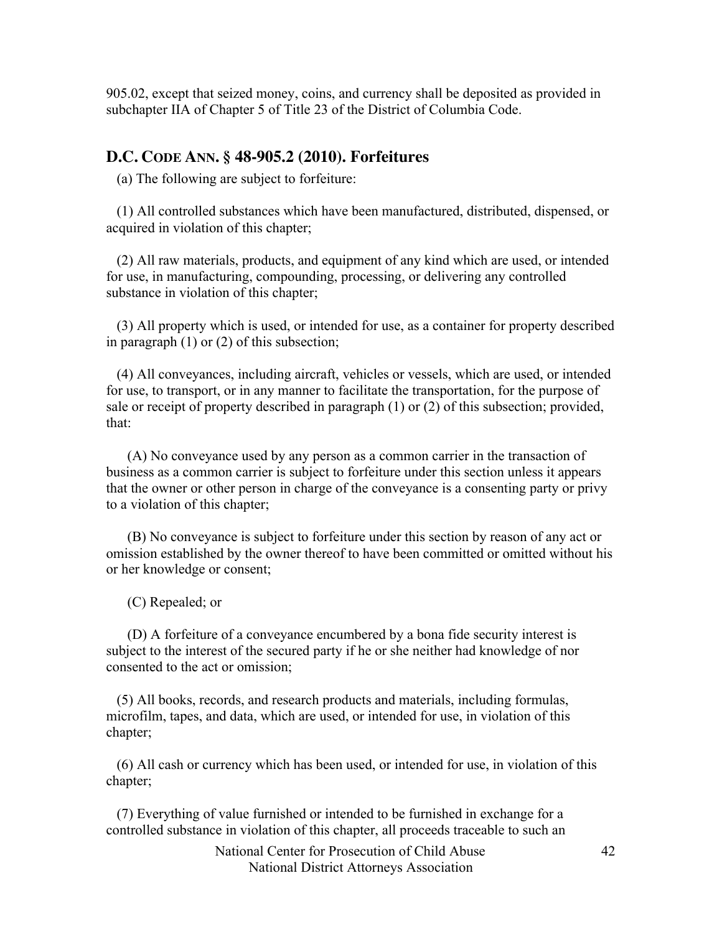905.02, except that seized money, coins, and currency shall be deposited as provided in subchapter IIA of Chapter 5 of Title 23 of the District of Columbia Code.

#### **D.C. CODE ANN. § 48-905.2 (2010). Forfeitures**

(a) The following are subject to forfeiture:

 (1) All controlled substances which have been manufactured, distributed, dispensed, or acquired in violation of this chapter;

 (2) All raw materials, products, and equipment of any kind which are used, or intended for use, in manufacturing, compounding, processing, or delivering any controlled substance in violation of this chapter;

 (3) All property which is used, or intended for use, as a container for property described in paragraph (1) or (2) of this subsection;

 (4) All conveyances, including aircraft, vehicles or vessels, which are used, or intended for use, to transport, or in any manner to facilitate the transportation, for the purpose of sale or receipt of property described in paragraph (1) or (2) of this subsection; provided, that:

 (A) No conveyance used by any person as a common carrier in the transaction of business as a common carrier is subject to forfeiture under this section unless it appears that the owner or other person in charge of the conveyance is a consenting party or privy to a violation of this chapter;

 (B) No conveyance is subject to forfeiture under this section by reason of any act or omission established by the owner thereof to have been committed or omitted without his or her knowledge or consent;

(C) Repealed; or

 (D) A forfeiture of a conveyance encumbered by a bona fide security interest is subject to the interest of the secured party if he or she neither had knowledge of nor consented to the act or omission;

 (5) All books, records, and research products and materials, including formulas, microfilm, tapes, and data, which are used, or intended for use, in violation of this chapter;

 (6) All cash or currency which has been used, or intended for use, in violation of this chapter;

 (7) Everything of value furnished or intended to be furnished in exchange for a controlled substance in violation of this chapter, all proceeds traceable to such an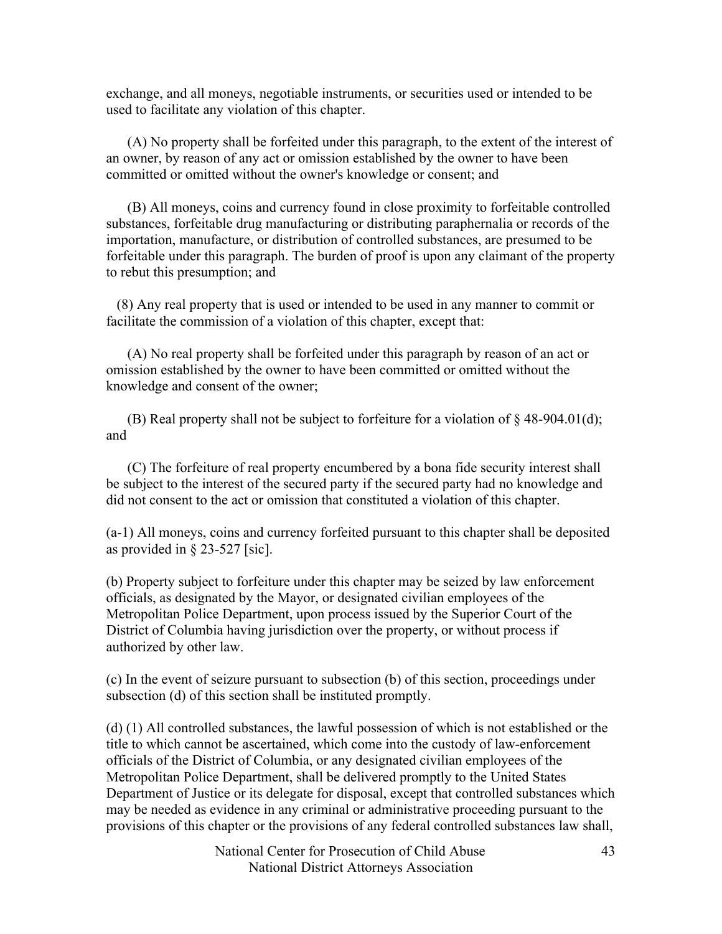exchange, and all moneys, negotiable instruments, or securities used or intended to be used to facilitate any violation of this chapter.

 (A) No property shall be forfeited under this paragraph, to the extent of the interest of an owner, by reason of any act or omission established by the owner to have been committed or omitted without the owner's knowledge or consent; and

 (B) All moneys, coins and currency found in close proximity to forfeitable controlled substances, forfeitable drug manufacturing or distributing paraphernalia or records of the importation, manufacture, or distribution of controlled substances, are presumed to be forfeitable under this paragraph. The burden of proof is upon any claimant of the property to rebut this presumption; and

 (8) Any real property that is used or intended to be used in any manner to commit or facilitate the commission of a violation of this chapter, except that:

 (A) No real property shall be forfeited under this paragraph by reason of an act or omission established by the owner to have been committed or omitted without the knowledge and consent of the owner;

(B) Real property shall not be subject to forfeiture for a violation of  $\S$  48-904.01(d); and

 (C) The forfeiture of real property encumbered by a bona fide security interest shall be subject to the interest of the secured party if the secured party had no knowledge and did not consent to the act or omission that constituted a violation of this chapter.

(a-1) All moneys, coins and currency forfeited pursuant to this chapter shall be deposited as provided in § 23-527 [sic].

(b) Property subject to forfeiture under this chapter may be seized by law enforcement officials, as designated by the Mayor, or designated civilian employees of the Metropolitan Police Department, upon process issued by the Superior Court of the District of Columbia having jurisdiction over the property, or without process if authorized by other law.

(c) In the event of seizure pursuant to subsection (b) of this section, proceedings under subsection (d) of this section shall be instituted promptly.

(d) (1) All controlled substances, the lawful possession of which is not established or the title to which cannot be ascertained, which come into the custody of law-enforcement officials of the District of Columbia, or any designated civilian employees of the Metropolitan Police Department, shall be delivered promptly to the United States Department of Justice or its delegate for disposal, except that controlled substances which may be needed as evidence in any criminal or administrative proceeding pursuant to the provisions of this chapter or the provisions of any federal controlled substances law shall,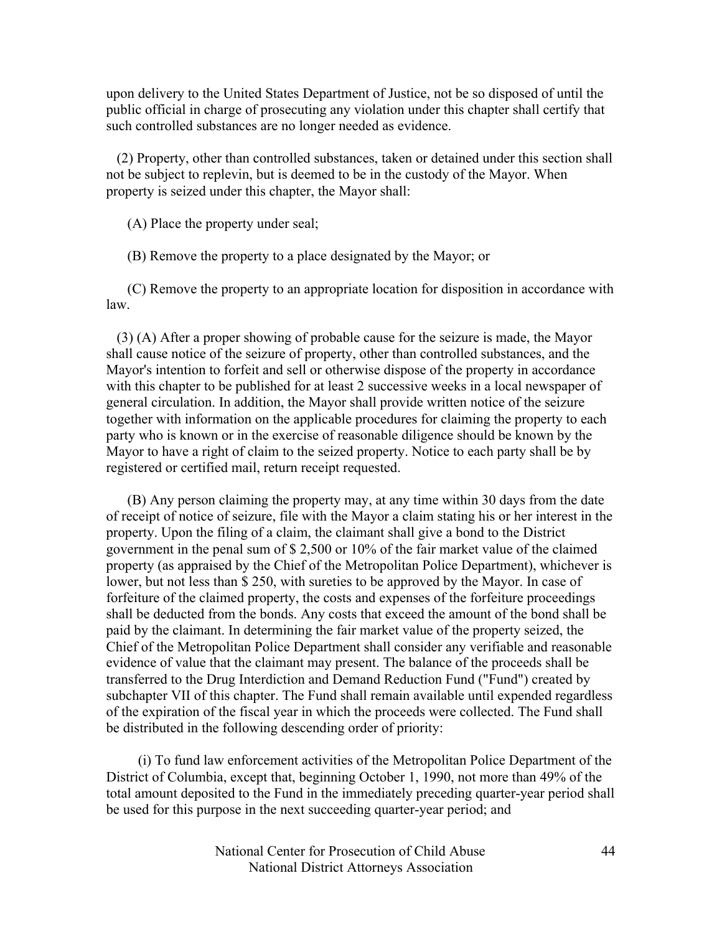upon delivery to the United States Department of Justice, not be so disposed of until the public official in charge of prosecuting any violation under this chapter shall certify that such controlled substances are no longer needed as evidence.

 (2) Property, other than controlled substances, taken or detained under this section shall not be subject to replevin, but is deemed to be in the custody of the Mayor. When property is seized under this chapter, the Mayor shall:

(A) Place the property under seal;

(B) Remove the property to a place designated by the Mayor; or

 (C) Remove the property to an appropriate location for disposition in accordance with law.

 (3) (A) After a proper showing of probable cause for the seizure is made, the Mayor shall cause notice of the seizure of property, other than controlled substances, and the Mayor's intention to forfeit and sell or otherwise dispose of the property in accordance with this chapter to be published for at least 2 successive weeks in a local newspaper of general circulation. In addition, the Mayor shall provide written notice of the seizure together with information on the applicable procedures for claiming the property to each party who is known or in the exercise of reasonable diligence should be known by the Mayor to have a right of claim to the seized property. Notice to each party shall be by registered or certified mail, return receipt requested.

 (B) Any person claiming the property may, at any time within 30 days from the date of receipt of notice of seizure, file with the Mayor a claim stating his or her interest in the property. Upon the filing of a claim, the claimant shall give a bond to the District government in the penal sum of \$ 2,500 or 10% of the fair market value of the claimed property (as appraised by the Chief of the Metropolitan Police Department), whichever is lower, but not less than \$ 250, with sureties to be approved by the Mayor. In case of forfeiture of the claimed property, the costs and expenses of the forfeiture proceedings shall be deducted from the bonds. Any costs that exceed the amount of the bond shall be paid by the claimant. In determining the fair market value of the property seized, the Chief of the Metropolitan Police Department shall consider any verifiable and reasonable evidence of value that the claimant may present. The balance of the proceeds shall be transferred to the Drug Interdiction and Demand Reduction Fund ("Fund") created by subchapter VII of this chapter. The Fund shall remain available until expended regardless of the expiration of the fiscal year in which the proceeds were collected. The Fund shall be distributed in the following descending order of priority:

 (i) To fund law enforcement activities of the Metropolitan Police Department of the District of Columbia, except that, beginning October 1, 1990, not more than 49% of the total amount deposited to the Fund in the immediately preceding quarter-year period shall be used for this purpose in the next succeeding quarter-year period; and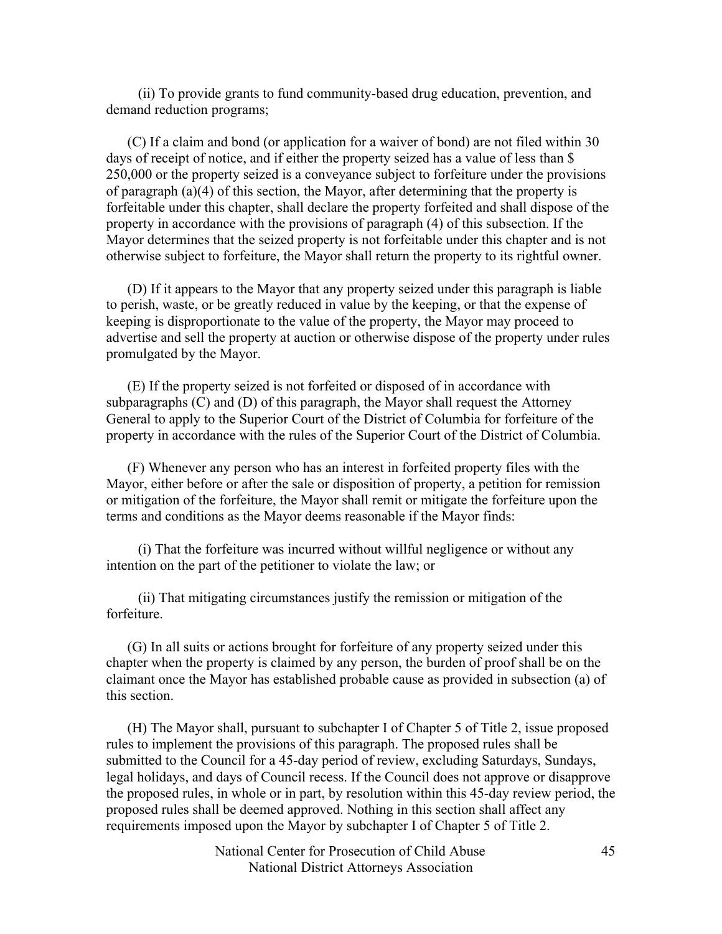(ii) To provide grants to fund community-based drug education, prevention, and demand reduction programs;

 (C) If a claim and bond (or application for a waiver of bond) are not filed within 30 days of receipt of notice, and if either the property seized has a value of less than \$ 250,000 or the property seized is a conveyance subject to forfeiture under the provisions of paragraph (a)(4) of this section, the Mayor, after determining that the property is forfeitable under this chapter, shall declare the property forfeited and shall dispose of the property in accordance with the provisions of paragraph (4) of this subsection. If the Mayor determines that the seized property is not forfeitable under this chapter and is not otherwise subject to forfeiture, the Mayor shall return the property to its rightful owner.

 (D) If it appears to the Mayor that any property seized under this paragraph is liable to perish, waste, or be greatly reduced in value by the keeping, or that the expense of keeping is disproportionate to the value of the property, the Mayor may proceed to advertise and sell the property at auction or otherwise dispose of the property under rules promulgated by the Mayor.

 (E) If the property seized is not forfeited or disposed of in accordance with subparagraphs (C) and (D) of this paragraph, the Mayor shall request the Attorney General to apply to the Superior Court of the District of Columbia for forfeiture of the property in accordance with the rules of the Superior Court of the District of Columbia.

 (F) Whenever any person who has an interest in forfeited property files with the Mayor, either before or after the sale or disposition of property, a petition for remission or mitigation of the forfeiture, the Mayor shall remit or mitigate the forfeiture upon the terms and conditions as the Mayor deems reasonable if the Mayor finds:

 (i) That the forfeiture was incurred without willful negligence or without any intention on the part of the petitioner to violate the law; or

 (ii) That mitigating circumstances justify the remission or mitigation of the forfeiture.

 (G) In all suits or actions brought for forfeiture of any property seized under this chapter when the property is claimed by any person, the burden of proof shall be on the claimant once the Mayor has established probable cause as provided in subsection (a) of this section.

 (H) The Mayor shall, pursuant to subchapter I of Chapter 5 of Title 2, issue proposed rules to implement the provisions of this paragraph. The proposed rules shall be submitted to the Council for a 45-day period of review, excluding Saturdays, Sundays, legal holidays, and days of Council recess. If the Council does not approve or disapprove the proposed rules, in whole or in part, by resolution within this 45-day review period, the proposed rules shall be deemed approved. Nothing in this section shall affect any requirements imposed upon the Mayor by subchapter I of Chapter 5 of Title 2.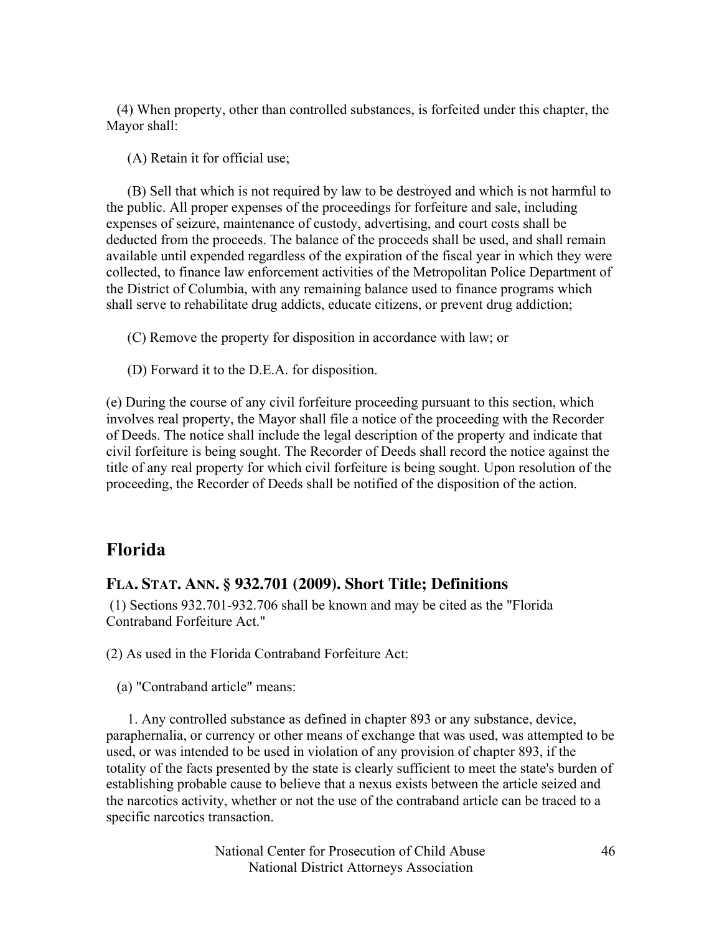(4) When property, other than controlled substances, is forfeited under this chapter, the Mayor shall:

(A) Retain it for official use;

 (B) Sell that which is not required by law to be destroyed and which is not harmful to the public. All proper expenses of the proceedings for forfeiture and sale, including expenses of seizure, maintenance of custody, advertising, and court costs shall be deducted from the proceeds. The balance of the proceeds shall be used, and shall remain available until expended regardless of the expiration of the fiscal year in which they were collected, to finance law enforcement activities of the Metropolitan Police Department of the District of Columbia, with any remaining balance used to finance programs which shall serve to rehabilitate drug addicts, educate citizens, or prevent drug addiction;

(C) Remove the property for disposition in accordance with law; or

(D) Forward it to the D.E.A. for disposition.

(e) During the course of any civil forfeiture proceeding pursuant to this section, which involves real property, the Mayor shall file a notice of the proceeding with the Recorder of Deeds. The notice shall include the legal description of the property and indicate that civil forfeiture is being sought. The Recorder of Deeds shall record the notice against the title of any real property for which civil forfeiture is being sought. Upon resolution of the proceeding, the Recorder of Deeds shall be notified of the disposition of the action.

# **Florida**

#### **FLA. STAT. ANN. § 932.701 (2009). Short Title; Definitions**

(1) Sections 932.701-932.706 shall be known and may be cited as the "Florida Contraband Forfeiture Act."

(2) As used in the Florida Contraband Forfeiture Act:

(a) "Contraband article" means:

 1. Any controlled substance as defined in chapter 893 or any substance, device, paraphernalia, or currency or other means of exchange that was used, was attempted to be used, or was intended to be used in violation of any provision of chapter 893, if the totality of the facts presented by the state is clearly sufficient to meet the state's burden of establishing probable cause to believe that a nexus exists between the article seized and the narcotics activity, whether or not the use of the contraband article can be traced to a specific narcotics transaction.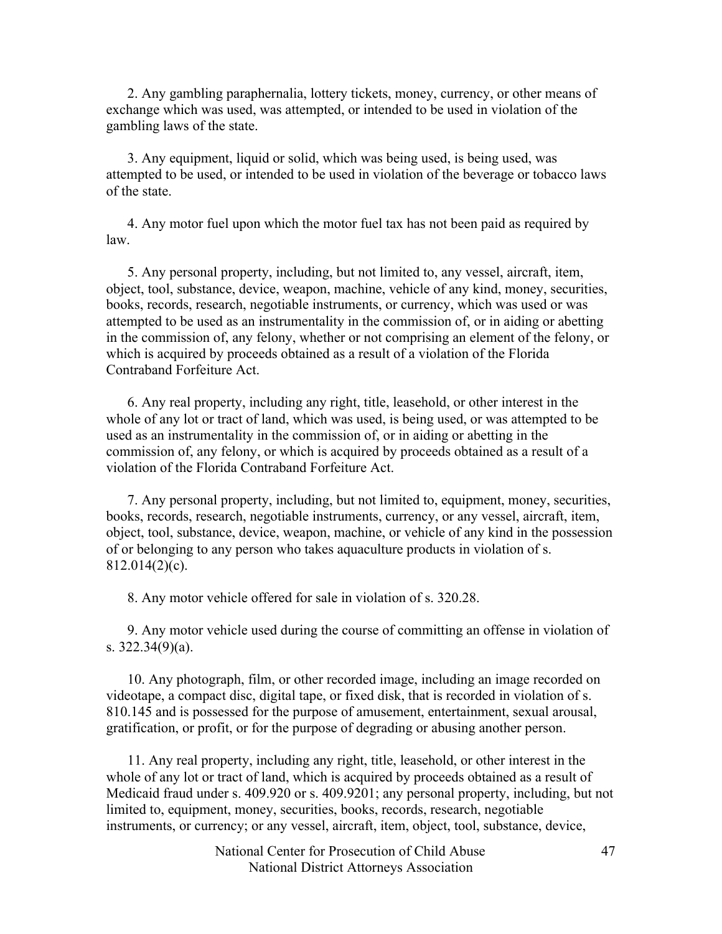2. Any gambling paraphernalia, lottery tickets, money, currency, or other means of exchange which was used, was attempted, or intended to be used in violation of the gambling laws of the state.

 3. Any equipment, liquid or solid, which was being used, is being used, was attempted to be used, or intended to be used in violation of the beverage or tobacco laws of the state.

 4. Any motor fuel upon which the motor fuel tax has not been paid as required by law.

 5. Any personal property, including, but not limited to, any vessel, aircraft, item, object, tool, substance, device, weapon, machine, vehicle of any kind, money, securities, books, records, research, negotiable instruments, or currency, which was used or was attempted to be used as an instrumentality in the commission of, or in aiding or abetting in the commission of, any felony, whether or not comprising an element of the felony, or which is acquired by proceeds obtained as a result of a violation of the Florida Contraband Forfeiture Act.

 6. Any real property, including any right, title, leasehold, or other interest in the whole of any lot or tract of land, which was used, is being used, or was attempted to be used as an instrumentality in the commission of, or in aiding or abetting in the commission of, any felony, or which is acquired by proceeds obtained as a result of a violation of the Florida Contraband Forfeiture Act.

 7. Any personal property, including, but not limited to, equipment, money, securities, books, records, research, negotiable instruments, currency, or any vessel, aircraft, item, object, tool, substance, device, weapon, machine, or vehicle of any kind in the possession of or belonging to any person who takes aquaculture products in violation of s.  $812.014(2)(c)$ .

8. Any motor vehicle offered for sale in violation of s. 320.28.

 9. Any motor vehicle used during the course of committing an offense in violation of s. 322.34(9)(a).

 10. Any photograph, film, or other recorded image, including an image recorded on videotape, a compact disc, digital tape, or fixed disk, that is recorded in violation of s. 810.145 and is possessed for the purpose of amusement, entertainment, sexual arousal, gratification, or profit, or for the purpose of degrading or abusing another person.

 11. Any real property, including any right, title, leasehold, or other interest in the whole of any lot or tract of land, which is acquired by proceeds obtained as a result of Medicaid fraud under s. 409.920 or s. 409.9201; any personal property, including, but not limited to, equipment, money, securities, books, records, research, negotiable instruments, or currency; or any vessel, aircraft, item, object, tool, substance, device,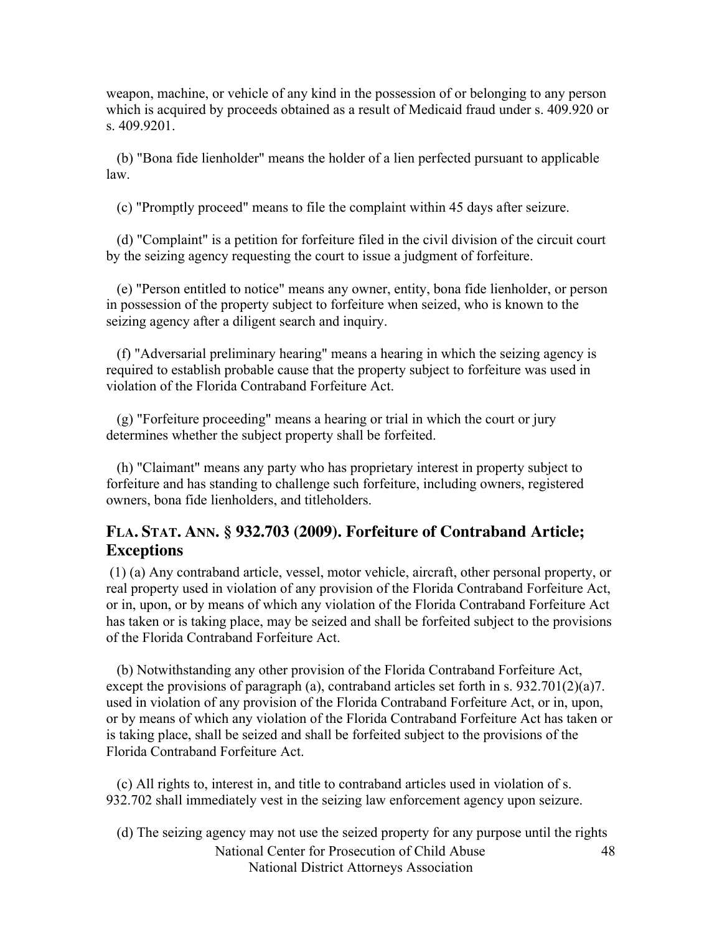weapon, machine, or vehicle of any kind in the possession of or belonging to any person which is acquired by proceeds obtained as a result of Medicaid fraud under s. 409.920 or s. 409.9201.

 (b) "Bona fide lienholder" means the holder of a lien perfected pursuant to applicable law.

(c) "Promptly proceed" means to file the complaint within 45 days after seizure.

 (d) "Complaint" is a petition for forfeiture filed in the civil division of the circuit court by the seizing agency requesting the court to issue a judgment of forfeiture.

 (e) "Person entitled to notice" means any owner, entity, bona fide lienholder, or person in possession of the property subject to forfeiture when seized, who is known to the seizing agency after a diligent search and inquiry.

 (f) "Adversarial preliminary hearing" means a hearing in which the seizing agency is required to establish probable cause that the property subject to forfeiture was used in violation of the Florida Contraband Forfeiture Act.

 (g) "Forfeiture proceeding" means a hearing or trial in which the court or jury determines whether the subject property shall be forfeited.

 (h) "Claimant" means any party who has proprietary interest in property subject to forfeiture and has standing to challenge such forfeiture, including owners, registered owners, bona fide lienholders, and titleholders.

#### **FLA. STAT. ANN. § 932.703 (2009). Forfeiture of Contraband Article; Exceptions**

(1) (a) Any contraband article, vessel, motor vehicle, aircraft, other personal property, or real property used in violation of any provision of the Florida Contraband Forfeiture Act, or in, upon, or by means of which any violation of the Florida Contraband Forfeiture Act has taken or is taking place, may be seized and shall be forfeited subject to the provisions of the Florida Contraband Forfeiture Act.

 (b) Notwithstanding any other provision of the Florida Contraband Forfeiture Act, except the provisions of paragraph (a), contraband articles set forth in s. 932.701(2)(a)7. used in violation of any provision of the Florida Contraband Forfeiture Act, or in, upon, or by means of which any violation of the Florida Contraband Forfeiture Act has taken or is taking place, shall be seized and shall be forfeited subject to the provisions of the Florida Contraband Forfeiture Act.

 (c) All rights to, interest in, and title to contraband articles used in violation of s. 932.702 shall immediately vest in the seizing law enforcement agency upon seizure.

National Center for Prosecution of Child Abuse National District Attorneys Association 48 (d) The seizing agency may not use the seized property for any purpose until the rights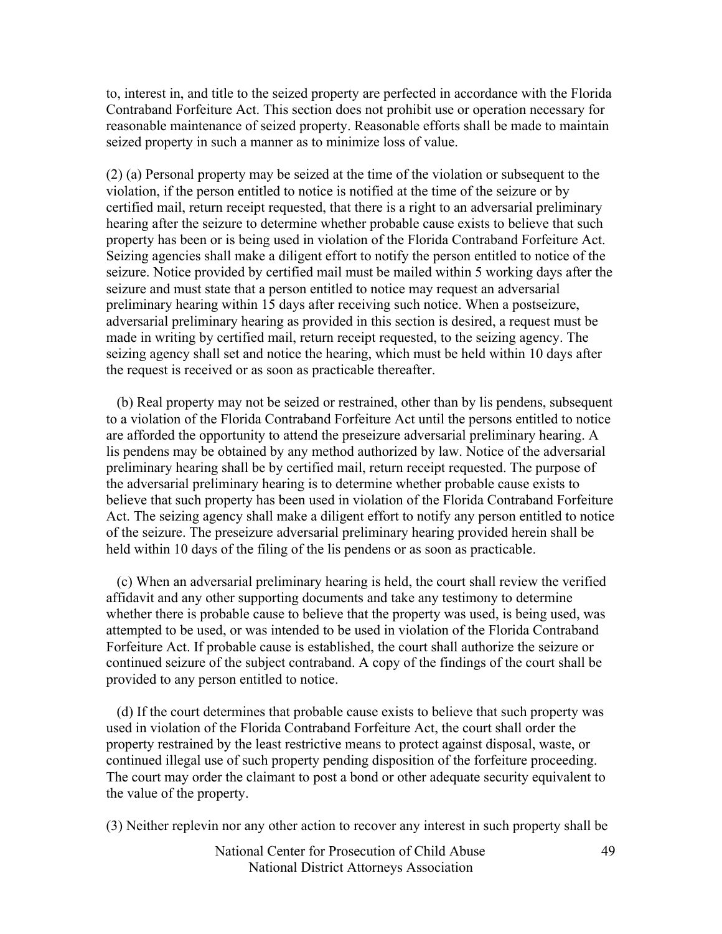to, interest in, and title to the seized property are perfected in accordance with the Florida Contraband Forfeiture Act. This section does not prohibit use or operation necessary for reasonable maintenance of seized property. Reasonable efforts shall be made to maintain seized property in such a manner as to minimize loss of value.

(2) (a) Personal property may be seized at the time of the violation or subsequent to the violation, if the person entitled to notice is notified at the time of the seizure or by certified mail, return receipt requested, that there is a right to an adversarial preliminary hearing after the seizure to determine whether probable cause exists to believe that such property has been or is being used in violation of the Florida Contraband Forfeiture Act. Seizing agencies shall make a diligent effort to notify the person entitled to notice of the seizure. Notice provided by certified mail must be mailed within 5 working days after the seizure and must state that a person entitled to notice may request an adversarial preliminary hearing within 15 days after receiving such notice. When a postseizure, adversarial preliminary hearing as provided in this section is desired, a request must be made in writing by certified mail, return receipt requested, to the seizing agency. The seizing agency shall set and notice the hearing, which must be held within 10 days after the request is received or as soon as practicable thereafter.

 (b) Real property may not be seized or restrained, other than by lis pendens, subsequent to a violation of the Florida Contraband Forfeiture Act until the persons entitled to notice are afforded the opportunity to attend the preseizure adversarial preliminary hearing. A lis pendens may be obtained by any method authorized by law. Notice of the adversarial preliminary hearing shall be by certified mail, return receipt requested. The purpose of the adversarial preliminary hearing is to determine whether probable cause exists to believe that such property has been used in violation of the Florida Contraband Forfeiture Act. The seizing agency shall make a diligent effort to notify any person entitled to notice of the seizure. The preseizure adversarial preliminary hearing provided herein shall be held within 10 days of the filing of the lis pendens or as soon as practicable.

 (c) When an adversarial preliminary hearing is held, the court shall review the verified affidavit and any other supporting documents and take any testimony to determine whether there is probable cause to believe that the property was used, is being used, was attempted to be used, or was intended to be used in violation of the Florida Contraband Forfeiture Act. If probable cause is established, the court shall authorize the seizure or continued seizure of the subject contraband. A copy of the findings of the court shall be provided to any person entitled to notice.

 (d) If the court determines that probable cause exists to believe that such property was used in violation of the Florida Contraband Forfeiture Act, the court shall order the property restrained by the least restrictive means to protect against disposal, waste, or continued illegal use of such property pending disposition of the forfeiture proceeding. The court may order the claimant to post a bond or other adequate security equivalent to the value of the property.

(3) Neither replevin nor any other action to recover any interest in such property shall be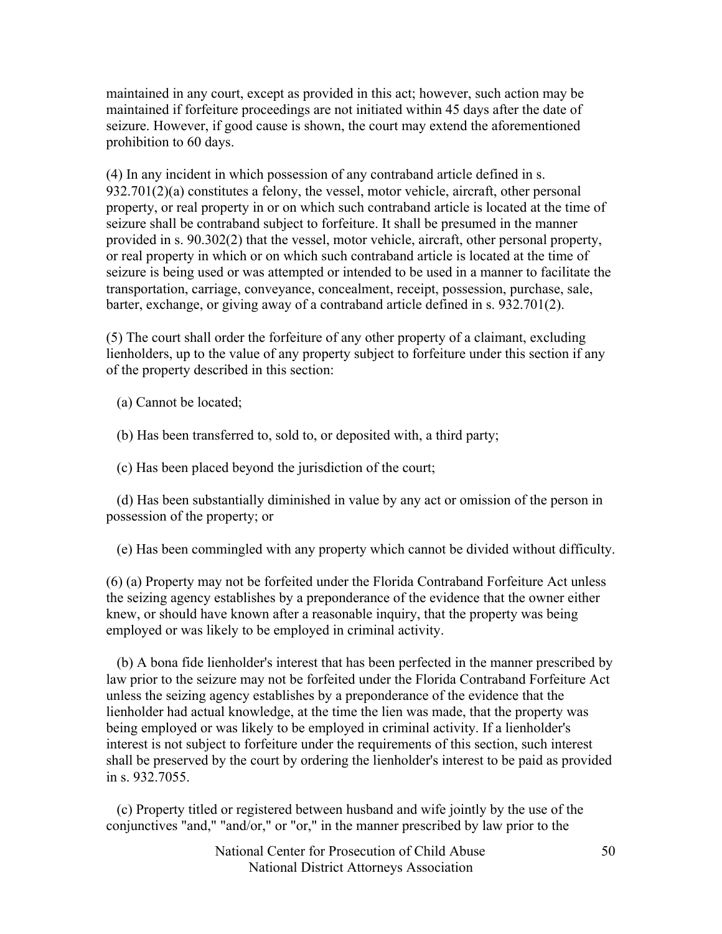maintained in any court, except as provided in this act; however, such action may be maintained if forfeiture proceedings are not initiated within 45 days after the date of seizure. However, if good cause is shown, the court may extend the aforementioned prohibition to 60 days.

(4) In any incident in which possession of any contraband article defined in s. 932.701(2)(a) constitutes a felony, the vessel, motor vehicle, aircraft, other personal property, or real property in or on which such contraband article is located at the time of seizure shall be contraband subject to forfeiture. It shall be presumed in the manner provided in s. 90.302(2) that the vessel, motor vehicle, aircraft, other personal property, or real property in which or on which such contraband article is located at the time of seizure is being used or was attempted or intended to be used in a manner to facilitate the transportation, carriage, conveyance, concealment, receipt, possession, purchase, sale, barter, exchange, or giving away of a contraband article defined in s. 932.701(2).

(5) The court shall order the forfeiture of any other property of a claimant, excluding lienholders, up to the value of any property subject to forfeiture under this section if any of the property described in this section:

(a) Cannot be located;

(b) Has been transferred to, sold to, or deposited with, a third party;

(c) Has been placed beyond the jurisdiction of the court;

 (d) Has been substantially diminished in value by any act or omission of the person in possession of the property; or

(e) Has been commingled with any property which cannot be divided without difficulty.

(6) (a) Property may not be forfeited under the Florida Contraband Forfeiture Act unless the seizing agency establishes by a preponderance of the evidence that the owner either knew, or should have known after a reasonable inquiry, that the property was being employed or was likely to be employed in criminal activity.

 (b) A bona fide lienholder's interest that has been perfected in the manner prescribed by law prior to the seizure may not be forfeited under the Florida Contraband Forfeiture Act unless the seizing agency establishes by a preponderance of the evidence that the lienholder had actual knowledge, at the time the lien was made, that the property was being employed or was likely to be employed in criminal activity. If a lienholder's interest is not subject to forfeiture under the requirements of this section, such interest shall be preserved by the court by ordering the lienholder's interest to be paid as provided in s. 932.7055.

 (c) Property titled or registered between husband and wife jointly by the use of the conjunctives "and," "and/or," or "or," in the manner prescribed by law prior to the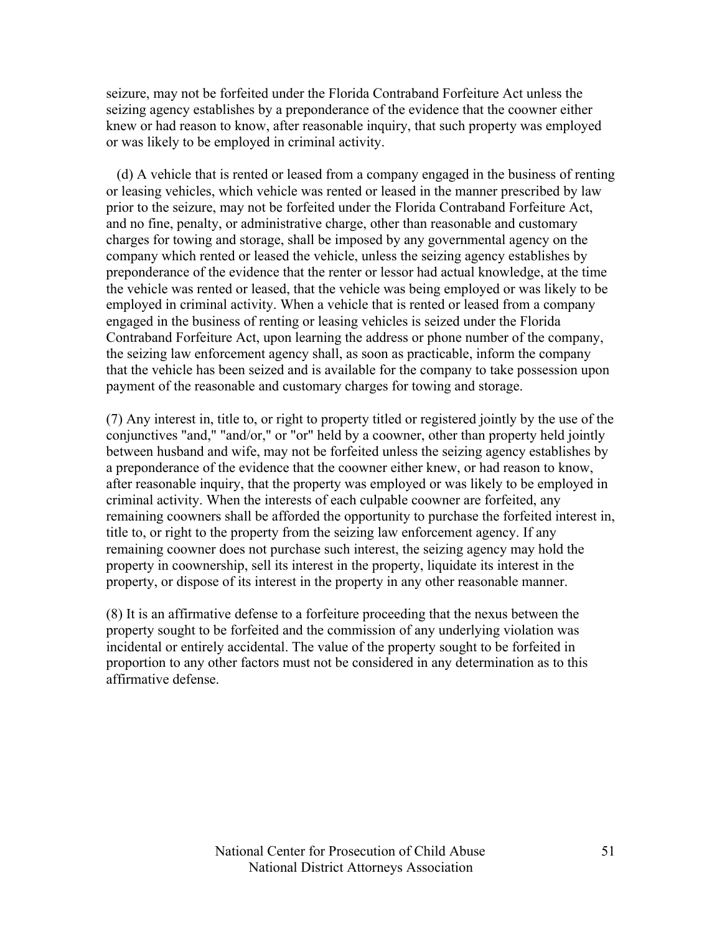seizure, may not be forfeited under the Florida Contraband Forfeiture Act unless the seizing agency establishes by a preponderance of the evidence that the coowner either knew or had reason to know, after reasonable inquiry, that such property was employed or was likely to be employed in criminal activity.

 (d) A vehicle that is rented or leased from a company engaged in the business of renting or leasing vehicles, which vehicle was rented or leased in the manner prescribed by law prior to the seizure, may not be forfeited under the Florida Contraband Forfeiture Act, and no fine, penalty, or administrative charge, other than reasonable and customary charges for towing and storage, shall be imposed by any governmental agency on the company which rented or leased the vehicle, unless the seizing agency establishes by preponderance of the evidence that the renter or lessor had actual knowledge, at the time the vehicle was rented or leased, that the vehicle was being employed or was likely to be employed in criminal activity. When a vehicle that is rented or leased from a company engaged in the business of renting or leasing vehicles is seized under the Florida Contraband Forfeiture Act, upon learning the address or phone number of the company, the seizing law enforcement agency shall, as soon as practicable, inform the company that the vehicle has been seized and is available for the company to take possession upon payment of the reasonable and customary charges for towing and storage.

(7) Any interest in, title to, or right to property titled or registered jointly by the use of the conjunctives "and," "and/or," or "or" held by a coowner, other than property held jointly between husband and wife, may not be forfeited unless the seizing agency establishes by a preponderance of the evidence that the coowner either knew, or had reason to know, after reasonable inquiry, that the property was employed or was likely to be employed in criminal activity. When the interests of each culpable coowner are forfeited, any remaining coowners shall be afforded the opportunity to purchase the forfeited interest in, title to, or right to the property from the seizing law enforcement agency. If any remaining coowner does not purchase such interest, the seizing agency may hold the property in coownership, sell its interest in the property, liquidate its interest in the property, or dispose of its interest in the property in any other reasonable manner.

(8) It is an affirmative defense to a forfeiture proceeding that the nexus between the property sought to be forfeited and the commission of any underlying violation was incidental or entirely accidental. The value of the property sought to be forfeited in proportion to any other factors must not be considered in any determination as to this affirmative defense.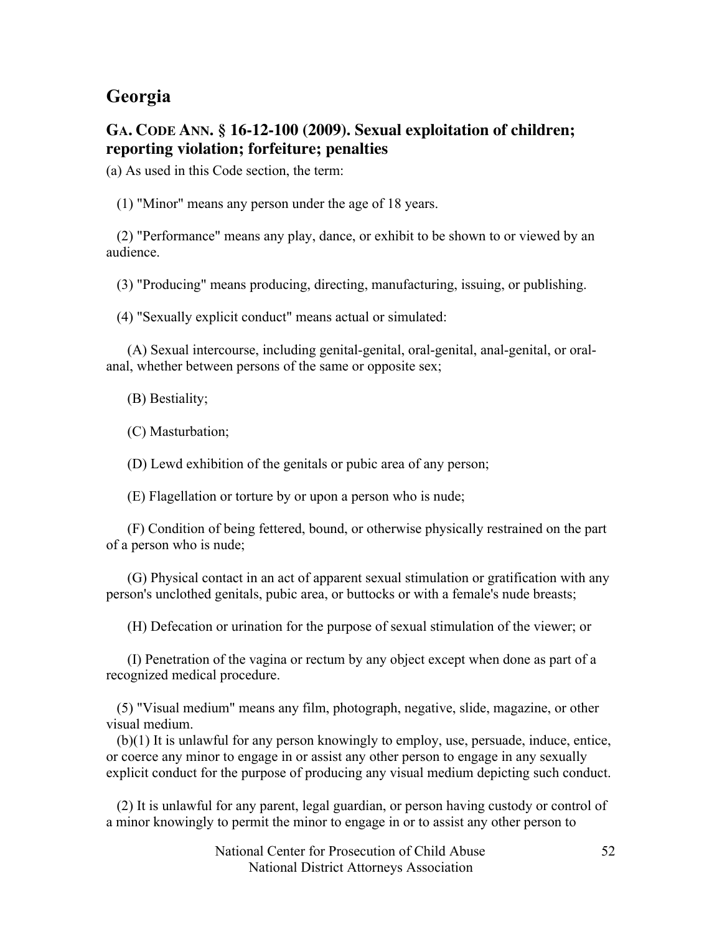# **Georgia**

## **GA. CODE ANN. § 16-12-100 (2009). Sexual exploitation of children; reporting violation; forfeiture; penalties**

(a) As used in this Code section, the term:

(1) "Minor" means any person under the age of 18 years.

 (2) "Performance" means any play, dance, or exhibit to be shown to or viewed by an audience.

(3) "Producing" means producing, directing, manufacturing, issuing, or publishing.

(4) "Sexually explicit conduct" means actual or simulated:

 (A) Sexual intercourse, including genital-genital, oral-genital, anal-genital, or oralanal, whether between persons of the same or opposite sex;

(B) Bestiality;

(C) Masturbation;

(D) Lewd exhibition of the genitals or pubic area of any person;

(E) Flagellation or torture by or upon a person who is nude;

 (F) Condition of being fettered, bound, or otherwise physically restrained on the part of a person who is nude;

 (G) Physical contact in an act of apparent sexual stimulation or gratification with any person's unclothed genitals, pubic area, or buttocks or with a female's nude breasts;

(H) Defecation or urination for the purpose of sexual stimulation of the viewer; or

 (I) Penetration of the vagina or rectum by any object except when done as part of a recognized medical procedure.

 (5) "Visual medium" means any film, photograph, negative, slide, magazine, or other visual medium.

 (b)(1) It is unlawful for any person knowingly to employ, use, persuade, induce, entice, or coerce any minor to engage in or assist any other person to engage in any sexually explicit conduct for the purpose of producing any visual medium depicting such conduct.

 (2) It is unlawful for any parent, legal guardian, or person having custody or control of a minor knowingly to permit the minor to engage in or to assist any other person to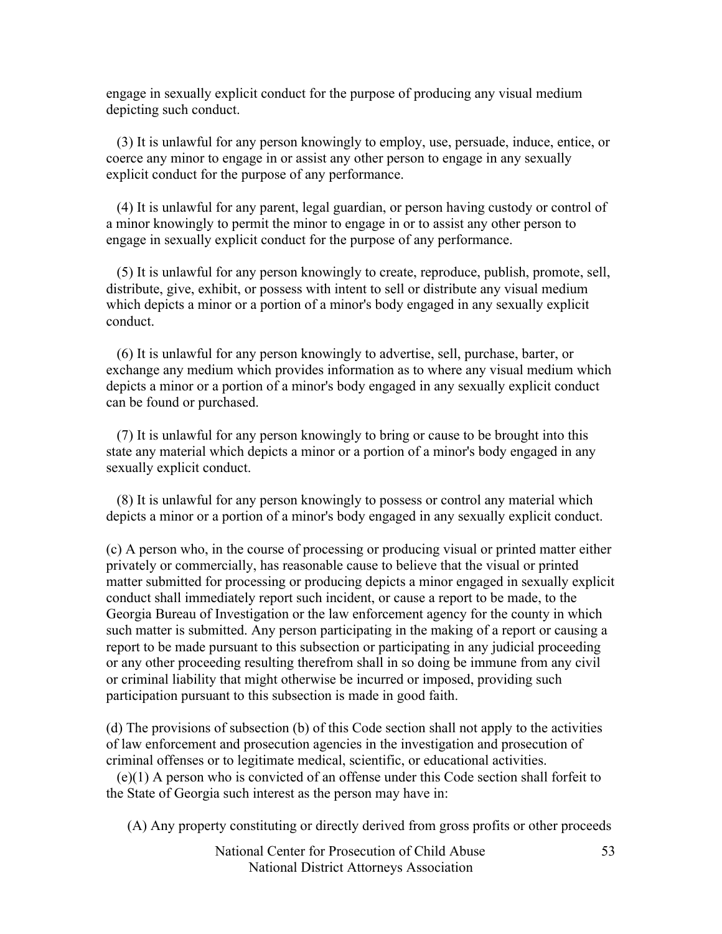engage in sexually explicit conduct for the purpose of producing any visual medium depicting such conduct.

 (3) It is unlawful for any person knowingly to employ, use, persuade, induce, entice, or coerce any minor to engage in or assist any other person to engage in any sexually explicit conduct for the purpose of any performance.

 (4) It is unlawful for any parent, legal guardian, or person having custody or control of a minor knowingly to permit the minor to engage in or to assist any other person to engage in sexually explicit conduct for the purpose of any performance.

 (5) It is unlawful for any person knowingly to create, reproduce, publish, promote, sell, distribute, give, exhibit, or possess with intent to sell or distribute any visual medium which depicts a minor or a portion of a minor's body engaged in any sexually explicit conduct.

 (6) It is unlawful for any person knowingly to advertise, sell, purchase, barter, or exchange any medium which provides information as to where any visual medium which depicts a minor or a portion of a minor's body engaged in any sexually explicit conduct can be found or purchased.

 (7) It is unlawful for any person knowingly to bring or cause to be brought into this state any material which depicts a minor or a portion of a minor's body engaged in any sexually explicit conduct.

 (8) It is unlawful for any person knowingly to possess or control any material which depicts a minor or a portion of a minor's body engaged in any sexually explicit conduct.

(c) A person who, in the course of processing or producing visual or printed matter either privately or commercially, has reasonable cause to believe that the visual or printed matter submitted for processing or producing depicts a minor engaged in sexually explicit conduct shall immediately report such incident, or cause a report to be made, to the Georgia Bureau of Investigation or the law enforcement agency for the county in which such matter is submitted. Any person participating in the making of a report or causing a report to be made pursuant to this subsection or participating in any judicial proceeding or any other proceeding resulting therefrom shall in so doing be immune from any civil or criminal liability that might otherwise be incurred or imposed, providing such participation pursuant to this subsection is made in good faith.

(d) The provisions of subsection (b) of this Code section shall not apply to the activities of law enforcement and prosecution agencies in the investigation and prosecution of criminal offenses or to legitimate medical, scientific, or educational activities.

 (e)(1) A person who is convicted of an offense under this Code section shall forfeit to the State of Georgia such interest as the person may have in:

(A) Any property constituting or directly derived from gross profits or other proceeds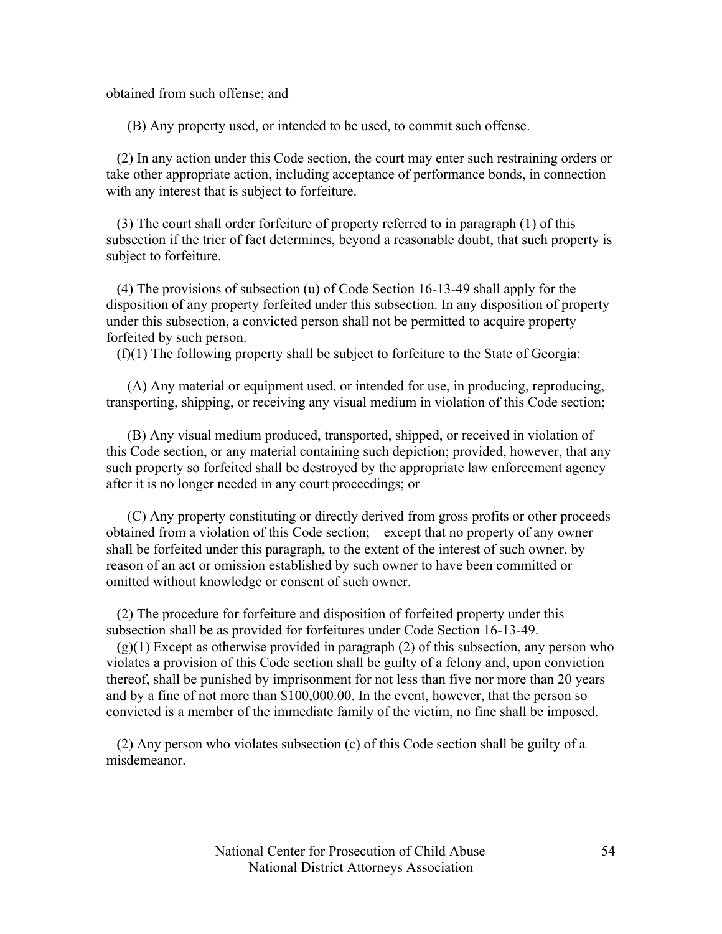obtained from such offense; and

(B) Any property used, or intended to be used, to commit such offense.

 (2) In any action under this Code section, the court may enter such restraining orders or take other appropriate action, including acceptance of performance bonds, in connection with any interest that is subject to forfeiture.

 (3) The court shall order forfeiture of property referred to in paragraph (1) of this subsection if the trier of fact determines, beyond a reasonable doubt, that such property is subject to forfeiture.

 (4) The provisions of subsection (u) of Code Section 16-13-49 shall apply for the disposition of any property forfeited under this subsection. In any disposition of property under this subsection, a convicted person shall not be permitted to acquire property forfeited by such person.

(f)(1) The following property shall be subject to forfeiture to the State of Georgia:

 (A) Any material or equipment used, or intended for use, in producing, reproducing, transporting, shipping, or receiving any visual medium in violation of this Code section;

 (B) Any visual medium produced, transported, shipped, or received in violation of this Code section, or any material containing such depiction; provided, however, that any such property so forfeited shall be destroyed by the appropriate law enforcement agency after it is no longer needed in any court proceedings; or

 (C) Any property constituting or directly derived from gross profits or other proceeds obtained from a violation of this Code section; except that no property of any owner shall be forfeited under this paragraph, to the extent of the interest of such owner, by reason of an act or omission established by such owner to have been committed or omitted without knowledge or consent of such owner.

 (2) The procedure for forfeiture and disposition of forfeited property under this subsection shall be as provided for forfeitures under Code Section 16-13-49.

 $(g)(1)$  Except as otherwise provided in paragraph (2) of this subsection, any person who violates a provision of this Code section shall be guilty of a felony and, upon conviction thereof, shall be punished by imprisonment for not less than five nor more than 20 years and by a fine of not more than \$100,000.00. In the event, however, that the person so convicted is a member of the immediate family of the victim, no fine shall be imposed.

 (2) Any person who violates subsection (c) of this Code section shall be guilty of a misdemeanor.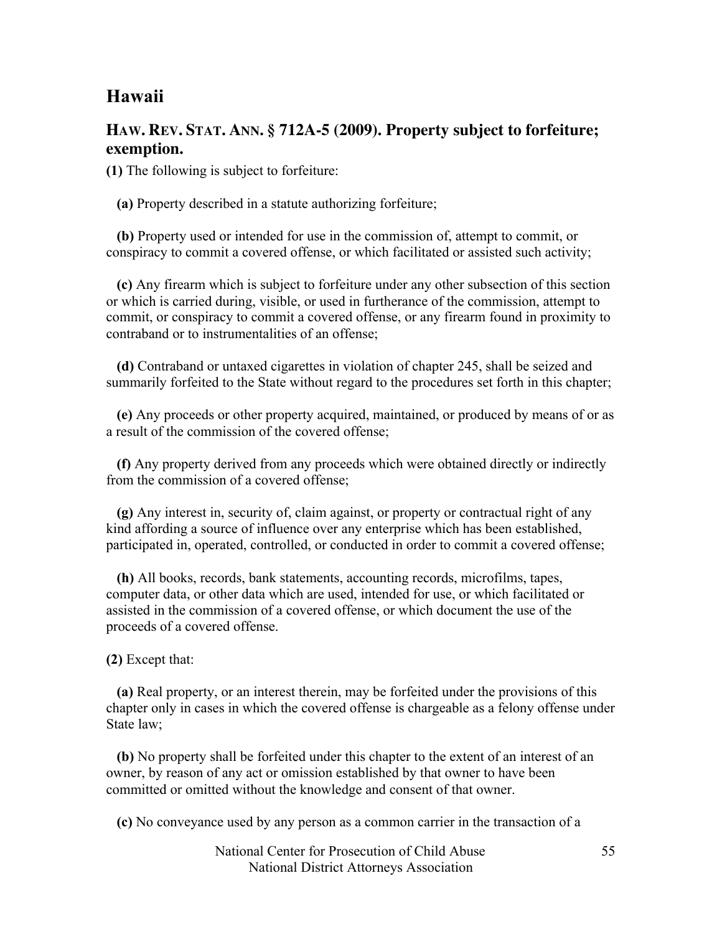# **Hawaii**

## **HAW. REV. STAT. ANN. § 712A-5 (2009). Property subject to forfeiture; exemption.**

**(1)** The following is subject to forfeiture:

**(a)** Property described in a statute authorizing forfeiture;

 **(b)** Property used or intended for use in the commission of, attempt to commit, or conspiracy to commit a covered offense, or which facilitated or assisted such activity;

 **(c)** Any firearm which is subject to forfeiture under any other subsection of this section or which is carried during, visible, or used in furtherance of the commission, attempt to commit, or conspiracy to commit a covered offense, or any firearm found in proximity to contraband or to instrumentalities of an offense;

 **(d)** Contraband or untaxed cigarettes in violation of chapter 245, shall be seized and summarily forfeited to the State without regard to the procedures set forth in this chapter;

 **(e)** Any proceeds or other property acquired, maintained, or produced by means of or as a result of the commission of the covered offense;

 **(f)** Any property derived from any proceeds which were obtained directly or indirectly from the commission of a covered offense;

 **(g)** Any interest in, security of, claim against, or property or contractual right of any kind affording a source of influence over any enterprise which has been established, participated in, operated, controlled, or conducted in order to commit a covered offense;

 **(h)** All books, records, bank statements, accounting records, microfilms, tapes, computer data, or other data which are used, intended for use, or which facilitated or assisted in the commission of a covered offense, or which document the use of the proceeds of a covered offense.

**(2)** Except that:

 **(a)** Real property, or an interest therein, may be forfeited under the provisions of this chapter only in cases in which the covered offense is chargeable as a felony offense under State law;

 **(b)** No property shall be forfeited under this chapter to the extent of an interest of an owner, by reason of any act or omission established by that owner to have been committed or omitted without the knowledge and consent of that owner.

**(c)** No conveyance used by any person as a common carrier in the transaction of a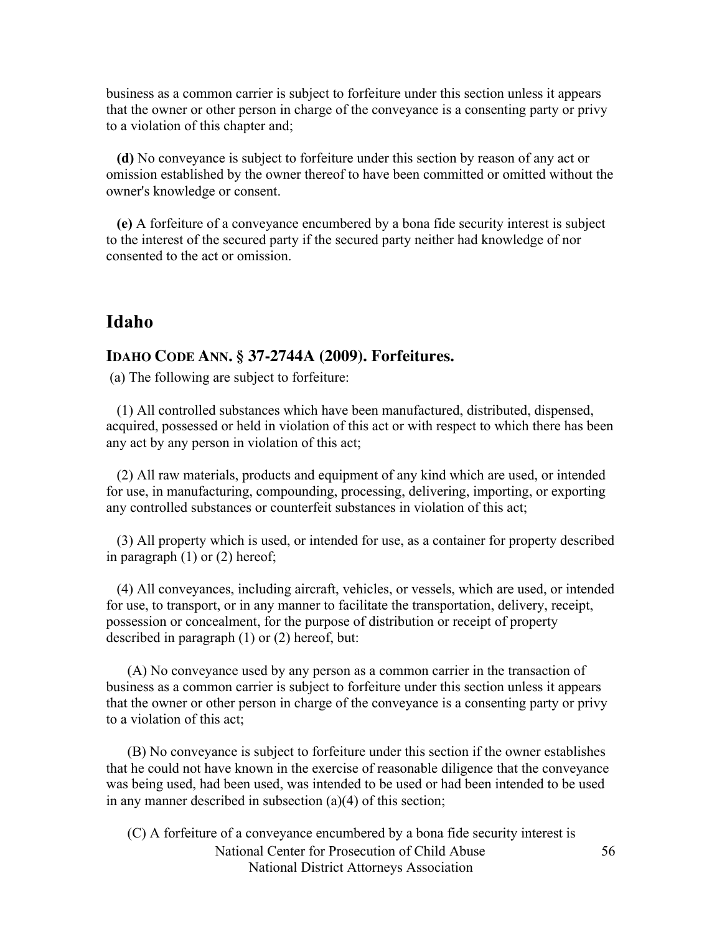business as a common carrier is subject to forfeiture under this section unless it appears that the owner or other person in charge of the conveyance is a consenting party or privy to a violation of this chapter and;

 **(d)** No conveyance is subject to forfeiture under this section by reason of any act or omission established by the owner thereof to have been committed or omitted without the owner's knowledge or consent.

 **(e)** A forfeiture of a conveyance encumbered by a bona fide security interest is subject to the interest of the secured party if the secured party neither had knowledge of nor consented to the act or omission.

## **Idaho**

#### **IDAHO CODE ANN. § 37-2744A (2009). Forfeitures.**

(a) The following are subject to forfeiture:

 (1) All controlled substances which have been manufactured, distributed, dispensed, acquired, possessed or held in violation of this act or with respect to which there has been any act by any person in violation of this act;

 (2) All raw materials, products and equipment of any kind which are used, or intended for use, in manufacturing, compounding, processing, delivering, importing, or exporting any controlled substances or counterfeit substances in violation of this act;

 (3) All property which is used, or intended for use, as a container for property described in paragraph (1) or (2) hereof;

 (4) All conveyances, including aircraft, vehicles, or vessels, which are used, or intended for use, to transport, or in any manner to facilitate the transportation, delivery, receipt, possession or concealment, for the purpose of distribution or receipt of property described in paragraph (1) or (2) hereof, but:

 (A) No conveyance used by any person as a common carrier in the transaction of business as a common carrier is subject to forfeiture under this section unless it appears that the owner or other person in charge of the conveyance is a consenting party or privy to a violation of this act;

 (B) No conveyance is subject to forfeiture under this section if the owner establishes that he could not have known in the exercise of reasonable diligence that the conveyance was being used, had been used, was intended to be used or had been intended to be used in any manner described in subsection (a)(4) of this section;

National Center for Prosecution of Child Abuse National District Attorneys Association (C) A forfeiture of a conveyance encumbered by a bona fide security interest is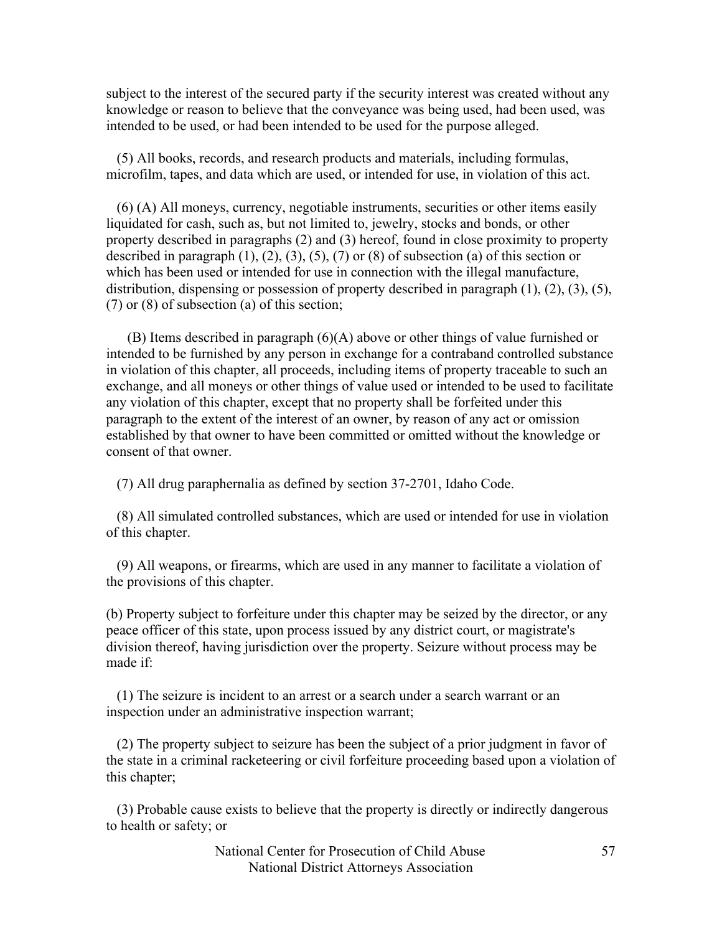subject to the interest of the secured party if the security interest was created without any knowledge or reason to believe that the conveyance was being used, had been used, was intended to be used, or had been intended to be used for the purpose alleged.

 (5) All books, records, and research products and materials, including formulas, microfilm, tapes, and data which are used, or intended for use, in violation of this act.

 (6) (A) All moneys, currency, negotiable instruments, securities or other items easily liquidated for cash, such as, but not limited to, jewelry, stocks and bonds, or other property described in paragraphs (2) and (3) hereof, found in close proximity to property described in paragraph  $(1)$ ,  $(2)$ ,  $(3)$ ,  $(5)$ ,  $(7)$  or  $(8)$  of subsection  $(a)$  of this section or which has been used or intended for use in connection with the illegal manufacture, distribution, dispensing or possession of property described in paragraph  $(1)$ ,  $(2)$ ,  $(3)$ ,  $(5)$ , (7) or (8) of subsection (a) of this section;

 (B) Items described in paragraph (6)(A) above or other things of value furnished or intended to be furnished by any person in exchange for a contraband controlled substance in violation of this chapter, all proceeds, including items of property traceable to such an exchange, and all moneys or other things of value used or intended to be used to facilitate any violation of this chapter, except that no property shall be forfeited under this paragraph to the extent of the interest of an owner, by reason of any act or omission established by that owner to have been committed or omitted without the knowledge or consent of that owner.

(7) All drug paraphernalia as defined by section 37-2701, Idaho Code.

 (8) All simulated controlled substances, which are used or intended for use in violation of this chapter.

 (9) All weapons, or firearms, which are used in any manner to facilitate a violation of the provisions of this chapter.

(b) Property subject to forfeiture under this chapter may be seized by the director, or any peace officer of this state, upon process issued by any district court, or magistrate's division thereof, having jurisdiction over the property. Seizure without process may be made if:

 (1) The seizure is incident to an arrest or a search under a search warrant or an inspection under an administrative inspection warrant;

 (2) The property subject to seizure has been the subject of a prior judgment in favor of the state in a criminal racketeering or civil forfeiture proceeding based upon a violation of this chapter;

 (3) Probable cause exists to believe that the property is directly or indirectly dangerous to health or safety; or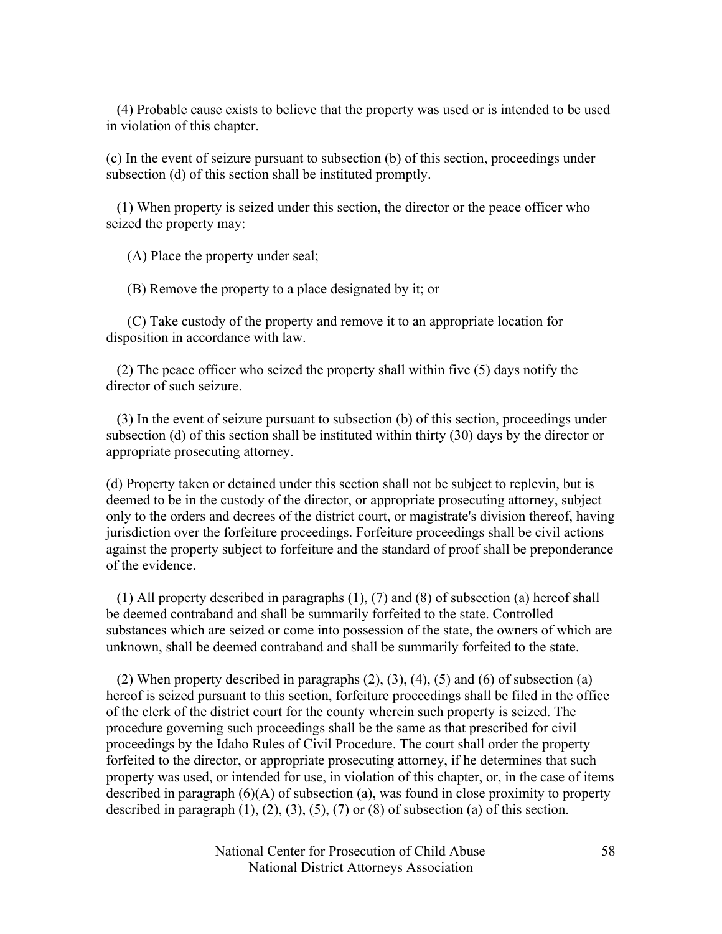(4) Probable cause exists to believe that the property was used or is intended to be used in violation of this chapter.

(c) In the event of seizure pursuant to subsection (b) of this section, proceedings under subsection (d) of this section shall be instituted promptly.

 (1) When property is seized under this section, the director or the peace officer who seized the property may:

(A) Place the property under seal;

(B) Remove the property to a place designated by it; or

 (C) Take custody of the property and remove it to an appropriate location for disposition in accordance with law.

 (2) The peace officer who seized the property shall within five (5) days notify the director of such seizure.

 (3) In the event of seizure pursuant to subsection (b) of this section, proceedings under subsection (d) of this section shall be instituted within thirty (30) days by the director or appropriate prosecuting attorney.

(d) Property taken or detained under this section shall not be subject to replevin, but is deemed to be in the custody of the director, or appropriate prosecuting attorney, subject only to the orders and decrees of the district court, or magistrate's division thereof, having jurisdiction over the forfeiture proceedings. Forfeiture proceedings shall be civil actions against the property subject to forfeiture and the standard of proof shall be preponderance of the evidence.

 (1) All property described in paragraphs (1), (7) and (8) of subsection (a) hereof shall be deemed contraband and shall be summarily forfeited to the state. Controlled substances which are seized or come into possession of the state, the owners of which are unknown, shall be deemed contraband and shall be summarily forfeited to the state.

(2) When property described in paragraphs  $(2)$ ,  $(3)$ ,  $(4)$ ,  $(5)$  and  $(6)$  of subsection  $(a)$ hereof is seized pursuant to this section, forfeiture proceedings shall be filed in the office of the clerk of the district court for the county wherein such property is seized. The procedure governing such proceedings shall be the same as that prescribed for civil proceedings by the Idaho Rules of Civil Procedure. The court shall order the property forfeited to the director, or appropriate prosecuting attorney, if he determines that such property was used, or intended for use, in violation of this chapter, or, in the case of items described in paragraph (6)(A) of subsection (a), was found in close proximity to property described in paragraph  $(1)$ ,  $(2)$ ,  $(3)$ ,  $(5)$ ,  $(7)$  or  $(8)$  of subsection  $(a)$  of this section.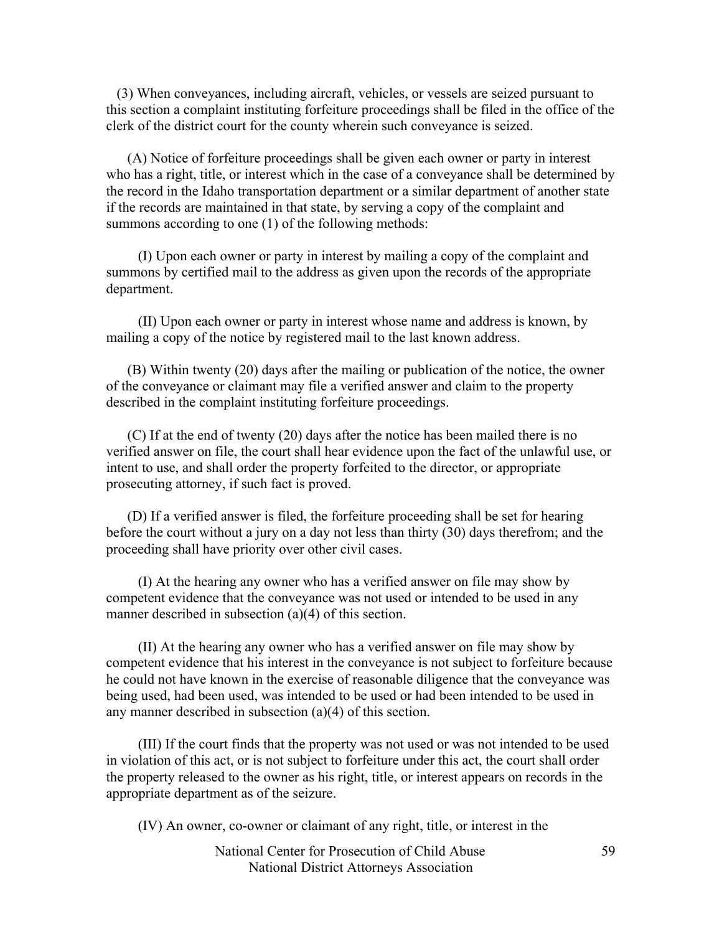(3) When conveyances, including aircraft, vehicles, or vessels are seized pursuant to this section a complaint instituting forfeiture proceedings shall be filed in the office of the clerk of the district court for the county wherein such conveyance is seized.

 (A) Notice of forfeiture proceedings shall be given each owner or party in interest who has a right, title, or interest which in the case of a conveyance shall be determined by the record in the Idaho transportation department or a similar department of another state if the records are maintained in that state, by serving a copy of the complaint and summons according to one (1) of the following methods:

 (I) Upon each owner or party in interest by mailing a copy of the complaint and summons by certified mail to the address as given upon the records of the appropriate department.

 (II) Upon each owner or party in interest whose name and address is known, by mailing a copy of the notice by registered mail to the last known address.

 (B) Within twenty (20) days after the mailing or publication of the notice, the owner of the conveyance or claimant may file a verified answer and claim to the property described in the complaint instituting forfeiture proceedings.

 (C) If at the end of twenty (20) days after the notice has been mailed there is no verified answer on file, the court shall hear evidence upon the fact of the unlawful use, or intent to use, and shall order the property forfeited to the director, or appropriate prosecuting attorney, if such fact is proved.

 (D) If a verified answer is filed, the forfeiture proceeding shall be set for hearing before the court without a jury on a day not less than thirty (30) days therefrom; and the proceeding shall have priority over other civil cases.

 (I) At the hearing any owner who has a verified answer on file may show by competent evidence that the conveyance was not used or intended to be used in any manner described in subsection (a)(4) of this section.

 (II) At the hearing any owner who has a verified answer on file may show by competent evidence that his interest in the conveyance is not subject to forfeiture because he could not have known in the exercise of reasonable diligence that the conveyance was being used, had been used, was intended to be used or had been intended to be used in any manner described in subsection (a)(4) of this section.

 (III) If the court finds that the property was not used or was not intended to be used in violation of this act, or is not subject to forfeiture under this act, the court shall order the property released to the owner as his right, title, or interest appears on records in the appropriate department as of the seizure.

(IV) An owner, co-owner or claimant of any right, title, or interest in the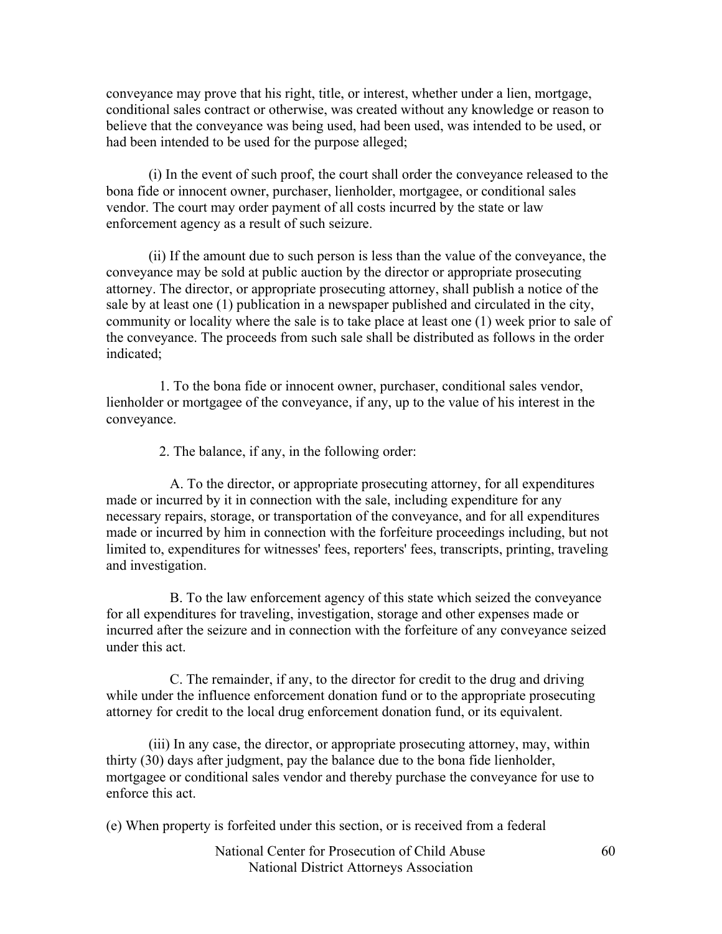conveyance may prove that his right, title, or interest, whether under a lien, mortgage, conditional sales contract or otherwise, was created without any knowledge or reason to believe that the conveyance was being used, had been used, was intended to be used, or had been intended to be used for the purpose alleged;

 (i) In the event of such proof, the court shall order the conveyance released to the bona fide or innocent owner, purchaser, lienholder, mortgagee, or conditional sales vendor. The court may order payment of all costs incurred by the state or law enforcement agency as a result of such seizure.

 (ii) If the amount due to such person is less than the value of the conveyance, the conveyance may be sold at public auction by the director or appropriate prosecuting attorney. The director, or appropriate prosecuting attorney, shall publish a notice of the sale by at least one (1) publication in a newspaper published and circulated in the city, community or locality where the sale is to take place at least one (1) week prior to sale of the conveyance. The proceeds from such sale shall be distributed as follows in the order indicated;

 1. To the bona fide or innocent owner, purchaser, conditional sales vendor, lienholder or mortgagee of the conveyance, if any, up to the value of his interest in the conveyance.

2. The balance, if any, in the following order:

 A. To the director, or appropriate prosecuting attorney, for all expenditures made or incurred by it in connection with the sale, including expenditure for any necessary repairs, storage, or transportation of the conveyance, and for all expenditures made or incurred by him in connection with the forfeiture proceedings including, but not limited to, expenditures for witnesses' fees, reporters' fees, transcripts, printing, traveling and investigation.

 B. To the law enforcement agency of this state which seized the conveyance for all expenditures for traveling, investigation, storage and other expenses made or incurred after the seizure and in connection with the forfeiture of any conveyance seized under this act.

 C. The remainder, if any, to the director for credit to the drug and driving while under the influence enforcement donation fund or to the appropriate prosecuting attorney for credit to the local drug enforcement donation fund, or its equivalent.

 (iii) In any case, the director, or appropriate prosecuting attorney, may, within thirty (30) days after judgment, pay the balance due to the bona fide lienholder, mortgagee or conditional sales vendor and thereby purchase the conveyance for use to enforce this act.

(e) When property is forfeited under this section, or is received from a federal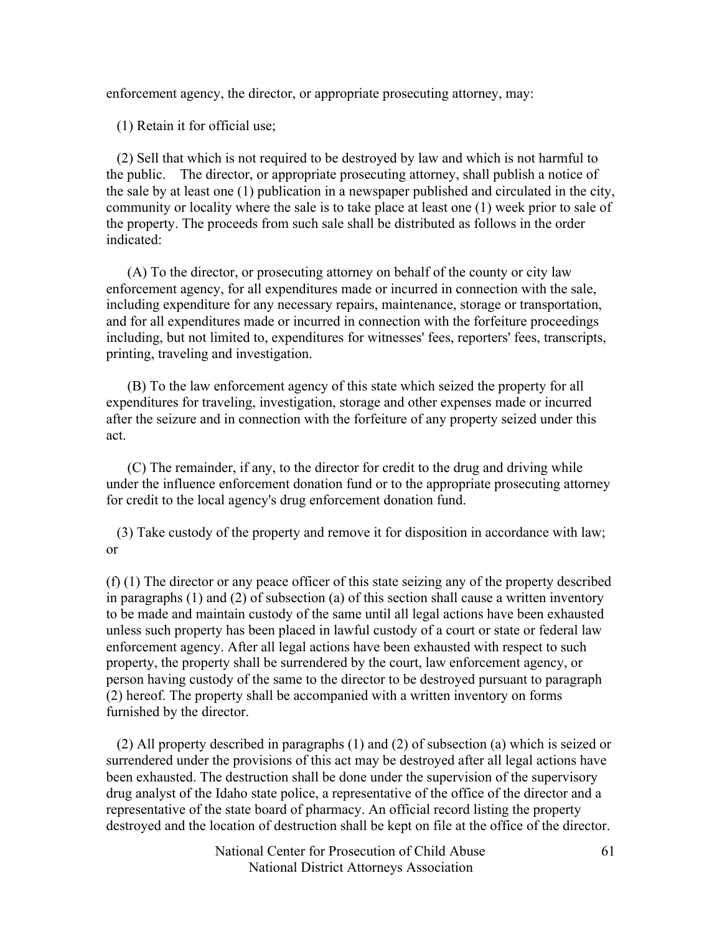enforcement agency, the director, or appropriate prosecuting attorney, may:

(1) Retain it for official use;

 (2) Sell that which is not required to be destroyed by law and which is not harmful to the public. The director, or appropriate prosecuting attorney, shall publish a notice of the sale by at least one (1) publication in a newspaper published and circulated in the city, community or locality where the sale is to take place at least one (1) week prior to sale of the property. The proceeds from such sale shall be distributed as follows in the order indicated:

 (A) To the director, or prosecuting attorney on behalf of the county or city law enforcement agency, for all expenditures made or incurred in connection with the sale, including expenditure for any necessary repairs, maintenance, storage or transportation, and for all expenditures made or incurred in connection with the forfeiture proceedings including, but not limited to, expenditures for witnesses' fees, reporters' fees, transcripts, printing, traveling and investigation.

 (B) To the law enforcement agency of this state which seized the property for all expenditures for traveling, investigation, storage and other expenses made or incurred after the seizure and in connection with the forfeiture of any property seized under this act.

 (C) The remainder, if any, to the director for credit to the drug and driving while under the influence enforcement donation fund or to the appropriate prosecuting attorney for credit to the local agency's drug enforcement donation fund.

 (3) Take custody of the property and remove it for disposition in accordance with law; or

(f) (1) The director or any peace officer of this state seizing any of the property described in paragraphs (1) and (2) of subsection (a) of this section shall cause a written inventory to be made and maintain custody of the same until all legal actions have been exhausted unless such property has been placed in lawful custody of a court or state or federal law enforcement agency. After all legal actions have been exhausted with respect to such property, the property shall be surrendered by the court, law enforcement agency, or person having custody of the same to the director to be destroyed pursuant to paragraph (2) hereof. The property shall be accompanied with a written inventory on forms furnished by the director.

 (2) All property described in paragraphs (1) and (2) of subsection (a) which is seized or surrendered under the provisions of this act may be destroyed after all legal actions have been exhausted. The destruction shall be done under the supervision of the supervisory drug analyst of the Idaho state police, a representative of the office of the director and a representative of the state board of pharmacy. An official record listing the property destroyed and the location of destruction shall be kept on file at the office of the director.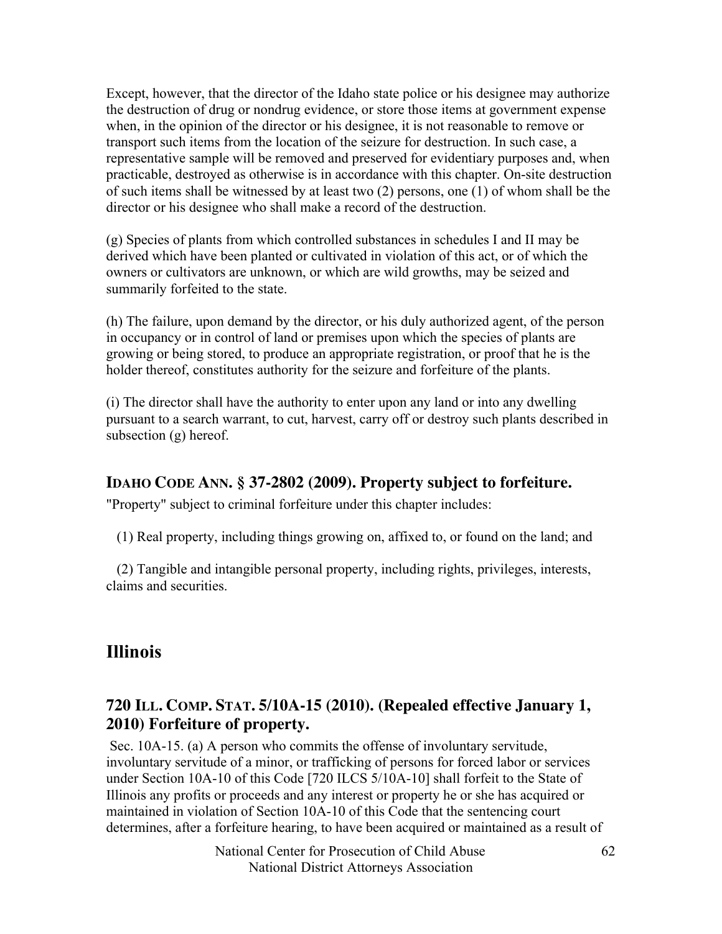Except, however, that the director of the Idaho state police or his designee may authorize the destruction of drug or nondrug evidence, or store those items at government expense when, in the opinion of the director or his designee, it is not reasonable to remove or transport such items from the location of the seizure for destruction. In such case, a representative sample will be removed and preserved for evidentiary purposes and, when practicable, destroyed as otherwise is in accordance with this chapter. On-site destruction of such items shall be witnessed by at least two (2) persons, one (1) of whom shall be the director or his designee who shall make a record of the destruction.

(g) Species of plants from which controlled substances in schedules I and II may be derived which have been planted or cultivated in violation of this act, or of which the owners or cultivators are unknown, or which are wild growths, may be seized and summarily forfeited to the state.

(h) The failure, upon demand by the director, or his duly authorized agent, of the person in occupancy or in control of land or premises upon which the species of plants are growing or being stored, to produce an appropriate registration, or proof that he is the holder thereof, constitutes authority for the seizure and forfeiture of the plants.

(i) The director shall have the authority to enter upon any land or into any dwelling pursuant to a search warrant, to cut, harvest, carry off or destroy such plants described in subsection (g) hereof.

#### **IDAHO CODE ANN. § 37-2802 (2009). Property subject to forfeiture.**

"Property" subject to criminal forfeiture under this chapter includes:

(1) Real property, including things growing on, affixed to, or found on the land; and

 (2) Tangible and intangible personal property, including rights, privileges, interests, claims and securities.

## **Illinois**

## **720 ILL. COMP. STAT. 5/10A-15 (2010). (Repealed effective January 1, 2010) Forfeiture of property.**

Sec. 10A-15. (a) A person who commits the offense of involuntary servitude, involuntary servitude of a minor, or trafficking of persons for forced labor or services under Section 10A-10 of this Code [720 ILCS 5/10A-10] shall forfeit to the State of Illinois any profits or proceeds and any interest or property he or she has acquired or maintained in violation of Section 10A-10 of this Code that the sentencing court determines, after a forfeiture hearing, to have been acquired or maintained as a result of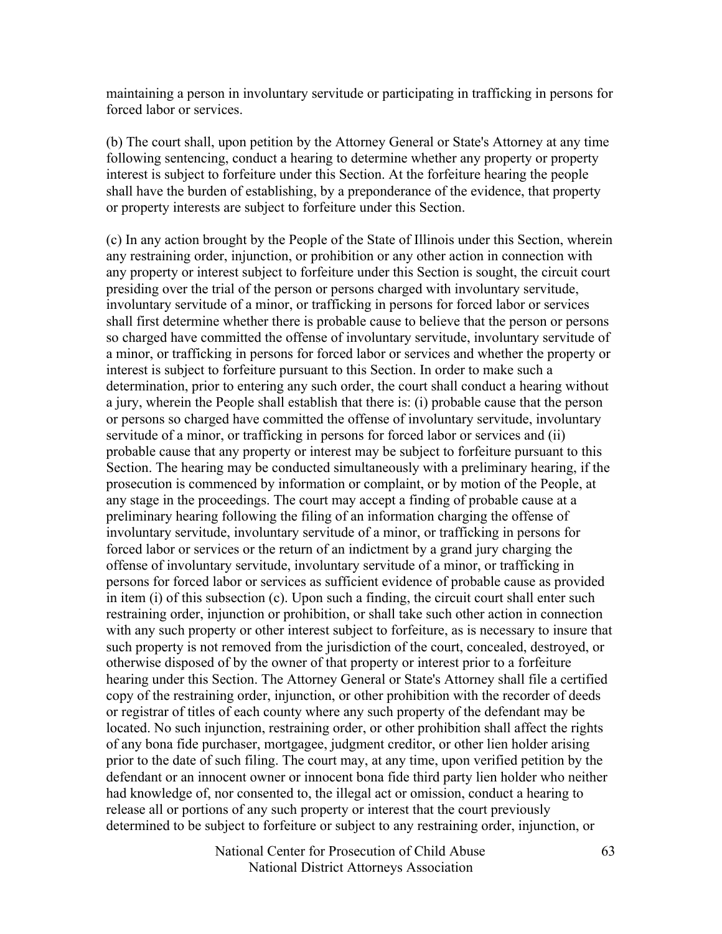maintaining a person in involuntary servitude or participating in trafficking in persons for forced labor or services.

(b) The court shall, upon petition by the Attorney General or State's Attorney at any time following sentencing, conduct a hearing to determine whether any property or property interest is subject to forfeiture under this Section. At the forfeiture hearing the people shall have the burden of establishing, by a preponderance of the evidence, that property or property interests are subject to forfeiture under this Section.

(c) In any action brought by the People of the State of Illinois under this Section, wherein any restraining order, injunction, or prohibition or any other action in connection with any property or interest subject to forfeiture under this Section is sought, the circuit court presiding over the trial of the person or persons charged with involuntary servitude, involuntary servitude of a minor, or trafficking in persons for forced labor or services shall first determine whether there is probable cause to believe that the person or persons so charged have committed the offense of involuntary servitude, involuntary servitude of a minor, or trafficking in persons for forced labor or services and whether the property or interest is subject to forfeiture pursuant to this Section. In order to make such a determination, prior to entering any such order, the court shall conduct a hearing without a jury, wherein the People shall establish that there is: (i) probable cause that the person or persons so charged have committed the offense of involuntary servitude, involuntary servitude of a minor, or trafficking in persons for forced labor or services and (ii) probable cause that any property or interest may be subject to forfeiture pursuant to this Section. The hearing may be conducted simultaneously with a preliminary hearing, if the prosecution is commenced by information or complaint, or by motion of the People, at any stage in the proceedings. The court may accept a finding of probable cause at a preliminary hearing following the filing of an information charging the offense of involuntary servitude, involuntary servitude of a minor, or trafficking in persons for forced labor or services or the return of an indictment by a grand jury charging the offense of involuntary servitude, involuntary servitude of a minor, or trafficking in persons for forced labor or services as sufficient evidence of probable cause as provided in item (i) of this subsection (c). Upon such a finding, the circuit court shall enter such restraining order, injunction or prohibition, or shall take such other action in connection with any such property or other interest subject to forfeiture, as is necessary to insure that such property is not removed from the jurisdiction of the court, concealed, destroyed, or otherwise disposed of by the owner of that property or interest prior to a forfeiture hearing under this Section. The Attorney General or State's Attorney shall file a certified copy of the restraining order, injunction, or other prohibition with the recorder of deeds or registrar of titles of each county where any such property of the defendant may be located. No such injunction, restraining order, or other prohibition shall affect the rights of any bona fide purchaser, mortgagee, judgment creditor, or other lien holder arising prior to the date of such filing. The court may, at any time, upon verified petition by the defendant or an innocent owner or innocent bona fide third party lien holder who neither had knowledge of, nor consented to, the illegal act or omission, conduct a hearing to release all or portions of any such property or interest that the court previously determined to be subject to forfeiture or subject to any restraining order, injunction, or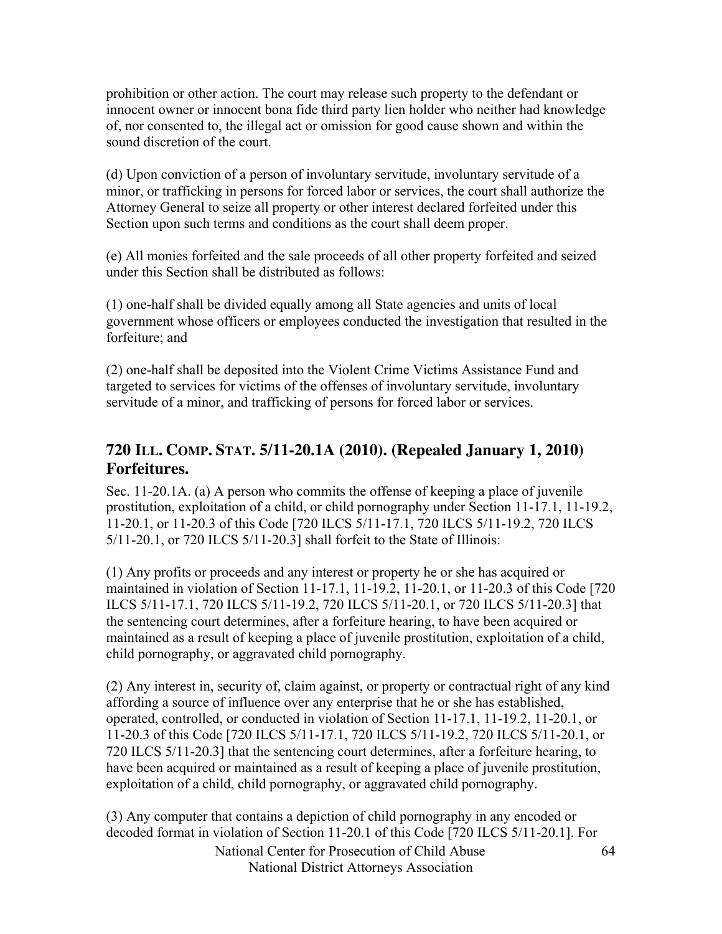prohibition or other action. The court may release such property to the defendant or innocent owner or innocent bona fide third party lien holder who neither had knowledge of, nor consented to, the illegal act or omission for good cause shown and within the sound discretion of the court.

(d) Upon conviction of a person of involuntary servitude, involuntary servitude of a minor, or trafficking in persons for forced labor or services, the court shall authorize the Attorney General to seize all property or other interest declared forfeited under this Section upon such terms and conditions as the court shall deem proper.

(e) All monies forfeited and the sale proceeds of all other property forfeited and seized under this Section shall be distributed as follows:

(1) one-half shall be divided equally among all State agencies and units of local government whose officers or employees conducted the investigation that resulted in the forfeiture; and

(2) one-half shall be deposited into the Violent Crime Victims Assistance Fund and targeted to services for victims of the offenses of involuntary servitude, involuntary servitude of a minor, and trafficking of persons for forced labor or services.

# **720 ILL. COMP. STAT. 5/11-20.1A (2010). (Repealed January 1, 2010) Forfeitures.**

Sec. 11-20.1A. (a) A person who commits the offense of keeping a place of juvenile prostitution, exploitation of a child, or child pornography under Section 11-17.1, 11-19.2, 11-20.1, or 11-20.3 of this Code [720 ILCS 5/11-17.1, 720 ILCS 5/11-19.2, 720 ILCS 5/11-20.1, or 720 ILCS 5/11-20.3] shall forfeit to the State of Illinois:

(1) Any profits or proceeds and any interest or property he or she has acquired or maintained in violation of Section 11-17.1, 11-19.2, 11-20.1, or 11-20.3 of this Code [720 ILCS 5/11-17.1, 720 ILCS 5/11-19.2, 720 ILCS 5/11-20.1, or 720 ILCS 5/11-20.3] that the sentencing court determines, after a forfeiture hearing, to have been acquired or maintained as a result of keeping a place of juvenile prostitution, exploitation of a child, child pornography, or aggravated child pornography.

(2) Any interest in, security of, claim against, or property or contractual right of any kind affording a source of influence over any enterprise that he or she has established, operated, controlled, or conducted in violation of Section 11-17.1, 11-19.2, 11-20.1, or 11-20.3 of this Code [720 ILCS 5/11-17.1, 720 ILCS 5/11-19.2, 720 ILCS 5/11-20.1, or 720 ILCS 5/11-20.3] that the sentencing court determines, after a forfeiture hearing, to have been acquired or maintained as a result of keeping a place of juvenile prostitution, exploitation of a child, child pornography, or aggravated child pornography.

National Center for Prosecution of Child Abuse National District Attorneys Association 64 (3) Any computer that contains a depiction of child pornography in any encoded or decoded format in violation of Section 11-20.1 of this Code [720 ILCS 5/11-20.1]. For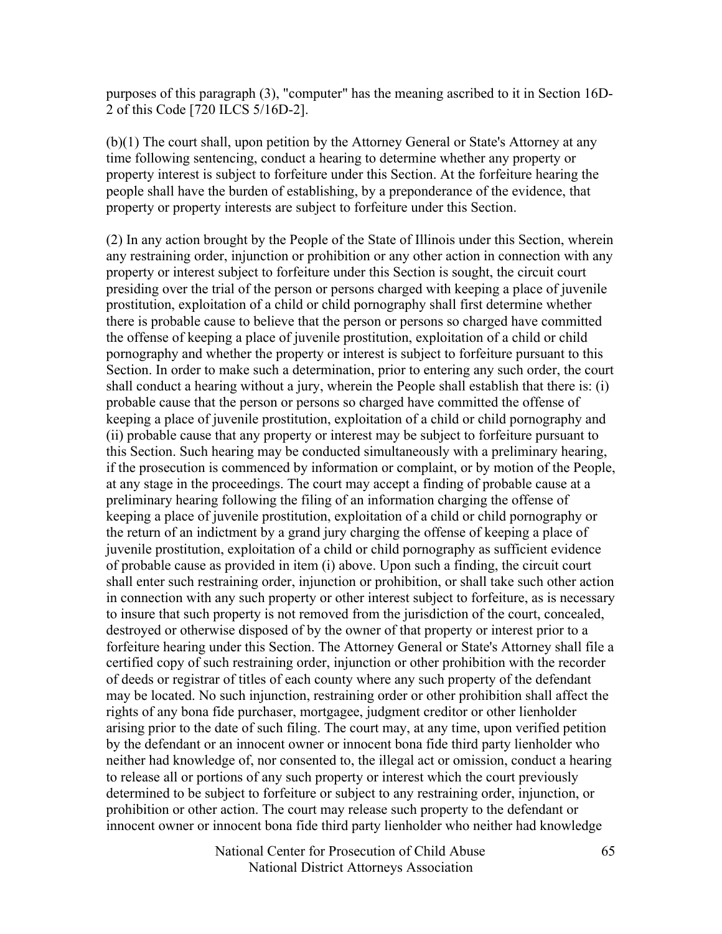purposes of this paragraph (3), "computer" has the meaning ascribed to it in Section 16D-2 of this Code [720 ILCS 5/16D-2].

(b)(1) The court shall, upon petition by the Attorney General or State's Attorney at any time following sentencing, conduct a hearing to determine whether any property or property interest is subject to forfeiture under this Section. At the forfeiture hearing the people shall have the burden of establishing, by a preponderance of the evidence, that property or property interests are subject to forfeiture under this Section.

(2) In any action brought by the People of the State of Illinois under this Section, wherein any restraining order, injunction or prohibition or any other action in connection with any property or interest subject to forfeiture under this Section is sought, the circuit court presiding over the trial of the person or persons charged with keeping a place of juvenile prostitution, exploitation of a child or child pornography shall first determine whether there is probable cause to believe that the person or persons so charged have committed the offense of keeping a place of juvenile prostitution, exploitation of a child or child pornography and whether the property or interest is subject to forfeiture pursuant to this Section. In order to make such a determination, prior to entering any such order, the court shall conduct a hearing without a jury, wherein the People shall establish that there is: (i) probable cause that the person or persons so charged have committed the offense of keeping a place of juvenile prostitution, exploitation of a child or child pornography and (ii) probable cause that any property or interest may be subject to forfeiture pursuant to this Section. Such hearing may be conducted simultaneously with a preliminary hearing, if the prosecution is commenced by information or complaint, or by motion of the People, at any stage in the proceedings. The court may accept a finding of probable cause at a preliminary hearing following the filing of an information charging the offense of keeping a place of juvenile prostitution, exploitation of a child or child pornography or the return of an indictment by a grand jury charging the offense of keeping a place of juvenile prostitution, exploitation of a child or child pornography as sufficient evidence of probable cause as provided in item (i) above. Upon such a finding, the circuit court shall enter such restraining order, injunction or prohibition, or shall take such other action in connection with any such property or other interest subject to forfeiture, as is necessary to insure that such property is not removed from the jurisdiction of the court, concealed, destroyed or otherwise disposed of by the owner of that property or interest prior to a forfeiture hearing under this Section. The Attorney General or State's Attorney shall file a certified copy of such restraining order, injunction or other prohibition with the recorder of deeds or registrar of titles of each county where any such property of the defendant may be located. No such injunction, restraining order or other prohibition shall affect the rights of any bona fide purchaser, mortgagee, judgment creditor or other lienholder arising prior to the date of such filing. The court may, at any time, upon verified petition by the defendant or an innocent owner or innocent bona fide third party lienholder who neither had knowledge of, nor consented to, the illegal act or omission, conduct a hearing to release all or portions of any such property or interest which the court previously determined to be subject to forfeiture or subject to any restraining order, injunction, or prohibition or other action. The court may release such property to the defendant or innocent owner or innocent bona fide third party lienholder who neither had knowledge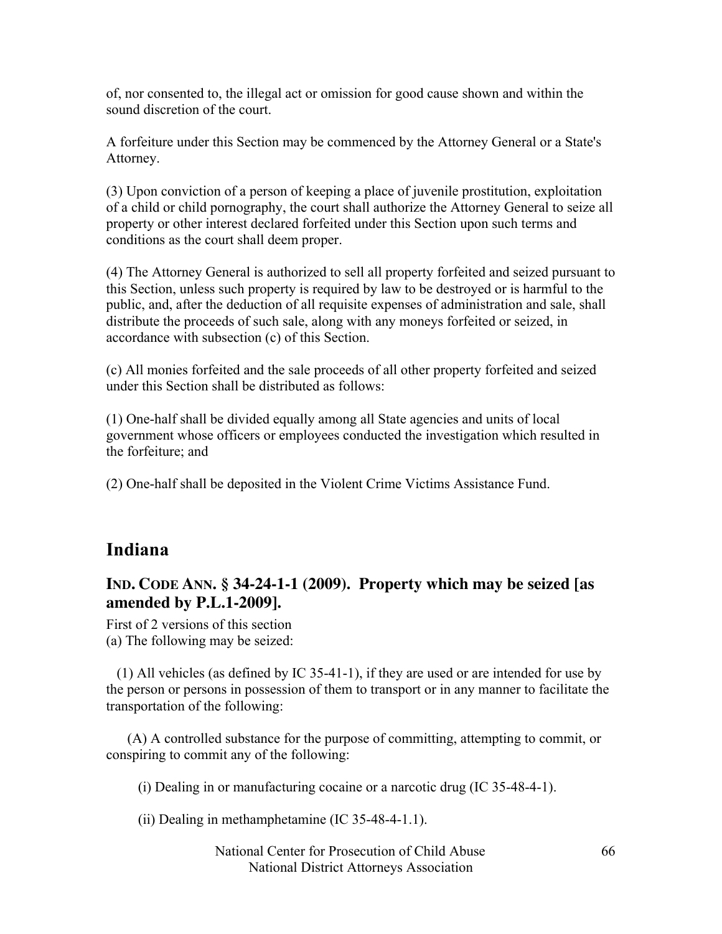of, nor consented to, the illegal act or omission for good cause shown and within the sound discretion of the court.

A forfeiture under this Section may be commenced by the Attorney General or a State's Attorney.

(3) Upon conviction of a person of keeping a place of juvenile prostitution, exploitation of a child or child pornography, the court shall authorize the Attorney General to seize all property or other interest declared forfeited under this Section upon such terms and conditions as the court shall deem proper.

(4) The Attorney General is authorized to sell all property forfeited and seized pursuant to this Section, unless such property is required by law to be destroyed or is harmful to the public, and, after the deduction of all requisite expenses of administration and sale, shall distribute the proceeds of such sale, along with any moneys forfeited or seized, in accordance with subsection (c) of this Section.

(c) All monies forfeited and the sale proceeds of all other property forfeited and seized under this Section shall be distributed as follows:

(1) One-half shall be divided equally among all State agencies and units of local government whose officers or employees conducted the investigation which resulted in the forfeiture; and

(2) One-half shall be deposited in the Violent Crime Victims Assistance Fund.

# **Indiana**

## **IND. CODE ANN. § 34-24-1-1 (2009). Property which may be seized [as amended by P.L.1-2009].**

First of 2 versions of this section (a) The following may be seized:

 (1) All vehicles (as defined by IC 35-41-1), if they are used or are intended for use by the person or persons in possession of them to transport or in any manner to facilitate the transportation of the following:

 (A) A controlled substance for the purpose of committing, attempting to commit, or conspiring to commit any of the following:

(i) Dealing in or manufacturing cocaine or a narcotic drug (IC 35-48-4-1).

(ii) Dealing in methamphetamine (IC 35-48-4-1.1).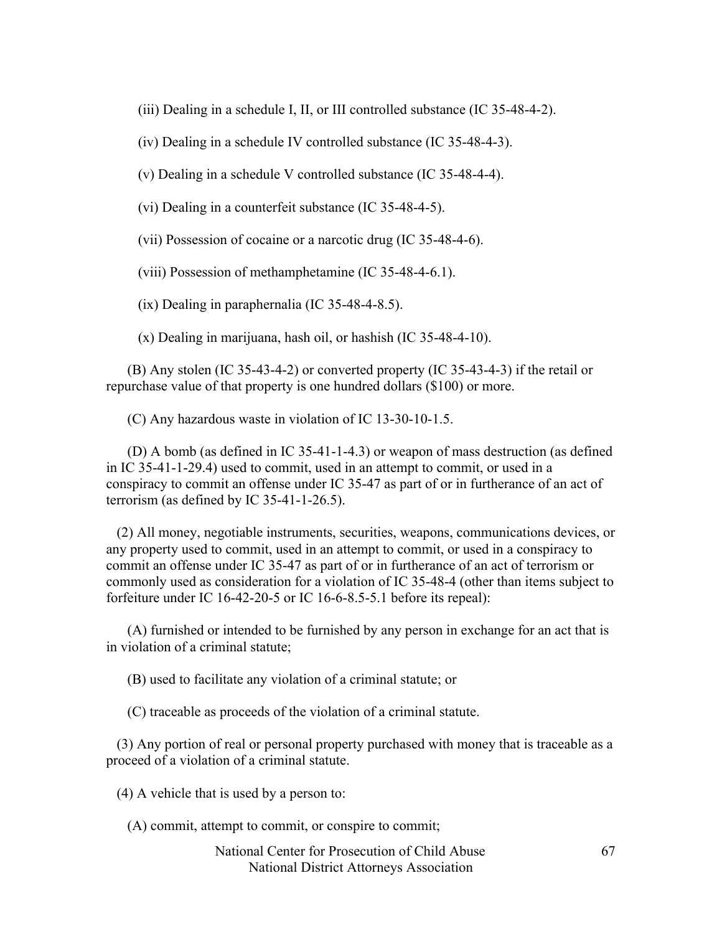- (iii) Dealing in a schedule I, II, or III controlled substance (IC 35-48-4-2).
- (iv) Dealing in a schedule IV controlled substance (IC 35-48-4-3).
- (v) Dealing in a schedule V controlled substance (IC 35-48-4-4).
- (vi) Dealing in a counterfeit substance (IC 35-48-4-5).
- (vii) Possession of cocaine or a narcotic drug (IC 35-48-4-6).
- (viii) Possession of methamphetamine (IC 35-48-4-6.1).
- (ix) Dealing in paraphernalia (IC 35-48-4-8.5).
- (x) Dealing in marijuana, hash oil, or hashish (IC 35-48-4-10).
- (B) Any stolen (IC 35-43-4-2) or converted property (IC 35-43-4-3) if the retail or repurchase value of that property is one hundred dollars (\$100) or more.
	- (C) Any hazardous waste in violation of IC 13-30-10-1.5.
- (D) A bomb (as defined in IC 35-41-1-4.3) or weapon of mass destruction (as defined in IC 35-41-1-29.4) used to commit, used in an attempt to commit, or used in a conspiracy to commit an offense under IC 35-47 as part of or in furtherance of an act of terrorism (as defined by IC 35-41-1-26.5).
- (2) All money, negotiable instruments, securities, weapons, communications devices, or any property used to commit, used in an attempt to commit, or used in a conspiracy to commit an offense under IC 35-47 as part of or in furtherance of an act of terrorism or commonly used as consideration for a violation of IC 35-48-4 (other than items subject to forfeiture under IC 16-42-20-5 or IC 16-6-8.5-5.1 before its repeal):
- (A) furnished or intended to be furnished by any person in exchange for an act that is in violation of a criminal statute;
	- (B) used to facilitate any violation of a criminal statute; or
	- (C) traceable as proceeds of the violation of a criminal statute.
- (3) Any portion of real or personal property purchased with money that is traceable as a proceed of a violation of a criminal statute.
	- (4) A vehicle that is used by a person to:
		- (A) commit, attempt to commit, or conspire to commit;
			- National Center for Prosecution of Child Abuse National District Attorneys Association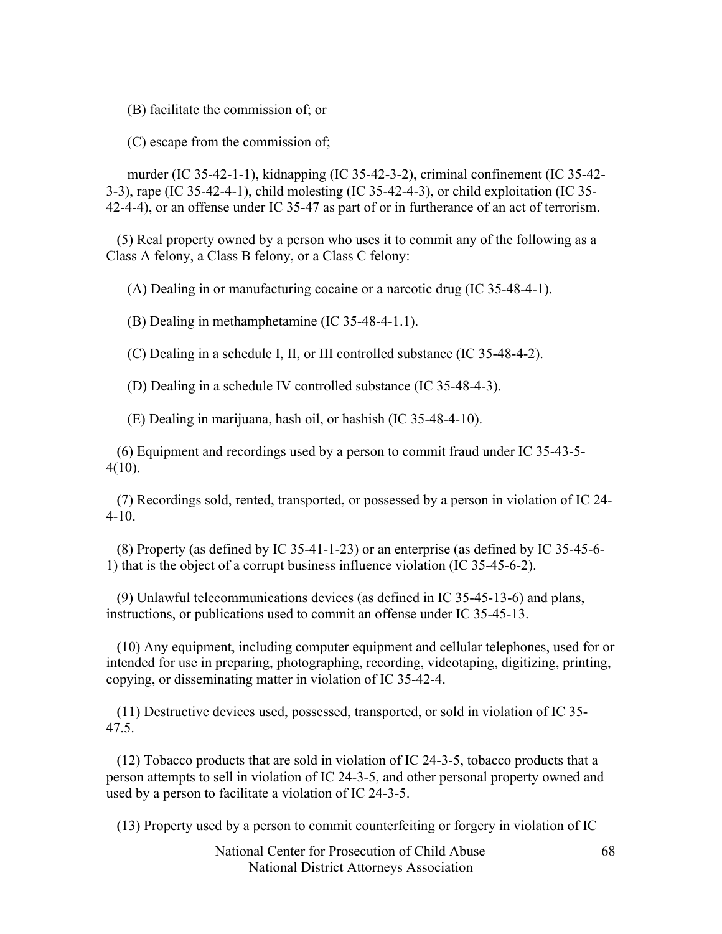(B) facilitate the commission of; or

(C) escape from the commission of;

 murder (IC 35-42-1-1), kidnapping (IC 35-42-3-2), criminal confinement (IC 35-42- 3-3), rape (IC 35-42-4-1), child molesting (IC 35-42-4-3), or child exploitation (IC 35- 42-4-4), or an offense under IC 35-47 as part of or in furtherance of an act of terrorism.

 (5) Real property owned by a person who uses it to commit any of the following as a Class A felony, a Class B felony, or a Class C felony:

(A) Dealing in or manufacturing cocaine or a narcotic drug (IC 35-48-4-1).

(B) Dealing in methamphetamine (IC 35-48-4-1.1).

(C) Dealing in a schedule I, II, or III controlled substance (IC 35-48-4-2).

(D) Dealing in a schedule IV controlled substance (IC 35-48-4-3).

(E) Dealing in marijuana, hash oil, or hashish (IC 35-48-4-10).

 (6) Equipment and recordings used by a person to commit fraud under IC 35-43-5- 4(10).

 (7) Recordings sold, rented, transported, or possessed by a person in violation of IC 24- 4-10.

 (8) Property (as defined by IC 35-41-1-23) or an enterprise (as defined by IC 35-45-6- 1) that is the object of a corrupt business influence violation (IC 35-45-6-2).

 (9) Unlawful telecommunications devices (as defined in IC 35-45-13-6) and plans, instructions, or publications used to commit an offense under IC 35-45-13.

 (10) Any equipment, including computer equipment and cellular telephones, used for or intended for use in preparing, photographing, recording, videotaping, digitizing, printing, copying, or disseminating matter in violation of IC 35-42-4.

 (11) Destructive devices used, possessed, transported, or sold in violation of IC 35- 47.5.

 (12) Tobacco products that are sold in violation of IC 24-3-5, tobacco products that a person attempts to sell in violation of IC 24-3-5, and other personal property owned and used by a person to facilitate a violation of IC 24-3-5.

(13) Property used by a person to commit counterfeiting or forgery in violation of IC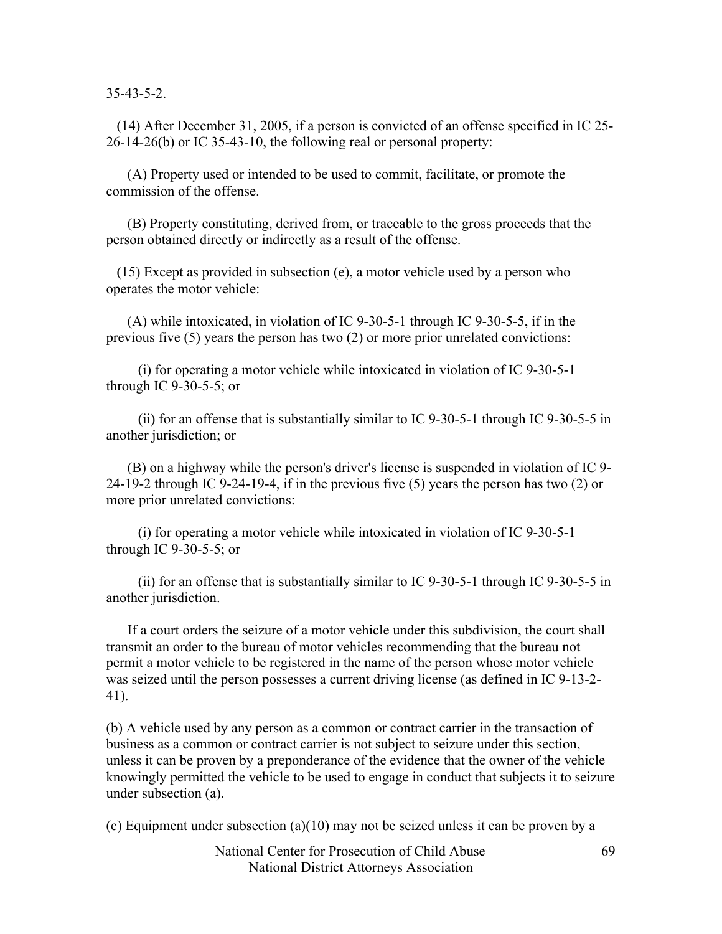35-43-5-2.

 (14) After December 31, 2005, if a person is convicted of an offense specified in IC 25- 26-14-26(b) or IC 35-43-10, the following real or personal property:

 (A) Property used or intended to be used to commit, facilitate, or promote the commission of the offense.

 (B) Property constituting, derived from, or traceable to the gross proceeds that the person obtained directly or indirectly as a result of the offense.

 (15) Except as provided in subsection (e), a motor vehicle used by a person who operates the motor vehicle:

 (A) while intoxicated, in violation of IC 9-30-5-1 through IC 9-30-5-5, if in the previous five (5) years the person has two (2) or more prior unrelated convictions:

 (i) for operating a motor vehicle while intoxicated in violation of IC 9-30-5-1 through IC 9-30-5-5; or

 (ii) for an offense that is substantially similar to IC 9-30-5-1 through IC 9-30-5-5 in another jurisdiction; or

 (B) on a highway while the person's driver's license is suspended in violation of IC 9- 24-19-2 through IC 9-24-19-4, if in the previous five (5) years the person has two (2) or more prior unrelated convictions:

 (i) for operating a motor vehicle while intoxicated in violation of IC 9-30-5-1 through IC 9-30-5-5; or

 (ii) for an offense that is substantially similar to IC 9-30-5-1 through IC 9-30-5-5 in another jurisdiction.

 If a court orders the seizure of a motor vehicle under this subdivision, the court shall transmit an order to the bureau of motor vehicles recommending that the bureau not permit a motor vehicle to be registered in the name of the person whose motor vehicle was seized until the person possesses a current driving license (as defined in IC 9-13-2- 41).

(b) A vehicle used by any person as a common or contract carrier in the transaction of business as a common or contract carrier is not subject to seizure under this section, unless it can be proven by a preponderance of the evidence that the owner of the vehicle knowingly permitted the vehicle to be used to engage in conduct that subjects it to seizure under subsection (a).

(c) Equipment under subsection (a)(10) may not be seized unless it can be proven by a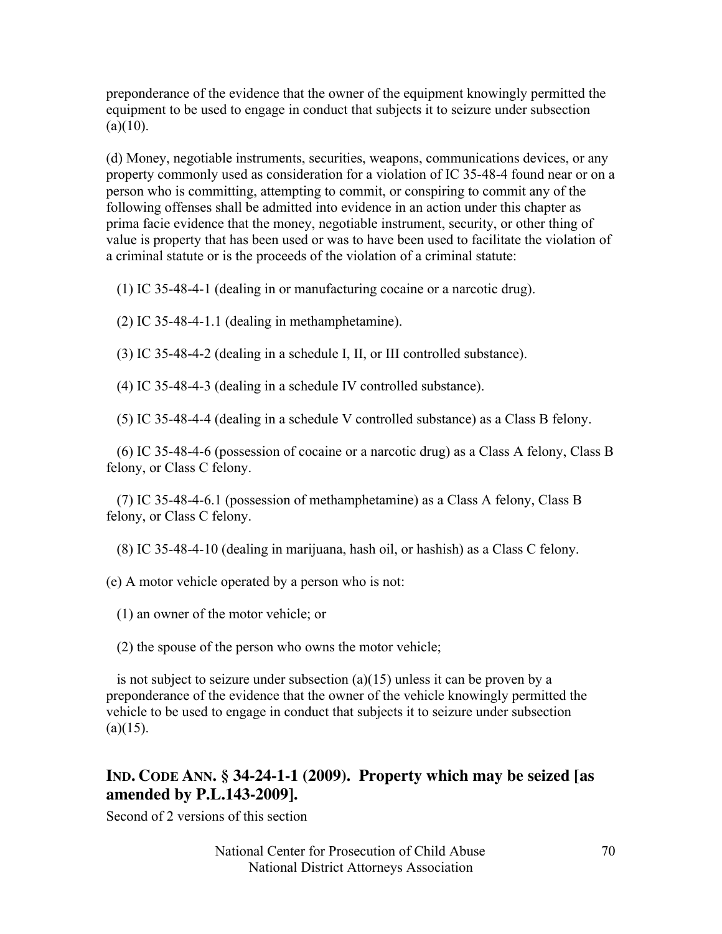preponderance of the evidence that the owner of the equipment knowingly permitted the equipment to be used to engage in conduct that subjects it to seizure under subsection  $(a)(10)$ .

(d) Money, negotiable instruments, securities, weapons, communications devices, or any property commonly used as consideration for a violation of IC 35-48-4 found near or on a person who is committing, attempting to commit, or conspiring to commit any of the following offenses shall be admitted into evidence in an action under this chapter as prima facie evidence that the money, negotiable instrument, security, or other thing of value is property that has been used or was to have been used to facilitate the violation of a criminal statute or is the proceeds of the violation of a criminal statute:

(1) IC 35-48-4-1 (dealing in or manufacturing cocaine or a narcotic drug).

(2) IC 35-48-4-1.1 (dealing in methamphetamine).

(3) IC 35-48-4-2 (dealing in a schedule I, II, or III controlled substance).

(4) IC 35-48-4-3 (dealing in a schedule IV controlled substance).

(5) IC 35-48-4-4 (dealing in a schedule V controlled substance) as a Class B felony.

 (6) IC 35-48-4-6 (possession of cocaine or a narcotic drug) as a Class A felony, Class B felony, or Class C felony.

 (7) IC 35-48-4-6.1 (possession of methamphetamine) as a Class A felony, Class B felony, or Class C felony.

(8) IC 35-48-4-10 (dealing in marijuana, hash oil, or hashish) as a Class C felony.

(e) A motor vehicle operated by a person who is not:

(1) an owner of the motor vehicle; or

(2) the spouse of the person who owns the motor vehicle;

 is not subject to seizure under subsection (a)(15) unless it can be proven by a preponderance of the evidence that the owner of the vehicle knowingly permitted the vehicle to be used to engage in conduct that subjects it to seizure under subsection  $(a)(15)$ .

## **IND. CODE ANN. § 34-24-1-1 (2009). Property which may be seized [as amended by P.L.143-2009].**

Second of 2 versions of this section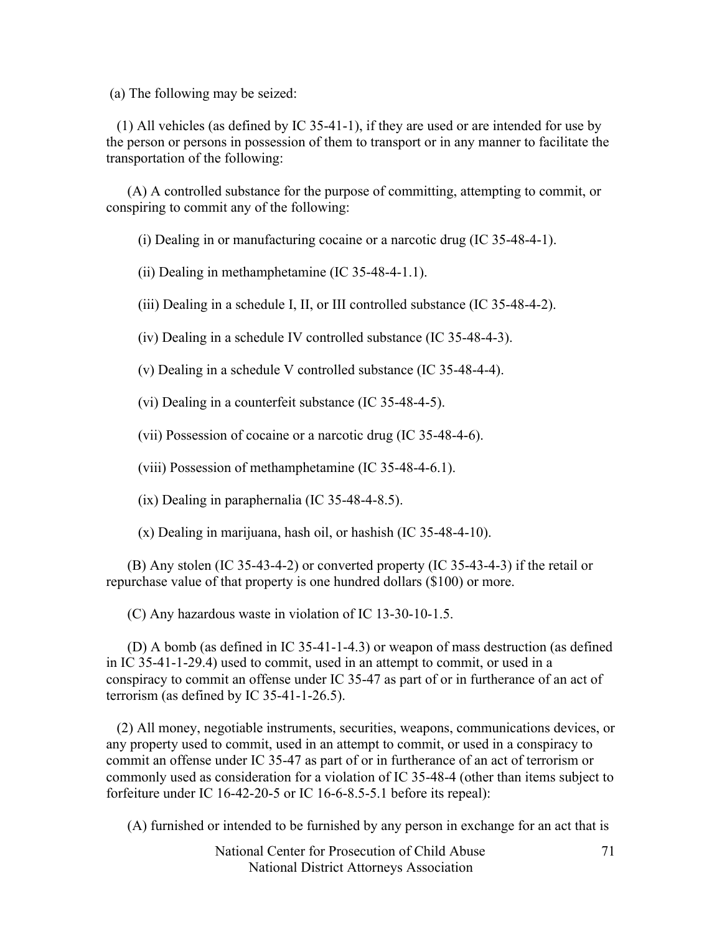(a) The following may be seized:

 (1) All vehicles (as defined by IC 35-41-1), if they are used or are intended for use by the person or persons in possession of them to transport or in any manner to facilitate the transportation of the following:

 (A) A controlled substance for the purpose of committing, attempting to commit, or conspiring to commit any of the following:

(i) Dealing in or manufacturing cocaine or a narcotic drug (IC 35-48-4-1).

(ii) Dealing in methamphetamine (IC 35-48-4-1.1).

(iii) Dealing in a schedule I, II, or III controlled substance (IC 35-48-4-2).

(iv) Dealing in a schedule IV controlled substance (IC 35-48-4-3).

(v) Dealing in a schedule V controlled substance (IC 35-48-4-4).

(vi) Dealing in a counterfeit substance (IC 35-48-4-5).

(vii) Possession of cocaine or a narcotic drug (IC 35-48-4-6).

(viii) Possession of methamphetamine (IC 35-48-4-6.1).

(ix) Dealing in paraphernalia (IC 35-48-4-8.5).

(x) Dealing in marijuana, hash oil, or hashish (IC 35-48-4-10).

 (B) Any stolen (IC 35-43-4-2) or converted property (IC 35-43-4-3) if the retail or repurchase value of that property is one hundred dollars (\$100) or more.

(C) Any hazardous waste in violation of IC 13-30-10-1.5.

 (D) A bomb (as defined in IC 35-41-1-4.3) or weapon of mass destruction (as defined in IC 35-41-1-29.4) used to commit, used in an attempt to commit, or used in a conspiracy to commit an offense under IC 35-47 as part of or in furtherance of an act of terrorism (as defined by IC 35-41-1-26.5).

 (2) All money, negotiable instruments, securities, weapons, communications devices, or any property used to commit, used in an attempt to commit, or used in a conspiracy to commit an offense under IC 35-47 as part of or in furtherance of an act of terrorism or commonly used as consideration for a violation of IC 35-48-4 (other than items subject to forfeiture under IC 16-42-20-5 or IC 16-6-8.5-5.1 before its repeal):

(A) furnished or intended to be furnished by any person in exchange for an act that is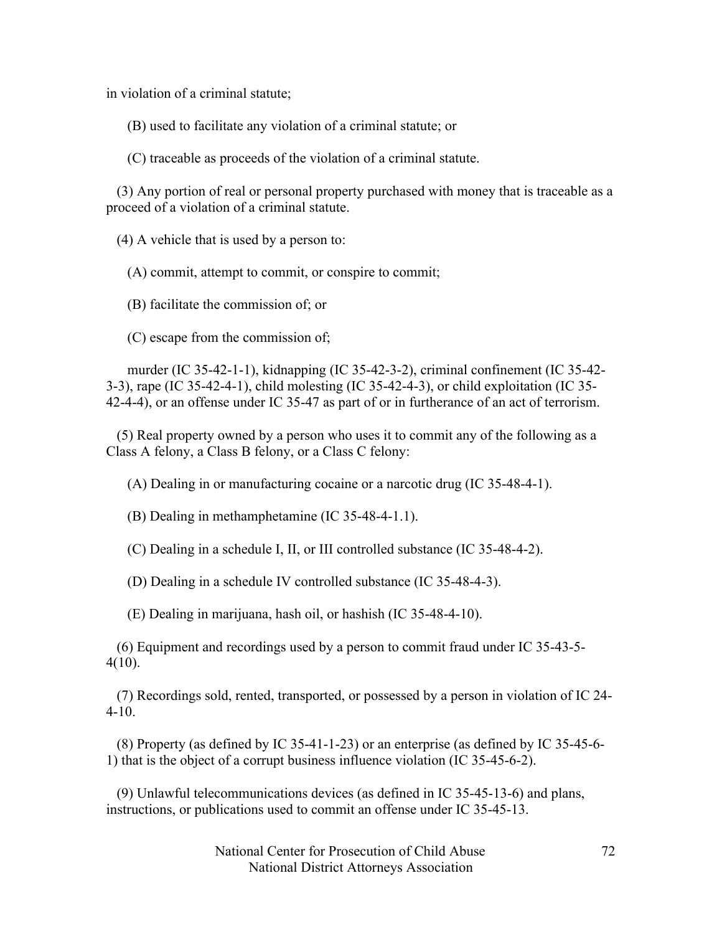in violation of a criminal statute;

(B) used to facilitate any violation of a criminal statute; or

(C) traceable as proceeds of the violation of a criminal statute.

 (3) Any portion of real or personal property purchased with money that is traceable as a proceed of a violation of a criminal statute.

(4) A vehicle that is used by a person to:

(A) commit, attempt to commit, or conspire to commit;

(B) facilitate the commission of; or

(C) escape from the commission of;

 murder (IC 35-42-1-1), kidnapping (IC 35-42-3-2), criminal confinement (IC 35-42- 3-3), rape (IC 35-42-4-1), child molesting (IC 35-42-4-3), or child exploitation (IC 35- 42-4-4), or an offense under IC 35-47 as part of or in furtherance of an act of terrorism.

 (5) Real property owned by a person who uses it to commit any of the following as a Class A felony, a Class B felony, or a Class C felony:

(A) Dealing in or manufacturing cocaine or a narcotic drug (IC 35-48-4-1).

(B) Dealing in methamphetamine (IC 35-48-4-1.1).

(C) Dealing in a schedule I, II, or III controlled substance (IC 35-48-4-2).

(D) Dealing in a schedule IV controlled substance (IC 35-48-4-3).

(E) Dealing in marijuana, hash oil, or hashish (IC 35-48-4-10).

 (6) Equipment and recordings used by a person to commit fraud under IC 35-43-5- 4(10).

 (7) Recordings sold, rented, transported, or possessed by a person in violation of IC 24- 4-10.

 (8) Property (as defined by IC 35-41-1-23) or an enterprise (as defined by IC 35-45-6- 1) that is the object of a corrupt business influence violation (IC 35-45-6-2).

 (9) Unlawful telecommunications devices (as defined in IC 35-45-13-6) and plans, instructions, or publications used to commit an offense under IC 35-45-13.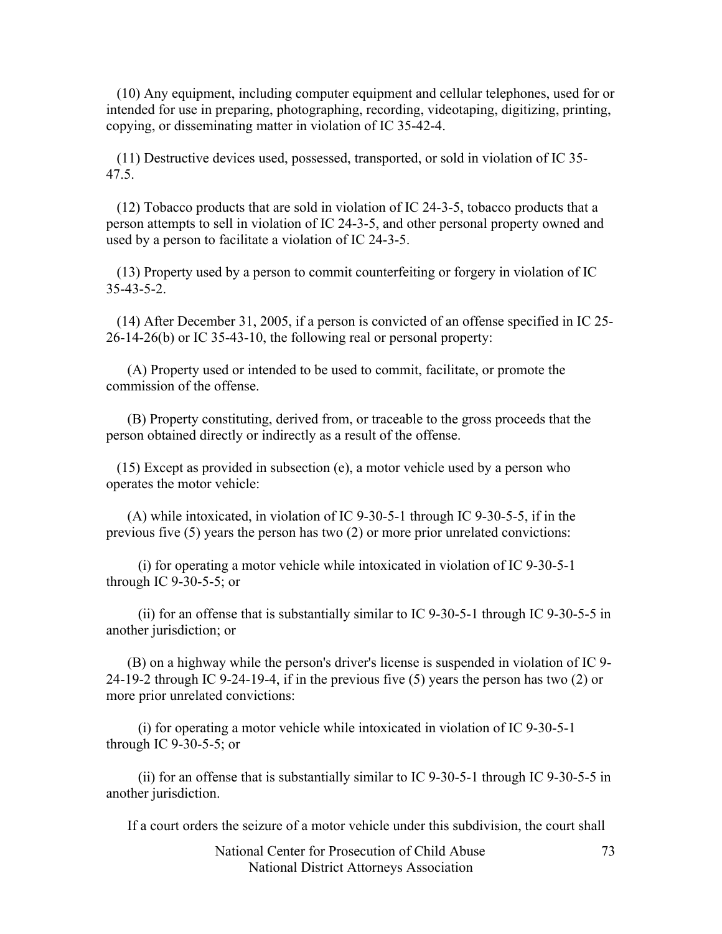(10) Any equipment, including computer equipment and cellular telephones, used for or intended for use in preparing, photographing, recording, videotaping, digitizing, printing, copying, or disseminating matter in violation of IC 35-42-4.

 (11) Destructive devices used, possessed, transported, or sold in violation of IC 35- 47.5.

 (12) Tobacco products that are sold in violation of IC 24-3-5, tobacco products that a person attempts to sell in violation of IC 24-3-5, and other personal property owned and used by a person to facilitate a violation of IC 24-3-5.

 (13) Property used by a person to commit counterfeiting or forgery in violation of IC 35-43-5-2.

 (14) After December 31, 2005, if a person is convicted of an offense specified in IC 25- 26-14-26(b) or IC 35-43-10, the following real or personal property:

 (A) Property used or intended to be used to commit, facilitate, or promote the commission of the offense.

 (B) Property constituting, derived from, or traceable to the gross proceeds that the person obtained directly or indirectly as a result of the offense.

 (15) Except as provided in subsection (e), a motor vehicle used by a person who operates the motor vehicle:

 (A) while intoxicated, in violation of IC 9-30-5-1 through IC 9-30-5-5, if in the previous five (5) years the person has two (2) or more prior unrelated convictions:

 (i) for operating a motor vehicle while intoxicated in violation of IC 9-30-5-1 through IC 9-30-5-5; or

 (ii) for an offense that is substantially similar to IC 9-30-5-1 through IC 9-30-5-5 in another jurisdiction; or

 (B) on a highway while the person's driver's license is suspended in violation of IC 9- 24-19-2 through IC 9-24-19-4, if in the previous five (5) years the person has two (2) or more prior unrelated convictions:

 (i) for operating a motor vehicle while intoxicated in violation of IC 9-30-5-1 through IC 9-30-5-5; or

 (ii) for an offense that is substantially similar to IC 9-30-5-1 through IC 9-30-5-5 in another jurisdiction.

If a court orders the seizure of a motor vehicle under this subdivision, the court shall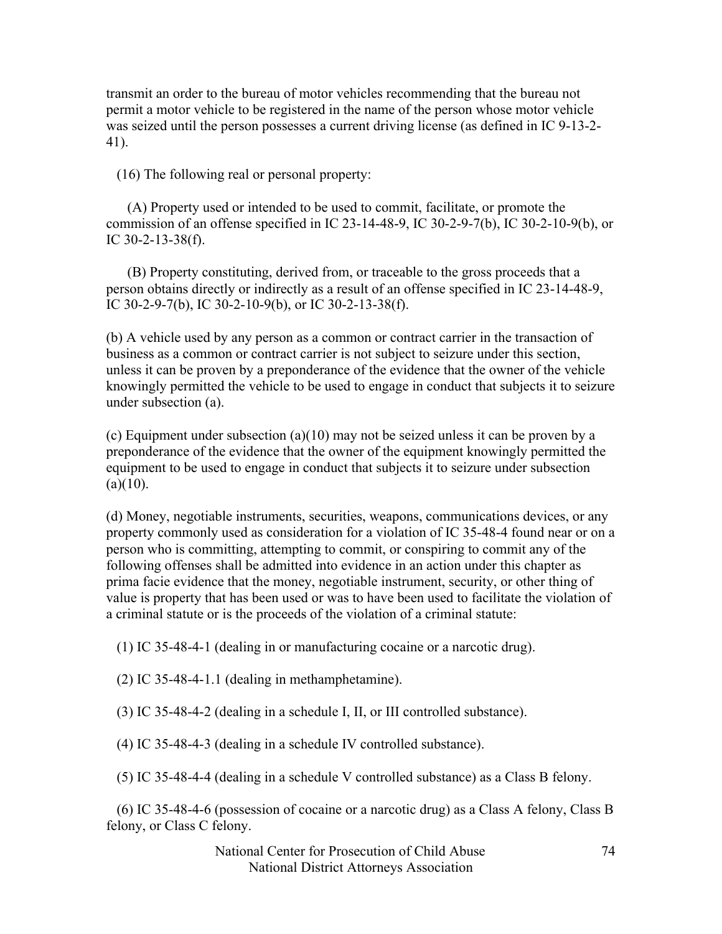transmit an order to the bureau of motor vehicles recommending that the bureau not permit a motor vehicle to be registered in the name of the person whose motor vehicle was seized until the person possesses a current driving license (as defined in IC 9-13-2- 41).

(16) The following real or personal property:

 (A) Property used or intended to be used to commit, facilitate, or promote the commission of an offense specified in IC 23-14-48-9, IC 30-2-9-7(b), IC 30-2-10-9(b), or IC 30-2-13-38(f).

 (B) Property constituting, derived from, or traceable to the gross proceeds that a person obtains directly or indirectly as a result of an offense specified in IC 23-14-48-9, IC 30-2-9-7(b), IC 30-2-10-9(b), or IC 30-2-13-38(f).

(b) A vehicle used by any person as a common or contract carrier in the transaction of business as a common or contract carrier is not subject to seizure under this section, unless it can be proven by a preponderance of the evidence that the owner of the vehicle knowingly permitted the vehicle to be used to engage in conduct that subjects it to seizure under subsection (a).

(c) Equipment under subsection (a)(10) may not be seized unless it can be proven by a preponderance of the evidence that the owner of the equipment knowingly permitted the equipment to be used to engage in conduct that subjects it to seizure under subsection  $(a)(10)$ .

(d) Money, negotiable instruments, securities, weapons, communications devices, or any property commonly used as consideration for a violation of IC 35-48-4 found near or on a person who is committing, attempting to commit, or conspiring to commit any of the following offenses shall be admitted into evidence in an action under this chapter as prima facie evidence that the money, negotiable instrument, security, or other thing of value is property that has been used or was to have been used to facilitate the violation of a criminal statute or is the proceeds of the violation of a criminal statute:

(1) IC 35-48-4-1 (dealing in or manufacturing cocaine or a narcotic drug).

(2) IC 35-48-4-1.1 (dealing in methamphetamine).

(3) IC 35-48-4-2 (dealing in a schedule I, II, or III controlled substance).

(4) IC 35-48-4-3 (dealing in a schedule IV controlled substance).

(5) IC 35-48-4-4 (dealing in a schedule V controlled substance) as a Class B felony.

 (6) IC 35-48-4-6 (possession of cocaine or a narcotic drug) as a Class A felony, Class B felony, or Class C felony.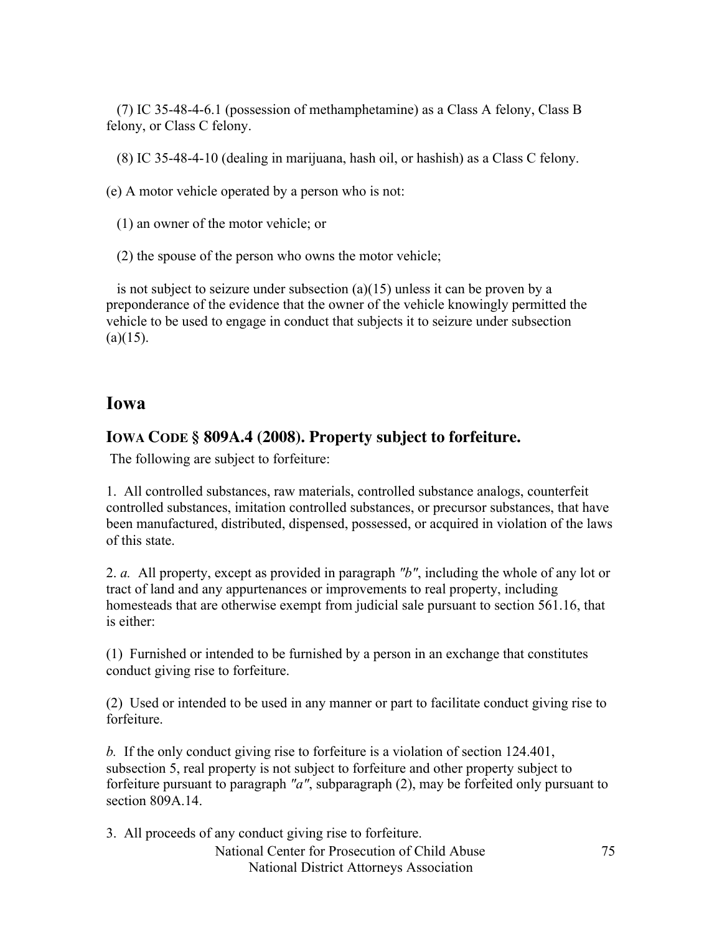(7) IC 35-48-4-6.1 (possession of methamphetamine) as a Class A felony, Class B felony, or Class C felony.

(8) IC 35-48-4-10 (dealing in marijuana, hash oil, or hashish) as a Class C felony.

(e) A motor vehicle operated by a person who is not:

(1) an owner of the motor vehicle; or

(2) the spouse of the person who owns the motor vehicle;

 is not subject to seizure under subsection (a)(15) unless it can be proven by a preponderance of the evidence that the owner of the vehicle knowingly permitted the vehicle to be used to engage in conduct that subjects it to seizure under subsection  $(a)(15)$ .

## **Iowa**

## **IOWA CODE § 809A.4 (2008). Property subject to forfeiture.**

The following are subject to forfeiture:

1. All controlled substances, raw materials, controlled substance analogs, counterfeit controlled substances, imitation controlled substances, or precursor substances, that have been manufactured, distributed, dispensed, possessed, or acquired in violation of the laws of this state.

2. *a.* All property, except as provided in paragraph *"b"*, including the whole of any lot or tract of land and any appurtenances or improvements to real property, including homesteads that are otherwise exempt from judicial sale pursuant to section 561.16, that is either:

(1) Furnished or intended to be furnished by a person in an exchange that constitutes conduct giving rise to forfeiture.

(2) Used or intended to be used in any manner or part to facilitate conduct giving rise to forfeiture.

*b.* If the only conduct giving rise to forfeiture is a violation of section 124.401, subsection 5, real property is not subject to forfeiture and other property subject to forfeiture pursuant to paragraph *"a"*, subparagraph (2), may be forfeited only pursuant to section 809A.14.

National Center for Prosecution of Child Abuse National District Attorneys Association 3. All proceeds of any conduct giving rise to forfeiture.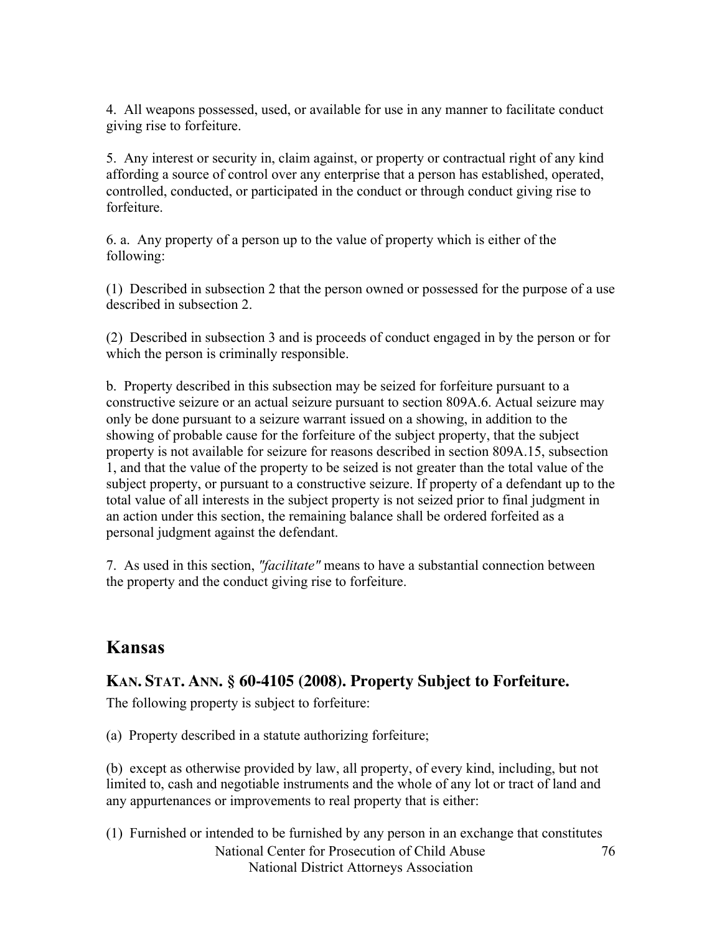4. All weapons possessed, used, or available for use in any manner to facilitate conduct giving rise to forfeiture.

5. Any interest or security in, claim against, or property or contractual right of any kind affording a source of control over any enterprise that a person has established, operated, controlled, conducted, or participated in the conduct or through conduct giving rise to forfeiture.

6. a. Any property of a person up to the value of property which is either of the following:

(1) Described in subsection 2 that the person owned or possessed for the purpose of a use described in subsection 2.

(2) Described in subsection 3 and is proceeds of conduct engaged in by the person or for which the person is criminally responsible.

b. Property described in this subsection may be seized for forfeiture pursuant to a constructive seizure or an actual seizure pursuant to section 809A.6. Actual seizure may only be done pursuant to a seizure warrant issued on a showing, in addition to the showing of probable cause for the forfeiture of the subject property, that the subject property is not available for seizure for reasons described in section 809A.15, subsection 1, and that the value of the property to be seized is not greater than the total value of the subject property, or pursuant to a constructive seizure. If property of a defendant up to the total value of all interests in the subject property is not seized prior to final judgment in an action under this section, the remaining balance shall be ordered forfeited as a personal judgment against the defendant.

7. As used in this section, *"facilitate"* means to have a substantial connection between the property and the conduct giving rise to forfeiture.

# **Kansas**

### **KAN. STAT. ANN. § 60-4105 (2008). Property Subject to Forfeiture.**

The following property is subject to forfeiture:

(a) Property described in a statute authorizing forfeiture;

(b) except as otherwise provided by law, all property, of every kind, including, but not limited to, cash and negotiable instruments and the whole of any lot or tract of land and any appurtenances or improvements to real property that is either:

National Center for Prosecution of Child Abuse National District Attorneys Association 76 (1) Furnished or intended to be furnished by any person in an exchange that constitutes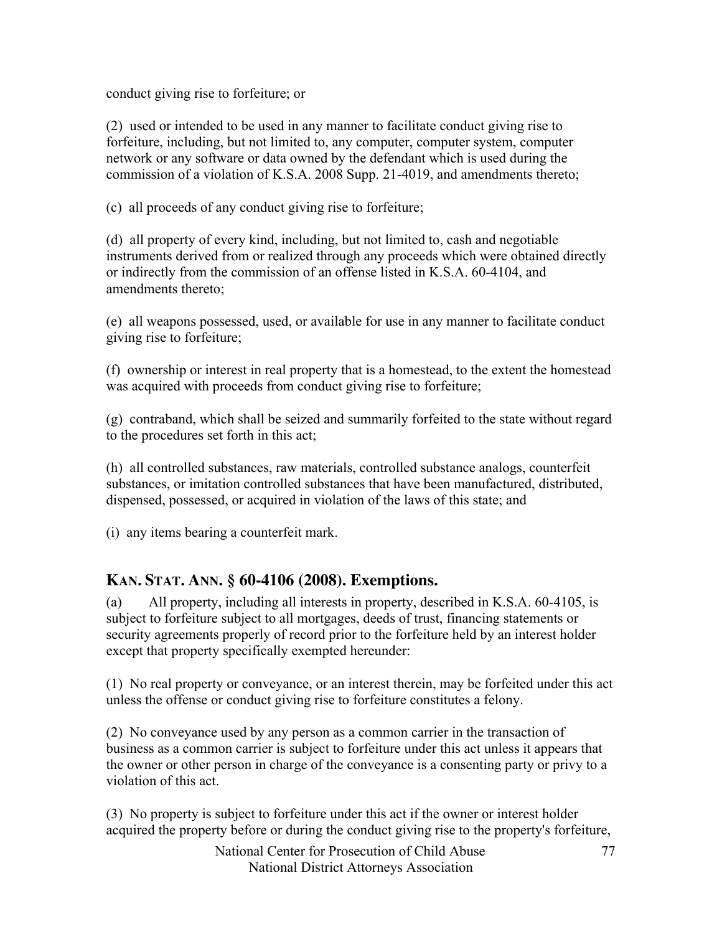conduct giving rise to forfeiture; or

(2) used or intended to be used in any manner to facilitate conduct giving rise to forfeiture, including, but not limited to, any computer, computer system, computer network or any software or data owned by the defendant which is used during the commission of a violation of K.S.A. 2008 Supp. 21-4019, and amendments thereto;

(c) all proceeds of any conduct giving rise to forfeiture;

(d) all property of every kind, including, but not limited to, cash and negotiable instruments derived from or realized through any proceeds which were obtained directly or indirectly from the commission of an offense listed in K.S.A. 60-4104, and amendments thereto;

(e) all weapons possessed, used, or available for use in any manner to facilitate conduct giving rise to forfeiture;

(f) ownership or interest in real property that is a homestead, to the extent the homestead was acquired with proceeds from conduct giving rise to forfeiture;

(g) contraband, which shall be seized and summarily forfeited to the state without regard to the procedures set forth in this act;

(h) all controlled substances, raw materials, controlled substance analogs, counterfeit substances, or imitation controlled substances that have been manufactured, distributed, dispensed, possessed, or acquired in violation of the laws of this state; and

(i) any items bearing a counterfeit mark.

### **KAN. STAT. ANN. § 60-4106 (2008). Exemptions.**

(a) All property, including all interests in property, described in K.S.A. 60-4105, is subject to forfeiture subject to all mortgages, deeds of trust, financing statements or security agreements properly of record prior to the forfeiture held by an interest holder except that property specifically exempted hereunder:

(1) No real property or conveyance, or an interest therein, may be forfeited under this act unless the offense or conduct giving rise to forfeiture constitutes a felony.

(2) No conveyance used by any person as a common carrier in the transaction of business as a common carrier is subject to forfeiture under this act unless it appears that the owner or other person in charge of the conveyance is a consenting party or privy to a violation of this act.

(3) No property is subject to forfeiture under this act if the owner or interest holder acquired the property before or during the conduct giving rise to the property's forfeiture,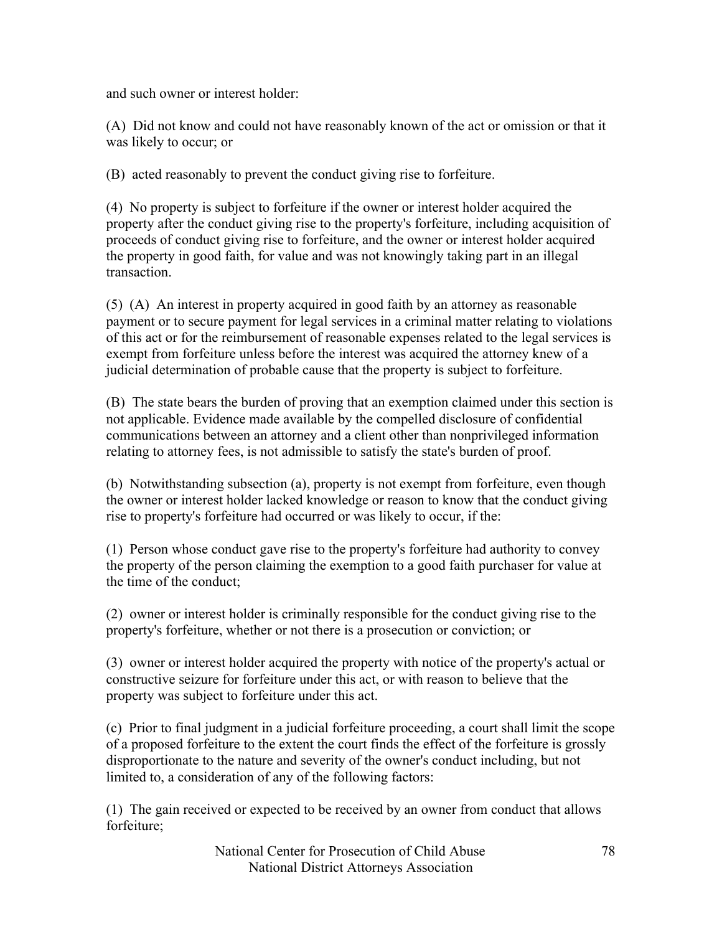and such owner or interest holder:

(A) Did not know and could not have reasonably known of the act or omission or that it was likely to occur; or

(B) acted reasonably to prevent the conduct giving rise to forfeiture.

(4) No property is subject to forfeiture if the owner or interest holder acquired the property after the conduct giving rise to the property's forfeiture, including acquisition of proceeds of conduct giving rise to forfeiture, and the owner or interest holder acquired the property in good faith, for value and was not knowingly taking part in an illegal transaction.

(5) (A) An interest in property acquired in good faith by an attorney as reasonable payment or to secure payment for legal services in a criminal matter relating to violations of this act or for the reimbursement of reasonable expenses related to the legal services is exempt from forfeiture unless before the interest was acquired the attorney knew of a judicial determination of probable cause that the property is subject to forfeiture.

(B) The state bears the burden of proving that an exemption claimed under this section is not applicable. Evidence made available by the compelled disclosure of confidential communications between an attorney and a client other than nonprivileged information relating to attorney fees, is not admissible to satisfy the state's burden of proof.

(b) Notwithstanding subsection (a), property is not exempt from forfeiture, even though the owner or interest holder lacked knowledge or reason to know that the conduct giving rise to property's forfeiture had occurred or was likely to occur, if the:

(1) Person whose conduct gave rise to the property's forfeiture had authority to convey the property of the person claiming the exemption to a good faith purchaser for value at the time of the conduct;

(2) owner or interest holder is criminally responsible for the conduct giving rise to the property's forfeiture, whether or not there is a prosecution or conviction; or

(3) owner or interest holder acquired the property with notice of the property's actual or constructive seizure for forfeiture under this act, or with reason to believe that the property was subject to forfeiture under this act.

(c) Prior to final judgment in a judicial forfeiture proceeding, a court shall limit the scope of a proposed forfeiture to the extent the court finds the effect of the forfeiture is grossly disproportionate to the nature and severity of the owner's conduct including, but not limited to, a consideration of any of the following factors:

(1) The gain received or expected to be received by an owner from conduct that allows forfeiture;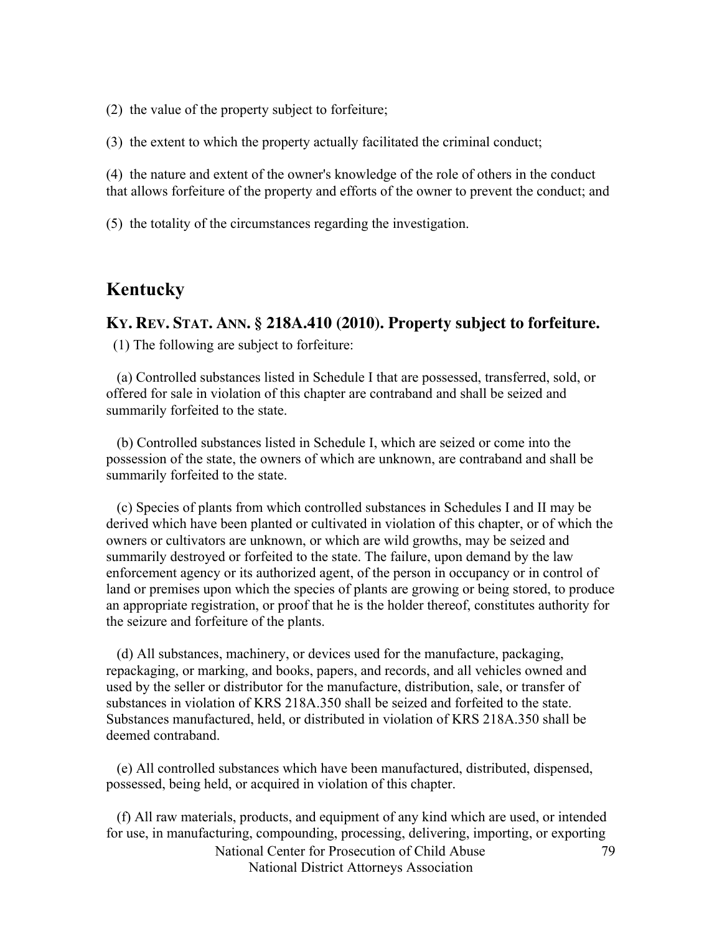(2) the value of the property subject to forfeiture;

(3) the extent to which the property actually facilitated the criminal conduct;

(4) the nature and extent of the owner's knowledge of the role of others in the conduct that allows forfeiture of the property and efforts of the owner to prevent the conduct; and

(5) the totality of the circumstances regarding the investigation.

# **Kentucky**

#### **KY. REV. STAT. ANN. § 218A.410 (2010). Property subject to forfeiture.**

(1) The following are subject to forfeiture:

 (a) Controlled substances listed in Schedule I that are possessed, transferred, sold, or offered for sale in violation of this chapter are contraband and shall be seized and summarily forfeited to the state.

 (b) Controlled substances listed in Schedule I, which are seized or come into the possession of the state, the owners of which are unknown, are contraband and shall be summarily forfeited to the state.

 (c) Species of plants from which controlled substances in Schedules I and II may be derived which have been planted or cultivated in violation of this chapter, or of which the owners or cultivators are unknown, or which are wild growths, may be seized and summarily destroyed or forfeited to the state. The failure, upon demand by the law enforcement agency or its authorized agent, of the person in occupancy or in control of land or premises upon which the species of plants are growing or being stored, to produce an appropriate registration, or proof that he is the holder thereof, constitutes authority for the seizure and forfeiture of the plants.

 (d) All substances, machinery, or devices used for the manufacture, packaging, repackaging, or marking, and books, papers, and records, and all vehicles owned and used by the seller or distributor for the manufacture, distribution, sale, or transfer of substances in violation of KRS 218A.350 shall be seized and forfeited to the state. Substances manufactured, held, or distributed in violation of KRS 218A.350 shall be deemed contraband.

 (e) All controlled substances which have been manufactured, distributed, dispensed, possessed, being held, or acquired in violation of this chapter.

National Center for Prosecution of Child Abuse National District Attorneys Association 79 (f) All raw materials, products, and equipment of any kind which are used, or intended for use, in manufacturing, compounding, processing, delivering, importing, or exporting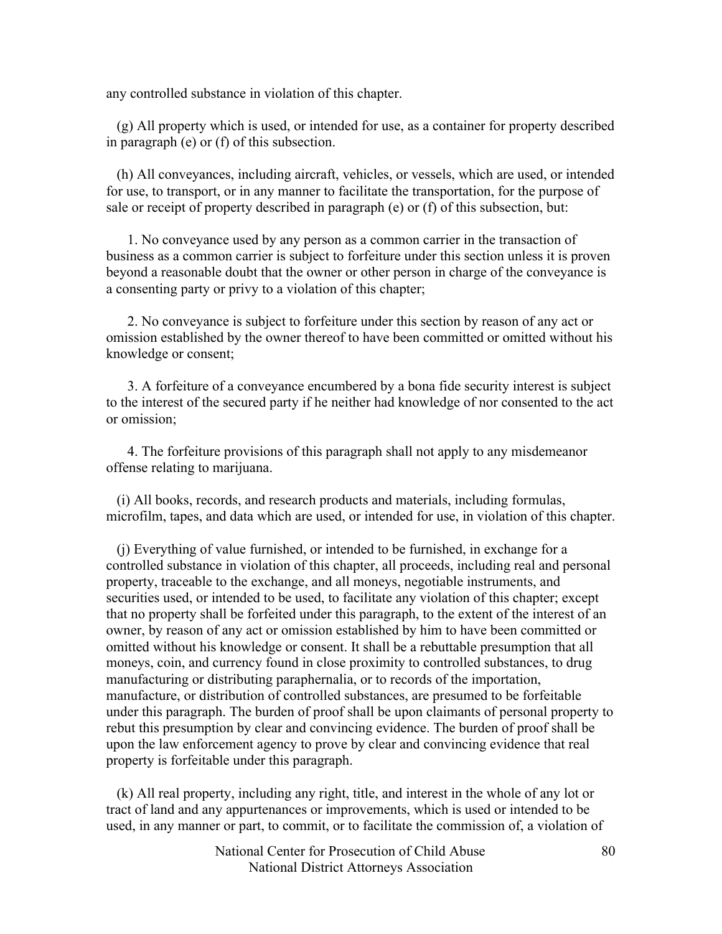any controlled substance in violation of this chapter.

 (g) All property which is used, or intended for use, as a container for property described in paragraph (e) or (f) of this subsection.

 (h) All conveyances, including aircraft, vehicles, or vessels, which are used, or intended for use, to transport, or in any manner to facilitate the transportation, for the purpose of sale or receipt of property described in paragraph (e) or (f) of this subsection, but:

 1. No conveyance used by any person as a common carrier in the transaction of business as a common carrier is subject to forfeiture under this section unless it is proven beyond a reasonable doubt that the owner or other person in charge of the conveyance is a consenting party or privy to a violation of this chapter;

 2. No conveyance is subject to forfeiture under this section by reason of any act or omission established by the owner thereof to have been committed or omitted without his knowledge or consent;

 3. A forfeiture of a conveyance encumbered by a bona fide security interest is subject to the interest of the secured party if he neither had knowledge of nor consented to the act or omission;

 4. The forfeiture provisions of this paragraph shall not apply to any misdemeanor offense relating to marijuana.

 (i) All books, records, and research products and materials, including formulas, microfilm, tapes, and data which are used, or intended for use, in violation of this chapter.

 (j) Everything of value furnished, or intended to be furnished, in exchange for a controlled substance in violation of this chapter, all proceeds, including real and personal property, traceable to the exchange, and all moneys, negotiable instruments, and securities used, or intended to be used, to facilitate any violation of this chapter; except that no property shall be forfeited under this paragraph, to the extent of the interest of an owner, by reason of any act or omission established by him to have been committed or omitted without his knowledge or consent. It shall be a rebuttable presumption that all moneys, coin, and currency found in close proximity to controlled substances, to drug manufacturing or distributing paraphernalia, or to records of the importation, manufacture, or distribution of controlled substances, are presumed to be forfeitable under this paragraph. The burden of proof shall be upon claimants of personal property to rebut this presumption by clear and convincing evidence. The burden of proof shall be upon the law enforcement agency to prove by clear and convincing evidence that real property is forfeitable under this paragraph.

 (k) All real property, including any right, title, and interest in the whole of any lot or tract of land and any appurtenances or improvements, which is used or intended to be used, in any manner or part, to commit, or to facilitate the commission of, a violation of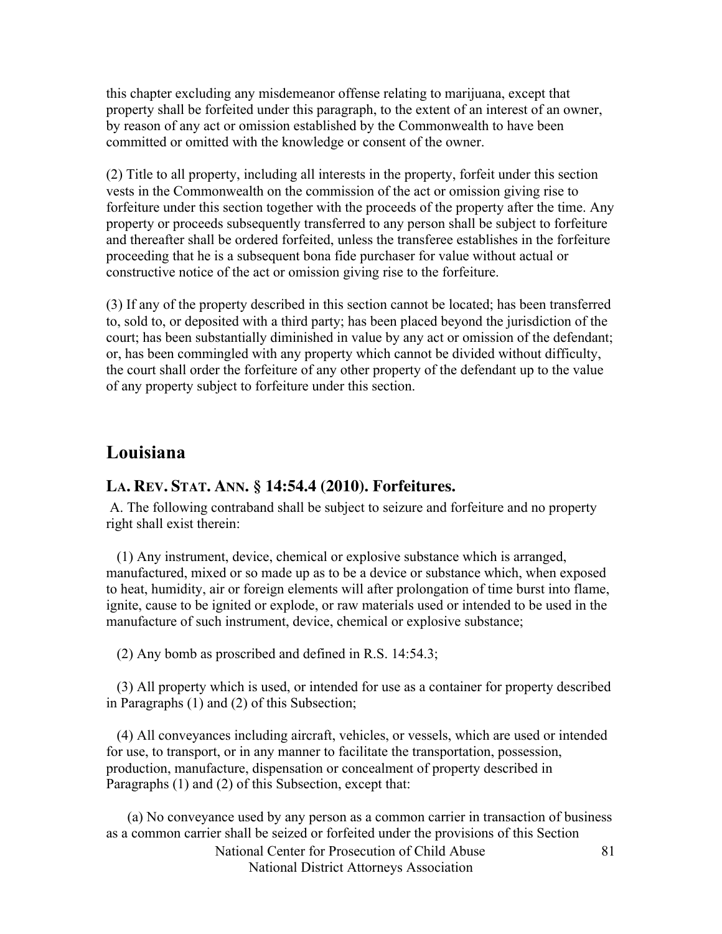this chapter excluding any misdemeanor offense relating to marijuana, except that property shall be forfeited under this paragraph, to the extent of an interest of an owner, by reason of any act or omission established by the Commonwealth to have been committed or omitted with the knowledge or consent of the owner.

(2) Title to all property, including all interests in the property, forfeit under this section vests in the Commonwealth on the commission of the act or omission giving rise to forfeiture under this section together with the proceeds of the property after the time. Any property or proceeds subsequently transferred to any person shall be subject to forfeiture and thereafter shall be ordered forfeited, unless the transferee establishes in the forfeiture proceeding that he is a subsequent bona fide purchaser for value without actual or constructive notice of the act or omission giving rise to the forfeiture.

(3) If any of the property described in this section cannot be located; has been transferred to, sold to, or deposited with a third party; has been placed beyond the jurisdiction of the court; has been substantially diminished in value by any act or omission of the defendant; or, has been commingled with any property which cannot be divided without difficulty, the court shall order the forfeiture of any other property of the defendant up to the value of any property subject to forfeiture under this section.

## **Louisiana**

#### **LA. REV. STAT. ANN. § 14:54.4 (2010). Forfeitures.**

A. The following contraband shall be subject to seizure and forfeiture and no property right shall exist therein:

 (1) Any instrument, device, chemical or explosive substance which is arranged, manufactured, mixed or so made up as to be a device or substance which, when exposed to heat, humidity, air or foreign elements will after prolongation of time burst into flame, ignite, cause to be ignited or explode, or raw materials used or intended to be used in the manufacture of such instrument, device, chemical or explosive substance;

(2) Any bomb as proscribed and defined in R.S. 14:54.3;

 (3) All property which is used, or intended for use as a container for property described in Paragraphs (1) and (2) of this Subsection;

 (4) All conveyances including aircraft, vehicles, or vessels, which are used or intended for use, to transport, or in any manner to facilitate the transportation, possession, production, manufacture, dispensation or concealment of property described in Paragraphs (1) and (2) of this Subsection, except that:

National Center for Prosecution of Child Abuse National District Attorneys Association 81 (a) No conveyance used by any person as a common carrier in transaction of business as a common carrier shall be seized or forfeited under the provisions of this Section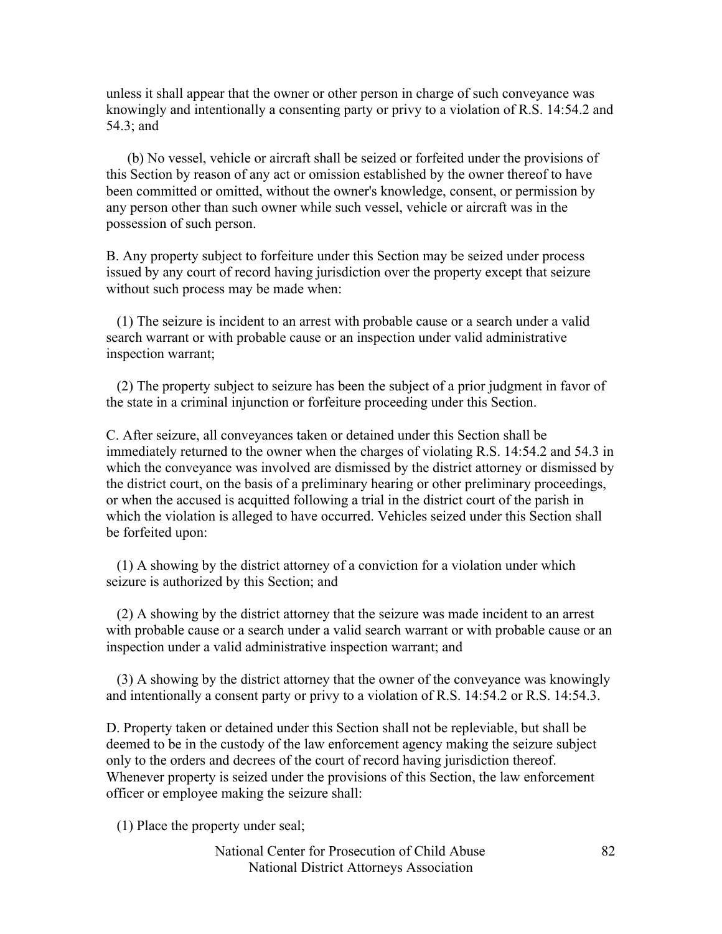unless it shall appear that the owner or other person in charge of such conveyance was knowingly and intentionally a consenting party or privy to a violation of R.S. 14:54.2 and 54.3; and

 (b) No vessel, vehicle or aircraft shall be seized or forfeited under the provisions of this Section by reason of any act or omission established by the owner thereof to have been committed or omitted, without the owner's knowledge, consent, or permission by any person other than such owner while such vessel, vehicle or aircraft was in the possession of such person.

B. Any property subject to forfeiture under this Section may be seized under process issued by any court of record having jurisdiction over the property except that seizure without such process may be made when:

 (1) The seizure is incident to an arrest with probable cause or a search under a valid search warrant or with probable cause or an inspection under valid administrative inspection warrant;

 (2) The property subject to seizure has been the subject of a prior judgment in favor of the state in a criminal injunction or forfeiture proceeding under this Section.

C. After seizure, all conveyances taken or detained under this Section shall be immediately returned to the owner when the charges of violating R.S. 14:54.2 and 54.3 in which the conveyance was involved are dismissed by the district attorney or dismissed by the district court, on the basis of a preliminary hearing or other preliminary proceedings, or when the accused is acquitted following a trial in the district court of the parish in which the violation is alleged to have occurred. Vehicles seized under this Section shall be forfeited upon:

 (1) A showing by the district attorney of a conviction for a violation under which seizure is authorized by this Section; and

 (2) A showing by the district attorney that the seizure was made incident to an arrest with probable cause or a search under a valid search warrant or with probable cause or an inspection under a valid administrative inspection warrant; and

 (3) A showing by the district attorney that the owner of the conveyance was knowingly and intentionally a consent party or privy to a violation of R.S. 14:54.2 or R.S. 14:54.3.

D. Property taken or detained under this Section shall not be repleviable, but shall be deemed to be in the custody of the law enforcement agency making the seizure subject only to the orders and decrees of the court of record having jurisdiction thereof. Whenever property is seized under the provisions of this Section, the law enforcement officer or employee making the seizure shall:

(1) Place the property under seal;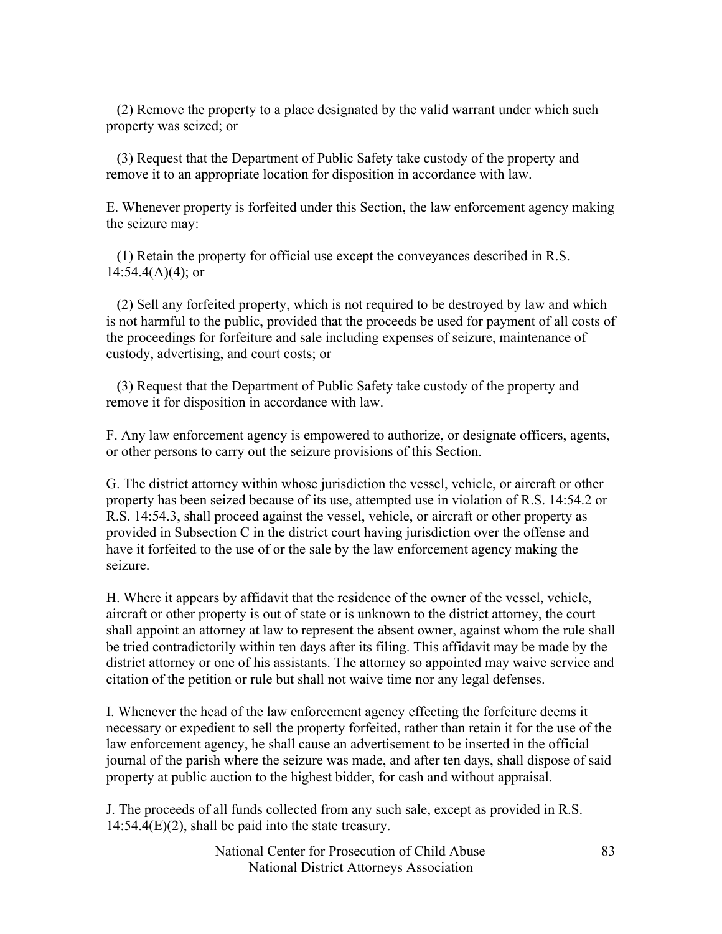(2) Remove the property to a place designated by the valid warrant under which such property was seized; or

 (3) Request that the Department of Public Safety take custody of the property and remove it to an appropriate location for disposition in accordance with law.

E. Whenever property is forfeited under this Section, the law enforcement agency making the seizure may:

 (1) Retain the property for official use except the conveyances described in R.S.  $14:54.4(A)(4)$ ; or

 (2) Sell any forfeited property, which is not required to be destroyed by law and which is not harmful to the public, provided that the proceeds be used for payment of all costs of the proceedings for forfeiture and sale including expenses of seizure, maintenance of custody, advertising, and court costs; or

 (3) Request that the Department of Public Safety take custody of the property and remove it for disposition in accordance with law.

F. Any law enforcement agency is empowered to authorize, or designate officers, agents, or other persons to carry out the seizure provisions of this Section.

G. The district attorney within whose jurisdiction the vessel, vehicle, or aircraft or other property has been seized because of its use, attempted use in violation of R.S. 14:54.2 or R.S. 14:54.3, shall proceed against the vessel, vehicle, or aircraft or other property as provided in Subsection C in the district court having jurisdiction over the offense and have it forfeited to the use of or the sale by the law enforcement agency making the seizure.

H. Where it appears by affidavit that the residence of the owner of the vessel, vehicle, aircraft or other property is out of state or is unknown to the district attorney, the court shall appoint an attorney at law to represent the absent owner, against whom the rule shall be tried contradictorily within ten days after its filing. This affidavit may be made by the district attorney or one of his assistants. The attorney so appointed may waive service and citation of the petition or rule but shall not waive time nor any legal defenses.

I. Whenever the head of the law enforcement agency effecting the forfeiture deems it necessary or expedient to sell the property forfeited, rather than retain it for the use of the law enforcement agency, he shall cause an advertisement to be inserted in the official journal of the parish where the seizure was made, and after ten days, shall dispose of said property at public auction to the highest bidder, for cash and without appraisal.

J. The proceeds of all funds collected from any such sale, except as provided in R.S.  $14:54.4(E)(2)$ , shall be paid into the state treasury.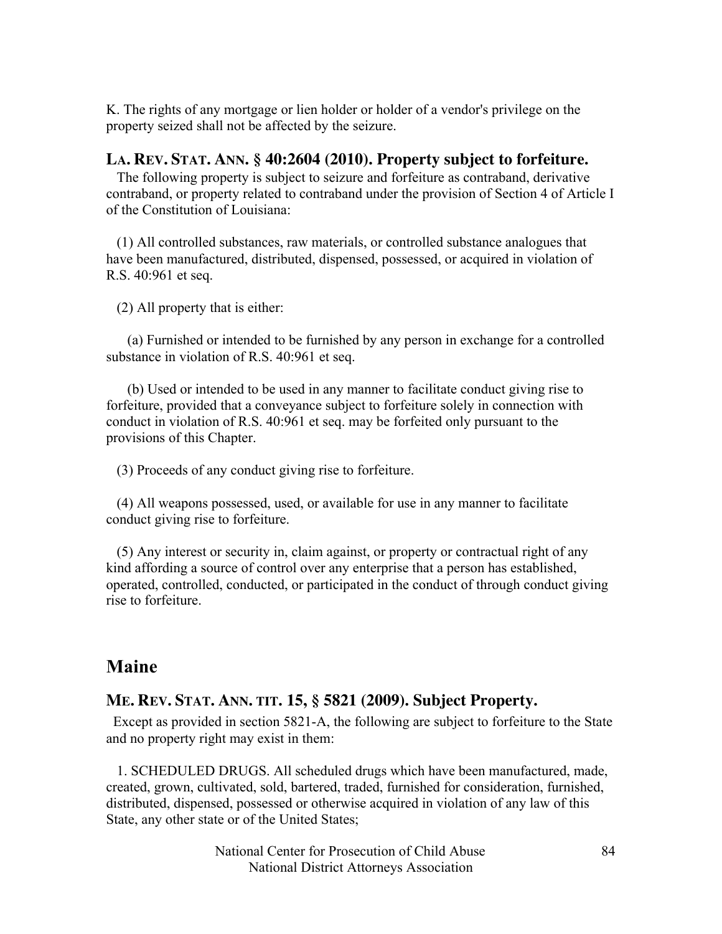K. The rights of any mortgage or lien holder or holder of a vendor's privilege on the property seized shall not be affected by the seizure.

#### **LA. REV. STAT. ANN. § 40:2604 (2010). Property subject to forfeiture.**

 The following property is subject to seizure and forfeiture as contraband, derivative contraband, or property related to contraband under the provision of Section 4 of Article I of the Constitution of Louisiana:

 (1) All controlled substances, raw materials, or controlled substance analogues that have been manufactured, distributed, dispensed, possessed, or acquired in violation of R.S. 40:961 et seq.

(2) All property that is either:

 (a) Furnished or intended to be furnished by any person in exchange for a controlled substance in violation of R.S. 40:961 et seq.

 (b) Used or intended to be used in any manner to facilitate conduct giving rise to forfeiture, provided that a conveyance subject to forfeiture solely in connection with conduct in violation of R.S. 40:961 et seq. may be forfeited only pursuant to the provisions of this Chapter.

(3) Proceeds of any conduct giving rise to forfeiture.

 (4) All weapons possessed, used, or available for use in any manner to facilitate conduct giving rise to forfeiture.

 (5) Any interest or security in, claim against, or property or contractual right of any kind affording a source of control over any enterprise that a person has established, operated, controlled, conducted, or participated in the conduct of through conduct giving rise to forfeiture.

# **Maine**

#### **ME. REV. STAT. ANN. TIT. 15, § 5821 (2009). Subject Property.**

 Except as provided in section 5821-A, the following are subject to forfeiture to the State and no property right may exist in them:

 1. SCHEDULED DRUGS. All scheduled drugs which have been manufactured, made, created, grown, cultivated, sold, bartered, traded, furnished for consideration, furnished, distributed, dispensed, possessed or otherwise acquired in violation of any law of this State, any other state or of the United States;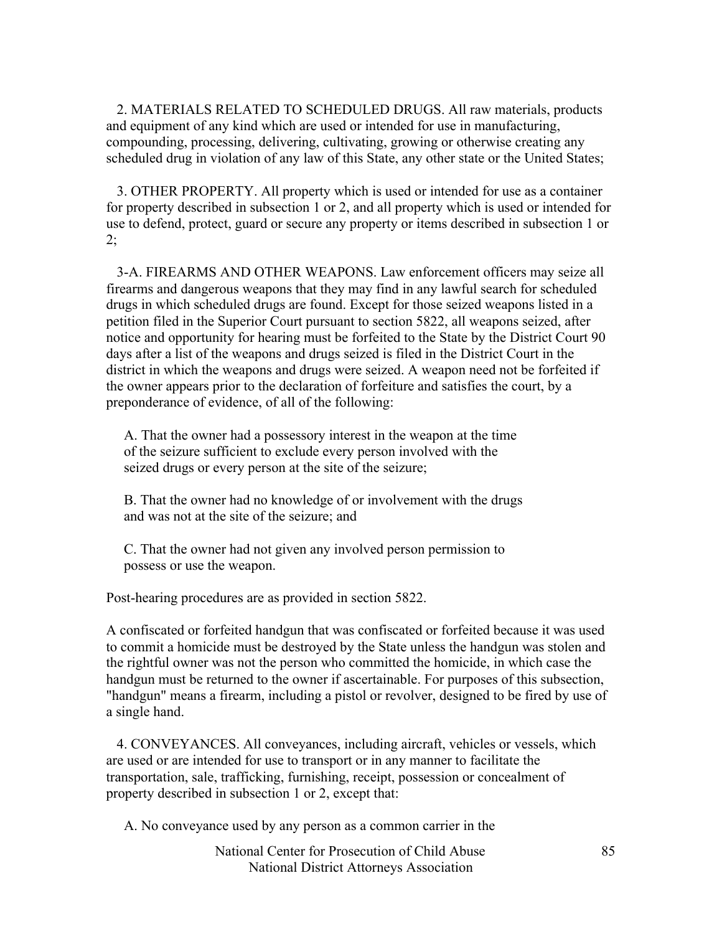2. MATERIALS RELATED TO SCHEDULED DRUGS. All raw materials, products and equipment of any kind which are used or intended for use in manufacturing, compounding, processing, delivering, cultivating, growing or otherwise creating any scheduled drug in violation of any law of this State, any other state or the United States;

 3. OTHER PROPERTY. All property which is used or intended for use as a container for property described in subsection 1 or 2, and all property which is used or intended for use to defend, protect, guard or secure any property or items described in subsection 1 or  $2:$ 

 3-A. FIREARMS AND OTHER WEAPONS. Law enforcement officers may seize all firearms and dangerous weapons that they may find in any lawful search for scheduled drugs in which scheduled drugs are found. Except for those seized weapons listed in a petition filed in the Superior Court pursuant to section 5822, all weapons seized, after notice and opportunity for hearing must be forfeited to the State by the District Court 90 days after a list of the weapons and drugs seized is filed in the District Court in the district in which the weapons and drugs were seized. A weapon need not be forfeited if the owner appears prior to the declaration of forfeiture and satisfies the court, by a preponderance of evidence, of all of the following:

 A. That the owner had a possessory interest in the weapon at the time of the seizure sufficient to exclude every person involved with the seized drugs or every person at the site of the seizure;

 B. That the owner had no knowledge of or involvement with the drugs and was not at the site of the seizure; and

 C. That the owner had not given any involved person permission to possess or use the weapon.

Post-hearing procedures are as provided in section 5822.

A confiscated or forfeited handgun that was confiscated or forfeited because it was used to commit a homicide must be destroyed by the State unless the handgun was stolen and the rightful owner was not the person who committed the homicide, in which case the handgun must be returned to the owner if ascertainable. For purposes of this subsection, "handgun" means a firearm, including a pistol or revolver, designed to be fired by use of a single hand.

 4. CONVEYANCES. All conveyances, including aircraft, vehicles or vessels, which are used or are intended for use to transport or in any manner to facilitate the transportation, sale, trafficking, furnishing, receipt, possession or concealment of property described in subsection 1 or 2, except that:

A. No conveyance used by any person as a common carrier in the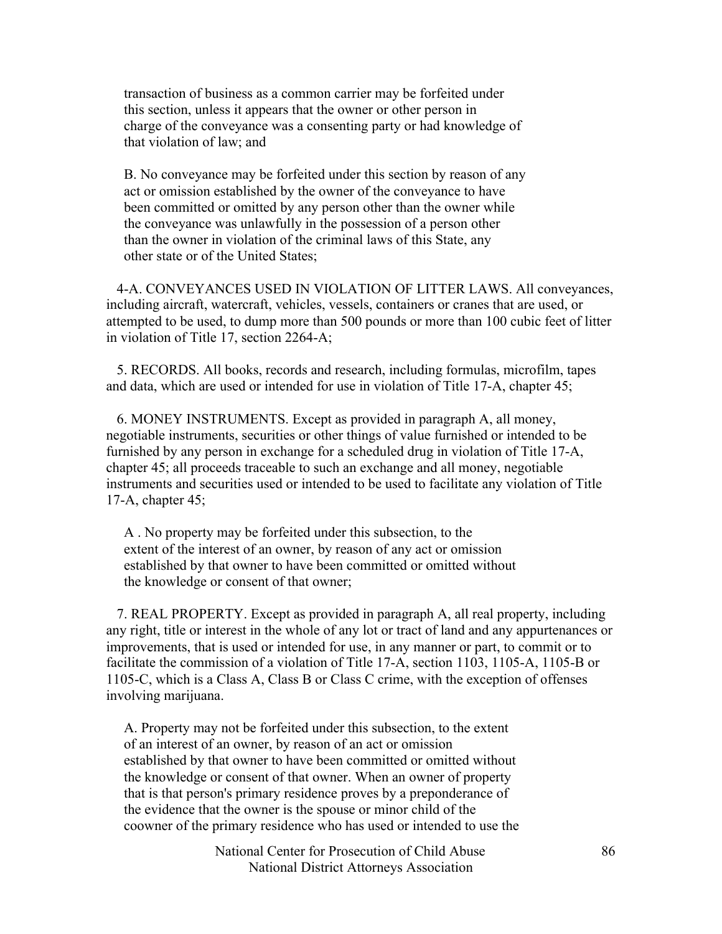transaction of business as a common carrier may be forfeited under this section, unless it appears that the owner or other person in charge of the conveyance was a consenting party or had knowledge of that violation of law; and

 B. No conveyance may be forfeited under this section by reason of any act or omission established by the owner of the conveyance to have been committed or omitted by any person other than the owner while the conveyance was unlawfully in the possession of a person other than the owner in violation of the criminal laws of this State, any other state or of the United States;

 4-A. CONVEYANCES USED IN VIOLATION OF LITTER LAWS. All conveyances, including aircraft, watercraft, vehicles, vessels, containers or cranes that are used, or attempted to be used, to dump more than 500 pounds or more than 100 cubic feet of litter in violation of Title 17, section 2264-A;

 5. RECORDS. All books, records and research, including formulas, microfilm, tapes and data, which are used or intended for use in violation of Title 17-A, chapter 45;

 6. MONEY INSTRUMENTS. Except as provided in paragraph A, all money, negotiable instruments, securities or other things of value furnished or intended to be furnished by any person in exchange for a scheduled drug in violation of Title 17-A, chapter 45; all proceeds traceable to such an exchange and all money, negotiable instruments and securities used or intended to be used to facilitate any violation of Title 17-A, chapter 45;

 A . No property may be forfeited under this subsection, to the extent of the interest of an owner, by reason of any act or omission established by that owner to have been committed or omitted without the knowledge or consent of that owner;

 7. REAL PROPERTY. Except as provided in paragraph A, all real property, including any right, title or interest in the whole of any lot or tract of land and any appurtenances or improvements, that is used or intended for use, in any manner or part, to commit or to facilitate the commission of a violation of Title 17-A, section 1103, 1105-A, 1105-B or 1105-C, which is a Class A, Class B or Class C crime, with the exception of offenses involving marijuana.

 A. Property may not be forfeited under this subsection, to the extent of an interest of an owner, by reason of an act or omission established by that owner to have been committed or omitted without the knowledge or consent of that owner. When an owner of property that is that person's primary residence proves by a preponderance of the evidence that the owner is the spouse or minor child of the coowner of the primary residence who has used or intended to use the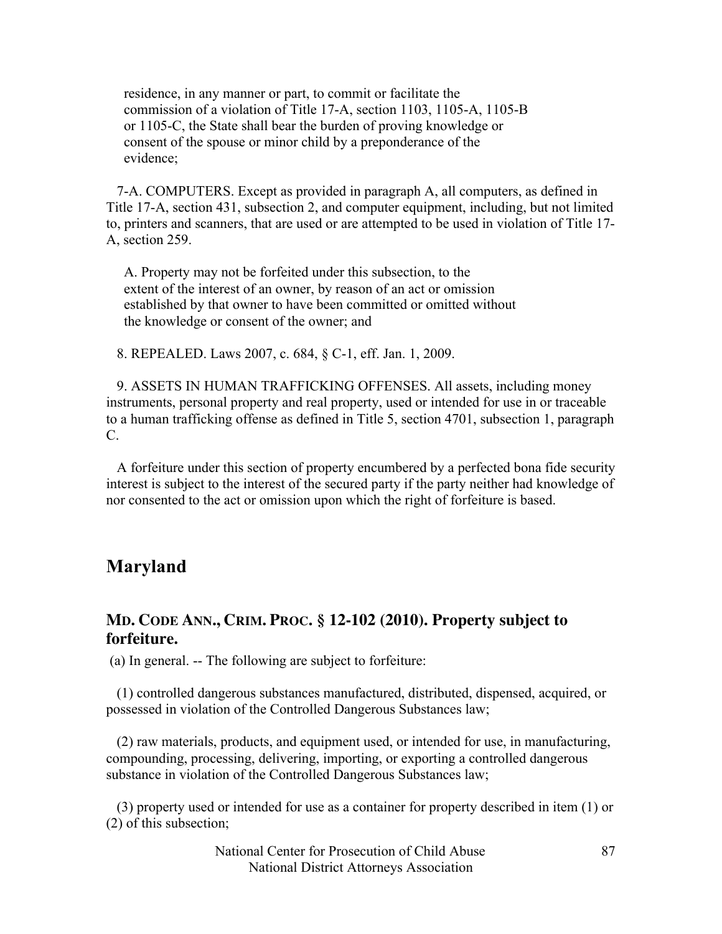residence, in any manner or part, to commit or facilitate the commission of a violation of Title 17-A, section 1103, 1105-A, 1105-B or 1105-C, the State shall bear the burden of proving knowledge or consent of the spouse or minor child by a preponderance of the evidence;

 7-A. COMPUTERS. Except as provided in paragraph A, all computers, as defined in Title 17-A, section 431, subsection 2, and computer equipment, including, but not limited to, printers and scanners, that are used or are attempted to be used in violation of Title 17- A, section 259.

 A. Property may not be forfeited under this subsection, to the extent of the interest of an owner, by reason of an act or omission established by that owner to have been committed or omitted without the knowledge or consent of the owner; and

8. REPEALED. Laws 2007, c. 684, § C-1, eff. Jan. 1, 2009.

 9. ASSETS IN HUMAN TRAFFICKING OFFENSES. All assets, including money instruments, personal property and real property, used or intended for use in or traceable to a human trafficking offense as defined in Title 5, section 4701, subsection 1, paragraph C.

 A forfeiture under this section of property encumbered by a perfected bona fide security interest is subject to the interest of the secured party if the party neither had knowledge of nor consented to the act or omission upon which the right of forfeiture is based.

### **Maryland**

### **MD. CODE ANN., CRIM. PROC. § 12-102 (2010). Property subject to forfeiture.**

(a) In general. -- The following are subject to forfeiture:

 (1) controlled dangerous substances manufactured, distributed, dispensed, acquired, or possessed in violation of the Controlled Dangerous Substances law;

 (2) raw materials, products, and equipment used, or intended for use, in manufacturing, compounding, processing, delivering, importing, or exporting a controlled dangerous substance in violation of the Controlled Dangerous Substances law;

 (3) property used or intended for use as a container for property described in item (1) or (2) of this subsection;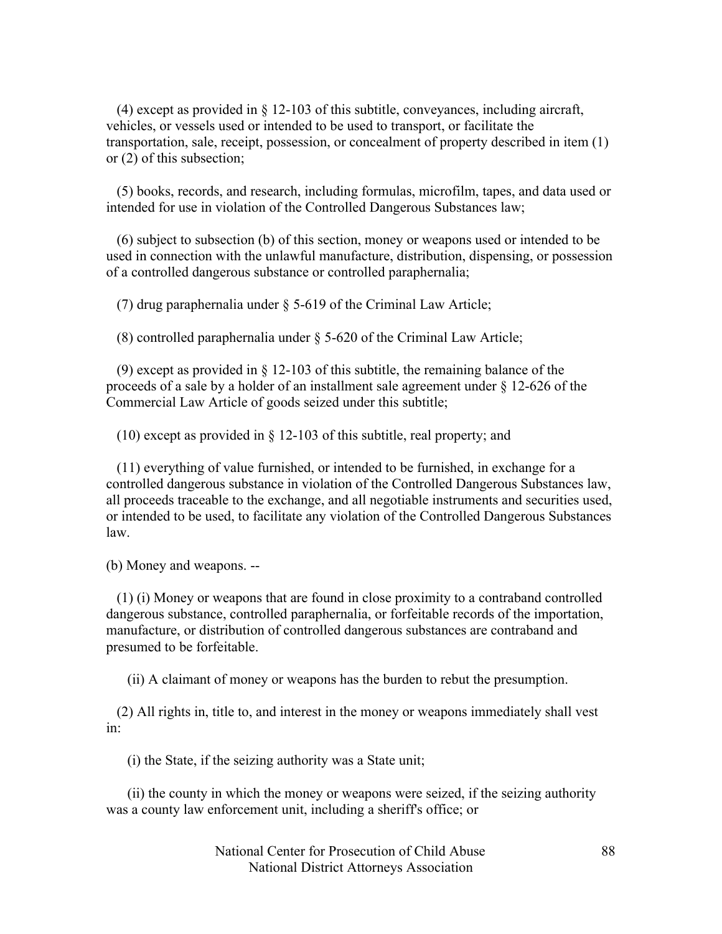(4) except as provided in § 12-103 of this subtitle, conveyances, including aircraft, vehicles, or vessels used or intended to be used to transport, or facilitate the transportation, sale, receipt, possession, or concealment of property described in item (1) or (2) of this subsection;

 (5) books, records, and research, including formulas, microfilm, tapes, and data used or intended for use in violation of the Controlled Dangerous Substances law;

 (6) subject to subsection (b) of this section, money or weapons used or intended to be used in connection with the unlawful manufacture, distribution, dispensing, or possession of a controlled dangerous substance or controlled paraphernalia;

(7) drug paraphernalia under § 5-619 of the Criminal Law Article;

(8) controlled paraphernalia under § 5-620 of the Criminal Law Article;

 (9) except as provided in § 12-103 of this subtitle, the remaining balance of the proceeds of a sale by a holder of an installment sale agreement under § 12-626 of the Commercial Law Article of goods seized under this subtitle;

(10) except as provided in § 12-103 of this subtitle, real property; and

 (11) everything of value furnished, or intended to be furnished, in exchange for a controlled dangerous substance in violation of the Controlled Dangerous Substances law, all proceeds traceable to the exchange, and all negotiable instruments and securities used, or intended to be used, to facilitate any violation of the Controlled Dangerous Substances law.

(b) Money and weapons. --

 (1) (i) Money or weapons that are found in close proximity to a contraband controlled dangerous substance, controlled paraphernalia, or forfeitable records of the importation, manufacture, or distribution of controlled dangerous substances are contraband and presumed to be forfeitable.

(ii) A claimant of money or weapons has the burden to rebut the presumption.

 (2) All rights in, title to, and interest in the money or weapons immediately shall vest in:

(i) the State, if the seizing authority was a State unit;

 (ii) the county in which the money or weapons were seized, if the seizing authority was a county law enforcement unit, including a sheriff's office; or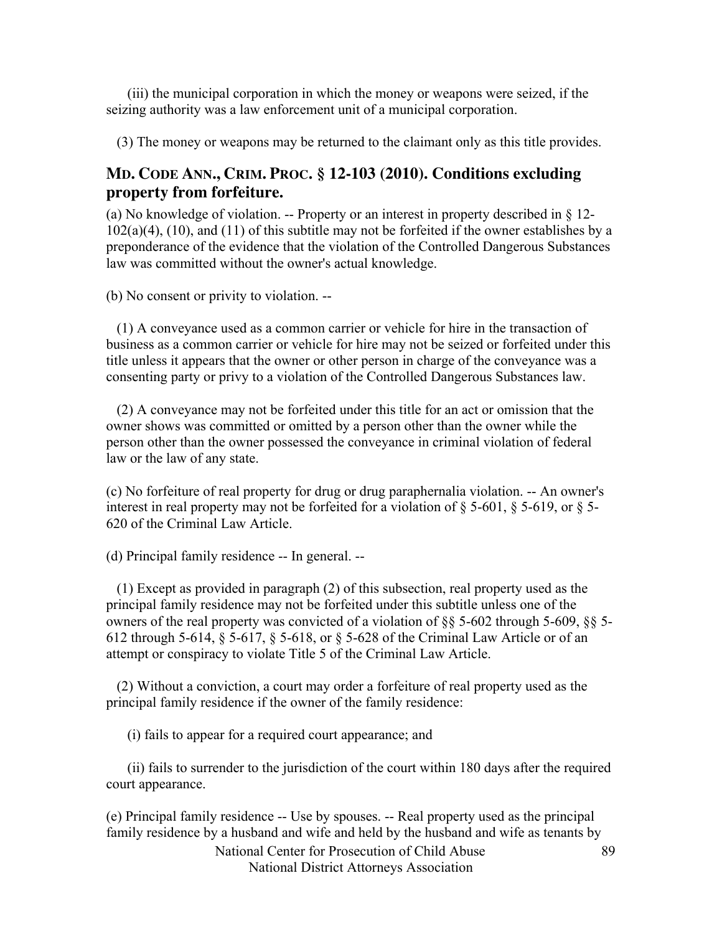(iii) the municipal corporation in which the money or weapons were seized, if the seizing authority was a law enforcement unit of a municipal corporation.

(3) The money or weapons may be returned to the claimant only as this title provides.

### **MD. CODE ANN., CRIM. PROC. § 12-103 (2010). Conditions excluding property from forfeiture.**

(a) No knowledge of violation. -- Property or an interest in property described in § 12-  $102(a)(4)$ ,  $(10)$ , and  $(11)$  of this subtitle may not be forfeited if the owner establishes by a preponderance of the evidence that the violation of the Controlled Dangerous Substances law was committed without the owner's actual knowledge.

(b) No consent or privity to violation. --

 (1) A conveyance used as a common carrier or vehicle for hire in the transaction of business as a common carrier or vehicle for hire may not be seized or forfeited under this title unless it appears that the owner or other person in charge of the conveyance was a consenting party or privy to a violation of the Controlled Dangerous Substances law.

 (2) A conveyance may not be forfeited under this title for an act or omission that the owner shows was committed or omitted by a person other than the owner while the person other than the owner possessed the conveyance in criminal violation of federal law or the law of any state.

(c) No forfeiture of real property for drug or drug paraphernalia violation. -- An owner's interest in real property may not be forfeited for a violation of § 5-601, § 5-619, or § 5- 620 of the Criminal Law Article.

(d) Principal family residence -- In general. --

 (1) Except as provided in paragraph (2) of this subsection, real property used as the principal family residence may not be forfeited under this subtitle unless one of the owners of the real property was convicted of a violation of §§ 5-602 through 5-609, §§ 5- 612 through 5-614, § 5-617, § 5-618, or § 5-628 of the Criminal Law Article or of an attempt or conspiracy to violate Title 5 of the Criminal Law Article.

 (2) Without a conviction, a court may order a forfeiture of real property used as the principal family residence if the owner of the family residence:

(i) fails to appear for a required court appearance; and

 (ii) fails to surrender to the jurisdiction of the court within 180 days after the required court appearance.

National Center for Prosecution of Child Abuse National District Attorneys Association 89 (e) Principal family residence -- Use by spouses. -- Real property used as the principal family residence by a husband and wife and held by the husband and wife as tenants by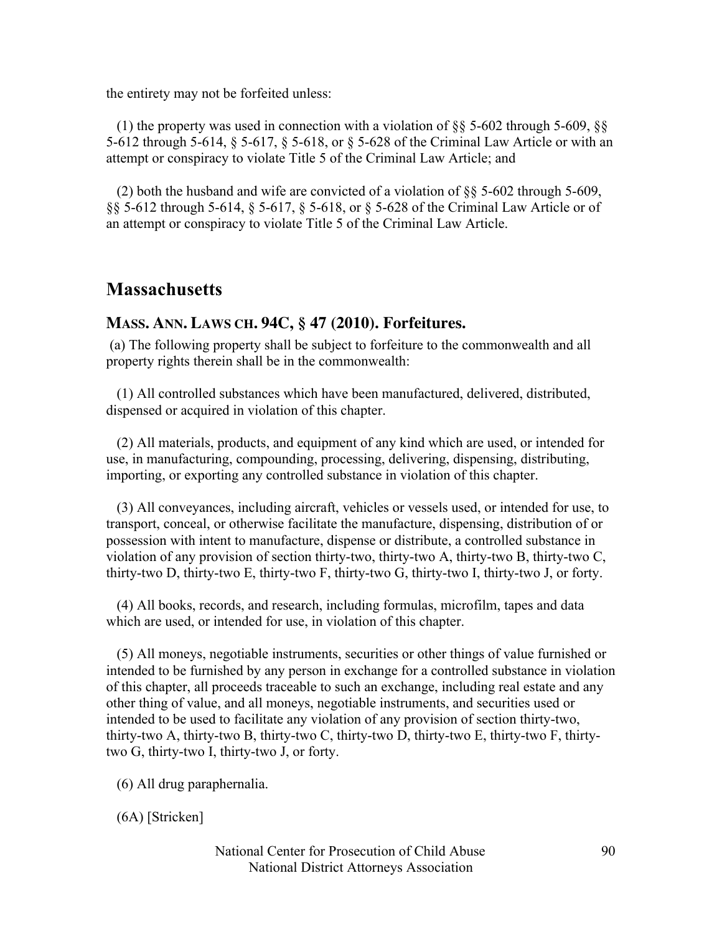the entirety may not be forfeited unless:

 (1) the property was used in connection with a violation of §§ 5-602 through 5-609, §§ 5-612 through 5-614, § 5-617, § 5-618, or § 5-628 of the Criminal Law Article or with an attempt or conspiracy to violate Title 5 of the Criminal Law Article; and

 (2) both the husband and wife are convicted of a violation of §§ 5-602 through 5-609, §§ 5-612 through 5-614, § 5-617, § 5-618, or § 5-628 of the Criminal Law Article or of an attempt or conspiracy to violate Title 5 of the Criminal Law Article.

## **Massachusetts**

#### **MASS. ANN. LAWS CH. 94C, § 47 (2010). Forfeitures.**

(a) The following property shall be subject to forfeiture to the commonwealth and all property rights therein shall be in the commonwealth:

 (1) All controlled substances which have been manufactured, delivered, distributed, dispensed or acquired in violation of this chapter.

 (2) All materials, products, and equipment of any kind which are used, or intended for use, in manufacturing, compounding, processing, delivering, dispensing, distributing, importing, or exporting any controlled substance in violation of this chapter.

 (3) All conveyances, including aircraft, vehicles or vessels used, or intended for use, to transport, conceal, or otherwise facilitate the manufacture, dispensing, distribution of or possession with intent to manufacture, dispense or distribute, a controlled substance in violation of any provision of section thirty-two, thirty-two A, thirty-two B, thirty-two C, thirty-two D, thirty-two E, thirty-two F, thirty-two G, thirty-two I, thirty-two J, or forty.

 (4) All books, records, and research, including formulas, microfilm, tapes and data which are used, or intended for use, in violation of this chapter.

 (5) All moneys, negotiable instruments, securities or other things of value furnished or intended to be furnished by any person in exchange for a controlled substance in violation of this chapter, all proceeds traceable to such an exchange, including real estate and any other thing of value, and all moneys, negotiable instruments, and securities used or intended to be used to facilitate any violation of any provision of section thirty-two, thirty-two A, thirty-two B, thirty-two C, thirty-two D, thirty-two E, thirty-two F, thirtytwo G, thirty-two I, thirty-two J, or forty.

(6) All drug paraphernalia.

(6A) [Stricken]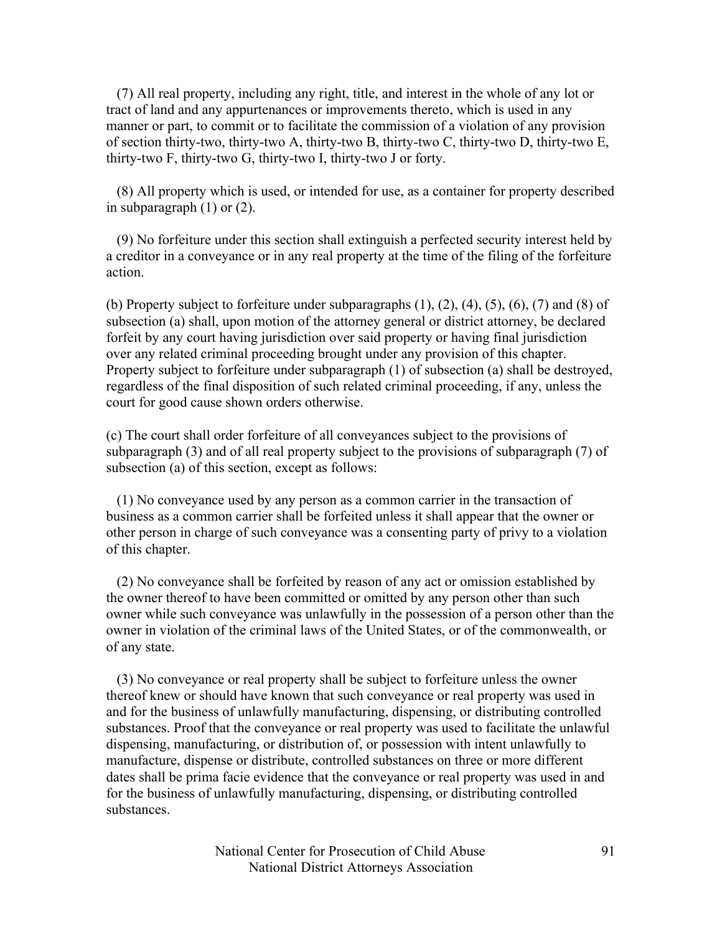(7) All real property, including any right, title, and interest in the whole of any lot or tract of land and any appurtenances or improvements thereto, which is used in any manner or part, to commit or to facilitate the commission of a violation of any provision of section thirty-two, thirty-two A, thirty-two B, thirty-two C, thirty-two D, thirty-two E, thirty-two F, thirty-two G, thirty-two I, thirty-two J or forty.

 (8) All property which is used, or intended for use, as a container for property described in subparagraph (1) or (2).

 (9) No forfeiture under this section shall extinguish a perfected security interest held by a creditor in a conveyance or in any real property at the time of the filing of the forfeiture action.

(b) Property subject to forfeiture under subparagraphs  $(1)$ ,  $(2)$ ,  $(4)$ ,  $(5)$ ,  $(6)$ ,  $(7)$  and  $(8)$  of subsection (a) shall, upon motion of the attorney general or district attorney, be declared forfeit by any court having jurisdiction over said property or having final jurisdiction over any related criminal proceeding brought under any provision of this chapter. Property subject to forfeiture under subparagraph (1) of subsection (a) shall be destroyed, regardless of the final disposition of such related criminal proceeding, if any, unless the court for good cause shown orders otherwise.

(c) The court shall order forfeiture of all conveyances subject to the provisions of subparagraph (3) and of all real property subject to the provisions of subparagraph (7) of subsection (a) of this section, except as follows:

 (1) No conveyance used by any person as a common carrier in the transaction of business as a common carrier shall be forfeited unless it shall appear that the owner or other person in charge of such conveyance was a consenting party of privy to a violation of this chapter.

 (2) No conveyance shall be forfeited by reason of any act or omission established by the owner thereof to have been committed or omitted by any person other than such owner while such conveyance was unlawfully in the possession of a person other than the owner in violation of the criminal laws of the United States, or of the commonwealth, or of any state.

 (3) No conveyance or real property shall be subject to forfeiture unless the owner thereof knew or should have known that such conveyance or real property was used in and for the business of unlawfully manufacturing, dispensing, or distributing controlled substances. Proof that the conveyance or real property was used to facilitate the unlawful dispensing, manufacturing, or distribution of, or possession with intent unlawfully to manufacture, dispense or distribute, controlled substances on three or more different dates shall be prima facie evidence that the conveyance or real property was used in and for the business of unlawfully manufacturing, dispensing, or distributing controlled substances.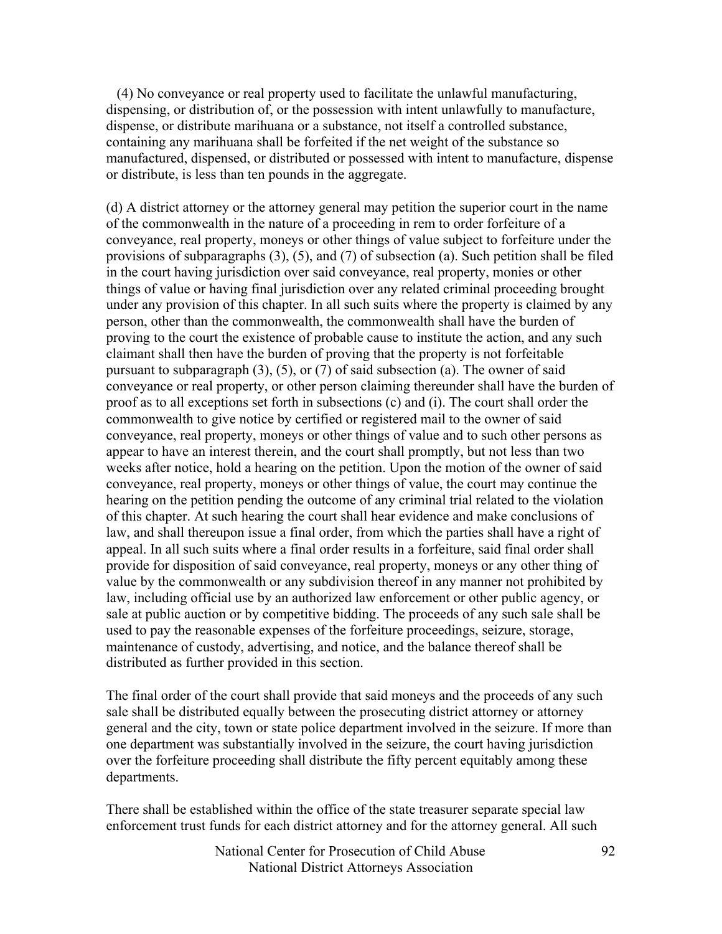(4) No conveyance or real property used to facilitate the unlawful manufacturing, dispensing, or distribution of, or the possession with intent unlawfully to manufacture, dispense, or distribute marihuana or a substance, not itself a controlled substance, containing any marihuana shall be forfeited if the net weight of the substance so manufactured, dispensed, or distributed or possessed with intent to manufacture, dispense or distribute, is less than ten pounds in the aggregate.

(d) A district attorney or the attorney general may petition the superior court in the name of the commonwealth in the nature of a proceeding in rem to order forfeiture of a conveyance, real property, moneys or other things of value subject to forfeiture under the provisions of subparagraphs (3), (5), and (7) of subsection (a). Such petition shall be filed in the court having jurisdiction over said conveyance, real property, monies or other things of value or having final jurisdiction over any related criminal proceeding brought under any provision of this chapter. In all such suits where the property is claimed by any person, other than the commonwealth, the commonwealth shall have the burden of proving to the court the existence of probable cause to institute the action, and any such claimant shall then have the burden of proving that the property is not forfeitable pursuant to subparagraph (3), (5), or (7) of said subsection (a). The owner of said conveyance or real property, or other person claiming thereunder shall have the burden of proof as to all exceptions set forth in subsections (c) and (i). The court shall order the commonwealth to give notice by certified or registered mail to the owner of said conveyance, real property, moneys or other things of value and to such other persons as appear to have an interest therein, and the court shall promptly, but not less than two weeks after notice, hold a hearing on the petition. Upon the motion of the owner of said conveyance, real property, moneys or other things of value, the court may continue the hearing on the petition pending the outcome of any criminal trial related to the violation of this chapter. At such hearing the court shall hear evidence and make conclusions of law, and shall thereupon issue a final order, from which the parties shall have a right of appeal. In all such suits where a final order results in a forfeiture, said final order shall provide for disposition of said conveyance, real property, moneys or any other thing of value by the commonwealth or any subdivision thereof in any manner not prohibited by law, including official use by an authorized law enforcement or other public agency, or sale at public auction or by competitive bidding. The proceeds of any such sale shall be used to pay the reasonable expenses of the forfeiture proceedings, seizure, storage, maintenance of custody, advertising, and notice, and the balance thereof shall be distributed as further provided in this section.

The final order of the court shall provide that said moneys and the proceeds of any such sale shall be distributed equally between the prosecuting district attorney or attorney general and the city, town or state police department involved in the seizure. If more than one department was substantially involved in the seizure, the court having jurisdiction over the forfeiture proceeding shall distribute the fifty percent equitably among these departments.

There shall be established within the office of the state treasurer separate special law enforcement trust funds for each district attorney and for the attorney general. All such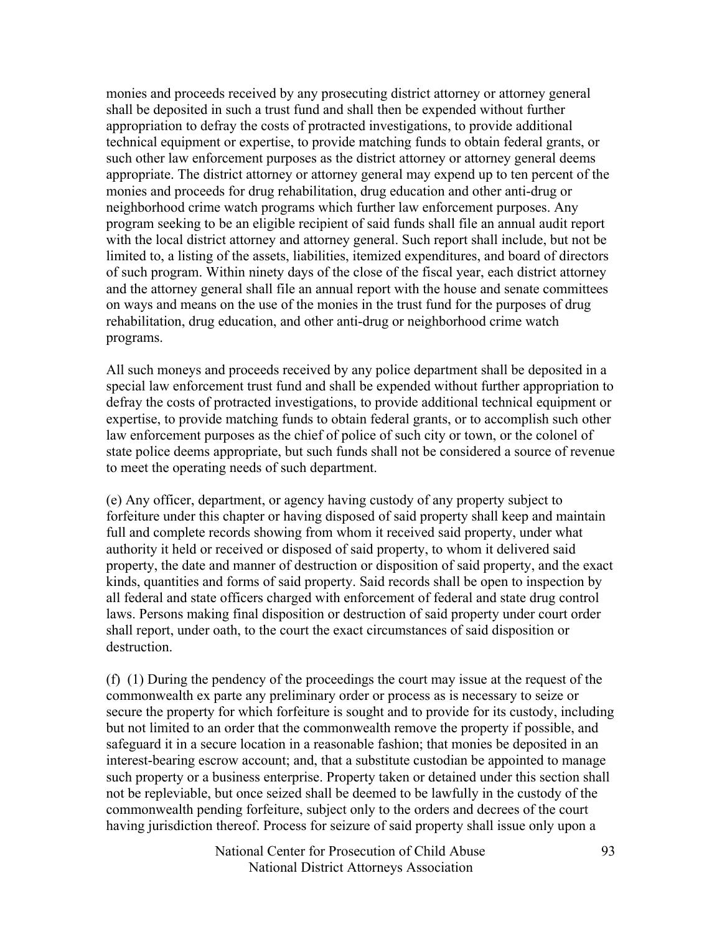monies and proceeds received by any prosecuting district attorney or attorney general shall be deposited in such a trust fund and shall then be expended without further appropriation to defray the costs of protracted investigations, to provide additional technical equipment or expertise, to provide matching funds to obtain federal grants, or such other law enforcement purposes as the district attorney or attorney general deems appropriate. The district attorney or attorney general may expend up to ten percent of the monies and proceeds for drug rehabilitation, drug education and other anti-drug or neighborhood crime watch programs which further law enforcement purposes. Any program seeking to be an eligible recipient of said funds shall file an annual audit report with the local district attorney and attorney general. Such report shall include, but not be limited to, a listing of the assets, liabilities, itemized expenditures, and board of directors of such program. Within ninety days of the close of the fiscal year, each district attorney and the attorney general shall file an annual report with the house and senate committees on ways and means on the use of the monies in the trust fund for the purposes of drug rehabilitation, drug education, and other anti-drug or neighborhood crime watch programs.

All such moneys and proceeds received by any police department shall be deposited in a special law enforcement trust fund and shall be expended without further appropriation to defray the costs of protracted investigations, to provide additional technical equipment or expertise, to provide matching funds to obtain federal grants, or to accomplish such other law enforcement purposes as the chief of police of such city or town, or the colonel of state police deems appropriate, but such funds shall not be considered a source of revenue to meet the operating needs of such department.

(e) Any officer, department, or agency having custody of any property subject to forfeiture under this chapter or having disposed of said property shall keep and maintain full and complete records showing from whom it received said property, under what authority it held or received or disposed of said property, to whom it delivered said property, the date and manner of destruction or disposition of said property, and the exact kinds, quantities and forms of said property. Said records shall be open to inspection by all federal and state officers charged with enforcement of federal and state drug control laws. Persons making final disposition or destruction of said property under court order shall report, under oath, to the court the exact circumstances of said disposition or destruction.

(f) (1) During the pendency of the proceedings the court may issue at the request of the commonwealth ex parte any preliminary order or process as is necessary to seize or secure the property for which forfeiture is sought and to provide for its custody, including but not limited to an order that the commonwealth remove the property if possible, and safeguard it in a secure location in a reasonable fashion; that monies be deposited in an interest-bearing escrow account; and, that a substitute custodian be appointed to manage such property or a business enterprise. Property taken or detained under this section shall not be repleviable, but once seized shall be deemed to be lawfully in the custody of the commonwealth pending forfeiture, subject only to the orders and decrees of the court having jurisdiction thereof. Process for seizure of said property shall issue only upon a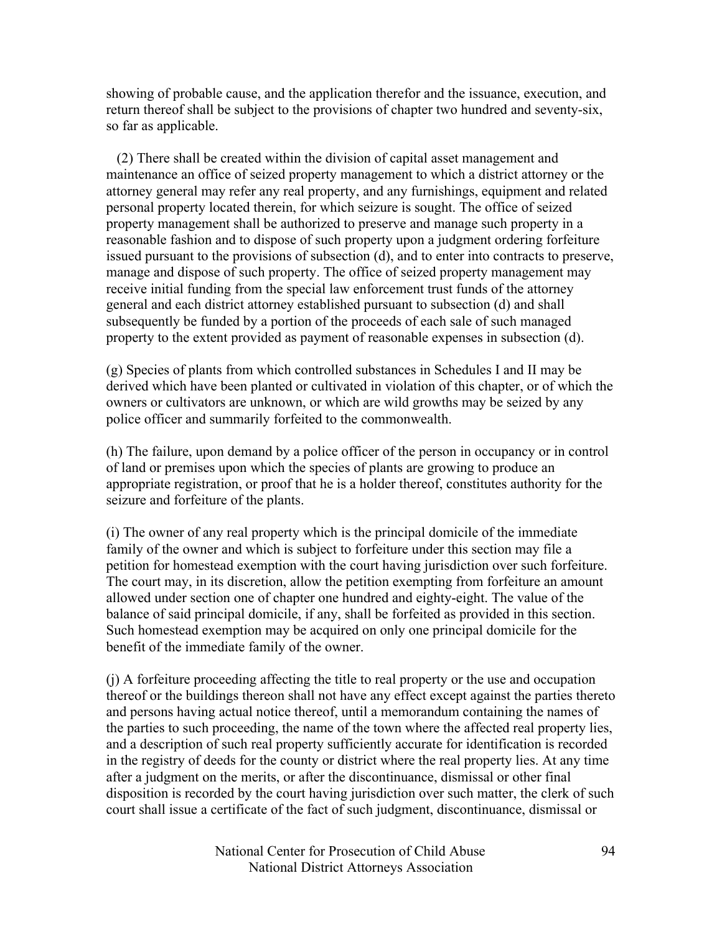showing of probable cause, and the application therefor and the issuance, execution, and return thereof shall be subject to the provisions of chapter two hundred and seventy-six, so far as applicable.

 (2) There shall be created within the division of capital asset management and maintenance an office of seized property management to which a district attorney or the attorney general may refer any real property, and any furnishings, equipment and related personal property located therein, for which seizure is sought. The office of seized property management shall be authorized to preserve and manage such property in a reasonable fashion and to dispose of such property upon a judgment ordering forfeiture issued pursuant to the provisions of subsection (d), and to enter into contracts to preserve, manage and dispose of such property. The office of seized property management may receive initial funding from the special law enforcement trust funds of the attorney general and each district attorney established pursuant to subsection (d) and shall subsequently be funded by a portion of the proceeds of each sale of such managed property to the extent provided as payment of reasonable expenses in subsection (d).

(g) Species of plants from which controlled substances in Schedules I and II may be derived which have been planted or cultivated in violation of this chapter, or of which the owners or cultivators are unknown, or which are wild growths may be seized by any police officer and summarily forfeited to the commonwealth.

(h) The failure, upon demand by a police officer of the person in occupancy or in control of land or premises upon which the species of plants are growing to produce an appropriate registration, or proof that he is a holder thereof, constitutes authority for the seizure and forfeiture of the plants.

(i) The owner of any real property which is the principal domicile of the immediate family of the owner and which is subject to forfeiture under this section may file a petition for homestead exemption with the court having jurisdiction over such forfeiture. The court may, in its discretion, allow the petition exempting from forfeiture an amount allowed under section one of chapter one hundred and eighty-eight. The value of the balance of said principal domicile, if any, shall be forfeited as provided in this section. Such homestead exemption may be acquired on only one principal domicile for the benefit of the immediate family of the owner.

(j) A forfeiture proceeding affecting the title to real property or the use and occupation thereof or the buildings thereon shall not have any effect except against the parties thereto and persons having actual notice thereof, until a memorandum containing the names of the parties to such proceeding, the name of the town where the affected real property lies, and a description of such real property sufficiently accurate for identification is recorded in the registry of deeds for the county or district where the real property lies. At any time after a judgment on the merits, or after the discontinuance, dismissal or other final disposition is recorded by the court having jurisdiction over such matter, the clerk of such court shall issue a certificate of the fact of such judgment, discontinuance, dismissal or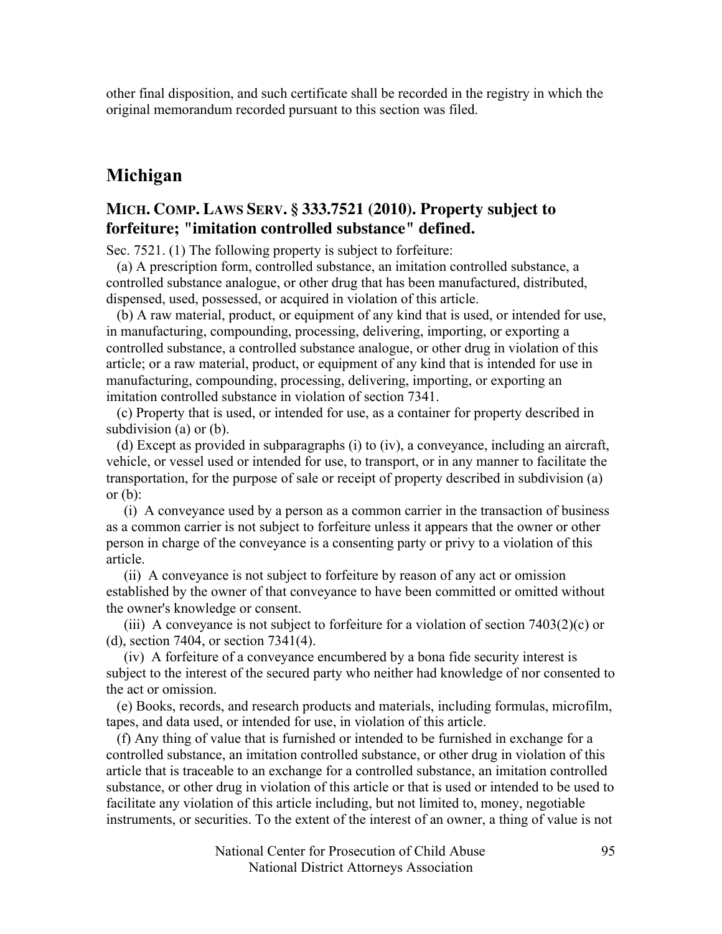other final disposition, and such certificate shall be recorded in the registry in which the original memorandum recorded pursuant to this section was filed.

## **Michigan**

#### **MICH. COMP. LAWS SERV. § 333.7521 (2010). Property subject to forfeiture; "imitation controlled substance" defined.**

Sec. 7521. (1) The following property is subject to forfeiture:

 (a) A prescription form, controlled substance, an imitation controlled substance, a controlled substance analogue, or other drug that has been manufactured, distributed, dispensed, used, possessed, or acquired in violation of this article.

 (b) A raw material, product, or equipment of any kind that is used, or intended for use, in manufacturing, compounding, processing, delivering, importing, or exporting a controlled substance, a controlled substance analogue, or other drug in violation of this article; or a raw material, product, or equipment of any kind that is intended for use in manufacturing, compounding, processing, delivering, importing, or exporting an imitation controlled substance in violation of section 7341.

 (c) Property that is used, or intended for use, as a container for property described in subdivision (a) or (b).

 (d) Except as provided in subparagraphs (i) to (iv), a conveyance, including an aircraft, vehicle, or vessel used or intended for use, to transport, or in any manner to facilitate the transportation, for the purpose of sale or receipt of property described in subdivision (a) or  $(b)$ :

 (i) A conveyance used by a person as a common carrier in the transaction of business as a common carrier is not subject to forfeiture unless it appears that the owner or other person in charge of the conveyance is a consenting party or privy to a violation of this article.

 (ii) A conveyance is not subject to forfeiture by reason of any act or omission established by the owner of that conveyance to have been committed or omitted without the owner's knowledge or consent.

(iii) A conveyance is not subject to forfeiture for a violation of section  $7403(2)(c)$  or (d), section 7404, or section 7341(4).

 (iv) A forfeiture of a conveyance encumbered by a bona fide security interest is subject to the interest of the secured party who neither had knowledge of nor consented to the act or omission.

 (e) Books, records, and research products and materials, including formulas, microfilm, tapes, and data used, or intended for use, in violation of this article.

 (f) Any thing of value that is furnished or intended to be furnished in exchange for a controlled substance, an imitation controlled substance, or other drug in violation of this article that is traceable to an exchange for a controlled substance, an imitation controlled substance, or other drug in violation of this article or that is used or intended to be used to facilitate any violation of this article including, but not limited to, money, negotiable instruments, or securities. To the extent of the interest of an owner, a thing of value is not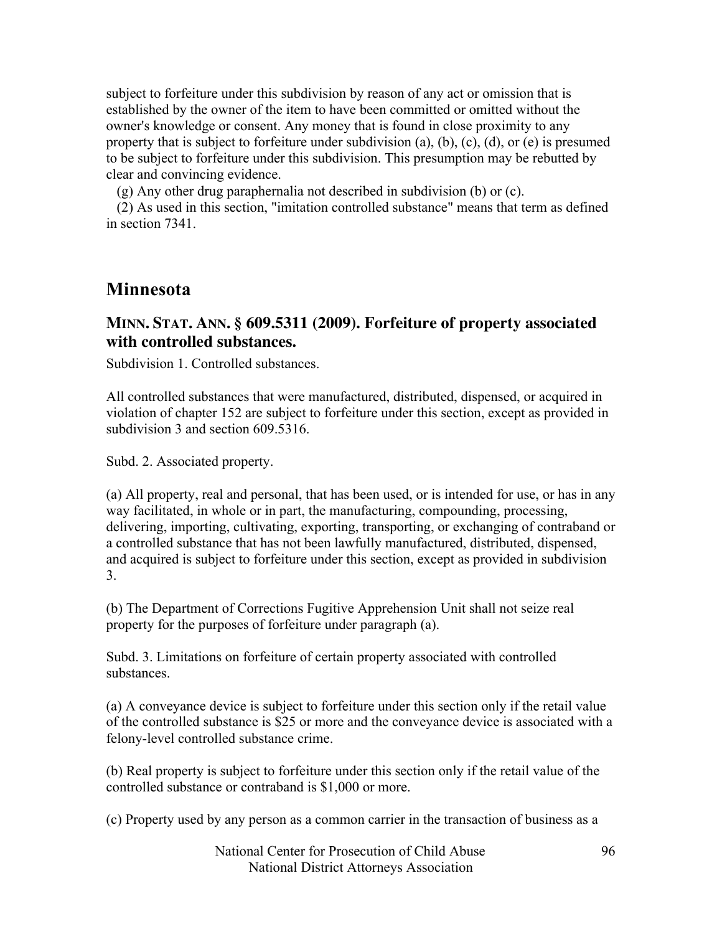subject to forfeiture under this subdivision by reason of any act or omission that is established by the owner of the item to have been committed or omitted without the owner's knowledge or consent. Any money that is found in close proximity to any property that is subject to forfeiture under subdivision (a), (b), (c), (d), or (e) is presumed to be subject to forfeiture under this subdivision. This presumption may be rebutted by clear and convincing evidence.

(g) Any other drug paraphernalia not described in subdivision (b) or (c).

 (2) As used in this section, "imitation controlled substance" means that term as defined in section 7341.

### **Minnesota**

#### **MINN. STAT. ANN. § 609.5311 (2009). Forfeiture of property associated with controlled substances.**

Subdivision 1. Controlled substances.

All controlled substances that were manufactured, distributed, dispensed, or acquired in violation of chapter 152 are subject to forfeiture under this section, except as provided in subdivision 3 and section 609.5316.

Subd. 2. Associated property.

(a) All property, real and personal, that has been used, or is intended for use, or has in any way facilitated, in whole or in part, the manufacturing, compounding, processing, delivering, importing, cultivating, exporting, transporting, or exchanging of contraband or a controlled substance that has not been lawfully manufactured, distributed, dispensed, and acquired is subject to forfeiture under this section, except as provided in subdivision 3.

(b) The Department of Corrections Fugitive Apprehension Unit shall not seize real property for the purposes of forfeiture under paragraph (a).

Subd. 3. Limitations on forfeiture of certain property associated with controlled substances.

(a) A conveyance device is subject to forfeiture under this section only if the retail value of the controlled substance is \$25 or more and the conveyance device is associated with a felony-level controlled substance crime.

(b) Real property is subject to forfeiture under this section only if the retail value of the controlled substance or contraband is \$1,000 or more.

(c) Property used by any person as a common carrier in the transaction of business as a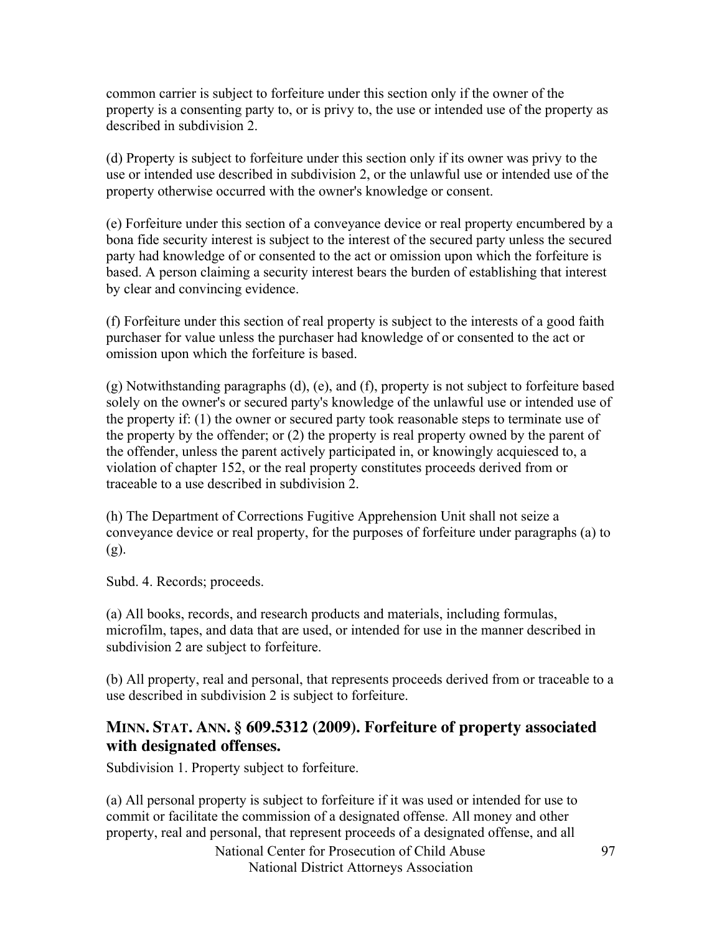common carrier is subject to forfeiture under this section only if the owner of the property is a consenting party to, or is privy to, the use or intended use of the property as described in subdivision 2.

(d) Property is subject to forfeiture under this section only if its owner was privy to the use or intended use described in subdivision 2, or the unlawful use or intended use of the property otherwise occurred with the owner's knowledge or consent.

(e) Forfeiture under this section of a conveyance device or real property encumbered by a bona fide security interest is subject to the interest of the secured party unless the secured party had knowledge of or consented to the act or omission upon which the forfeiture is based. A person claiming a security interest bears the burden of establishing that interest by clear and convincing evidence.

(f) Forfeiture under this section of real property is subject to the interests of a good faith purchaser for value unless the purchaser had knowledge of or consented to the act or omission upon which the forfeiture is based.

(g) Notwithstanding paragraphs (d), (e), and (f), property is not subject to forfeiture based solely on the owner's or secured party's knowledge of the unlawful use or intended use of the property if: (1) the owner or secured party took reasonable steps to terminate use of the property by the offender; or (2) the property is real property owned by the parent of the offender, unless the parent actively participated in, or knowingly acquiesced to, a violation of chapter 152, or the real property constitutes proceeds derived from or traceable to a use described in subdivision 2.

(h) The Department of Corrections Fugitive Apprehension Unit shall not seize a conveyance device or real property, for the purposes of forfeiture under paragraphs (a) to (g).

Subd. 4. Records; proceeds.

(a) All books, records, and research products and materials, including formulas, microfilm, tapes, and data that are used, or intended for use in the manner described in subdivision 2 are subject to forfeiture.

(b) All property, real and personal, that represents proceeds derived from or traceable to a use described in subdivision 2 is subject to forfeiture.

### **MINN. STAT. ANN. § 609.5312 (2009). Forfeiture of property associated with designated offenses.**

Subdivision 1. Property subject to forfeiture.

National Center for Prosecution of Child Abuse (a) All personal property is subject to forfeiture if it was used or intended for use to commit or facilitate the commission of a designated offense. All money and other property, real and personal, that represent proceeds of a designated offense, and all

National District Attorneys Association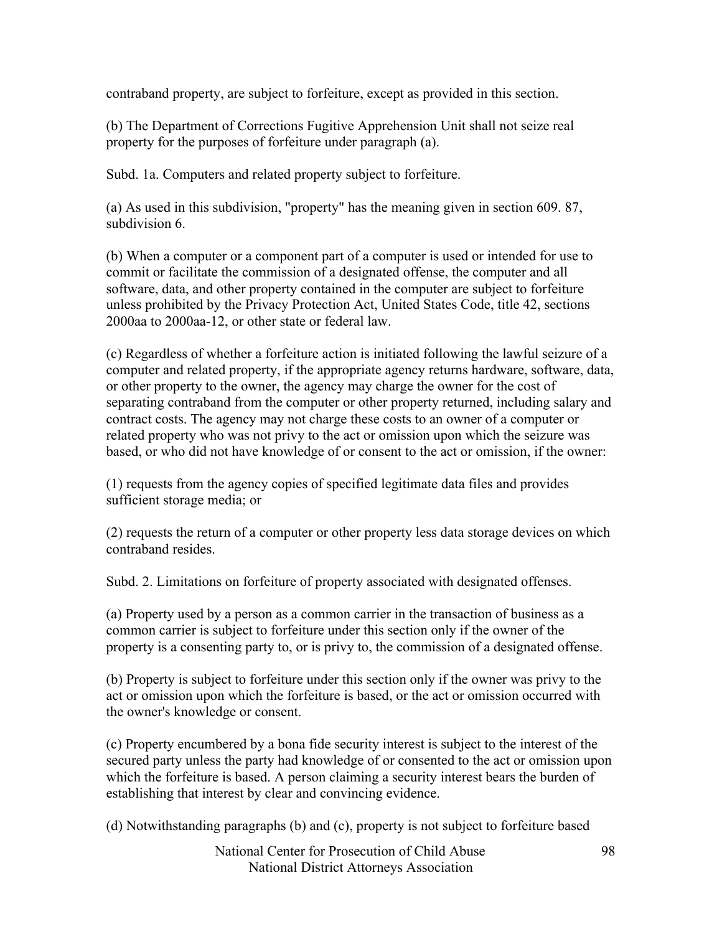contraband property, are subject to forfeiture, except as provided in this section.

(b) The Department of Corrections Fugitive Apprehension Unit shall not seize real property for the purposes of forfeiture under paragraph (a).

Subd. 1a. Computers and related property subject to forfeiture.

(a) As used in this subdivision, "property" has the meaning given in section 609. 87, subdivision 6

(b) When a computer or a component part of a computer is used or intended for use to commit or facilitate the commission of a designated offense, the computer and all software, data, and other property contained in the computer are subject to forfeiture unless prohibited by the Privacy Protection Act, United States Code, title 42, sections 2000aa to 2000aa-12, or other state or federal law.

(c) Regardless of whether a forfeiture action is initiated following the lawful seizure of a computer and related property, if the appropriate agency returns hardware, software, data, or other property to the owner, the agency may charge the owner for the cost of separating contraband from the computer or other property returned, including salary and contract costs. The agency may not charge these costs to an owner of a computer or related property who was not privy to the act or omission upon which the seizure was based, or who did not have knowledge of or consent to the act or omission, if the owner:

(1) requests from the agency copies of specified legitimate data files and provides sufficient storage media; or

(2) requests the return of a computer or other property less data storage devices on which contraband resides.

Subd. 2. Limitations on forfeiture of property associated with designated offenses.

(a) Property used by a person as a common carrier in the transaction of business as a common carrier is subject to forfeiture under this section only if the owner of the property is a consenting party to, or is privy to, the commission of a designated offense.

(b) Property is subject to forfeiture under this section only if the owner was privy to the act or omission upon which the forfeiture is based, or the act or omission occurred with the owner's knowledge or consent.

(c) Property encumbered by a bona fide security interest is subject to the interest of the secured party unless the party had knowledge of or consented to the act or omission upon which the forfeiture is based. A person claiming a security interest bears the burden of establishing that interest by clear and convincing evidence.

(d) Notwithstanding paragraphs (b) and (c), property is not subject to forfeiture based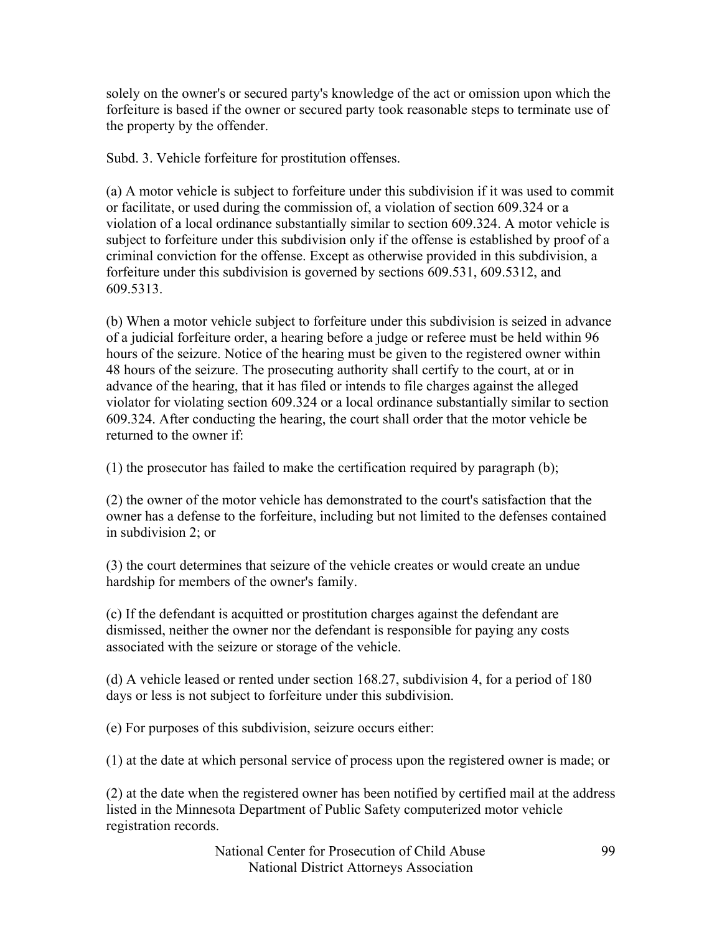solely on the owner's or secured party's knowledge of the act or omission upon which the forfeiture is based if the owner or secured party took reasonable steps to terminate use of the property by the offender.

Subd. 3. Vehicle forfeiture for prostitution offenses.

(a) A motor vehicle is subject to forfeiture under this subdivision if it was used to commit or facilitate, or used during the commission of, a violation of section 609.324 or a violation of a local ordinance substantially similar to section 609.324. A motor vehicle is subject to forfeiture under this subdivision only if the offense is established by proof of a criminal conviction for the offense. Except as otherwise provided in this subdivision, a forfeiture under this subdivision is governed by sections 609.531, 609.5312, and 609.5313.

(b) When a motor vehicle subject to forfeiture under this subdivision is seized in advance of a judicial forfeiture order, a hearing before a judge or referee must be held within 96 hours of the seizure. Notice of the hearing must be given to the registered owner within 48 hours of the seizure. The prosecuting authority shall certify to the court, at or in advance of the hearing, that it has filed or intends to file charges against the alleged violator for violating section 609.324 or a local ordinance substantially similar to section 609.324. After conducting the hearing, the court shall order that the motor vehicle be returned to the owner if:

(1) the prosecutor has failed to make the certification required by paragraph (b);

(2) the owner of the motor vehicle has demonstrated to the court's satisfaction that the owner has a defense to the forfeiture, including but not limited to the defenses contained in subdivision 2; or

(3) the court determines that seizure of the vehicle creates or would create an undue hardship for members of the owner's family.

(c) If the defendant is acquitted or prostitution charges against the defendant are dismissed, neither the owner nor the defendant is responsible for paying any costs associated with the seizure or storage of the vehicle.

(d) A vehicle leased or rented under section 168.27, subdivision 4, for a period of 180 days or less is not subject to forfeiture under this subdivision.

(e) For purposes of this subdivision, seizure occurs either:

(1) at the date at which personal service of process upon the registered owner is made; or

(2) at the date when the registered owner has been notified by certified mail at the address listed in the Minnesota Department of Public Safety computerized motor vehicle registration records.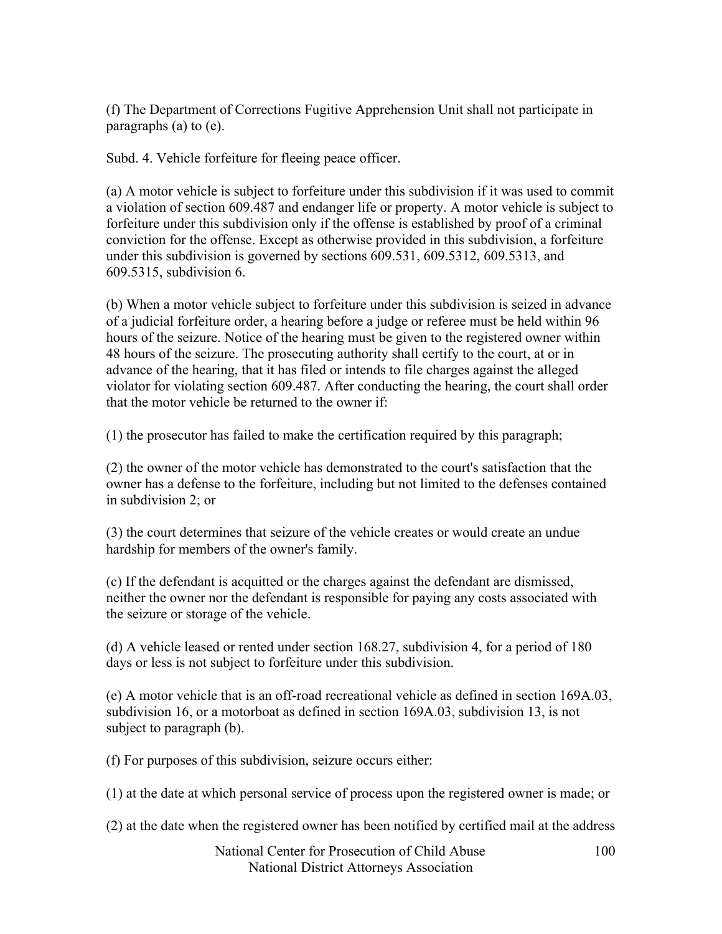(f) The Department of Corrections Fugitive Apprehension Unit shall not participate in paragraphs (a) to (e).

Subd. 4. Vehicle forfeiture for fleeing peace officer.

(a) A motor vehicle is subject to forfeiture under this subdivision if it was used to commit a violation of section 609.487 and endanger life or property. A motor vehicle is subject to forfeiture under this subdivision only if the offense is established by proof of a criminal conviction for the offense. Except as otherwise provided in this subdivision, a forfeiture under this subdivision is governed by sections 609.531, 609.5312, 609.5313, and 609.5315, subdivision 6.

(b) When a motor vehicle subject to forfeiture under this subdivision is seized in advance of a judicial forfeiture order, a hearing before a judge or referee must be held within 96 hours of the seizure. Notice of the hearing must be given to the registered owner within 48 hours of the seizure. The prosecuting authority shall certify to the court, at or in advance of the hearing, that it has filed or intends to file charges against the alleged violator for violating section 609.487. After conducting the hearing, the court shall order that the motor vehicle be returned to the owner if:

(1) the prosecutor has failed to make the certification required by this paragraph;

(2) the owner of the motor vehicle has demonstrated to the court's satisfaction that the owner has a defense to the forfeiture, including but not limited to the defenses contained in subdivision 2; or

(3) the court determines that seizure of the vehicle creates or would create an undue hardship for members of the owner's family.

(c) If the defendant is acquitted or the charges against the defendant are dismissed, neither the owner nor the defendant is responsible for paying any costs associated with the seizure or storage of the vehicle.

(d) A vehicle leased or rented under section 168.27, subdivision 4, for a period of 180 days or less is not subject to forfeiture under this subdivision.

(e) A motor vehicle that is an off-road recreational vehicle as defined in section 169A.03, subdivision 16, or a motorboat as defined in section 169A.03, subdivision 13, is not subject to paragraph (b).

(f) For purposes of this subdivision, seizure occurs either:

(1) at the date at which personal service of process upon the registered owner is made; or

(2) at the date when the registered owner has been notified by certified mail at the address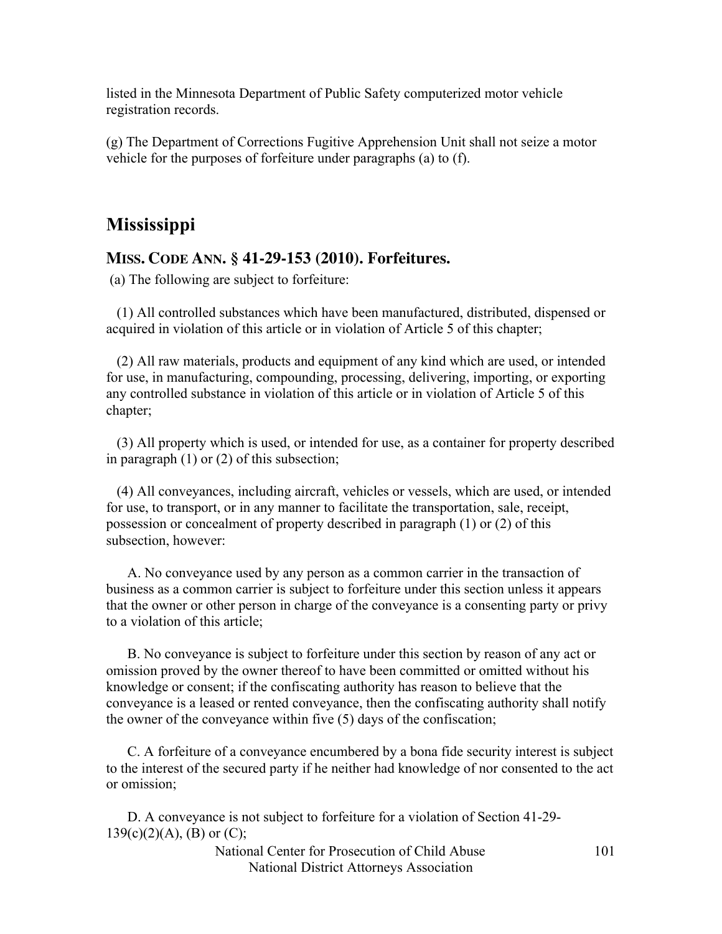listed in the Minnesota Department of Public Safety computerized motor vehicle registration records.

(g) The Department of Corrections Fugitive Apprehension Unit shall not seize a motor vehicle for the purposes of forfeiture under paragraphs (a) to (f).

# **Mississippi**

### **MISS. CODE ANN. § 41-29-153 (2010). Forfeitures.**

(a) The following are subject to forfeiture:

 (1) All controlled substances which have been manufactured, distributed, dispensed or acquired in violation of this article or in violation of Article 5 of this chapter;

 (2) All raw materials, products and equipment of any kind which are used, or intended for use, in manufacturing, compounding, processing, delivering, importing, or exporting any controlled substance in violation of this article or in violation of Article 5 of this chapter;

 (3) All property which is used, or intended for use, as a container for property described in paragraph (1) or (2) of this subsection;

 (4) All conveyances, including aircraft, vehicles or vessels, which are used, or intended for use, to transport, or in any manner to facilitate the transportation, sale, receipt, possession or concealment of property described in paragraph (1) or (2) of this subsection, however:

 A. No conveyance used by any person as a common carrier in the transaction of business as a common carrier is subject to forfeiture under this section unless it appears that the owner or other person in charge of the conveyance is a consenting party or privy to a violation of this article;

 B. No conveyance is subject to forfeiture under this section by reason of any act or omission proved by the owner thereof to have been committed or omitted without his knowledge or consent; if the confiscating authority has reason to believe that the conveyance is a leased or rented conveyance, then the confiscating authority shall notify the owner of the conveyance within five (5) days of the confiscation;

 C. A forfeiture of a conveyance encumbered by a bona fide security interest is subject to the interest of the secured party if he neither had knowledge of nor consented to the act or omission;

 D. A conveyance is not subject to forfeiture for a violation of Section 41-29-  $139(c)(2)(A)$ , (B) or (C);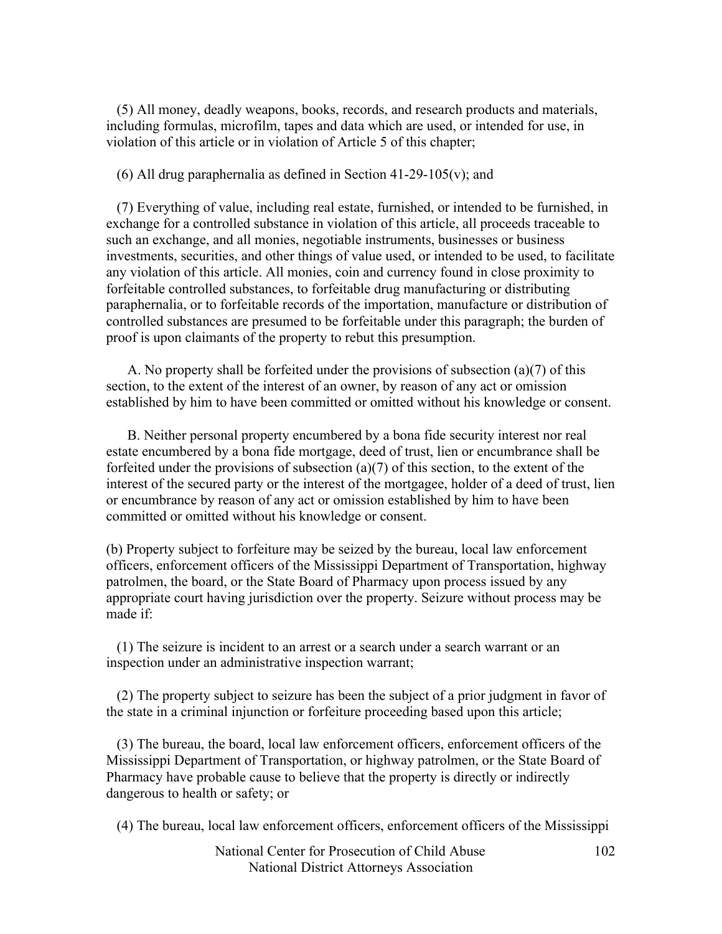(5) All money, deadly weapons, books, records, and research products and materials, including formulas, microfilm, tapes and data which are used, or intended for use, in violation of this article or in violation of Article 5 of this chapter;

(6) All drug paraphernalia as defined in Section 41-29-105(v); and

 (7) Everything of value, including real estate, furnished, or intended to be furnished, in exchange for a controlled substance in violation of this article, all proceeds traceable to such an exchange, and all monies, negotiable instruments, businesses or business investments, securities, and other things of value used, or intended to be used, to facilitate any violation of this article. All monies, coin and currency found in close proximity to forfeitable controlled substances, to forfeitable drug manufacturing or distributing paraphernalia, or to forfeitable records of the importation, manufacture or distribution of controlled substances are presumed to be forfeitable under this paragraph; the burden of proof is upon claimants of the property to rebut this presumption.

 A. No property shall be forfeited under the provisions of subsection (a)(7) of this section, to the extent of the interest of an owner, by reason of any act or omission established by him to have been committed or omitted without his knowledge or consent.

 B. Neither personal property encumbered by a bona fide security interest nor real estate encumbered by a bona fide mortgage, deed of trust, lien or encumbrance shall be forfeited under the provisions of subsection (a)(7) of this section, to the extent of the interest of the secured party or the interest of the mortgagee, holder of a deed of trust, lien or encumbrance by reason of any act or omission established by him to have been committed or omitted without his knowledge or consent.

(b) Property subject to forfeiture may be seized by the bureau, local law enforcement officers, enforcement officers of the Mississippi Department of Transportation, highway patrolmen, the board, or the State Board of Pharmacy upon process issued by any appropriate court having jurisdiction over the property. Seizure without process may be made if:

 (1) The seizure is incident to an arrest or a search under a search warrant or an inspection under an administrative inspection warrant;

 (2) The property subject to seizure has been the subject of a prior judgment in favor of the state in a criminal injunction or forfeiture proceeding based upon this article;

 (3) The bureau, the board, local law enforcement officers, enforcement officers of the Mississippi Department of Transportation, or highway patrolmen, or the State Board of Pharmacy have probable cause to believe that the property is directly or indirectly dangerous to health or safety; or

(4) The bureau, local law enforcement officers, enforcement officers of the Mississippi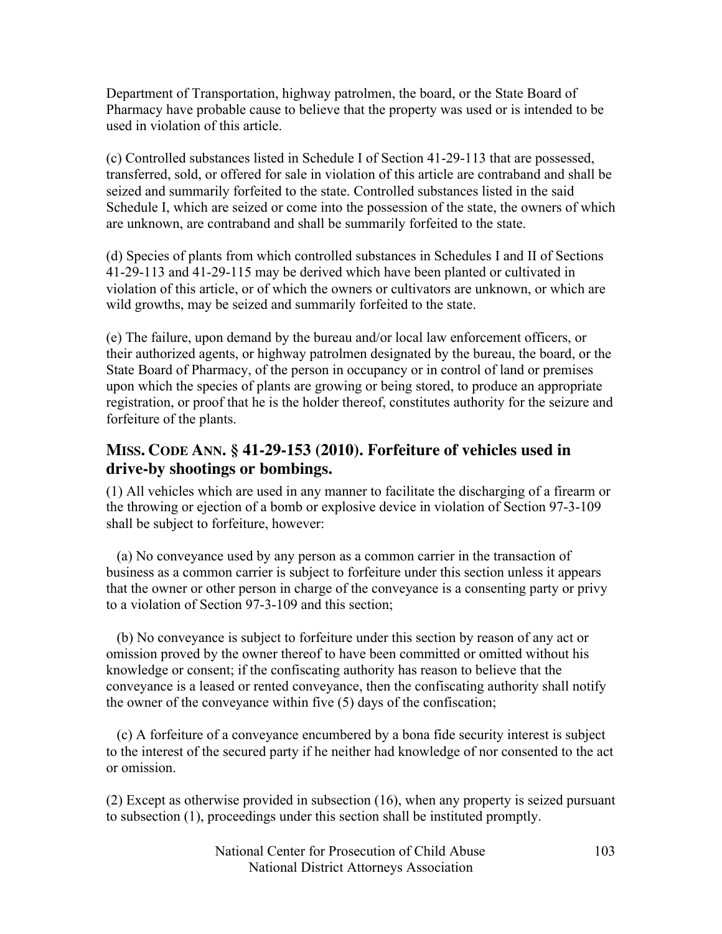Department of Transportation, highway patrolmen, the board, or the State Board of Pharmacy have probable cause to believe that the property was used or is intended to be used in violation of this article.

(c) Controlled substances listed in Schedule I of Section 41-29-113 that are possessed, transferred, sold, or offered for sale in violation of this article are contraband and shall be seized and summarily forfeited to the state. Controlled substances listed in the said Schedule I, which are seized or come into the possession of the state, the owners of which are unknown, are contraband and shall be summarily forfeited to the state.

(d) Species of plants from which controlled substances in Schedules I and II of Sections 41-29-113 and 41-29-115 may be derived which have been planted or cultivated in violation of this article, or of which the owners or cultivators are unknown, or which are wild growths, may be seized and summarily forfeited to the state.

(e) The failure, upon demand by the bureau and/or local law enforcement officers, or their authorized agents, or highway patrolmen designated by the bureau, the board, or the State Board of Pharmacy, of the person in occupancy or in control of land or premises upon which the species of plants are growing or being stored, to produce an appropriate registration, or proof that he is the holder thereof, constitutes authority for the seizure and forfeiture of the plants.

## **MISS. CODE ANN. § 41-29-153 (2010). Forfeiture of vehicles used in drive-by shootings or bombings.**

(1) All vehicles which are used in any manner to facilitate the discharging of a firearm or the throwing or ejection of a bomb or explosive device in violation of Section 97-3-109 shall be subject to forfeiture, however:

 (a) No conveyance used by any person as a common carrier in the transaction of business as a common carrier is subject to forfeiture under this section unless it appears that the owner or other person in charge of the conveyance is a consenting party or privy to a violation of Section 97-3-109 and this section;

 (b) No conveyance is subject to forfeiture under this section by reason of any act or omission proved by the owner thereof to have been committed or omitted without his knowledge or consent; if the confiscating authority has reason to believe that the conveyance is a leased or rented conveyance, then the confiscating authority shall notify the owner of the conveyance within five (5) days of the confiscation;

 (c) A forfeiture of a conveyance encumbered by a bona fide security interest is subject to the interest of the secured party if he neither had knowledge of nor consented to the act or omission.

(2) Except as otherwise provided in subsection (16), when any property is seized pursuant to subsection (1), proceedings under this section shall be instituted promptly.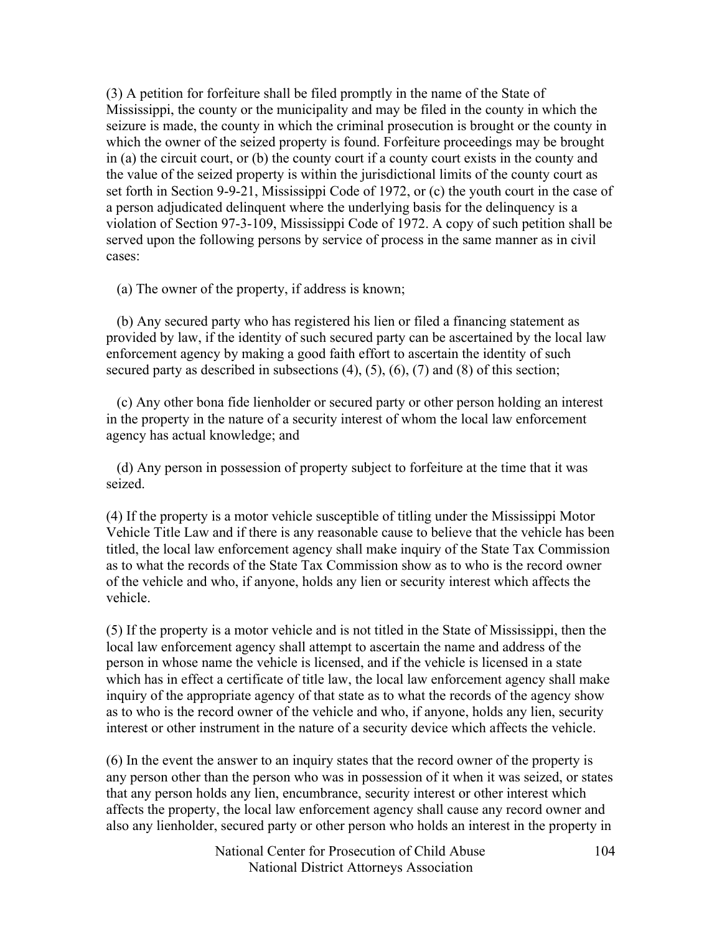(3) A petition for forfeiture shall be filed promptly in the name of the State of Mississippi, the county or the municipality and may be filed in the county in which the seizure is made, the county in which the criminal prosecution is brought or the county in which the owner of the seized property is found. Forfeiture proceedings may be brought in (a) the circuit court, or (b) the county court if a county court exists in the county and the value of the seized property is within the jurisdictional limits of the county court as set forth in Section 9-9-21, Mississippi Code of 1972, or (c) the youth court in the case of a person adjudicated delinquent where the underlying basis for the delinquency is a violation of Section 97-3-109, Mississippi Code of 1972. A copy of such petition shall be served upon the following persons by service of process in the same manner as in civil cases:

(a) The owner of the property, if address is known;

 (b) Any secured party who has registered his lien or filed a financing statement as provided by law, if the identity of such secured party can be ascertained by the local law enforcement agency by making a good faith effort to ascertain the identity of such secured party as described in subsections  $(4)$ ,  $(5)$ ,  $(6)$ ,  $(7)$  and  $(8)$  of this section;

 (c) Any other bona fide lienholder or secured party or other person holding an interest in the property in the nature of a security interest of whom the local law enforcement agency has actual knowledge; and

 (d) Any person in possession of property subject to forfeiture at the time that it was seized.

(4) If the property is a motor vehicle susceptible of titling under the Mississippi Motor Vehicle Title Law and if there is any reasonable cause to believe that the vehicle has been titled, the local law enforcement agency shall make inquiry of the State Tax Commission as to what the records of the State Tax Commission show as to who is the record owner of the vehicle and who, if anyone, holds any lien or security interest which affects the vehicle.

(5) If the property is a motor vehicle and is not titled in the State of Mississippi, then the local law enforcement agency shall attempt to ascertain the name and address of the person in whose name the vehicle is licensed, and if the vehicle is licensed in a state which has in effect a certificate of title law, the local law enforcement agency shall make inquiry of the appropriate agency of that state as to what the records of the agency show as to who is the record owner of the vehicle and who, if anyone, holds any lien, security interest or other instrument in the nature of a security device which affects the vehicle.

(6) In the event the answer to an inquiry states that the record owner of the property is any person other than the person who was in possession of it when it was seized, or states that any person holds any lien, encumbrance, security interest or other interest which affects the property, the local law enforcement agency shall cause any record owner and also any lienholder, secured party or other person who holds an interest in the property in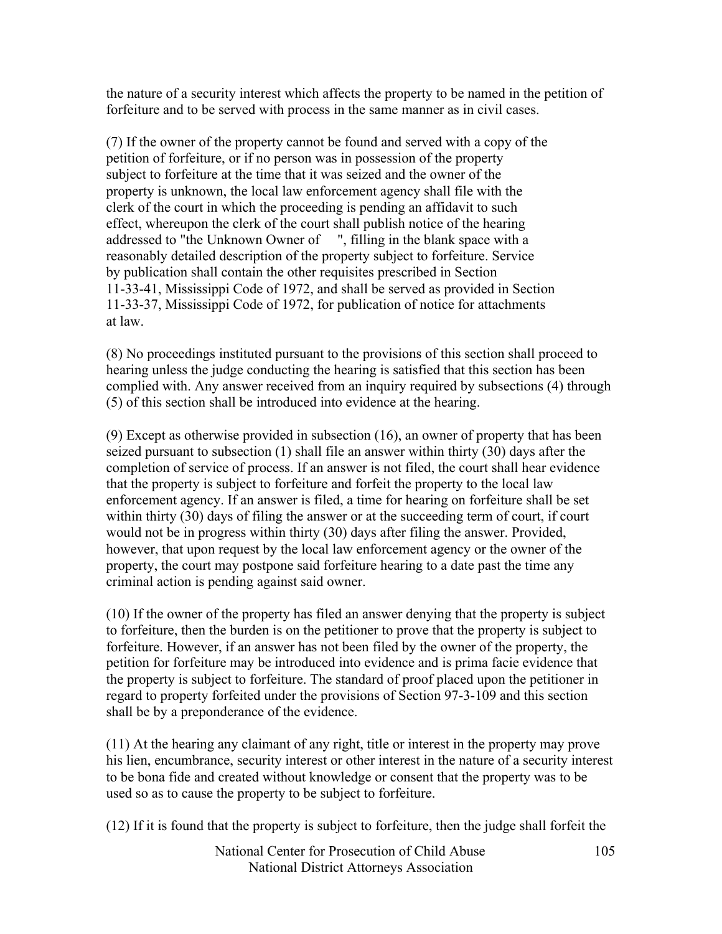the nature of a security interest which affects the property to be named in the petition of forfeiture and to be served with process in the same manner as in civil cases.

(7) If the owner of the property cannot be found and served with a copy of the petition of forfeiture, or if no person was in possession of the property subject to forfeiture at the time that it was seized and the owner of the property is unknown, the local law enforcement agency shall file with the clerk of the court in which the proceeding is pending an affidavit to such effect, whereupon the clerk of the court shall publish notice of the hearing addressed to "the Unknown Owner of ", filling in the blank space with a reasonably detailed description of the property subject to forfeiture. Service by publication shall contain the other requisites prescribed in Section 11-33-41, Mississippi Code of 1972, and shall be served as provided in Section 11-33-37, Mississippi Code of 1972, for publication of notice for attachments at law.

(8) No proceedings instituted pursuant to the provisions of this section shall proceed to hearing unless the judge conducting the hearing is satisfied that this section has been complied with. Any answer received from an inquiry required by subsections (4) through (5) of this section shall be introduced into evidence at the hearing.

(9) Except as otherwise provided in subsection (16), an owner of property that has been seized pursuant to subsection (1) shall file an answer within thirty (30) days after the completion of service of process. If an answer is not filed, the court shall hear evidence that the property is subject to forfeiture and forfeit the property to the local law enforcement agency. If an answer is filed, a time for hearing on forfeiture shall be set within thirty (30) days of filing the answer or at the succeeding term of court, if court would not be in progress within thirty (30) days after filing the answer. Provided, however, that upon request by the local law enforcement agency or the owner of the property, the court may postpone said forfeiture hearing to a date past the time any criminal action is pending against said owner.

(10) If the owner of the property has filed an answer denying that the property is subject to forfeiture, then the burden is on the petitioner to prove that the property is subject to forfeiture. However, if an answer has not been filed by the owner of the property, the petition for forfeiture may be introduced into evidence and is prima facie evidence that the property is subject to forfeiture. The standard of proof placed upon the petitioner in regard to property forfeited under the provisions of Section 97-3-109 and this section shall be by a preponderance of the evidence.

(11) At the hearing any claimant of any right, title or interest in the property may prove his lien, encumbrance, security interest or other interest in the nature of a security interest to be bona fide and created without knowledge or consent that the property was to be used so as to cause the property to be subject to forfeiture.

(12) If it is found that the property is subject to forfeiture, then the judge shall forfeit the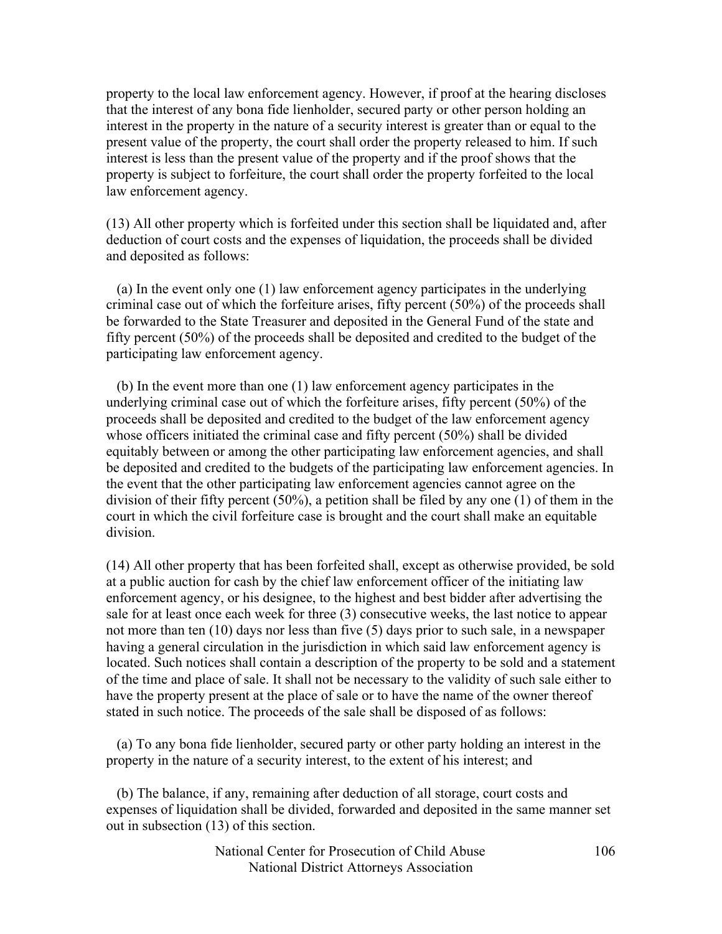property to the local law enforcement agency. However, if proof at the hearing discloses that the interest of any bona fide lienholder, secured party or other person holding an interest in the property in the nature of a security interest is greater than or equal to the present value of the property, the court shall order the property released to him. If such interest is less than the present value of the property and if the proof shows that the property is subject to forfeiture, the court shall order the property forfeited to the local law enforcement agency.

(13) All other property which is forfeited under this section shall be liquidated and, after deduction of court costs and the expenses of liquidation, the proceeds shall be divided and deposited as follows:

 (a) In the event only one (1) law enforcement agency participates in the underlying criminal case out of which the forfeiture arises, fifty percent (50%) of the proceeds shall be forwarded to the State Treasurer and deposited in the General Fund of the state and fifty percent (50%) of the proceeds shall be deposited and credited to the budget of the participating law enforcement agency.

 (b) In the event more than one (1) law enforcement agency participates in the underlying criminal case out of which the forfeiture arises, fifty percent (50%) of the proceeds shall be deposited and credited to the budget of the law enforcement agency whose officers initiated the criminal case and fifty percent (50%) shall be divided equitably between or among the other participating law enforcement agencies, and shall be deposited and credited to the budgets of the participating law enforcement agencies. In the event that the other participating law enforcement agencies cannot agree on the division of their fifty percent (50%), a petition shall be filed by any one (1) of them in the court in which the civil forfeiture case is brought and the court shall make an equitable division.

(14) All other property that has been forfeited shall, except as otherwise provided, be sold at a public auction for cash by the chief law enforcement officer of the initiating law enforcement agency, or his designee, to the highest and best bidder after advertising the sale for at least once each week for three (3) consecutive weeks, the last notice to appear not more than ten (10) days nor less than five (5) days prior to such sale, in a newspaper having a general circulation in the jurisdiction in which said law enforcement agency is located. Such notices shall contain a description of the property to be sold and a statement of the time and place of sale. It shall not be necessary to the validity of such sale either to have the property present at the place of sale or to have the name of the owner thereof stated in such notice. The proceeds of the sale shall be disposed of as follows:

 (a) To any bona fide lienholder, secured party or other party holding an interest in the property in the nature of a security interest, to the extent of his interest; and

 (b) The balance, if any, remaining after deduction of all storage, court costs and expenses of liquidation shall be divided, forwarded and deposited in the same manner set out in subsection (13) of this section.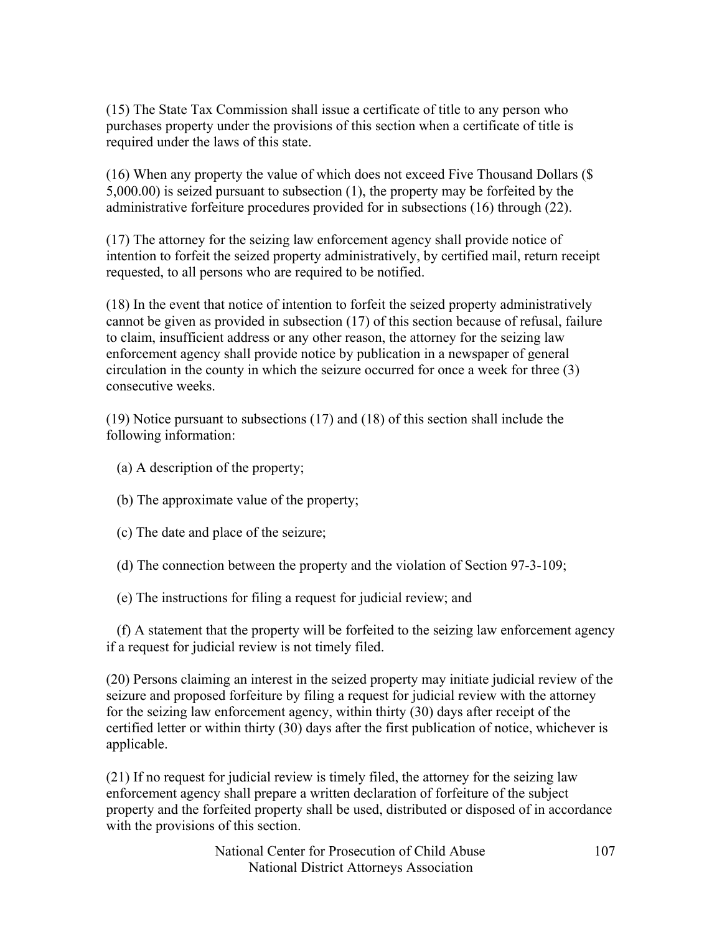(15) The State Tax Commission shall issue a certificate of title to any person who purchases property under the provisions of this section when a certificate of title is required under the laws of this state.

(16) When any property the value of which does not exceed Five Thousand Dollars (\$ 5,000.00) is seized pursuant to subsection (1), the property may be forfeited by the administrative forfeiture procedures provided for in subsections (16) through (22).

(17) The attorney for the seizing law enforcement agency shall provide notice of intention to forfeit the seized property administratively, by certified mail, return receipt requested, to all persons who are required to be notified.

(18) In the event that notice of intention to forfeit the seized property administratively cannot be given as provided in subsection (17) of this section because of refusal, failure to claim, insufficient address or any other reason, the attorney for the seizing law enforcement agency shall provide notice by publication in a newspaper of general circulation in the county in which the seizure occurred for once a week for three (3) consecutive weeks.

(19) Notice pursuant to subsections (17) and (18) of this section shall include the following information:

- (a) A description of the property;
- (b) The approximate value of the property;
- (c) The date and place of the seizure;
- (d) The connection between the property and the violation of Section 97-3-109;
- (e) The instructions for filing a request for judicial review; and

 (f) A statement that the property will be forfeited to the seizing law enforcement agency if a request for judicial review is not timely filed.

(20) Persons claiming an interest in the seized property may initiate judicial review of the seizure and proposed forfeiture by filing a request for judicial review with the attorney for the seizing law enforcement agency, within thirty (30) days after receipt of the certified letter or within thirty (30) days after the first publication of notice, whichever is applicable.

(21) If no request for judicial review is timely filed, the attorney for the seizing law enforcement agency shall prepare a written declaration of forfeiture of the subject property and the forfeited property shall be used, distributed or disposed of in accordance with the provisions of this section.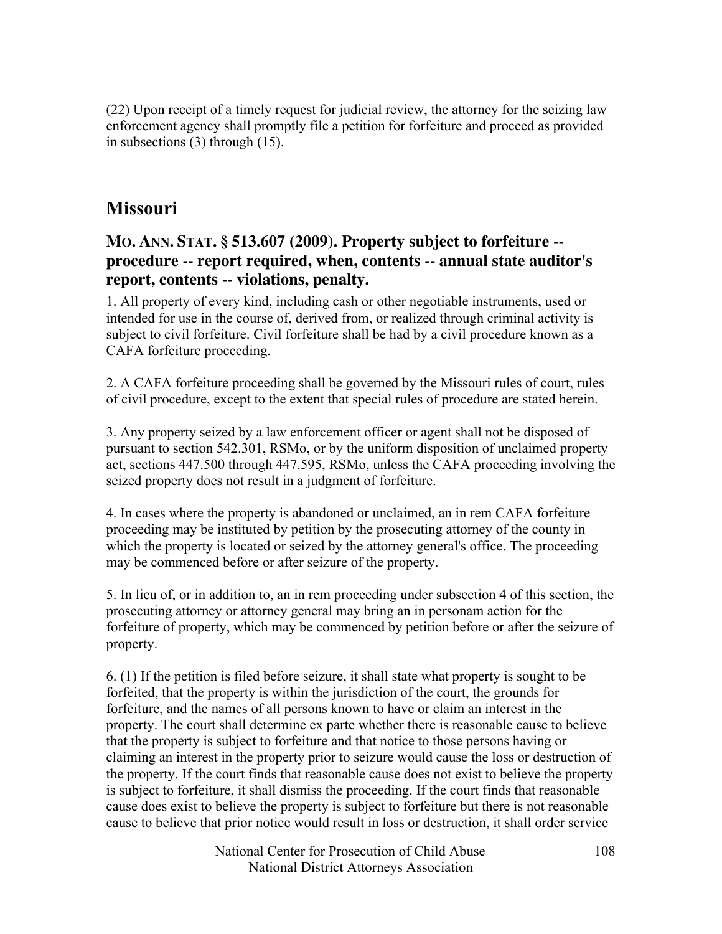(22) Upon receipt of a timely request for judicial review, the attorney for the seizing law enforcement agency shall promptly file a petition for forfeiture and proceed as provided in subsections (3) through (15).

# **Missouri**

## **MO. ANN. STAT. § 513.607 (2009). Property subject to forfeiture - procedure -- report required, when, contents -- annual state auditor's report, contents -- violations, penalty.**

1. All property of every kind, including cash or other negotiable instruments, used or intended for use in the course of, derived from, or realized through criminal activity is subject to civil forfeiture. Civil forfeiture shall be had by a civil procedure known as a CAFA forfeiture proceeding.

2. A CAFA forfeiture proceeding shall be governed by the Missouri rules of court, rules of civil procedure, except to the extent that special rules of procedure are stated herein.

3. Any property seized by a law enforcement officer or agent shall not be disposed of pursuant to section 542.301, RSMo, or by the uniform disposition of unclaimed property act, sections 447.500 through 447.595, RSMo, unless the CAFA proceeding involving the seized property does not result in a judgment of forfeiture.

4. In cases where the property is abandoned or unclaimed, an in rem CAFA forfeiture proceeding may be instituted by petition by the prosecuting attorney of the county in which the property is located or seized by the attorney general's office. The proceeding may be commenced before or after seizure of the property.

5. In lieu of, or in addition to, an in rem proceeding under subsection 4 of this section, the prosecuting attorney or attorney general may bring an in personam action for the forfeiture of property, which may be commenced by petition before or after the seizure of property.

6. (1) If the petition is filed before seizure, it shall state what property is sought to be forfeited, that the property is within the jurisdiction of the court, the grounds for forfeiture, and the names of all persons known to have or claim an interest in the property. The court shall determine ex parte whether there is reasonable cause to believe that the property is subject to forfeiture and that notice to those persons having or claiming an interest in the property prior to seizure would cause the loss or destruction of the property. If the court finds that reasonable cause does not exist to believe the property is subject to forfeiture, it shall dismiss the proceeding. If the court finds that reasonable cause does exist to believe the property is subject to forfeiture but there is not reasonable cause to believe that prior notice would result in loss or destruction, it shall order service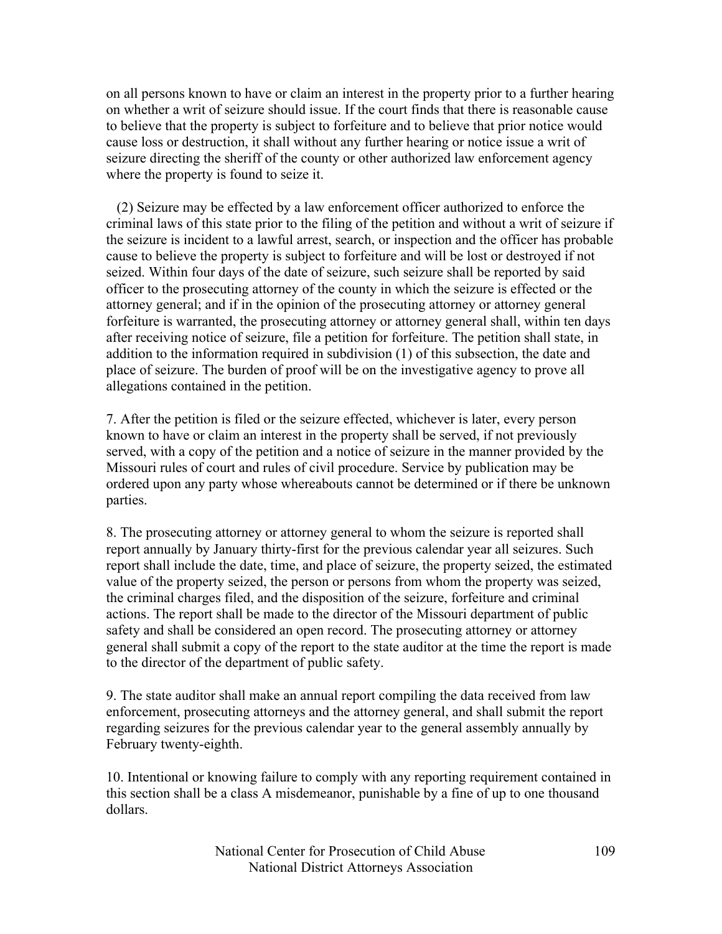on all persons known to have or claim an interest in the property prior to a further hearing on whether a writ of seizure should issue. If the court finds that there is reasonable cause to believe that the property is subject to forfeiture and to believe that prior notice would cause loss or destruction, it shall without any further hearing or notice issue a writ of seizure directing the sheriff of the county or other authorized law enforcement agency where the property is found to seize it.

 (2) Seizure may be effected by a law enforcement officer authorized to enforce the criminal laws of this state prior to the filing of the petition and without a writ of seizure if the seizure is incident to a lawful arrest, search, or inspection and the officer has probable cause to believe the property is subject to forfeiture and will be lost or destroyed if not seized. Within four days of the date of seizure, such seizure shall be reported by said officer to the prosecuting attorney of the county in which the seizure is effected or the attorney general; and if in the opinion of the prosecuting attorney or attorney general forfeiture is warranted, the prosecuting attorney or attorney general shall, within ten days after receiving notice of seizure, file a petition for forfeiture. The petition shall state, in addition to the information required in subdivision (1) of this subsection, the date and place of seizure. The burden of proof will be on the investigative agency to prove all allegations contained in the petition.

7. After the petition is filed or the seizure effected, whichever is later, every person known to have or claim an interest in the property shall be served, if not previously served, with a copy of the petition and a notice of seizure in the manner provided by the Missouri rules of court and rules of civil procedure. Service by publication may be ordered upon any party whose whereabouts cannot be determined or if there be unknown parties.

8. The prosecuting attorney or attorney general to whom the seizure is reported shall report annually by January thirty-first for the previous calendar year all seizures. Such report shall include the date, time, and place of seizure, the property seized, the estimated value of the property seized, the person or persons from whom the property was seized, the criminal charges filed, and the disposition of the seizure, forfeiture and criminal actions. The report shall be made to the director of the Missouri department of public safety and shall be considered an open record. The prosecuting attorney or attorney general shall submit a copy of the report to the state auditor at the time the report is made to the director of the department of public safety.

9. The state auditor shall make an annual report compiling the data received from law enforcement, prosecuting attorneys and the attorney general, and shall submit the report regarding seizures for the previous calendar year to the general assembly annually by February twenty-eighth.

10. Intentional or knowing failure to comply with any reporting requirement contained in this section shall be a class A misdemeanor, punishable by a fine of up to one thousand dollars.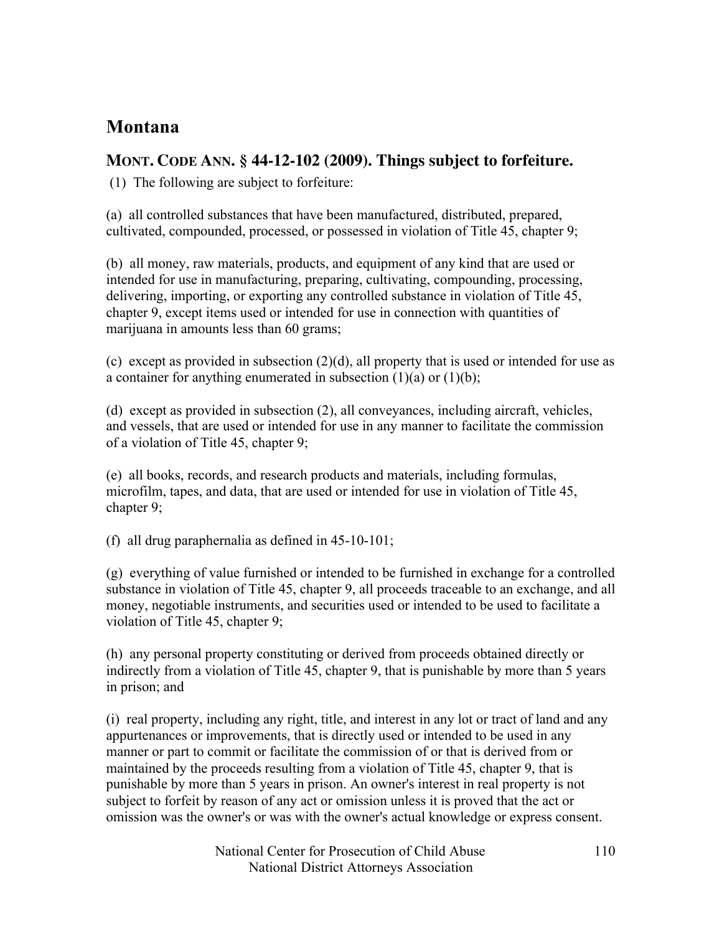# **Montana**

### **MONT. CODE ANN. § 44-12-102 (2009). Things subject to forfeiture.**

(1) The following are subject to forfeiture:

(a) all controlled substances that have been manufactured, distributed, prepared, cultivated, compounded, processed, or possessed in violation of Title 45, chapter 9;

(b) all money, raw materials, products, and equipment of any kind that are used or intended for use in manufacturing, preparing, cultivating, compounding, processing, delivering, importing, or exporting any controlled substance in violation of Title 45, chapter 9, except items used or intended for use in connection with quantities of marijuana in amounts less than 60 grams;

(c) except as provided in subsection  $(2)(d)$ , all property that is used or intended for use as a container for anything enumerated in subsection  $(1)(a)$  or  $(1)(b)$ ;

(d) except as provided in subsection (2), all conveyances, including aircraft, vehicles, and vessels, that are used or intended for use in any manner to facilitate the commission of a violation of Title 45, chapter 9;

(e) all books, records, and research products and materials, including formulas, microfilm, tapes, and data, that are used or intended for use in violation of Title 45, chapter 9;

(f) all drug paraphernalia as defined in 45-10-101;

(g) everything of value furnished or intended to be furnished in exchange for a controlled substance in violation of Title 45, chapter 9, all proceeds traceable to an exchange, and all money, negotiable instruments, and securities used or intended to be used to facilitate a violation of Title 45, chapter 9;

(h) any personal property constituting or derived from proceeds obtained directly or indirectly from a violation of Title 45, chapter 9, that is punishable by more than 5 years in prison; and

(i) real property, including any right, title, and interest in any lot or tract of land and any appurtenances or improvements, that is directly used or intended to be used in any manner or part to commit or facilitate the commission of or that is derived from or maintained by the proceeds resulting from a violation of Title 45, chapter 9, that is punishable by more than 5 years in prison. An owner's interest in real property is not subject to forfeit by reason of any act or omission unless it is proved that the act or omission was the owner's or was with the owner's actual knowledge or express consent.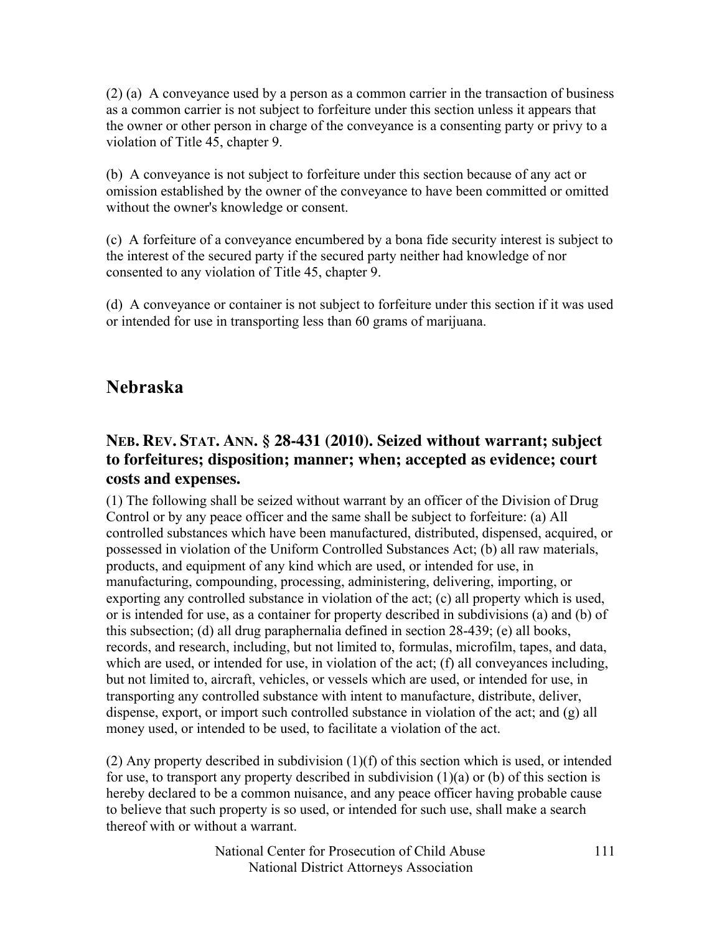(2) (a) A conveyance used by a person as a common carrier in the transaction of business as a common carrier is not subject to forfeiture under this section unless it appears that the owner or other person in charge of the conveyance is a consenting party or privy to a violation of Title 45, chapter 9.

(b) A conveyance is not subject to forfeiture under this section because of any act or omission established by the owner of the conveyance to have been committed or omitted without the owner's knowledge or consent.

(c) A forfeiture of a conveyance encumbered by a bona fide security interest is subject to the interest of the secured party if the secured party neither had knowledge of nor consented to any violation of Title 45, chapter 9.

(d) A conveyance or container is not subject to forfeiture under this section if it was used or intended for use in transporting less than 60 grams of marijuana.

# **Nebraska**

### **NEB. REV. STAT. ANN. § 28-431 (2010). Seized without warrant; subject to forfeitures; disposition; manner; when; accepted as evidence; court costs and expenses.**

(1) The following shall be seized without warrant by an officer of the Division of Drug Control or by any peace officer and the same shall be subject to forfeiture: (a) All controlled substances which have been manufactured, distributed, dispensed, acquired, or possessed in violation of the Uniform Controlled Substances Act; (b) all raw materials, products, and equipment of any kind which are used, or intended for use, in manufacturing, compounding, processing, administering, delivering, importing, or exporting any controlled substance in violation of the act; (c) all property which is used, or is intended for use, as a container for property described in subdivisions (a) and (b) of this subsection; (d) all drug paraphernalia defined in section 28-439; (e) all books, records, and research, including, but not limited to, formulas, microfilm, tapes, and data, which are used, or intended for use, in violation of the act; (f) all conveyances including, but not limited to, aircraft, vehicles, or vessels which are used, or intended for use, in transporting any controlled substance with intent to manufacture, distribute, deliver, dispense, export, or import such controlled substance in violation of the act; and (g) all money used, or intended to be used, to facilitate a violation of the act.

(2) Any property described in subdivision (1)(f) of this section which is used, or intended for use, to transport any property described in subdivision  $(1)(a)$  or  $(b)$  of this section is hereby declared to be a common nuisance, and any peace officer having probable cause to believe that such property is so used, or intended for such use, shall make a search thereof with or without a warrant.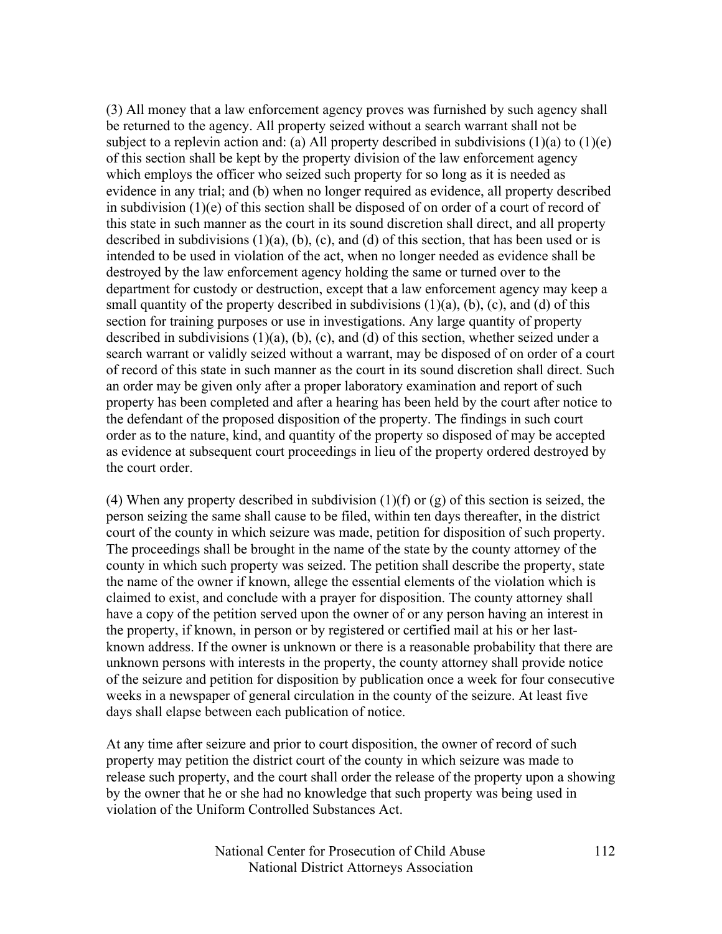(3) All money that a law enforcement agency proves was furnished by such agency shall be returned to the agency. All property seized without a search warrant shall not be subject to a replevin action and: (a) All property described in subdivisions  $(1)(a)$  to  $(1)(e)$ of this section shall be kept by the property division of the law enforcement agency which employs the officer who seized such property for so long as it is needed as evidence in any trial; and (b) when no longer required as evidence, all property described in subdivision (1)(e) of this section shall be disposed of on order of a court of record of this state in such manner as the court in its sound discretion shall direct, and all property described in subdivisions  $(1)(a)$ ,  $(b)$ ,  $(c)$ , and  $(d)$  of this section, that has been used or is intended to be used in violation of the act, when no longer needed as evidence shall be destroyed by the law enforcement agency holding the same or turned over to the department for custody or destruction, except that a law enforcement agency may keep a small quantity of the property described in subdivisions  $(1)(a)$ ,  $(b)$ ,  $(c)$ , and  $(d)$  of this section for training purposes or use in investigations. Any large quantity of property described in subdivisions  $(1)(a)$ ,  $(b)$ ,  $(c)$ , and  $(d)$  of this section, whether seized under a search warrant or validly seized without a warrant, may be disposed of on order of a court of record of this state in such manner as the court in its sound discretion shall direct. Such an order may be given only after a proper laboratory examination and report of such property has been completed and after a hearing has been held by the court after notice to the defendant of the proposed disposition of the property. The findings in such court order as to the nature, kind, and quantity of the property so disposed of may be accepted as evidence at subsequent court proceedings in lieu of the property ordered destroyed by the court order.

(4) When any property described in subdivision  $(1)(f)$  or  $(g)$  of this section is seized, the person seizing the same shall cause to be filed, within ten days thereafter, in the district court of the county in which seizure was made, petition for disposition of such property. The proceedings shall be brought in the name of the state by the county attorney of the county in which such property was seized. The petition shall describe the property, state the name of the owner if known, allege the essential elements of the violation which is claimed to exist, and conclude with a prayer for disposition. The county attorney shall have a copy of the petition served upon the owner of or any person having an interest in the property, if known, in person or by registered or certified mail at his or her lastknown address. If the owner is unknown or there is a reasonable probability that there are unknown persons with interests in the property, the county attorney shall provide notice of the seizure and petition for disposition by publication once a week for four consecutive weeks in a newspaper of general circulation in the county of the seizure. At least five days shall elapse between each publication of notice.

At any time after seizure and prior to court disposition, the owner of record of such property may petition the district court of the county in which seizure was made to release such property, and the court shall order the release of the property upon a showing by the owner that he or she had no knowledge that such property was being used in violation of the Uniform Controlled Substances Act.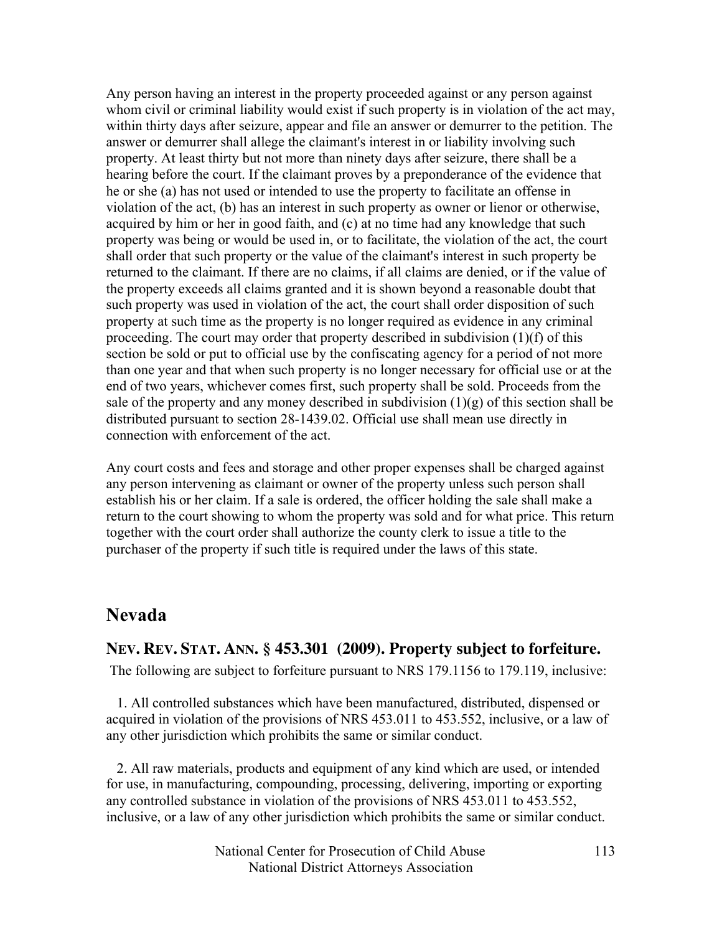Any person having an interest in the property proceeded against or any person against whom civil or criminal liability would exist if such property is in violation of the act may, within thirty days after seizure, appear and file an answer or demurrer to the petition. The answer or demurrer shall allege the claimant's interest in or liability involving such property. At least thirty but not more than ninety days after seizure, there shall be a hearing before the court. If the claimant proves by a preponderance of the evidence that he or she (a) has not used or intended to use the property to facilitate an offense in violation of the act, (b) has an interest in such property as owner or lienor or otherwise, acquired by him or her in good faith, and (c) at no time had any knowledge that such property was being or would be used in, or to facilitate, the violation of the act, the court shall order that such property or the value of the claimant's interest in such property be returned to the claimant. If there are no claims, if all claims are denied, or if the value of the property exceeds all claims granted and it is shown beyond a reasonable doubt that such property was used in violation of the act, the court shall order disposition of such property at such time as the property is no longer required as evidence in any criminal proceeding. The court may order that property described in subdivision (1)(f) of this section be sold or put to official use by the confiscating agency for a period of not more than one year and that when such property is no longer necessary for official use or at the end of two years, whichever comes first, such property shall be sold. Proceeds from the sale of the property and any money described in subdivision  $(1)(g)$  of this section shall be distributed pursuant to section 28-1439.02. Official use shall mean use directly in connection with enforcement of the act.

Any court costs and fees and storage and other proper expenses shall be charged against any person intervening as claimant or owner of the property unless such person shall establish his or her claim. If a sale is ordered, the officer holding the sale shall make a return to the court showing to whom the property was sold and for what price. This return together with the court order shall authorize the county clerk to issue a title to the purchaser of the property if such title is required under the laws of this state.

#### **Nevada**

#### **NEV. REV. STAT. ANN. § 453.301 (2009). Property subject to forfeiture.**

The following are subject to forfeiture pursuant to NRS 179.1156 to 179.119, inclusive:

 1. All controlled substances which have been manufactured, distributed, dispensed or acquired in violation of the provisions of NRS 453.011 to 453.552, inclusive, or a law of any other jurisdiction which prohibits the same or similar conduct.

 2. All raw materials, products and equipment of any kind which are used, or intended for use, in manufacturing, compounding, processing, delivering, importing or exporting any controlled substance in violation of the provisions of NRS 453.011 to 453.552, inclusive, or a law of any other jurisdiction which prohibits the same or similar conduct.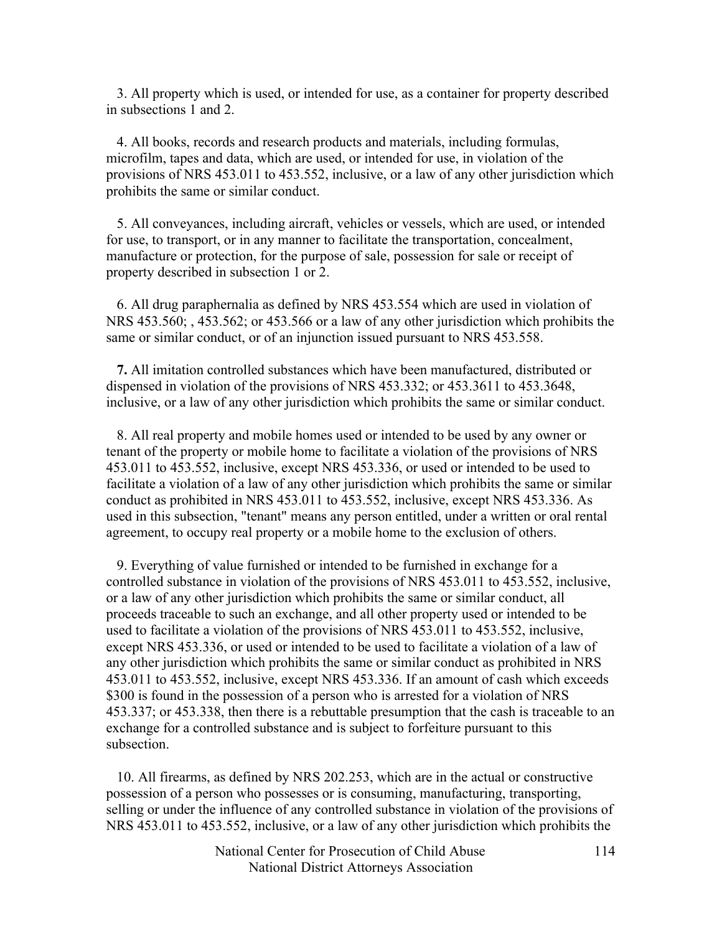3. All property which is used, or intended for use, as a container for property described in subsections 1 and 2.

 4. All books, records and research products and materials, including formulas, microfilm, tapes and data, which are used, or intended for use, in violation of the provisions of NRS 453.011 to 453.552, inclusive, or a law of any other jurisdiction which prohibits the same or similar conduct.

 5. All conveyances, including aircraft, vehicles or vessels, which are used, or intended for use, to transport, or in any manner to facilitate the transportation, concealment, manufacture or protection, for the purpose of sale, possession for sale or receipt of property described in subsection 1 or 2.

 6. All drug paraphernalia as defined by NRS 453.554 which are used in violation of NRS 453.560; , 453.562; or 453.566 or a law of any other jurisdiction which prohibits the same or similar conduct, or of an injunction issued pursuant to NRS 453.558.

 **7.** All imitation controlled substances which have been manufactured, distributed or dispensed in violation of the provisions of NRS 453.332; or 453.3611 to 453.3648, inclusive, or a law of any other jurisdiction which prohibits the same or similar conduct.

 8. All real property and mobile homes used or intended to be used by any owner or tenant of the property or mobile home to facilitate a violation of the provisions of NRS 453.011 to 453.552, inclusive, except NRS 453.336, or used or intended to be used to facilitate a violation of a law of any other jurisdiction which prohibits the same or similar conduct as prohibited in NRS 453.011 to 453.552, inclusive, except NRS 453.336. As used in this subsection, "tenant" means any person entitled, under a written or oral rental agreement, to occupy real property or a mobile home to the exclusion of others.

 9. Everything of value furnished or intended to be furnished in exchange for a controlled substance in violation of the provisions of NRS 453.011 to 453.552, inclusive, or a law of any other jurisdiction which prohibits the same or similar conduct, all proceeds traceable to such an exchange, and all other property used or intended to be used to facilitate a violation of the provisions of NRS 453.011 to 453.552, inclusive, except NRS 453.336, or used or intended to be used to facilitate a violation of a law of any other jurisdiction which prohibits the same or similar conduct as prohibited in NRS 453.011 to 453.552, inclusive, except NRS 453.336. If an amount of cash which exceeds \$300 is found in the possession of a person who is arrested for a violation of NRS 453.337; or 453.338, then there is a rebuttable presumption that the cash is traceable to an exchange for a controlled substance and is subject to forfeiture pursuant to this subsection.

 10. All firearms, as defined by NRS 202.253, which are in the actual or constructive possession of a person who possesses or is consuming, manufacturing, transporting, selling or under the influence of any controlled substance in violation of the provisions of NRS 453.011 to 453.552, inclusive, or a law of any other jurisdiction which prohibits the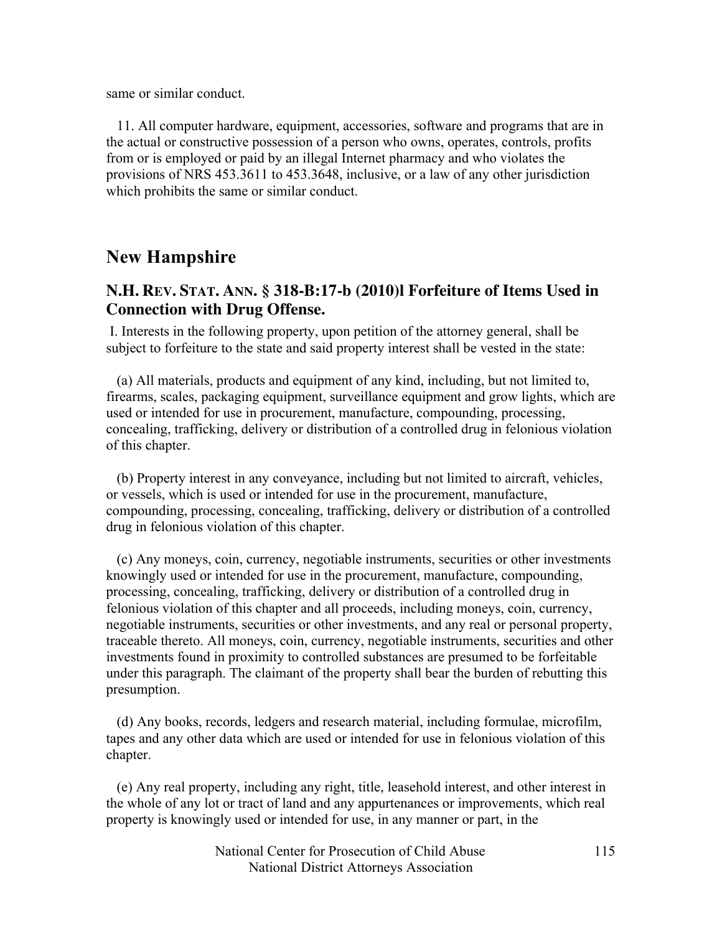same or similar conduct.

 11. All computer hardware, equipment, accessories, software and programs that are in the actual or constructive possession of a person who owns, operates, controls, profits from or is employed or paid by an illegal Internet pharmacy and who violates the provisions of NRS 453.3611 to 453.3648, inclusive, or a law of any other jurisdiction which prohibits the same or similar conduct.

# **New Hampshire**

### **N.H. REV. STAT. ANN. § 318-B:17-b (2010)l Forfeiture of Items Used in Connection with Drug Offense.**

I. Interests in the following property, upon petition of the attorney general, shall be subject to forfeiture to the state and said property interest shall be vested in the state:

 (a) All materials, products and equipment of any kind, including, but not limited to, firearms, scales, packaging equipment, surveillance equipment and grow lights, which are used or intended for use in procurement, manufacture, compounding, processing, concealing, trafficking, delivery or distribution of a controlled drug in felonious violation of this chapter.

 (b) Property interest in any conveyance, including but not limited to aircraft, vehicles, or vessels, which is used or intended for use in the procurement, manufacture, compounding, processing, concealing, trafficking, delivery or distribution of a controlled drug in felonious violation of this chapter.

 (c) Any moneys, coin, currency, negotiable instruments, securities or other investments knowingly used or intended for use in the procurement, manufacture, compounding, processing, concealing, trafficking, delivery or distribution of a controlled drug in felonious violation of this chapter and all proceeds, including moneys, coin, currency, negotiable instruments, securities or other investments, and any real or personal property, traceable thereto. All moneys, coin, currency, negotiable instruments, securities and other investments found in proximity to controlled substances are presumed to be forfeitable under this paragraph. The claimant of the property shall bear the burden of rebutting this presumption.

 (d) Any books, records, ledgers and research material, including formulae, microfilm, tapes and any other data which are used or intended for use in felonious violation of this chapter.

 (e) Any real property, including any right, title, leasehold interest, and other interest in the whole of any lot or tract of land and any appurtenances or improvements, which real property is knowingly used or intended for use, in any manner or part, in the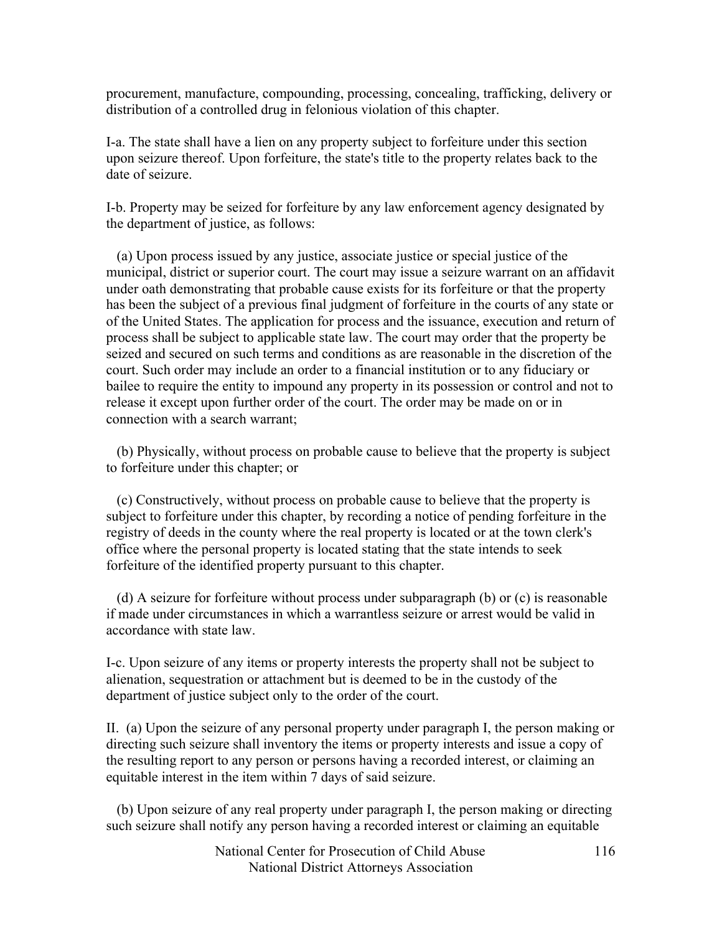procurement, manufacture, compounding, processing, concealing, trafficking, delivery or distribution of a controlled drug in felonious violation of this chapter.

I-a. The state shall have a lien on any property subject to forfeiture under this section upon seizure thereof. Upon forfeiture, the state's title to the property relates back to the date of seizure.

I-b. Property may be seized for forfeiture by any law enforcement agency designated by the department of justice, as follows:

 (a) Upon process issued by any justice, associate justice or special justice of the municipal, district or superior court. The court may issue a seizure warrant on an affidavit under oath demonstrating that probable cause exists for its forfeiture or that the property has been the subject of a previous final judgment of forfeiture in the courts of any state or of the United States. The application for process and the issuance, execution and return of process shall be subject to applicable state law. The court may order that the property be seized and secured on such terms and conditions as are reasonable in the discretion of the court. Such order may include an order to a financial institution or to any fiduciary or bailee to require the entity to impound any property in its possession or control and not to release it except upon further order of the court. The order may be made on or in connection with a search warrant;

 (b) Physically, without process on probable cause to believe that the property is subject to forfeiture under this chapter; or

 (c) Constructively, without process on probable cause to believe that the property is subject to forfeiture under this chapter, by recording a notice of pending forfeiture in the registry of deeds in the county where the real property is located or at the town clerk's office where the personal property is located stating that the state intends to seek forfeiture of the identified property pursuant to this chapter.

 (d) A seizure for forfeiture without process under subparagraph (b) or (c) is reasonable if made under circumstances in which a warrantless seizure or arrest would be valid in accordance with state law.

I-c. Upon seizure of any items or property interests the property shall not be subject to alienation, sequestration or attachment but is deemed to be in the custody of the department of justice subject only to the order of the court.

II. (a) Upon the seizure of any personal property under paragraph I, the person making or directing such seizure shall inventory the items or property interests and issue a copy of the resulting report to any person or persons having a recorded interest, or claiming an equitable interest in the item within 7 days of said seizure.

 (b) Upon seizure of any real property under paragraph I, the person making or directing such seizure shall notify any person having a recorded interest or claiming an equitable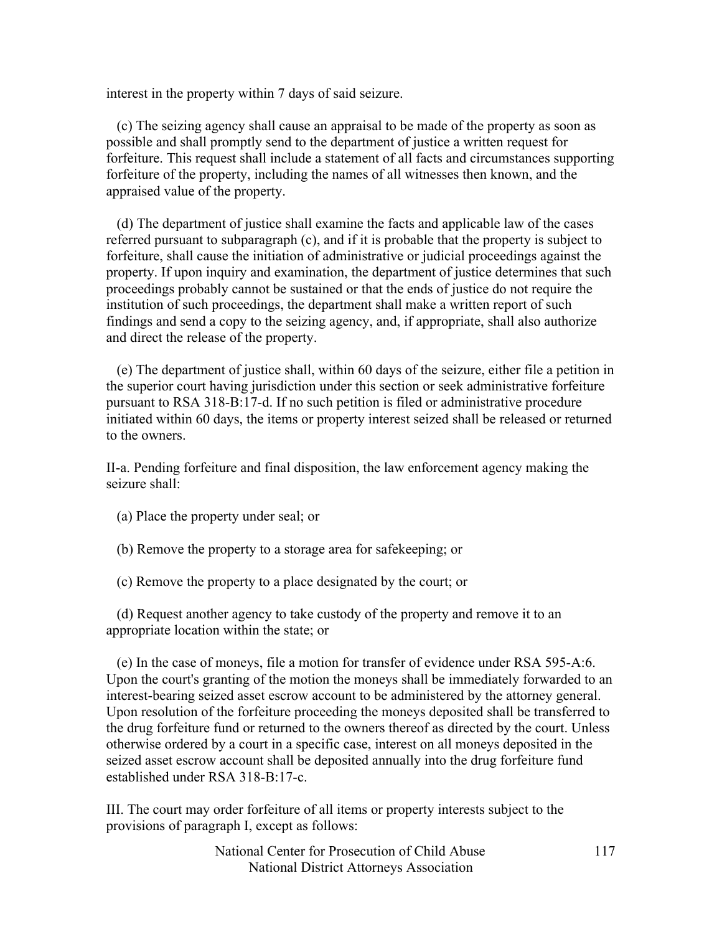interest in the property within 7 days of said seizure.

 (c) The seizing agency shall cause an appraisal to be made of the property as soon as possible and shall promptly send to the department of justice a written request for forfeiture. This request shall include a statement of all facts and circumstances supporting forfeiture of the property, including the names of all witnesses then known, and the appraised value of the property.

 (d) The department of justice shall examine the facts and applicable law of the cases referred pursuant to subparagraph (c), and if it is probable that the property is subject to forfeiture, shall cause the initiation of administrative or judicial proceedings against the property. If upon inquiry and examination, the department of justice determines that such proceedings probably cannot be sustained or that the ends of justice do not require the institution of such proceedings, the department shall make a written report of such findings and send a copy to the seizing agency, and, if appropriate, shall also authorize and direct the release of the property.

 (e) The department of justice shall, within 60 days of the seizure, either file a petition in the superior court having jurisdiction under this section or seek administrative forfeiture pursuant to RSA 318-B:17-d. If no such petition is filed or administrative procedure initiated within 60 days, the items or property interest seized shall be released or returned to the owners.

II-a. Pending forfeiture and final disposition, the law enforcement agency making the seizure shall:

- (a) Place the property under seal; or
- (b) Remove the property to a storage area for safekeeping; or
- (c) Remove the property to a place designated by the court; or

 (d) Request another agency to take custody of the property and remove it to an appropriate location within the state; or

 (e) In the case of moneys, file a motion for transfer of evidence under RSA 595-A:6. Upon the court's granting of the motion the moneys shall be immediately forwarded to an interest-bearing seized asset escrow account to be administered by the attorney general. Upon resolution of the forfeiture proceeding the moneys deposited shall be transferred to the drug forfeiture fund or returned to the owners thereof as directed by the court. Unless otherwise ordered by a court in a specific case, interest on all moneys deposited in the seized asset escrow account shall be deposited annually into the drug forfeiture fund established under RSA 318-B:17-c.

III. The court may order forfeiture of all items or property interests subject to the provisions of paragraph I, except as follows: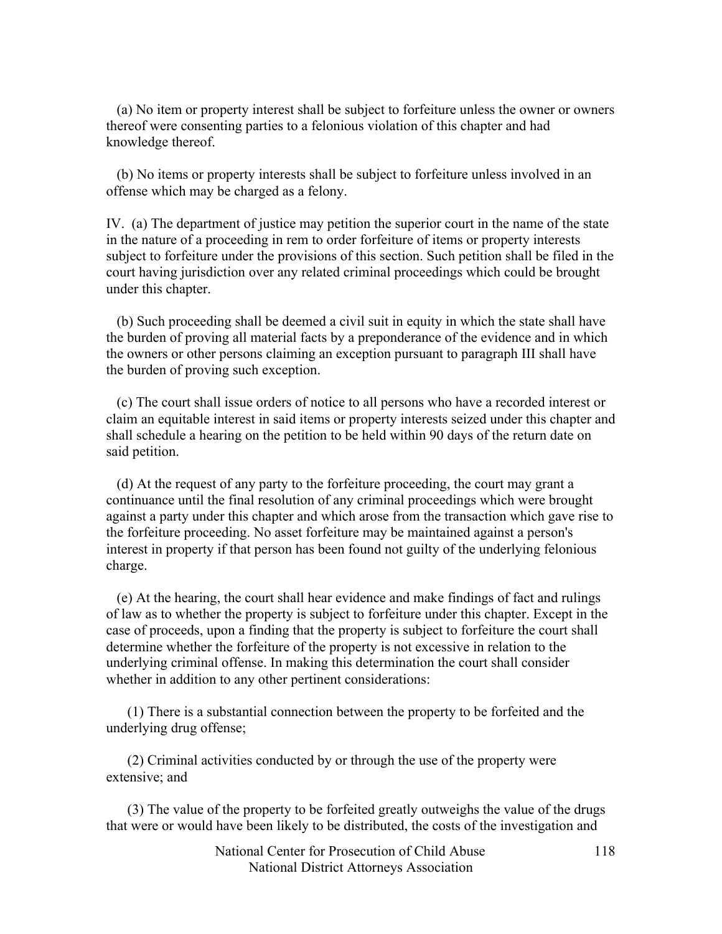(a) No item or property interest shall be subject to forfeiture unless the owner or owners thereof were consenting parties to a felonious violation of this chapter and had knowledge thereof.

 (b) No items or property interests shall be subject to forfeiture unless involved in an offense which may be charged as a felony.

IV. (a) The department of justice may petition the superior court in the name of the state in the nature of a proceeding in rem to order forfeiture of items or property interests subject to forfeiture under the provisions of this section. Such petition shall be filed in the court having jurisdiction over any related criminal proceedings which could be brought under this chapter.

 (b) Such proceeding shall be deemed a civil suit in equity in which the state shall have the burden of proving all material facts by a preponderance of the evidence and in which the owners or other persons claiming an exception pursuant to paragraph III shall have the burden of proving such exception.

 (c) The court shall issue orders of notice to all persons who have a recorded interest or claim an equitable interest in said items or property interests seized under this chapter and shall schedule a hearing on the petition to be held within 90 days of the return date on said petition.

 (d) At the request of any party to the forfeiture proceeding, the court may grant a continuance until the final resolution of any criminal proceedings which were brought against a party under this chapter and which arose from the transaction which gave rise to the forfeiture proceeding. No asset forfeiture may be maintained against a person's interest in property if that person has been found not guilty of the underlying felonious charge.

 (e) At the hearing, the court shall hear evidence and make findings of fact and rulings of law as to whether the property is subject to forfeiture under this chapter. Except in the case of proceeds, upon a finding that the property is subject to forfeiture the court shall determine whether the forfeiture of the property is not excessive in relation to the underlying criminal offense. In making this determination the court shall consider whether in addition to any other pertinent considerations:

 (1) There is a substantial connection between the property to be forfeited and the underlying drug offense;

 (2) Criminal activities conducted by or through the use of the property were extensive; and

 (3) The value of the property to be forfeited greatly outweighs the value of the drugs that were or would have been likely to be distributed, the costs of the investigation and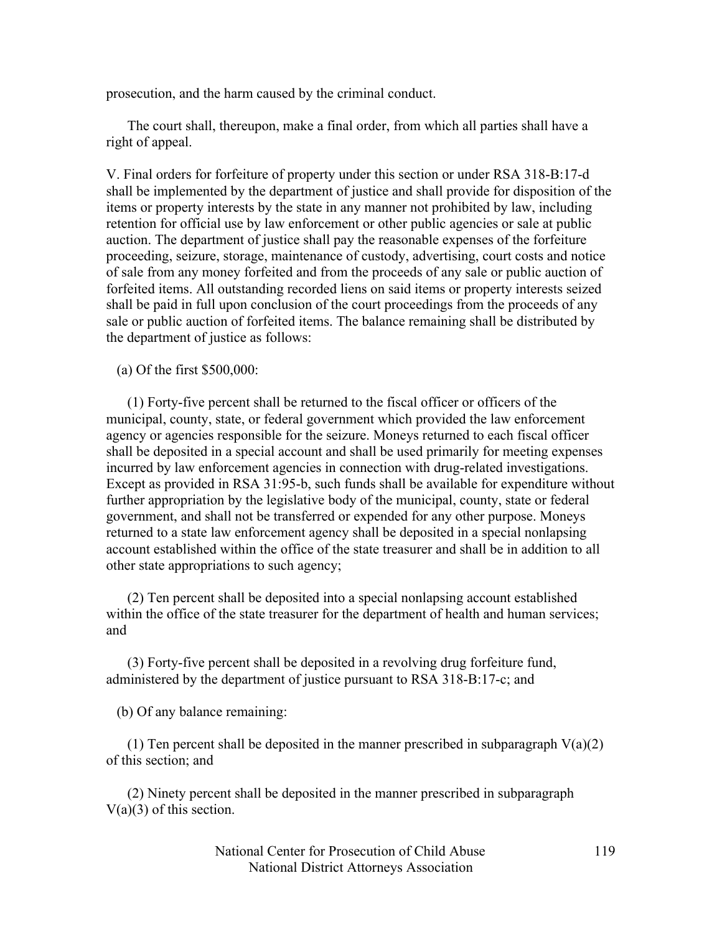prosecution, and the harm caused by the criminal conduct.

 The court shall, thereupon, make a final order, from which all parties shall have a right of appeal.

V. Final orders for forfeiture of property under this section or under RSA 318-B:17-d shall be implemented by the department of justice and shall provide for disposition of the items or property interests by the state in any manner not prohibited by law, including retention for official use by law enforcement or other public agencies or sale at public auction. The department of justice shall pay the reasonable expenses of the forfeiture proceeding, seizure, storage, maintenance of custody, advertising, court costs and notice of sale from any money forfeited and from the proceeds of any sale or public auction of forfeited items. All outstanding recorded liens on said items or property interests seized shall be paid in full upon conclusion of the court proceedings from the proceeds of any sale or public auction of forfeited items. The balance remaining shall be distributed by the department of justice as follows:

(a) Of the first \$500,000:

 (1) Forty-five percent shall be returned to the fiscal officer or officers of the municipal, county, state, or federal government which provided the law enforcement agency or agencies responsible for the seizure. Moneys returned to each fiscal officer shall be deposited in a special account and shall be used primarily for meeting expenses incurred by law enforcement agencies in connection with drug-related investigations. Except as provided in RSA 31:95-b, such funds shall be available for expenditure without further appropriation by the legislative body of the municipal, county, state or federal government, and shall not be transferred or expended for any other purpose. Moneys returned to a state law enforcement agency shall be deposited in a special nonlapsing account established within the office of the state treasurer and shall be in addition to all other state appropriations to such agency;

 (2) Ten percent shall be deposited into a special nonlapsing account established within the office of the state treasurer for the department of health and human services; and

 (3) Forty-five percent shall be deposited in a revolving drug forfeiture fund, administered by the department of justice pursuant to RSA 318-B:17-c; and

(b) Of any balance remaining:

(1) Ten percent shall be deposited in the manner prescribed in subparagraph  $V(a)(2)$ of this section; and

 (2) Ninety percent shall be deposited in the manner prescribed in subparagraph V(a)(3) of this section.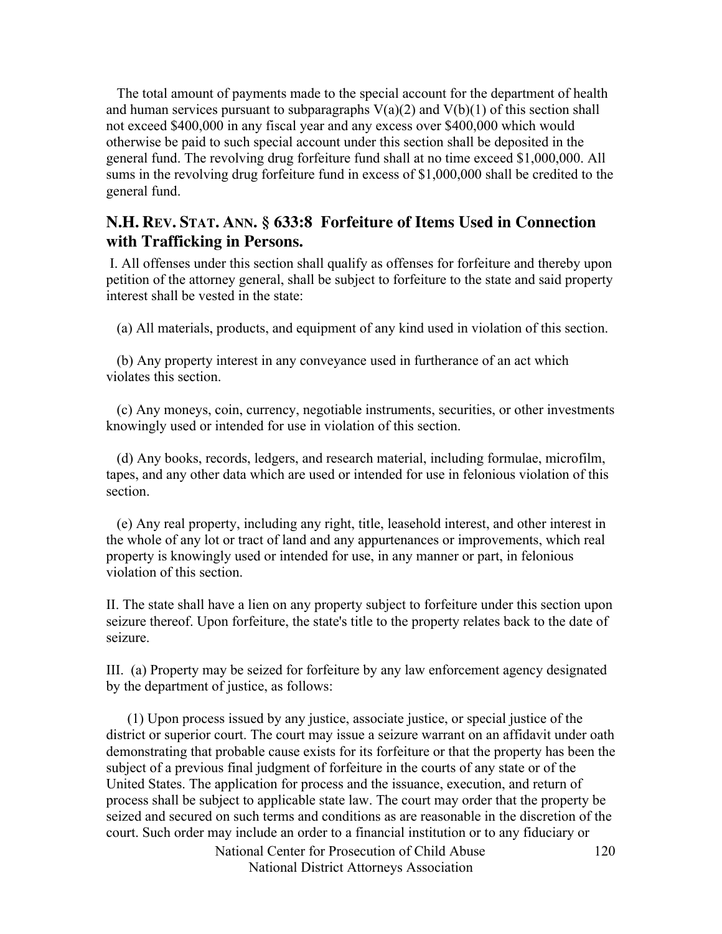The total amount of payments made to the special account for the department of health and human services pursuant to subparagraphs  $V(a)(2)$  and  $V(b)(1)$  of this section shall not exceed \$400,000 in any fiscal year and any excess over \$400,000 which would otherwise be paid to such special account under this section shall be deposited in the general fund. The revolving drug forfeiture fund shall at no time exceed \$1,000,000. All sums in the revolving drug forfeiture fund in excess of \$1,000,000 shall be credited to the general fund.

#### **N.H. REV. STAT. ANN. § 633:8 Forfeiture of Items Used in Connection with Trafficking in Persons.**

I. All offenses under this section shall qualify as offenses for forfeiture and thereby upon petition of the attorney general, shall be subject to forfeiture to the state and said property interest shall be vested in the state:

(a) All materials, products, and equipment of any kind used in violation of this section.

 (b) Any property interest in any conveyance used in furtherance of an act which violates this section.

 (c) Any moneys, coin, currency, negotiable instruments, securities, or other investments knowingly used or intended for use in violation of this section.

 (d) Any books, records, ledgers, and research material, including formulae, microfilm, tapes, and any other data which are used or intended for use in felonious violation of this section.

 (e) Any real property, including any right, title, leasehold interest, and other interest in the whole of any lot or tract of land and any appurtenances or improvements, which real property is knowingly used or intended for use, in any manner or part, in felonious violation of this section.

II. The state shall have a lien on any property subject to forfeiture under this section upon seizure thereof. Upon forfeiture, the state's title to the property relates back to the date of seizure.

III. (a) Property may be seized for forfeiture by any law enforcement agency designated by the department of justice, as follows:

 (1) Upon process issued by any justice, associate justice, or special justice of the district or superior court. The court may issue a seizure warrant on an affidavit under oath demonstrating that probable cause exists for its forfeiture or that the property has been the subject of a previous final judgment of forfeiture in the courts of any state or of the United States. The application for process and the issuance, execution, and return of process shall be subject to applicable state law. The court may order that the property be seized and secured on such terms and conditions as are reasonable in the discretion of the court. Such order may include an order to a financial institution or to any fiduciary or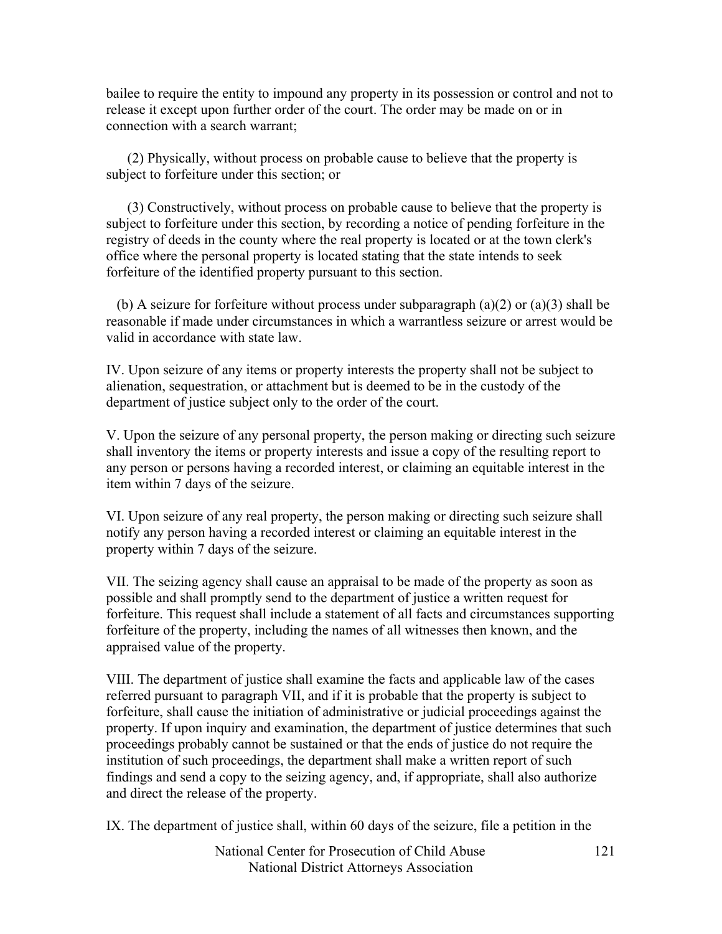bailee to require the entity to impound any property in its possession or control and not to release it except upon further order of the court. The order may be made on or in connection with a search warrant;

 (2) Physically, without process on probable cause to believe that the property is subject to forfeiture under this section; or

 (3) Constructively, without process on probable cause to believe that the property is subject to forfeiture under this section, by recording a notice of pending forfeiture in the registry of deeds in the county where the real property is located or at the town clerk's office where the personal property is located stating that the state intends to seek forfeiture of the identified property pursuant to this section.

(b) A seizure for forfeiture without process under subparagraph (a)(2) or (a)(3) shall be reasonable if made under circumstances in which a warrantless seizure or arrest would be valid in accordance with state law.

IV. Upon seizure of any items or property interests the property shall not be subject to alienation, sequestration, or attachment but is deemed to be in the custody of the department of justice subject only to the order of the court.

V. Upon the seizure of any personal property, the person making or directing such seizure shall inventory the items or property interests and issue a copy of the resulting report to any person or persons having a recorded interest, or claiming an equitable interest in the item within 7 days of the seizure.

VI. Upon seizure of any real property, the person making or directing such seizure shall notify any person having a recorded interest or claiming an equitable interest in the property within 7 days of the seizure.

VII. The seizing agency shall cause an appraisal to be made of the property as soon as possible and shall promptly send to the department of justice a written request for forfeiture. This request shall include a statement of all facts and circumstances supporting forfeiture of the property, including the names of all witnesses then known, and the appraised value of the property.

VIII. The department of justice shall examine the facts and applicable law of the cases referred pursuant to paragraph VII, and if it is probable that the property is subject to forfeiture, shall cause the initiation of administrative or judicial proceedings against the property. If upon inquiry and examination, the department of justice determines that such proceedings probably cannot be sustained or that the ends of justice do not require the institution of such proceedings, the department shall make a written report of such findings and send a copy to the seizing agency, and, if appropriate, shall also authorize and direct the release of the property.

IX. The department of justice shall, within 60 days of the seizure, file a petition in the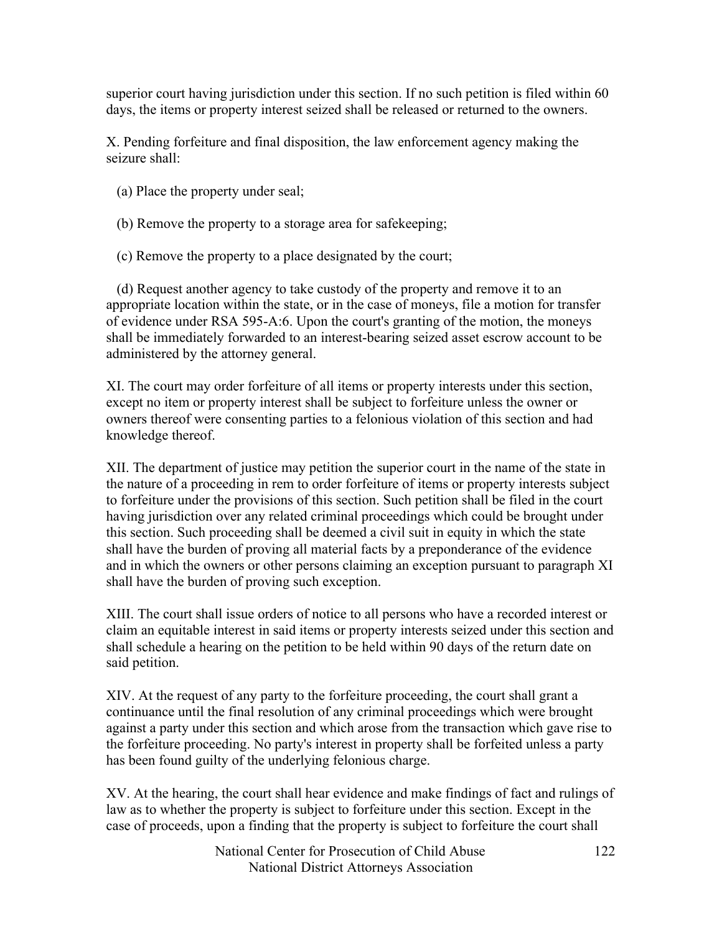superior court having jurisdiction under this section. If no such petition is filed within 60 days, the items or property interest seized shall be released or returned to the owners.

X. Pending forfeiture and final disposition, the law enforcement agency making the seizure shall:

- (a) Place the property under seal;
- (b) Remove the property to a storage area for safekeeping;
- (c) Remove the property to a place designated by the court;

 (d) Request another agency to take custody of the property and remove it to an appropriate location within the state, or in the case of moneys, file a motion for transfer of evidence under RSA 595-A:6. Upon the court's granting of the motion, the moneys shall be immediately forwarded to an interest-bearing seized asset escrow account to be administered by the attorney general.

XI. The court may order forfeiture of all items or property interests under this section, except no item or property interest shall be subject to forfeiture unless the owner or owners thereof were consenting parties to a felonious violation of this section and had knowledge thereof.

XII. The department of justice may petition the superior court in the name of the state in the nature of a proceeding in rem to order forfeiture of items or property interests subject to forfeiture under the provisions of this section. Such petition shall be filed in the court having jurisdiction over any related criminal proceedings which could be brought under this section. Such proceeding shall be deemed a civil suit in equity in which the state shall have the burden of proving all material facts by a preponderance of the evidence and in which the owners or other persons claiming an exception pursuant to paragraph XI shall have the burden of proving such exception.

XIII. The court shall issue orders of notice to all persons who have a recorded interest or claim an equitable interest in said items or property interests seized under this section and shall schedule a hearing on the petition to be held within 90 days of the return date on said petition.

XIV. At the request of any party to the forfeiture proceeding, the court shall grant a continuance until the final resolution of any criminal proceedings which were brought against a party under this section and which arose from the transaction which gave rise to the forfeiture proceeding. No party's interest in property shall be forfeited unless a party has been found guilty of the underlying felonious charge.

XV. At the hearing, the court shall hear evidence and make findings of fact and rulings of law as to whether the property is subject to forfeiture under this section. Except in the case of proceeds, upon a finding that the property is subject to forfeiture the court shall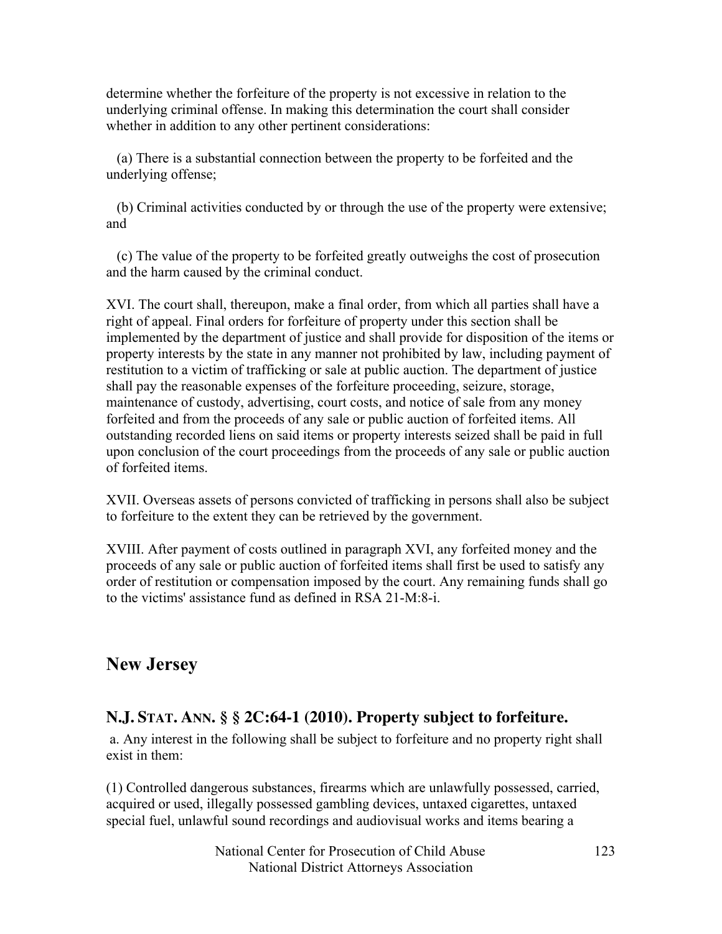determine whether the forfeiture of the property is not excessive in relation to the underlying criminal offense. In making this determination the court shall consider whether in addition to any other pertinent considerations:

 (a) There is a substantial connection between the property to be forfeited and the underlying offense;

 (b) Criminal activities conducted by or through the use of the property were extensive; and

 (c) The value of the property to be forfeited greatly outweighs the cost of prosecution and the harm caused by the criminal conduct.

XVI. The court shall, thereupon, make a final order, from which all parties shall have a right of appeal. Final orders for forfeiture of property under this section shall be implemented by the department of justice and shall provide for disposition of the items or property interests by the state in any manner not prohibited by law, including payment of restitution to a victim of trafficking or sale at public auction. The department of justice shall pay the reasonable expenses of the forfeiture proceeding, seizure, storage, maintenance of custody, advertising, court costs, and notice of sale from any money forfeited and from the proceeds of any sale or public auction of forfeited items. All outstanding recorded liens on said items or property interests seized shall be paid in full upon conclusion of the court proceedings from the proceeds of any sale or public auction of forfeited items.

XVII. Overseas assets of persons convicted of trafficking in persons shall also be subject to forfeiture to the extent they can be retrieved by the government.

XVIII. After payment of costs outlined in paragraph XVI, any forfeited money and the proceeds of any sale or public auction of forfeited items shall first be used to satisfy any order of restitution or compensation imposed by the court. Any remaining funds shall go to the victims' assistance fund as defined in RSA 21-M:8-i.

# **New Jersey**

## **N.J. STAT. ANN. § § 2C:64-1 (2010). Property subject to forfeiture.**

a. Any interest in the following shall be subject to forfeiture and no property right shall exist in them:

(1) Controlled dangerous substances, firearms which are unlawfully possessed, carried, acquired or used, illegally possessed gambling devices, untaxed cigarettes, untaxed special fuel, unlawful sound recordings and audiovisual works and items bearing a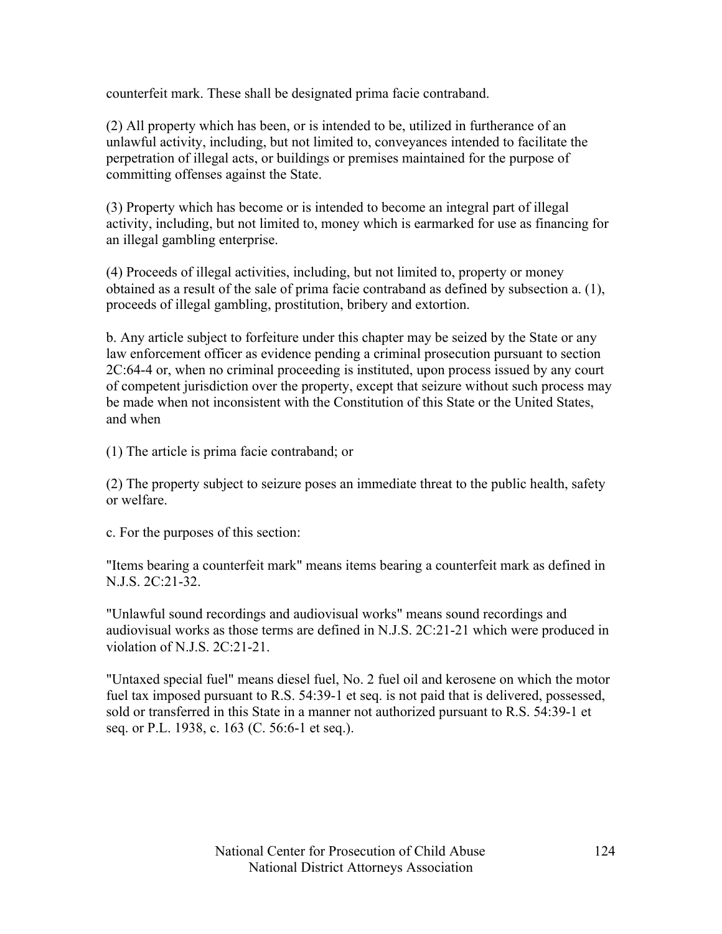counterfeit mark. These shall be designated prima facie contraband.

(2) All property which has been, or is intended to be, utilized in furtherance of an unlawful activity, including, but not limited to, conveyances intended to facilitate the perpetration of illegal acts, or buildings or premises maintained for the purpose of committing offenses against the State.

(3) Property which has become or is intended to become an integral part of illegal activity, including, but not limited to, money which is earmarked for use as financing for an illegal gambling enterprise.

(4) Proceeds of illegal activities, including, but not limited to, property or money obtained as a result of the sale of prima facie contraband as defined by subsection a. (1), proceeds of illegal gambling, prostitution, bribery and extortion.

b. Any article subject to forfeiture under this chapter may be seized by the State or any law enforcement officer as evidence pending a criminal prosecution pursuant to section 2C:64-4 or, when no criminal proceeding is instituted, upon process issued by any court of competent jurisdiction over the property, except that seizure without such process may be made when not inconsistent with the Constitution of this State or the United States, and when

(1) The article is prima facie contraband; or

(2) The property subject to seizure poses an immediate threat to the public health, safety or welfare.

c. For the purposes of this section:

"Items bearing a counterfeit mark" means items bearing a counterfeit mark as defined in N.J.S. 2C:21-32.

"Unlawful sound recordings and audiovisual works" means sound recordings and audiovisual works as those terms are defined in N.J.S. 2C:21-21 which were produced in violation of N.J.S. 2C:21-21.

"Untaxed special fuel" means diesel fuel, No. 2 fuel oil and kerosene on which the motor fuel tax imposed pursuant to R.S. 54:39-1 et seq. is not paid that is delivered, possessed, sold or transferred in this State in a manner not authorized pursuant to R.S. 54:39-1 et seq. or P.L. 1938, c. 163 (C. 56:6-1 et seq.).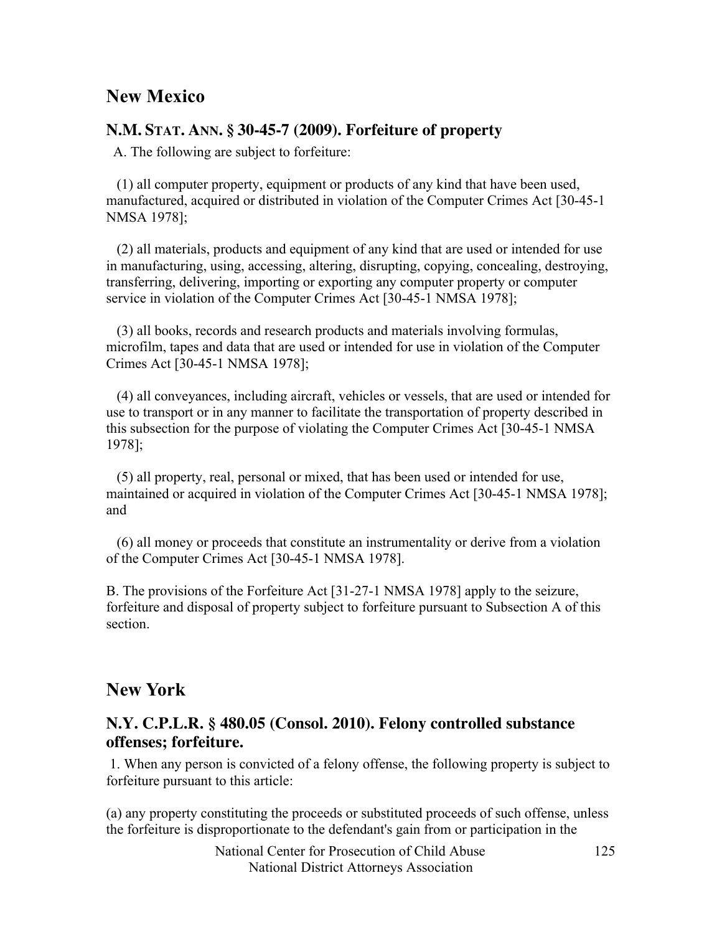# **New Mexico**

#### **N.M. STAT. ANN. § 30-45-7 (2009). Forfeiture of property**

A. The following are subject to forfeiture:

 (1) all computer property, equipment or products of any kind that have been used, manufactured, acquired or distributed in violation of the Computer Crimes Act [30-45-1 NMSA 1978];

 (2) all materials, products and equipment of any kind that are used or intended for use in manufacturing, using, accessing, altering, disrupting, copying, concealing, destroying, transferring, delivering, importing or exporting any computer property or computer service in violation of the Computer Crimes Act [30-45-1 NMSA 1978];

 (3) all books, records and research products and materials involving formulas, microfilm, tapes and data that are used or intended for use in violation of the Computer Crimes Act [30-45-1 NMSA 1978];

 (4) all conveyances, including aircraft, vehicles or vessels, that are used or intended for use to transport or in any manner to facilitate the transportation of property described in this subsection for the purpose of violating the Computer Crimes Act [30-45-1 NMSA 1978];

 (5) all property, real, personal or mixed, that has been used or intended for use, maintained or acquired in violation of the Computer Crimes Act [30-45-1 NMSA 1978]; and

 (6) all money or proceeds that constitute an instrumentality or derive from a violation of the Computer Crimes Act [30-45-1 NMSA 1978].

B. The provisions of the Forfeiture Act [31-27-1 NMSA 1978] apply to the seizure, forfeiture and disposal of property subject to forfeiture pursuant to Subsection A of this section.

#### **New York**

#### **N.Y. C.P.L.R. § 480.05 (Consol. 2010). Felony controlled substance offenses; forfeiture.**

1. When any person is convicted of a felony offense, the following property is subject to forfeiture pursuant to this article:

(a) any property constituting the proceeds or substituted proceeds of such offense, unless the forfeiture is disproportionate to the defendant's gain from or participation in the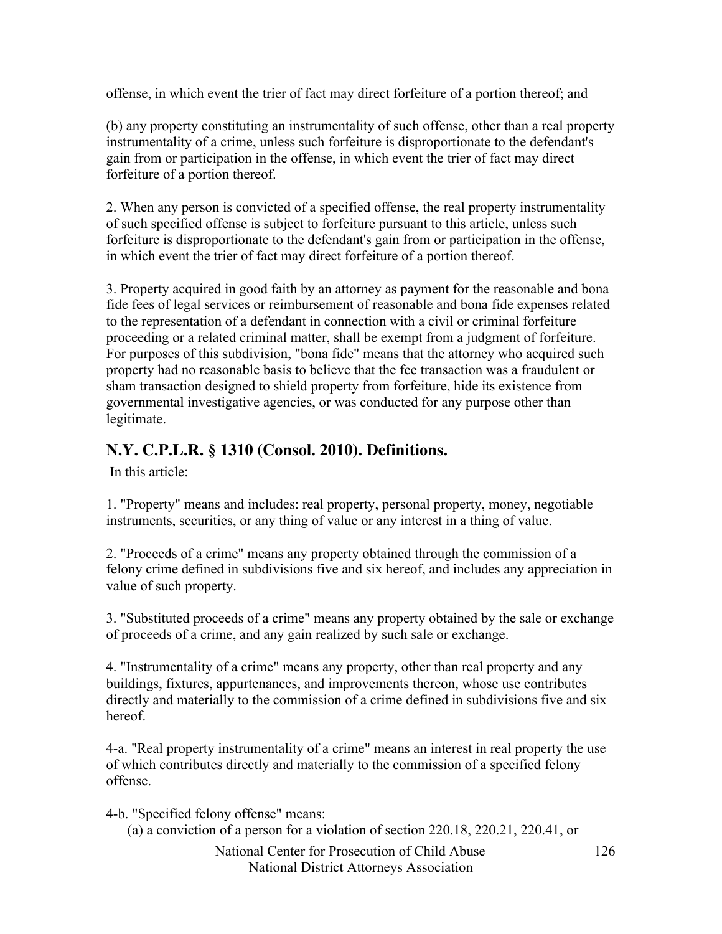offense, in which event the trier of fact may direct forfeiture of a portion thereof; and

(b) any property constituting an instrumentality of such offense, other than a real property instrumentality of a crime, unless such forfeiture is disproportionate to the defendant's gain from or participation in the offense, in which event the trier of fact may direct forfeiture of a portion thereof.

2. When any person is convicted of a specified offense, the real property instrumentality of such specified offense is subject to forfeiture pursuant to this article, unless such forfeiture is disproportionate to the defendant's gain from or participation in the offense, in which event the trier of fact may direct forfeiture of a portion thereof.

3. Property acquired in good faith by an attorney as payment for the reasonable and bona fide fees of legal services or reimbursement of reasonable and bona fide expenses related to the representation of a defendant in connection with a civil or criminal forfeiture proceeding or a related criminal matter, shall be exempt from a judgment of forfeiture. For purposes of this subdivision, "bona fide" means that the attorney who acquired such property had no reasonable basis to believe that the fee transaction was a fraudulent or sham transaction designed to shield property from forfeiture, hide its existence from governmental investigative agencies, or was conducted for any purpose other than legitimate.

## **N.Y. C.P.L.R. § 1310 (Consol. 2010). Definitions.**

In this article:

1. "Property" means and includes: real property, personal property, money, negotiable instruments, securities, or any thing of value or any interest in a thing of value.

2. "Proceeds of a crime" means any property obtained through the commission of a felony crime defined in subdivisions five and six hereof, and includes any appreciation in value of such property.

3. "Substituted proceeds of a crime" means any property obtained by the sale or exchange of proceeds of a crime, and any gain realized by such sale or exchange.

4. "Instrumentality of a crime" means any property, other than real property and any buildings, fixtures, appurtenances, and improvements thereon, whose use contributes directly and materially to the commission of a crime defined in subdivisions five and six hereof.

4-a. "Real property instrumentality of a crime" means an interest in real property the use of which contributes directly and materially to the commission of a specified felony offense.

4-b. "Specified felony offense" means: (a) a conviction of a person for a violation of section 220.18, 220.21, 220.41, or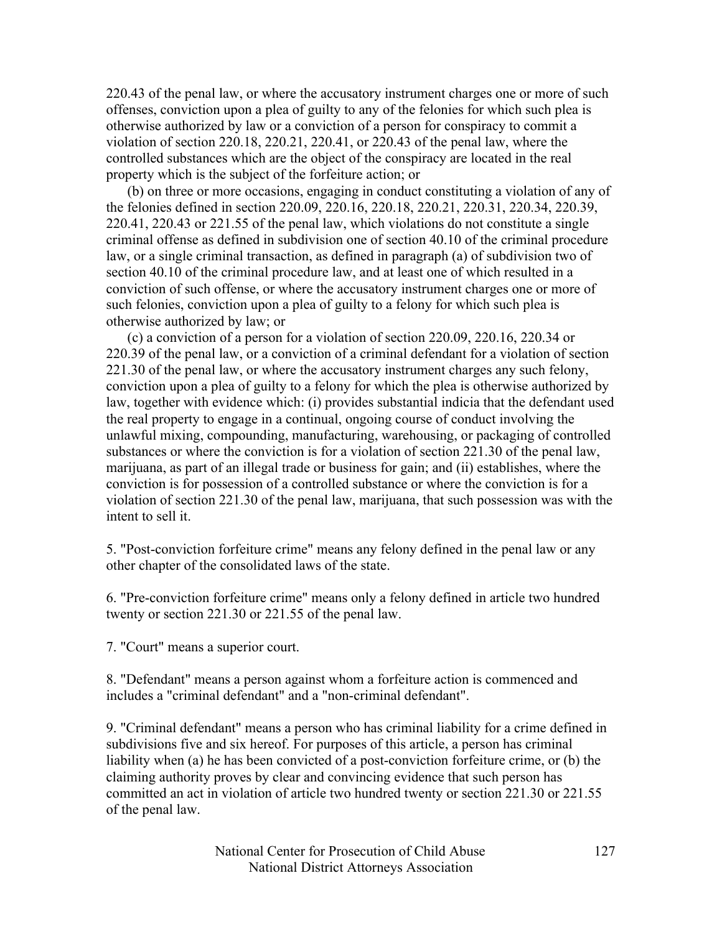220.43 of the penal law, or where the accusatory instrument charges one or more of such offenses, conviction upon a plea of guilty to any of the felonies for which such plea is otherwise authorized by law or a conviction of a person for conspiracy to commit a violation of section 220.18, 220.21, 220.41, or 220.43 of the penal law, where the controlled substances which are the object of the conspiracy are located in the real property which is the subject of the forfeiture action; or

 (b) on three or more occasions, engaging in conduct constituting a violation of any of the felonies defined in section 220.09, 220.16, 220.18, 220.21, 220.31, 220.34, 220.39, 220.41, 220.43 or 221.55 of the penal law, which violations do not constitute a single criminal offense as defined in subdivision one of section 40.10 of the criminal procedure law, or a single criminal transaction, as defined in paragraph (a) of subdivision two of section 40.10 of the criminal procedure law, and at least one of which resulted in a conviction of such offense, or where the accusatory instrument charges one or more of such felonies, conviction upon a plea of guilty to a felony for which such plea is otherwise authorized by law; or

 (c) a conviction of a person for a violation of section 220.09, 220.16, 220.34 or 220.39 of the penal law, or a conviction of a criminal defendant for a violation of section 221.30 of the penal law, or where the accusatory instrument charges any such felony, conviction upon a plea of guilty to a felony for which the plea is otherwise authorized by law, together with evidence which: (i) provides substantial indicia that the defendant used the real property to engage in a continual, ongoing course of conduct involving the unlawful mixing, compounding, manufacturing, warehousing, or packaging of controlled substances or where the conviction is for a violation of section 221.30 of the penal law, marijuana, as part of an illegal trade or business for gain; and (ii) establishes, where the conviction is for possession of a controlled substance or where the conviction is for a violation of section 221.30 of the penal law, marijuana, that such possession was with the intent to sell it.

5. "Post-conviction forfeiture crime" means any felony defined in the penal law or any other chapter of the consolidated laws of the state.

6. "Pre-conviction forfeiture crime" means only a felony defined in article two hundred twenty or section 221.30 or 221.55 of the penal law.

7. "Court" means a superior court.

8. "Defendant" means a person against whom a forfeiture action is commenced and includes a "criminal defendant" and a "non-criminal defendant".

9. "Criminal defendant" means a person who has criminal liability for a crime defined in subdivisions five and six hereof. For purposes of this article, a person has criminal liability when (a) he has been convicted of a post-conviction forfeiture crime, or (b) the claiming authority proves by clear and convincing evidence that such person has committed an act in violation of article two hundred twenty or section 221.30 or 221.55 of the penal law.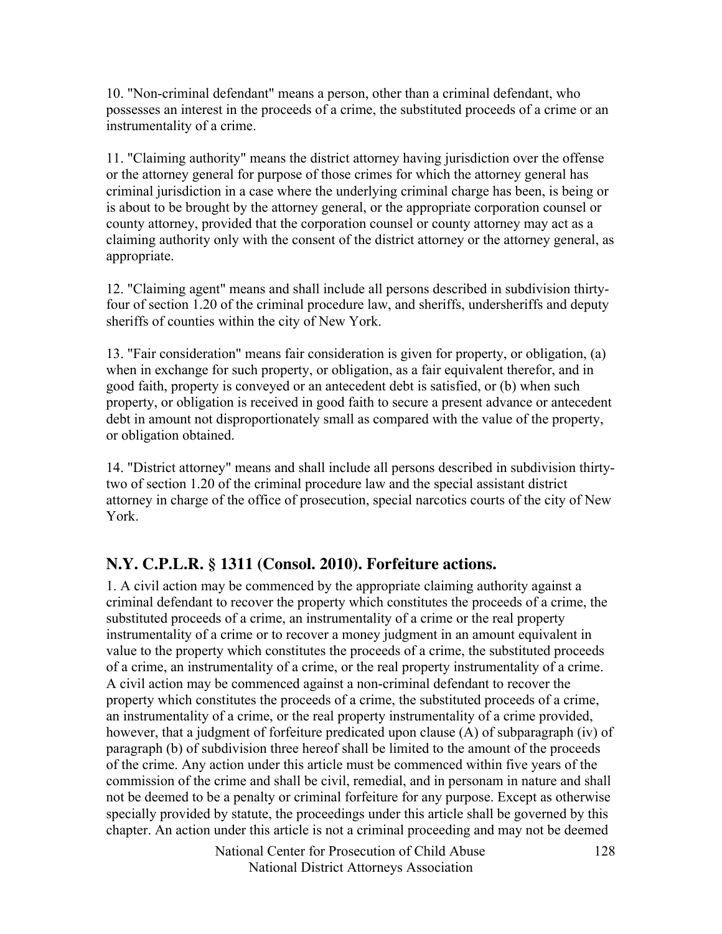10. "Non-criminal defendant" means a person, other than a criminal defendant, who possesses an interest in the proceeds of a crime, the substituted proceeds of a crime or an instrumentality of a crime.

11. "Claiming authority" means the district attorney having jurisdiction over the offense or the attorney general for purpose of those crimes for which the attorney general has criminal jurisdiction in a case where the underlying criminal charge has been, is being or is about to be brought by the attorney general, or the appropriate corporation counsel or county attorney, provided that the corporation counsel or county attorney may act as a claiming authority only with the consent of the district attorney or the attorney general, as appropriate.

12. "Claiming agent" means and shall include all persons described in subdivision thirtyfour of section 1.20 of the criminal procedure law, and sheriffs, undersheriffs and deputy sheriffs of counties within the city of New York.

13. "Fair consideration" means fair consideration is given for property, or obligation, (a) when in exchange for such property, or obligation, as a fair equivalent therefor, and in good faith, property is conveyed or an antecedent debt is satisfied, or (b) when such property, or obligation is received in good faith to secure a present advance or antecedent debt in amount not disproportionately small as compared with the value of the property, or obligation obtained.

14. "District attorney" means and shall include all persons described in subdivision thirtytwo of section 1.20 of the criminal procedure law and the special assistant district attorney in charge of the office of prosecution, special narcotics courts of the city of New York.

### **N.Y. C.P.L.R. § 1311 (Consol. 2010). Forfeiture actions.**

1. A civil action may be commenced by the appropriate claiming authority against a criminal defendant to recover the property which constitutes the proceeds of a crime, the substituted proceeds of a crime, an instrumentality of a crime or the real property instrumentality of a crime or to recover a money judgment in an amount equivalent in value to the property which constitutes the proceeds of a crime, the substituted proceeds of a crime, an instrumentality of a crime, or the real property instrumentality of a crime. A civil action may be commenced against a non-criminal defendant to recover the property which constitutes the proceeds of a crime, the substituted proceeds of a crime, an instrumentality of a crime, or the real property instrumentality of a crime provided, however, that a judgment of forfeiture predicated upon clause (A) of subparagraph (iv) of paragraph (b) of subdivision three hereof shall be limited to the amount of the proceeds of the crime. Any action under this article must be commenced within five years of the commission of the crime and shall be civil, remedial, and in personam in nature and shall not be deemed to be a penalty or criminal forfeiture for any purpose. Except as otherwise specially provided by statute, the proceedings under this article shall be governed by this chapter. An action under this article is not a criminal proceeding and may not be deemed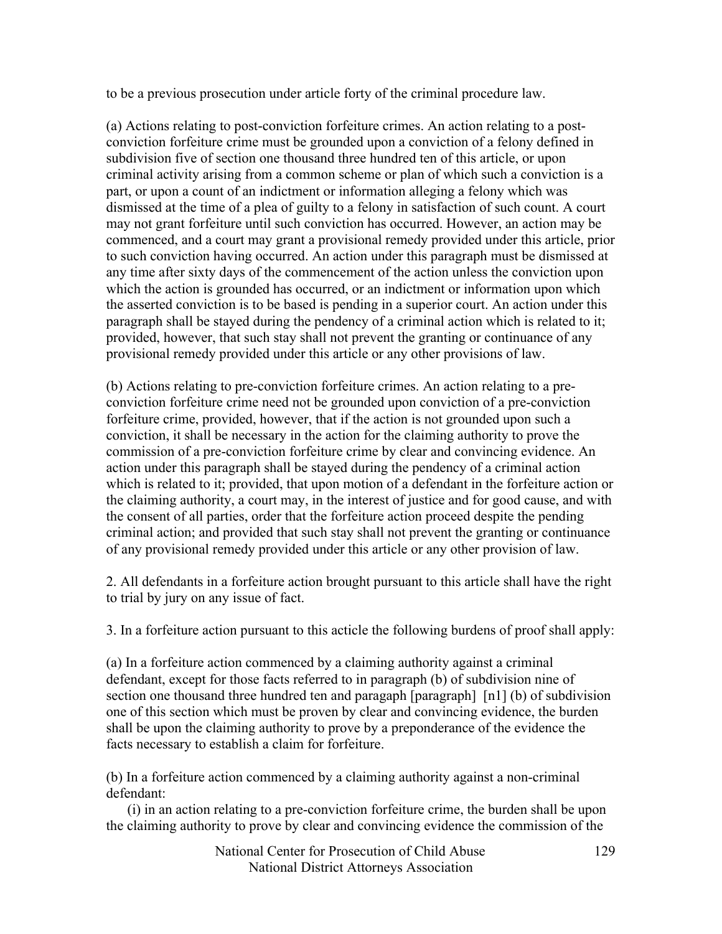to be a previous prosecution under article forty of the criminal procedure law.

(a) Actions relating to post-conviction forfeiture crimes. An action relating to a postconviction forfeiture crime must be grounded upon a conviction of a felony defined in subdivision five of section one thousand three hundred ten of this article, or upon criminal activity arising from a common scheme or plan of which such a conviction is a part, or upon a count of an indictment or information alleging a felony which was dismissed at the time of a plea of guilty to a felony in satisfaction of such count. A court may not grant forfeiture until such conviction has occurred. However, an action may be commenced, and a court may grant a provisional remedy provided under this article, prior to such conviction having occurred. An action under this paragraph must be dismissed at any time after sixty days of the commencement of the action unless the conviction upon which the action is grounded has occurred, or an indictment or information upon which the asserted conviction is to be based is pending in a superior court. An action under this paragraph shall be stayed during the pendency of a criminal action which is related to it; provided, however, that such stay shall not prevent the granting or continuance of any provisional remedy provided under this article or any other provisions of law.

(b) Actions relating to pre-conviction forfeiture crimes. An action relating to a preconviction forfeiture crime need not be grounded upon conviction of a pre-conviction forfeiture crime, provided, however, that if the action is not grounded upon such a conviction, it shall be necessary in the action for the claiming authority to prove the commission of a pre-conviction forfeiture crime by clear and convincing evidence. An action under this paragraph shall be stayed during the pendency of a criminal action which is related to it; provided, that upon motion of a defendant in the forfeiture action or the claiming authority, a court may, in the interest of justice and for good cause, and with the consent of all parties, order that the forfeiture action proceed despite the pending criminal action; and provided that such stay shall not prevent the granting or continuance of any provisional remedy provided under this article or any other provision of law.

2. All defendants in a forfeiture action brought pursuant to this article shall have the right to trial by jury on any issue of fact.

3. In a forfeiture action pursuant to this acticle the following burdens of proof shall apply:

(a) In a forfeiture action commenced by a claiming authority against a criminal defendant, except for those facts referred to in paragraph (b) of subdivision nine of section one thousand three hundred ten and paragaph [paragraph] [n1] (b) of subdivision one of this section which must be proven by clear and convincing evidence, the burden shall be upon the claiming authority to prove by a preponderance of the evidence the facts necessary to establish a claim for forfeiture.

(b) In a forfeiture action commenced by a claiming authority against a non-criminal defendant:

 (i) in an action relating to a pre-conviction forfeiture crime, the burden shall be upon the claiming authority to prove by clear and convincing evidence the commission of the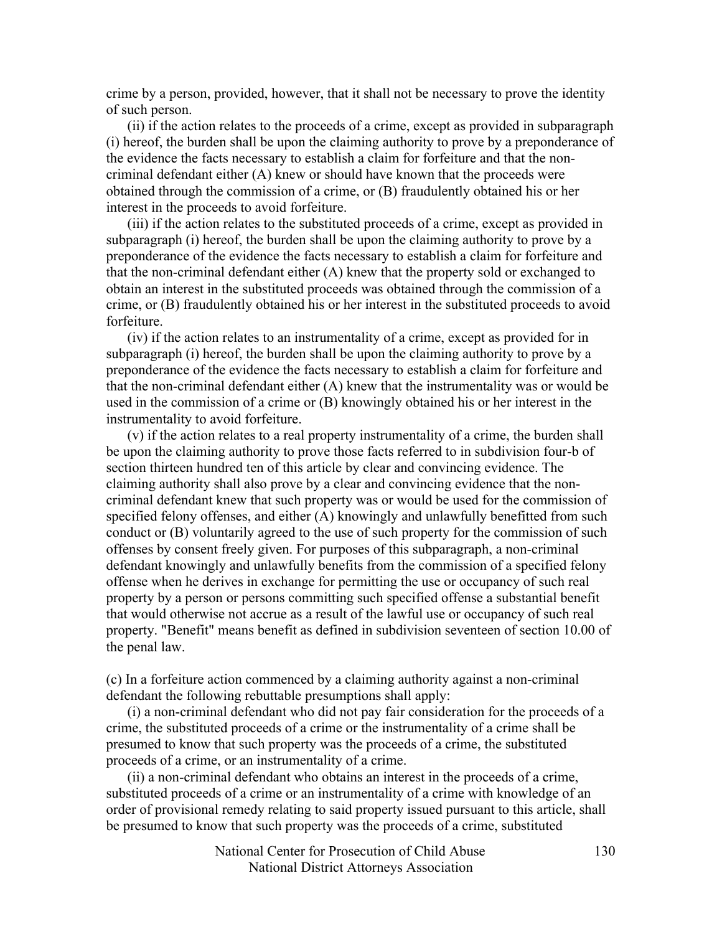crime by a person, provided, however, that it shall not be necessary to prove the identity of such person.

 (ii) if the action relates to the proceeds of a crime, except as provided in subparagraph (i) hereof, the burden shall be upon the claiming authority to prove by a preponderance of the evidence the facts necessary to establish a claim for forfeiture and that the noncriminal defendant either (A) knew or should have known that the proceeds were obtained through the commission of a crime, or (B) fraudulently obtained his or her interest in the proceeds to avoid forfeiture.

 (iii) if the action relates to the substituted proceeds of a crime, except as provided in subparagraph (i) hereof, the burden shall be upon the claiming authority to prove by a preponderance of the evidence the facts necessary to establish a claim for forfeiture and that the non-criminal defendant either (A) knew that the property sold or exchanged to obtain an interest in the substituted proceeds was obtained through the commission of a crime, or (B) fraudulently obtained his or her interest in the substituted proceeds to avoid forfeiture.

 (iv) if the action relates to an instrumentality of a crime, except as provided for in subparagraph (i) hereof, the burden shall be upon the claiming authority to prove by a preponderance of the evidence the facts necessary to establish a claim for forfeiture and that the non-criminal defendant either (A) knew that the instrumentality was or would be used in the commission of a crime or (B) knowingly obtained his or her interest in the instrumentality to avoid forfeiture.

 (v) if the action relates to a real property instrumentality of a crime, the burden shall be upon the claiming authority to prove those facts referred to in subdivision four-b of section thirteen hundred ten of this article by clear and convincing evidence. The claiming authority shall also prove by a clear and convincing evidence that the noncriminal defendant knew that such property was or would be used for the commission of specified felony offenses, and either (A) knowingly and unlawfully benefitted from such conduct or (B) voluntarily agreed to the use of such property for the commission of such offenses by consent freely given. For purposes of this subparagraph, a non-criminal defendant knowingly and unlawfully benefits from the commission of a specified felony offense when he derives in exchange for permitting the use or occupancy of such real property by a person or persons committing such specified offense a substantial benefit that would otherwise not accrue as a result of the lawful use or occupancy of such real property. "Benefit" means benefit as defined in subdivision seventeen of section 10.00 of the penal law.

(c) In a forfeiture action commenced by a claiming authority against a non-criminal defendant the following rebuttable presumptions shall apply:

 (i) a non-criminal defendant who did not pay fair consideration for the proceeds of a crime, the substituted proceeds of a crime or the instrumentality of a crime shall be presumed to know that such property was the proceeds of a crime, the substituted proceeds of a crime, or an instrumentality of a crime.

 (ii) a non-criminal defendant who obtains an interest in the proceeds of a crime, substituted proceeds of a crime or an instrumentality of a crime with knowledge of an order of provisional remedy relating to said property issued pursuant to this article, shall be presumed to know that such property was the proceeds of a crime, substituted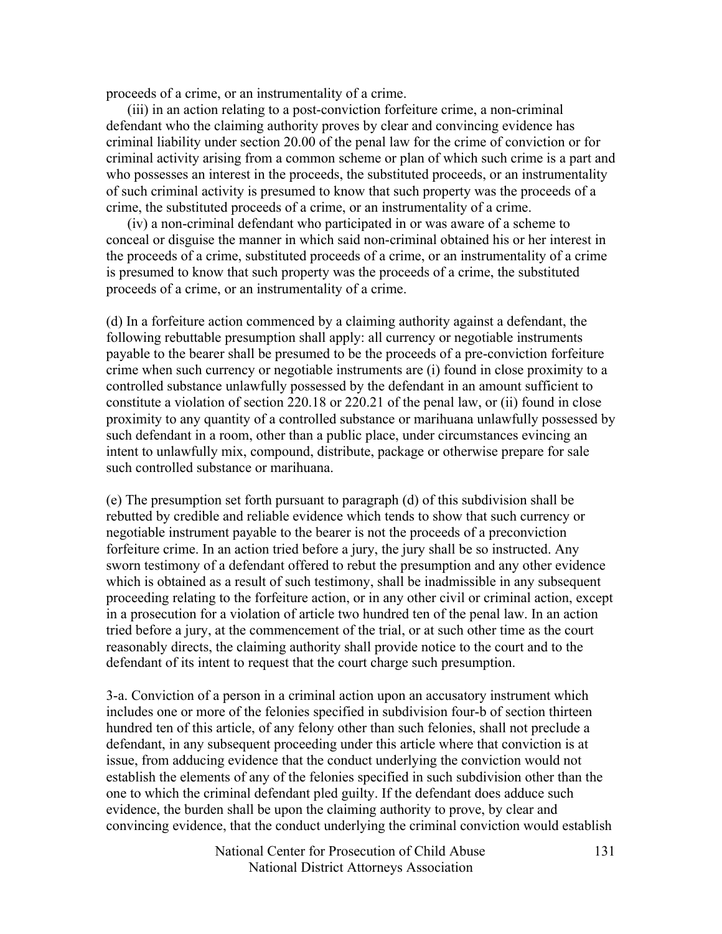proceeds of a crime, or an instrumentality of a crime.

 (iii) in an action relating to a post-conviction forfeiture crime, a non-criminal defendant who the claiming authority proves by clear and convincing evidence has criminal liability under section 20.00 of the penal law for the crime of conviction or for criminal activity arising from a common scheme or plan of which such crime is a part and who possesses an interest in the proceeds, the substituted proceeds, or an instrumentality of such criminal activity is presumed to know that such property was the proceeds of a crime, the substituted proceeds of a crime, or an instrumentality of a crime.

 (iv) a non-criminal defendant who participated in or was aware of a scheme to conceal or disguise the manner in which said non-criminal obtained his or her interest in the proceeds of a crime, substituted proceeds of a crime, or an instrumentality of a crime is presumed to know that such property was the proceeds of a crime, the substituted proceeds of a crime, or an instrumentality of a crime.

(d) In a forfeiture action commenced by a claiming authority against a defendant, the following rebuttable presumption shall apply: all currency or negotiable instruments payable to the bearer shall be presumed to be the proceeds of a pre-conviction forfeiture crime when such currency or negotiable instruments are (i) found in close proximity to a controlled substance unlawfully possessed by the defendant in an amount sufficient to constitute a violation of section 220.18 or 220.21 of the penal law, or (ii) found in close proximity to any quantity of a controlled substance or marihuana unlawfully possessed by such defendant in a room, other than a public place, under circumstances evincing an intent to unlawfully mix, compound, distribute, package or otherwise prepare for sale such controlled substance or marihuana.

(e) The presumption set forth pursuant to paragraph (d) of this subdivision shall be rebutted by credible and reliable evidence which tends to show that such currency or negotiable instrument payable to the bearer is not the proceeds of a preconviction forfeiture crime. In an action tried before a jury, the jury shall be so instructed. Any sworn testimony of a defendant offered to rebut the presumption and any other evidence which is obtained as a result of such testimony, shall be inadmissible in any subsequent proceeding relating to the forfeiture action, or in any other civil or criminal action, except in a prosecution for a violation of article two hundred ten of the penal law. In an action tried before a jury, at the commencement of the trial, or at such other time as the court reasonably directs, the claiming authority shall provide notice to the court and to the defendant of its intent to request that the court charge such presumption.

3-a. Conviction of a person in a criminal action upon an accusatory instrument which includes one or more of the felonies specified in subdivision four-b of section thirteen hundred ten of this article, of any felony other than such felonies, shall not preclude a defendant, in any subsequent proceeding under this article where that conviction is at issue, from adducing evidence that the conduct underlying the conviction would not establish the elements of any of the felonies specified in such subdivision other than the one to which the criminal defendant pled guilty. If the defendant does adduce such evidence, the burden shall be upon the claiming authority to prove, by clear and convincing evidence, that the conduct underlying the criminal conviction would establish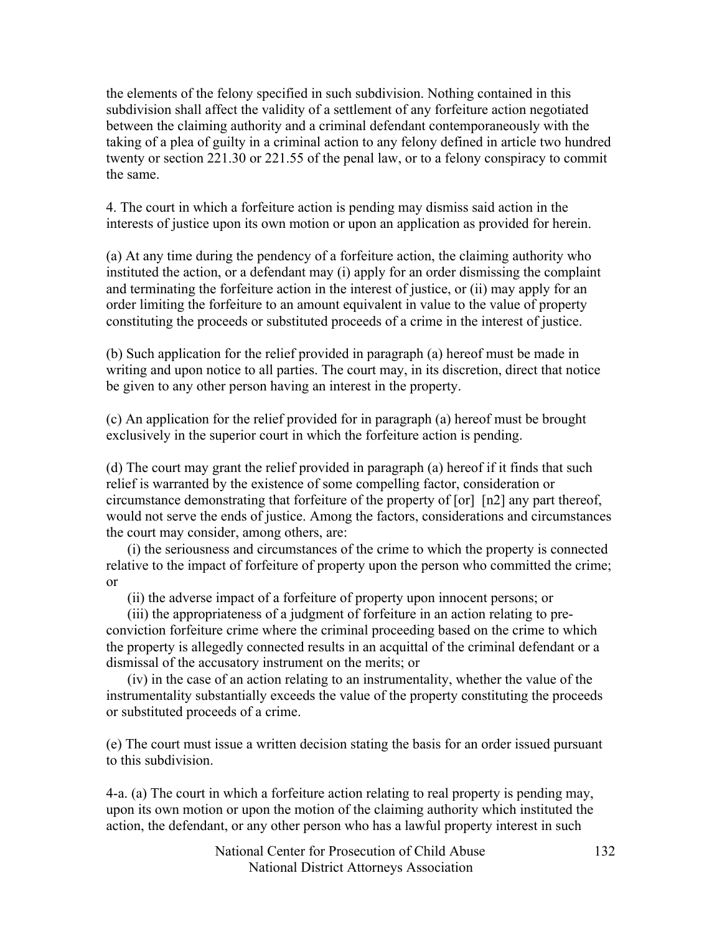the elements of the felony specified in such subdivision. Nothing contained in this subdivision shall affect the validity of a settlement of any forfeiture action negotiated between the claiming authority and a criminal defendant contemporaneously with the taking of a plea of guilty in a criminal action to any felony defined in article two hundred twenty or section 221.30 or 221.55 of the penal law, or to a felony conspiracy to commit the same.

4. The court in which a forfeiture action is pending may dismiss said action in the interests of justice upon its own motion or upon an application as provided for herein.

(a) At any time during the pendency of a forfeiture action, the claiming authority who instituted the action, or a defendant may (i) apply for an order dismissing the complaint and terminating the forfeiture action in the interest of justice, or (ii) may apply for an order limiting the forfeiture to an amount equivalent in value to the value of property constituting the proceeds or substituted proceeds of a crime in the interest of justice.

(b) Such application for the relief provided in paragraph (a) hereof must be made in writing and upon notice to all parties. The court may, in its discretion, direct that notice be given to any other person having an interest in the property.

(c) An application for the relief provided for in paragraph (a) hereof must be brought exclusively in the superior court in which the forfeiture action is pending.

(d) The court may grant the relief provided in paragraph (a) hereof if it finds that such relief is warranted by the existence of some compelling factor, consideration or circumstance demonstrating that forfeiture of the property of [or] [n2] any part thereof, would not serve the ends of justice. Among the factors, considerations and circumstances the court may consider, among others, are:

 (i) the seriousness and circumstances of the crime to which the property is connected relative to the impact of forfeiture of property upon the person who committed the crime; or

(ii) the adverse impact of a forfeiture of property upon innocent persons; or

 (iii) the appropriateness of a judgment of forfeiture in an action relating to preconviction forfeiture crime where the criminal proceeding based on the crime to which the property is allegedly connected results in an acquittal of the criminal defendant or a dismissal of the accusatory instrument on the merits; or

 (iv) in the case of an action relating to an instrumentality, whether the value of the instrumentality substantially exceeds the value of the property constituting the proceeds or substituted proceeds of a crime.

(e) The court must issue a written decision stating the basis for an order issued pursuant to this subdivision.

4-a. (a) The court in which a forfeiture action relating to real property is pending may, upon its own motion or upon the motion of the claiming authority which instituted the action, the defendant, or any other person who has a lawful property interest in such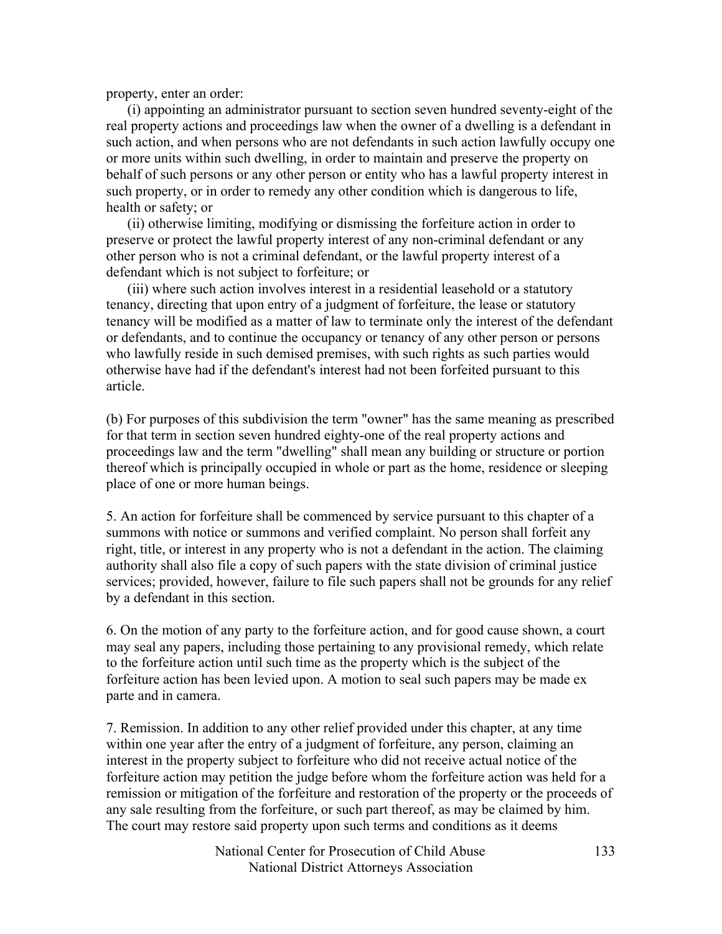property, enter an order:

 (i) appointing an administrator pursuant to section seven hundred seventy-eight of the real property actions and proceedings law when the owner of a dwelling is a defendant in such action, and when persons who are not defendants in such action lawfully occupy one or more units within such dwelling, in order to maintain and preserve the property on behalf of such persons or any other person or entity who has a lawful property interest in such property, or in order to remedy any other condition which is dangerous to life, health or safety; or

 (ii) otherwise limiting, modifying or dismissing the forfeiture action in order to preserve or protect the lawful property interest of any non-criminal defendant or any other person who is not a criminal defendant, or the lawful property interest of a defendant which is not subject to forfeiture; or

 (iii) where such action involves interest in a residential leasehold or a statutory tenancy, directing that upon entry of a judgment of forfeiture, the lease or statutory tenancy will be modified as a matter of law to terminate only the interest of the defendant or defendants, and to continue the occupancy or tenancy of any other person or persons who lawfully reside in such demised premises, with such rights as such parties would otherwise have had if the defendant's interest had not been forfeited pursuant to this article.

(b) For purposes of this subdivision the term "owner" has the same meaning as prescribed for that term in section seven hundred eighty-one of the real property actions and proceedings law and the term "dwelling" shall mean any building or structure or portion thereof which is principally occupied in whole or part as the home, residence or sleeping place of one or more human beings.

5. An action for forfeiture shall be commenced by service pursuant to this chapter of a summons with notice or summons and verified complaint. No person shall forfeit any right, title, or interest in any property who is not a defendant in the action. The claiming authority shall also file a copy of such papers with the state division of criminal justice services; provided, however, failure to file such papers shall not be grounds for any relief by a defendant in this section.

6. On the motion of any party to the forfeiture action, and for good cause shown, a court may seal any papers, including those pertaining to any provisional remedy, which relate to the forfeiture action until such time as the property which is the subject of the forfeiture action has been levied upon. A motion to seal such papers may be made ex parte and in camera.

7. Remission. In addition to any other relief provided under this chapter, at any time within one year after the entry of a judgment of forfeiture, any person, claiming an interest in the property subject to forfeiture who did not receive actual notice of the forfeiture action may petition the judge before whom the forfeiture action was held for a remission or mitigation of the forfeiture and restoration of the property or the proceeds of any sale resulting from the forfeiture, or such part thereof, as may be claimed by him. The court may restore said property upon such terms and conditions as it deems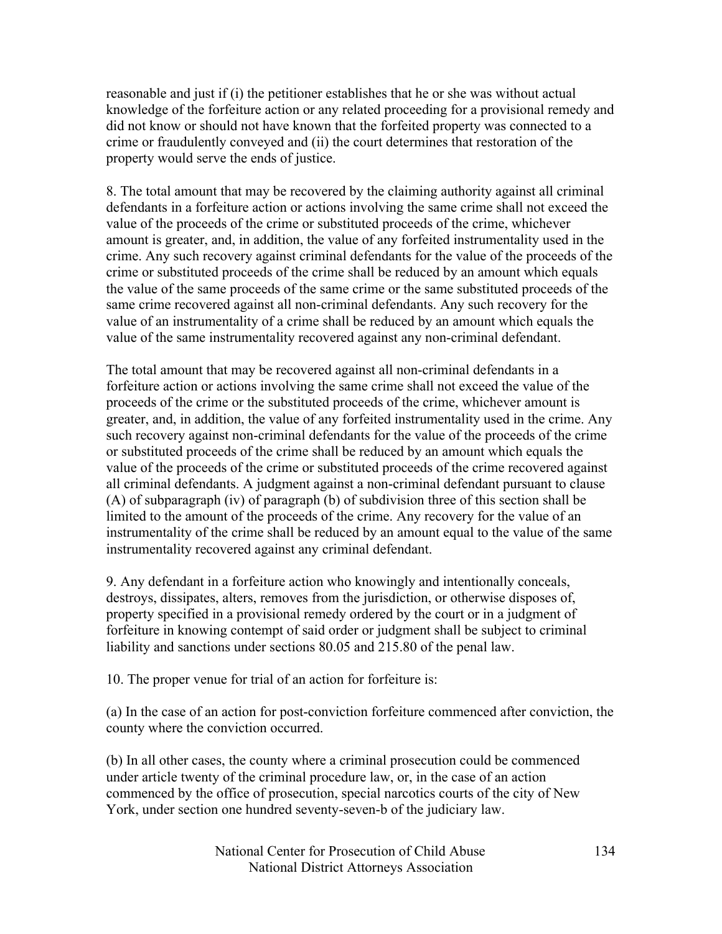reasonable and just if (i) the petitioner establishes that he or she was without actual knowledge of the forfeiture action or any related proceeding for a provisional remedy and did not know or should not have known that the forfeited property was connected to a crime or fraudulently conveyed and (ii) the court determines that restoration of the property would serve the ends of justice.

8. The total amount that may be recovered by the claiming authority against all criminal defendants in a forfeiture action or actions involving the same crime shall not exceed the value of the proceeds of the crime or substituted proceeds of the crime, whichever amount is greater, and, in addition, the value of any forfeited instrumentality used in the crime. Any such recovery against criminal defendants for the value of the proceeds of the crime or substituted proceeds of the crime shall be reduced by an amount which equals the value of the same proceeds of the same crime or the same substituted proceeds of the same crime recovered against all non-criminal defendants. Any such recovery for the value of an instrumentality of a crime shall be reduced by an amount which equals the value of the same instrumentality recovered against any non-criminal defendant.

The total amount that may be recovered against all non-criminal defendants in a forfeiture action or actions involving the same crime shall not exceed the value of the proceeds of the crime or the substituted proceeds of the crime, whichever amount is greater, and, in addition, the value of any forfeited instrumentality used in the crime. Any such recovery against non-criminal defendants for the value of the proceeds of the crime or substituted proceeds of the crime shall be reduced by an amount which equals the value of the proceeds of the crime or substituted proceeds of the crime recovered against all criminal defendants. A judgment against a non-criminal defendant pursuant to clause (A) of subparagraph (iv) of paragraph (b) of subdivision three of this section shall be limited to the amount of the proceeds of the crime. Any recovery for the value of an instrumentality of the crime shall be reduced by an amount equal to the value of the same instrumentality recovered against any criminal defendant.

9. Any defendant in a forfeiture action who knowingly and intentionally conceals, destroys, dissipates, alters, removes from the jurisdiction, or otherwise disposes of, property specified in a provisional remedy ordered by the court or in a judgment of forfeiture in knowing contempt of said order or judgment shall be subject to criminal liability and sanctions under sections 80.05 and 215.80 of the penal law.

10. The proper venue for trial of an action for forfeiture is:

(a) In the case of an action for post-conviction forfeiture commenced after conviction, the county where the conviction occurred.

(b) In all other cases, the county where a criminal prosecution could be commenced under article twenty of the criminal procedure law, or, in the case of an action commenced by the office of prosecution, special narcotics courts of the city of New York, under section one hundred seventy-seven-b of the judiciary law.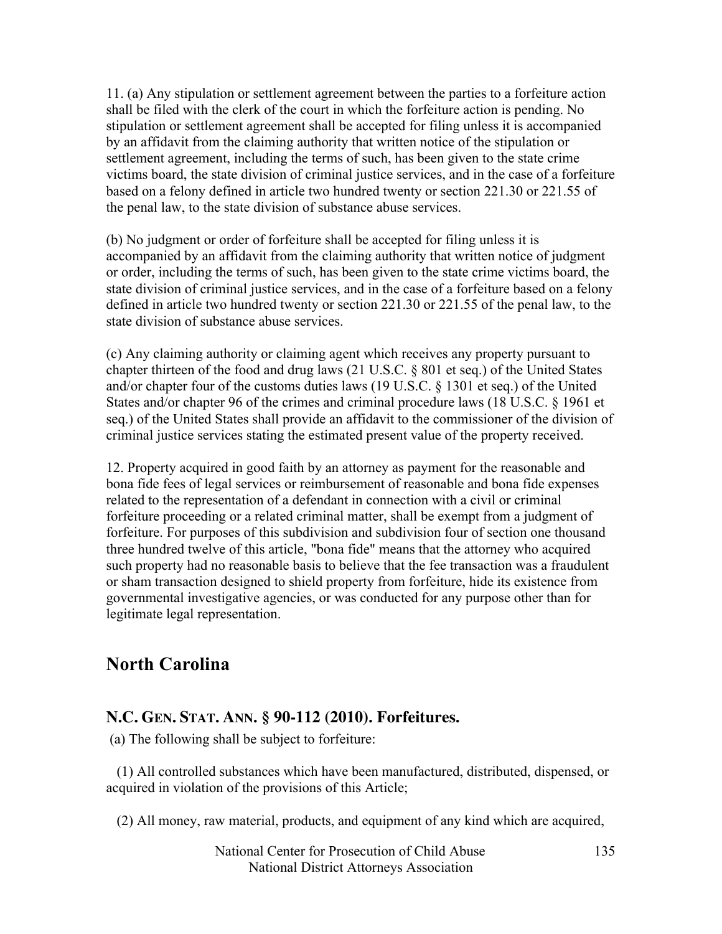11. (a) Any stipulation or settlement agreement between the parties to a forfeiture action shall be filed with the clerk of the court in which the forfeiture action is pending. No stipulation or settlement agreement shall be accepted for filing unless it is accompanied by an affidavit from the claiming authority that written notice of the stipulation or settlement agreement, including the terms of such, has been given to the state crime victims board, the state division of criminal justice services, and in the case of a forfeiture based on a felony defined in article two hundred twenty or section 221.30 or 221.55 of the penal law, to the state division of substance abuse services.

(b) No judgment or order of forfeiture shall be accepted for filing unless it is accompanied by an affidavit from the claiming authority that written notice of judgment or order, including the terms of such, has been given to the state crime victims board, the state division of criminal justice services, and in the case of a forfeiture based on a felony defined in article two hundred twenty or section 221.30 or 221.55 of the penal law, to the state division of substance abuse services.

(c) Any claiming authority or claiming agent which receives any property pursuant to chapter thirteen of the food and drug laws (21 U.S.C. § 801 et seq.) of the United States and/or chapter four of the customs duties laws (19 U.S.C. § 1301 et seq.) of the United States and/or chapter 96 of the crimes and criminal procedure laws (18 U.S.C. § 1961 et seq.) of the United States shall provide an affidavit to the commissioner of the division of criminal justice services stating the estimated present value of the property received.

12. Property acquired in good faith by an attorney as payment for the reasonable and bona fide fees of legal services or reimbursement of reasonable and bona fide expenses related to the representation of a defendant in connection with a civil or criminal forfeiture proceeding or a related criminal matter, shall be exempt from a judgment of forfeiture. For purposes of this subdivision and subdivision four of section one thousand three hundred twelve of this article, "bona fide" means that the attorney who acquired such property had no reasonable basis to believe that the fee transaction was a fraudulent or sham transaction designed to shield property from forfeiture, hide its existence from governmental investigative agencies, or was conducted for any purpose other than for legitimate legal representation.

# **North Carolina**

### **N.C. GEN. STAT. ANN. § 90-112 (2010). Forfeitures.**

(a) The following shall be subject to forfeiture:

 (1) All controlled substances which have been manufactured, distributed, dispensed, or acquired in violation of the provisions of this Article;

(2) All money, raw material, products, and equipment of any kind which are acquired,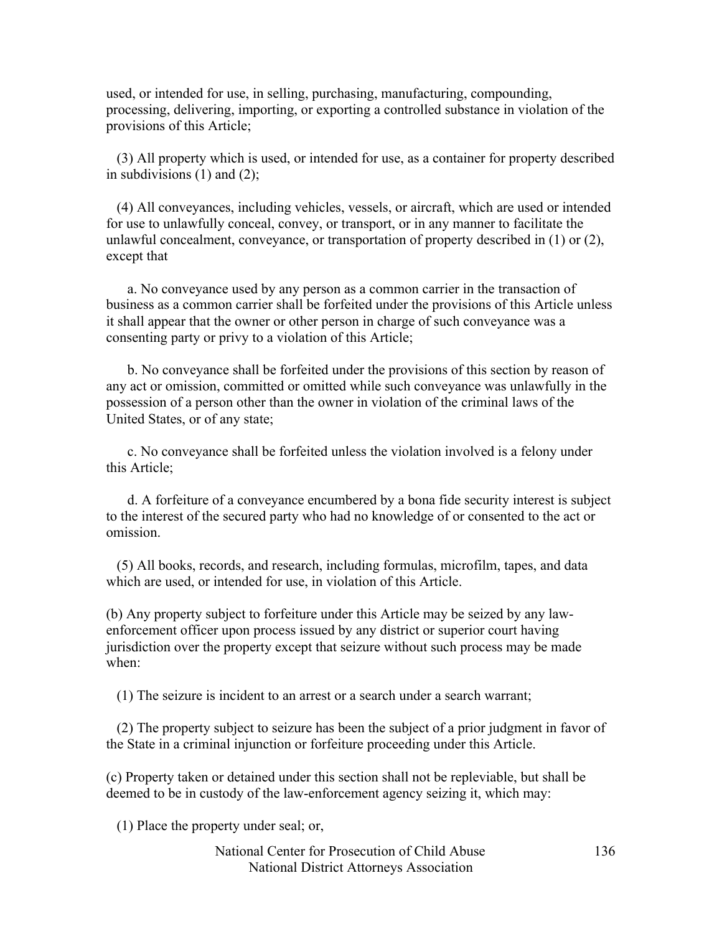used, or intended for use, in selling, purchasing, manufacturing, compounding, processing, delivering, importing, or exporting a controlled substance in violation of the provisions of this Article;

 (3) All property which is used, or intended for use, as a container for property described in subdivisions (1) and (2);

 (4) All conveyances, including vehicles, vessels, or aircraft, which are used or intended for use to unlawfully conceal, convey, or transport, or in any manner to facilitate the unlawful concealment, conveyance, or transportation of property described in (1) or (2), except that

 a. No conveyance used by any person as a common carrier in the transaction of business as a common carrier shall be forfeited under the provisions of this Article unless it shall appear that the owner or other person in charge of such conveyance was a consenting party or privy to a violation of this Article;

 b. No conveyance shall be forfeited under the provisions of this section by reason of any act or omission, committed or omitted while such conveyance was unlawfully in the possession of a person other than the owner in violation of the criminal laws of the United States, or of any state;

 c. No conveyance shall be forfeited unless the violation involved is a felony under this Article;

 d. A forfeiture of a conveyance encumbered by a bona fide security interest is subject to the interest of the secured party who had no knowledge of or consented to the act or omission.

 (5) All books, records, and research, including formulas, microfilm, tapes, and data which are used, or intended for use, in violation of this Article.

(b) Any property subject to forfeiture under this Article may be seized by any lawenforcement officer upon process issued by any district or superior court having jurisdiction over the property except that seizure without such process may be made when:

(1) The seizure is incident to an arrest or a search under a search warrant;

 (2) The property subject to seizure has been the subject of a prior judgment in favor of the State in a criminal injunction or forfeiture proceeding under this Article.

(c) Property taken or detained under this section shall not be repleviable, but shall be deemed to be in custody of the law-enforcement agency seizing it, which may:

(1) Place the property under seal; or,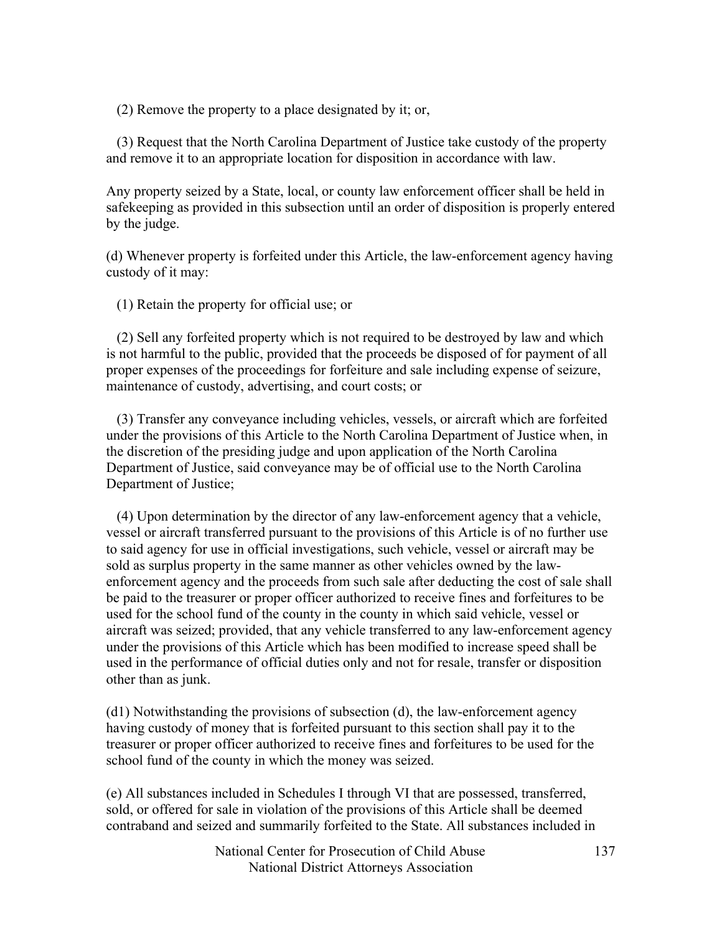(2) Remove the property to a place designated by it; or,

 (3) Request that the North Carolina Department of Justice take custody of the property and remove it to an appropriate location for disposition in accordance with law.

Any property seized by a State, local, or county law enforcement officer shall be held in safekeeping as provided in this subsection until an order of disposition is properly entered by the judge.

(d) Whenever property is forfeited under this Article, the law-enforcement agency having custody of it may:

(1) Retain the property for official use; or

 (2) Sell any forfeited property which is not required to be destroyed by law and which is not harmful to the public, provided that the proceeds be disposed of for payment of all proper expenses of the proceedings for forfeiture and sale including expense of seizure, maintenance of custody, advertising, and court costs; or

 (3) Transfer any conveyance including vehicles, vessels, or aircraft which are forfeited under the provisions of this Article to the North Carolina Department of Justice when, in the discretion of the presiding judge and upon application of the North Carolina Department of Justice, said conveyance may be of official use to the North Carolina Department of Justice;

 (4) Upon determination by the director of any law-enforcement agency that a vehicle, vessel or aircraft transferred pursuant to the provisions of this Article is of no further use to said agency for use in official investigations, such vehicle, vessel or aircraft may be sold as surplus property in the same manner as other vehicles owned by the lawenforcement agency and the proceeds from such sale after deducting the cost of sale shall be paid to the treasurer or proper officer authorized to receive fines and forfeitures to be used for the school fund of the county in the county in which said vehicle, vessel or aircraft was seized; provided, that any vehicle transferred to any law-enforcement agency under the provisions of this Article which has been modified to increase speed shall be used in the performance of official duties only and not for resale, transfer or disposition other than as junk.

(d1) Notwithstanding the provisions of subsection (d), the law-enforcement agency having custody of money that is forfeited pursuant to this section shall pay it to the treasurer or proper officer authorized to receive fines and forfeitures to be used for the school fund of the county in which the money was seized.

(e) All substances included in Schedules I through VI that are possessed, transferred, sold, or offered for sale in violation of the provisions of this Article shall be deemed contraband and seized and summarily forfeited to the State. All substances included in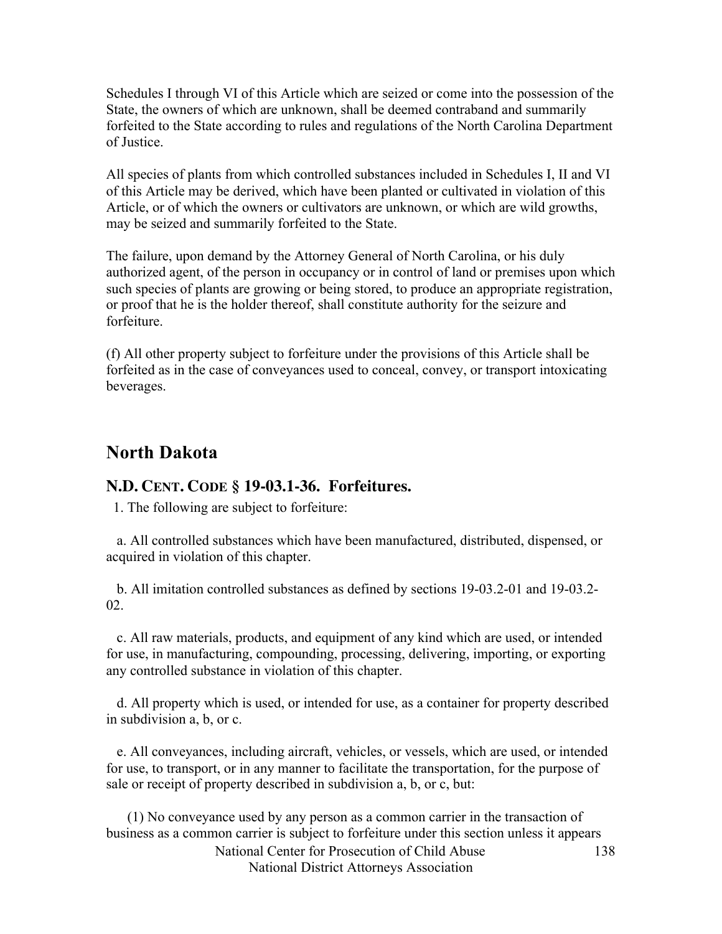Schedules I through VI of this Article which are seized or come into the possession of the State, the owners of which are unknown, shall be deemed contraband and summarily forfeited to the State according to rules and regulations of the North Carolina Department of Justice.

All species of plants from which controlled substances included in Schedules I, II and VI of this Article may be derived, which have been planted or cultivated in violation of this Article, or of which the owners or cultivators are unknown, or which are wild growths, may be seized and summarily forfeited to the State.

The failure, upon demand by the Attorney General of North Carolina, or his duly authorized agent, of the person in occupancy or in control of land or premises upon which such species of plants are growing or being stored, to produce an appropriate registration, or proof that he is the holder thereof, shall constitute authority for the seizure and forfeiture.

(f) All other property subject to forfeiture under the provisions of this Article shall be forfeited as in the case of conveyances used to conceal, convey, or transport intoxicating beverages.

# **North Dakota**

### **N.D. CENT. CODE § 19-03.1-36. Forfeitures.**

1. The following are subject to forfeiture:

 a. All controlled substances which have been manufactured, distributed, dispensed, or acquired in violation of this chapter.

 b. All imitation controlled substances as defined by sections 19-03.2-01 and 19-03.2- 02.

 c. All raw materials, products, and equipment of any kind which are used, or intended for use, in manufacturing, compounding, processing, delivering, importing, or exporting any controlled substance in violation of this chapter.

 d. All property which is used, or intended for use, as a container for property described in subdivision a, b, or c.

 e. All conveyances, including aircraft, vehicles, or vessels, which are used, or intended for use, to transport, or in any manner to facilitate the transportation, for the purpose of sale or receipt of property described in subdivision a, b, or c, but:

National Center for Prosecution of Child Abuse National District Attorneys Association 138 (1) No conveyance used by any person as a common carrier in the transaction of business as a common carrier is subject to forfeiture under this section unless it appears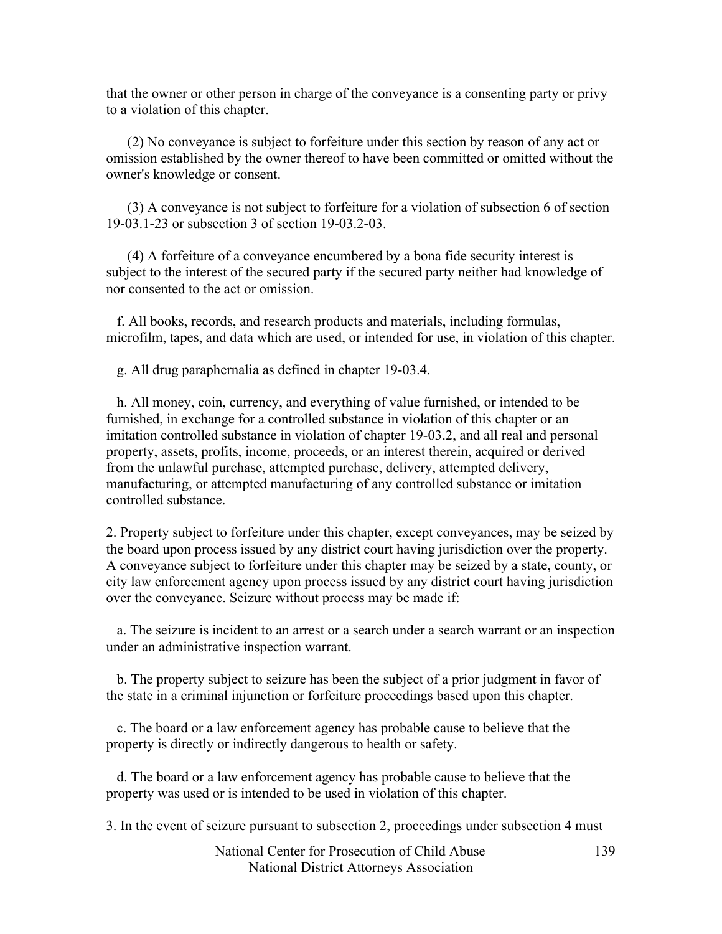that the owner or other person in charge of the conveyance is a consenting party or privy to a violation of this chapter.

 (2) No conveyance is subject to forfeiture under this section by reason of any act or omission established by the owner thereof to have been committed or omitted without the owner's knowledge or consent.

 (3) A conveyance is not subject to forfeiture for a violation of subsection 6 of section 19-03.1-23 or subsection 3 of section 19-03.2-03.

 (4) A forfeiture of a conveyance encumbered by a bona fide security interest is subject to the interest of the secured party if the secured party neither had knowledge of nor consented to the act or omission.

 f. All books, records, and research products and materials, including formulas, microfilm, tapes, and data which are used, or intended for use, in violation of this chapter.

g. All drug paraphernalia as defined in chapter 19-03.4.

 h. All money, coin, currency, and everything of value furnished, or intended to be furnished, in exchange for a controlled substance in violation of this chapter or an imitation controlled substance in violation of chapter 19-03.2, and all real and personal property, assets, profits, income, proceeds, or an interest therein, acquired or derived from the unlawful purchase, attempted purchase, delivery, attempted delivery, manufacturing, or attempted manufacturing of any controlled substance or imitation controlled substance.

2. Property subject to forfeiture under this chapter, except conveyances, may be seized by the board upon process issued by any district court having jurisdiction over the property. A conveyance subject to forfeiture under this chapter may be seized by a state, county, or city law enforcement agency upon process issued by any district court having jurisdiction over the conveyance. Seizure without process may be made if:

 a. The seizure is incident to an arrest or a search under a search warrant or an inspection under an administrative inspection warrant.

 b. The property subject to seizure has been the subject of a prior judgment in favor of the state in a criminal injunction or forfeiture proceedings based upon this chapter.

 c. The board or a law enforcement agency has probable cause to believe that the property is directly or indirectly dangerous to health or safety.

 d. The board or a law enforcement agency has probable cause to believe that the property was used or is intended to be used in violation of this chapter.

3. In the event of seizure pursuant to subsection 2, proceedings under subsection 4 must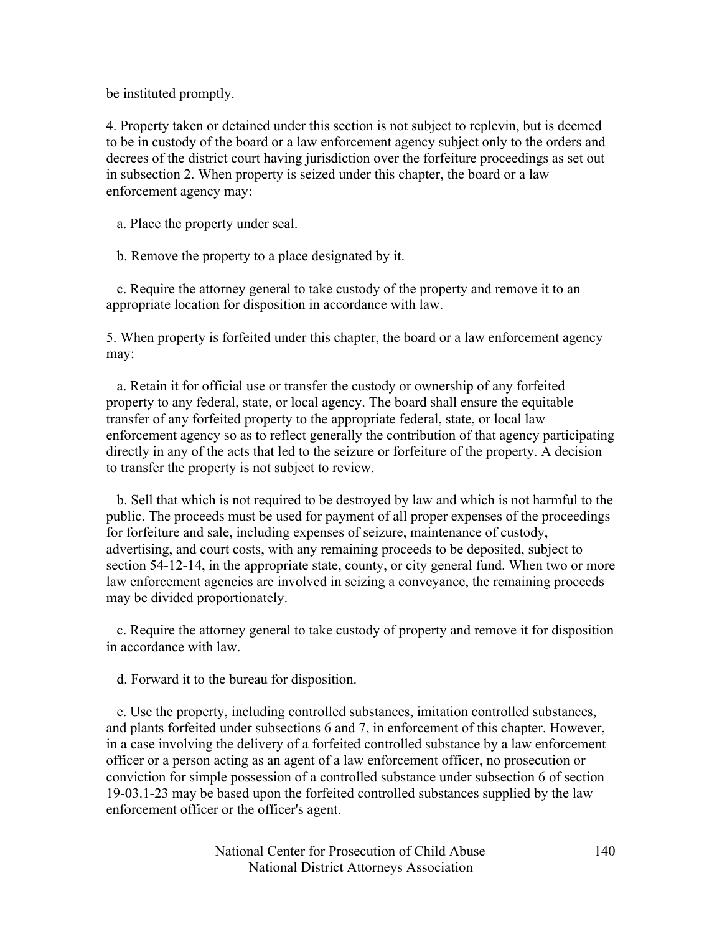be instituted promptly.

4. Property taken or detained under this section is not subject to replevin, but is deemed to be in custody of the board or a law enforcement agency subject only to the orders and decrees of the district court having jurisdiction over the forfeiture proceedings as set out in subsection 2. When property is seized under this chapter, the board or a law enforcement agency may:

a. Place the property under seal.

b. Remove the property to a place designated by it.

 c. Require the attorney general to take custody of the property and remove it to an appropriate location for disposition in accordance with law.

5. When property is forfeited under this chapter, the board or a law enforcement agency may:

 a. Retain it for official use or transfer the custody or ownership of any forfeited property to any federal, state, or local agency. The board shall ensure the equitable transfer of any forfeited property to the appropriate federal, state, or local law enforcement agency so as to reflect generally the contribution of that agency participating directly in any of the acts that led to the seizure or forfeiture of the property. A decision to transfer the property is not subject to review.

 b. Sell that which is not required to be destroyed by law and which is not harmful to the public. The proceeds must be used for payment of all proper expenses of the proceedings for forfeiture and sale, including expenses of seizure, maintenance of custody, advertising, and court costs, with any remaining proceeds to be deposited, subject to section 54-12-14, in the appropriate state, county, or city general fund. When two or more law enforcement agencies are involved in seizing a conveyance, the remaining proceeds may be divided proportionately.

 c. Require the attorney general to take custody of property and remove it for disposition in accordance with law.

d. Forward it to the bureau for disposition.

 e. Use the property, including controlled substances, imitation controlled substances, and plants forfeited under subsections 6 and 7, in enforcement of this chapter. However, in a case involving the delivery of a forfeited controlled substance by a law enforcement officer or a person acting as an agent of a law enforcement officer, no prosecution or conviction for simple possession of a controlled substance under subsection 6 of section 19-03.1-23 may be based upon the forfeited controlled substances supplied by the law enforcement officer or the officer's agent.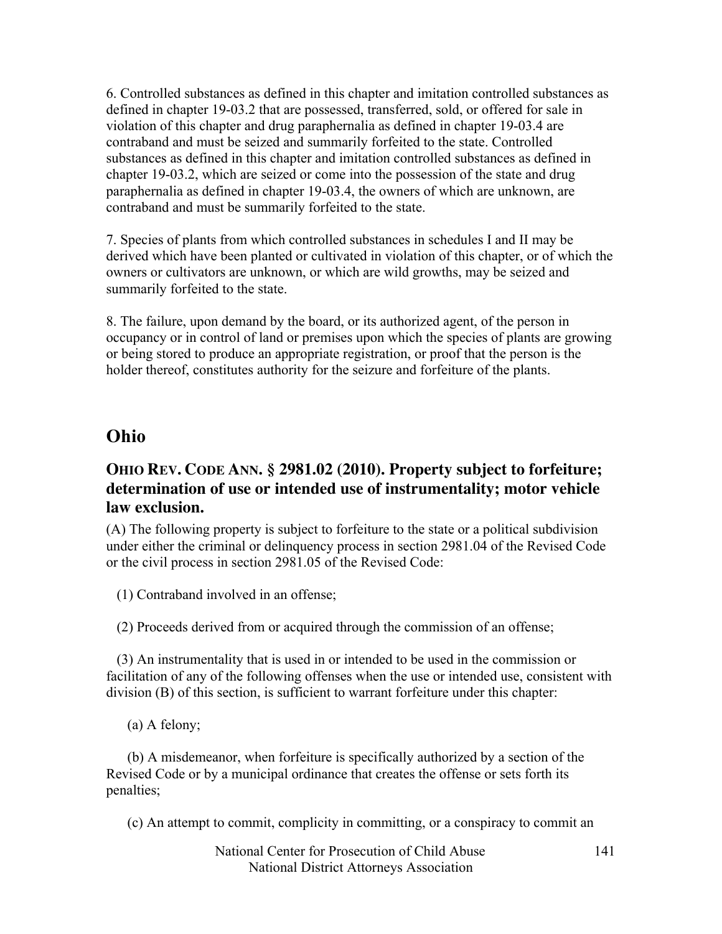6. Controlled substances as defined in this chapter and imitation controlled substances as defined in chapter 19-03.2 that are possessed, transferred, sold, or offered for sale in violation of this chapter and drug paraphernalia as defined in chapter 19-03.4 are contraband and must be seized and summarily forfeited to the state. Controlled substances as defined in this chapter and imitation controlled substances as defined in chapter 19-03.2, which are seized or come into the possession of the state and drug paraphernalia as defined in chapter 19-03.4, the owners of which are unknown, are contraband and must be summarily forfeited to the state.

7. Species of plants from which controlled substances in schedules I and II may be derived which have been planted or cultivated in violation of this chapter, or of which the owners or cultivators are unknown, or which are wild growths, may be seized and summarily forfeited to the state.

8. The failure, upon demand by the board, or its authorized agent, of the person in occupancy or in control of land or premises upon which the species of plants are growing or being stored to produce an appropriate registration, or proof that the person is the holder thereof, constitutes authority for the seizure and forfeiture of the plants.

## **Ohio**

#### **OHIO REV. CODE ANN. § 2981.02 (2010). Property subject to forfeiture; determination of use or intended use of instrumentality; motor vehicle law exclusion.**

(A) The following property is subject to forfeiture to the state or a political subdivision under either the criminal or delinquency process in section 2981.04 of the Revised Code or the civil process in section 2981.05 of the Revised Code:

(1) Contraband involved in an offense;

(2) Proceeds derived from or acquired through the commission of an offense;

 (3) An instrumentality that is used in or intended to be used in the commission or facilitation of any of the following offenses when the use or intended use, consistent with division (B) of this section, is sufficient to warrant forfeiture under this chapter:

(a) A felony;

 (b) A misdemeanor, when forfeiture is specifically authorized by a section of the Revised Code or by a municipal ordinance that creates the offense or sets forth its penalties;

(c) An attempt to commit, complicity in committing, or a conspiracy to commit an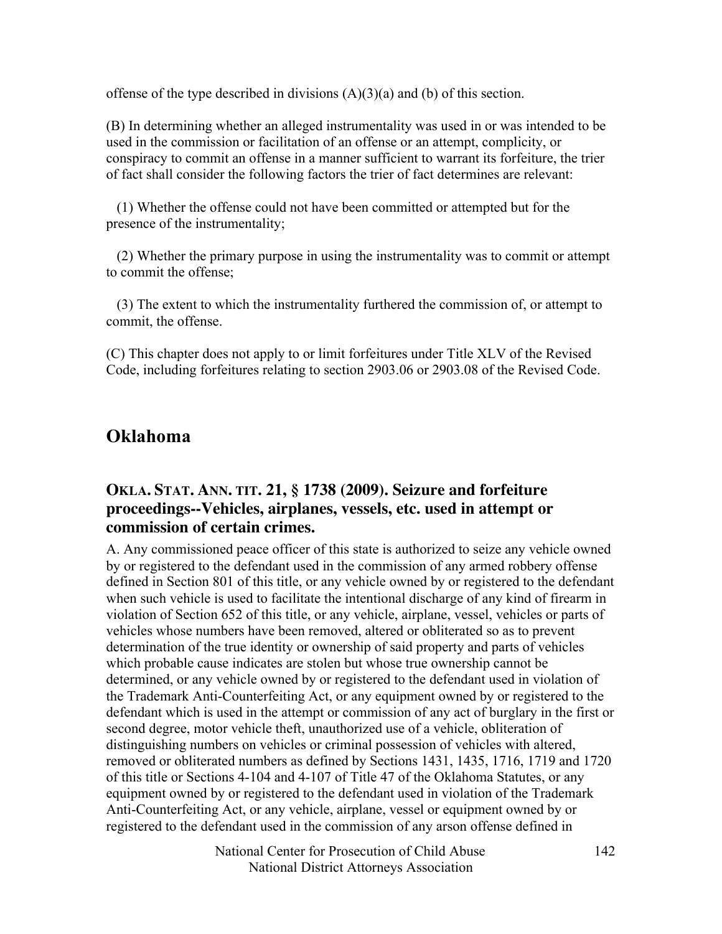offense of the type described in divisions  $(A)(3)(a)$  and (b) of this section.

(B) In determining whether an alleged instrumentality was used in or was intended to be used in the commission or facilitation of an offense or an attempt, complicity, or conspiracy to commit an offense in a manner sufficient to warrant its forfeiture, the trier of fact shall consider the following factors the trier of fact determines are relevant:

 (1) Whether the offense could not have been committed or attempted but for the presence of the instrumentality;

 (2) Whether the primary purpose in using the instrumentality was to commit or attempt to commit the offense;

 (3) The extent to which the instrumentality furthered the commission of, or attempt to commit, the offense.

(C) This chapter does not apply to or limit forfeitures under Title XLV of the Revised Code, including forfeitures relating to section 2903.06 or 2903.08 of the Revised Code.

## **Oklahoma**

#### **OKLA. STAT. ANN. TIT. 21, § 1738 (2009). Seizure and forfeiture proceedings--Vehicles, airplanes, vessels, etc. used in attempt or commission of certain crimes.**

A. Any commissioned peace officer of this state is authorized to seize any vehicle owned by or registered to the defendant used in the commission of any armed robbery offense defined in Section 801 of this title, or any vehicle owned by or registered to the defendant when such vehicle is used to facilitate the intentional discharge of any kind of firearm in violation of Section 652 of this title, or any vehicle, airplane, vessel, vehicles or parts of vehicles whose numbers have been removed, altered or obliterated so as to prevent determination of the true identity or ownership of said property and parts of vehicles which probable cause indicates are stolen but whose true ownership cannot be determined, or any vehicle owned by or registered to the defendant used in violation of the Trademark Anti-Counterfeiting Act, or any equipment owned by or registered to the defendant which is used in the attempt or commission of any act of burglary in the first or second degree, motor vehicle theft, unauthorized use of a vehicle, obliteration of distinguishing numbers on vehicles or criminal possession of vehicles with altered, removed or obliterated numbers as defined by Sections 1431, 1435, 1716, 1719 and 1720 of this title or Sections 4-104 and 4-107 of Title 47 of the Oklahoma Statutes, or any equipment owned by or registered to the defendant used in violation of the Trademark Anti-Counterfeiting Act, or any vehicle, airplane, vessel or equipment owned by or registered to the defendant used in the commission of any arson offense defined in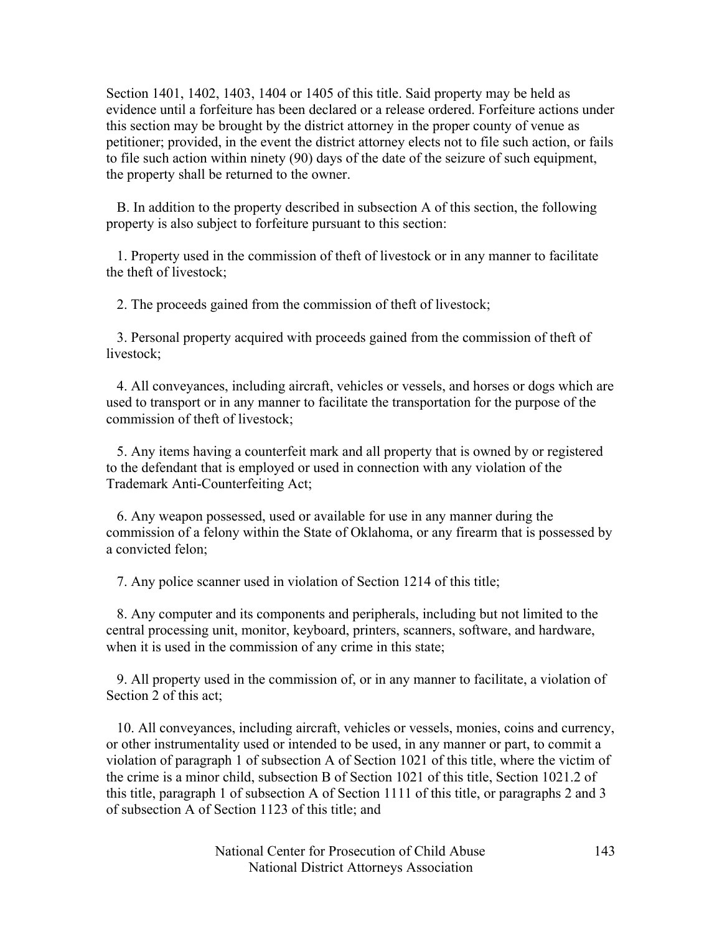Section 1401, 1402, 1403, 1404 or 1405 of this title. Said property may be held as evidence until a forfeiture has been declared or a release ordered. Forfeiture actions under this section may be brought by the district attorney in the proper county of venue as petitioner; provided, in the event the district attorney elects not to file such action, or fails to file such action within ninety (90) days of the date of the seizure of such equipment, the property shall be returned to the owner.

 B. In addition to the property described in subsection A of this section, the following property is also subject to forfeiture pursuant to this section:

 1. Property used in the commission of theft of livestock or in any manner to facilitate the theft of livestock;

2. The proceeds gained from the commission of theft of livestock;

 3. Personal property acquired with proceeds gained from the commission of theft of livestock;

 4. All conveyances, including aircraft, vehicles or vessels, and horses or dogs which are used to transport or in any manner to facilitate the transportation for the purpose of the commission of theft of livestock;

 5. Any items having a counterfeit mark and all property that is owned by or registered to the defendant that is employed or used in connection with any violation of the Trademark Anti-Counterfeiting Act;

 6. Any weapon possessed, used or available for use in any manner during the commission of a felony within the State of Oklahoma, or any firearm that is possessed by a convicted felon;

7. Any police scanner used in violation of Section 1214 of this title;

 8. Any computer and its components and peripherals, including but not limited to the central processing unit, monitor, keyboard, printers, scanners, software, and hardware, when it is used in the commission of any crime in this state;

 9. All property used in the commission of, or in any manner to facilitate, a violation of Section 2 of this act;

 10. All conveyances, including aircraft, vehicles or vessels, monies, coins and currency, or other instrumentality used or intended to be used, in any manner or part, to commit a violation of paragraph 1 of subsection A of Section 1021 of this title, where the victim of the crime is a minor child, subsection B of Section 1021 of this title, Section 1021.2 of this title, paragraph 1 of subsection A of Section 1111 of this title, or paragraphs 2 and 3 of subsection A of Section 1123 of this title; and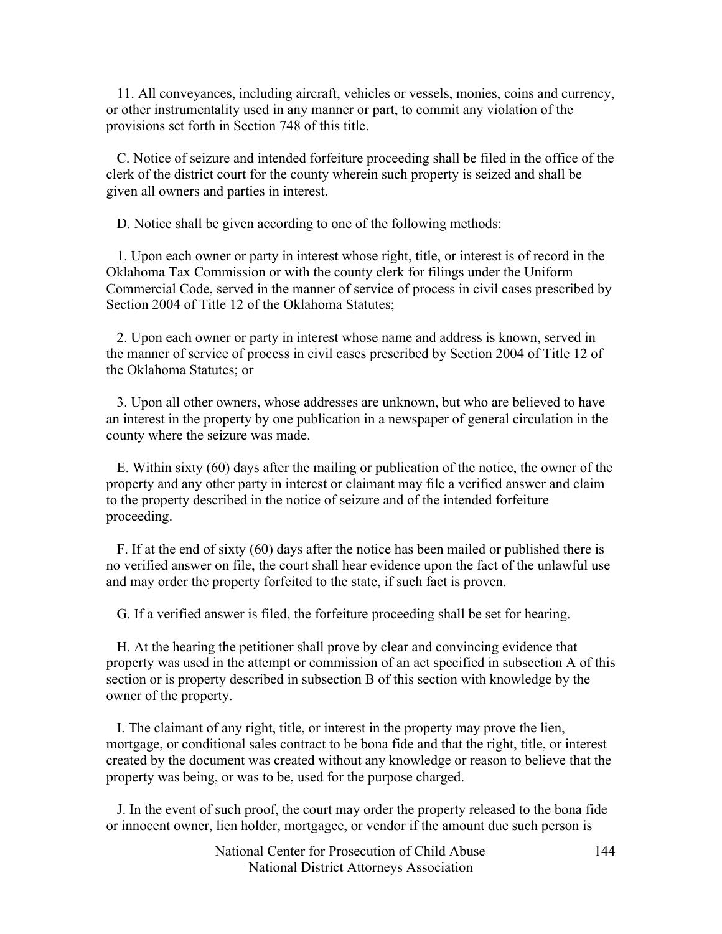11. All conveyances, including aircraft, vehicles or vessels, monies, coins and currency, or other instrumentality used in any manner or part, to commit any violation of the provisions set forth in Section 748 of this title.

 C. Notice of seizure and intended forfeiture proceeding shall be filed in the office of the clerk of the district court for the county wherein such property is seized and shall be given all owners and parties in interest.

D. Notice shall be given according to one of the following methods:

 1. Upon each owner or party in interest whose right, title, or interest is of record in the Oklahoma Tax Commission or with the county clerk for filings under the Uniform Commercial Code, served in the manner of service of process in civil cases prescribed by Section 2004 of Title 12 of the Oklahoma Statutes;

 2. Upon each owner or party in interest whose name and address is known, served in the manner of service of process in civil cases prescribed by Section 2004 of Title 12 of the Oklahoma Statutes; or

 3. Upon all other owners, whose addresses are unknown, but who are believed to have an interest in the property by one publication in a newspaper of general circulation in the county where the seizure was made.

 E. Within sixty (60) days after the mailing or publication of the notice, the owner of the property and any other party in interest or claimant may file a verified answer and claim to the property described in the notice of seizure and of the intended forfeiture proceeding.

 F. If at the end of sixty (60) days after the notice has been mailed or published there is no verified answer on file, the court shall hear evidence upon the fact of the unlawful use and may order the property forfeited to the state, if such fact is proven.

G. If a verified answer is filed, the forfeiture proceeding shall be set for hearing.

 H. At the hearing the petitioner shall prove by clear and convincing evidence that property was used in the attempt or commission of an act specified in subsection A of this section or is property described in subsection B of this section with knowledge by the owner of the property.

 I. The claimant of any right, title, or interest in the property may prove the lien, mortgage, or conditional sales contract to be bona fide and that the right, title, or interest created by the document was created without any knowledge or reason to believe that the property was being, or was to be, used for the purpose charged.

 J. In the event of such proof, the court may order the property released to the bona fide or innocent owner, lien holder, mortgagee, or vendor if the amount due such person is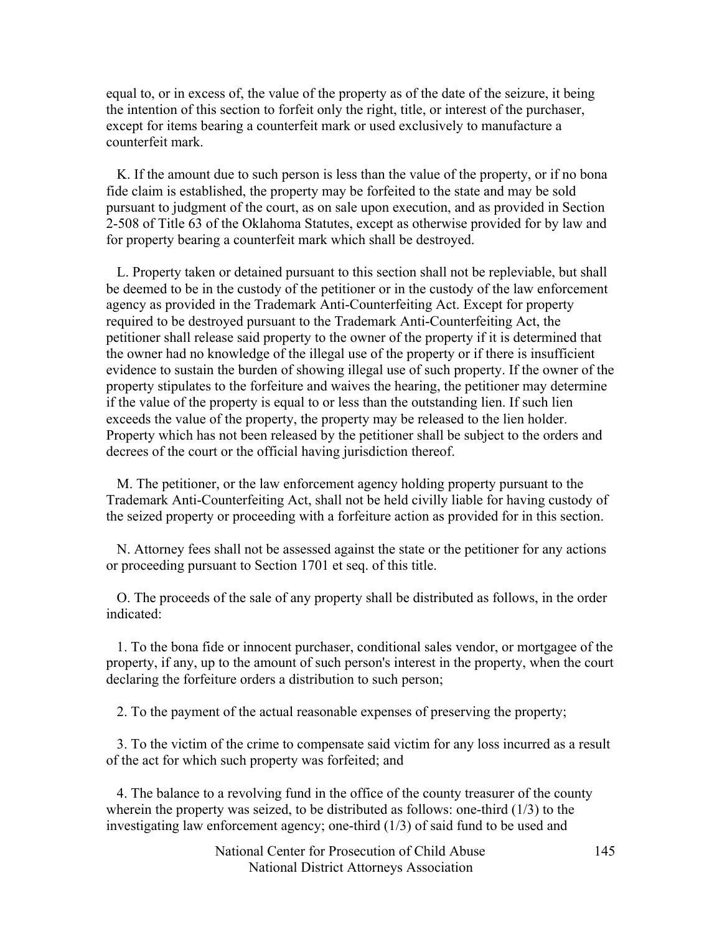equal to, or in excess of, the value of the property as of the date of the seizure, it being the intention of this section to forfeit only the right, title, or interest of the purchaser, except for items bearing a counterfeit mark or used exclusively to manufacture a counterfeit mark.

 K. If the amount due to such person is less than the value of the property, or if no bona fide claim is established, the property may be forfeited to the state and may be sold pursuant to judgment of the court, as on sale upon execution, and as provided in Section 2-508 of Title 63 of the Oklahoma Statutes, except as otherwise provided for by law and for property bearing a counterfeit mark which shall be destroyed.

 L. Property taken or detained pursuant to this section shall not be repleviable, but shall be deemed to be in the custody of the petitioner or in the custody of the law enforcement agency as provided in the Trademark Anti-Counterfeiting Act. Except for property required to be destroyed pursuant to the Trademark Anti-Counterfeiting Act, the petitioner shall release said property to the owner of the property if it is determined that the owner had no knowledge of the illegal use of the property or if there is insufficient evidence to sustain the burden of showing illegal use of such property. If the owner of the property stipulates to the forfeiture and waives the hearing, the petitioner may determine if the value of the property is equal to or less than the outstanding lien. If such lien exceeds the value of the property, the property may be released to the lien holder. Property which has not been released by the petitioner shall be subject to the orders and decrees of the court or the official having jurisdiction thereof.

 M. The petitioner, or the law enforcement agency holding property pursuant to the Trademark Anti-Counterfeiting Act, shall not be held civilly liable for having custody of the seized property or proceeding with a forfeiture action as provided for in this section.

 N. Attorney fees shall not be assessed against the state or the petitioner for any actions or proceeding pursuant to Section 1701 et seq. of this title.

 O. The proceeds of the sale of any property shall be distributed as follows, in the order indicated:

 1. To the bona fide or innocent purchaser, conditional sales vendor, or mortgagee of the property, if any, up to the amount of such person's interest in the property, when the court declaring the forfeiture orders a distribution to such person;

2. To the payment of the actual reasonable expenses of preserving the property;

 3. To the victim of the crime to compensate said victim for any loss incurred as a result of the act for which such property was forfeited; and

 4. The balance to a revolving fund in the office of the county treasurer of the county wherein the property was seized, to be distributed as follows: one-third (1/3) to the investigating law enforcement agency; one-third (1/3) of said fund to be used and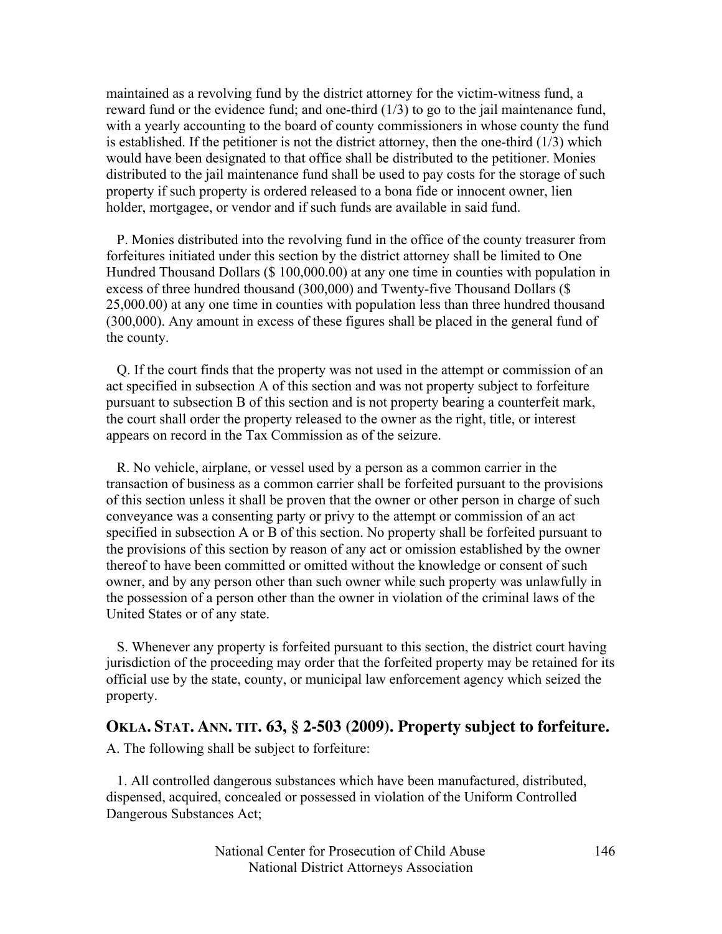maintained as a revolving fund by the district attorney for the victim-witness fund, a reward fund or the evidence fund; and one-third (1/3) to go to the jail maintenance fund, with a yearly accounting to the board of county commissioners in whose county the fund is established. If the petitioner is not the district attorney, then the one-third  $(1/3)$  which would have been designated to that office shall be distributed to the petitioner. Monies distributed to the jail maintenance fund shall be used to pay costs for the storage of such property if such property is ordered released to a bona fide or innocent owner, lien holder, mortgagee, or vendor and if such funds are available in said fund.

 P. Monies distributed into the revolving fund in the office of the county treasurer from forfeitures initiated under this section by the district attorney shall be limited to One Hundred Thousand Dollars (\$ 100,000.00) at any one time in counties with population in excess of three hundred thousand (300,000) and Twenty-five Thousand Dollars (\$ 25,000.00) at any one time in counties with population less than three hundred thousand (300,000). Any amount in excess of these figures shall be placed in the general fund of the county.

 Q. If the court finds that the property was not used in the attempt or commission of an act specified in subsection A of this section and was not property subject to forfeiture pursuant to subsection B of this section and is not property bearing a counterfeit mark, the court shall order the property released to the owner as the right, title, or interest appears on record in the Tax Commission as of the seizure.

 R. No vehicle, airplane, or vessel used by a person as a common carrier in the transaction of business as a common carrier shall be forfeited pursuant to the provisions of this section unless it shall be proven that the owner or other person in charge of such conveyance was a consenting party or privy to the attempt or commission of an act specified in subsection A or B of this section. No property shall be forfeited pursuant to the provisions of this section by reason of any act or omission established by the owner thereof to have been committed or omitted without the knowledge or consent of such owner, and by any person other than such owner while such property was unlawfully in the possession of a person other than the owner in violation of the criminal laws of the United States or of any state.

 S. Whenever any property is forfeited pursuant to this section, the district court having jurisdiction of the proceeding may order that the forfeited property may be retained for its official use by the state, county, or municipal law enforcement agency which seized the property.

#### **OKLA. STAT. ANN. TIT. 63, § 2-503 (2009). Property subject to forfeiture.**

A. The following shall be subject to forfeiture:

 1. All controlled dangerous substances which have been manufactured, distributed, dispensed, acquired, concealed or possessed in violation of the Uniform Controlled Dangerous Substances Act;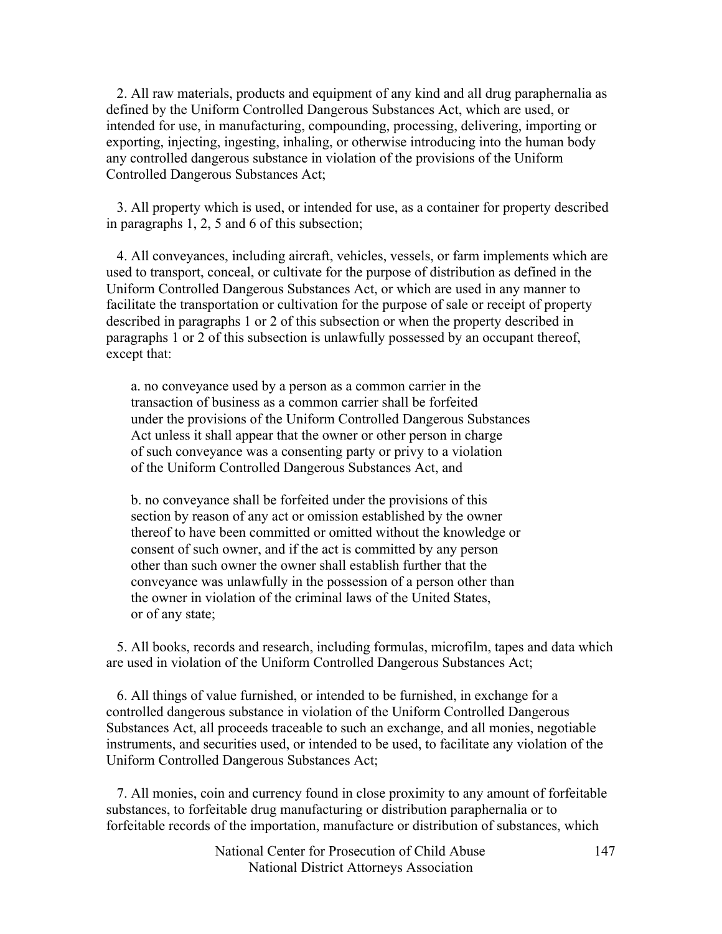2. All raw materials, products and equipment of any kind and all drug paraphernalia as defined by the Uniform Controlled Dangerous Substances Act, which are used, or intended for use, in manufacturing, compounding, processing, delivering, importing or exporting, injecting, ingesting, inhaling, or otherwise introducing into the human body any controlled dangerous substance in violation of the provisions of the Uniform Controlled Dangerous Substances Act;

 3. All property which is used, or intended for use, as a container for property described in paragraphs 1, 2, 5 and 6 of this subsection;

 4. All conveyances, including aircraft, vehicles, vessels, or farm implements which are used to transport, conceal, or cultivate for the purpose of distribution as defined in the Uniform Controlled Dangerous Substances Act, or which are used in any manner to facilitate the transportation or cultivation for the purpose of sale or receipt of property described in paragraphs 1 or 2 of this subsection or when the property described in paragraphs 1 or 2 of this subsection is unlawfully possessed by an occupant thereof, except that:

 a. no conveyance used by a person as a common carrier in the transaction of business as a common carrier shall be forfeited under the provisions of the Uniform Controlled Dangerous Substances Act unless it shall appear that the owner or other person in charge of such conveyance was a consenting party or privy to a violation of the Uniform Controlled Dangerous Substances Act, and

 b. no conveyance shall be forfeited under the provisions of this section by reason of any act or omission established by the owner thereof to have been committed or omitted without the knowledge or consent of such owner, and if the act is committed by any person other than such owner the owner shall establish further that the conveyance was unlawfully in the possession of a person other than the owner in violation of the criminal laws of the United States, or of any state;

 5. All books, records and research, including formulas, microfilm, tapes and data which are used in violation of the Uniform Controlled Dangerous Substances Act;

 6. All things of value furnished, or intended to be furnished, in exchange for a controlled dangerous substance in violation of the Uniform Controlled Dangerous Substances Act, all proceeds traceable to such an exchange, and all monies, negotiable instruments, and securities used, or intended to be used, to facilitate any violation of the Uniform Controlled Dangerous Substances Act;

 7. All monies, coin and currency found in close proximity to any amount of forfeitable substances, to forfeitable drug manufacturing or distribution paraphernalia or to forfeitable records of the importation, manufacture or distribution of substances, which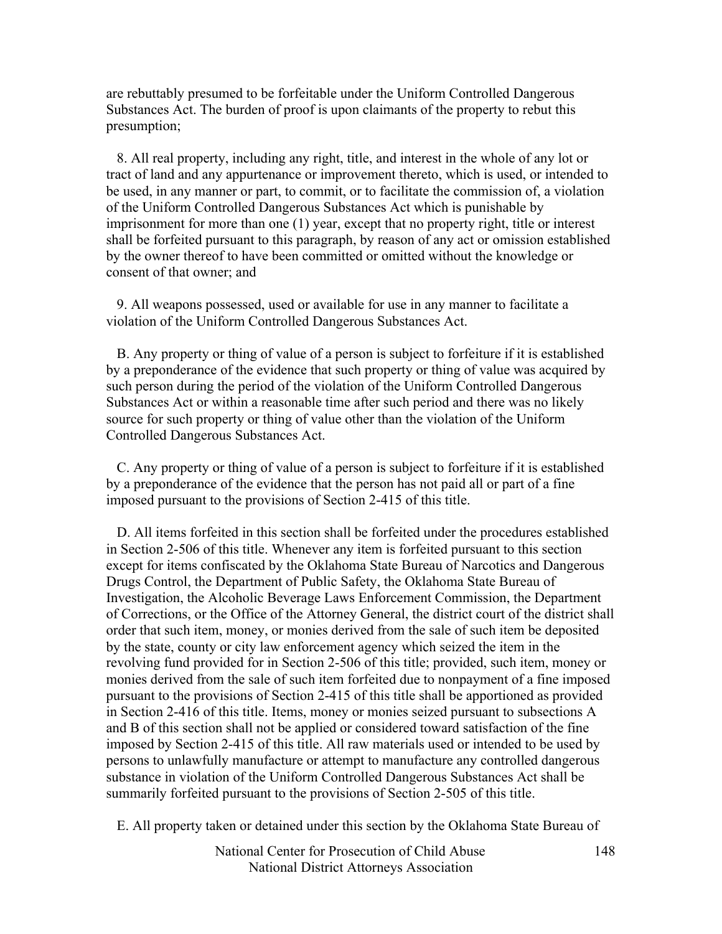are rebuttably presumed to be forfeitable under the Uniform Controlled Dangerous Substances Act. The burden of proof is upon claimants of the property to rebut this presumption;

 8. All real property, including any right, title, and interest in the whole of any lot or tract of land and any appurtenance or improvement thereto, which is used, or intended to be used, in any manner or part, to commit, or to facilitate the commission of, a violation of the Uniform Controlled Dangerous Substances Act which is punishable by imprisonment for more than one (1) year, except that no property right, title or interest shall be forfeited pursuant to this paragraph, by reason of any act or omission established by the owner thereof to have been committed or omitted without the knowledge or consent of that owner; and

 9. All weapons possessed, used or available for use in any manner to facilitate a violation of the Uniform Controlled Dangerous Substances Act.

 B. Any property or thing of value of a person is subject to forfeiture if it is established by a preponderance of the evidence that such property or thing of value was acquired by such person during the period of the violation of the Uniform Controlled Dangerous Substances Act or within a reasonable time after such period and there was no likely source for such property or thing of value other than the violation of the Uniform Controlled Dangerous Substances Act.

 C. Any property or thing of value of a person is subject to forfeiture if it is established by a preponderance of the evidence that the person has not paid all or part of a fine imposed pursuant to the provisions of Section 2-415 of this title.

 D. All items forfeited in this section shall be forfeited under the procedures established in Section 2-506 of this title. Whenever any item is forfeited pursuant to this section except for items confiscated by the Oklahoma State Bureau of Narcotics and Dangerous Drugs Control, the Department of Public Safety, the Oklahoma State Bureau of Investigation, the Alcoholic Beverage Laws Enforcement Commission, the Department of Corrections, or the Office of the Attorney General, the district court of the district shall order that such item, money, or monies derived from the sale of such item be deposited by the state, county or city law enforcement agency which seized the item in the revolving fund provided for in Section 2-506 of this title; provided, such item, money or monies derived from the sale of such item forfeited due to nonpayment of a fine imposed pursuant to the provisions of Section 2-415 of this title shall be apportioned as provided in Section 2-416 of this title. Items, money or monies seized pursuant to subsections A and B of this section shall not be applied or considered toward satisfaction of the fine imposed by Section 2-415 of this title. All raw materials used or intended to be used by persons to unlawfully manufacture or attempt to manufacture any controlled dangerous substance in violation of the Uniform Controlled Dangerous Substances Act shall be summarily forfeited pursuant to the provisions of Section 2-505 of this title.

E. All property taken or detained under this section by the Oklahoma State Bureau of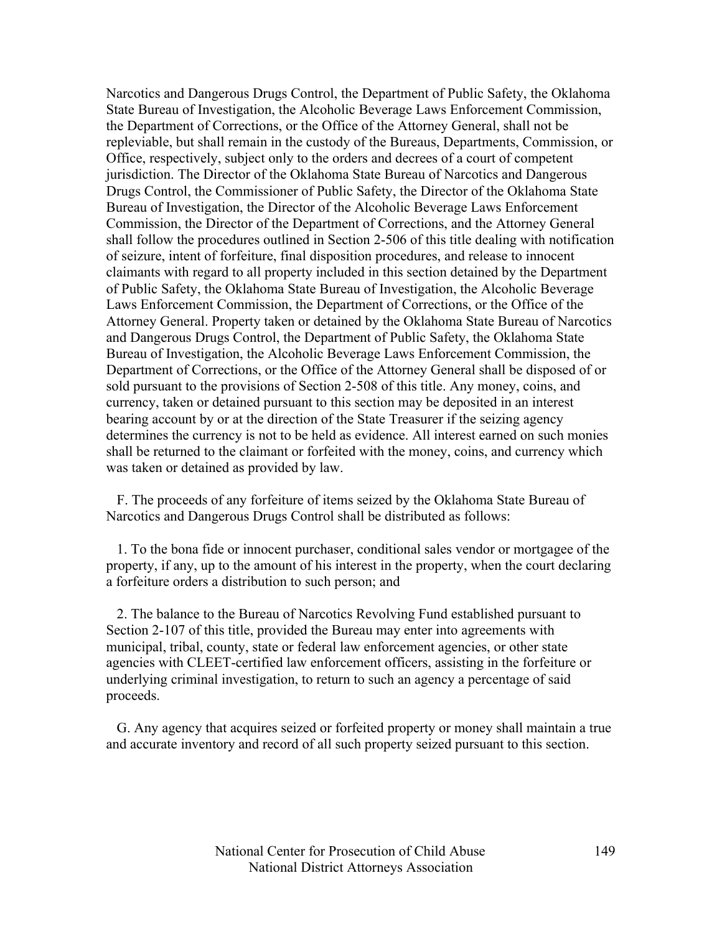Narcotics and Dangerous Drugs Control, the Department of Public Safety, the Oklahoma State Bureau of Investigation, the Alcoholic Beverage Laws Enforcement Commission, the Department of Corrections, or the Office of the Attorney General, shall not be repleviable, but shall remain in the custody of the Bureaus, Departments, Commission, or Office, respectively, subject only to the orders and decrees of a court of competent jurisdiction. The Director of the Oklahoma State Bureau of Narcotics and Dangerous Drugs Control, the Commissioner of Public Safety, the Director of the Oklahoma State Bureau of Investigation, the Director of the Alcoholic Beverage Laws Enforcement Commission, the Director of the Department of Corrections, and the Attorney General shall follow the procedures outlined in Section 2-506 of this title dealing with notification of seizure, intent of forfeiture, final disposition procedures, and release to innocent claimants with regard to all property included in this section detained by the Department of Public Safety, the Oklahoma State Bureau of Investigation, the Alcoholic Beverage Laws Enforcement Commission, the Department of Corrections, or the Office of the Attorney General. Property taken or detained by the Oklahoma State Bureau of Narcotics and Dangerous Drugs Control, the Department of Public Safety, the Oklahoma State Bureau of Investigation, the Alcoholic Beverage Laws Enforcement Commission, the Department of Corrections, or the Office of the Attorney General shall be disposed of or sold pursuant to the provisions of Section 2-508 of this title. Any money, coins, and currency, taken or detained pursuant to this section may be deposited in an interest bearing account by or at the direction of the State Treasurer if the seizing agency determines the currency is not to be held as evidence. All interest earned on such monies shall be returned to the claimant or forfeited with the money, coins, and currency which was taken or detained as provided by law.

 F. The proceeds of any forfeiture of items seized by the Oklahoma State Bureau of Narcotics and Dangerous Drugs Control shall be distributed as follows:

 1. To the bona fide or innocent purchaser, conditional sales vendor or mortgagee of the property, if any, up to the amount of his interest in the property, when the court declaring a forfeiture orders a distribution to such person; and

 2. The balance to the Bureau of Narcotics Revolving Fund established pursuant to Section 2-107 of this title, provided the Bureau may enter into agreements with municipal, tribal, county, state or federal law enforcement agencies, or other state agencies with CLEET-certified law enforcement officers, assisting in the forfeiture or underlying criminal investigation, to return to such an agency a percentage of said proceeds.

 G. Any agency that acquires seized or forfeited property or money shall maintain a true and accurate inventory and record of all such property seized pursuant to this section.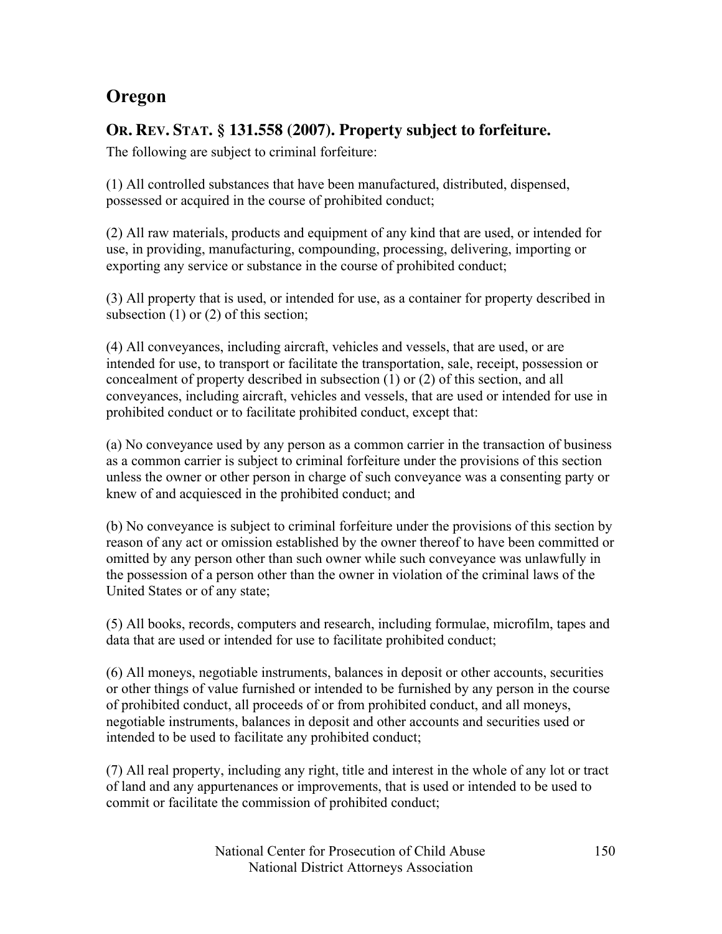# **Oregon**

# **OR. REV. STAT. § 131.558 (2007). Property subject to forfeiture.**

The following are subject to criminal forfeiture:

(1) All controlled substances that have been manufactured, distributed, dispensed, possessed or acquired in the course of prohibited conduct;

(2) All raw materials, products and equipment of any kind that are used, or intended for use, in providing, manufacturing, compounding, processing, delivering, importing or exporting any service or substance in the course of prohibited conduct;

(3) All property that is used, or intended for use, as a container for property described in subsection (1) or (2) of this section;

(4) All conveyances, including aircraft, vehicles and vessels, that are used, or are intended for use, to transport or facilitate the transportation, sale, receipt, possession or concealment of property described in subsection (1) or (2) of this section, and all conveyances, including aircraft, vehicles and vessels, that are used or intended for use in prohibited conduct or to facilitate prohibited conduct, except that:

(a) No conveyance used by any person as a common carrier in the transaction of business as a common carrier is subject to criminal forfeiture under the provisions of this section unless the owner or other person in charge of such conveyance was a consenting party or knew of and acquiesced in the prohibited conduct; and

(b) No conveyance is subject to criminal forfeiture under the provisions of this section by reason of any act or omission established by the owner thereof to have been committed or omitted by any person other than such owner while such conveyance was unlawfully in the possession of a person other than the owner in violation of the criminal laws of the United States or of any state;

(5) All books, records, computers and research, including formulae, microfilm, tapes and data that are used or intended for use to facilitate prohibited conduct;

(6) All moneys, negotiable instruments, balances in deposit or other accounts, securities or other things of value furnished or intended to be furnished by any person in the course of prohibited conduct, all proceeds of or from prohibited conduct, and all moneys, negotiable instruments, balances in deposit and other accounts and securities used or intended to be used to facilitate any prohibited conduct;

(7) All real property, including any right, title and interest in the whole of any lot or tract of land and any appurtenances or improvements, that is used or intended to be used to commit or facilitate the commission of prohibited conduct;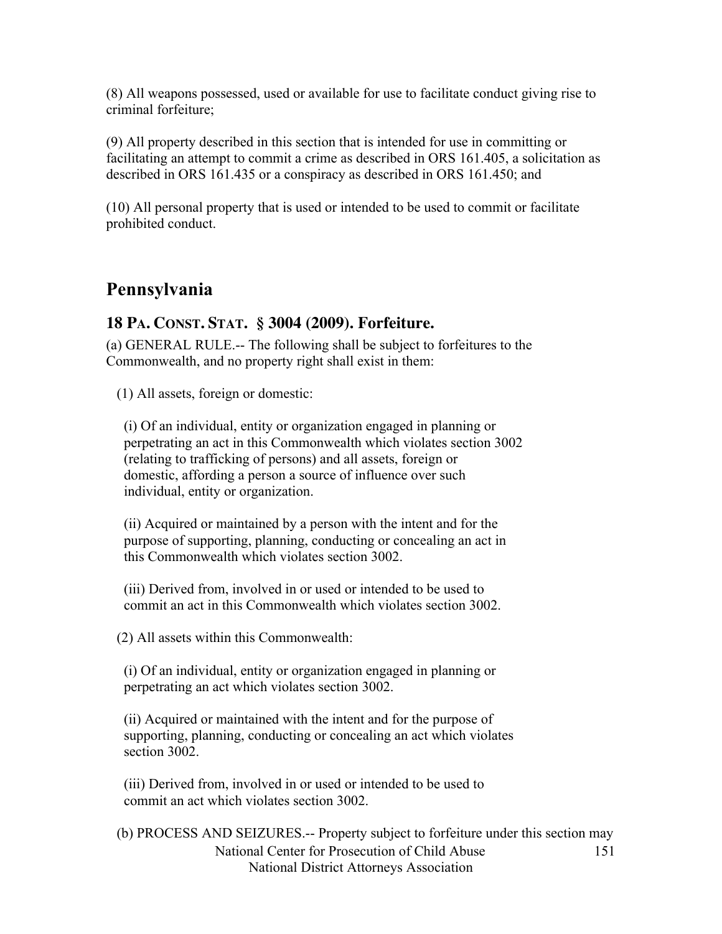(8) All weapons possessed, used or available for use to facilitate conduct giving rise to criminal forfeiture;

(9) All property described in this section that is intended for use in committing or facilitating an attempt to commit a crime as described in ORS 161.405, a solicitation as described in ORS 161.435 or a conspiracy as described in ORS 161.450; and

(10) All personal property that is used or intended to be used to commit or facilitate prohibited conduct.

# **Pennsylvania**

## **18 PA. CONST. STAT. § 3004 (2009). Forfeiture.**

(a) GENERAL RULE.-- The following shall be subject to forfeitures to the Commonwealth, and no property right shall exist in them:

(1) All assets, foreign or domestic:

 (i) Of an individual, entity or organization engaged in planning or perpetrating an act in this Commonwealth which violates section 3002 (relating to trafficking of persons) and all assets, foreign or domestic, affording a person a source of influence over such individual, entity or organization.

 (ii) Acquired or maintained by a person with the intent and for the purpose of supporting, planning, conducting or concealing an act in this Commonwealth which violates section 3002.

 (iii) Derived from, involved in or used or intended to be used to commit an act in this Commonwealth which violates section 3002.

(2) All assets within this Commonwealth:

 (i) Of an individual, entity or organization engaged in planning or perpetrating an act which violates section 3002.

 (ii) Acquired or maintained with the intent and for the purpose of supporting, planning, conducting or concealing an act which violates section 3002.

 (iii) Derived from, involved in or used or intended to be used to commit an act which violates section 3002.

National Center for Prosecution of Child Abuse National District Attorneys Association 151 (b) PROCESS AND SEIZURES.-- Property subject to forfeiture under this section may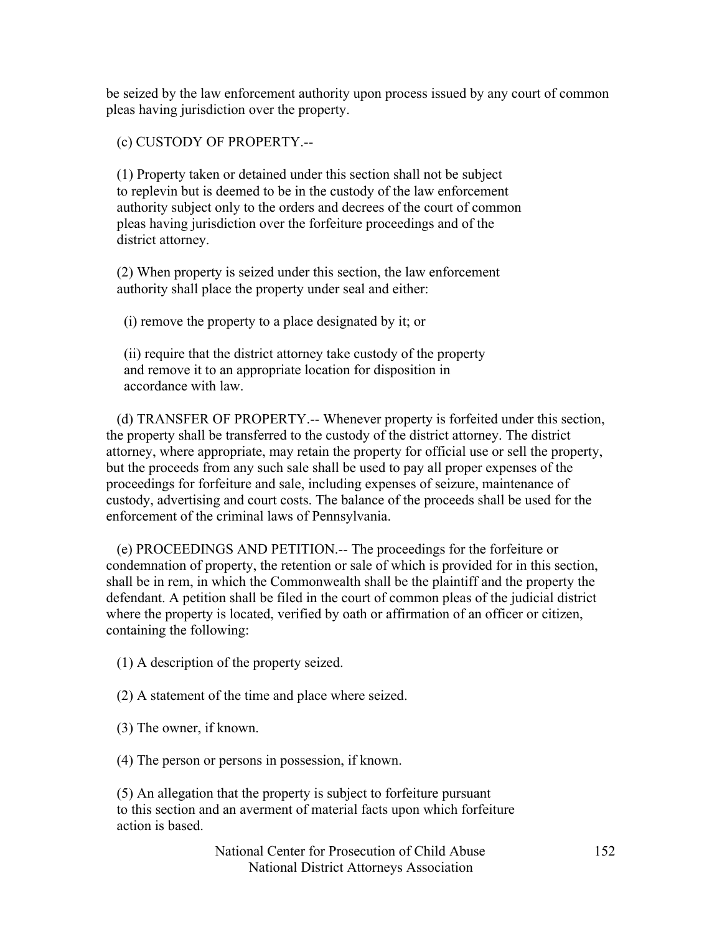be seized by the law enforcement authority upon process issued by any court of common pleas having jurisdiction over the property.

(c) CUSTODY OF PROPERTY.--

 (1) Property taken or detained under this section shall not be subject to replevin but is deemed to be in the custody of the law enforcement authority subject only to the orders and decrees of the court of common pleas having jurisdiction over the forfeiture proceedings and of the district attorney.

 (2) When property is seized under this section, the law enforcement authority shall place the property under seal and either:

(i) remove the property to a place designated by it; or

 (ii) require that the district attorney take custody of the property and remove it to an appropriate location for disposition in accordance with law.

 (d) TRANSFER OF PROPERTY.-- Whenever property is forfeited under this section, the property shall be transferred to the custody of the district attorney. The district attorney, where appropriate, may retain the property for official use or sell the property, but the proceeds from any such sale shall be used to pay all proper expenses of the proceedings for forfeiture and sale, including expenses of seizure, maintenance of custody, advertising and court costs. The balance of the proceeds shall be used for the enforcement of the criminal laws of Pennsylvania.

 (e) PROCEEDINGS AND PETITION.-- The proceedings for the forfeiture or condemnation of property, the retention or sale of which is provided for in this section, shall be in rem, in which the Commonwealth shall be the plaintiff and the property the defendant. A petition shall be filed in the court of common pleas of the judicial district where the property is located, verified by oath or affirmation of an officer or citizen, containing the following:

(1) A description of the property seized.

(2) A statement of the time and place where seized.

(3) The owner, if known.

(4) The person or persons in possession, if known.

 (5) An allegation that the property is subject to forfeiture pursuant to this section and an averment of material facts upon which forfeiture action is based.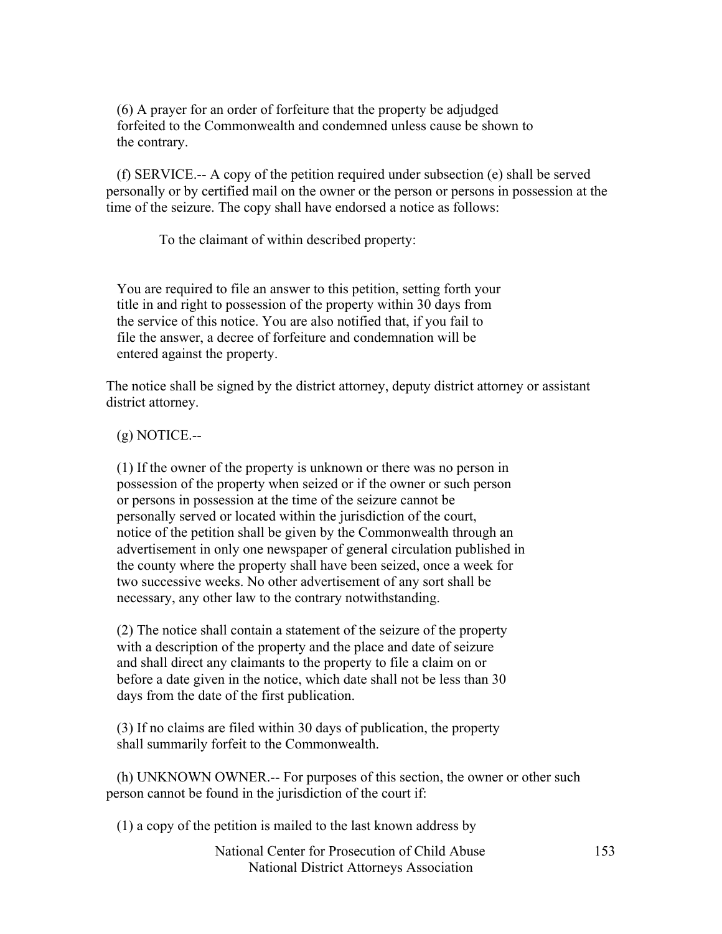(6) A prayer for an order of forfeiture that the property be adjudged forfeited to the Commonwealth and condemned unless cause be shown to the contrary.

 (f) SERVICE.-- A copy of the petition required under subsection (e) shall be served personally or by certified mail on the owner or the person or persons in possession at the time of the seizure. The copy shall have endorsed a notice as follows:

To the claimant of within described property:

 You are required to file an answer to this petition, setting forth your title in and right to possession of the property within 30 days from the service of this notice. You are also notified that, if you fail to file the answer, a decree of forfeiture and condemnation will be entered against the property.

The notice shall be signed by the district attorney, deputy district attorney or assistant district attorney.

 $(g)$  NOTICE.--

 (1) If the owner of the property is unknown or there was no person in possession of the property when seized or if the owner or such person or persons in possession at the time of the seizure cannot be personally served or located within the jurisdiction of the court, notice of the petition shall be given by the Commonwealth through an advertisement in only one newspaper of general circulation published in the county where the property shall have been seized, once a week for two successive weeks. No other advertisement of any sort shall be necessary, any other law to the contrary notwithstanding.

 (2) The notice shall contain a statement of the seizure of the property with a description of the property and the place and date of seizure and shall direct any claimants to the property to file a claim on or before a date given in the notice, which date shall not be less than 30 days from the date of the first publication.

 (3) If no claims are filed within 30 days of publication, the property shall summarily forfeit to the Commonwealth.

 (h) UNKNOWN OWNER.-- For purposes of this section, the owner or other such person cannot be found in the jurisdiction of the court if:

(1) a copy of the petition is mailed to the last known address by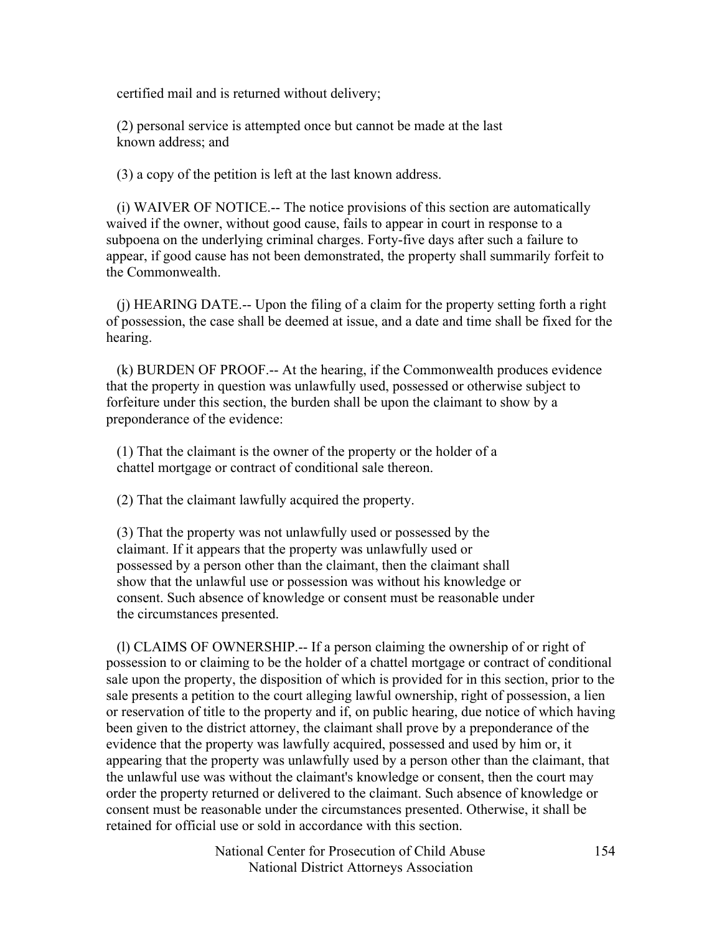certified mail and is returned without delivery;

 (2) personal service is attempted once but cannot be made at the last known address; and

(3) a copy of the petition is left at the last known address.

 (i) WAIVER OF NOTICE.-- The notice provisions of this section are automatically waived if the owner, without good cause, fails to appear in court in response to a subpoena on the underlying criminal charges. Forty-five days after such a failure to appear, if good cause has not been demonstrated, the property shall summarily forfeit to the Commonwealth.

 (j) HEARING DATE.-- Upon the filing of a claim for the property setting forth a right of possession, the case shall be deemed at issue, and a date and time shall be fixed for the hearing.

 (k) BURDEN OF PROOF.-- At the hearing, if the Commonwealth produces evidence that the property in question was unlawfully used, possessed or otherwise subject to forfeiture under this section, the burden shall be upon the claimant to show by a preponderance of the evidence:

 (1) That the claimant is the owner of the property or the holder of a chattel mortgage or contract of conditional sale thereon.

(2) That the claimant lawfully acquired the property.

 (3) That the property was not unlawfully used or possessed by the claimant. If it appears that the property was unlawfully used or possessed by a person other than the claimant, then the claimant shall show that the unlawful use or possession was without his knowledge or consent. Such absence of knowledge or consent must be reasonable under the circumstances presented.

 (l) CLAIMS OF OWNERSHIP.-- If a person claiming the ownership of or right of possession to or claiming to be the holder of a chattel mortgage or contract of conditional sale upon the property, the disposition of which is provided for in this section, prior to the sale presents a petition to the court alleging lawful ownership, right of possession, a lien or reservation of title to the property and if, on public hearing, due notice of which having been given to the district attorney, the claimant shall prove by a preponderance of the evidence that the property was lawfully acquired, possessed and used by him or, it appearing that the property was unlawfully used by a person other than the claimant, that the unlawful use was without the claimant's knowledge or consent, then the court may order the property returned or delivered to the claimant. Such absence of knowledge or consent must be reasonable under the circumstances presented. Otherwise, it shall be retained for official use or sold in accordance with this section.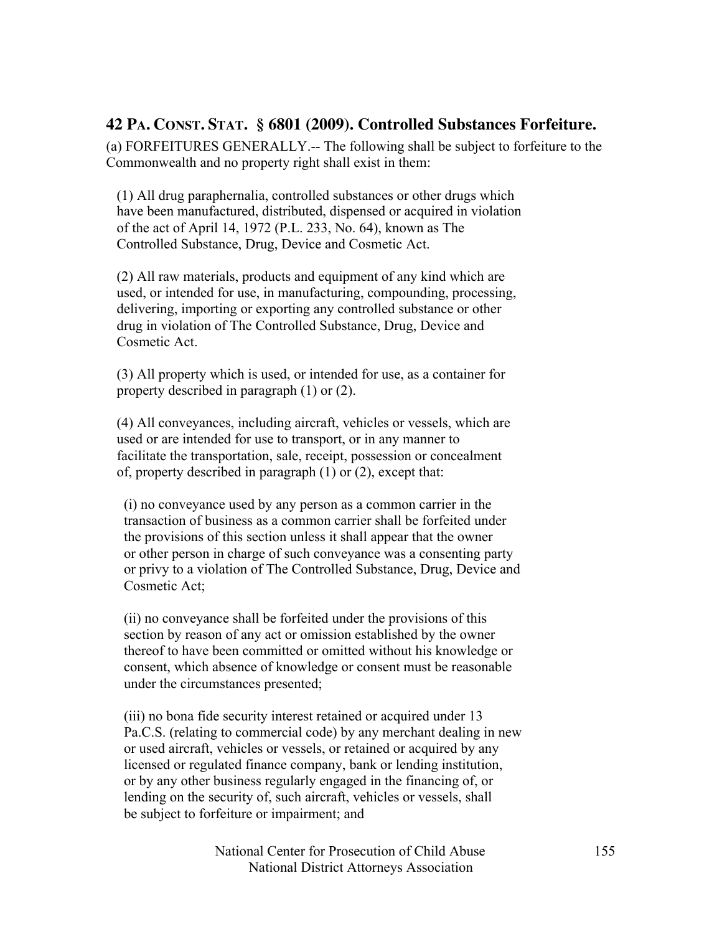## **42 PA. CONST. STAT. § 6801 (2009). Controlled Substances Forfeiture.**

(a) FORFEITURES GENERALLY.-- The following shall be subject to forfeiture to the Commonwealth and no property right shall exist in them:

 (1) All drug paraphernalia, controlled substances or other drugs which have been manufactured, distributed, dispensed or acquired in violation of the act of April 14, 1972 (P.L. 233, No. 64), known as The Controlled Substance, Drug, Device and Cosmetic Act.

 (2) All raw materials, products and equipment of any kind which are used, or intended for use, in manufacturing, compounding, processing, delivering, importing or exporting any controlled substance or other drug in violation of The Controlled Substance, Drug, Device and Cosmetic Act.

 (3) All property which is used, or intended for use, as a container for property described in paragraph (1) or (2).

 (4) All conveyances, including aircraft, vehicles or vessels, which are used or are intended for use to transport, or in any manner to facilitate the transportation, sale, receipt, possession or concealment of, property described in paragraph (1) or (2), except that:

 (i) no conveyance used by any person as a common carrier in the transaction of business as a common carrier shall be forfeited under the provisions of this section unless it shall appear that the owner or other person in charge of such conveyance was a consenting party or privy to a violation of The Controlled Substance, Drug, Device and Cosmetic Act;

 (ii) no conveyance shall be forfeited under the provisions of this section by reason of any act or omission established by the owner thereof to have been committed or omitted without his knowledge or consent, which absence of knowledge or consent must be reasonable under the circumstances presented;

 (iii) no bona fide security interest retained or acquired under 13 Pa.C.S. (relating to commercial code) by any merchant dealing in new or used aircraft, vehicles or vessels, or retained or acquired by any licensed or regulated finance company, bank or lending institution, or by any other business regularly engaged in the financing of, or lending on the security of, such aircraft, vehicles or vessels, shall be subject to forfeiture or impairment; and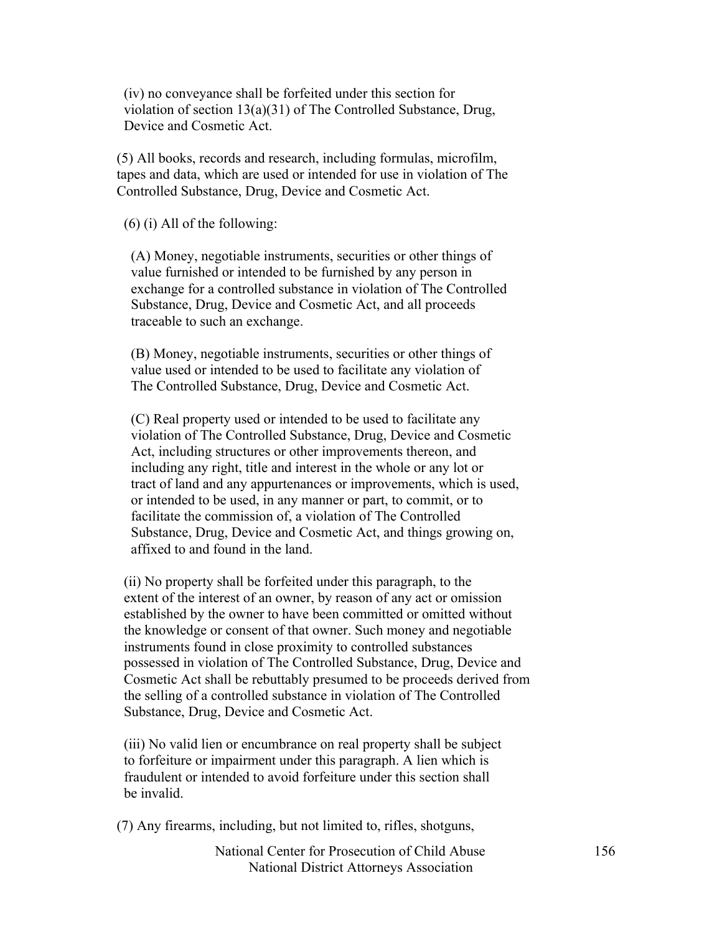(iv) no conveyance shall be forfeited under this section for violation of section 13(a)(31) of The Controlled Substance, Drug, Device and Cosmetic Act.

 (5) All books, records and research, including formulas, microfilm, tapes and data, which are used or intended for use in violation of The Controlled Substance, Drug, Device and Cosmetic Act.

(6) (i) All of the following:

 (A) Money, negotiable instruments, securities or other things of value furnished or intended to be furnished by any person in exchange for a controlled substance in violation of The Controlled Substance, Drug, Device and Cosmetic Act, and all proceeds traceable to such an exchange.

 (B) Money, negotiable instruments, securities or other things of value used or intended to be used to facilitate any violation of The Controlled Substance, Drug, Device and Cosmetic Act.

 (C) Real property used or intended to be used to facilitate any violation of The Controlled Substance, Drug, Device and Cosmetic Act, including structures or other improvements thereon, and including any right, title and interest in the whole or any lot or tract of land and any appurtenances or improvements, which is used, or intended to be used, in any manner or part, to commit, or to facilitate the commission of, a violation of The Controlled Substance, Drug, Device and Cosmetic Act, and things growing on, affixed to and found in the land.

 (ii) No property shall be forfeited under this paragraph, to the extent of the interest of an owner, by reason of any act or omission established by the owner to have been committed or omitted without the knowledge or consent of that owner. Such money and negotiable instruments found in close proximity to controlled substances possessed in violation of The Controlled Substance, Drug, Device and Cosmetic Act shall be rebuttably presumed to be proceeds derived from the selling of a controlled substance in violation of The Controlled Substance, Drug, Device and Cosmetic Act.

 (iii) No valid lien or encumbrance on real property shall be subject to forfeiture or impairment under this paragraph. A lien which is fraudulent or intended to avoid forfeiture under this section shall be invalid.

(7) Any firearms, including, but not limited to, rifles, shotguns,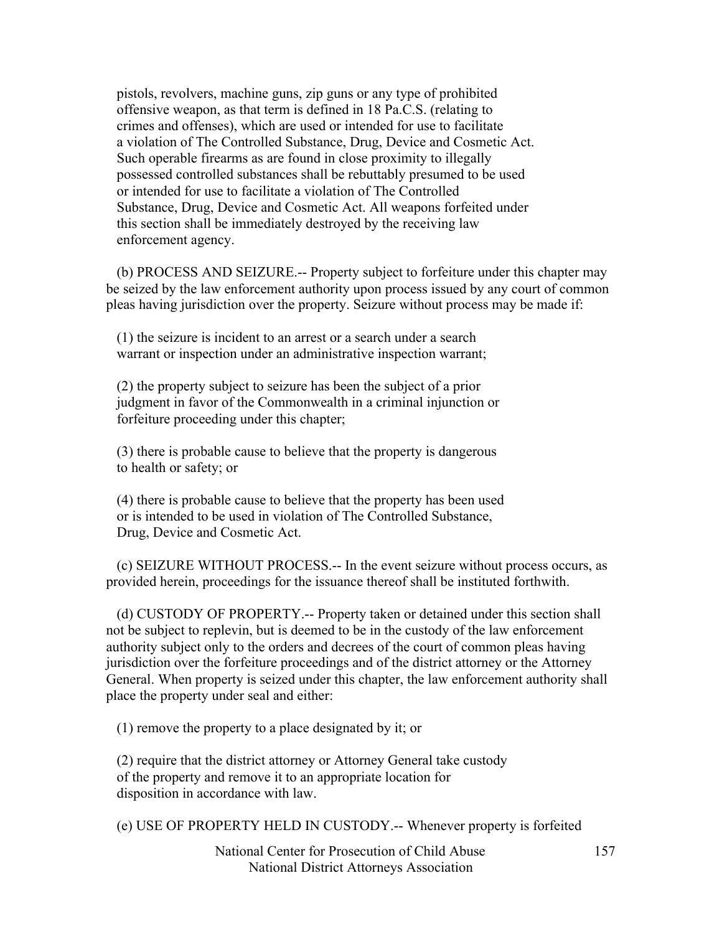pistols, revolvers, machine guns, zip guns or any type of prohibited offensive weapon, as that term is defined in 18 Pa.C.S. (relating to crimes and offenses), which are used or intended for use to facilitate a violation of The Controlled Substance, Drug, Device and Cosmetic Act. Such operable firearms as are found in close proximity to illegally possessed controlled substances shall be rebuttably presumed to be used or intended for use to facilitate a violation of The Controlled Substance, Drug, Device and Cosmetic Act. All weapons forfeited under this section shall be immediately destroyed by the receiving law enforcement agency.

 (b) PROCESS AND SEIZURE.-- Property subject to forfeiture under this chapter may be seized by the law enforcement authority upon process issued by any court of common pleas having jurisdiction over the property. Seizure without process may be made if:

 (1) the seizure is incident to an arrest or a search under a search warrant or inspection under an administrative inspection warrant;

 (2) the property subject to seizure has been the subject of a prior judgment in favor of the Commonwealth in a criminal injunction or forfeiture proceeding under this chapter;

 (3) there is probable cause to believe that the property is dangerous to health or safety; or

 (4) there is probable cause to believe that the property has been used or is intended to be used in violation of The Controlled Substance, Drug, Device and Cosmetic Act.

 (c) SEIZURE WITHOUT PROCESS.-- In the event seizure without process occurs, as provided herein, proceedings for the issuance thereof shall be instituted forthwith.

 (d) CUSTODY OF PROPERTY.-- Property taken or detained under this section shall not be subject to replevin, but is deemed to be in the custody of the law enforcement authority subject only to the orders and decrees of the court of common pleas having jurisdiction over the forfeiture proceedings and of the district attorney or the Attorney General. When property is seized under this chapter, the law enforcement authority shall place the property under seal and either:

(1) remove the property to a place designated by it; or

 (2) require that the district attorney or Attorney General take custody of the property and remove it to an appropriate location for disposition in accordance with law.

(e) USE OF PROPERTY HELD IN CUSTODY.-- Whenever property is forfeited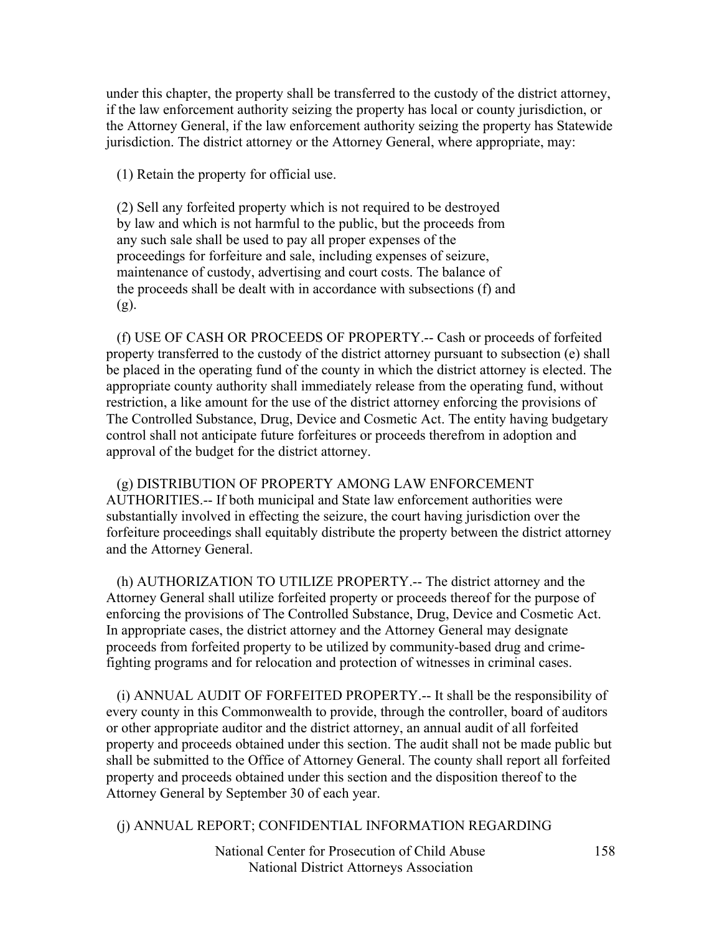under this chapter, the property shall be transferred to the custody of the district attorney, if the law enforcement authority seizing the property has local or county jurisdiction, or the Attorney General, if the law enforcement authority seizing the property has Statewide jurisdiction. The district attorney or the Attorney General, where appropriate, may:

(1) Retain the property for official use.

 (2) Sell any forfeited property which is not required to be destroyed by law and which is not harmful to the public, but the proceeds from any such sale shall be used to pay all proper expenses of the proceedings for forfeiture and sale, including expenses of seizure, maintenance of custody, advertising and court costs. The balance of the proceeds shall be dealt with in accordance with subsections (f) and (g).

 (f) USE OF CASH OR PROCEEDS OF PROPERTY.-- Cash or proceeds of forfeited property transferred to the custody of the district attorney pursuant to subsection (e) shall be placed in the operating fund of the county in which the district attorney is elected. The appropriate county authority shall immediately release from the operating fund, without restriction, a like amount for the use of the district attorney enforcing the provisions of The Controlled Substance, Drug, Device and Cosmetic Act. The entity having budgetary control shall not anticipate future forfeitures or proceeds therefrom in adoption and approval of the budget for the district attorney.

 (g) DISTRIBUTION OF PROPERTY AMONG LAW ENFORCEMENT AUTHORITIES.-- If both municipal and State law enforcement authorities were substantially involved in effecting the seizure, the court having jurisdiction over the forfeiture proceedings shall equitably distribute the property between the district attorney and the Attorney General.

 (h) AUTHORIZATION TO UTILIZE PROPERTY.-- The district attorney and the Attorney General shall utilize forfeited property or proceeds thereof for the purpose of enforcing the provisions of The Controlled Substance, Drug, Device and Cosmetic Act. In appropriate cases, the district attorney and the Attorney General may designate proceeds from forfeited property to be utilized by community-based drug and crimefighting programs and for relocation and protection of witnesses in criminal cases.

 (i) ANNUAL AUDIT OF FORFEITED PROPERTY.-- It shall be the responsibility of every county in this Commonwealth to provide, through the controller, board of auditors or other appropriate auditor and the district attorney, an annual audit of all forfeited property and proceeds obtained under this section. The audit shall not be made public but shall be submitted to the Office of Attorney General. The county shall report all forfeited property and proceeds obtained under this section and the disposition thereof to the Attorney General by September 30 of each year.

(j) ANNUAL REPORT; CONFIDENTIAL INFORMATION REGARDING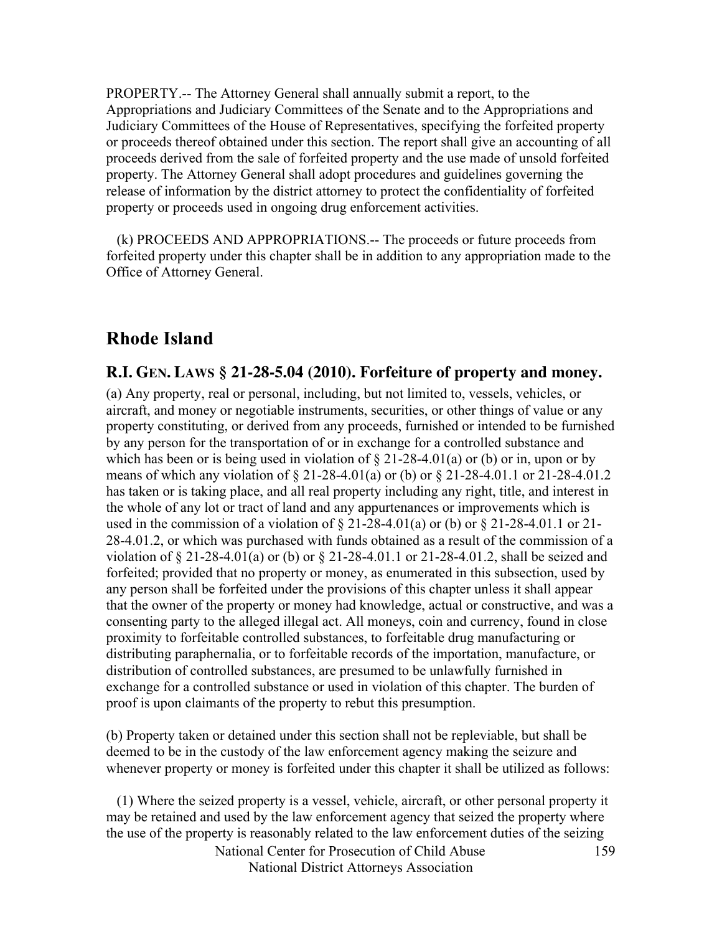PROPERTY.-- The Attorney General shall annually submit a report, to the Appropriations and Judiciary Committees of the Senate and to the Appropriations and Judiciary Committees of the House of Representatives, specifying the forfeited property or proceeds thereof obtained under this section. The report shall give an accounting of all proceeds derived from the sale of forfeited property and the use made of unsold forfeited property. The Attorney General shall adopt procedures and guidelines governing the release of information by the district attorney to protect the confidentiality of forfeited property or proceeds used in ongoing drug enforcement activities.

 (k) PROCEEDS AND APPROPRIATIONS.-- The proceeds or future proceeds from forfeited property under this chapter shall be in addition to any appropriation made to the Office of Attorney General.

# **Rhode Island**

## **R.I. GEN. LAWS § 21-28-5.04 (2010). Forfeiture of property and money.**

(a) Any property, real or personal, including, but not limited to, vessels, vehicles, or aircraft, and money or negotiable instruments, securities, or other things of value or any property constituting, or derived from any proceeds, furnished or intended to be furnished by any person for the transportation of or in exchange for a controlled substance and which has been or is being used in violation of  $\S 21-28-4.01(a)$  or (b) or in, upon or by means of which any violation of § 21-28-4.01(a) or (b) or § 21-28-4.01.1 or 21-28-4.01.2 has taken or is taking place, and all real property including any right, title, and interest in the whole of any lot or tract of land and any appurtenances or improvements which is used in the commission of a violation of  $\S 21-28-4.01(a)$  or (b) or  $\S 21-28-4.01.1$  or 21-28-4.01.2, or which was purchased with funds obtained as a result of the commission of a violation of § 21-28-4.01(a) or (b) or § 21-28-4.01.1 or 21-28-4.01.2, shall be seized and forfeited; provided that no property or money, as enumerated in this subsection, used by any person shall be forfeited under the provisions of this chapter unless it shall appear that the owner of the property or money had knowledge, actual or constructive, and was a consenting party to the alleged illegal act. All moneys, coin and currency, found in close proximity to forfeitable controlled substances, to forfeitable drug manufacturing or distributing paraphernalia, or to forfeitable records of the importation, manufacture, or distribution of controlled substances, are presumed to be unlawfully furnished in exchange for a controlled substance or used in violation of this chapter. The burden of proof is upon claimants of the property to rebut this presumption.

(b) Property taken or detained under this section shall not be repleviable, but shall be deemed to be in the custody of the law enforcement agency making the seizure and whenever property or money is forfeited under this chapter it shall be utilized as follows:

National Center for Prosecution of Child Abuse National District Attorneys Association 159 (1) Where the seized property is a vessel, vehicle, aircraft, or other personal property it may be retained and used by the law enforcement agency that seized the property where the use of the property is reasonably related to the law enforcement duties of the seizing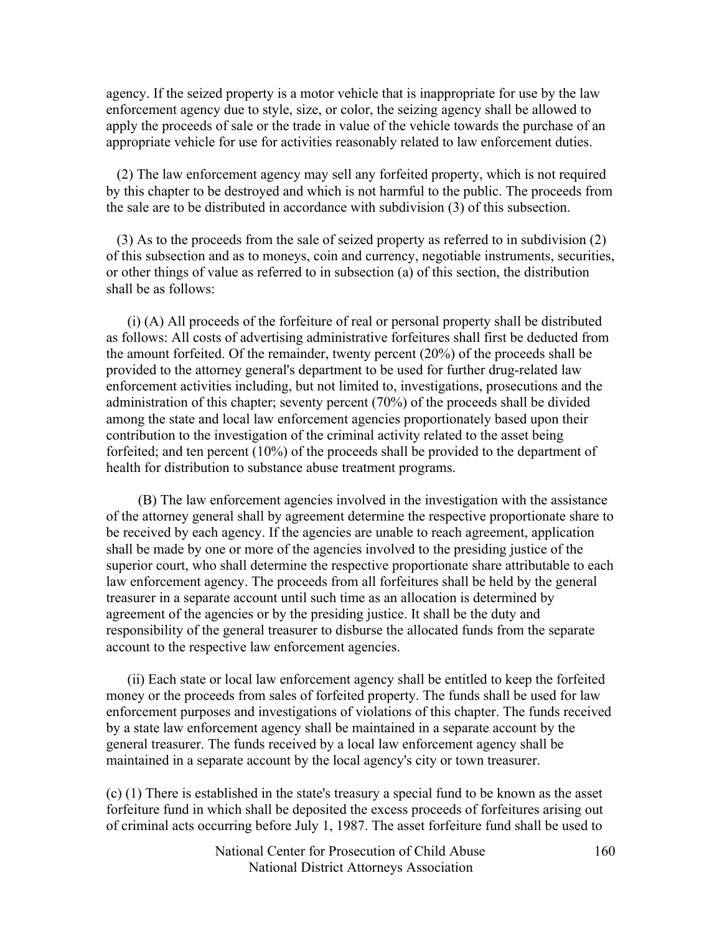agency. If the seized property is a motor vehicle that is inappropriate for use by the law enforcement agency due to style, size, or color, the seizing agency shall be allowed to apply the proceeds of sale or the trade in value of the vehicle towards the purchase of an appropriate vehicle for use for activities reasonably related to law enforcement duties.

 (2) The law enforcement agency may sell any forfeited property, which is not required by this chapter to be destroyed and which is not harmful to the public. The proceeds from the sale are to be distributed in accordance with subdivision (3) of this subsection.

 (3) As to the proceeds from the sale of seized property as referred to in subdivision (2) of this subsection and as to moneys, coin and currency, negotiable instruments, securities, or other things of value as referred to in subsection (a) of this section, the distribution shall be as follows:

 (i) (A) All proceeds of the forfeiture of real or personal property shall be distributed as follows: All costs of advertising administrative forfeitures shall first be deducted from the amount forfeited. Of the remainder, twenty percent (20%) of the proceeds shall be provided to the attorney general's department to be used for further drug-related law enforcement activities including, but not limited to, investigations, prosecutions and the administration of this chapter; seventy percent (70%) of the proceeds shall be divided among the state and local law enforcement agencies proportionately based upon their contribution to the investigation of the criminal activity related to the asset being forfeited; and ten percent (10%) of the proceeds shall be provided to the department of health for distribution to substance abuse treatment programs.

 (B) The law enforcement agencies involved in the investigation with the assistance of the attorney general shall by agreement determine the respective proportionate share to be received by each agency. If the agencies are unable to reach agreement, application shall be made by one or more of the agencies involved to the presiding justice of the superior court, who shall determine the respective proportionate share attributable to each law enforcement agency. The proceeds from all forfeitures shall be held by the general treasurer in a separate account until such time as an allocation is determined by agreement of the agencies or by the presiding justice. It shall be the duty and responsibility of the general treasurer to disburse the allocated funds from the separate account to the respective law enforcement agencies.

 (ii) Each state or local law enforcement agency shall be entitled to keep the forfeited money or the proceeds from sales of forfeited property. The funds shall be used for law enforcement purposes and investigations of violations of this chapter. The funds received by a state law enforcement agency shall be maintained in a separate account by the general treasurer. The funds received by a local law enforcement agency shall be maintained in a separate account by the local agency's city or town treasurer.

(c) (1) There is established in the state's treasury a special fund to be known as the asset forfeiture fund in which shall be deposited the excess proceeds of forfeitures arising out of criminal acts occurring before July 1, 1987. The asset forfeiture fund shall be used to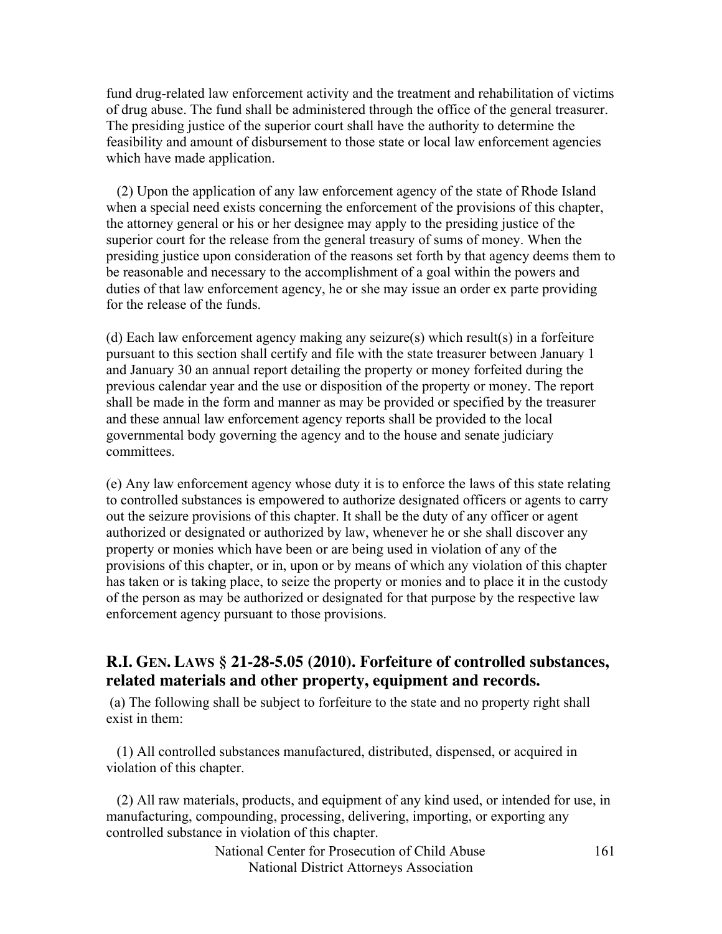fund drug-related law enforcement activity and the treatment and rehabilitation of victims of drug abuse. The fund shall be administered through the office of the general treasurer. The presiding justice of the superior court shall have the authority to determine the feasibility and amount of disbursement to those state or local law enforcement agencies which have made application.

 (2) Upon the application of any law enforcement agency of the state of Rhode Island when a special need exists concerning the enforcement of the provisions of this chapter, the attorney general or his or her designee may apply to the presiding justice of the superior court for the release from the general treasury of sums of money. When the presiding justice upon consideration of the reasons set forth by that agency deems them to be reasonable and necessary to the accomplishment of a goal within the powers and duties of that law enforcement agency, he or she may issue an order ex parte providing for the release of the funds.

(d) Each law enforcement agency making any seizure(s) which result(s) in a forfeiture pursuant to this section shall certify and file with the state treasurer between January 1 and January 30 an annual report detailing the property or money forfeited during the previous calendar year and the use or disposition of the property or money. The report shall be made in the form and manner as may be provided or specified by the treasurer and these annual law enforcement agency reports shall be provided to the local governmental body governing the agency and to the house and senate judiciary committees.

(e) Any law enforcement agency whose duty it is to enforce the laws of this state relating to controlled substances is empowered to authorize designated officers or agents to carry out the seizure provisions of this chapter. It shall be the duty of any officer or agent authorized or designated or authorized by law, whenever he or she shall discover any property or monies which have been or are being used in violation of any of the provisions of this chapter, or in, upon or by means of which any violation of this chapter has taken or is taking place, to seize the property or monies and to place it in the custody of the person as may be authorized or designated for that purpose by the respective law enforcement agency pursuant to those provisions.

## **R.I. GEN. LAWS § 21-28-5.05 (2010). Forfeiture of controlled substances, related materials and other property, equipment and records.**

(a) The following shall be subject to forfeiture to the state and no property right shall exist in them:

 (1) All controlled substances manufactured, distributed, dispensed, or acquired in violation of this chapter.

 (2) All raw materials, products, and equipment of any kind used, or intended for use, in manufacturing, compounding, processing, delivering, importing, or exporting any controlled substance in violation of this chapter.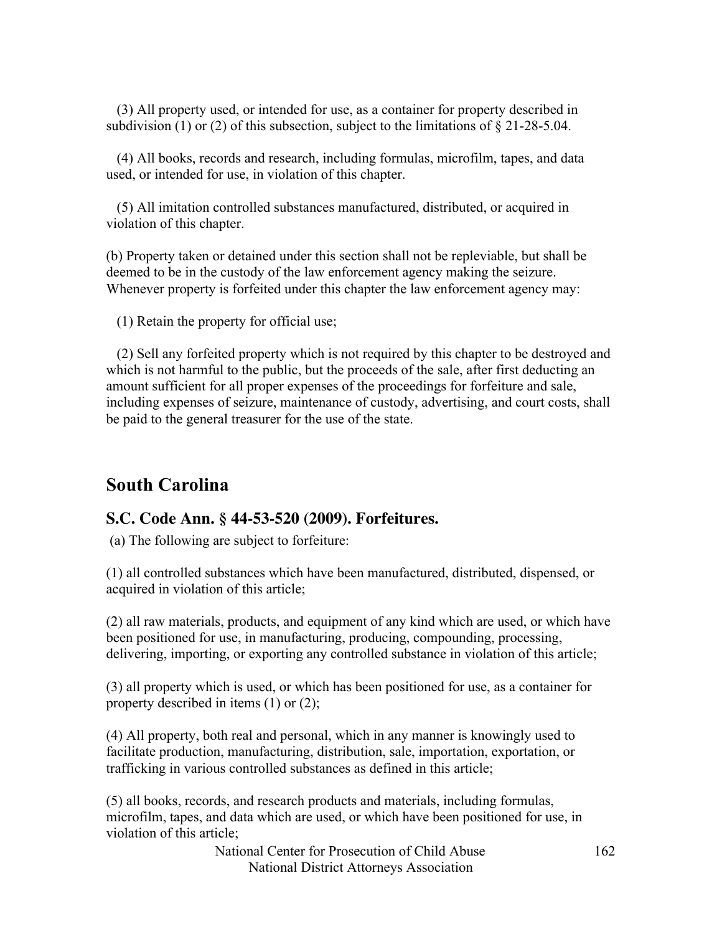(3) All property used, or intended for use, as a container for property described in subdivision (1) or (2) of this subsection, subject to the limitations of  $\S$  21-28-5.04.

 (4) All books, records and research, including formulas, microfilm, tapes, and data used, or intended for use, in violation of this chapter.

 (5) All imitation controlled substances manufactured, distributed, or acquired in violation of this chapter.

(b) Property taken or detained under this section shall not be repleviable, but shall be deemed to be in the custody of the law enforcement agency making the seizure. Whenever property is forfeited under this chapter the law enforcement agency may:

(1) Retain the property for official use;

 (2) Sell any forfeited property which is not required by this chapter to be destroyed and which is not harmful to the public, but the proceeds of the sale, after first deducting an amount sufficient for all proper expenses of the proceedings for forfeiture and sale, including expenses of seizure, maintenance of custody, advertising, and court costs, shall be paid to the general treasurer for the use of the state.

# **South Carolina**

#### **S.C. Code Ann. § 44-53-520 (2009). Forfeitures.**

(a) The following are subject to forfeiture:

(1) all controlled substances which have been manufactured, distributed, dispensed, or acquired in violation of this article;

(2) all raw materials, products, and equipment of any kind which are used, or which have been positioned for use, in manufacturing, producing, compounding, processing, delivering, importing, or exporting any controlled substance in violation of this article;

(3) all property which is used, or which has been positioned for use, as a container for property described in items (1) or (2);

(4) All property, both real and personal, which in any manner is knowingly used to facilitate production, manufacturing, distribution, sale, importation, exportation, or trafficking in various controlled substances as defined in this article;

(5) all books, records, and research products and materials, including formulas, microfilm, tapes, and data which are used, or which have been positioned for use, in violation of this article;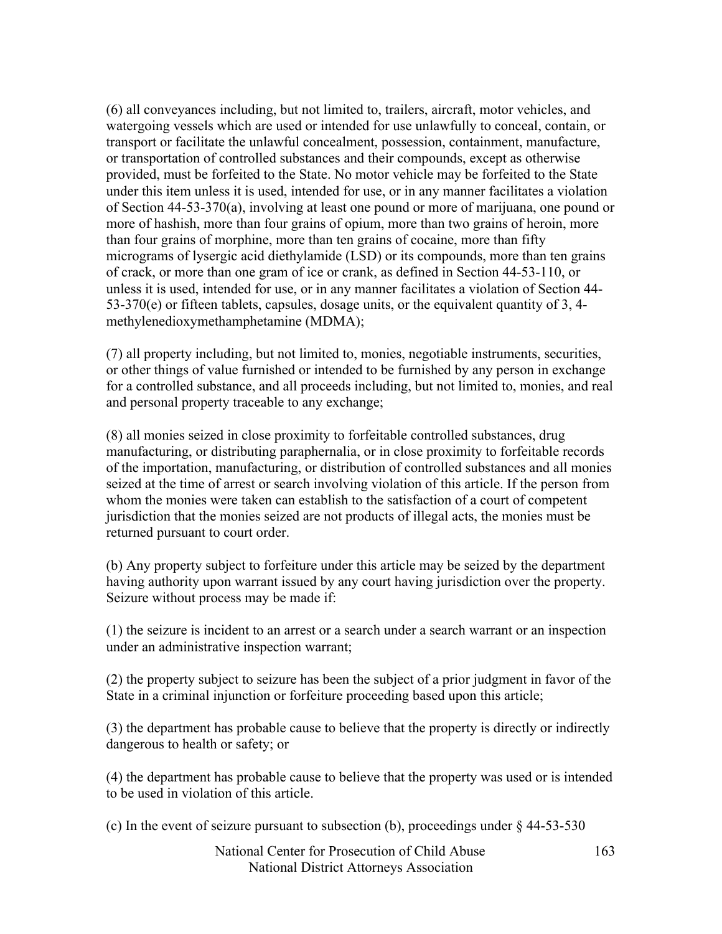(6) all conveyances including, but not limited to, trailers, aircraft, motor vehicles, and watergoing vessels which are used or intended for use unlawfully to conceal, contain, or transport or facilitate the unlawful concealment, possession, containment, manufacture, or transportation of controlled substances and their compounds, except as otherwise provided, must be forfeited to the State. No motor vehicle may be forfeited to the State under this item unless it is used, intended for use, or in any manner facilitates a violation of Section 44-53-370(a), involving at least one pound or more of marijuana, one pound or more of hashish, more than four grains of opium, more than two grains of heroin, more than four grains of morphine, more than ten grains of cocaine, more than fifty micrograms of lysergic acid diethylamide (LSD) or its compounds, more than ten grains of crack, or more than one gram of ice or crank, as defined in Section 44-53-110, or unless it is used, intended for use, or in any manner facilitates a violation of Section 44- 53-370(e) or fifteen tablets, capsules, dosage units, or the equivalent quantity of 3, 4 methylenedioxymethamphetamine (MDMA);

(7) all property including, but not limited to, monies, negotiable instruments, securities, or other things of value furnished or intended to be furnished by any person in exchange for a controlled substance, and all proceeds including, but not limited to, monies, and real and personal property traceable to any exchange;

(8) all monies seized in close proximity to forfeitable controlled substances, drug manufacturing, or distributing paraphernalia, or in close proximity to forfeitable records of the importation, manufacturing, or distribution of controlled substances and all monies seized at the time of arrest or search involving violation of this article. If the person from whom the monies were taken can establish to the satisfaction of a court of competent jurisdiction that the monies seized are not products of illegal acts, the monies must be returned pursuant to court order.

(b) Any property subject to forfeiture under this article may be seized by the department having authority upon warrant issued by any court having jurisdiction over the property. Seizure without process may be made if:

(1) the seizure is incident to an arrest or a search under a search warrant or an inspection under an administrative inspection warrant;

(2) the property subject to seizure has been the subject of a prior judgment in favor of the State in a criminal injunction or forfeiture proceeding based upon this article;

(3) the department has probable cause to believe that the property is directly or indirectly dangerous to health or safety; or

(4) the department has probable cause to believe that the property was used or is intended to be used in violation of this article.

(c) In the event of seizure pursuant to subsection (b), proceedings under § 44-53-530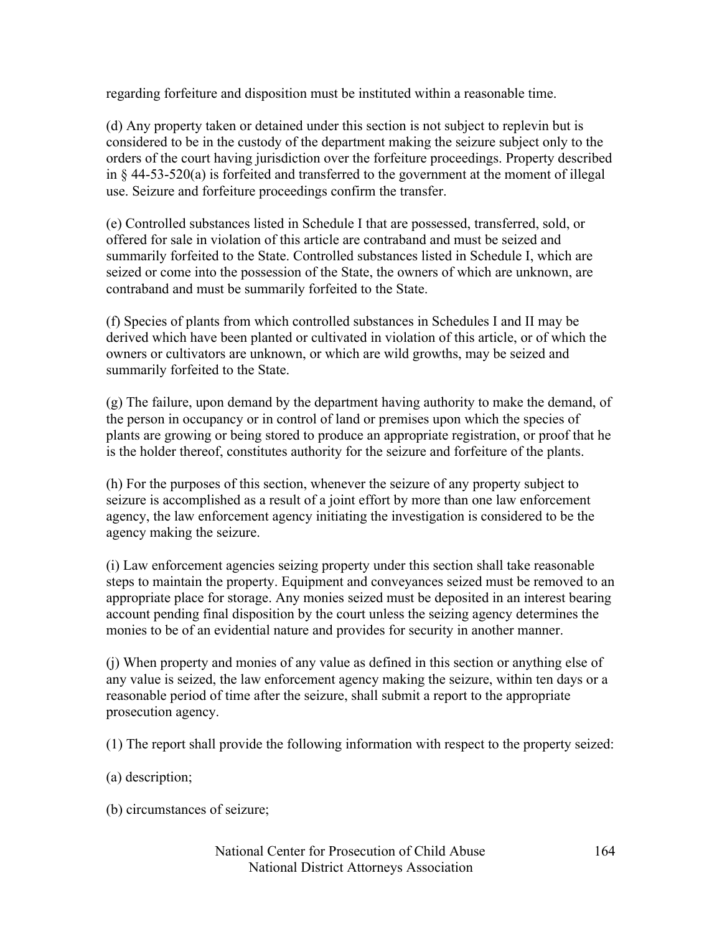regarding forfeiture and disposition must be instituted within a reasonable time.

(d) Any property taken or detained under this section is not subject to replevin but is considered to be in the custody of the department making the seizure subject only to the orders of the court having jurisdiction over the forfeiture proceedings. Property described in  $\S$  44-53-520(a) is forfeited and transferred to the government at the moment of illegal use. Seizure and forfeiture proceedings confirm the transfer.

(e) Controlled substances listed in Schedule I that are possessed, transferred, sold, or offered for sale in violation of this article are contraband and must be seized and summarily forfeited to the State. Controlled substances listed in Schedule I, which are seized or come into the possession of the State, the owners of which are unknown, are contraband and must be summarily forfeited to the State.

(f) Species of plants from which controlled substances in Schedules I and II may be derived which have been planted or cultivated in violation of this article, or of which the owners or cultivators are unknown, or which are wild growths, may be seized and summarily forfeited to the State.

(g) The failure, upon demand by the department having authority to make the demand, of the person in occupancy or in control of land or premises upon which the species of plants are growing or being stored to produce an appropriate registration, or proof that he is the holder thereof, constitutes authority for the seizure and forfeiture of the plants.

(h) For the purposes of this section, whenever the seizure of any property subject to seizure is accomplished as a result of a joint effort by more than one law enforcement agency, the law enforcement agency initiating the investigation is considered to be the agency making the seizure.

(i) Law enforcement agencies seizing property under this section shall take reasonable steps to maintain the property. Equipment and conveyances seized must be removed to an appropriate place for storage. Any monies seized must be deposited in an interest bearing account pending final disposition by the court unless the seizing agency determines the monies to be of an evidential nature and provides for security in another manner.

(j) When property and monies of any value as defined in this section or anything else of any value is seized, the law enforcement agency making the seizure, within ten days or a reasonable period of time after the seizure, shall submit a report to the appropriate prosecution agency.

(1) The report shall provide the following information with respect to the property seized:

(a) description;

(b) circumstances of seizure;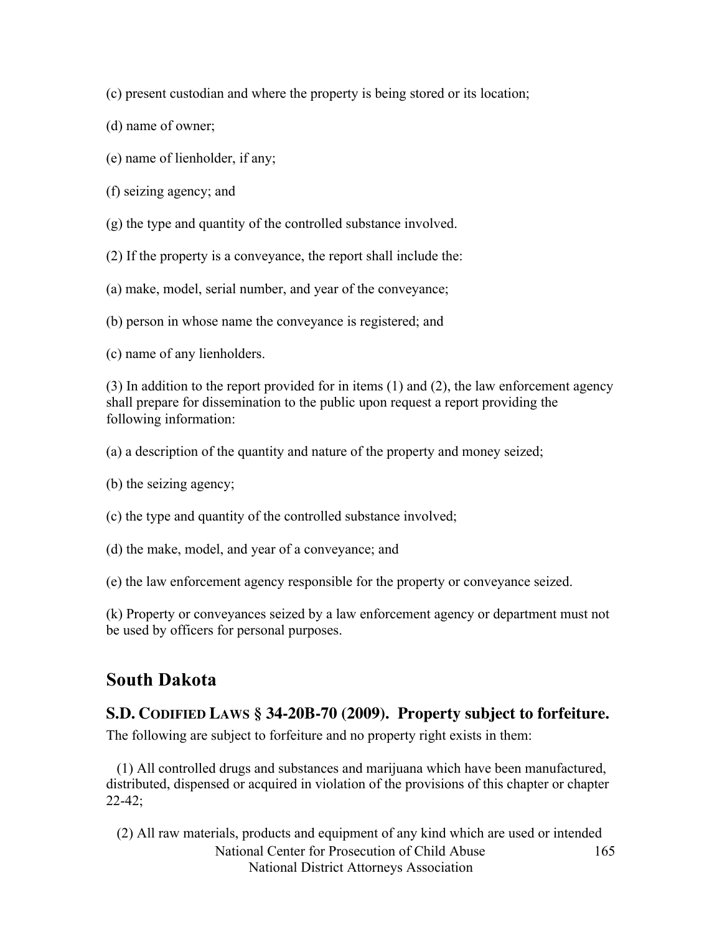(c) present custodian and where the property is being stored or its location;

(d) name of owner;

(e) name of lienholder, if any;

(f) seizing agency; and

(g) the type and quantity of the controlled substance involved.

(2) If the property is a conveyance, the report shall include the:

(a) make, model, serial number, and year of the conveyance;

(b) person in whose name the conveyance is registered; and

(c) name of any lienholders.

(3) In addition to the report provided for in items (1) and (2), the law enforcement agency shall prepare for dissemination to the public upon request a report providing the following information:

(a) a description of the quantity and nature of the property and money seized;

(b) the seizing agency;

(c) the type and quantity of the controlled substance involved;

(d) the make, model, and year of a conveyance; and

(e) the law enforcement agency responsible for the property or conveyance seized.

(k) Property or conveyances seized by a law enforcement agency or department must not be used by officers for personal purposes.

# **South Dakota**

# **S.D. CODIFIED LAWS § 34-20B-70 (2009). Property subject to forfeiture.**

The following are subject to forfeiture and no property right exists in them:

 (1) All controlled drugs and substances and marijuana which have been manufactured, distributed, dispensed or acquired in violation of the provisions of this chapter or chapter  $22 - 42$ ;

National Center for Prosecution of Child Abuse National District Attorneys Association 165 (2) All raw materials, products and equipment of any kind which are used or intended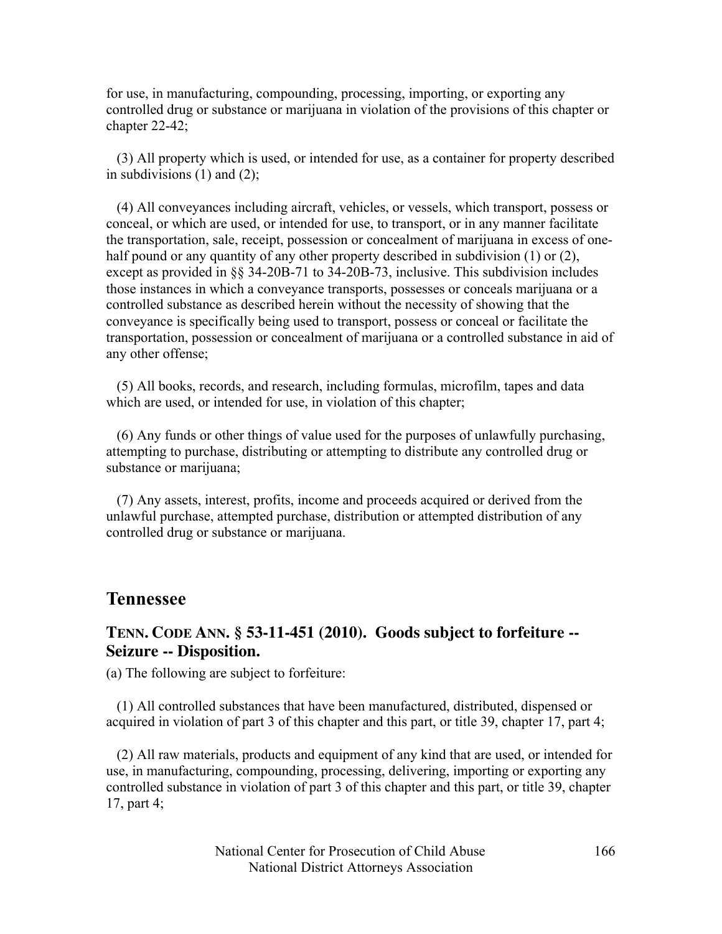for use, in manufacturing, compounding, processing, importing, or exporting any controlled drug or substance or marijuana in violation of the provisions of this chapter or chapter 22-42;

 (3) All property which is used, or intended for use, as a container for property described in subdivisions (1) and (2);

 (4) All conveyances including aircraft, vehicles, or vessels, which transport, possess or conceal, or which are used, or intended for use, to transport, or in any manner facilitate the transportation, sale, receipt, possession or concealment of marijuana in excess of onehalf pound or any quantity of any other property described in subdivision (1) or (2), except as provided in §§ 34-20B-71 to 34-20B-73, inclusive. This subdivision includes those instances in which a conveyance transports, possesses or conceals marijuana or a controlled substance as described herein without the necessity of showing that the conveyance is specifically being used to transport, possess or conceal or facilitate the transportation, possession or concealment of marijuana or a controlled substance in aid of any other offense;

 (5) All books, records, and research, including formulas, microfilm, tapes and data which are used, or intended for use, in violation of this chapter;

 (6) Any funds or other things of value used for the purposes of unlawfully purchasing, attempting to purchase, distributing or attempting to distribute any controlled drug or substance or marijuana;

 (7) Any assets, interest, profits, income and proceeds acquired or derived from the unlawful purchase, attempted purchase, distribution or attempted distribution of any controlled drug or substance or marijuana.

#### **Tennessee**

### **TENN. CODE ANN. § 53-11-451 (2010). Goods subject to forfeiture -- Seizure -- Disposition.**

(a) The following are subject to forfeiture:

 (1) All controlled substances that have been manufactured, distributed, dispensed or acquired in violation of part 3 of this chapter and this part, or title 39, chapter 17, part 4;

 (2) All raw materials, products and equipment of any kind that are used, or intended for use, in manufacturing, compounding, processing, delivering, importing or exporting any controlled substance in violation of part 3 of this chapter and this part, or title 39, chapter 17, part 4;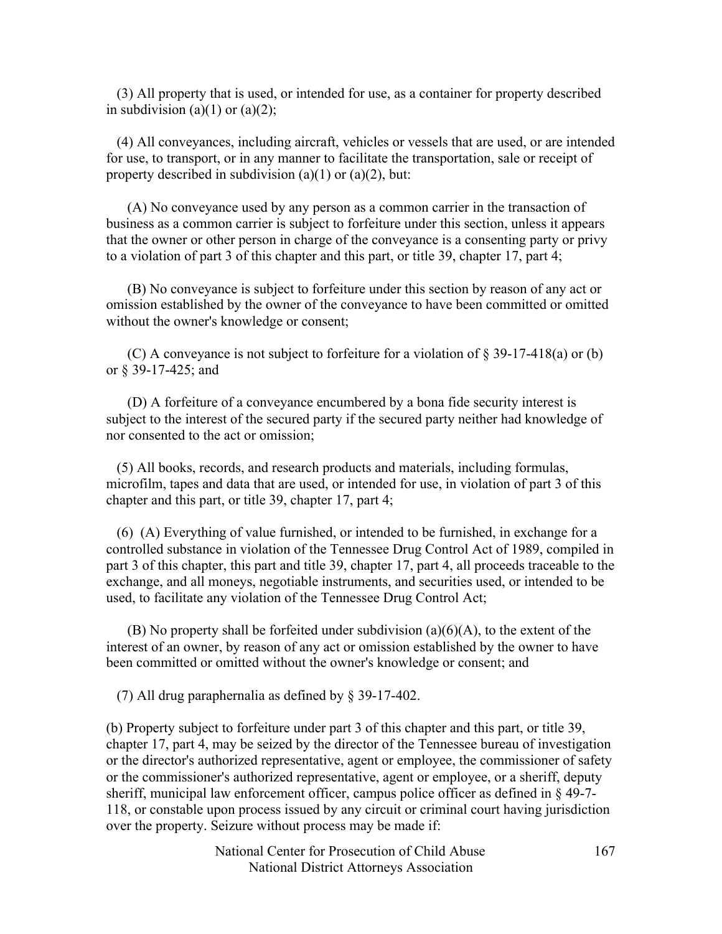(3) All property that is used, or intended for use, as a container for property described in subdivision (a)(1) or (a)(2);

 (4) All conveyances, including aircraft, vehicles or vessels that are used, or are intended for use, to transport, or in any manner to facilitate the transportation, sale or receipt of property described in subdivision (a)(1) or (a)(2), but:

 (A) No conveyance used by any person as a common carrier in the transaction of business as a common carrier is subject to forfeiture under this section, unless it appears that the owner or other person in charge of the conveyance is a consenting party or privy to a violation of part 3 of this chapter and this part, or title 39, chapter 17, part 4;

 (B) No conveyance is subject to forfeiture under this section by reason of any act or omission established by the owner of the conveyance to have been committed or omitted without the owner's knowledge or consent;

(C) A conveyance is not subject to forfeiture for a violation of  $\S 39-17-418(a)$  or (b) or § 39-17-425; and

 (D) A forfeiture of a conveyance encumbered by a bona fide security interest is subject to the interest of the secured party if the secured party neither had knowledge of nor consented to the act or omission;

 (5) All books, records, and research products and materials, including formulas, microfilm, tapes and data that are used, or intended for use, in violation of part 3 of this chapter and this part, or title 39, chapter 17, part 4;

 (6) (A) Everything of value furnished, or intended to be furnished, in exchange for a controlled substance in violation of the Tennessee Drug Control Act of 1989, compiled in part 3 of this chapter, this part and title 39, chapter 17, part 4, all proceeds traceable to the exchange, and all moneys, negotiable instruments, and securities used, or intended to be used, to facilitate any violation of the Tennessee Drug Control Act;

 (B) No property shall be forfeited under subdivision (a)(6)(A), to the extent of the interest of an owner, by reason of any act or omission established by the owner to have been committed or omitted without the owner's knowledge or consent; and

(7) All drug paraphernalia as defined by § 39-17-402.

(b) Property subject to forfeiture under part 3 of this chapter and this part, or title 39, chapter 17, part 4, may be seized by the director of the Tennessee bureau of investigation or the director's authorized representative, agent or employee, the commissioner of safety or the commissioner's authorized representative, agent or employee, or a sheriff, deputy sheriff, municipal law enforcement officer, campus police officer as defined in § 49-7- 118, or constable upon process issued by any circuit or criminal court having jurisdiction over the property. Seizure without process may be made if: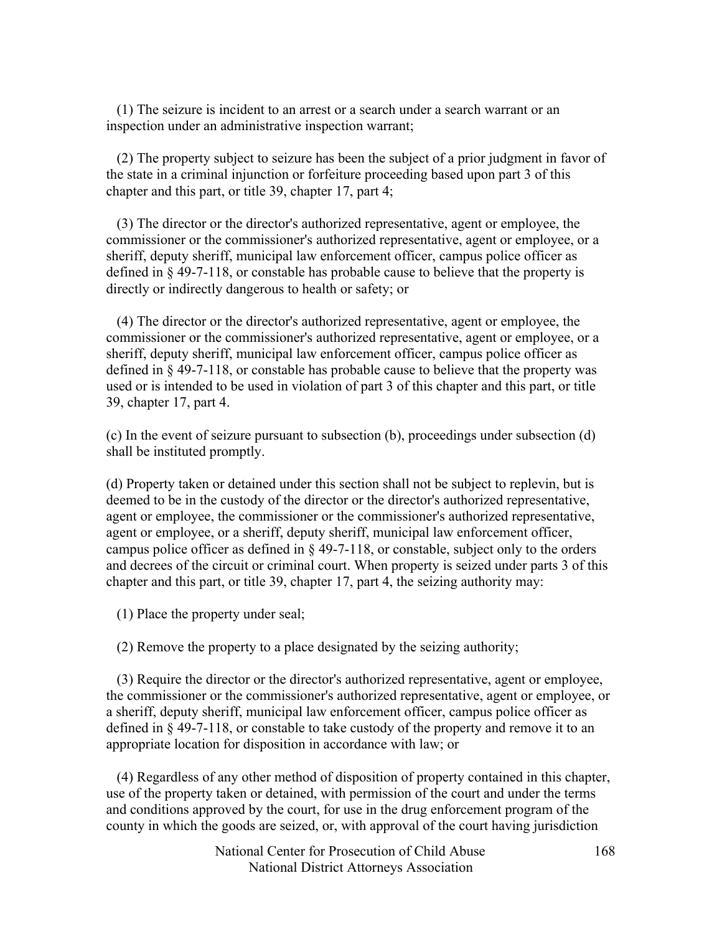(1) The seizure is incident to an arrest or a search under a search warrant or an inspection under an administrative inspection warrant;

 (2) The property subject to seizure has been the subject of a prior judgment in favor of the state in a criminal injunction or forfeiture proceeding based upon part 3 of this chapter and this part, or title 39, chapter 17, part 4;

 (3) The director or the director's authorized representative, agent or employee, the commissioner or the commissioner's authorized representative, agent or employee, or a sheriff, deputy sheriff, municipal law enforcement officer, campus police officer as defined in § 49-7-118, or constable has probable cause to believe that the property is directly or indirectly dangerous to health or safety; or

 (4) The director or the director's authorized representative, agent or employee, the commissioner or the commissioner's authorized representative, agent or employee, or a sheriff, deputy sheriff, municipal law enforcement officer, campus police officer as defined in § 49-7-118, or constable has probable cause to believe that the property was used or is intended to be used in violation of part 3 of this chapter and this part, or title 39, chapter 17, part 4.

(c) In the event of seizure pursuant to subsection (b), proceedings under subsection (d) shall be instituted promptly.

(d) Property taken or detained under this section shall not be subject to replevin, but is deemed to be in the custody of the director or the director's authorized representative, agent or employee, the commissioner or the commissioner's authorized representative, agent or employee, or a sheriff, deputy sheriff, municipal law enforcement officer, campus police officer as defined in § 49-7-118, or constable, subject only to the orders and decrees of the circuit or criminal court. When property is seized under parts 3 of this chapter and this part, or title 39, chapter 17, part 4, the seizing authority may:

(1) Place the property under seal;

(2) Remove the property to a place designated by the seizing authority;

 (3) Require the director or the director's authorized representative, agent or employee, the commissioner or the commissioner's authorized representative, agent or employee, or a sheriff, deputy sheriff, municipal law enforcement officer, campus police officer as defined in § 49-7-118, or constable to take custody of the property and remove it to an appropriate location for disposition in accordance with law; or

 (4) Regardless of any other method of disposition of property contained in this chapter, use of the property taken or detained, with permission of the court and under the terms and conditions approved by the court, for use in the drug enforcement program of the county in which the goods are seized, or, with approval of the court having jurisdiction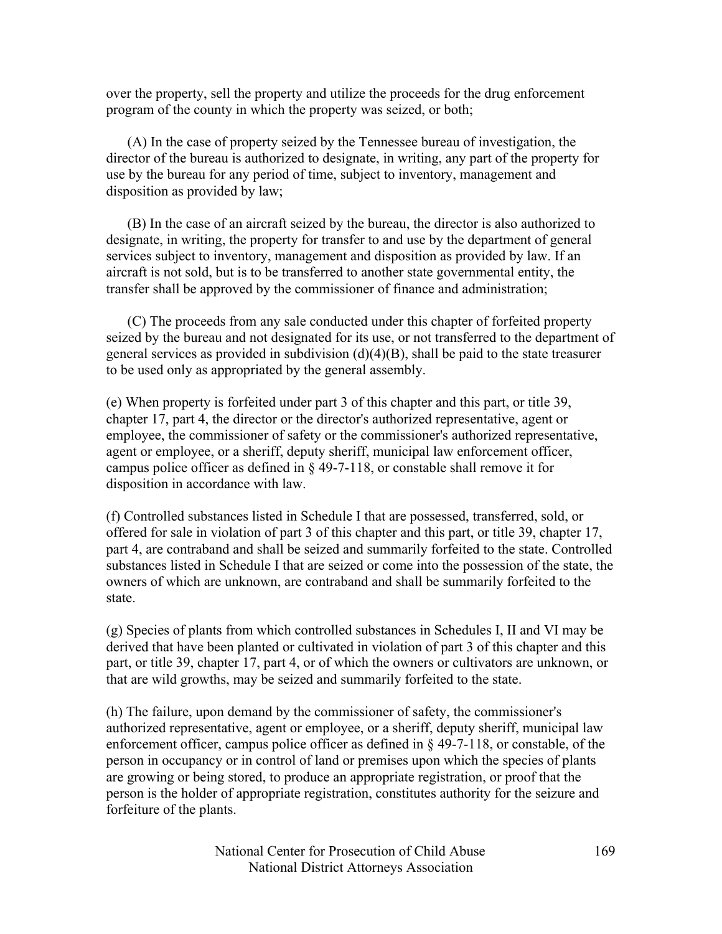over the property, sell the property and utilize the proceeds for the drug enforcement program of the county in which the property was seized, or both;

 (A) In the case of property seized by the Tennessee bureau of investigation, the director of the bureau is authorized to designate, in writing, any part of the property for use by the bureau for any period of time, subject to inventory, management and disposition as provided by law;

 (B) In the case of an aircraft seized by the bureau, the director is also authorized to designate, in writing, the property for transfer to and use by the department of general services subject to inventory, management and disposition as provided by law. If an aircraft is not sold, but is to be transferred to another state governmental entity, the transfer shall be approved by the commissioner of finance and administration;

 (C) The proceeds from any sale conducted under this chapter of forfeited property seized by the bureau and not designated for its use, or not transferred to the department of general services as provided in subdivision  $(d)(4)(B)$ , shall be paid to the state treasurer to be used only as appropriated by the general assembly.

(e) When property is forfeited under part 3 of this chapter and this part, or title 39, chapter 17, part 4, the director or the director's authorized representative, agent or employee, the commissioner of safety or the commissioner's authorized representative, agent or employee, or a sheriff, deputy sheriff, municipal law enforcement officer, campus police officer as defined in § 49-7-118, or constable shall remove it for disposition in accordance with law.

(f) Controlled substances listed in Schedule I that are possessed, transferred, sold, or offered for sale in violation of part 3 of this chapter and this part, or title 39, chapter 17, part 4, are contraband and shall be seized and summarily forfeited to the state. Controlled substances listed in Schedule I that are seized or come into the possession of the state, the owners of which are unknown, are contraband and shall be summarily forfeited to the state.

(g) Species of plants from which controlled substances in Schedules I, II and VI may be derived that have been planted or cultivated in violation of part 3 of this chapter and this part, or title 39, chapter 17, part 4, or of which the owners or cultivators are unknown, or that are wild growths, may be seized and summarily forfeited to the state.

(h) The failure, upon demand by the commissioner of safety, the commissioner's authorized representative, agent or employee, or a sheriff, deputy sheriff, municipal law enforcement officer, campus police officer as defined in § 49-7-118, or constable, of the person in occupancy or in control of land or premises upon which the species of plants are growing or being stored, to produce an appropriate registration, or proof that the person is the holder of appropriate registration, constitutes authority for the seizure and forfeiture of the plants.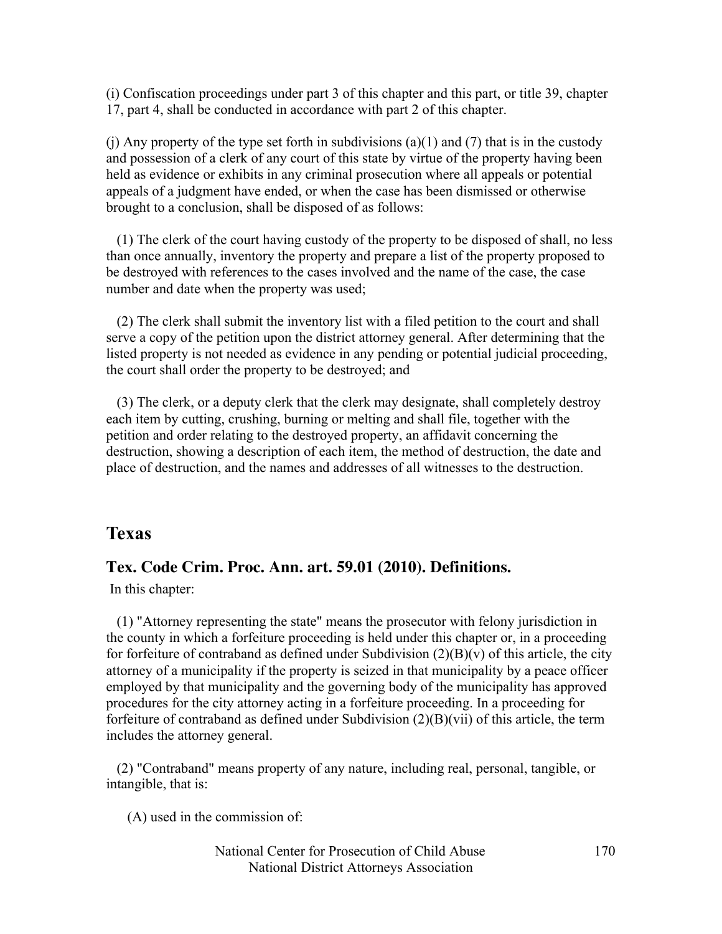(i) Confiscation proceedings under part 3 of this chapter and this part, or title 39, chapter 17, part 4, shall be conducted in accordance with part 2 of this chapter.

(i) Any property of the type set forth in subdivisions (a)(1) and (7) that is in the custody and possession of a clerk of any court of this state by virtue of the property having been held as evidence or exhibits in any criminal prosecution where all appeals or potential appeals of a judgment have ended, or when the case has been dismissed or otherwise brought to a conclusion, shall be disposed of as follows:

 (1) The clerk of the court having custody of the property to be disposed of shall, no less than once annually, inventory the property and prepare a list of the property proposed to be destroyed with references to the cases involved and the name of the case, the case number and date when the property was used;

 (2) The clerk shall submit the inventory list with a filed petition to the court and shall serve a copy of the petition upon the district attorney general. After determining that the listed property is not needed as evidence in any pending or potential judicial proceeding, the court shall order the property to be destroyed; and

 (3) The clerk, or a deputy clerk that the clerk may designate, shall completely destroy each item by cutting, crushing, burning or melting and shall file, together with the petition and order relating to the destroyed property, an affidavit concerning the destruction, showing a description of each item, the method of destruction, the date and place of destruction, and the names and addresses of all witnesses to the destruction.

# **Texas**

#### **Tex. Code Crim. Proc. Ann. art. 59.01 (2010). Definitions.**

In this chapter:

 (1) "Attorney representing the state" means the prosecutor with felony jurisdiction in the county in which a forfeiture proceeding is held under this chapter or, in a proceeding for forfeiture of contraband as defined under Subdivision  $(2)(B)(v)$  of this article, the city attorney of a municipality if the property is seized in that municipality by a peace officer employed by that municipality and the governing body of the municipality has approved procedures for the city attorney acting in a forfeiture proceeding. In a proceeding for forfeiture of contraband as defined under Subdivision (2)(B)(vii) of this article, the term includes the attorney general.

 (2) "Contraband" means property of any nature, including real, personal, tangible, or intangible, that is:

(A) used in the commission of: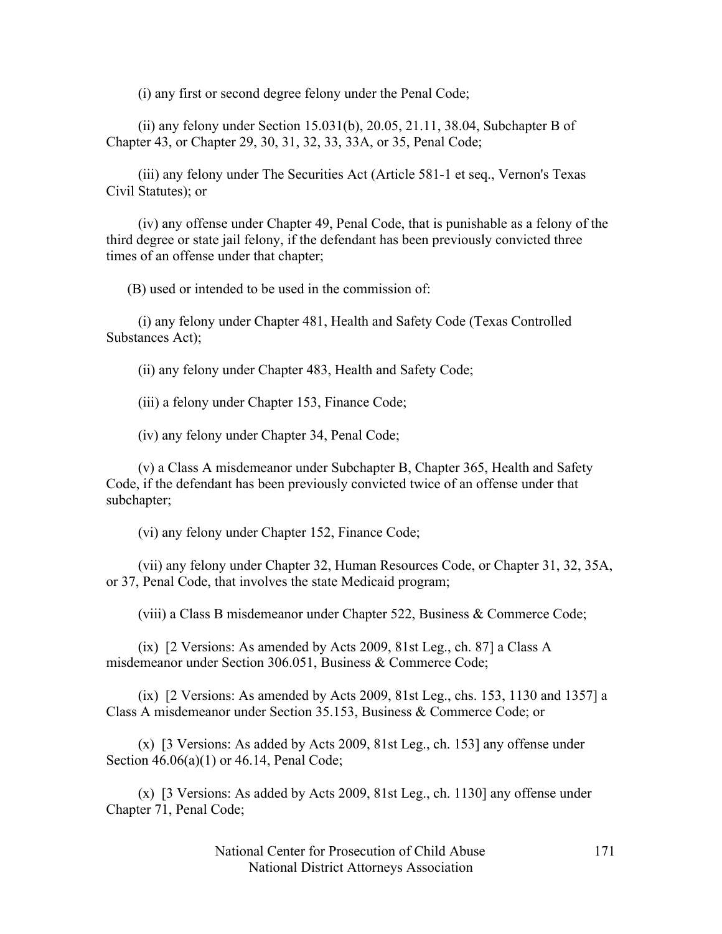(i) any first or second degree felony under the Penal Code;

 (ii) any felony under Section 15.031(b), 20.05, 21.11, 38.04, Subchapter B of Chapter 43, or Chapter 29, 30, 31, 32, 33, 33A, or 35, Penal Code;

 (iii) any felony under The Securities Act (Article 581-1 et seq., Vernon's Texas Civil Statutes); or

 (iv) any offense under Chapter 49, Penal Code, that is punishable as a felony of the third degree or state jail felony, if the defendant has been previously convicted three times of an offense under that chapter;

(B) used or intended to be used in the commission of:

 (i) any felony under Chapter 481, Health and Safety Code (Texas Controlled Substances Act);

(ii) any felony under Chapter 483, Health and Safety Code;

(iii) a felony under Chapter 153, Finance Code;

(iv) any felony under Chapter 34, Penal Code;

 (v) a Class A misdemeanor under Subchapter B, Chapter 365, Health and Safety Code, if the defendant has been previously convicted twice of an offense under that subchapter;

(vi) any felony under Chapter 152, Finance Code;

 (vii) any felony under Chapter 32, Human Resources Code, or Chapter 31, 32, 35A, or 37, Penal Code, that involves the state Medicaid program;

(viii) a Class B misdemeanor under Chapter 522, Business & Commerce Code;

 (ix) [2 Versions: As amended by Acts 2009, 81st Leg., ch. 87] a Class A misdemeanor under Section 306.051, Business & Commerce Code;

 (ix) [2 Versions: As amended by Acts 2009, 81st Leg., chs. 153, 1130 and 1357] a Class A misdemeanor under Section 35.153, Business & Commerce Code; or

 (x) [3 Versions: As added by Acts 2009, 81st Leg., ch. 153] any offense under Section 46.06(a)(1) or 46.14, Penal Code;

 (x) [3 Versions: As added by Acts 2009, 81st Leg., ch. 1130] any offense under Chapter 71, Penal Code;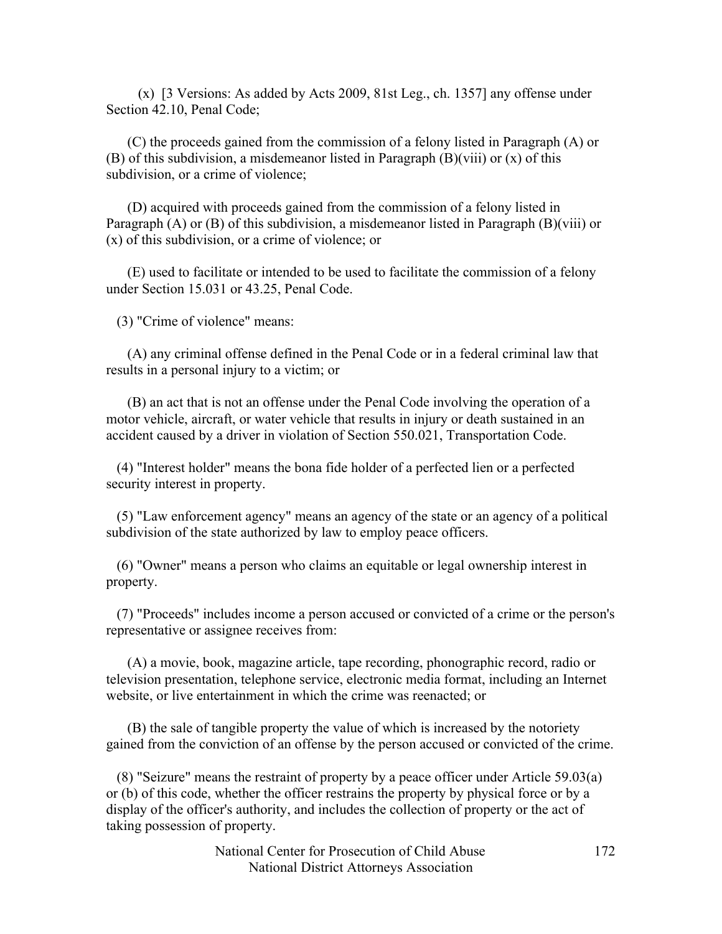(x) [3 Versions: As added by Acts 2009, 81st Leg., ch. 1357] any offense under Section 42.10, Penal Code;

 (C) the proceeds gained from the commission of a felony listed in Paragraph (A) or (B) of this subdivision, a misdemeanor listed in Paragraph (B)(viii) or (x) of this subdivision, or a crime of violence;

 (D) acquired with proceeds gained from the commission of a felony listed in Paragraph (A) or (B) of this subdivision, a misdemeanor listed in Paragraph (B)(viii) or (x) of this subdivision, or a crime of violence; or

 (E) used to facilitate or intended to be used to facilitate the commission of a felony under Section 15.031 or 43.25, Penal Code.

(3) "Crime of violence" means:

 (A) any criminal offense defined in the Penal Code or in a federal criminal law that results in a personal injury to a victim; or

 (B) an act that is not an offense under the Penal Code involving the operation of a motor vehicle, aircraft, or water vehicle that results in injury or death sustained in an accident caused by a driver in violation of Section 550.021, Transportation Code.

 (4) "Interest holder" means the bona fide holder of a perfected lien or a perfected security interest in property.

 (5) "Law enforcement agency" means an agency of the state or an agency of a political subdivision of the state authorized by law to employ peace officers.

 (6) "Owner" means a person who claims an equitable or legal ownership interest in property.

 (7) "Proceeds" includes income a person accused or convicted of a crime or the person's representative or assignee receives from:

 (A) a movie, book, magazine article, tape recording, phonographic record, radio or television presentation, telephone service, electronic media format, including an Internet website, or live entertainment in which the crime was reenacted; or

 (B) the sale of tangible property the value of which is increased by the notoriety gained from the conviction of an offense by the person accused or convicted of the crime.

 (8) "Seizure" means the restraint of property by a peace officer under Article 59.03(a) or (b) of this code, whether the officer restrains the property by physical force or by a display of the officer's authority, and includes the collection of property or the act of taking possession of property.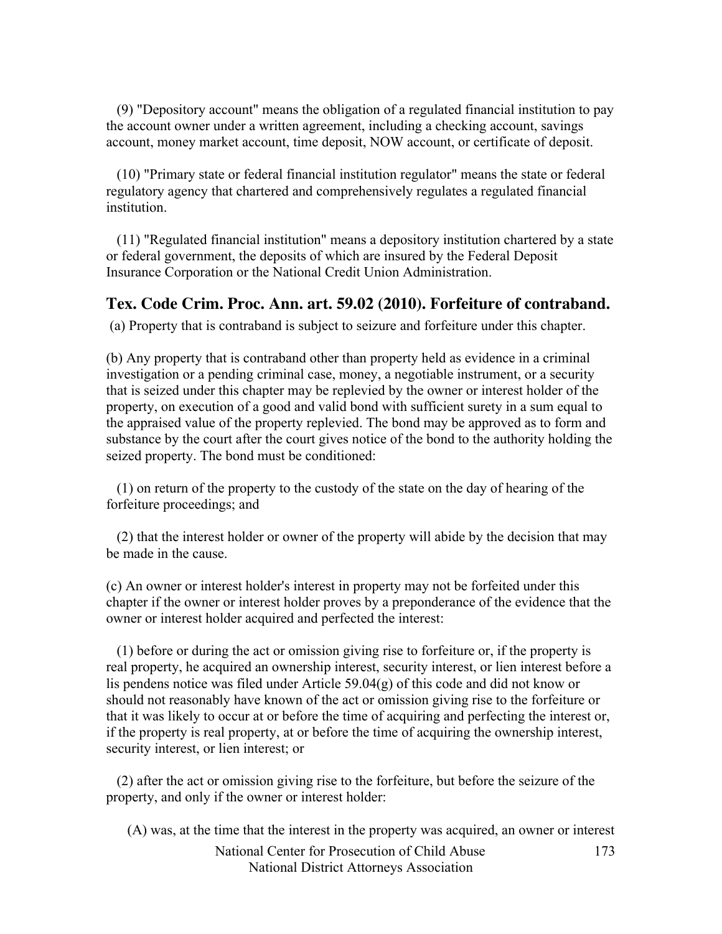(9) "Depository account" means the obligation of a regulated financial institution to pay the account owner under a written agreement, including a checking account, savings account, money market account, time deposit, NOW account, or certificate of deposit.

 (10) "Primary state or federal financial institution regulator" means the state or federal regulatory agency that chartered and comprehensively regulates a regulated financial institution.

 (11) "Regulated financial institution" means a depository institution chartered by a state or federal government, the deposits of which are insured by the Federal Deposit Insurance Corporation or the National Credit Union Administration.

### **Tex. Code Crim. Proc. Ann. art. 59.02 (2010). Forfeiture of contraband.**

(a) Property that is contraband is subject to seizure and forfeiture under this chapter.

(b) Any property that is contraband other than property held as evidence in a criminal investigation or a pending criminal case, money, a negotiable instrument, or a security that is seized under this chapter may be replevied by the owner or interest holder of the property, on execution of a good and valid bond with sufficient surety in a sum equal to the appraised value of the property replevied. The bond may be approved as to form and substance by the court after the court gives notice of the bond to the authority holding the seized property. The bond must be conditioned:

 (1) on return of the property to the custody of the state on the day of hearing of the forfeiture proceedings; and

 (2) that the interest holder or owner of the property will abide by the decision that may be made in the cause.

(c) An owner or interest holder's interest in property may not be forfeited under this chapter if the owner or interest holder proves by a preponderance of the evidence that the owner or interest holder acquired and perfected the interest:

 (1) before or during the act or omission giving rise to forfeiture or, if the property is real property, he acquired an ownership interest, security interest, or lien interest before a lis pendens notice was filed under Article 59.04(g) of this code and did not know or should not reasonably have known of the act or omission giving rise to the forfeiture or that it was likely to occur at or before the time of acquiring and perfecting the interest or, if the property is real property, at or before the time of acquiring the ownership interest, security interest, or lien interest; or

 (2) after the act or omission giving rise to the forfeiture, but before the seizure of the property, and only if the owner or interest holder:

(A) was, at the time that the interest in the property was acquired, an owner or interest

National Center for Prosecution of Child Abuse National District Attorneys Association

173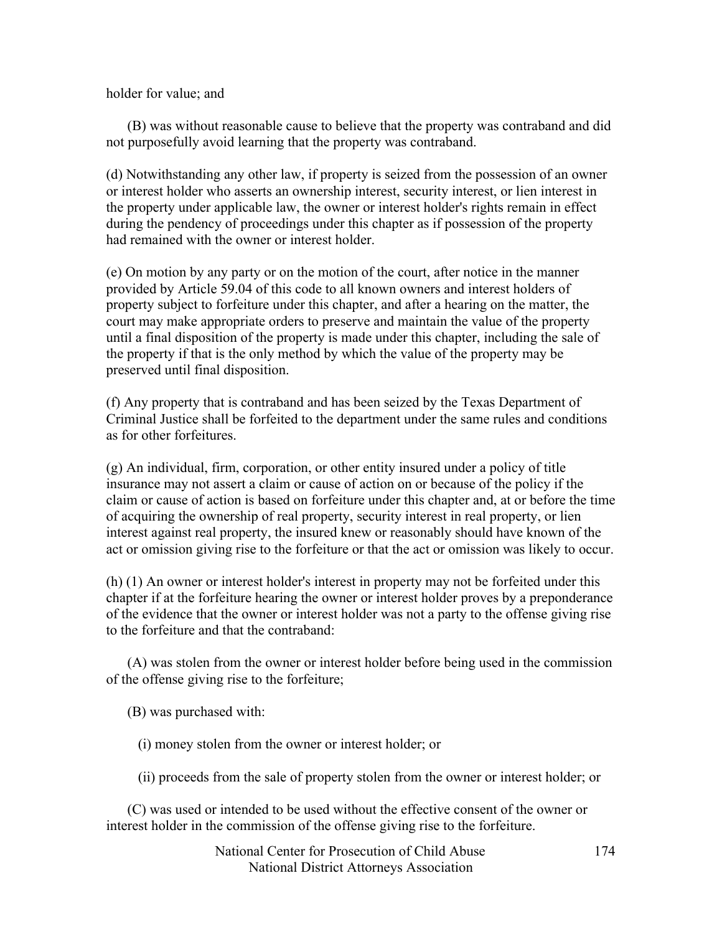holder for value; and

 (B) was without reasonable cause to believe that the property was contraband and did not purposefully avoid learning that the property was contraband.

(d) Notwithstanding any other law, if property is seized from the possession of an owner or interest holder who asserts an ownership interest, security interest, or lien interest in the property under applicable law, the owner or interest holder's rights remain in effect during the pendency of proceedings under this chapter as if possession of the property had remained with the owner or interest holder.

(e) On motion by any party or on the motion of the court, after notice in the manner provided by Article 59.04 of this code to all known owners and interest holders of property subject to forfeiture under this chapter, and after a hearing on the matter, the court may make appropriate orders to preserve and maintain the value of the property until a final disposition of the property is made under this chapter, including the sale of the property if that is the only method by which the value of the property may be preserved until final disposition.

(f) Any property that is contraband and has been seized by the Texas Department of Criminal Justice shall be forfeited to the department under the same rules and conditions as for other forfeitures.

(g) An individual, firm, corporation, or other entity insured under a policy of title insurance may not assert a claim or cause of action on or because of the policy if the claim or cause of action is based on forfeiture under this chapter and, at or before the time of acquiring the ownership of real property, security interest in real property, or lien interest against real property, the insured knew or reasonably should have known of the act or omission giving rise to the forfeiture or that the act or omission was likely to occur.

(h) (1) An owner or interest holder's interest in property may not be forfeited under this chapter if at the forfeiture hearing the owner or interest holder proves by a preponderance of the evidence that the owner or interest holder was not a party to the offense giving rise to the forfeiture and that the contraband:

 (A) was stolen from the owner or interest holder before being used in the commission of the offense giving rise to the forfeiture;

(B) was purchased with:

(i) money stolen from the owner or interest holder; or

(ii) proceeds from the sale of property stolen from the owner or interest holder; or

 (C) was used or intended to be used without the effective consent of the owner or interest holder in the commission of the offense giving rise to the forfeiture.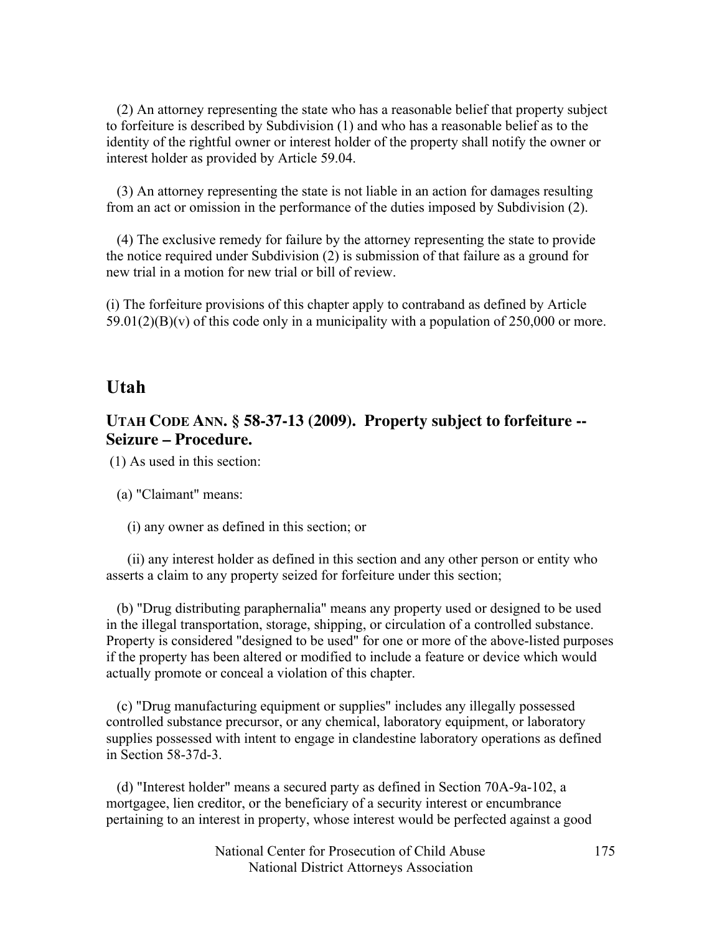(2) An attorney representing the state who has a reasonable belief that property subject to forfeiture is described by Subdivision (1) and who has a reasonable belief as to the identity of the rightful owner or interest holder of the property shall notify the owner or interest holder as provided by Article 59.04.

 (3) An attorney representing the state is not liable in an action for damages resulting from an act or omission in the performance of the duties imposed by Subdivision (2).

 (4) The exclusive remedy for failure by the attorney representing the state to provide the notice required under Subdivision (2) is submission of that failure as a ground for new trial in a motion for new trial or bill of review.

(i) The forfeiture provisions of this chapter apply to contraband as defined by Article  $59.01(2)(B)(v)$  of this code only in a municipality with a population of 250,000 or more.

## **Utah**

## **UTAH CODE ANN. § 58-37-13 (2009). Property subject to forfeiture -- Seizure – Procedure.**

(1) As used in this section:

(a) "Claimant" means:

(i) any owner as defined in this section; or

 (ii) any interest holder as defined in this section and any other person or entity who asserts a claim to any property seized for forfeiture under this section;

 (b) "Drug distributing paraphernalia" means any property used or designed to be used in the illegal transportation, storage, shipping, or circulation of a controlled substance. Property is considered "designed to be used" for one or more of the above-listed purposes if the property has been altered or modified to include a feature or device which would actually promote or conceal a violation of this chapter.

 (c) "Drug manufacturing equipment or supplies" includes any illegally possessed controlled substance precursor, or any chemical, laboratory equipment, or laboratory supplies possessed with intent to engage in clandestine laboratory operations as defined in Section 58-37d-3.

 (d) "Interest holder" means a secured party as defined in Section 70A-9a-102, a mortgagee, lien creditor, or the beneficiary of a security interest or encumbrance pertaining to an interest in property, whose interest would be perfected against a good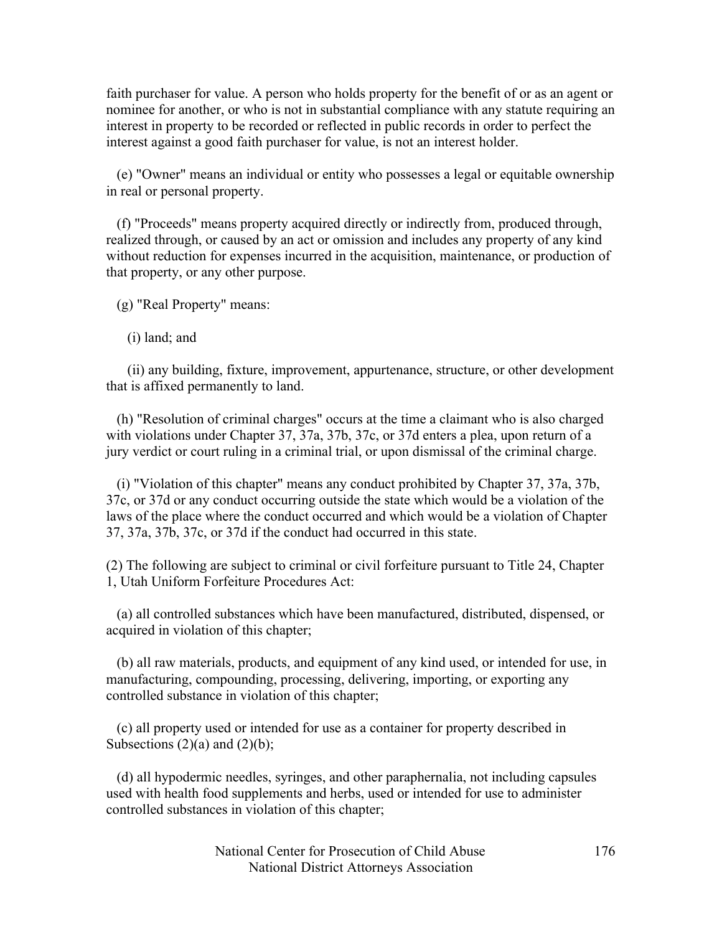faith purchaser for value. A person who holds property for the benefit of or as an agent or nominee for another, or who is not in substantial compliance with any statute requiring an interest in property to be recorded or reflected in public records in order to perfect the interest against a good faith purchaser for value, is not an interest holder.

 (e) "Owner" means an individual or entity who possesses a legal or equitable ownership in real or personal property.

 (f) "Proceeds" means property acquired directly or indirectly from, produced through, realized through, or caused by an act or omission and includes any property of any kind without reduction for expenses incurred in the acquisition, maintenance, or production of that property, or any other purpose.

(g) "Real Property" means:

(i) land; and

 (ii) any building, fixture, improvement, appurtenance, structure, or other development that is affixed permanently to land.

 (h) "Resolution of criminal charges" occurs at the time a claimant who is also charged with violations under Chapter 37, 37a, 37b, 37c, or 37d enters a plea, upon return of a jury verdict or court ruling in a criminal trial, or upon dismissal of the criminal charge.

 (i) "Violation of this chapter" means any conduct prohibited by Chapter 37, 37a, 37b, 37c, or 37d or any conduct occurring outside the state which would be a violation of the laws of the place where the conduct occurred and which would be a violation of Chapter 37, 37a, 37b, 37c, or 37d if the conduct had occurred in this state.

(2) The following are subject to criminal or civil forfeiture pursuant to Title 24, Chapter 1, Utah Uniform Forfeiture Procedures Act:

 (a) all controlled substances which have been manufactured, distributed, dispensed, or acquired in violation of this chapter;

 (b) all raw materials, products, and equipment of any kind used, or intended for use, in manufacturing, compounding, processing, delivering, importing, or exporting any controlled substance in violation of this chapter;

 (c) all property used or intended for use as a container for property described in Subsections  $(2)(a)$  and  $(2)(b)$ ;

 (d) all hypodermic needles, syringes, and other paraphernalia, not including capsules used with health food supplements and herbs, used or intended for use to administer controlled substances in violation of this chapter;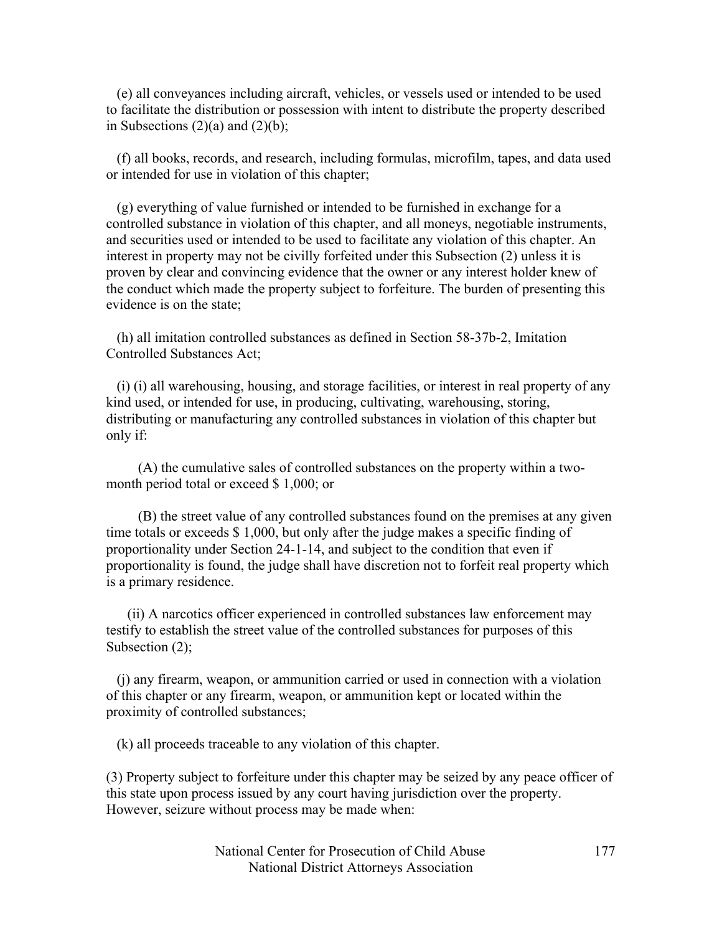(e) all conveyances including aircraft, vehicles, or vessels used or intended to be used to facilitate the distribution or possession with intent to distribute the property described in Subsections  $(2)(a)$  and  $(2)(b)$ ;

 (f) all books, records, and research, including formulas, microfilm, tapes, and data used or intended for use in violation of this chapter;

 (g) everything of value furnished or intended to be furnished in exchange for a controlled substance in violation of this chapter, and all moneys, negotiable instruments, and securities used or intended to be used to facilitate any violation of this chapter. An interest in property may not be civilly forfeited under this Subsection (2) unless it is proven by clear and convincing evidence that the owner or any interest holder knew of the conduct which made the property subject to forfeiture. The burden of presenting this evidence is on the state;

 (h) all imitation controlled substances as defined in Section 58-37b-2, Imitation Controlled Substances Act;

 (i) (i) all warehousing, housing, and storage facilities, or interest in real property of any kind used, or intended for use, in producing, cultivating, warehousing, storing, distributing or manufacturing any controlled substances in violation of this chapter but only if:

 (A) the cumulative sales of controlled substances on the property within a twomonth period total or exceed \$ 1,000; or

 (B) the street value of any controlled substances found on the premises at any given time totals or exceeds \$ 1,000, but only after the judge makes a specific finding of proportionality under Section 24-1-14, and subject to the condition that even if proportionality is found, the judge shall have discretion not to forfeit real property which is a primary residence.

 (ii) A narcotics officer experienced in controlled substances law enforcement may testify to establish the street value of the controlled substances for purposes of this Subsection  $(2)$ ;

 (j) any firearm, weapon, or ammunition carried or used in connection with a violation of this chapter or any firearm, weapon, or ammunition kept or located within the proximity of controlled substances;

(k) all proceeds traceable to any violation of this chapter.

(3) Property subject to forfeiture under this chapter may be seized by any peace officer of this state upon process issued by any court having jurisdiction over the property. However, seizure without process may be made when: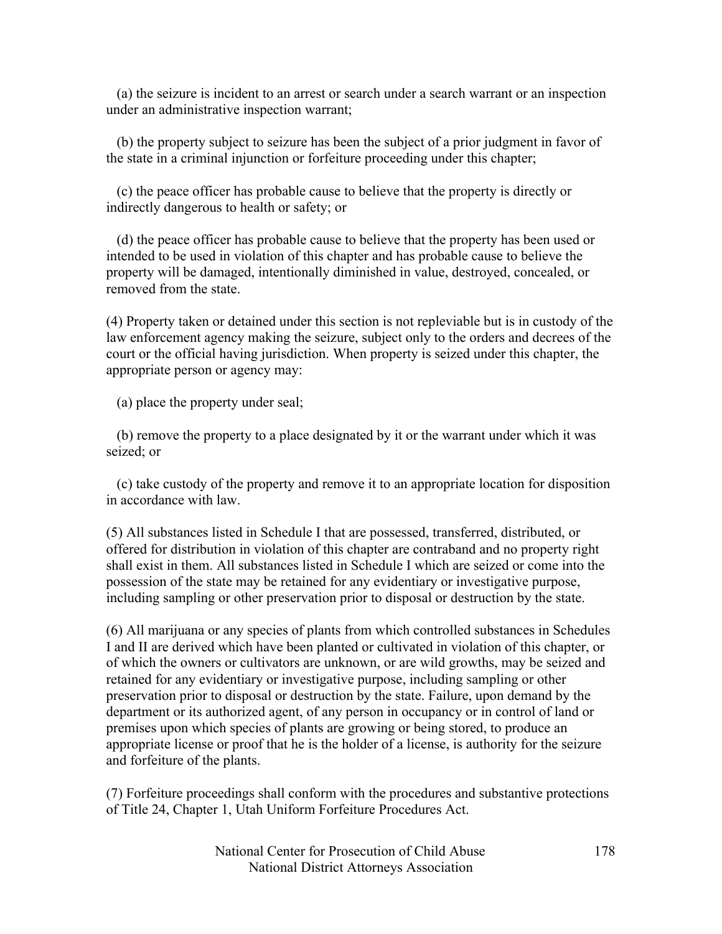(a) the seizure is incident to an arrest or search under a search warrant or an inspection under an administrative inspection warrant;

 (b) the property subject to seizure has been the subject of a prior judgment in favor of the state in a criminal injunction or forfeiture proceeding under this chapter;

 (c) the peace officer has probable cause to believe that the property is directly or indirectly dangerous to health or safety; or

 (d) the peace officer has probable cause to believe that the property has been used or intended to be used in violation of this chapter and has probable cause to believe the property will be damaged, intentionally diminished in value, destroyed, concealed, or removed from the state.

(4) Property taken or detained under this section is not repleviable but is in custody of the law enforcement agency making the seizure, subject only to the orders and decrees of the court or the official having jurisdiction. When property is seized under this chapter, the appropriate person or agency may:

(a) place the property under seal;

 (b) remove the property to a place designated by it or the warrant under which it was seized; or

 (c) take custody of the property and remove it to an appropriate location for disposition in accordance with law.

(5) All substances listed in Schedule I that are possessed, transferred, distributed, or offered for distribution in violation of this chapter are contraband and no property right shall exist in them. All substances listed in Schedule I which are seized or come into the possession of the state may be retained for any evidentiary or investigative purpose, including sampling or other preservation prior to disposal or destruction by the state.

(6) All marijuana or any species of plants from which controlled substances in Schedules I and II are derived which have been planted or cultivated in violation of this chapter, or of which the owners or cultivators are unknown, or are wild growths, may be seized and retained for any evidentiary or investigative purpose, including sampling or other preservation prior to disposal or destruction by the state. Failure, upon demand by the department or its authorized agent, of any person in occupancy or in control of land or premises upon which species of plants are growing or being stored, to produce an appropriate license or proof that he is the holder of a license, is authority for the seizure and forfeiture of the plants.

(7) Forfeiture proceedings shall conform with the procedures and substantive protections of Title 24, Chapter 1, Utah Uniform Forfeiture Procedures Act.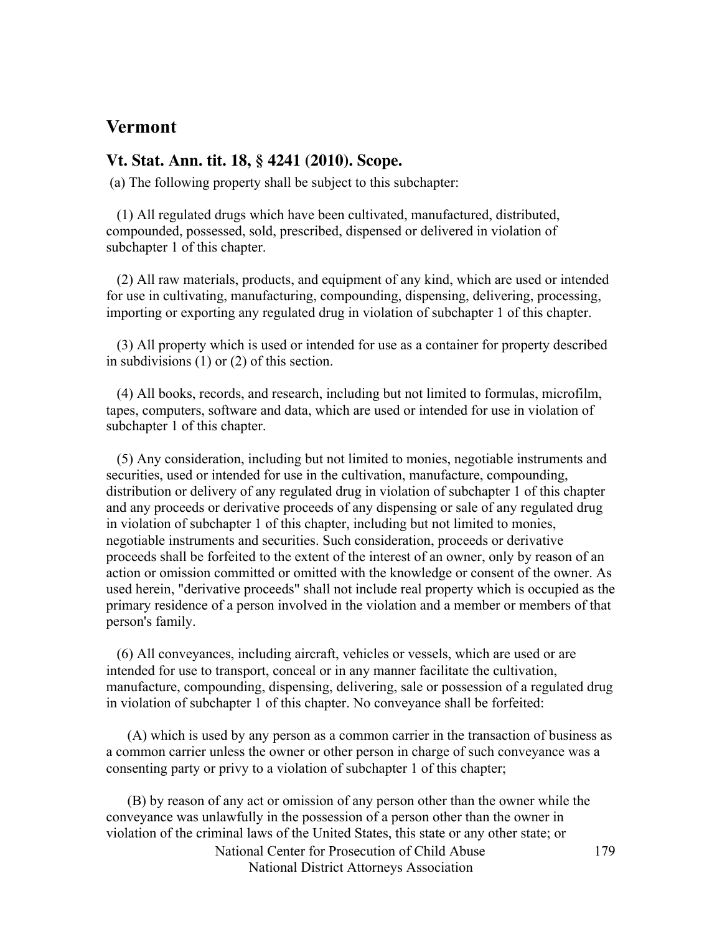## **Vermont**

#### **Vt. Stat. Ann. tit. 18, § 4241 (2010). Scope.**

(a) The following property shall be subject to this subchapter:

 (1) All regulated drugs which have been cultivated, manufactured, distributed, compounded, possessed, sold, prescribed, dispensed or delivered in violation of subchapter 1 of this chapter.

 (2) All raw materials, products, and equipment of any kind, which are used or intended for use in cultivating, manufacturing, compounding, dispensing, delivering, processing, importing or exporting any regulated drug in violation of subchapter 1 of this chapter.

 (3) All property which is used or intended for use as a container for property described in subdivisions (1) or (2) of this section.

 (4) All books, records, and research, including but not limited to formulas, microfilm, tapes, computers, software and data, which are used or intended for use in violation of subchapter 1 of this chapter.

 (5) Any consideration, including but not limited to monies, negotiable instruments and securities, used or intended for use in the cultivation, manufacture, compounding, distribution or delivery of any regulated drug in violation of subchapter 1 of this chapter and any proceeds or derivative proceeds of any dispensing or sale of any regulated drug in violation of subchapter 1 of this chapter, including but not limited to monies, negotiable instruments and securities. Such consideration, proceeds or derivative proceeds shall be forfeited to the extent of the interest of an owner, only by reason of an action or omission committed or omitted with the knowledge or consent of the owner. As used herein, "derivative proceeds" shall not include real property which is occupied as the primary residence of a person involved in the violation and a member or members of that person's family.

 (6) All conveyances, including aircraft, vehicles or vessels, which are used or are intended for use to transport, conceal or in any manner facilitate the cultivation, manufacture, compounding, dispensing, delivering, sale or possession of a regulated drug in violation of subchapter 1 of this chapter. No conveyance shall be forfeited:

 (A) which is used by any person as a common carrier in the transaction of business as a common carrier unless the owner or other person in charge of such conveyance was a consenting party or privy to a violation of subchapter 1 of this chapter;

National Center for Prosecution of Child Abuse National District Attorneys Association (B) by reason of any act or omission of any person other than the owner while the conveyance was unlawfully in the possession of a person other than the owner in violation of the criminal laws of the United States, this state or any other state; or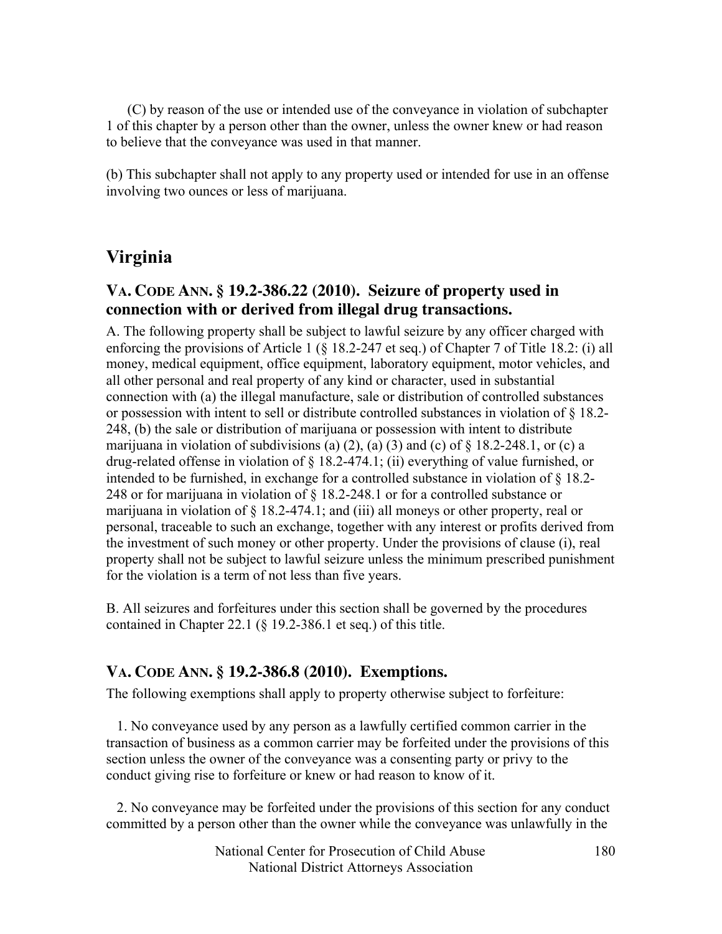(C) by reason of the use or intended use of the conveyance in violation of subchapter 1 of this chapter by a person other than the owner, unless the owner knew or had reason to believe that the conveyance was used in that manner.

(b) This subchapter shall not apply to any property used or intended for use in an offense involving two ounces or less of marijuana.

# **Virginia**

# **VA. CODE ANN. § 19.2-386.22 (2010). Seizure of property used in connection with or derived from illegal drug transactions.**

A. The following property shall be subject to lawful seizure by any officer charged with enforcing the provisions of Article 1 (§ 18.2-247 et seq.) of Chapter 7 of Title 18.2: (i) all money, medical equipment, office equipment, laboratory equipment, motor vehicles, and all other personal and real property of any kind or character, used in substantial connection with (a) the illegal manufacture, sale or distribution of controlled substances or possession with intent to sell or distribute controlled substances in violation of § 18.2- 248, (b) the sale or distribution of marijuana or possession with intent to distribute marijuana in violation of subdivisions (a) (2), (a) (3) and (c) of  $\S$  18.2-248.1, or (c) a drug-related offense in violation of § 18.2-474.1; (ii) everything of value furnished, or intended to be furnished, in exchange for a controlled substance in violation of § 18.2- 248 or for marijuana in violation of § 18.2-248.1 or for a controlled substance or marijuana in violation of § 18.2-474.1; and (iii) all moneys or other property, real or personal, traceable to such an exchange, together with any interest or profits derived from the investment of such money or other property. Under the provisions of clause (i), real property shall not be subject to lawful seizure unless the minimum prescribed punishment for the violation is a term of not less than five years.

B. All seizures and forfeitures under this section shall be governed by the procedures contained in Chapter 22.1 (§ 19.2-386.1 et seq.) of this title.

# **VA. CODE ANN. § 19.2-386.8 (2010). Exemptions.**

The following exemptions shall apply to property otherwise subject to forfeiture:

 1. No conveyance used by any person as a lawfully certified common carrier in the transaction of business as a common carrier may be forfeited under the provisions of this section unless the owner of the conveyance was a consenting party or privy to the conduct giving rise to forfeiture or knew or had reason to know of it.

 2. No conveyance may be forfeited under the provisions of this section for any conduct committed by a person other than the owner while the conveyance was unlawfully in the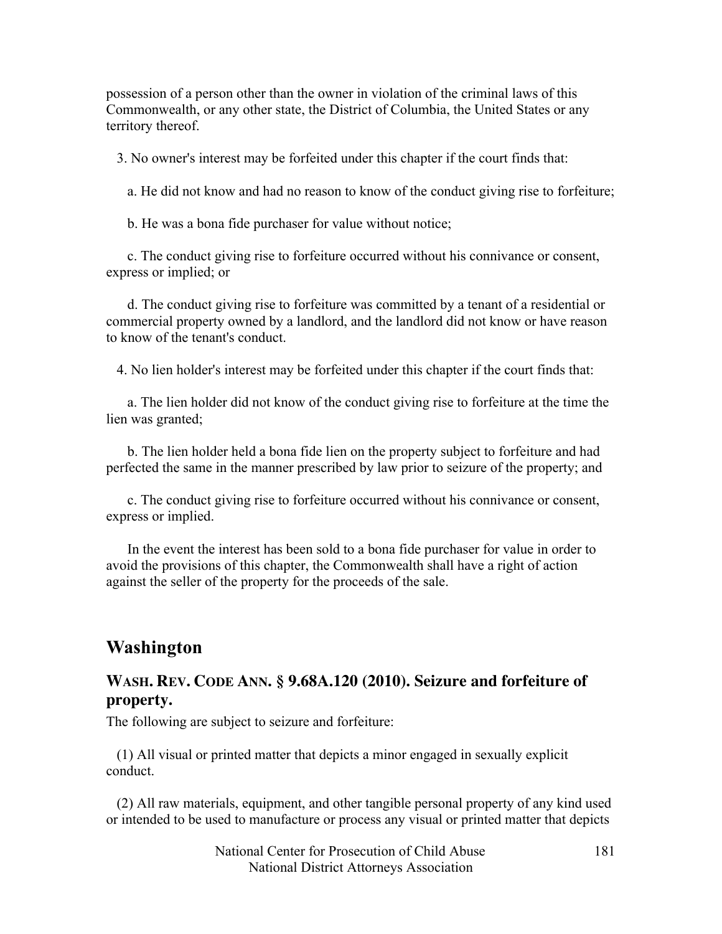possession of a person other than the owner in violation of the criminal laws of this Commonwealth, or any other state, the District of Columbia, the United States or any territory thereof.

3. No owner's interest may be forfeited under this chapter if the court finds that:

a. He did not know and had no reason to know of the conduct giving rise to forfeiture;

b. He was a bona fide purchaser for value without notice;

 c. The conduct giving rise to forfeiture occurred without his connivance or consent, express or implied; or

 d. The conduct giving rise to forfeiture was committed by a tenant of a residential or commercial property owned by a landlord, and the landlord did not know or have reason to know of the tenant's conduct.

4. No lien holder's interest may be forfeited under this chapter if the court finds that:

 a. The lien holder did not know of the conduct giving rise to forfeiture at the time the lien was granted;

 b. The lien holder held a bona fide lien on the property subject to forfeiture and had perfected the same in the manner prescribed by law prior to seizure of the property; and

 c. The conduct giving rise to forfeiture occurred without his connivance or consent, express or implied.

 In the event the interest has been sold to a bona fide purchaser for value in order to avoid the provisions of this chapter, the Commonwealth shall have a right of action against the seller of the property for the proceeds of the sale.

# **Washington**

#### **WASH. REV. CODE ANN. § 9.68A.120 (2010). Seizure and forfeiture of property.**

The following are subject to seizure and forfeiture:

 (1) All visual or printed matter that depicts a minor engaged in sexually explicit conduct.

 (2) All raw materials, equipment, and other tangible personal property of any kind used or intended to be used to manufacture or process any visual or printed matter that depicts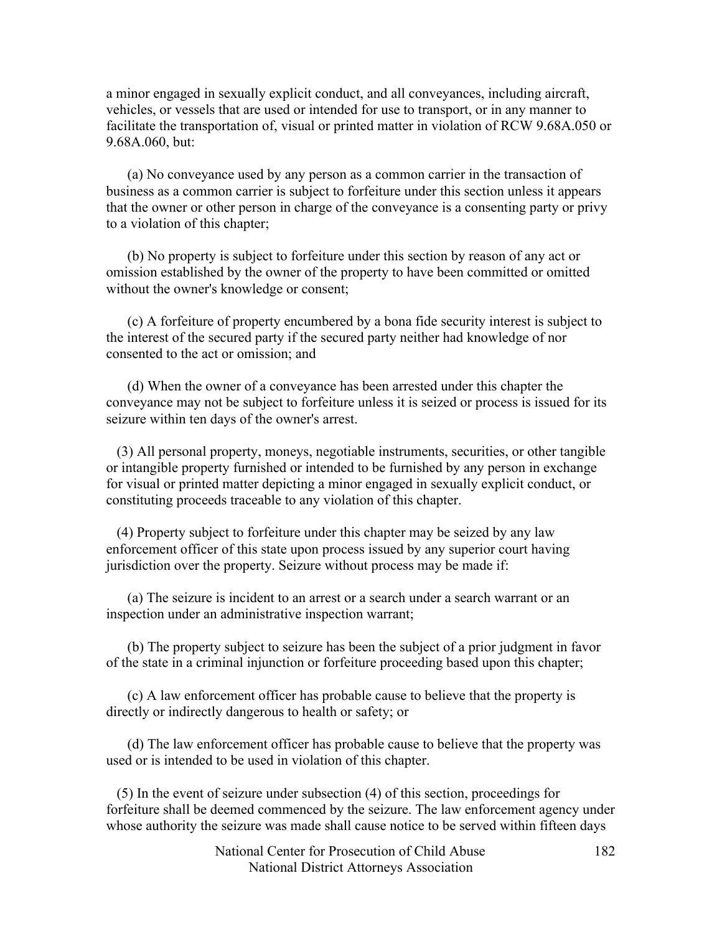a minor engaged in sexually explicit conduct, and all conveyances, including aircraft, vehicles, or vessels that are used or intended for use to transport, or in any manner to facilitate the transportation of, visual or printed matter in violation of RCW 9.68A.050 or 9.68A.060, but:

 (a) No conveyance used by any person as a common carrier in the transaction of business as a common carrier is subject to forfeiture under this section unless it appears that the owner or other person in charge of the conveyance is a consenting party or privy to a violation of this chapter;

 (b) No property is subject to forfeiture under this section by reason of any act or omission established by the owner of the property to have been committed or omitted without the owner's knowledge or consent;

 (c) A forfeiture of property encumbered by a bona fide security interest is subject to the interest of the secured party if the secured party neither had knowledge of nor consented to the act or omission; and

 (d) When the owner of a conveyance has been arrested under this chapter the conveyance may not be subject to forfeiture unless it is seized or process is issued for its seizure within ten days of the owner's arrest.

 (3) All personal property, moneys, negotiable instruments, securities, or other tangible or intangible property furnished or intended to be furnished by any person in exchange for visual or printed matter depicting a minor engaged in sexually explicit conduct, or constituting proceeds traceable to any violation of this chapter.

 (4) Property subject to forfeiture under this chapter may be seized by any law enforcement officer of this state upon process issued by any superior court having jurisdiction over the property. Seizure without process may be made if:

 (a) The seizure is incident to an arrest or a search under a search warrant or an inspection under an administrative inspection warrant;

 (b) The property subject to seizure has been the subject of a prior judgment in favor of the state in a criminal injunction or forfeiture proceeding based upon this chapter;

 (c) A law enforcement officer has probable cause to believe that the property is directly or indirectly dangerous to health or safety; or

 (d) The law enforcement officer has probable cause to believe that the property was used or is intended to be used in violation of this chapter.

 (5) In the event of seizure under subsection (4) of this section, proceedings for forfeiture shall be deemed commenced by the seizure. The law enforcement agency under whose authority the seizure was made shall cause notice to be served within fifteen days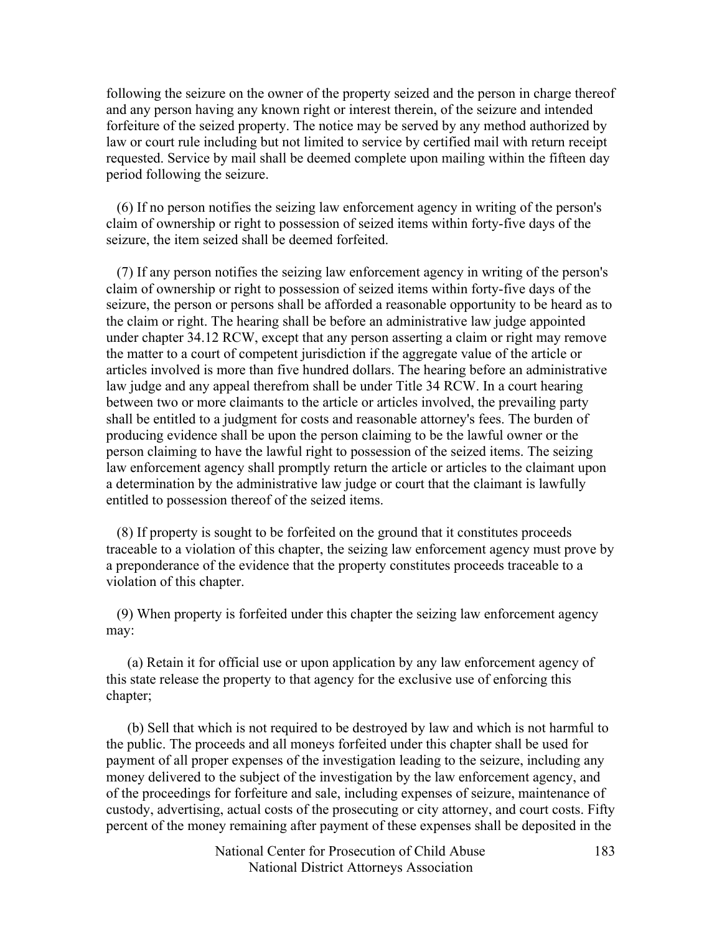following the seizure on the owner of the property seized and the person in charge thereof and any person having any known right or interest therein, of the seizure and intended forfeiture of the seized property. The notice may be served by any method authorized by law or court rule including but not limited to service by certified mail with return receipt requested. Service by mail shall be deemed complete upon mailing within the fifteen day period following the seizure.

 (6) If no person notifies the seizing law enforcement agency in writing of the person's claim of ownership or right to possession of seized items within forty-five days of the seizure, the item seized shall be deemed forfeited.

 (7) If any person notifies the seizing law enforcement agency in writing of the person's claim of ownership or right to possession of seized items within forty-five days of the seizure, the person or persons shall be afforded a reasonable opportunity to be heard as to the claim or right. The hearing shall be before an administrative law judge appointed under chapter 34.12 RCW, except that any person asserting a claim or right may remove the matter to a court of competent jurisdiction if the aggregate value of the article or articles involved is more than five hundred dollars. The hearing before an administrative law judge and any appeal therefrom shall be under Title 34 RCW. In a court hearing between two or more claimants to the article or articles involved, the prevailing party shall be entitled to a judgment for costs and reasonable attorney's fees. The burden of producing evidence shall be upon the person claiming to be the lawful owner or the person claiming to have the lawful right to possession of the seized items. The seizing law enforcement agency shall promptly return the article or articles to the claimant upon a determination by the administrative law judge or court that the claimant is lawfully entitled to possession thereof of the seized items.

 (8) If property is sought to be forfeited on the ground that it constitutes proceeds traceable to a violation of this chapter, the seizing law enforcement agency must prove by a preponderance of the evidence that the property constitutes proceeds traceable to a violation of this chapter.

 (9) When property is forfeited under this chapter the seizing law enforcement agency may:

 (a) Retain it for official use or upon application by any law enforcement agency of this state release the property to that agency for the exclusive use of enforcing this chapter;

 (b) Sell that which is not required to be destroyed by law and which is not harmful to the public. The proceeds and all moneys forfeited under this chapter shall be used for payment of all proper expenses of the investigation leading to the seizure, including any money delivered to the subject of the investigation by the law enforcement agency, and of the proceedings for forfeiture and sale, including expenses of seizure, maintenance of custody, advertising, actual costs of the prosecuting or city attorney, and court costs. Fifty percent of the money remaining after payment of these expenses shall be deposited in the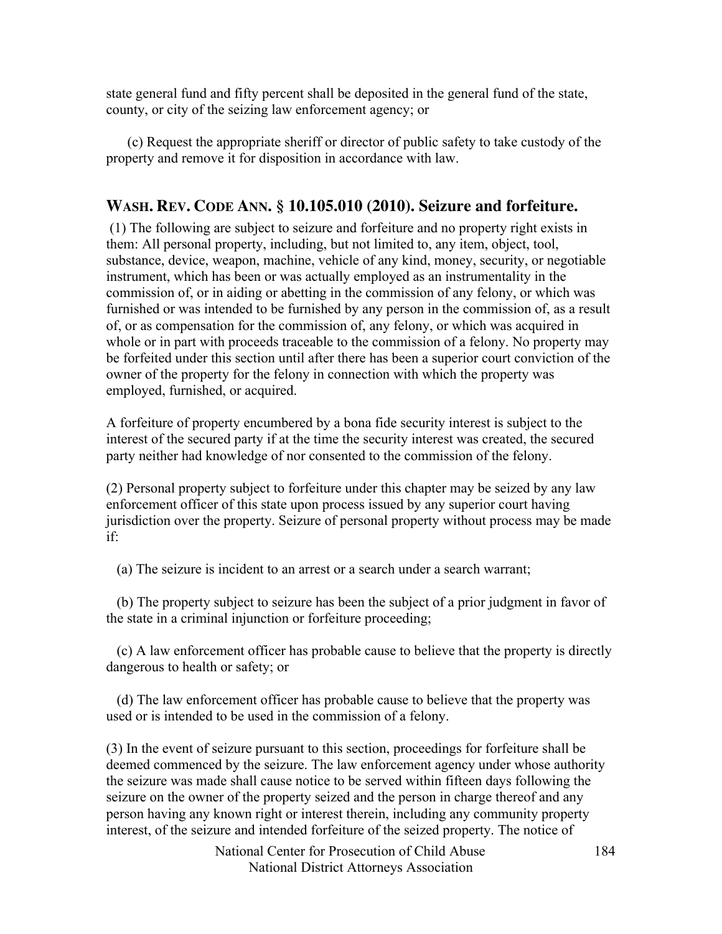state general fund and fifty percent shall be deposited in the general fund of the state, county, or city of the seizing law enforcement agency; or

 (c) Request the appropriate sheriff or director of public safety to take custody of the property and remove it for disposition in accordance with law.

#### **WASH. REV. CODE ANN. § 10.105.010 (2010). Seizure and forfeiture.**

(1) The following are subject to seizure and forfeiture and no property right exists in them: All personal property, including, but not limited to, any item, object, tool, substance, device, weapon, machine, vehicle of any kind, money, security, or negotiable instrument, which has been or was actually employed as an instrumentality in the commission of, or in aiding or abetting in the commission of any felony, or which was furnished or was intended to be furnished by any person in the commission of, as a result of, or as compensation for the commission of, any felony, or which was acquired in whole or in part with proceeds traceable to the commission of a felony. No property may be forfeited under this section until after there has been a superior court conviction of the owner of the property for the felony in connection with which the property was employed, furnished, or acquired.

A forfeiture of property encumbered by a bona fide security interest is subject to the interest of the secured party if at the time the security interest was created, the secured party neither had knowledge of nor consented to the commission of the felony.

(2) Personal property subject to forfeiture under this chapter may be seized by any law enforcement officer of this state upon process issued by any superior court having jurisdiction over the property. Seizure of personal property without process may be made if:

(a) The seizure is incident to an arrest or a search under a search warrant;

 (b) The property subject to seizure has been the subject of a prior judgment in favor of the state in a criminal injunction or forfeiture proceeding;

 (c) A law enforcement officer has probable cause to believe that the property is directly dangerous to health or safety; or

 (d) The law enforcement officer has probable cause to believe that the property was used or is intended to be used in the commission of a felony.

(3) In the event of seizure pursuant to this section, proceedings for forfeiture shall be deemed commenced by the seizure. The law enforcement agency under whose authority the seizure was made shall cause notice to be served within fifteen days following the seizure on the owner of the property seized and the person in charge thereof and any person having any known right or interest therein, including any community property interest, of the seizure and intended forfeiture of the seized property. The notice of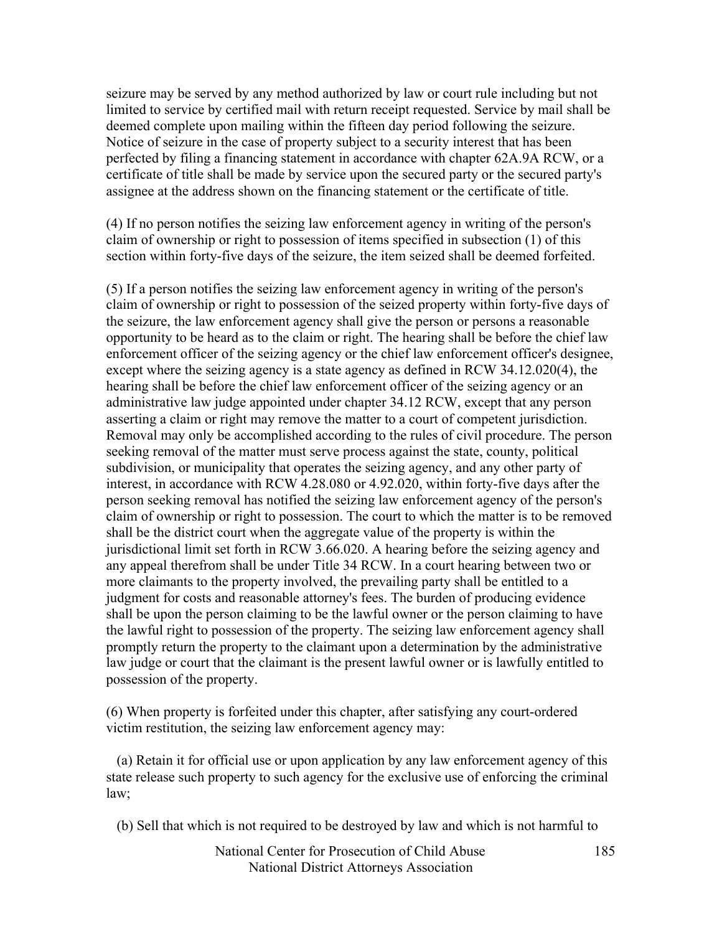seizure may be served by any method authorized by law or court rule including but not limited to service by certified mail with return receipt requested. Service by mail shall be deemed complete upon mailing within the fifteen day period following the seizure. Notice of seizure in the case of property subject to a security interest that has been perfected by filing a financing statement in accordance with chapter 62A.9A RCW, or a certificate of title shall be made by service upon the secured party or the secured party's assignee at the address shown on the financing statement or the certificate of title.

(4) If no person notifies the seizing law enforcement agency in writing of the person's claim of ownership or right to possession of items specified in subsection (1) of this section within forty-five days of the seizure, the item seized shall be deemed forfeited.

(5) If a person notifies the seizing law enforcement agency in writing of the person's claim of ownership or right to possession of the seized property within forty-five days of the seizure, the law enforcement agency shall give the person or persons a reasonable opportunity to be heard as to the claim or right. The hearing shall be before the chief law enforcement officer of the seizing agency or the chief law enforcement officer's designee, except where the seizing agency is a state agency as defined in RCW 34.12.020(4), the hearing shall be before the chief law enforcement officer of the seizing agency or an administrative law judge appointed under chapter 34.12 RCW, except that any person asserting a claim or right may remove the matter to a court of competent jurisdiction. Removal may only be accomplished according to the rules of civil procedure. The person seeking removal of the matter must serve process against the state, county, political subdivision, or municipality that operates the seizing agency, and any other party of interest, in accordance with RCW 4.28.080 or 4.92.020, within forty-five days after the person seeking removal has notified the seizing law enforcement agency of the person's claim of ownership or right to possession. The court to which the matter is to be removed shall be the district court when the aggregate value of the property is within the jurisdictional limit set forth in RCW 3.66.020. A hearing before the seizing agency and any appeal therefrom shall be under Title 34 RCW. In a court hearing between two or more claimants to the property involved, the prevailing party shall be entitled to a judgment for costs and reasonable attorney's fees. The burden of producing evidence shall be upon the person claiming to be the lawful owner or the person claiming to have the lawful right to possession of the property. The seizing law enforcement agency shall promptly return the property to the claimant upon a determination by the administrative law judge or court that the claimant is the present lawful owner or is lawfully entitled to possession of the property.

(6) When property is forfeited under this chapter, after satisfying any court-ordered victim restitution, the seizing law enforcement agency may:

 (a) Retain it for official use or upon application by any law enforcement agency of this state release such property to such agency for the exclusive use of enforcing the criminal law;

(b) Sell that which is not required to be destroyed by law and which is not harmful to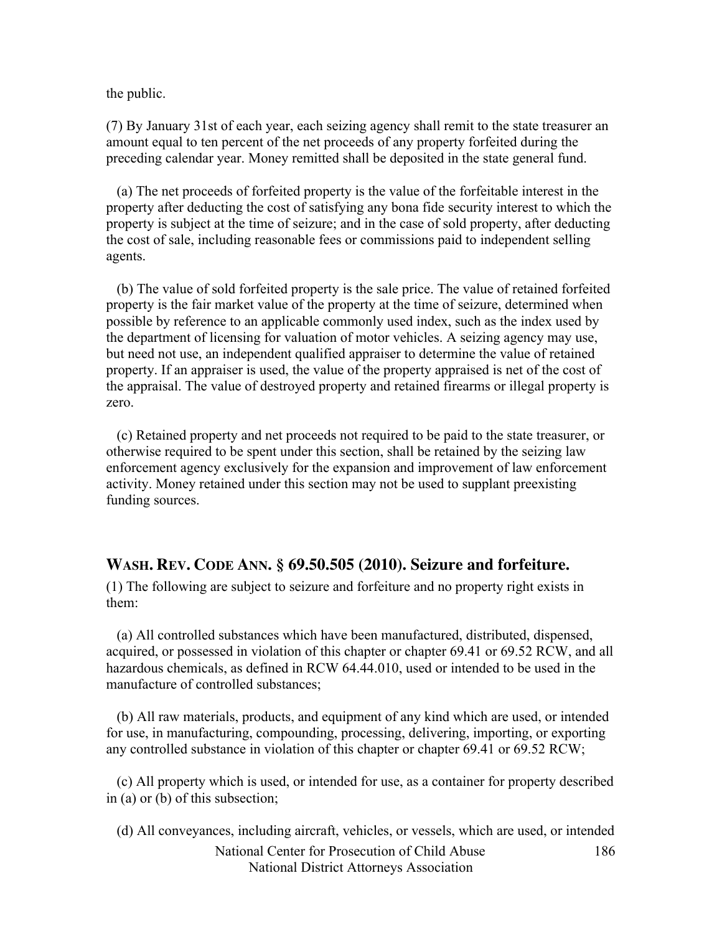the public.

(7) By January 31st of each year, each seizing agency shall remit to the state treasurer an amount equal to ten percent of the net proceeds of any property forfeited during the preceding calendar year. Money remitted shall be deposited in the state general fund.

 (a) The net proceeds of forfeited property is the value of the forfeitable interest in the property after deducting the cost of satisfying any bona fide security interest to which the property is subject at the time of seizure; and in the case of sold property, after deducting the cost of sale, including reasonable fees or commissions paid to independent selling agents.

 (b) The value of sold forfeited property is the sale price. The value of retained forfeited property is the fair market value of the property at the time of seizure, determined when possible by reference to an applicable commonly used index, such as the index used by the department of licensing for valuation of motor vehicles. A seizing agency may use, but need not use, an independent qualified appraiser to determine the value of retained property. If an appraiser is used, the value of the property appraised is net of the cost of the appraisal. The value of destroyed property and retained firearms or illegal property is zero.

 (c) Retained property and net proceeds not required to be paid to the state treasurer, or otherwise required to be spent under this section, shall be retained by the seizing law enforcement agency exclusively for the expansion and improvement of law enforcement activity. Money retained under this section may not be used to supplant preexisting funding sources.

#### **WASH. REV. CODE ANN. § 69.50.505 (2010). Seizure and forfeiture.**

(1) The following are subject to seizure and forfeiture and no property right exists in them:

 (a) All controlled substances which have been manufactured, distributed, dispensed, acquired, or possessed in violation of this chapter or chapter 69.41 or 69.52 RCW, and all hazardous chemicals, as defined in RCW 64.44.010, used or intended to be used in the manufacture of controlled substances;

 (b) All raw materials, products, and equipment of any kind which are used, or intended for use, in manufacturing, compounding, processing, delivering, importing, or exporting any controlled substance in violation of this chapter or chapter 69.41 or 69.52 RCW;

 (c) All property which is used, or intended for use, as a container for property described in (a) or (b) of this subsection;

(d) All conveyances, including aircraft, vehicles, or vessels, which are used, or intended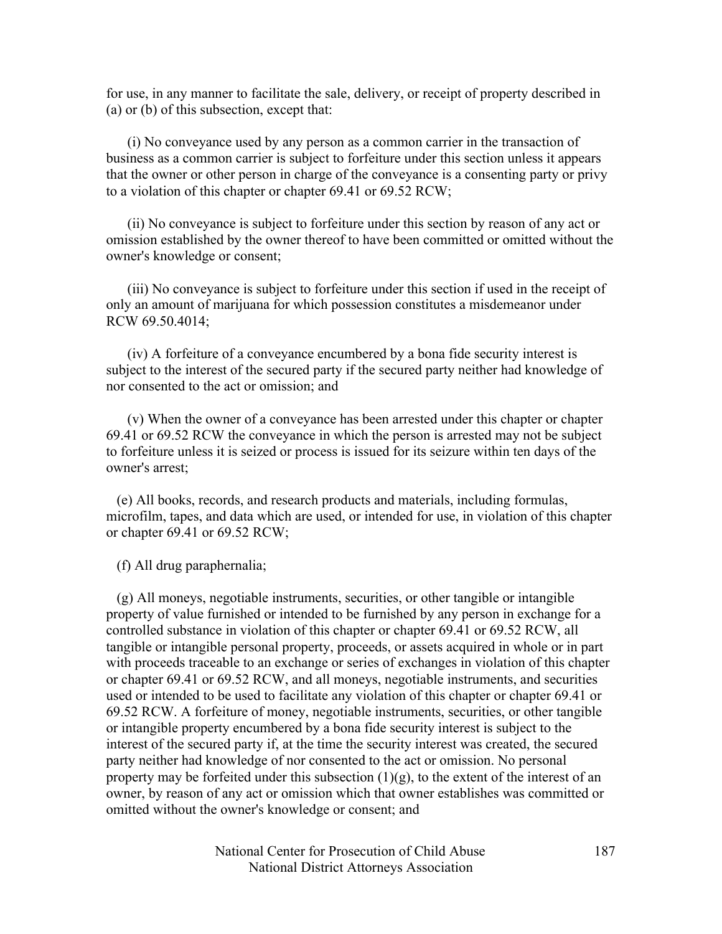for use, in any manner to facilitate the sale, delivery, or receipt of property described in (a) or (b) of this subsection, except that:

 (i) No conveyance used by any person as a common carrier in the transaction of business as a common carrier is subject to forfeiture under this section unless it appears that the owner or other person in charge of the conveyance is a consenting party or privy to a violation of this chapter or chapter 69.41 or 69.52 RCW;

 (ii) No conveyance is subject to forfeiture under this section by reason of any act or omission established by the owner thereof to have been committed or omitted without the owner's knowledge or consent;

 (iii) No conveyance is subject to forfeiture under this section if used in the receipt of only an amount of marijuana for which possession constitutes a misdemeanor under RCW 69.50.4014;

 (iv) A forfeiture of a conveyance encumbered by a bona fide security interest is subject to the interest of the secured party if the secured party neither had knowledge of nor consented to the act or omission; and

 (v) When the owner of a conveyance has been arrested under this chapter or chapter 69.41 or 69.52 RCW the conveyance in which the person is arrested may not be subject to forfeiture unless it is seized or process is issued for its seizure within ten days of the owner's arrest;

 (e) All books, records, and research products and materials, including formulas, microfilm, tapes, and data which are used, or intended for use, in violation of this chapter or chapter 69.41 or 69.52 RCW;

(f) All drug paraphernalia;

 (g) All moneys, negotiable instruments, securities, or other tangible or intangible property of value furnished or intended to be furnished by any person in exchange for a controlled substance in violation of this chapter or chapter 69.41 or 69.52 RCW, all tangible or intangible personal property, proceeds, or assets acquired in whole or in part with proceeds traceable to an exchange or series of exchanges in violation of this chapter or chapter 69.41 or 69.52 RCW, and all moneys, negotiable instruments, and securities used or intended to be used to facilitate any violation of this chapter or chapter 69.41 or 69.52 RCW. A forfeiture of money, negotiable instruments, securities, or other tangible or intangible property encumbered by a bona fide security interest is subject to the interest of the secured party if, at the time the security interest was created, the secured party neither had knowledge of nor consented to the act or omission. No personal property may be forfeited under this subsection  $(1)(g)$ , to the extent of the interest of an owner, by reason of any act or omission which that owner establishes was committed or omitted without the owner's knowledge or consent; and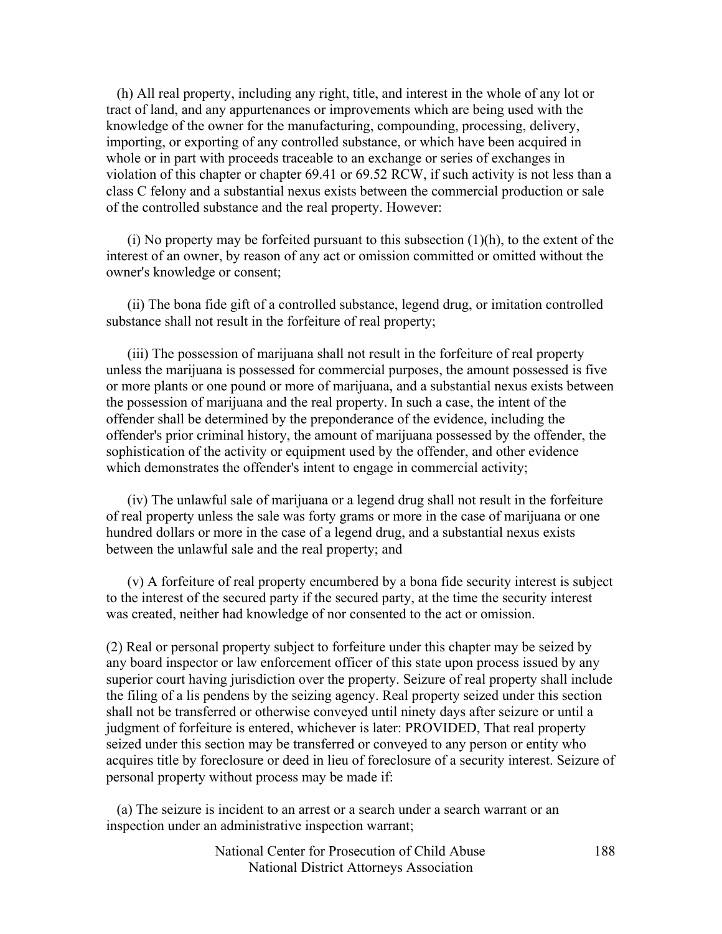(h) All real property, including any right, title, and interest in the whole of any lot or tract of land, and any appurtenances or improvements which are being used with the knowledge of the owner for the manufacturing, compounding, processing, delivery, importing, or exporting of any controlled substance, or which have been acquired in whole or in part with proceeds traceable to an exchange or series of exchanges in violation of this chapter or chapter 69.41 or 69.52 RCW, if such activity is not less than a class C felony and a substantial nexus exists between the commercial production or sale of the controlled substance and the real property. However:

 $(i)$  No property may be forfeited pursuant to this subsection  $(1)(h)$ , to the extent of the interest of an owner, by reason of any act or omission committed or omitted without the owner's knowledge or consent;

 (ii) The bona fide gift of a controlled substance, legend drug, or imitation controlled substance shall not result in the forfeiture of real property;

 (iii) The possession of marijuana shall not result in the forfeiture of real property unless the marijuana is possessed for commercial purposes, the amount possessed is five or more plants or one pound or more of marijuana, and a substantial nexus exists between the possession of marijuana and the real property. In such a case, the intent of the offender shall be determined by the preponderance of the evidence, including the offender's prior criminal history, the amount of marijuana possessed by the offender, the sophistication of the activity or equipment used by the offender, and other evidence which demonstrates the offender's intent to engage in commercial activity;

 (iv) The unlawful sale of marijuana or a legend drug shall not result in the forfeiture of real property unless the sale was forty grams or more in the case of marijuana or one hundred dollars or more in the case of a legend drug, and a substantial nexus exists between the unlawful sale and the real property; and

 (v) A forfeiture of real property encumbered by a bona fide security interest is subject to the interest of the secured party if the secured party, at the time the security interest was created, neither had knowledge of nor consented to the act or omission.

(2) Real or personal property subject to forfeiture under this chapter may be seized by any board inspector or law enforcement officer of this state upon process issued by any superior court having jurisdiction over the property. Seizure of real property shall include the filing of a lis pendens by the seizing agency. Real property seized under this section shall not be transferred or otherwise conveyed until ninety days after seizure or until a judgment of forfeiture is entered, whichever is later: PROVIDED, That real property seized under this section may be transferred or conveyed to any person or entity who acquires title by foreclosure or deed in lieu of foreclosure of a security interest. Seizure of personal property without process may be made if:

 (a) The seizure is incident to an arrest or a search under a search warrant or an inspection under an administrative inspection warrant;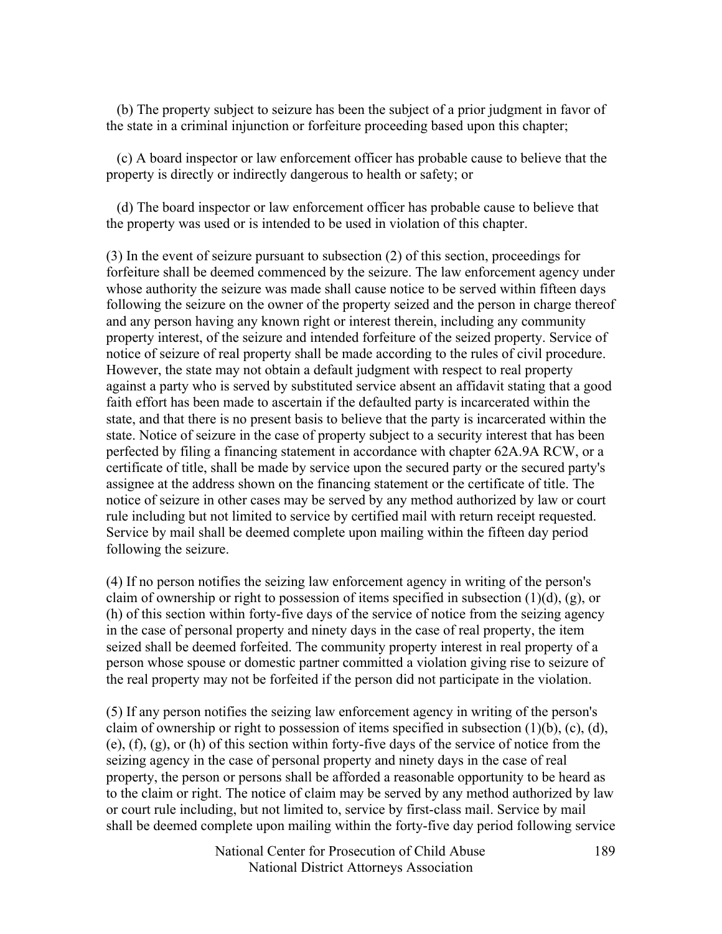(b) The property subject to seizure has been the subject of a prior judgment in favor of the state in a criminal injunction or forfeiture proceeding based upon this chapter;

 (c) A board inspector or law enforcement officer has probable cause to believe that the property is directly or indirectly dangerous to health or safety; or

 (d) The board inspector or law enforcement officer has probable cause to believe that the property was used or is intended to be used in violation of this chapter.

(3) In the event of seizure pursuant to subsection (2) of this section, proceedings for forfeiture shall be deemed commenced by the seizure. The law enforcement agency under whose authority the seizure was made shall cause notice to be served within fifteen days following the seizure on the owner of the property seized and the person in charge thereof and any person having any known right or interest therein, including any community property interest, of the seizure and intended forfeiture of the seized property. Service of notice of seizure of real property shall be made according to the rules of civil procedure. However, the state may not obtain a default judgment with respect to real property against a party who is served by substituted service absent an affidavit stating that a good faith effort has been made to ascertain if the defaulted party is incarcerated within the state, and that there is no present basis to believe that the party is incarcerated within the state. Notice of seizure in the case of property subject to a security interest that has been perfected by filing a financing statement in accordance with chapter 62A.9A RCW, or a certificate of title, shall be made by service upon the secured party or the secured party's assignee at the address shown on the financing statement or the certificate of title. The notice of seizure in other cases may be served by any method authorized by law or court rule including but not limited to service by certified mail with return receipt requested. Service by mail shall be deemed complete upon mailing within the fifteen day period following the seizure.

(4) If no person notifies the seizing law enforcement agency in writing of the person's claim of ownership or right to possession of items specified in subsection  $(1)(d)$ ,  $(g)$ , or (h) of this section within forty-five days of the service of notice from the seizing agency in the case of personal property and ninety days in the case of real property, the item seized shall be deemed forfeited. The community property interest in real property of a person whose spouse or domestic partner committed a violation giving rise to seizure of the real property may not be forfeited if the person did not participate in the violation.

(5) If any person notifies the seizing law enforcement agency in writing of the person's claim of ownership or right to possession of items specified in subsection (1)(b), (c), (d), (e), (f), (g), or (h) of this section within forty-five days of the service of notice from the seizing agency in the case of personal property and ninety days in the case of real property, the person or persons shall be afforded a reasonable opportunity to be heard as to the claim or right. The notice of claim may be served by any method authorized by law or court rule including, but not limited to, service by first-class mail. Service by mail shall be deemed complete upon mailing within the forty-five day period following service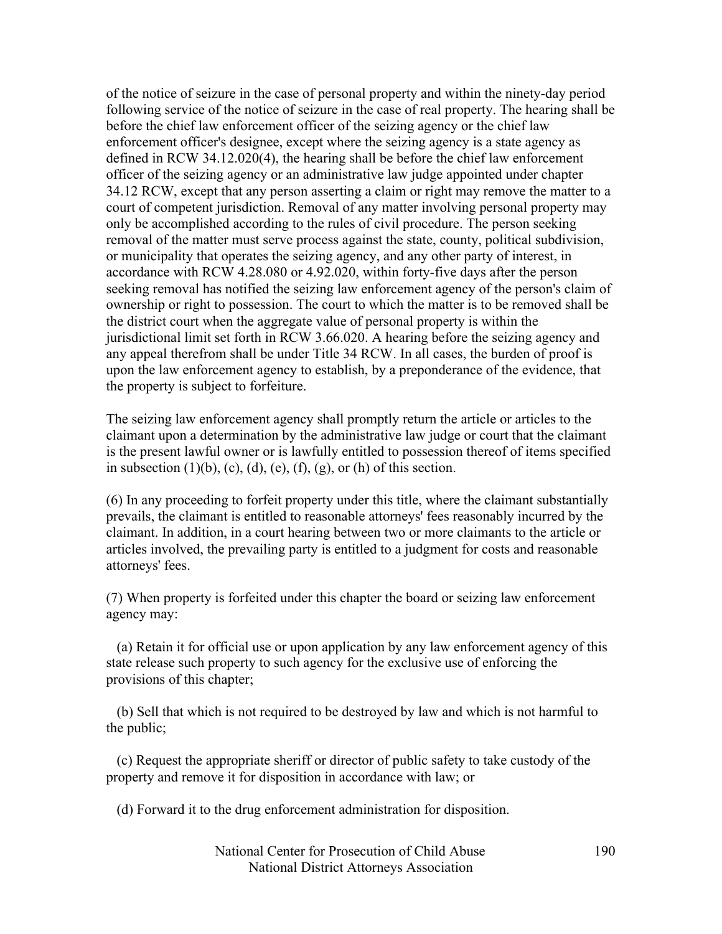of the notice of seizure in the case of personal property and within the ninety-day period following service of the notice of seizure in the case of real property. The hearing shall be before the chief law enforcement officer of the seizing agency or the chief law enforcement officer's designee, except where the seizing agency is a state agency as defined in RCW 34.12.020(4), the hearing shall be before the chief law enforcement officer of the seizing agency or an administrative law judge appointed under chapter 34.12 RCW, except that any person asserting a claim or right may remove the matter to a court of competent jurisdiction. Removal of any matter involving personal property may only be accomplished according to the rules of civil procedure. The person seeking removal of the matter must serve process against the state, county, political subdivision, or municipality that operates the seizing agency, and any other party of interest, in accordance with RCW 4.28.080 or 4.92.020, within forty-five days after the person seeking removal has notified the seizing law enforcement agency of the person's claim of ownership or right to possession. The court to which the matter is to be removed shall be the district court when the aggregate value of personal property is within the jurisdictional limit set forth in RCW 3.66.020. A hearing before the seizing agency and any appeal therefrom shall be under Title 34 RCW. In all cases, the burden of proof is upon the law enforcement agency to establish, by a preponderance of the evidence, that the property is subject to forfeiture.

The seizing law enforcement agency shall promptly return the article or articles to the claimant upon a determination by the administrative law judge or court that the claimant is the present lawful owner or is lawfully entitled to possession thereof of items specified in subsection  $(1)(b)$ ,  $(c)$ ,  $(d)$ ,  $(e)$ ,  $(f)$ ,  $(g)$ , or  $(h)$  of this section.

(6) In any proceeding to forfeit property under this title, where the claimant substantially prevails, the claimant is entitled to reasonable attorneys' fees reasonably incurred by the claimant. In addition, in a court hearing between two or more claimants to the article or articles involved, the prevailing party is entitled to a judgment for costs and reasonable attorneys' fees.

(7) When property is forfeited under this chapter the board or seizing law enforcement agency may:

 (a) Retain it for official use or upon application by any law enforcement agency of this state release such property to such agency for the exclusive use of enforcing the provisions of this chapter;

 (b) Sell that which is not required to be destroyed by law and which is not harmful to the public;

 (c) Request the appropriate sheriff or director of public safety to take custody of the property and remove it for disposition in accordance with law; or

(d) Forward it to the drug enforcement administration for disposition.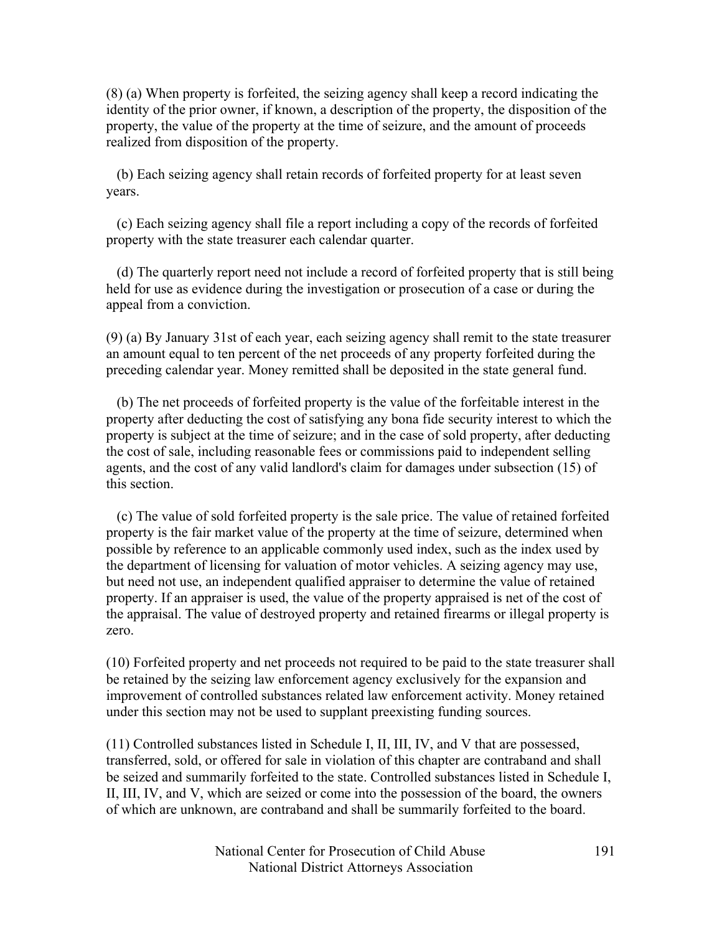(8) (a) When property is forfeited, the seizing agency shall keep a record indicating the identity of the prior owner, if known, a description of the property, the disposition of the property, the value of the property at the time of seizure, and the amount of proceeds realized from disposition of the property.

 (b) Each seizing agency shall retain records of forfeited property for at least seven years.

 (c) Each seizing agency shall file a report including a copy of the records of forfeited property with the state treasurer each calendar quarter.

 (d) The quarterly report need not include a record of forfeited property that is still being held for use as evidence during the investigation or prosecution of a case or during the appeal from a conviction.

(9) (a) By January 31st of each year, each seizing agency shall remit to the state treasurer an amount equal to ten percent of the net proceeds of any property forfeited during the preceding calendar year. Money remitted shall be deposited in the state general fund.

 (b) The net proceeds of forfeited property is the value of the forfeitable interest in the property after deducting the cost of satisfying any bona fide security interest to which the property is subject at the time of seizure; and in the case of sold property, after deducting the cost of sale, including reasonable fees or commissions paid to independent selling agents, and the cost of any valid landlord's claim for damages under subsection (15) of this section.

 (c) The value of sold forfeited property is the sale price. The value of retained forfeited property is the fair market value of the property at the time of seizure, determined when possible by reference to an applicable commonly used index, such as the index used by the department of licensing for valuation of motor vehicles. A seizing agency may use, but need not use, an independent qualified appraiser to determine the value of retained property. If an appraiser is used, the value of the property appraised is net of the cost of the appraisal. The value of destroyed property and retained firearms or illegal property is zero.

(10) Forfeited property and net proceeds not required to be paid to the state treasurer shall be retained by the seizing law enforcement agency exclusively for the expansion and improvement of controlled substances related law enforcement activity. Money retained under this section may not be used to supplant preexisting funding sources.

(11) Controlled substances listed in Schedule I, II, III, IV, and V that are possessed, transferred, sold, or offered for sale in violation of this chapter are contraband and shall be seized and summarily forfeited to the state. Controlled substances listed in Schedule I, II, III, IV, and V, which are seized or come into the possession of the board, the owners of which are unknown, are contraband and shall be summarily forfeited to the board.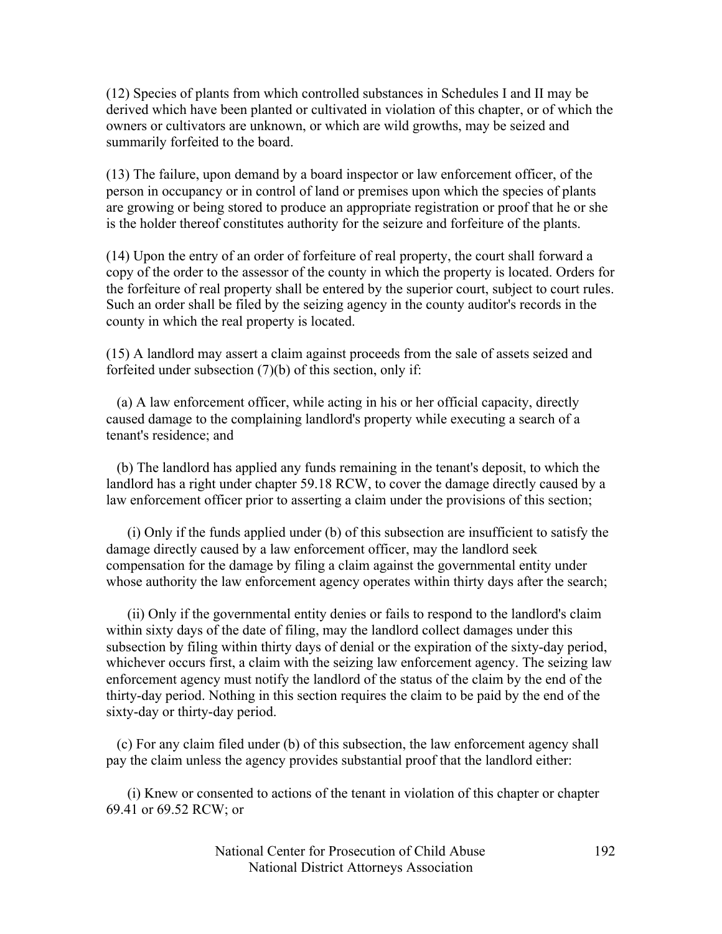(12) Species of plants from which controlled substances in Schedules I and II may be derived which have been planted or cultivated in violation of this chapter, or of which the owners or cultivators are unknown, or which are wild growths, may be seized and summarily forfeited to the board.

(13) The failure, upon demand by a board inspector or law enforcement officer, of the person in occupancy or in control of land or premises upon which the species of plants are growing or being stored to produce an appropriate registration or proof that he or she is the holder thereof constitutes authority for the seizure and forfeiture of the plants.

(14) Upon the entry of an order of forfeiture of real property, the court shall forward a copy of the order to the assessor of the county in which the property is located. Orders for the forfeiture of real property shall be entered by the superior court, subject to court rules. Such an order shall be filed by the seizing agency in the county auditor's records in the county in which the real property is located.

(15) A landlord may assert a claim against proceeds from the sale of assets seized and forfeited under subsection  $(7)(b)$  of this section, only if:

 (a) A law enforcement officer, while acting in his or her official capacity, directly caused damage to the complaining landlord's property while executing a search of a tenant's residence; and

 (b) The landlord has applied any funds remaining in the tenant's deposit, to which the landlord has a right under chapter 59.18 RCW, to cover the damage directly caused by a law enforcement officer prior to asserting a claim under the provisions of this section;

 (i) Only if the funds applied under (b) of this subsection are insufficient to satisfy the damage directly caused by a law enforcement officer, may the landlord seek compensation for the damage by filing a claim against the governmental entity under whose authority the law enforcement agency operates within thirty days after the search;

 (ii) Only if the governmental entity denies or fails to respond to the landlord's claim within sixty days of the date of filing, may the landlord collect damages under this subsection by filing within thirty days of denial or the expiration of the sixty-day period, whichever occurs first, a claim with the seizing law enforcement agency. The seizing law enforcement agency must notify the landlord of the status of the claim by the end of the thirty-day period. Nothing in this section requires the claim to be paid by the end of the sixty-day or thirty-day period.

 (c) For any claim filed under (b) of this subsection, the law enforcement agency shall pay the claim unless the agency provides substantial proof that the landlord either:

 (i) Knew or consented to actions of the tenant in violation of this chapter or chapter 69.41 or 69.52 RCW; or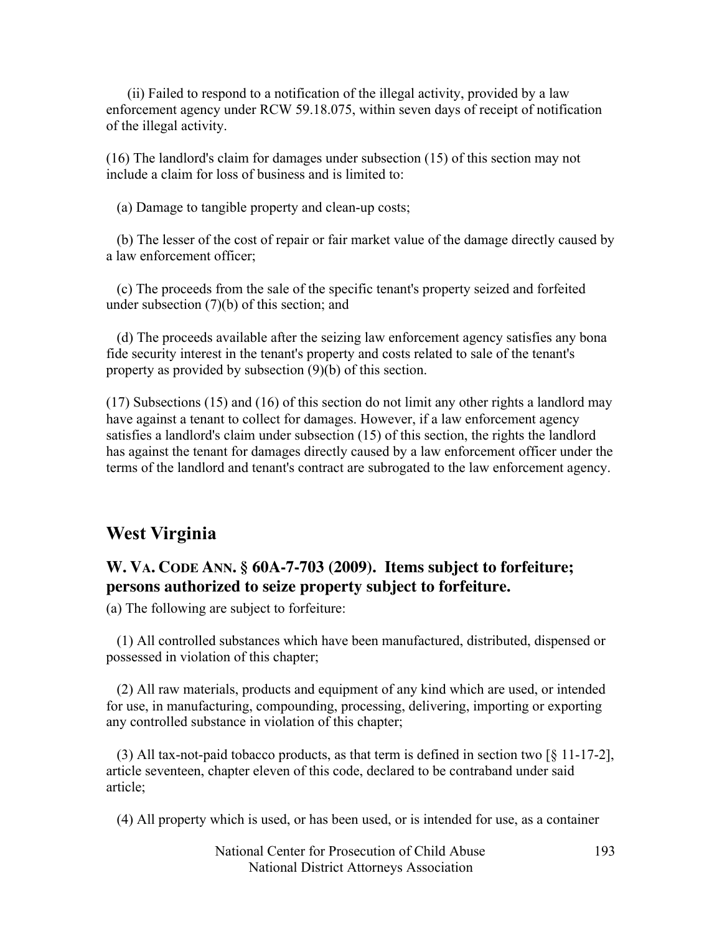(ii) Failed to respond to a notification of the illegal activity, provided by a law enforcement agency under RCW 59.18.075, within seven days of receipt of notification of the illegal activity.

(16) The landlord's claim for damages under subsection (15) of this section may not include a claim for loss of business and is limited to:

(a) Damage to tangible property and clean-up costs;

 (b) The lesser of the cost of repair or fair market value of the damage directly caused by a law enforcement officer;

 (c) The proceeds from the sale of the specific tenant's property seized and forfeited under subsection (7)(b) of this section; and

 (d) The proceeds available after the seizing law enforcement agency satisfies any bona fide security interest in the tenant's property and costs related to sale of the tenant's property as provided by subsection (9)(b) of this section.

(17) Subsections (15) and (16) of this section do not limit any other rights a landlord may have against a tenant to collect for damages. However, if a law enforcement agency satisfies a landlord's claim under subsection (15) of this section, the rights the landlord has against the tenant for damages directly caused by a law enforcement officer under the terms of the landlord and tenant's contract are subrogated to the law enforcement agency.

# **West Virginia**

## **W. VA. CODE ANN. § 60A-7-703 (2009). Items subject to forfeiture; persons authorized to seize property subject to forfeiture.**

(a) The following are subject to forfeiture:

 (1) All controlled substances which have been manufactured, distributed, dispensed or possessed in violation of this chapter;

 (2) All raw materials, products and equipment of any kind which are used, or intended for use, in manufacturing, compounding, processing, delivering, importing or exporting any controlled substance in violation of this chapter;

 (3) All tax-not-paid tobacco products, as that term is defined in section two [§ 11-17-2], article seventeen, chapter eleven of this code, declared to be contraband under said article;

(4) All property which is used, or has been used, or is intended for use, as a container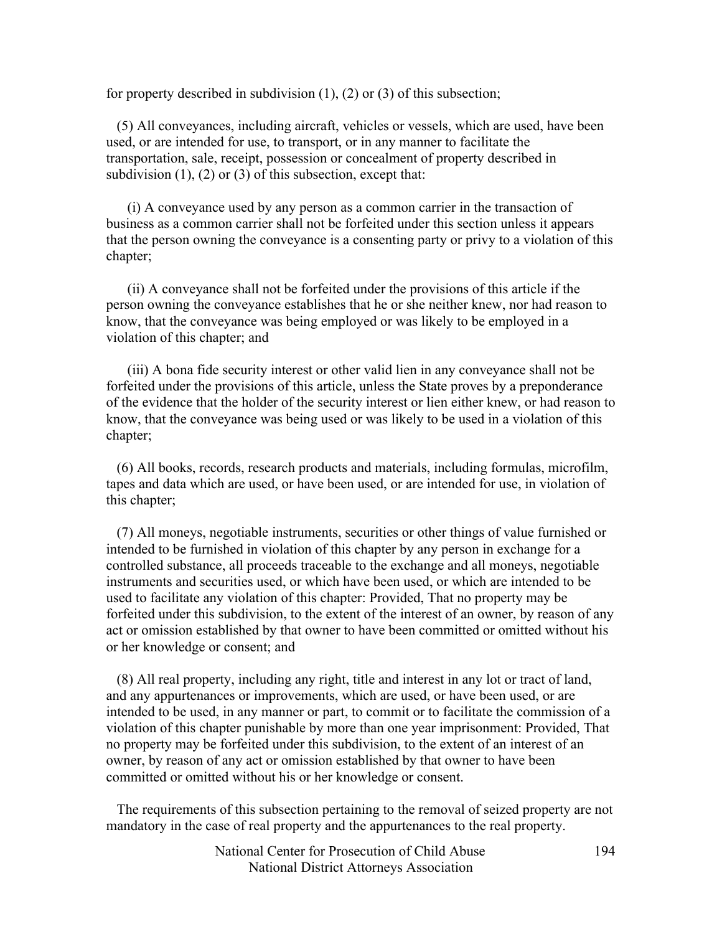for property described in subdivision  $(1)$ ,  $(2)$  or  $(3)$  of this subsection;

 (5) All conveyances, including aircraft, vehicles or vessels, which are used, have been used, or are intended for use, to transport, or in any manner to facilitate the transportation, sale, receipt, possession or concealment of property described in subdivision  $(1)$ ,  $(2)$  or  $(3)$  of this subsection, except that:

 (i) A conveyance used by any person as a common carrier in the transaction of business as a common carrier shall not be forfeited under this section unless it appears that the person owning the conveyance is a consenting party or privy to a violation of this chapter;

 (ii) A conveyance shall not be forfeited under the provisions of this article if the person owning the conveyance establishes that he or she neither knew, nor had reason to know, that the conveyance was being employed or was likely to be employed in a violation of this chapter; and

 (iii) A bona fide security interest or other valid lien in any conveyance shall not be forfeited under the provisions of this article, unless the State proves by a preponderance of the evidence that the holder of the security interest or lien either knew, or had reason to know, that the conveyance was being used or was likely to be used in a violation of this chapter;

 (6) All books, records, research products and materials, including formulas, microfilm, tapes and data which are used, or have been used, or are intended for use, in violation of this chapter;

 (7) All moneys, negotiable instruments, securities or other things of value furnished or intended to be furnished in violation of this chapter by any person in exchange for a controlled substance, all proceeds traceable to the exchange and all moneys, negotiable instruments and securities used, or which have been used, or which are intended to be used to facilitate any violation of this chapter: Provided, That no property may be forfeited under this subdivision, to the extent of the interest of an owner, by reason of any act or omission established by that owner to have been committed or omitted without his or her knowledge or consent; and

 (8) All real property, including any right, title and interest in any lot or tract of land, and any appurtenances or improvements, which are used, or have been used, or are intended to be used, in any manner or part, to commit or to facilitate the commission of a violation of this chapter punishable by more than one year imprisonment: Provided, That no property may be forfeited under this subdivision, to the extent of an interest of an owner, by reason of any act or omission established by that owner to have been committed or omitted without his or her knowledge or consent.

 The requirements of this subsection pertaining to the removal of seized property are not mandatory in the case of real property and the appurtenances to the real property.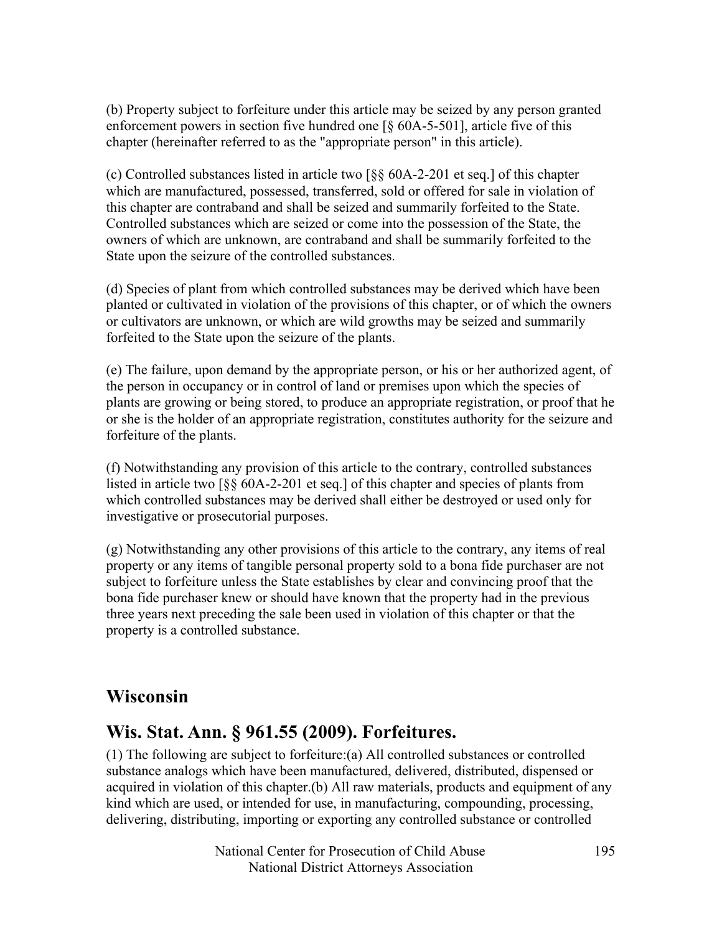(b) Property subject to forfeiture under this article may be seized by any person granted enforcement powers in section five hundred one [§ 60A-5-501], article five of this chapter (hereinafter referred to as the "appropriate person" in this article).

(c) Controlled substances listed in article two [§§ 60A-2-201 et seq.] of this chapter which are manufactured, possessed, transferred, sold or offered for sale in violation of this chapter are contraband and shall be seized and summarily forfeited to the State. Controlled substances which are seized or come into the possession of the State, the owners of which are unknown, are contraband and shall be summarily forfeited to the State upon the seizure of the controlled substances.

(d) Species of plant from which controlled substances may be derived which have been planted or cultivated in violation of the provisions of this chapter, or of which the owners or cultivators are unknown, or which are wild growths may be seized and summarily forfeited to the State upon the seizure of the plants.

(e) The failure, upon demand by the appropriate person, or his or her authorized agent, of the person in occupancy or in control of land or premises upon which the species of plants are growing or being stored, to produce an appropriate registration, or proof that he or she is the holder of an appropriate registration, constitutes authority for the seizure and forfeiture of the plants.

(f) Notwithstanding any provision of this article to the contrary, controlled substances listed in article two [§§ 60A-2-201 et seq.] of this chapter and species of plants from which controlled substances may be derived shall either be destroyed or used only for investigative or prosecutorial purposes.

(g) Notwithstanding any other provisions of this article to the contrary, any items of real property or any items of tangible personal property sold to a bona fide purchaser are not subject to forfeiture unless the State establishes by clear and convincing proof that the bona fide purchaser knew or should have known that the property had in the previous three years next preceding the sale been used in violation of this chapter or that the property is a controlled substance.

# **Wisconsin**

# **Wis. Stat. Ann. § 961.55 (2009). Forfeitures.**

(1) The following are subject to forfeiture:(a) All controlled substances or controlled substance analogs which have been manufactured, delivered, distributed, dispensed or acquired in violation of this chapter.(b) All raw materials, products and equipment of any kind which are used, or intended for use, in manufacturing, compounding, processing, delivering, distributing, importing or exporting any controlled substance or controlled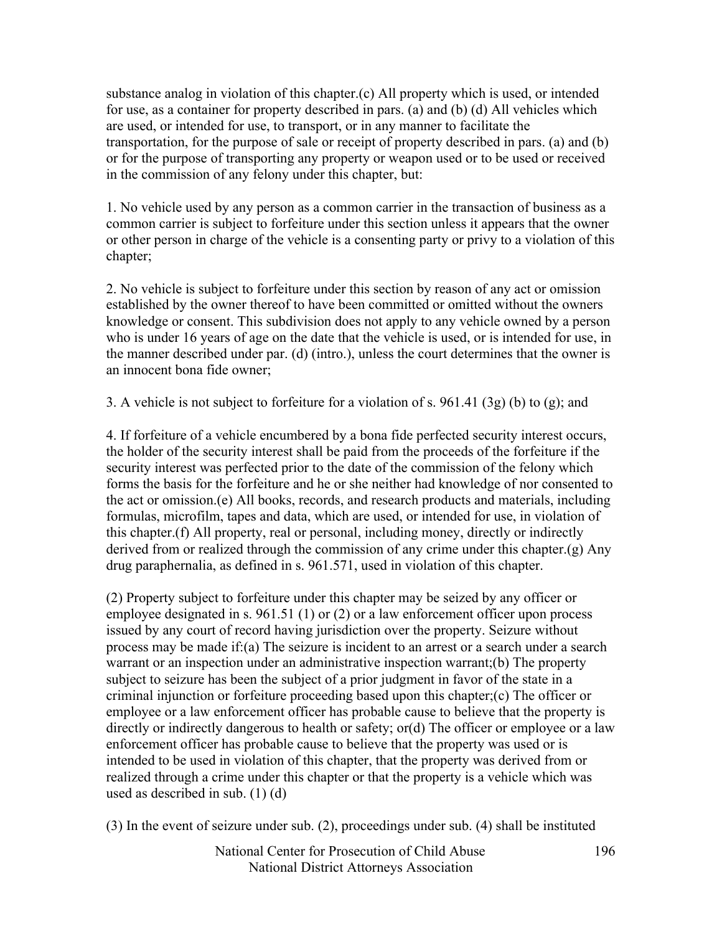substance analog in violation of this chapter.(c) All property which is used, or intended for use, as a container for property described in pars. (a) and (b) (d) All vehicles which are used, or intended for use, to transport, or in any manner to facilitate the transportation, for the purpose of sale or receipt of property described in pars. (a) and (b) or for the purpose of transporting any property or weapon used or to be used or received in the commission of any felony under this chapter, but:

1. No vehicle used by any person as a common carrier in the transaction of business as a common carrier is subject to forfeiture under this section unless it appears that the owner or other person in charge of the vehicle is a consenting party or privy to a violation of this chapter;

2. No vehicle is subject to forfeiture under this section by reason of any act or omission established by the owner thereof to have been committed or omitted without the owners knowledge or consent. This subdivision does not apply to any vehicle owned by a person who is under 16 years of age on the date that the vehicle is used, or is intended for use, in the manner described under par. (d) (intro.), unless the court determines that the owner is an innocent bona fide owner;

3. A vehicle is not subject to forfeiture for a violation of s. 961.41 (3g) (b) to (g); and

4. If forfeiture of a vehicle encumbered by a bona fide perfected security interest occurs, the holder of the security interest shall be paid from the proceeds of the forfeiture if the security interest was perfected prior to the date of the commission of the felony which forms the basis for the forfeiture and he or she neither had knowledge of nor consented to the act or omission.(e) All books, records, and research products and materials, including formulas, microfilm, tapes and data, which are used, or intended for use, in violation of this chapter.(f) All property, real or personal, including money, directly or indirectly derived from or realized through the commission of any crime under this chapter.(g) Any drug paraphernalia, as defined in s. 961.571, used in violation of this chapter.

(2) Property subject to forfeiture under this chapter may be seized by any officer or employee designated in s. 961.51 (1) or (2) or a law enforcement officer upon process issued by any court of record having jurisdiction over the property. Seizure without process may be made if:(a) The seizure is incident to an arrest or a search under a search warrant or an inspection under an administrative inspection warrant;(b) The property subject to seizure has been the subject of a prior judgment in favor of the state in a criminal injunction or forfeiture proceeding based upon this chapter;(c) The officer or employee or a law enforcement officer has probable cause to believe that the property is directly or indirectly dangerous to health or safety; or(d) The officer or employee or a law enforcement officer has probable cause to believe that the property was used or is intended to be used in violation of this chapter, that the property was derived from or realized through a crime under this chapter or that the property is a vehicle which was used as described in sub. (1) (d)

(3) In the event of seizure under sub. (2), proceedings under sub. (4) shall be instituted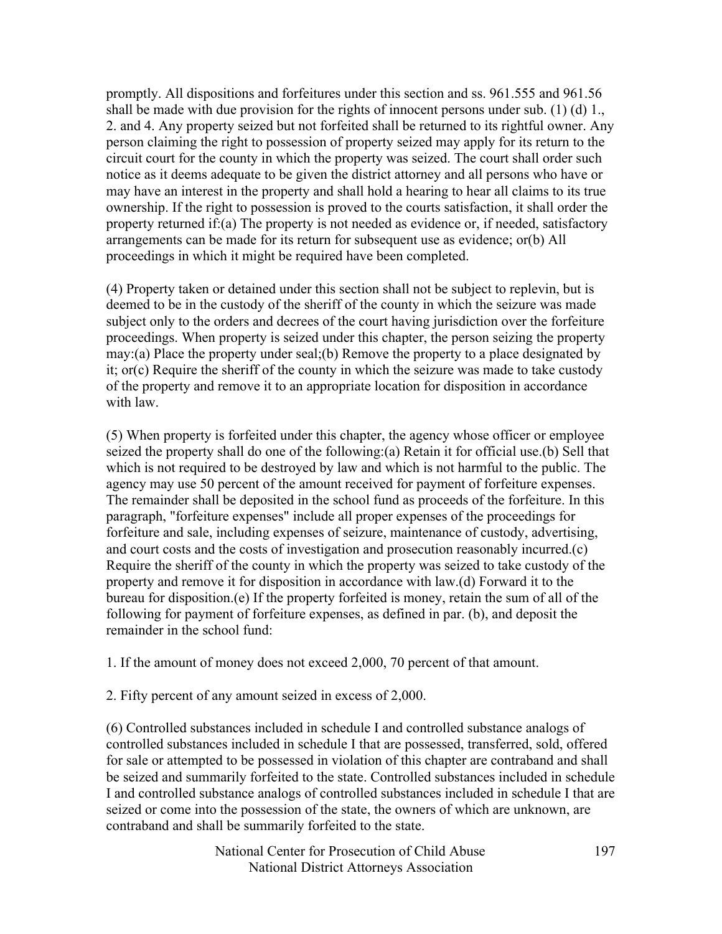promptly. All dispositions and forfeitures under this section and ss. 961.555 and 961.56 shall be made with due provision for the rights of innocent persons under sub. (1) (d) 1., 2. and 4. Any property seized but not forfeited shall be returned to its rightful owner. Any person claiming the right to possession of property seized may apply for its return to the circuit court for the county in which the property was seized. The court shall order such notice as it deems adequate to be given the district attorney and all persons who have or may have an interest in the property and shall hold a hearing to hear all claims to its true ownership. If the right to possession is proved to the courts satisfaction, it shall order the property returned if:(a) The property is not needed as evidence or, if needed, satisfactory arrangements can be made for its return for subsequent use as evidence; or(b) All proceedings in which it might be required have been completed.

(4) Property taken or detained under this section shall not be subject to replevin, but is deemed to be in the custody of the sheriff of the county in which the seizure was made subject only to the orders and decrees of the court having jurisdiction over the forfeiture proceedings. When property is seized under this chapter, the person seizing the property may:(a) Place the property under seal;(b) Remove the property to a place designated by it; or(c) Require the sheriff of the county in which the seizure was made to take custody of the property and remove it to an appropriate location for disposition in accordance with law.

(5) When property is forfeited under this chapter, the agency whose officer or employee seized the property shall do one of the following:(a) Retain it for official use.(b) Sell that which is not required to be destroyed by law and which is not harmful to the public. The agency may use 50 percent of the amount received for payment of forfeiture expenses. The remainder shall be deposited in the school fund as proceeds of the forfeiture. In this paragraph, "forfeiture expenses" include all proper expenses of the proceedings for forfeiture and sale, including expenses of seizure, maintenance of custody, advertising, and court costs and the costs of investigation and prosecution reasonably incurred.(c) Require the sheriff of the county in which the property was seized to take custody of the property and remove it for disposition in accordance with law.(d) Forward it to the bureau for disposition.(e) If the property forfeited is money, retain the sum of all of the following for payment of forfeiture expenses, as defined in par. (b), and deposit the remainder in the school fund:

1. If the amount of money does not exceed 2,000, 70 percent of that amount.

2. Fifty percent of any amount seized in excess of 2,000.

(6) Controlled substances included in schedule I and controlled substance analogs of controlled substances included in schedule I that are possessed, transferred, sold, offered for sale or attempted to be possessed in violation of this chapter are contraband and shall be seized and summarily forfeited to the state. Controlled substances included in schedule I and controlled substance analogs of controlled substances included in schedule I that are seized or come into the possession of the state, the owners of which are unknown, are contraband and shall be summarily forfeited to the state.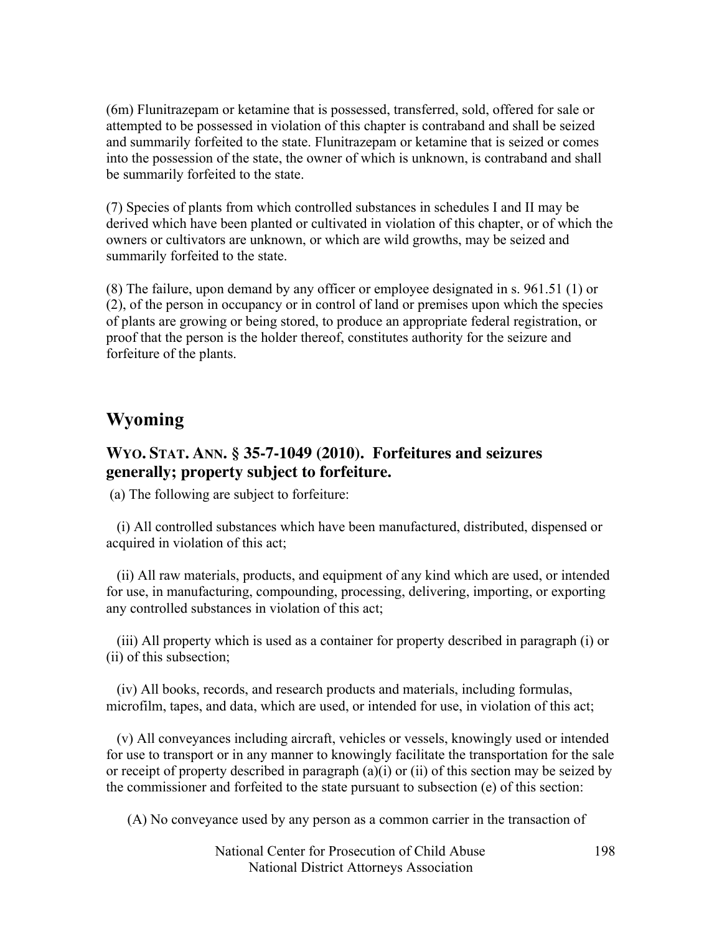(6m) Flunitrazepam or ketamine that is possessed, transferred, sold, offered for sale or attempted to be possessed in violation of this chapter is contraband and shall be seized and summarily forfeited to the state. Flunitrazepam or ketamine that is seized or comes into the possession of the state, the owner of which is unknown, is contraband and shall be summarily forfeited to the state.

(7) Species of plants from which controlled substances in schedules I and II may be derived which have been planted or cultivated in violation of this chapter, or of which the owners or cultivators are unknown, or which are wild growths, may be seized and summarily forfeited to the state.

(8) The failure, upon demand by any officer or employee designated in s. 961.51 (1) or (2), of the person in occupancy or in control of land or premises upon which the species of plants are growing or being stored, to produce an appropriate federal registration, or proof that the person is the holder thereof, constitutes authority for the seizure and forfeiture of the plants.

## **Wyoming**

#### **WYO. STAT. ANN. § 35-7-1049 (2010). Forfeitures and seizures generally; property subject to forfeiture.**

(a) The following are subject to forfeiture:

 (i) All controlled substances which have been manufactured, distributed, dispensed or acquired in violation of this act;

 (ii) All raw materials, products, and equipment of any kind which are used, or intended for use, in manufacturing, compounding, processing, delivering, importing, or exporting any controlled substances in violation of this act;

 (iii) All property which is used as a container for property described in paragraph (i) or (ii) of this subsection;

 (iv) All books, records, and research products and materials, including formulas, microfilm, tapes, and data, which are used, or intended for use, in violation of this act;

 (v) All conveyances including aircraft, vehicles or vessels, knowingly used or intended for use to transport or in any manner to knowingly facilitate the transportation for the sale or receipt of property described in paragraph (a)(i) or (ii) of this section may be seized by the commissioner and forfeited to the state pursuant to subsection (e) of this section:

(A) No conveyance used by any person as a common carrier in the transaction of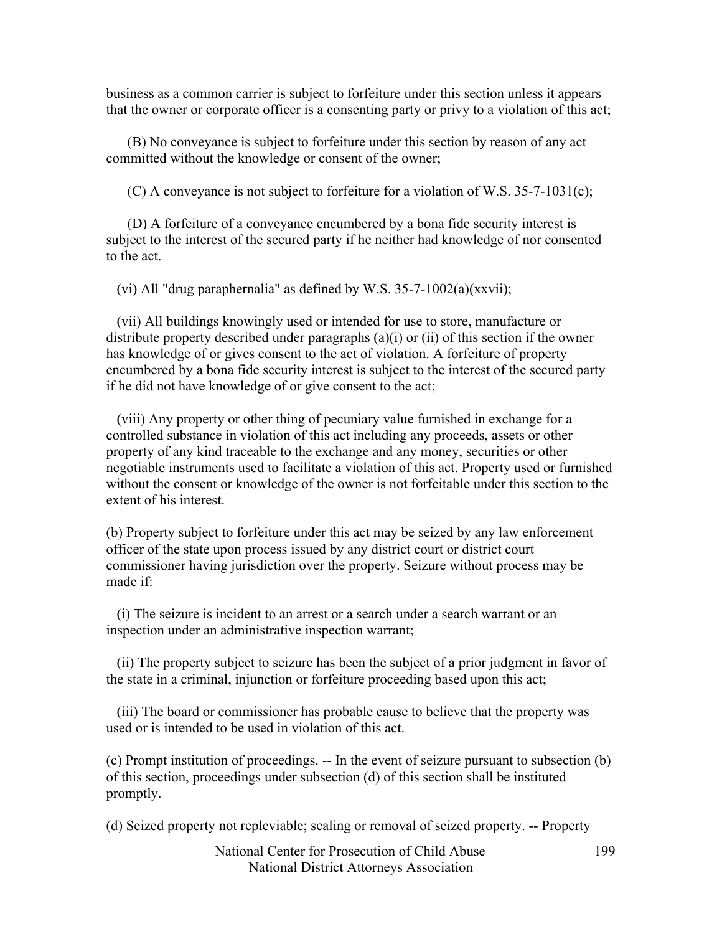business as a common carrier is subject to forfeiture under this section unless it appears that the owner or corporate officer is a consenting party or privy to a violation of this act;

 (B) No conveyance is subject to forfeiture under this section by reason of any act committed without the knowledge or consent of the owner;

(C) A conveyance is not subject to forfeiture for a violation of W.S. 35-7-1031(c);

 (D) A forfeiture of a conveyance encumbered by a bona fide security interest is subject to the interest of the secured party if he neither had knowledge of nor consented to the act.

(vi) All "drug paraphernalia" as defined by W.S.  $35-7-1002(a)(xxvii)$ ;

 (vii) All buildings knowingly used or intended for use to store, manufacture or distribute property described under paragraphs (a)(i) or (ii) of this section if the owner has knowledge of or gives consent to the act of violation. A forfeiture of property encumbered by a bona fide security interest is subject to the interest of the secured party if he did not have knowledge of or give consent to the act;

 (viii) Any property or other thing of pecuniary value furnished in exchange for a controlled substance in violation of this act including any proceeds, assets or other property of any kind traceable to the exchange and any money, securities or other negotiable instruments used to facilitate a violation of this act. Property used or furnished without the consent or knowledge of the owner is not forfeitable under this section to the extent of his interest.

(b) Property subject to forfeiture under this act may be seized by any law enforcement officer of the state upon process issued by any district court or district court commissioner having jurisdiction over the property. Seizure without process may be made if:

 (i) The seizure is incident to an arrest or a search under a search warrant or an inspection under an administrative inspection warrant;

 (ii) The property subject to seizure has been the subject of a prior judgment in favor of the state in a criminal, injunction or forfeiture proceeding based upon this act;

 (iii) The board or commissioner has probable cause to believe that the property was used or is intended to be used in violation of this act.

(c) Prompt institution of proceedings. -- In the event of seizure pursuant to subsection (b) of this section, proceedings under subsection (d) of this section shall be instituted promptly.

(d) Seized property not repleviable; sealing or removal of seized property. -- Property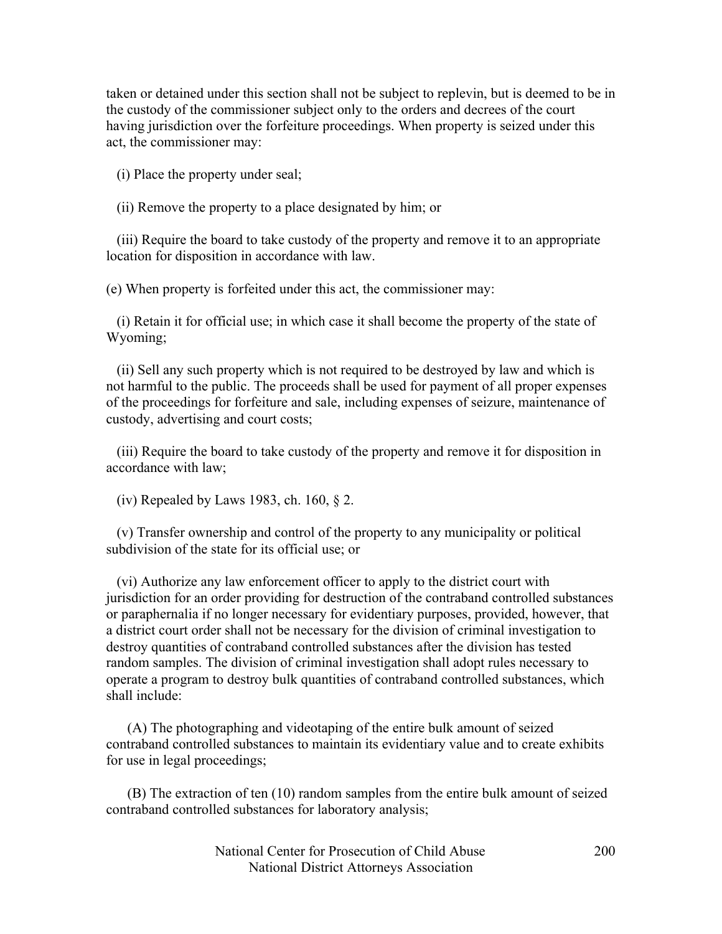taken or detained under this section shall not be subject to replevin, but is deemed to be in the custody of the commissioner subject only to the orders and decrees of the court having jurisdiction over the forfeiture proceedings. When property is seized under this act, the commissioner may:

(i) Place the property under seal;

(ii) Remove the property to a place designated by him; or

 (iii) Require the board to take custody of the property and remove it to an appropriate location for disposition in accordance with law.

(e) When property is forfeited under this act, the commissioner may:

 (i) Retain it for official use; in which case it shall become the property of the state of Wyoming;

 (ii) Sell any such property which is not required to be destroyed by law and which is not harmful to the public. The proceeds shall be used for payment of all proper expenses of the proceedings for forfeiture and sale, including expenses of seizure, maintenance of custody, advertising and court costs;

 (iii) Require the board to take custody of the property and remove it for disposition in accordance with law;

(iv) Repealed by Laws 1983, ch. 160, § 2.

 (v) Transfer ownership and control of the property to any municipality or political subdivision of the state for its official use; or

 (vi) Authorize any law enforcement officer to apply to the district court with jurisdiction for an order providing for destruction of the contraband controlled substances or paraphernalia if no longer necessary for evidentiary purposes, provided, however, that a district court order shall not be necessary for the division of criminal investigation to destroy quantities of contraband controlled substances after the division has tested random samples. The division of criminal investigation shall adopt rules necessary to operate a program to destroy bulk quantities of contraband controlled substances, which shall include:

 (A) The photographing and videotaping of the entire bulk amount of seized contraband controlled substances to maintain its evidentiary value and to create exhibits for use in legal proceedings;

 (B) The extraction of ten (10) random samples from the entire bulk amount of seized contraband controlled substances for laboratory analysis;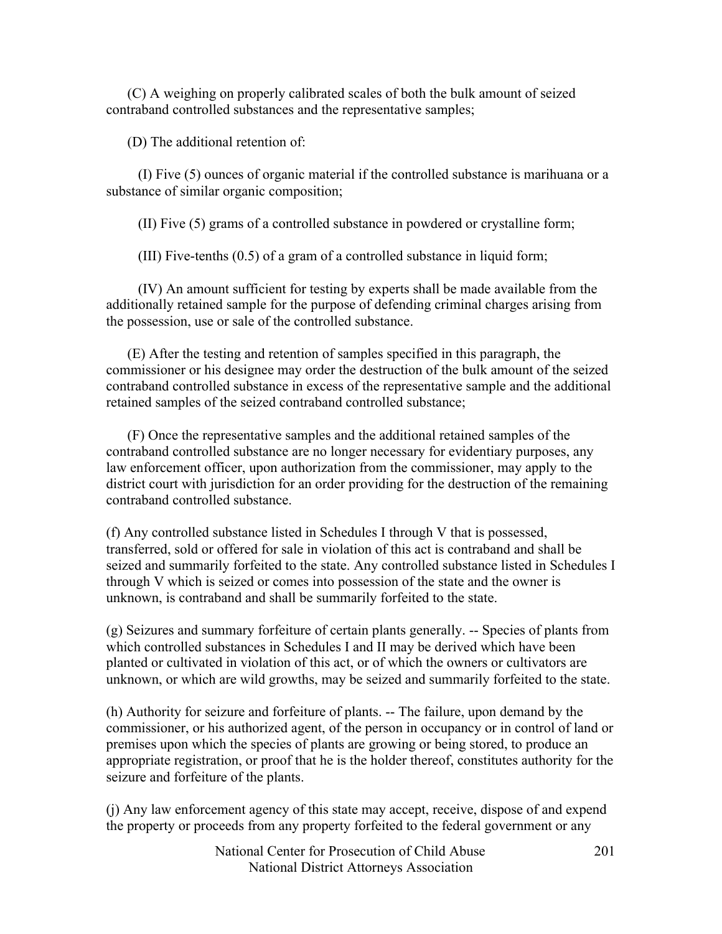(C) A weighing on properly calibrated scales of both the bulk amount of seized contraband controlled substances and the representative samples;

(D) The additional retention of:

 (I) Five (5) ounces of organic material if the controlled substance is marihuana or a substance of similar organic composition;

(II) Five (5) grams of a controlled substance in powdered or crystalline form;

(III) Five-tenths (0.5) of a gram of a controlled substance in liquid form;

 (IV) An amount sufficient for testing by experts shall be made available from the additionally retained sample for the purpose of defending criminal charges arising from the possession, use or sale of the controlled substance.

 (E) After the testing and retention of samples specified in this paragraph, the commissioner or his designee may order the destruction of the bulk amount of the seized contraband controlled substance in excess of the representative sample and the additional retained samples of the seized contraband controlled substance;

 (F) Once the representative samples and the additional retained samples of the contraband controlled substance are no longer necessary for evidentiary purposes, any law enforcement officer, upon authorization from the commissioner, may apply to the district court with jurisdiction for an order providing for the destruction of the remaining contraband controlled substance.

(f) Any controlled substance listed in Schedules I through V that is possessed, transferred, sold or offered for sale in violation of this act is contraband and shall be seized and summarily forfeited to the state. Any controlled substance listed in Schedules I through V which is seized or comes into possession of the state and the owner is unknown, is contraband and shall be summarily forfeited to the state.

(g) Seizures and summary forfeiture of certain plants generally. -- Species of plants from which controlled substances in Schedules I and II may be derived which have been planted or cultivated in violation of this act, or of which the owners or cultivators are unknown, or which are wild growths, may be seized and summarily forfeited to the state.

(h) Authority for seizure and forfeiture of plants. -- The failure, upon demand by the commissioner, or his authorized agent, of the person in occupancy or in control of land or premises upon which the species of plants are growing or being stored, to produce an appropriate registration, or proof that he is the holder thereof, constitutes authority for the seizure and forfeiture of the plants.

(j) Any law enforcement agency of this state may accept, receive, dispose of and expend the property or proceeds from any property forfeited to the federal government or any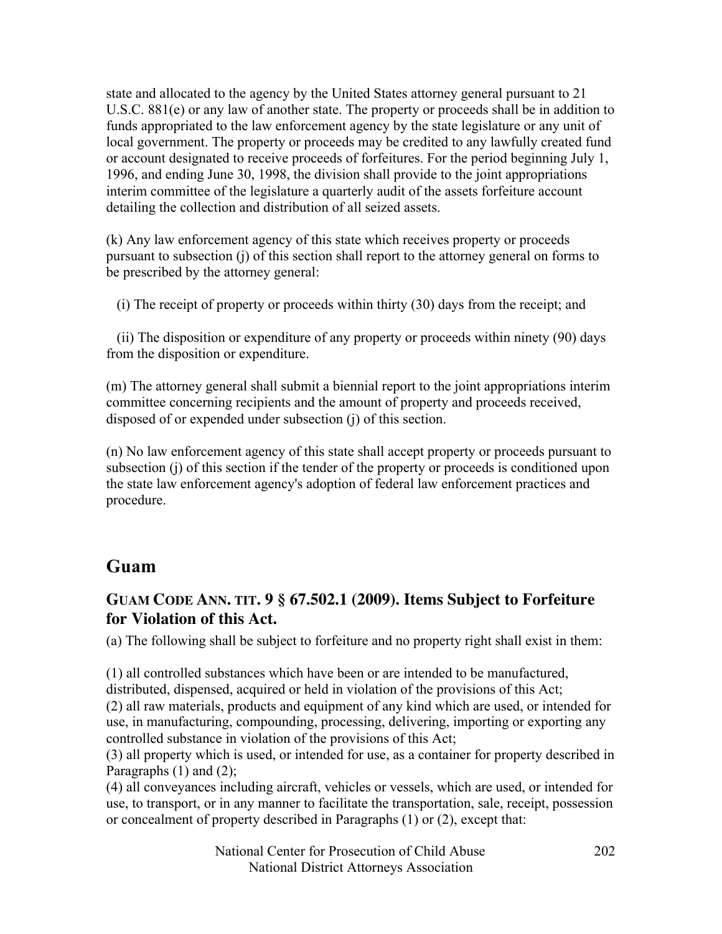state and allocated to the agency by the United States attorney general pursuant to 21 U.S.C. 881(e) or any law of another state. The property or proceeds shall be in addition to funds appropriated to the law enforcement agency by the state legislature or any unit of local government. The property or proceeds may be credited to any lawfully created fund or account designated to receive proceeds of forfeitures. For the period beginning July 1, 1996, and ending June 30, 1998, the division shall provide to the joint appropriations interim committee of the legislature a quarterly audit of the assets forfeiture account detailing the collection and distribution of all seized assets.

(k) Any law enforcement agency of this state which receives property or proceeds pursuant to subsection (j) of this section shall report to the attorney general on forms to be prescribed by the attorney general:

(i) The receipt of property or proceeds within thirty (30) days from the receipt; and

 (ii) The disposition or expenditure of any property or proceeds within ninety (90) days from the disposition or expenditure.

(m) The attorney general shall submit a biennial report to the joint appropriations interim committee concerning recipients and the amount of property and proceeds received, disposed of or expended under subsection (j) of this section.

(n) No law enforcement agency of this state shall accept property or proceeds pursuant to subsection (j) of this section if the tender of the property or proceeds is conditioned upon the state law enforcement agency's adoption of federal law enforcement practices and procedure.

# **Guam**

## **GUAM CODE ANN. TIT. 9 § 67.502.1 (2009). Items Subject to Forfeiture for Violation of this Act.**

(a) The following shall be subject to forfeiture and no property right shall exist in them:

(1) all controlled substances which have been or are intended to be manufactured, distributed, dispensed, acquired or held in violation of the provisions of this Act; (2) all raw materials, products and equipment of any kind which are used, or intended for use, in manufacturing, compounding, processing, delivering, importing or exporting any controlled substance in violation of the provisions of this Act;

(3) all property which is used, or intended for use, as a container for property described in Paragraphs  $(1)$  and  $(2)$ ;

(4) all conveyances including aircraft, vehicles or vessels, which are used, or intended for use, to transport, or in any manner to facilitate the transportation, sale, receipt, possession or concealment of property described in Paragraphs (1) or (2), except that: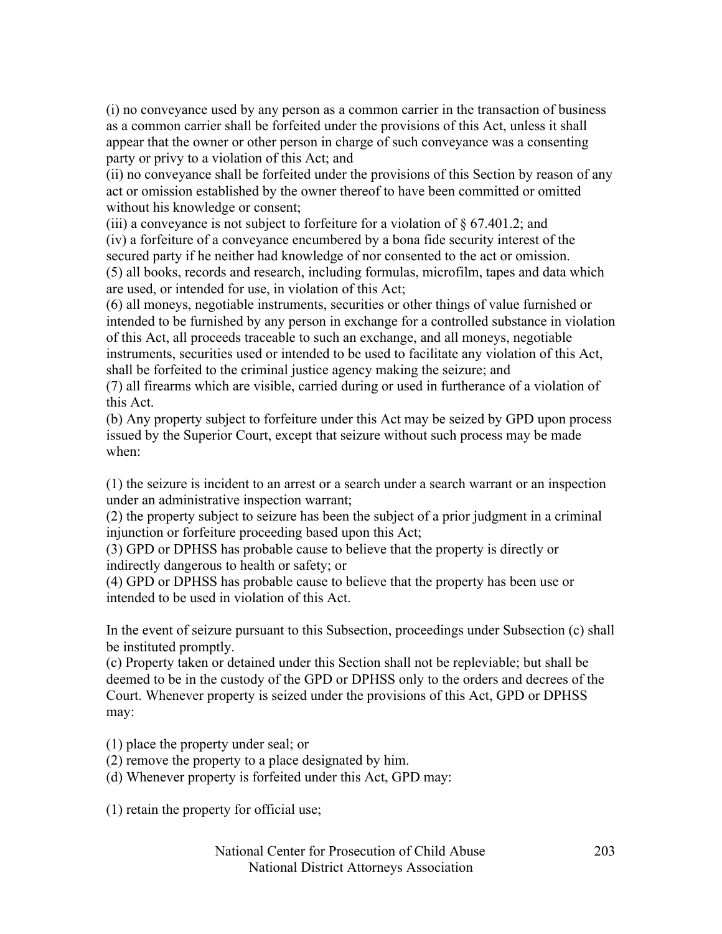(i) no conveyance used by any person as a common carrier in the transaction of business as a common carrier shall be forfeited under the provisions of this Act, unless it shall appear that the owner or other person in charge of such conveyance was a consenting party or privy to a violation of this Act; and

(ii) no conveyance shall be forfeited under the provisions of this Section by reason of any act or omission established by the owner thereof to have been committed or omitted without his knowledge or consent;

(iii) a conveyance is not subject to forfeiture for a violation of  $\S 67.401.2$ ; and (iv) a forfeiture of a conveyance encumbered by a bona fide security interest of the secured party if he neither had knowledge of nor consented to the act or omission. (5) all books, records and research, including formulas, microfilm, tapes and data which are used, or intended for use, in violation of this Act;

(6) all moneys, negotiable instruments, securities or other things of value furnished or intended to be furnished by any person in exchange for a controlled substance in violation of this Act, all proceeds traceable to such an exchange, and all moneys, negotiable instruments, securities used or intended to be used to facilitate any violation of this Act, shall be forfeited to the criminal justice agency making the seizure; and

(7) all firearms which are visible, carried during or used in furtherance of a violation of this Act.

(b) Any property subject to forfeiture under this Act may be seized by GPD upon process issued by the Superior Court, except that seizure without such process may be made when:

(1) the seizure is incident to an arrest or a search under a search warrant or an inspection under an administrative inspection warrant;

(2) the property subject to seizure has been the subject of a prior judgment in a criminal injunction or forfeiture proceeding based upon this Act;

(3) GPD or DPHSS has probable cause to believe that the property is directly or indirectly dangerous to health or safety; or

(4) GPD or DPHSS has probable cause to believe that the property has been use or intended to be used in violation of this Act.

In the event of seizure pursuant to this Subsection, proceedings under Subsection (c) shall be instituted promptly.

(c) Property taken or detained under this Section shall not be repleviable; but shall be deemed to be in the custody of the GPD or DPHSS only to the orders and decrees of the Court. Whenever property is seized under the provisions of this Act, GPD or DPHSS may:

(1) place the property under seal; or

- (2) remove the property to a place designated by him.
- (d) Whenever property is forfeited under this Act, GPD may:

(1) retain the property for official use;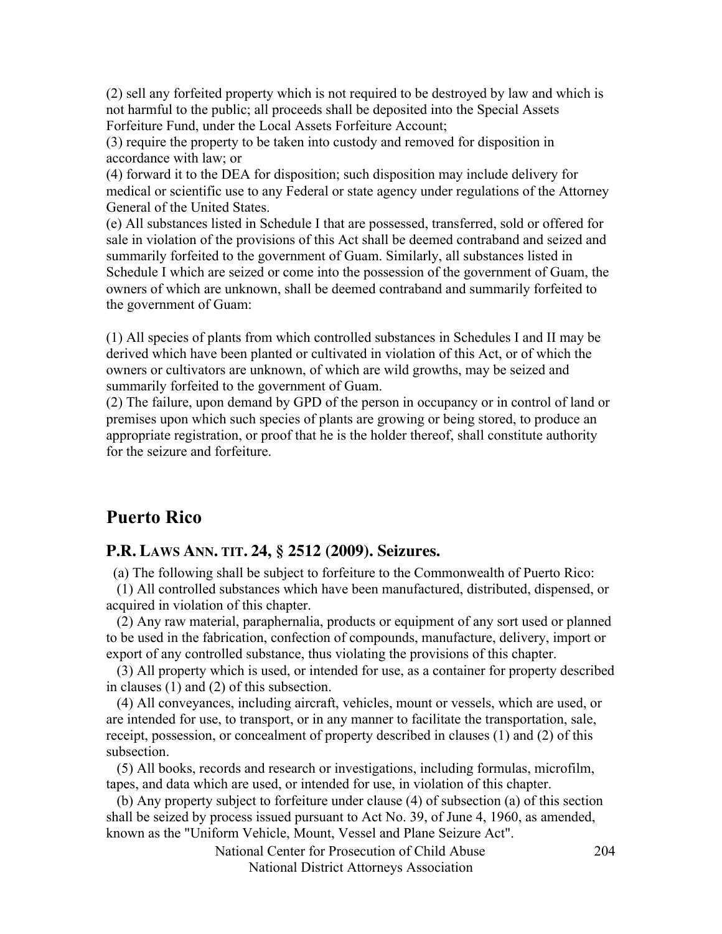(2) sell any forfeited property which is not required to be destroyed by law and which is not harmful to the public; all proceeds shall be deposited into the Special Assets Forfeiture Fund, under the Local Assets Forfeiture Account;

(3) require the property to be taken into custody and removed for disposition in accordance with law; or

(4) forward it to the DEA for disposition; such disposition may include delivery for medical or scientific use to any Federal or state agency under regulations of the Attorney General of the United States.

(e) All substances listed in Schedule I that are possessed, transferred, sold or offered for sale in violation of the provisions of this Act shall be deemed contraband and seized and summarily forfeited to the government of Guam. Similarly, all substances listed in Schedule I which are seized or come into the possession of the government of Guam, the owners of which are unknown, shall be deemed contraband and summarily forfeited to the government of Guam:

(1) All species of plants from which controlled substances in Schedules I and II may be derived which have been planted or cultivated in violation of this Act, or of which the owners or cultivators are unknown, of which are wild growths, may be seized and summarily forfeited to the government of Guam.

(2) The failure, upon demand by GPD of the person in occupancy or in control of land or premises upon which such species of plants are growing or being stored, to produce an appropriate registration, or proof that he is the holder thereof, shall constitute authority for the seizure and forfeiture.

## **Puerto Rico**

#### **P.R. LAWS ANN. TIT. 24, § 2512 (2009). Seizures.**

(a) The following shall be subject to forfeiture to the Commonwealth of Puerto Rico:

 (1) All controlled substances which have been manufactured, distributed, dispensed, or acquired in violation of this chapter.

 (2) Any raw material, paraphernalia, products or equipment of any sort used or planned to be used in the fabrication, confection of compounds, manufacture, delivery, import or export of any controlled substance, thus violating the provisions of this chapter.

 (3) All property which is used, or intended for use, as a container for property described in clauses (1) and (2) of this subsection.

 (4) All conveyances, including aircraft, vehicles, mount or vessels, which are used, or are intended for use, to transport, or in any manner to facilitate the transportation, sale, receipt, possession, or concealment of property described in clauses (1) and (2) of this subsection.

 (5) All books, records and research or investigations, including formulas, microfilm, tapes, and data which are used, or intended for use, in violation of this chapter.

 (b) Any property subject to forfeiture under clause (4) of subsection (a) of this section shall be seized by process issued pursuant to Act No. 39, of June 4, 1960, as amended, known as the "Uniform Vehicle, Mount, Vessel and Plane Seizure Act".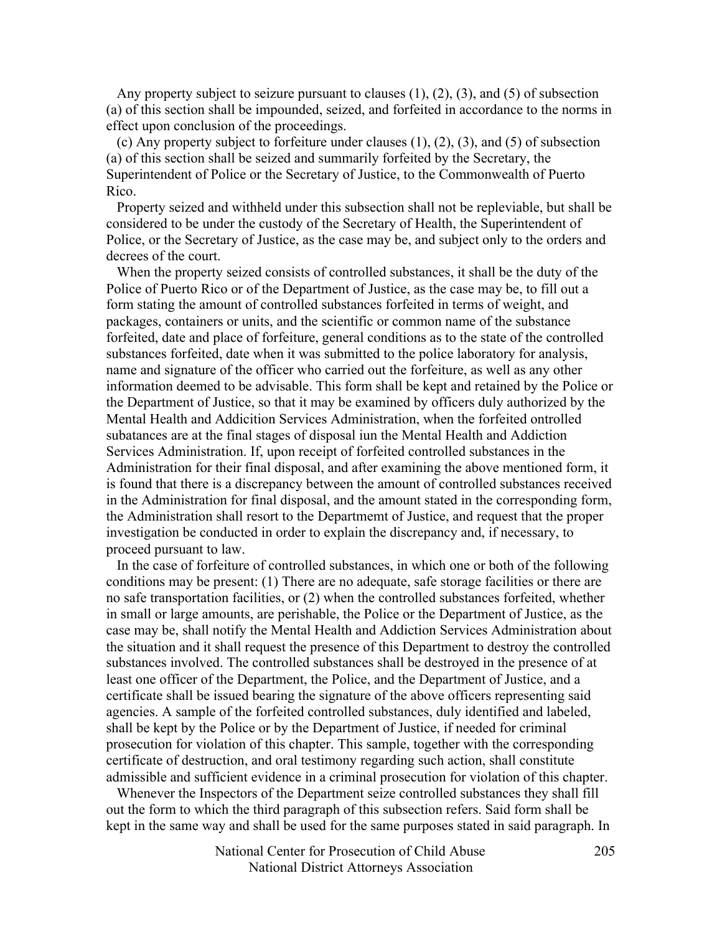Any property subject to seizure pursuant to clauses  $(1)$ ,  $(2)$ ,  $(3)$ , and  $(5)$  of subsection (a) of this section shall be impounded, seized, and forfeited in accordance to the norms in effect upon conclusion of the proceedings.

 (c) Any property subject to forfeiture under clauses (1), (2), (3), and (5) of subsection (a) of this section shall be seized and summarily forfeited by the Secretary, the Superintendent of Police or the Secretary of Justice, to the Commonwealth of Puerto Rico.

 Property seized and withheld under this subsection shall not be repleviable, but shall be considered to be under the custody of the Secretary of Health, the Superintendent of Police, or the Secretary of Justice, as the case may be, and subject only to the orders and decrees of the court.

 When the property seized consists of controlled substances, it shall be the duty of the Police of Puerto Rico or of the Department of Justice, as the case may be, to fill out a form stating the amount of controlled substances forfeited in terms of weight, and packages, containers or units, and the scientific or common name of the substance forfeited, date and place of forfeiture, general conditions as to the state of the controlled substances forfeited, date when it was submitted to the police laboratory for analysis, name and signature of the officer who carried out the forfeiture, as well as any other information deemed to be advisable. This form shall be kept and retained by the Police or the Department of Justice, so that it may be examined by officers duly authorized by the Mental Health and Addicition Services Administration, when the forfeited ontrolled subatances are at the final stages of disposal iun the Mental Health and Addiction Services Administration. If, upon receipt of forfeited controlled substances in the Administration for their final disposal, and after examining the above mentioned form, it is found that there is a discrepancy between the amount of controlled substances received in the Administration for final disposal, and the amount stated in the corresponding form, the Administration shall resort to the Departmemt of Justice, and request that the proper investigation be conducted in order to explain the discrepancy and, if necessary, to proceed pursuant to law.

 In the case of forfeiture of controlled substances, in which one or both of the following conditions may be present: (1) There are no adequate, safe storage facilities or there are no safe transportation facilities, or (2) when the controlled substances forfeited, whether in small or large amounts, are perishable, the Police or the Department of Justice, as the case may be, shall notify the Mental Health and Addiction Services Administration about the situation and it shall request the presence of this Department to destroy the controlled substances involved. The controlled substances shall be destroyed in the presence of at least one officer of the Department, the Police, and the Department of Justice, and a certificate shall be issued bearing the signature of the above officers representing said agencies. A sample of the forfeited controlled substances, duly identified and labeled, shall be kept by the Police or by the Department of Justice, if needed for criminal prosecution for violation of this chapter. This sample, together with the corresponding certificate of destruction, and oral testimony regarding such action, shall constitute admissible and sufficient evidence in a criminal prosecution for violation of this chapter.

 Whenever the Inspectors of the Department seize controlled substances they shall fill out the form to which the third paragraph of this subsection refers. Said form shall be kept in the same way and shall be used for the same purposes stated in said paragraph. In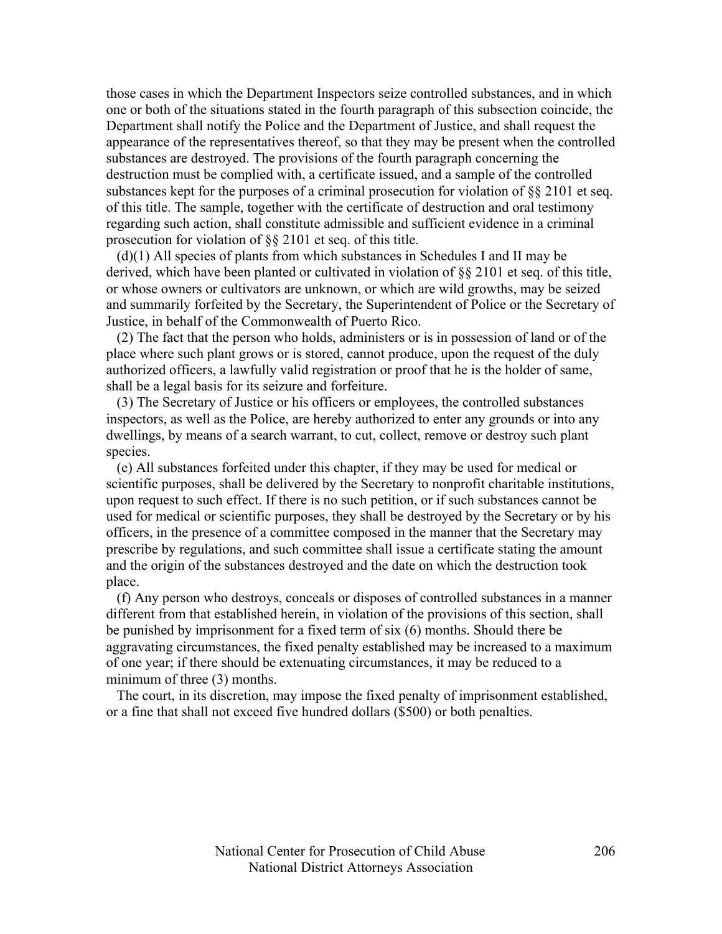those cases in which the Department Inspectors seize controlled substances, and in which one or both of the situations stated in the fourth paragraph of this subsection coincide, the Department shall notify the Police and the Department of Justice, and shall request the appearance of the representatives thereof, so that they may be present when the controlled substances are destroyed. The provisions of the fourth paragraph concerning the destruction must be complied with, a certificate issued, and a sample of the controlled substances kept for the purposes of a criminal prosecution for violation of  $\S$ § 2101 et seq. of this title. The sample, together with the certificate of destruction and oral testimony regarding such action, shall constitute admissible and sufficient evidence in a criminal prosecution for violation of §§ 2101 et seq. of this title.

 (d)(1) All species of plants from which substances in Schedules I and II may be derived, which have been planted or cultivated in violation of §§ 2101 et seq. of this title, or whose owners or cultivators are unknown, or which are wild growths, may be seized and summarily forfeited by the Secretary, the Superintendent of Police or the Secretary of Justice, in behalf of the Commonwealth of Puerto Rico.

 (2) The fact that the person who holds, administers or is in possession of land or of the place where such plant grows or is stored, cannot produce, upon the request of the duly authorized officers, a lawfully valid registration or proof that he is the holder of same, shall be a legal basis for its seizure and forfeiture.

 (3) The Secretary of Justice or his officers or employees, the controlled substances inspectors, as well as the Police, are hereby authorized to enter any grounds or into any dwellings, by means of a search warrant, to cut, collect, remove or destroy such plant species.

 (e) All substances forfeited under this chapter, if they may be used for medical or scientific purposes, shall be delivered by the Secretary to nonprofit charitable institutions, upon request to such effect. If there is no such petition, or if such substances cannot be used for medical or scientific purposes, they shall be destroyed by the Secretary or by his officers, in the presence of a committee composed in the manner that the Secretary may prescribe by regulations, and such committee shall issue a certificate stating the amount and the origin of the substances destroyed and the date on which the destruction took place.

 (f) Any person who destroys, conceals or disposes of controlled substances in a manner different from that established herein, in violation of the provisions of this section, shall be punished by imprisonment for a fixed term of six (6) months. Should there be aggravating circumstances, the fixed penalty established may be increased to a maximum of one year; if there should be extenuating circumstances, it may be reduced to a minimum of three (3) months.

 The court, in its discretion, may impose the fixed penalty of imprisonment established, or a fine that shall not exceed five hundred dollars (\$500) or both penalties.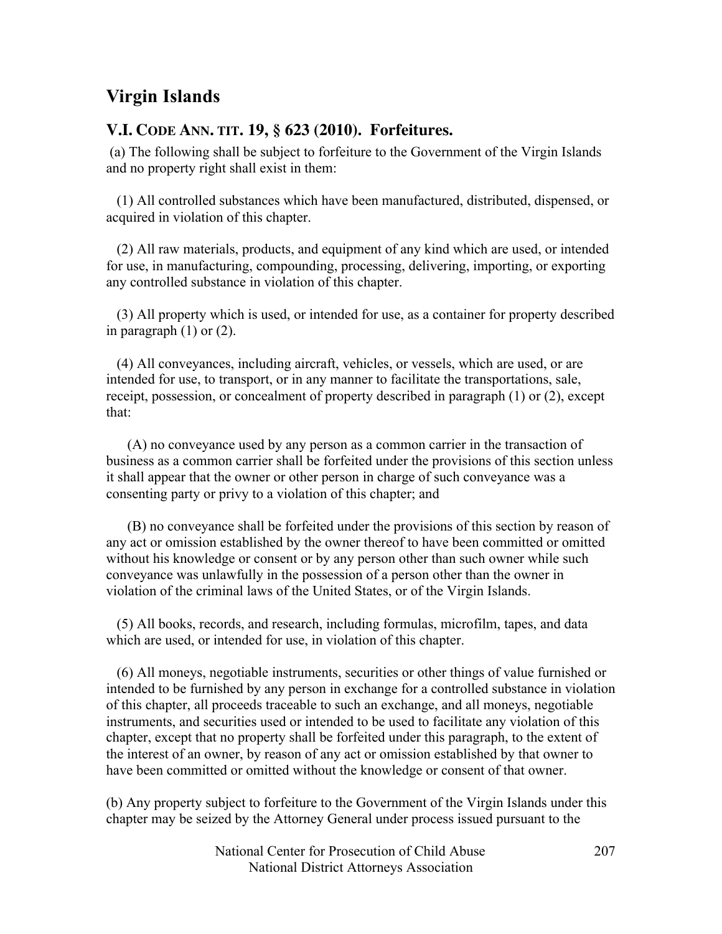# **Virgin Islands**

#### **V.I. CODE ANN. TIT. 19, § 623 (2010). Forfeitures.**

(a) The following shall be subject to forfeiture to the Government of the Virgin Islands and no property right shall exist in them:

 (1) All controlled substances which have been manufactured, distributed, dispensed, or acquired in violation of this chapter.

 (2) All raw materials, products, and equipment of any kind which are used, or intended for use, in manufacturing, compounding, processing, delivering, importing, or exporting any controlled substance in violation of this chapter.

 (3) All property which is used, or intended for use, as a container for property described in paragraph  $(1)$  or  $(2)$ .

 (4) All conveyances, including aircraft, vehicles, or vessels, which are used, or are intended for use, to transport, or in any manner to facilitate the transportations, sale, receipt, possession, or concealment of property described in paragraph (1) or (2), except that:

 (A) no conveyance used by any person as a common carrier in the transaction of business as a common carrier shall be forfeited under the provisions of this section unless it shall appear that the owner or other person in charge of such conveyance was a consenting party or privy to a violation of this chapter; and

 (B) no conveyance shall be forfeited under the provisions of this section by reason of any act or omission established by the owner thereof to have been committed or omitted without his knowledge or consent or by any person other than such owner while such conveyance was unlawfully in the possession of a person other than the owner in violation of the criminal laws of the United States, or of the Virgin Islands.

 (5) All books, records, and research, including formulas, microfilm, tapes, and data which are used, or intended for use, in violation of this chapter.

 (6) All moneys, negotiable instruments, securities or other things of value furnished or intended to be furnished by any person in exchange for a controlled substance in violation of this chapter, all proceeds traceable to such an exchange, and all moneys, negotiable instruments, and securities used or intended to be used to facilitate any violation of this chapter, except that no property shall be forfeited under this paragraph, to the extent of the interest of an owner, by reason of any act or omission established by that owner to have been committed or omitted without the knowledge or consent of that owner.

(b) Any property subject to forfeiture to the Government of the Virgin Islands under this chapter may be seized by the Attorney General under process issued pursuant to the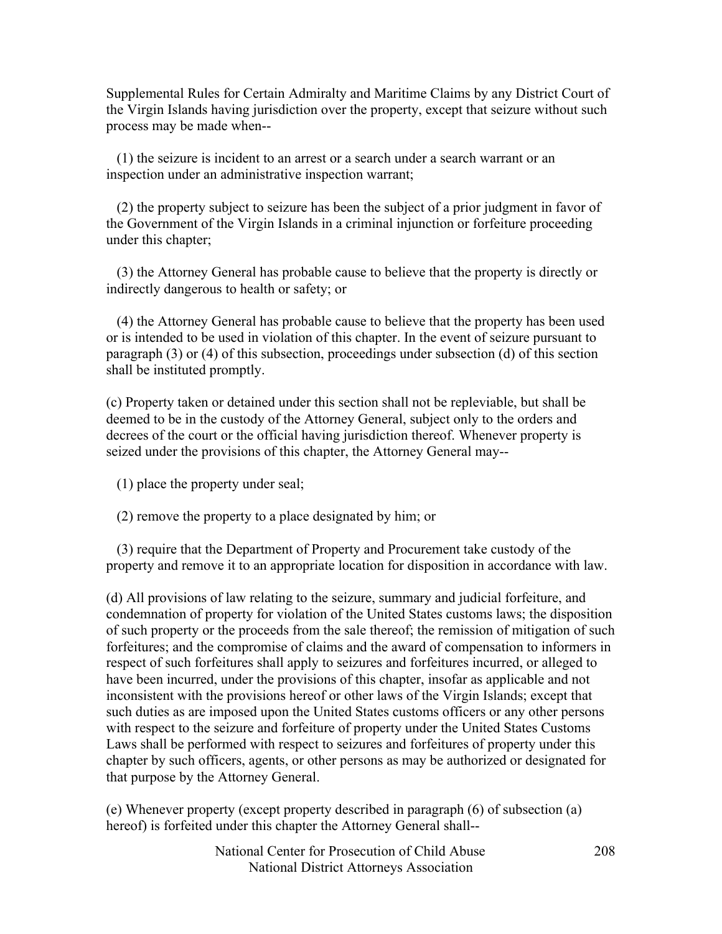Supplemental Rules for Certain Admiralty and Maritime Claims by any District Court of the Virgin Islands having jurisdiction over the property, except that seizure without such process may be made when--

 (1) the seizure is incident to an arrest or a search under a search warrant or an inspection under an administrative inspection warrant;

 (2) the property subject to seizure has been the subject of a prior judgment in favor of the Government of the Virgin Islands in a criminal injunction or forfeiture proceeding under this chapter;

 (3) the Attorney General has probable cause to believe that the property is directly or indirectly dangerous to health or safety; or

 (4) the Attorney General has probable cause to believe that the property has been used or is intended to be used in violation of this chapter. In the event of seizure pursuant to paragraph (3) or (4) of this subsection, proceedings under subsection (d) of this section shall be instituted promptly.

(c) Property taken or detained under this section shall not be repleviable, but shall be deemed to be in the custody of the Attorney General, subject only to the orders and decrees of the court or the official having jurisdiction thereof. Whenever property is seized under the provisions of this chapter, the Attorney General may--

(1) place the property under seal;

(2) remove the property to a place designated by him; or

 (3) require that the Department of Property and Procurement take custody of the property and remove it to an appropriate location for disposition in accordance with law.

(d) All provisions of law relating to the seizure, summary and judicial forfeiture, and condemnation of property for violation of the United States customs laws; the disposition of such property or the proceeds from the sale thereof; the remission of mitigation of such forfeitures; and the compromise of claims and the award of compensation to informers in respect of such forfeitures shall apply to seizures and forfeitures incurred, or alleged to have been incurred, under the provisions of this chapter, insofar as applicable and not inconsistent with the provisions hereof or other laws of the Virgin Islands; except that such duties as are imposed upon the United States customs officers or any other persons with respect to the seizure and forfeiture of property under the United States Customs Laws shall be performed with respect to seizures and forfeitures of property under this chapter by such officers, agents, or other persons as may be authorized or designated for that purpose by the Attorney General.

(e) Whenever property (except property described in paragraph (6) of subsection (a) hereof) is forfeited under this chapter the Attorney General shall--